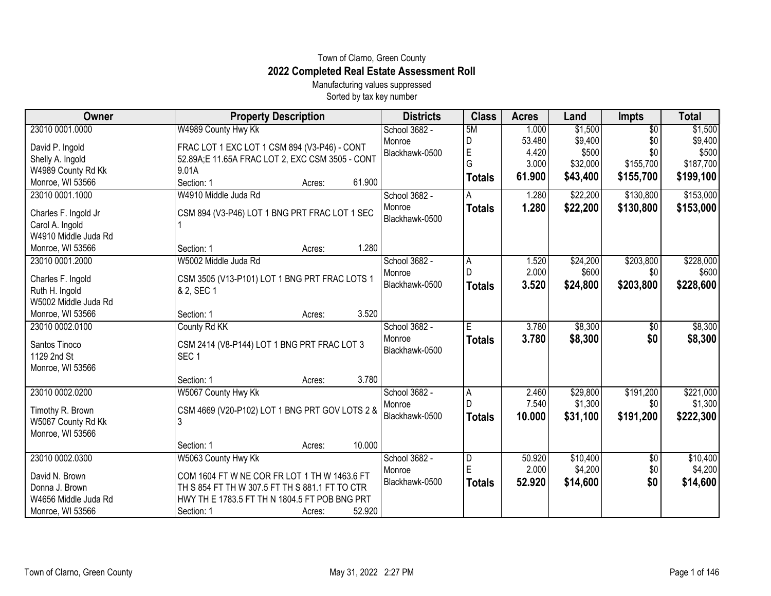## Town of Clarno, Green County **2022 Completed Real Estate Assessment Roll**

Manufacturing values suppressed Sorted by tax key number

| Owner                                  | <b>Property Description</b>                                     | <b>Districts</b> | <b>Class</b>  | <b>Acres</b> | Land     | <b>Impts</b>    | <b>Total</b> |
|----------------------------------------|-----------------------------------------------------------------|------------------|---------------|--------------|----------|-----------------|--------------|
| 23010 0001.0000                        | W4989 County Hwy Kk                                             | School 3682 -    | 5M            | 1.000        | \$1,500  | $\overline{50}$ | \$1,500      |
| David P. Ingold                        | FRAC LOT 1 EXC LOT 1 CSM 894 (V3-P46) - CONT                    | Monroe           | D             | 53.480       | \$9,400  | \$0             | \$9,400      |
| Shelly A. Ingold                       | 52.89A;E 11.65A FRAC LOT 2, EXC CSM 3505 - CONT                 | Blackhawk-0500   | E             | 4.420        | \$500    | \$0             | \$500        |
| W4989 County Rd Kk                     | 9.01A                                                           |                  | G             | 3.000        | \$32,000 | \$155,700       | \$187,700    |
| Monroe, WI 53566                       | 61.900<br>Section: 1<br>Acres:                                  |                  | <b>Totals</b> | 61.900       | \$43,400 | \$155,700       | \$199,100    |
| 23010 0001.1000                        | W4910 Middle Juda Rd                                            | School 3682 -    | A             | 1.280        | \$22,200 | \$130,800       | \$153,000    |
| Charles F. Ingold Jr                   | CSM 894 (V3-P46) LOT 1 BNG PRT FRAC LOT 1 SEC                   | Monroe           | <b>Totals</b> | 1.280        | \$22,200 | \$130,800       | \$153,000    |
| Carol A. Ingold                        |                                                                 | Blackhawk-0500   |               |              |          |                 |              |
| W4910 Middle Juda Rd                   |                                                                 |                  |               |              |          |                 |              |
| Monroe, WI 53566                       | 1.280<br>Section: 1<br>Acres:                                   |                  |               |              |          |                 |              |
| 23010 0001.2000                        | W5002 Middle Juda Rd                                            | School 3682 -    | A             | 1.520        | \$24,200 | \$203,800       | \$228,000    |
| Charles F. Ingold                      | CSM 3505 (V13-P101) LOT 1 BNG PRT FRAC LOTS 1                   | Monroe           |               | 2.000        | \$600    | \$0             | \$600        |
| Ruth H. Ingold                         | & 2, SEC 1                                                      | Blackhawk-0500   | <b>Totals</b> | 3.520        | \$24,800 | \$203,800       | \$228,600    |
| W5002 Middle Juda Rd                   |                                                                 |                  |               |              |          |                 |              |
| Monroe, WI 53566                       | 3.520<br>Section: 1<br>Acres:                                   |                  |               |              |          |                 |              |
| 23010 0002.0100                        | County Rd KK                                                    | School 3682 -    | Ε             | 3.780        | \$8,300  | \$0             | \$8,300      |
|                                        |                                                                 | Monroe           | <b>Totals</b> | 3.780        | \$8,300  | \$0             | \$8,300      |
| Santos Tinoco<br>1129 2nd St           | CSM 2414 (V8-P144) LOT 1 BNG PRT FRAC LOT 3<br>SEC <sub>1</sub> | Blackhawk-0500   |               |              |          |                 |              |
| Monroe, WI 53566                       |                                                                 |                  |               |              |          |                 |              |
|                                        | 3.780<br>Section: 1<br>Acres:                                   |                  |               |              |          |                 |              |
| 23010 0002.0200                        | W5067 County Hwy Kk                                             | School 3682 -    | Α             | 2.460        | \$29,800 | \$191,200       | \$221,000    |
|                                        |                                                                 | Monroe           |               | 7.540        | \$1,300  | \$0             | \$1,300      |
| Timothy R. Brown                       | CSM 4669 (V20-P102) LOT 1 BNG PRT GOV LOTS 2 &                  | Blackhawk-0500   | <b>Totals</b> | 10.000       | \$31,100 | \$191,200       | \$222,300    |
| W5067 County Rd Kk<br>Monroe, WI 53566 | 3                                                               |                  |               |              |          |                 |              |
|                                        | 10.000<br>Section: 1<br>Acres:                                  |                  |               |              |          |                 |              |
| 23010 0002.0300                        | W5063 County Hwy Kk                                             | School 3682 -    | D             | 50.920       | \$10,400 | \$0             | \$10,400     |
|                                        |                                                                 | Monroe           | ΙE            | 2.000        | \$4,200  | \$0             | \$4,200      |
| David N. Brown                         | COM 1604 FT W NE COR FR LOT 1 TH W 1463.6 FT                    | Blackhawk-0500   | <b>Totals</b> | 52.920       | \$14,600 | \$0             | \$14,600     |
| Donna J. Brown                         | TH S 854 FT TH W 307.5 FT TH S 881.1 FT TO CTR                  |                  |               |              |          |                 |              |
| W4656 Middle Juda Rd                   | HWY TH E 1783.5 FT TH N 1804.5 FT POB BNG PRT                   |                  |               |              |          |                 |              |
| Monroe, WI 53566                       | 52.920<br>Section: 1<br>Acres:                                  |                  |               |              |          |                 |              |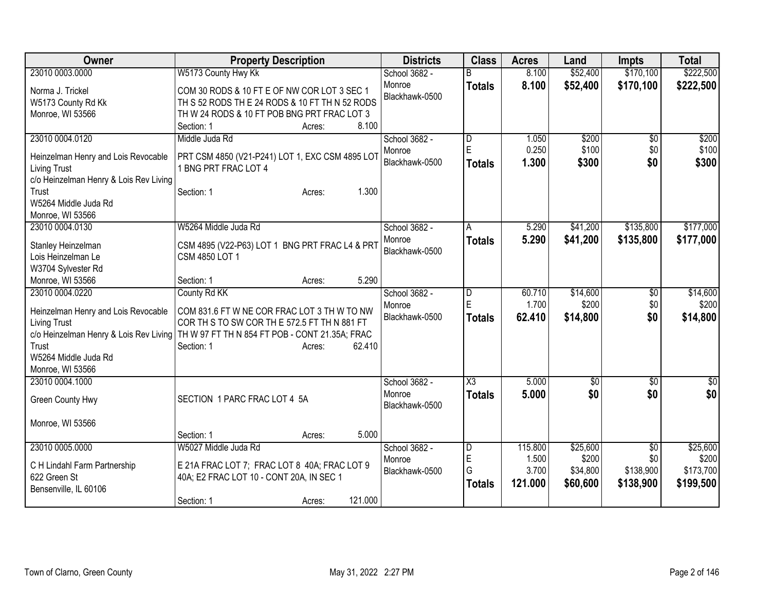| <b>Owner</b>                                                                                                                                                                 | <b>Property Description</b>                                                                                                                                                                     | <b>Districts</b>                          | <b>Class</b>                            | <b>Acres</b>                         | Land                                      | <b>Impts</b>                         | <b>Total</b>                                |
|------------------------------------------------------------------------------------------------------------------------------------------------------------------------------|-------------------------------------------------------------------------------------------------------------------------------------------------------------------------------------------------|-------------------------------------------|-----------------------------------------|--------------------------------------|-------------------------------------------|--------------------------------------|---------------------------------------------|
| 23010 0003,0000                                                                                                                                                              | W5173 County Hwy Kk                                                                                                                                                                             | School 3682 -                             | R                                       | 8.100                                | \$52,400                                  | \$170,100                            | \$222,500                                   |
| Norma J. Trickel<br>W5173 County Rd Kk<br>Monroe, WI 53566                                                                                                                   | COM 30 RODS & 10 FT E OF NW COR LOT 3 SEC 1<br>TH S 52 RODS TH E 24 RODS & 10 FT TH N 52 RODS<br>TH W 24 RODS & 10 FT POB BNG PRT FRAC LOT 3<br>8.100<br>Section: 1<br>Acres:                   | Monroe<br>Blackhawk-0500                  | <b>Totals</b>                           | 8.100                                | \$52,400                                  | \$170,100                            | \$222,500                                   |
| 23010 0004.0120                                                                                                                                                              | Middle Juda Rd                                                                                                                                                                                  | School 3682 -                             | D                                       | 1.050                                | \$200                                     | \$0                                  | \$200                                       |
| Heinzelman Henry and Lois Revocable<br><b>Living Trust</b><br>c/o Heinzelman Henry & Lois Rev Living                                                                         | PRT CSM 4850 (V21-P241) LOT 1, EXC CSM 4895 LOT<br>1 BNG PRT FRAC LOT 4                                                                                                                         | Monroe<br>Blackhawk-0500                  | E<br><b>Totals</b>                      | 0.250<br>1.300                       | \$100<br>\$300                            | \$0<br>\$0                           | \$100<br>\$300                              |
| Trust<br>W5264 Middle Juda Rd<br>Monroe, WI 53566                                                                                                                            | 1.300<br>Section: 1<br>Acres:                                                                                                                                                                   |                                           |                                         |                                      |                                           |                                      |                                             |
| 23010 0004.0130                                                                                                                                                              | W5264 Middle Juda Rd                                                                                                                                                                            | School 3682 -                             | A                                       | 5.290                                | \$41,200                                  | \$135,800                            | \$177,000                                   |
| Stanley Heinzelman<br>Lois Heinzelman Le<br>W3704 Sylvester Rd                                                                                                               | CSM 4895 (V22-P63) LOT 1 BNG PRT FRAC L4 & PRT<br>CSM 4850 LOT 1                                                                                                                                | Monroe<br>Blackhawk-0500                  | <b>Totals</b>                           | 5.290                                | \$41,200                                  | \$135,800                            | \$177,000                                   |
| Monroe, WI 53566                                                                                                                                                             | 5.290<br>Section: 1<br>Acres:                                                                                                                                                                   |                                           |                                         |                                      |                                           |                                      |                                             |
| 23010 0004.0220<br>Heinzelman Henry and Lois Revocable<br><b>Living Trust</b><br>c/o Heinzelman Henry & Lois Rev Living<br>Trust<br>W5264 Middle Juda Rd<br>Monroe, WI 53566 | County Rd KK<br>COM 831.6 FT W NE COR FRAC LOT 3 TH W TO NW<br>COR TH S TO SW COR TH E 572.5 FT TH N 881 FT<br>TH W 97 FT TH N 854 FT POB - CONT 21.35A; FRAC<br>62.410<br>Section: 1<br>Acres: | School 3682 -<br>Monroe<br>Blackhawk-0500 | $\overline{D}$<br>E<br><b>Totals</b>    | 60.710<br>1.700<br>62.410            | \$14,600<br>\$200<br>\$14,800             | \$0<br>\$0<br>\$0                    | \$14,600<br>\$200<br>\$14,800               |
| 23010 0004.1000<br>Green County Hwy                                                                                                                                          | SECTION 1 PARC FRAC LOT 4 5A                                                                                                                                                                    | School 3682 -<br>Monroe<br>Blackhawk-0500 | $\overline{\text{X3}}$<br><b>Totals</b> | 5.000<br>5.000                       | $\overline{50}$<br>\$0                    | \$0<br>\$0                           | $\sqrt{50}$<br>\$0                          |
| Monroe, WI 53566                                                                                                                                                             | 5.000<br>Section: 1                                                                                                                                                                             |                                           |                                         |                                      |                                           |                                      |                                             |
| 23010 0005.0000<br>C H Lindahl Farm Partnership<br>622 Green St<br>Bensenville, IL 60106                                                                                     | Acres:<br>W5027 Middle Juda Rd<br>E 21A FRAC LOT 7; FRAC LOT 8 40A; FRAC LOT 9<br>40A; E2 FRAC LOT 10 - CONT 20A, IN SEC 1                                                                      | School 3682 -<br>Monroe<br>Blackhawk-0500 | D<br>E<br>G<br><b>Totals</b>            | 115.800<br>1.500<br>3.700<br>121.000 | \$25,600<br>\$200<br>\$34,800<br>\$60,600 | \$0<br>\$0<br>\$138,900<br>\$138,900 | \$25,600<br>\$200<br>\$173,700<br>\$199,500 |
|                                                                                                                                                                              | 121.000<br>Section: 1<br>Acres:                                                                                                                                                                 |                                           |                                         |                                      |                                           |                                      |                                             |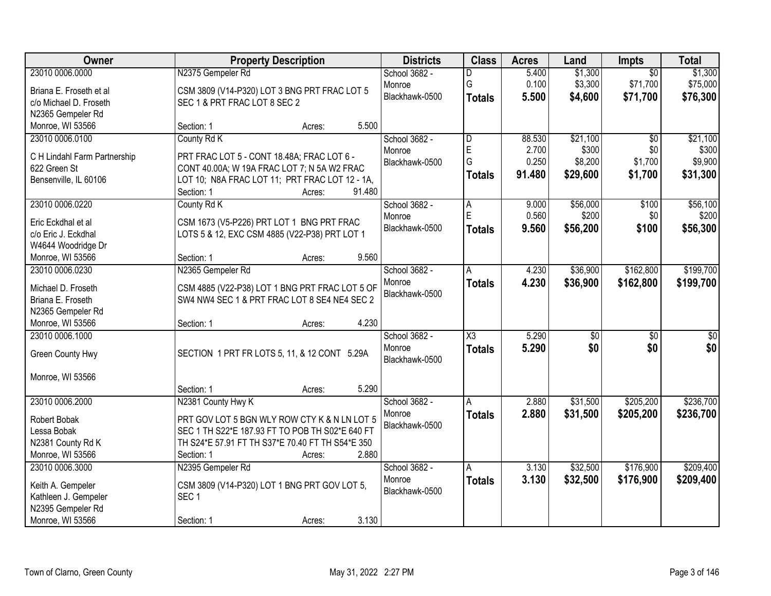| Owner                                 | <b>Property Description</b>                      | <b>Districts</b> | <b>Class</b>            | <b>Acres</b> | Land            | Impts           | <b>Total</b>    |
|---------------------------------------|--------------------------------------------------|------------------|-------------------------|--------------|-----------------|-----------------|-----------------|
| 23010 0006.0000                       | N2375 Gempeler Rd                                | School 3682 -    | D                       | 5.400        | \$1,300         | $\overline{50}$ | \$1,300         |
| Briana E. Froseth et al               | CSM 3809 (V14-P320) LOT 3 BNG PRT FRAC LOT 5     | Monroe           | G                       | 0.100        | \$3,300         | \$71,700        | \$75,000        |
| c/o Michael D. Froseth                | SEC 1 & PRT FRAC LOT 8 SEC 2                     | Blackhawk-0500   | <b>Totals</b>           | 5.500        | \$4,600         | \$71,700        | \$76,300        |
| N2365 Gempeler Rd                     |                                                  |                  |                         |              |                 |                 |                 |
| Monroe, WI 53566                      | 5.500<br>Section: 1<br>Acres:                    |                  |                         |              |                 |                 |                 |
| 23010 0006.0100                       | County Rd K                                      | School 3682 -    | $\overline{\mathsf{D}}$ | 88.530       | \$21,100        | $\overline{50}$ | \$21,100        |
| C H Lindahl Farm Partnership          | PRT FRAC LOT 5 - CONT 18.48A; FRAC LOT 6 -       | Monroe           | E                       | 2.700        | \$300           | \$0             | \$300           |
| 622 Green St                          | CONT 40.00A; W 19A FRAC LOT 7; N 5A W2 FRAC      | Blackhawk-0500   | G                       | 0.250        | \$8,200         | \$1,700         | \$9,900         |
| Bensenville, IL 60106                 | LOT 10; N8A FRAC LOT 11; PRT FRAC LOT 12 - 1A,   |                  | <b>Totals</b>           | 91.480       | \$29,600        | \$1,700         | \$31,300        |
|                                       | 91.480<br>Section: 1<br>Acres:                   |                  |                         |              |                 |                 |                 |
| 23010 0006.0220                       | County Rd K                                      | School 3682 -    | A                       | 9.000        | \$56,000        | \$100           | \$56,100        |
| Eric Eckdhal et al                    | CSM 1673 (V5-P226) PRT LOT 1 BNG PRT FRAC        | Monroe           | Ė                       | 0.560        | \$200           | \$0             | \$200           |
| c/o Eric J. Eckdhal                   | LOTS 5 & 12, EXC CSM 4885 (V22-P38) PRT LOT 1    | Blackhawk-0500   | <b>Totals</b>           | 9.560        | \$56,200        | \$100           | \$56,300        |
| W4644 Woodridge Dr                    |                                                  |                  |                         |              |                 |                 |                 |
| Monroe, WI 53566                      | 9.560<br>Section: 1<br>Acres:                    |                  |                         |              |                 |                 |                 |
| 23010 0006.0230                       | N2365 Gempeler Rd                                | School 3682 -    | Α                       | 4.230        | \$36,900        | \$162,800       | \$199,700       |
|                                       |                                                  | Monroe           | <b>Totals</b>           | 4.230        | \$36,900        | \$162,800       | \$199,700       |
| Michael D. Froseth                    | CSM 4885 (V22-P38) LOT 1 BNG PRT FRAC LOT 5 OF   | Blackhawk-0500   |                         |              |                 |                 |                 |
| Briana E. Froseth                     | SW4 NW4 SEC 1 & PRT FRAC LOT 8 SE4 NE4 SEC 2     |                  |                         |              |                 |                 |                 |
| N2365 Gempeler Rd<br>Monroe, WI 53566 | 4.230                                            |                  |                         |              |                 |                 |                 |
| 23010 0006.1000                       | Section: 1<br>Acres:                             | School 3682 -    | $\overline{\chi_3}$     | 5.290        | $\overline{50}$ | $\overline{50}$ | $\overline{50}$ |
|                                       |                                                  | Monroe           |                         | 5.290        | \$0             |                 | \$0             |
| Green County Hwy                      | SECTION 1 PRT FR LOTS 5, 11, & 12 CONT 5.29A     | Blackhawk-0500   | <b>Totals</b>           |              |                 | \$0             |                 |
|                                       |                                                  |                  |                         |              |                 |                 |                 |
| Monroe, WI 53566                      |                                                  |                  |                         |              |                 |                 |                 |
|                                       | 5.290<br>Section: 1<br>Acres:                    |                  |                         |              |                 |                 |                 |
| 23010 0006.2000                       | N2381 County Hwy K                               | School 3682 -    | A                       | 2.880        | \$31,500        | \$205,200       | \$236,700       |
| Robert Bobak                          | PRT GOV LOT 5 BGN WLY ROW CTY K & N LN LOT 5     | Monroe           | <b>Totals</b>           | 2.880        | \$31,500        | \$205,200       | \$236,700       |
| Lessa Bobak                           | SEC 1 TH S22*E 187.93 FT TO POB TH S02*E 640 FT  | Blackhawk-0500   |                         |              |                 |                 |                 |
| N2381 County Rd K                     | TH S24*E 57.91 FT TH S37*E 70.40 FT TH S54*E 350 |                  |                         |              |                 |                 |                 |
| Monroe, WI 53566                      | 2.880<br>Section: 1<br>Acres:                    |                  |                         |              |                 |                 |                 |
| 23010 0006.3000                       | N2395 Gempeler Rd                                | School 3682 -    | Α                       | 3.130        | \$32,500        | \$176,900       | \$209,400       |
| Keith A. Gempeler                     | CSM 3809 (V14-P320) LOT 1 BNG PRT GOV LOT 5,     | Monroe           | <b>Totals</b>           | 3.130        | \$32,500        | \$176,900       | \$209,400       |
| Kathleen J. Gempeler                  | SEC <sub>1</sub>                                 | Blackhawk-0500   |                         |              |                 |                 |                 |
| N2395 Gempeler Rd                     |                                                  |                  |                         |              |                 |                 |                 |
| Monroe, WI 53566                      | 3.130<br>Section: 1<br>Acres:                    |                  |                         |              |                 |                 |                 |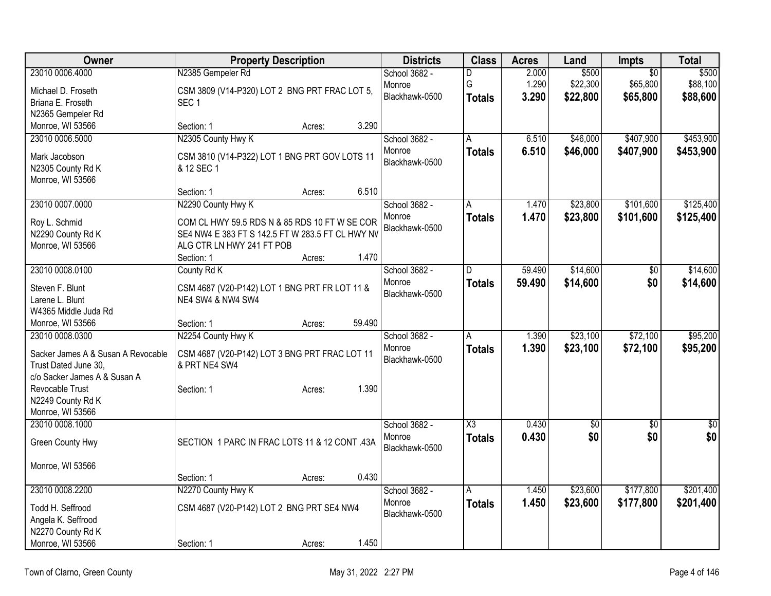| Owner                                | <b>Property Description</b>                                        | <b>Districts</b> | <b>Class</b>           | <b>Acres</b> | Land        | Impts           | <b>Total</b> |
|--------------------------------------|--------------------------------------------------------------------|------------------|------------------------|--------------|-------------|-----------------|--------------|
| 23010 0006.4000                      | N2385 Gempeler Rd                                                  | School 3682 -    | D                      | 2.000        | \$500       | $\overline{50}$ | \$500        |
| Michael D. Froseth                   | CSM 3809 (V14-P320) LOT 2 BNG PRT FRAC LOT 5,                      | Monroe           | G                      | 1.290        | \$22,300    | \$65,800        | \$88,100     |
| Briana E. Froseth                    | SEC <sub>1</sub>                                                   | Blackhawk-0500   | <b>Totals</b>          | 3.290        | \$22,800    | \$65,800        | \$88,600     |
| N2365 Gempeler Rd                    |                                                                    |                  |                        |              |             |                 |              |
| Monroe, WI 53566                     | 3.290<br>Section: 1<br>Acres:                                      |                  |                        |              |             |                 |              |
| 23010 0006.5000                      | N2305 County Hwy K                                                 | School 3682 -    | A                      | 6.510        | \$46,000    | \$407,900       | \$453,900    |
| Mark Jacobson                        | CSM 3810 (V14-P322) LOT 1 BNG PRT GOV LOTS 11                      | Monroe           | <b>Totals</b>          | 6.510        | \$46,000    | \$407,900       | \$453,900    |
| N2305 County Rd K                    | & 12 SEC 1                                                         | Blackhawk-0500   |                        |              |             |                 |              |
| Monroe, WI 53566                     |                                                                    |                  |                        |              |             |                 |              |
|                                      | 6.510<br>Section: 1<br>Acres:                                      |                  |                        |              |             |                 |              |
| 23010 0007.0000                      | N2290 County Hwy K                                                 | School 3682 -    | Α                      | 1.470        | \$23,800    | \$101,600       | \$125,400    |
| Roy L. Schmid                        | COM CL HWY 59.5 RDS N & 85 RDS 10 FT W SE COR                      | Monroe           | <b>Totals</b>          | 1.470        | \$23,800    | \$101,600       | \$125,400    |
| N2290 County Rd K                    | SE4 NW4 E 383 FT S 142.5 FT W 283.5 FT CL HWY NV                   | Blackhawk-0500   |                        |              |             |                 |              |
| Monroe, WI 53566                     | ALG CTR LN HWY 241 FT POB                                          |                  |                        |              |             |                 |              |
|                                      | 1.470<br>Section: 1<br>Acres:                                      |                  |                        |              |             |                 |              |
| 23010 0008.0100                      | County Rd K                                                        | School 3682 -    | D                      | 59.490       | \$14,600    | $\overline{50}$ | \$14,600     |
|                                      |                                                                    | Monroe           | <b>Totals</b>          | 59.490       | \$14,600    | \$0             | \$14,600     |
| Steven F. Blunt<br>Larene L. Blunt   | CSM 4687 (V20-P142) LOT 1 BNG PRT FR LOT 11 &<br>NE4 SW4 & NW4 SW4 | Blackhawk-0500   |                        |              |             |                 |              |
| W4365 Middle Juda Rd                 |                                                                    |                  |                        |              |             |                 |              |
| Monroe, WI 53566                     | 59.490<br>Section: 1<br>Acres:                                     |                  |                        |              |             |                 |              |
| 23010 0008.0300                      | N2254 County Hwy K                                                 | School 3682 -    | Α                      | 1.390        | \$23,100    | \$72,100        | \$95,200     |
|                                      |                                                                    | Monroe           | <b>Totals</b>          | 1.390        | \$23,100    | \$72,100        | \$95,200     |
| Sacker James A & Susan A Revocable   | CSM 4687 (V20-P142) LOT 3 BNG PRT FRAC LOT 11                      | Blackhawk-0500   |                        |              |             |                 |              |
| Trust Dated June 30.                 | & PRT NE4 SW4                                                      |                  |                        |              |             |                 |              |
| c/o Sacker James A & Susan A         |                                                                    |                  |                        |              |             |                 |              |
| Revocable Trust<br>N2249 County Rd K | 1.390<br>Section: 1<br>Acres:                                      |                  |                        |              |             |                 |              |
| Monroe, WI 53566                     |                                                                    |                  |                        |              |             |                 |              |
| 23010 0008.1000                      |                                                                    | School 3682 -    | $\overline{\text{X3}}$ | 0.430        | $\sqrt{50}$ | $\sqrt{6}$      | \$0          |
|                                      |                                                                    | Monroe           | <b>Totals</b>          | 0.430        | \$0         | \$0             | \$0          |
| Green County Hwy                     | SECTION 1 PARC IN FRAC LOTS 11 & 12 CONT .43A                      | Blackhawk-0500   |                        |              |             |                 |              |
|                                      |                                                                    |                  |                        |              |             |                 |              |
| Monroe, WI 53566                     | 0.430<br>Section: 1                                                |                  |                        |              |             |                 |              |
| 23010 0008.2200                      | Acres:<br>N2270 County Hwy K                                       | School 3682 -    | Α                      | 1.450        | \$23,600    | \$177,800       | \$201,400    |
|                                      |                                                                    | Monroe           | <b>Totals</b>          | 1.450        | \$23,600    | \$177,800       | \$201,400    |
| Todd H. Seffrood                     | CSM 4687 (V20-P142) LOT 2 BNG PRT SE4 NW4                          | Blackhawk-0500   |                        |              |             |                 |              |
| Angela K. Seffrood                   |                                                                    |                  |                        |              |             |                 |              |
| N2270 County Rd K                    |                                                                    |                  |                        |              |             |                 |              |
| Monroe, WI 53566                     | 1.450<br>Section: 1<br>Acres:                                      |                  |                        |              |             |                 |              |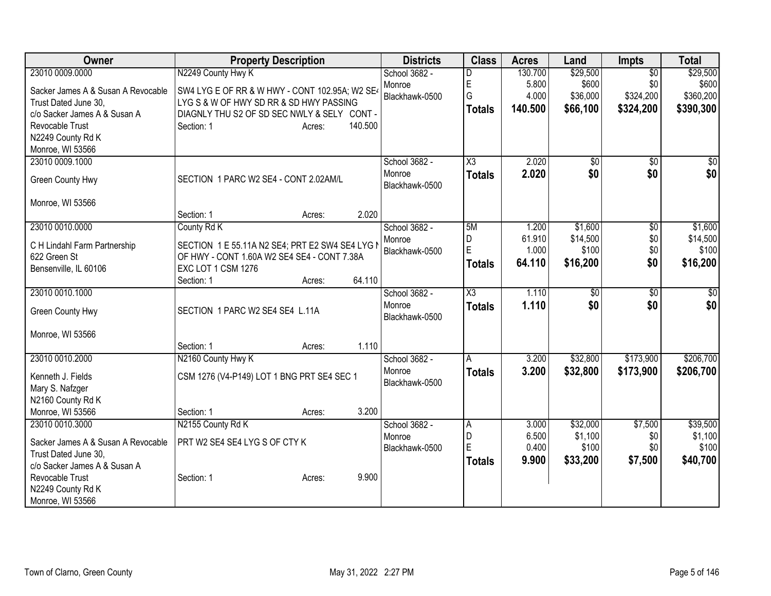| Owner                                                | <b>Property Description</b>                     | <b>Districts</b>         | <b>Class</b>        | <b>Acres</b> | Land            | <b>Impts</b>    | <b>Total</b>    |
|------------------------------------------------------|-------------------------------------------------|--------------------------|---------------------|--------------|-----------------|-----------------|-----------------|
| 23010 0009.0000                                      | N2249 County Hwy K                              | School 3682 -            | D                   | 130.700      | \$29,500        | $\overline{30}$ | \$29,500        |
| Sacker James A & Susan A Revocable                   | SW4 LYG E OF RR & W HWY - CONT 102.95A; W2 SE4  | Monroe                   | E                   | 5.800        | \$600           | \$0             | \$600           |
| Trust Dated June 30,                                 | LYG S & W OF HWY SD RR & SD HWY PASSING         | Blackhawk-0500           | G                   | 4.000        | \$36,000        | \$324,200       | \$360,200       |
| c/o Sacker James A & Susan A                         | DIAGNLY THU S2 OF SD SEC NWLY & SELY CONT -     |                          | <b>Totals</b>       | 140.500      | \$66,100        | \$324,200       | \$390,300       |
| Revocable Trust                                      | 140.500<br>Section: 1<br>Acres:                 |                          |                     |              |                 |                 |                 |
| N2249 County Rd K                                    |                                                 |                          |                     |              |                 |                 |                 |
| Monroe, WI 53566                                     |                                                 |                          |                     |              |                 |                 |                 |
| 23010 0009.1000                                      |                                                 | School 3682 -            | X3                  | 2.020        | $\overline{50}$ | $\overline{50}$ | $\sqrt{30}$     |
| Green County Hwy                                     | SECTION 1 PARC W2 SE4 - CONT 2.02AM/L           | Monroe<br>Blackhawk-0500 | <b>Totals</b>       | 2.020        | \$0             | \$0             | \$0             |
| Monroe, WI 53566                                     |                                                 |                          |                     |              |                 |                 |                 |
|                                                      | 2.020<br>Section: 1<br>Acres:                   |                          |                     |              |                 |                 |                 |
| 23010 0010.0000                                      | County Rd K                                     | School 3682 -            | 5M                  | 1.200        | \$1,600         | \$0             | \$1,600         |
| C H Lindahl Farm Partnership                         | SECTION 1 E 55.11A N2 SE4; PRT E2 SW4 SE4 LYG N | Monroe                   | D                   | 61.910       | \$14,500        | \$0             | \$14,500        |
| 622 Green St                                         | OF HWY - CONT 1.60A W2 SE4 SE4 - CONT 7.38A     | Blackhawk-0500           | E                   | 1.000        | \$100           | \$0             | \$100           |
| Bensenville, IL 60106                                | EXC LOT 1 CSM 1276                              |                          | <b>Totals</b>       | 64.110       | \$16,200        | \$0             | \$16,200        |
|                                                      | 64.110<br>Section: 1<br>Acres:                  |                          |                     |              |                 |                 |                 |
| 23010 0010.1000                                      |                                                 | School 3682 -            | $\overline{\chi_3}$ | 1.110        | $\overline{50}$ | $\overline{50}$ | $\overline{50}$ |
| Green County Hwy                                     | SECTION 1 PARC W2 SE4 SE4 L.11A                 | Monroe<br>Blackhawk-0500 | <b>Totals</b>       | 1.110        | \$0             | \$0             | \$0             |
| Monroe, WI 53566                                     |                                                 |                          |                     |              |                 |                 |                 |
|                                                      | 1.110<br>Section: 1<br>Acres:                   |                          |                     |              |                 |                 |                 |
| 23010 0010.2000                                      | N2160 County Hwy K                              | School 3682 -            | A                   | 3.200        | \$32,800        | \$173,900       | \$206,700       |
| Kenneth J. Fields                                    | CSM 1276 (V4-P149) LOT 1 BNG PRT SE4 SEC 1      | Monroe                   | <b>Totals</b>       | 3.200        | \$32,800        | \$173,900       | \$206,700       |
| Mary S. Nafzger                                      |                                                 | Blackhawk-0500           |                     |              |                 |                 |                 |
| N2160 County Rd K                                    |                                                 |                          |                     |              |                 |                 |                 |
| Monroe, WI 53566                                     | 3.200<br>Section: 1<br>Acres:                   |                          |                     |              |                 |                 |                 |
| 23010 0010.3000                                      | N2155 County Rd K                               | School 3682 -            | A                   | 3.000        | \$32,000        | \$7,500         | \$39,500        |
|                                                      |                                                 | Monroe                   | D                   | 6.500        | \$1,100         | \$0             | \$1,100         |
| Sacker James A & Susan A Revocable                   | PRT W2 SE4 SE4 LYG S OF CTY K                   | Blackhawk-0500           | E                   | 0.400        | \$100           | \$0             | \$100           |
| Trust Dated June 30,<br>c/o Sacker James A & Susan A |                                                 |                          | <b>Totals</b>       | 9.900        | \$33,200        | \$7,500         | \$40,700        |
| Revocable Trust                                      | 9.900<br>Section: 1<br>Acres:                   |                          |                     |              |                 |                 |                 |
| N2249 County Rd K                                    |                                                 |                          |                     |              |                 |                 |                 |
| Monroe, WI 53566                                     |                                                 |                          |                     |              |                 |                 |                 |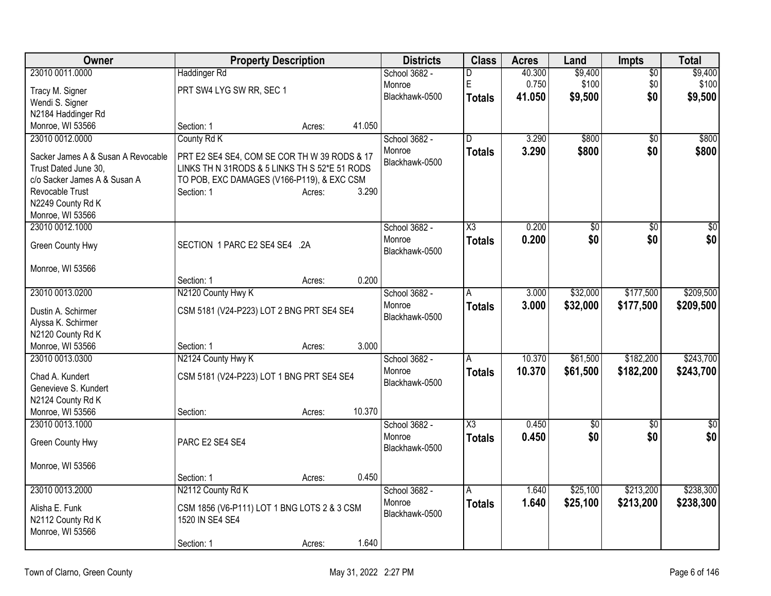| Owner                                                      | <b>Property Description</b>                                                                   |        |        | <b>Districts</b>         | <b>Class</b>           | <b>Acres</b> | Land            | <b>Impts</b>    | Total           |
|------------------------------------------------------------|-----------------------------------------------------------------------------------------------|--------|--------|--------------------------|------------------------|--------------|-----------------|-----------------|-----------------|
| 23010 0011.0000                                            | Haddinger Rd                                                                                  |        |        | School 3682 -            | D                      | 40.300       | \$9,400         | $\overline{50}$ | \$9,400         |
| Tracy M. Signer                                            | PRT SW4 LYG SW RR, SEC 1                                                                      |        |        | Monroe                   | $\mathsf E$            | 0.750        | \$100           | \$0             | \$100           |
| Wendi S. Signer                                            |                                                                                               |        |        | Blackhawk-0500           | <b>Totals</b>          | 41.050       | \$9,500         | \$0             | \$9,500         |
| N2184 Haddinger Rd                                         |                                                                                               |        |        |                          |                        |              |                 |                 |                 |
| Monroe, WI 53566                                           | Section: 1                                                                                    | Acres: | 41.050 |                          |                        |              |                 |                 |                 |
| 23010 0012.0000                                            | County Rd K                                                                                   |        |        | School 3682 -            | D                      | 3.290        | \$800           | $\overline{50}$ | \$800           |
|                                                            |                                                                                               |        |        | Monroe                   | <b>Totals</b>          | 3.290        | \$800           | \$0             | \$800           |
| Sacker James A & Susan A Revocable<br>Trust Dated June 30, | PRT E2 SE4 SE4, COM SE COR TH W 39 RODS & 17<br>LINKS TH N 31RODS & 5 LINKS TH S 52*E 51 RODS |        |        | Blackhawk-0500           |                        |              |                 |                 |                 |
| c/o Sacker James A & Susan A                               | TO POB, EXC DAMAGES (V166-P119), & EXC CSM                                                    |        |        |                          |                        |              |                 |                 |                 |
| Revocable Trust                                            | Section: 1                                                                                    | Acres: | 3.290  |                          |                        |              |                 |                 |                 |
| N2249 County Rd K                                          |                                                                                               |        |        |                          |                        |              |                 |                 |                 |
| Monroe, WI 53566                                           |                                                                                               |        |        |                          |                        |              |                 |                 |                 |
| 23010 0012.1000                                            |                                                                                               |        |        | School 3682 -            | $\overline{\text{X3}}$ | 0.200        | $\overline{50}$ | $\overline{50}$ | $\overline{50}$ |
|                                                            |                                                                                               |        |        | Monroe                   | <b>Totals</b>          | 0.200        | \$0             | \$0             | \$0             |
| Green County Hwy                                           | SECTION 1 PARC E2 SE4 SE4 .2A                                                                 |        |        | Blackhawk-0500           |                        |              |                 |                 |                 |
|                                                            |                                                                                               |        |        |                          |                        |              |                 |                 |                 |
| Monroe, WI 53566                                           |                                                                                               |        | 0.200  |                          |                        |              |                 |                 |                 |
|                                                            | Section: 1                                                                                    | Acres: |        |                          |                        | 3.000        | \$32,000        | \$177,500       | \$209,500       |
| 23010 0013.0200                                            | N2120 County Hwy K                                                                            |        |        | School 3682 -            | A                      |              |                 |                 |                 |
| Dustin A. Schirmer                                         | CSM 5181 (V24-P223) LOT 2 BNG PRT SE4 SE4                                                     |        |        | Monroe<br>Blackhawk-0500 | <b>Totals</b>          | 3.000        | \$32,000        | \$177,500       | \$209,500       |
| Alyssa K. Schirmer                                         |                                                                                               |        |        |                          |                        |              |                 |                 |                 |
| N2120 County Rd K                                          |                                                                                               |        |        |                          |                        |              |                 |                 |                 |
| Monroe, WI 53566                                           | Section: 1                                                                                    | Acres: | 3.000  |                          |                        |              |                 |                 |                 |
| 23010 0013.0300                                            | N2124 County Hwy K                                                                            |        |        | School 3682 -            | A                      | 10.370       | \$61,500        | \$182,200       | \$243,700       |
| Chad A. Kundert                                            | CSM 5181 (V24-P223) LOT 1 BNG PRT SE4 SE4                                                     |        |        | Monroe                   | Totals                 | 10.370       | \$61,500        | \$182,200       | \$243,700       |
| Genevieve S. Kundert                                       |                                                                                               |        |        | Blackhawk-0500           |                        |              |                 |                 |                 |
| N2124 County Rd K                                          |                                                                                               |        |        |                          |                        |              |                 |                 |                 |
| Monroe, WI 53566                                           | Section:                                                                                      | Acres: | 10.370 |                          |                        |              |                 |                 |                 |
| 23010 0013.1000                                            |                                                                                               |        |        | School 3682 -            | X3                     | 0.450        | $\overline{50}$ | $\overline{50}$ | $\overline{50}$ |
|                                                            |                                                                                               |        |        | Monroe                   | <b>Totals</b>          | 0.450        | \$0             | \$0             | \$0             |
| Green County Hwy                                           | PARC E2 SE4 SE4                                                                               |        |        | Blackhawk-0500           |                        |              |                 |                 |                 |
| Monroe, WI 53566                                           |                                                                                               |        |        |                          |                        |              |                 |                 |                 |
|                                                            | Section: 1                                                                                    |        | 0.450  |                          |                        |              |                 |                 |                 |
| 23010 0013.2000                                            | N2112 County Rd K                                                                             | Acres: |        | School 3682 -            | A                      | 1.640        | \$25,100        | \$213,200       | \$238,300       |
|                                                            |                                                                                               |        |        | Monroe                   | Totals                 | 1.640        | \$25,100        | \$213,200       | \$238,300       |
| Alisha E. Funk                                             | CSM 1856 (V6-P111) LOT 1 BNG LOTS 2 & 3 CSM                                                   |        |        | Blackhawk-0500           |                        |              |                 |                 |                 |
| N2112 County Rd K                                          | 1520 IN SE4 SE4                                                                               |        |        |                          |                        |              |                 |                 |                 |
| Monroe, WI 53566                                           |                                                                                               |        |        |                          |                        |              |                 |                 |                 |
|                                                            | Section: 1                                                                                    | Acres: | 1.640  |                          |                        |              |                 |                 |                 |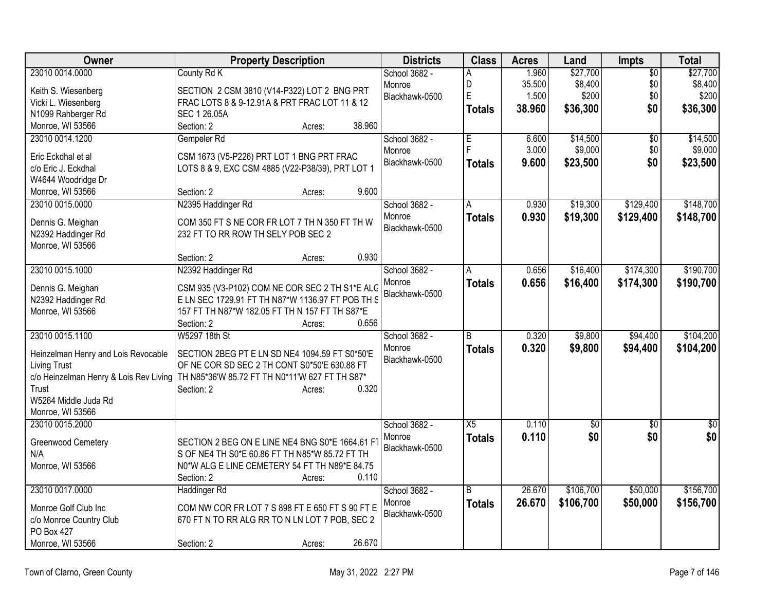| Owner                                     | <b>Property Description</b>                                                                                                             |        | <b>Districts</b> | <b>Class</b>   | <b>Acres</b> | Land            | Impts           | <b>Total</b>    |
|-------------------------------------------|-----------------------------------------------------------------------------------------------------------------------------------------|--------|------------------|----------------|--------------|-----------------|-----------------|-----------------|
| 23010 0014.0000                           | County Rd K                                                                                                                             |        | School 3682 -    | А              | 1.960        | \$27,700        | $\overline{50}$ | \$27,700        |
| Keith S. Wiesenberg                       | SECTION 2 CSM 3810 (V14-P322) LOT 2 BNG PRT                                                                                             |        | Monroe           | D              | 35.500       | \$8,400         | \$0             | \$8,400         |
| Vicki L. Wiesenberg                       | FRAC LOTS 8 & 9-12.91A & PRT FRAC LOT 11 & 12                                                                                           |        | Blackhawk-0500   | E              | 1.500        | \$200           | \$0             | \$200           |
| N1099 Rahberger Rd                        | SEC 1 26.05A                                                                                                                            |        |                  | <b>Totals</b>  | 38.960       | \$36,300        | \$0             | \$36,300        |
| Monroe, WI 53566                          | Section: 2<br>Acres:                                                                                                                    | 38.960 |                  |                |              |                 |                 |                 |
| 23010 0014.1200                           | Gempeler Rd                                                                                                                             |        | School 3682 -    | Έ              | 6.600        | \$14,500        | $\overline{50}$ | \$14,500        |
|                                           |                                                                                                                                         |        | Monroe           |                | 3.000        | \$9,000         | \$0             | \$9,000         |
| Eric Eckdhal et al<br>c/o Eric J. Eckdhal | CSM 1673 (V5-P226) PRT LOT 1 BNG PRT FRAC<br>LOTS 8 & 9, EXC CSM 4885 (V22-P38/39), PRT LOT 1                                           |        | Blackhawk-0500   | <b>Totals</b>  | 9.600        | \$23,500        | \$0             | \$23,500        |
| W4644 Woodridge Dr                        |                                                                                                                                         |        |                  |                |              |                 |                 |                 |
| Monroe, WI 53566                          | Section: 2<br>Acres:                                                                                                                    | 9.600  |                  |                |              |                 |                 |                 |
| 23010 0015.0000                           | N2395 Haddinger Rd                                                                                                                      |        | School 3682 -    | A              | 0.930        | \$19,300        | \$129,400       | \$148,700       |
|                                           |                                                                                                                                         |        | Monroe           |                | 0.930        | \$19,300        | \$129,400       | \$148,700       |
| Dennis G. Meighan                         | COM 350 FT S NE COR FR LOT 7 TH N 350 FT TH W                                                                                           |        | Blackhawk-0500   | <b>Totals</b>  |              |                 |                 |                 |
| N2392 Haddinger Rd                        | 232 FT TO RR ROW TH SELY POB SEC 2                                                                                                      |        |                  |                |              |                 |                 |                 |
| Monroe, WI 53566                          |                                                                                                                                         |        |                  |                |              |                 |                 |                 |
|                                           | Section: 2<br>Acres:                                                                                                                    | 0.930  |                  |                |              |                 |                 |                 |
| 23010 0015.1000                           | N2392 Haddinger Rd                                                                                                                      |        | School 3682 -    | A              | 0.656        | \$16,400        | \$174,300       | \$190,700       |
| Dennis G. Meighan                         | CSM 935 (V3-P102) COM NE COR SEC 2 TH S1*E ALG                                                                                          |        | Monroe           | <b>Totals</b>  | 0.656        | \$16,400        | \$174,300       | \$190,700       |
| N2392 Haddinger Rd                        | E LN SEC 1729.91 FT TH N87*W 1136.97 FT POB TH S                                                                                        |        | Blackhawk-0500   |                |              |                 |                 |                 |
| Monroe, WI 53566                          | 157 FT TH N87*W 182.05 FT TH N 157 FT TH S87*E                                                                                          |        |                  |                |              |                 |                 |                 |
|                                           | Section: 2<br>Acres:                                                                                                                    | 0.656  |                  |                |              |                 |                 |                 |
| 23010 0015.1100                           | W5297 18th St                                                                                                                           |        | School 3682 -    | $\overline{B}$ | 0.320        | \$9,800         | \$94,400        | \$104,200       |
|                                           |                                                                                                                                         |        | Monroe           | <b>Totals</b>  | 0.320        | \$9,800         | \$94,400        | \$104,200       |
| Heinzelman Henry and Lois Revocable       | SECTION 2BEG PT E LN SD NE4 1094.59 FT S0*50'E                                                                                          |        | Blackhawk-0500   |                |              |                 |                 |                 |
| <b>Living Trust</b>                       | OF NE COR SD SEC 2 TH CONT S0*50'E 630.88 FT<br>c/o Heinzelman Henry & Lois Rev Living   TH N85*36'W 85.72 FT TH N0*11'W 627 FT TH S87* |        |                  |                |              |                 |                 |                 |
| Trust                                     | Section: 2<br>Acres:                                                                                                                    | 0.320  |                  |                |              |                 |                 |                 |
| W5264 Middle Juda Rd                      |                                                                                                                                         |        |                  |                |              |                 |                 |                 |
| Monroe, WI 53566                          |                                                                                                                                         |        |                  |                |              |                 |                 |                 |
| 23010 0015.2000                           |                                                                                                                                         |        | School 3682 -    | X5             | 0.110        | $\overline{50}$ | $\overline{50}$ | $\overline{30}$ |
|                                           |                                                                                                                                         |        | Monroe           | <b>Totals</b>  | 0.110        | \$0             | \$0             | \$0             |
| Greenwood Cemetery                        | SECTION 2 BEG ON E LINE NE4 BNG S0*E 1664.61 F                                                                                          |        | Blackhawk-0500   |                |              |                 |                 |                 |
| N/A                                       | S OF NE4 TH S0*E 60.86 FT TH N85*W 85.72 FT TH                                                                                          |        |                  |                |              |                 |                 |                 |
| Monroe, WI 53566                          | N0*W ALG E LINE CEMETERY 54 FT TH N89*E 84.75                                                                                           |        |                  |                |              |                 |                 |                 |
|                                           | Section: 2<br>Acres:                                                                                                                    | 0.110  |                  |                |              |                 |                 |                 |
| 23010 0017.0000                           | Haddinger Rd                                                                                                                            |        | School 3682 -    | B              | 26.670       | \$106,700       | \$50,000        | \$156,700       |
| Monroe Golf Club Inc                      | COM NW COR FR LOT 7 S 898 FT E 650 FT S 90 FT E                                                                                         |        | Monroe           | <b>Totals</b>  | 26.670       | \$106,700       | \$50,000        | \$156,700       |
| c/o Monroe Country Club                   | 670 FT N TO RR ALG RR TO N LN LOT 7 POB, SEC 2                                                                                          |        | Blackhawk-0500   |                |              |                 |                 |                 |
| PO Box 427                                |                                                                                                                                         |        |                  |                |              |                 |                 |                 |
| Monroe, WI 53566                          | Section: 2<br>Acres:                                                                                                                    | 26.670 |                  |                |              |                 |                 |                 |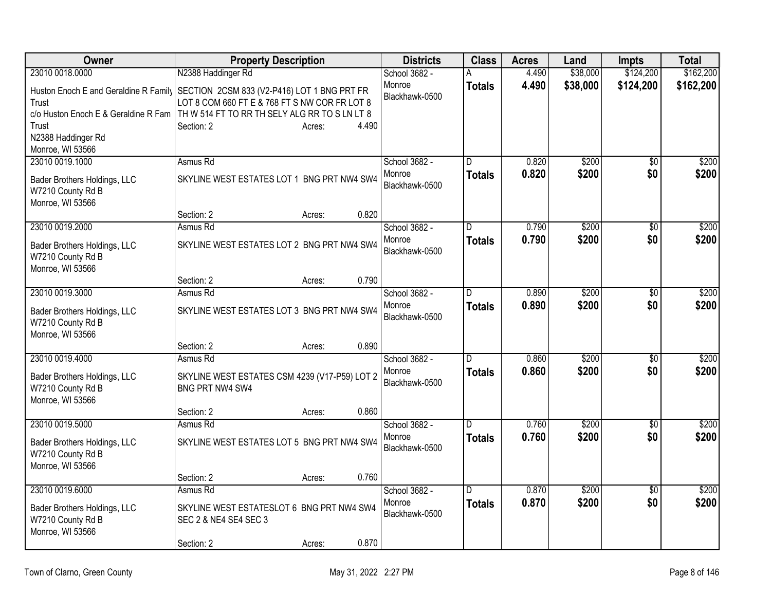| Owner                                                                                      | <b>Property Description</b>                                        |                 | <b>Districts</b>         | <b>Class</b>  | <b>Acres</b> | Land     | <b>Impts</b>    | <b>Total</b> |
|--------------------------------------------------------------------------------------------|--------------------------------------------------------------------|-----------------|--------------------------|---------------|--------------|----------|-----------------|--------------|
| 23010 0018.0000                                                                            | N2388 Haddinger Rd                                                 |                 | School 3682 -            | A             | 4.490        | \$38,000 | \$124,200       | \$162,200    |
| Huston Enoch E and Geraldine R Family SECTION 2CSM 833 (V2-P416) LOT 1 BNG PRT FR<br>Trust | LOT 8 COM 660 FT E & 768 FT S NW COR FR LOT 8                      |                 | Monroe<br>Blackhawk-0500 | <b>Totals</b> | 4.490        | \$38,000 | \$124,200       | \$162,200    |
| c/o Huston Enoch E & Geraldine R Fam                                                       | TH W 514 FT TO RR TH SELY ALG RR TO S LN LT 8                      |                 |                          |               |              |          |                 |              |
| Trust                                                                                      | Section: 2                                                         | 4.490<br>Acres: |                          |               |              |          |                 |              |
| N2388 Haddinger Rd<br>Monroe, WI 53566                                                     |                                                                    |                 |                          |               |              |          |                 |              |
| 23010 0019.1000                                                                            | Asmus Rd                                                           |                 | School 3682 -            | D             | 0.820        | \$200    | $\overline{50}$ | \$200        |
| Bader Brothers Holdings, LLC<br>W7210 County Rd B<br>Monroe, WI 53566                      | SKYLINE WEST ESTATES LOT 1 BNG PRT NW4 SW4                         |                 | Monroe<br>Blackhawk-0500 | <b>Totals</b> | 0.820        | \$200    | \$0             | \$200        |
|                                                                                            | Section: 2                                                         | 0.820<br>Acres: |                          |               |              |          |                 |              |
| 23010 0019.2000                                                                            | Asmus Rd                                                           |                 | School 3682 -            | D             | 0.790        | \$200    | $\overline{50}$ | \$200        |
| Bader Brothers Holdings, LLC<br>W7210 County Rd B<br>Monroe, WI 53566                      | SKYLINE WEST ESTATES LOT 2 BNG PRT NW4 SW4                         |                 | Monroe<br>Blackhawk-0500 | <b>Totals</b> | 0.790        | \$200    | \$0             | \$200        |
|                                                                                            | Section: 2                                                         | 0.790<br>Acres: |                          |               |              |          |                 |              |
| 23010 0019.3000                                                                            | Asmus Rd                                                           |                 | School 3682 -            | D             | 0.890        | \$200    | \$0             | \$200        |
| Bader Brothers Holdings, LLC<br>W7210 County Rd B<br>Monroe, WI 53566                      | SKYLINE WEST ESTATES LOT 3 BNG PRT NW4 SW4                         |                 | Monroe<br>Blackhawk-0500 | <b>Totals</b> | 0.890        | \$200    | \$0             | \$200        |
|                                                                                            | Section: 2                                                         | 0.890<br>Acres: |                          |               |              |          |                 |              |
| 23010 0019.4000                                                                            | Asmus Rd                                                           |                 | School 3682 -            | D             | 0.860        | \$200    | $\overline{50}$ | \$200        |
| Bader Brothers Holdings, LLC<br>W7210 County Rd B<br>Monroe, WI 53566                      | SKYLINE WEST ESTATES CSM 4239 (V17-P59) LOT 2<br>BNG PRT NW4 SW4   |                 | Monroe<br>Blackhawk-0500 | <b>Totals</b> | 0.860        | \$200    | \$0             | \$200        |
|                                                                                            | Section: 2                                                         | 0.860<br>Acres: |                          |               |              |          |                 |              |
| 23010 0019.5000                                                                            | Asmus Rd                                                           |                 | School 3682 -            | D             | 0.760        | \$200    | $\overline{50}$ | \$200        |
| Bader Brothers Holdings, LLC<br>W7210 County Rd B<br>Monroe, WI 53566                      | SKYLINE WEST ESTATES LOT 5 BNG PRT NW4 SW4                         |                 | Monroe<br>Blackhawk-0500 | <b>Totals</b> | 0.760        | \$200    | \$0             | \$200        |
|                                                                                            | Section: 2                                                         | 0.760<br>Acres: |                          |               |              |          |                 |              |
| 23010 0019.6000                                                                            | Asmus Rd                                                           |                 | School 3682 -            | D             | 0.870        | \$200    | $\overline{50}$ | \$200        |
| Bader Brothers Holdings, LLC<br>W7210 County Rd B<br>Monroe, WI 53566                      | SKYLINE WEST ESTATESLOT 6 BNG PRT NW4 SW4<br>SEC 2 & NE4 SE4 SEC 3 |                 | Monroe<br>Blackhawk-0500 | Totals        | 0.870        | \$200    | \$0             | \$200        |
|                                                                                            | Section: 2                                                         | 0.870<br>Acres: |                          |               |              |          |                 |              |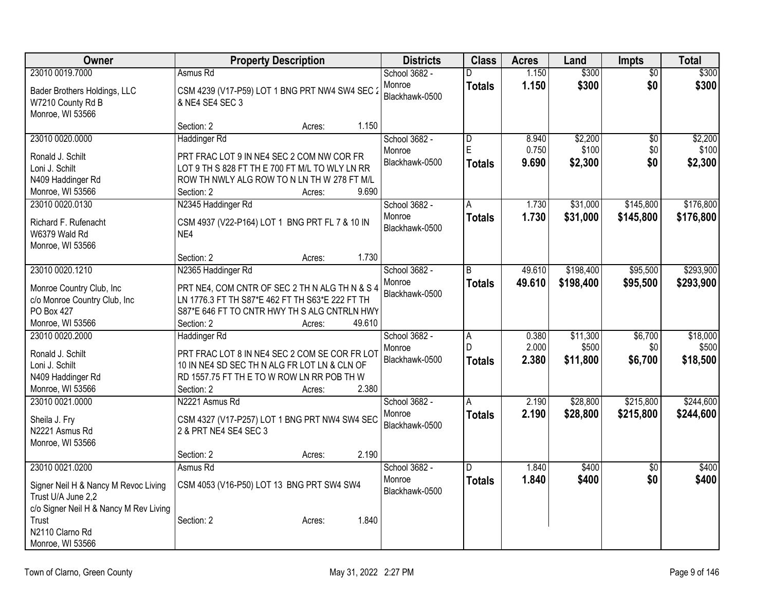| Owner                                  | <b>Property Description</b>                     |        | <b>Districts</b> | <b>Class</b>   | <b>Acres</b> | Land      | <b>Impts</b>    | Total     |
|----------------------------------------|-------------------------------------------------|--------|------------------|----------------|--------------|-----------|-----------------|-----------|
| 23010 0019.7000                        | Asmus Rd                                        |        | School 3682 -    | D.             | 1.150        | \$300     | $\overline{50}$ | \$300     |
| Bader Brothers Holdings, LLC           | CSM 4239 (V17-P59) LOT 1 BNG PRT NW4 SW4 SEC 2  |        | Monroe           | <b>Totals</b>  | 1.150        | \$300     | \$0             | \$300     |
| W7210 County Rd B                      | & NE4 SE4 SEC 3                                 |        | Blackhawk-0500   |                |              |           |                 |           |
| Monroe, WI 53566                       |                                                 |        |                  |                |              |           |                 |           |
|                                        | Section: 2<br>Acres:                            | 1.150  |                  |                |              |           |                 |           |
| 23010 0020.0000                        | Haddinger Rd                                    |        | School 3682 -    | D              | 8.940        | \$2,200   | $\overline{50}$ | \$2,200   |
| Ronald J. Schilt                       | PRT FRAC LOT 9 IN NE4 SEC 2 COM NW COR FR       |        | Monroe           | E              | 0.750        | \$100     | \$0             | \$100     |
| Loni J. Schilt                         | LOT 9 TH S 828 FT TH E 700 FT M/L TO WLY LN RR  |        | Blackhawk-0500   | Totals         | 9.690        | \$2,300   | \$0             | \$2,300   |
| N409 Haddinger Rd                      | ROW TH NWLY ALG ROW TO N LN TH W 278 FT M/L     |        |                  |                |              |           |                 |           |
| Monroe, WI 53566                       | Section: 2<br>Acres:                            | 9.690  |                  |                |              |           |                 |           |
| 23010 0020.0130                        | N2345 Haddinger Rd                              |        | School 3682 -    | A              | 1.730        | \$31,000  | \$145,800       | \$176,800 |
|                                        |                                                 |        | Monroe           | <b>Totals</b>  | 1.730        | \$31,000  | \$145,800       | \$176,800 |
| Richard F. Rufenacht                   | CSM 4937 (V22-P164) LOT 1 BNG PRT FL 7 & 10 IN  |        | Blackhawk-0500   |                |              |           |                 |           |
| W6379 Wald Rd                          | NE4                                             |        |                  |                |              |           |                 |           |
| Monroe, WI 53566                       | Section: 2                                      | 1.730  |                  |                |              |           |                 |           |
| 23010 0020.1210                        | Acres:<br>N2365 Haddinger Rd                    |        | School 3682 -    | R              | 49.610       | \$198,400 | \$95,500        | \$293,900 |
|                                        |                                                 |        | Monroe           |                |              |           |                 |           |
| Monroe Country Club, Inc               | PRT NE4, COM CNTR OF SEC 2 TH N ALG TH N & S 4  |        | Blackhawk-0500   | <b>Totals</b>  | 49.610       | \$198,400 | \$95,500        | \$293,900 |
| c/o Monroe Country Club, Inc           | LN 1776.3 FT TH S87*E 462 FT TH S63*E 222 FT TH |        |                  |                |              |           |                 |           |
| <b>PO Box 427</b>                      | S87*E 646 FT TO CNTR HWY TH S ALG CNTRLN HWY    |        |                  |                |              |           |                 |           |
| Monroe, WI 53566                       | Section: 2<br>Acres:                            | 49.610 |                  |                |              |           |                 |           |
| 23010 0020.2000                        | <b>Haddinger Rd</b>                             |        | School 3682 -    | $\overline{A}$ | 0.380        | \$11,300  | \$6,700         | \$18,000  |
| Ronald J. Schilt                       | PRT FRAC LOT 8 IN NE4 SEC 2 COM SE COR FR LOT   |        | Monroe           | D              | 2.000        | \$500     | \$0             | \$500     |
| Loni J. Schilt                         | 10 IN NE4 SD SEC TH N ALG FR LOT LN & CLN OF    |        | Blackhawk-0500   | <b>Totals</b>  | 2.380        | \$11,800  | \$6,700         | \$18,500  |
| N409 Haddinger Rd                      | RD 1557.75 FT TH E TO W ROW LN RR POB TH W      |        |                  |                |              |           |                 |           |
| Monroe, WI 53566                       | Section: 2<br>Acres:                            | 2.380  |                  |                |              |           |                 |           |
| 23010 0021.0000                        | N2221 Asmus Rd                                  |        | School 3682 -    | A              | 2.190        | \$28,800  | \$215,800       | \$244,600 |
|                                        |                                                 |        | Monroe           | <b>Totals</b>  | 2.190        | \$28,800  | \$215,800       | \$244,600 |
| Sheila J. Fry                          | CSM 4327 (V17-P257) LOT 1 BNG PRT NW4 SW4 SEC   |        | Blackhawk-0500   |                |              |           |                 |           |
| N2221 Asmus Rd                         | 2 & PRT NE4 SE4 SEC 3                           |        |                  |                |              |           |                 |           |
| Monroe, WI 53566                       | Section: 2                                      | 2.190  |                  |                |              |           |                 |           |
| 23010 0021.0200                        | Acres:<br>Asmus Rd                              |        | School 3682 -    | D.             | 1.840        | \$400     |                 | \$400     |
|                                        |                                                 |        | Monroe           |                | 1.840        |           | \$0<br>\$0      | \$400     |
| Signer Neil H & Nancy M Revoc Living   | CSM 4053 (V16-P50) LOT 13 BNG PRT SW4 SW4       |        | Blackhawk-0500   | Totals         |              | \$400     |                 |           |
| Trust U/A June 2,2                     |                                                 |        |                  |                |              |           |                 |           |
| c/o Signer Neil H & Nancy M Rev Living |                                                 |        |                  |                |              |           |                 |           |
| Trust                                  | Section: 2<br>Acres:                            | 1.840  |                  |                |              |           |                 |           |
| N2110 Clarno Rd                        |                                                 |        |                  |                |              |           |                 |           |
| Monroe, WI 53566                       |                                                 |        |                  |                |              |           |                 |           |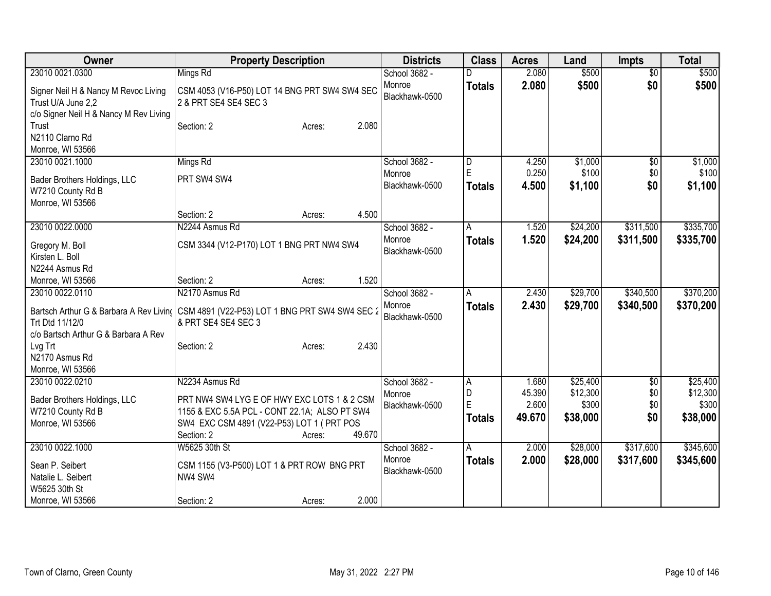| Owner                                                                                                | <b>Property Description</b>                                                                                   | <b>Districts</b>         | <b>Class</b>       | <b>Acres</b>    | Land                 | <b>Impts</b>           | <b>Total</b>           |
|------------------------------------------------------------------------------------------------------|---------------------------------------------------------------------------------------------------------------|--------------------------|--------------------|-----------------|----------------------|------------------------|------------------------|
| 23010 0021.0300                                                                                      | Mings Rd                                                                                                      | School 3682 -            |                    | 2.080           | \$500                | $\overline{50}$        | \$500                  |
| Signer Neil H & Nancy M Revoc Living<br>Trust U/A June 2,2<br>c/o Signer Neil H & Nancy M Rev Living | CSM 4053 (V16-P50) LOT 14 BNG PRT SW4 SW4 SEC<br>2 & PRT SE4 SE4 SEC 3                                        | Monroe<br>Blackhawk-0500 | <b>Totals</b>      | 2.080           | \$500                | \$0                    | \$500                  |
| Trust<br>N2110 Clarno Rd<br>Monroe, WI 53566                                                         | 2.080<br>Section: 2<br>Acres:                                                                                 |                          |                    |                 |                      |                        |                        |
| 23010 0021.1000                                                                                      | Mings Rd                                                                                                      | School 3682 -            | D                  | 4.250           | \$1,000              | \$0                    | \$1,000                |
| Bader Brothers Holdings, LLC<br>W7210 County Rd B<br>Monroe, WI 53566                                | PRT SW4 SW4                                                                                                   | Monroe<br>Blackhawk-0500 | E<br><b>Totals</b> | 0.250<br>4.500  | \$100<br>\$1,100     | \$0<br>\$0             | \$100<br>\$1,100       |
|                                                                                                      | 4.500<br>Section: 2<br>Acres:                                                                                 |                          |                    |                 |                      |                        |                        |
| 23010 0022.0000                                                                                      | N2244 Asmus Rd                                                                                                | School 3682 -<br>Monroe  | A<br><b>Totals</b> | 1.520<br>1.520  | \$24,200<br>\$24,200 | \$311,500<br>\$311,500 | \$335,700<br>\$335,700 |
| Gregory M. Boll<br>Kirsten L. Boll                                                                   | CSM 3344 (V12-P170) LOT 1 BNG PRT NW4 SW4                                                                     | Blackhawk-0500           |                    |                 |                      |                        |                        |
| N2244 Asmus Rd                                                                                       |                                                                                                               |                          |                    |                 |                      |                        |                        |
| Monroe, WI 53566                                                                                     | 1.520<br>Section: 2<br>Acres:                                                                                 |                          |                    |                 |                      |                        |                        |
| 23010 0022.0110                                                                                      | N2170 Asmus Rd                                                                                                | School 3682 -            | Α                  | 2.430           | \$29,700             | \$340,500              | \$370,200              |
| Trt Dtd 11/12/0<br>c/o Bartsch Arthur G & Barbara A Rev                                              | Bartsch Arthur G & Barbara A Rev Living CSM 4891 (V22-P53) LOT 1 BNG PRT SW4 SW4 SEC 2<br>& PRT SE4 SE4 SEC 3 | Monroe<br>Blackhawk-0500 | <b>Totals</b>      | 2.430           | \$29,700             | \$340,500              | \$370,200              |
| Lvg Trt<br>N2170 Asmus Rd<br>Monroe, WI 53566                                                        | 2.430<br>Section: 2<br>Acres:                                                                                 |                          |                    |                 |                      |                        |                        |
| 23010 0022.0210                                                                                      | N2234 Asmus Rd                                                                                                | School 3682 -            | A                  | 1.680           | \$25,400             | \$0                    | \$25,400               |
| Bader Brothers Holdings, LLC                                                                         | PRT NW4 SW4 LYG E OF HWY EXC LOTS 1 & 2 CSM                                                                   | Monroe                   | D                  | 45.390          | \$12,300             | \$0                    | \$12,300               |
| W7210 County Rd B                                                                                    | 1155 & EXC 5.5A PCL - CONT 22.1A; ALSO PT SW4                                                                 | Blackhawk-0500           | E                  | 2.600<br>49.670 | \$300                | \$0<br>\$0             | \$300                  |
| Monroe, WI 53566                                                                                     | SW4 EXC CSM 4891 (V22-P53) LOT 1 ( PRT POS                                                                    |                          | <b>Totals</b>      |                 | \$38,000             |                        | \$38,000               |
|                                                                                                      | 49.670<br>Section: 2<br>Acres:                                                                                |                          |                    |                 |                      |                        |                        |
| 23010 0022.1000                                                                                      | W5625 30th St                                                                                                 | School 3682 -            | A                  | 2.000           | \$28,000             | \$317,600              | \$345,600              |
| Sean P. Seibert                                                                                      | CSM 1155 (V3-P500) LOT 1 & PRT ROW BNG PRT                                                                    | Monroe<br>Blackhawk-0500 | <b>Totals</b>      | 2.000           | \$28,000             | \$317,600              | \$345,600              |
| Natalie L. Seibert                                                                                   | NW4 SW4                                                                                                       |                          |                    |                 |                      |                        |                        |
| W5625 30th St                                                                                        |                                                                                                               |                          |                    |                 |                      |                        |                        |
| Monroe, WI 53566                                                                                     | 2.000<br>Section: 2<br>Acres:                                                                                 |                          |                    |                 |                      |                        |                        |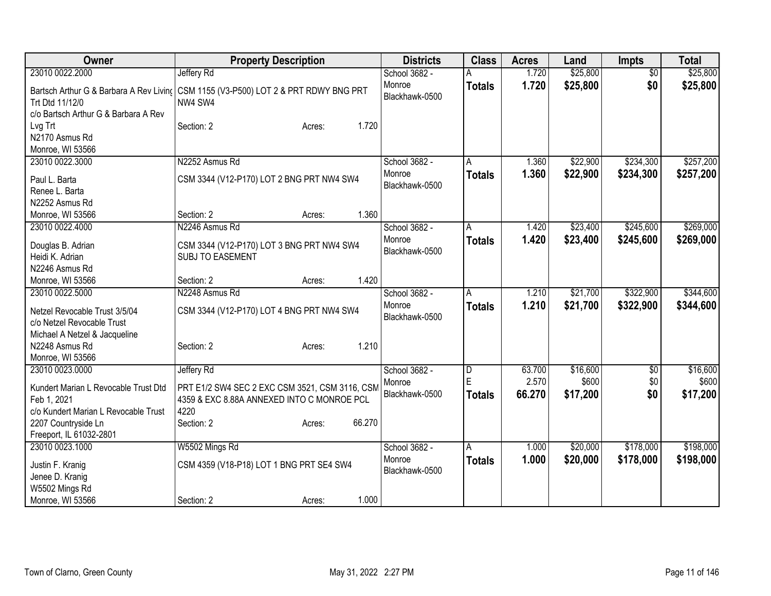| Owner                                                                                              | <b>Property Description</b>                            | <b>Districts</b>         | <b>Class</b>       | <b>Acres</b>   | Land                 | <b>Impts</b>           | <b>Total</b>           |
|----------------------------------------------------------------------------------------------------|--------------------------------------------------------|--------------------------|--------------------|----------------|----------------------|------------------------|------------------------|
| 23010 0022.2000                                                                                    | Jeffery Rd                                             | School 3682 -            |                    | 1.720          | \$25,800             | $\overline{50}$        | \$25,800               |
| Bartsch Arthur G & Barbara A Rev Living<br>Trt Dtd 11/12/0<br>c/o Bartsch Arthur G & Barbara A Rev | CSM 1155 (V3-P500) LOT 2 & PRT RDWY BNG PRT<br>NW4 SW4 | Monroe<br>Blackhawk-0500 | <b>Totals</b>      | 1.720          | \$25,800             | \$0                    | \$25,800               |
| Lvg Trt<br>N2170 Asmus Rd<br>Monroe, WI 53566                                                      | 1.720<br>Section: 2<br>Acres:                          |                          |                    |                |                      |                        |                        |
| 23010 0022.3000                                                                                    | N2252 Asmus Rd                                         | School 3682 -<br>Monroe  | A<br><b>Totals</b> | 1.360<br>1.360 | \$22,900<br>\$22,900 | \$234,300<br>\$234,300 | \$257,200<br>\$257,200 |
| Paul L. Barta                                                                                      | CSM 3344 (V12-P170) LOT 2 BNG PRT NW4 SW4              | Blackhawk-0500           |                    |                |                      |                        |                        |
| Renee L. Barta<br>N2252 Asmus Rd                                                                   |                                                        |                          |                    |                |                      |                        |                        |
| Monroe, WI 53566                                                                                   | 1.360<br>Section: 2<br>Acres:                          |                          |                    |                |                      |                        |                        |
| 23010 0022.4000                                                                                    | N2246 Asmus Rd                                         | School 3682 -            | A                  | 1.420          | \$23,400             | \$245,600              | \$269,000              |
|                                                                                                    |                                                        | Monroe                   | <b>Totals</b>      | 1.420          | \$23,400             | \$245,600              | \$269,000              |
| Douglas B. Adrian                                                                                  | CSM 3344 (V12-P170) LOT 3 BNG PRT NW4 SW4              | Blackhawk-0500           |                    |                |                      |                        |                        |
| Heidi K. Adrian                                                                                    | <b>SUBJ TO EASEMENT</b>                                |                          |                    |                |                      |                        |                        |
| N2246 Asmus Rd                                                                                     |                                                        |                          |                    |                |                      |                        |                        |
| Monroe, WI 53566                                                                                   | 1.420<br>Section: 2<br>Acres:                          |                          |                    |                |                      |                        |                        |
| 23010 0022.5000                                                                                    | N2248 Asmus Rd                                         | School 3682 -            | А                  | 1.210          | \$21,700             | \$322,900              | \$344,600              |
| Netzel Revocable Trust 3/5/04                                                                      | CSM 3344 (V12-P170) LOT 4 BNG PRT NW4 SW4              | Monroe                   | <b>Totals</b>      | 1.210          | \$21,700             | \$322,900              | \$344,600              |
| c/o Netzel Revocable Trust                                                                         |                                                        | Blackhawk-0500           |                    |                |                      |                        |                        |
| Michael A Netzel & Jacqueline                                                                      |                                                        |                          |                    |                |                      |                        |                        |
| N2248 Asmus Rd                                                                                     | 1.210<br>Section: 2<br>Acres:                          |                          |                    |                |                      |                        |                        |
| Monroe, WI 53566                                                                                   |                                                        |                          |                    |                |                      |                        |                        |
| 23010 0023.0000                                                                                    | Jeffery Rd                                             | School 3682 -            | D                  | 63.700         | \$16,600             | \$0                    | \$16,600               |
| Kundert Marian L Revocable Trust Dtd                                                               | PRT E1/2 SW4 SEC 2 EXC CSM 3521, CSM 3116, CSM         | Monroe                   | Ė                  | 2.570          | \$600                | \$0                    | \$600                  |
| Feb 1, 2021                                                                                        | 4359 & EXC 8.88A ANNEXED INTO C MONROE PCL             | Blackhawk-0500           | <b>Totals</b>      | 66.270         | \$17,200             | \$0                    | \$17,200               |
| c/o Kundert Marian L Revocable Trust                                                               | 4220                                                   |                          |                    |                |                      |                        |                        |
| 2207 Countryside Ln                                                                                | 66.270<br>Section: 2<br>Acres:                         |                          |                    |                |                      |                        |                        |
| Freeport, IL 61032-2801                                                                            |                                                        |                          |                    |                |                      |                        |                        |
| 23010 0023.1000                                                                                    | W5502 Mings Rd                                         | School 3682 -            | A                  | 1.000          | \$20,000             | \$178,000              | \$198,000              |
| Justin F. Kranig                                                                                   | CSM 4359 (V18-P18) LOT 1 BNG PRT SE4 SW4               | Monroe                   | <b>Totals</b>      | 1.000          | \$20,000             | \$178,000              | \$198,000              |
| Jenee D. Kranig                                                                                    |                                                        | Blackhawk-0500           |                    |                |                      |                        |                        |
| W5502 Mings Rd                                                                                     |                                                        |                          |                    |                |                      |                        |                        |
| Monroe, WI 53566                                                                                   | 1.000<br>Section: 2<br>Acres:                          |                          |                    |                |                      |                        |                        |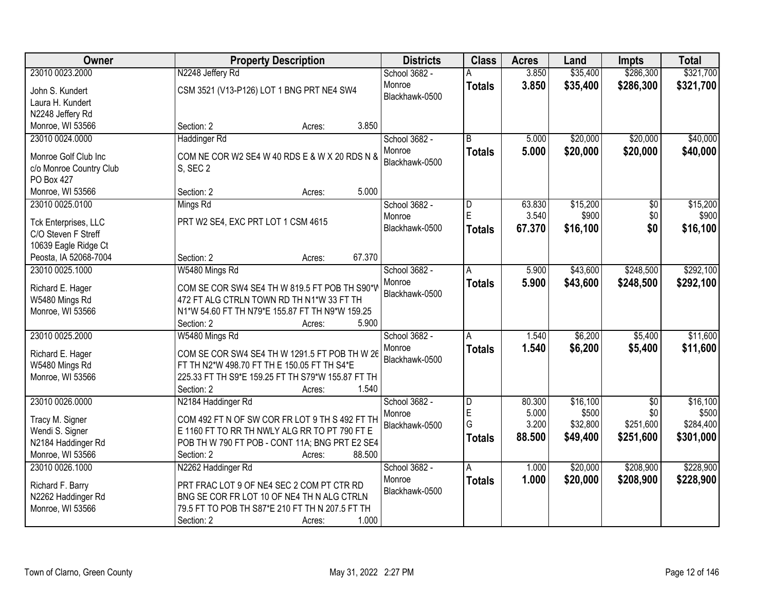| Owner                               | <b>Property Description</b>                       | <b>Districts</b>         | <b>Class</b>   | <b>Acres</b> | Land     | Impts           | <b>Total</b> |
|-------------------------------------|---------------------------------------------------|--------------------------|----------------|--------------|----------|-----------------|--------------|
| 23010 0023.2000                     | N2248 Jeffery Rd                                  | School 3682 -            |                | 3.850        | \$35,400 | \$286,300       | \$321,700    |
| John S. Kundert<br>Laura H. Kundert | CSM 3521 (V13-P126) LOT 1 BNG PRT NE4 SW4         | Monroe<br>Blackhawk-0500 | <b>Totals</b>  | 3.850        | \$35,400 | \$286,300       | \$321,700    |
| N2248 Jeffery Rd                    |                                                   |                          |                |              |          |                 |              |
| Monroe, WI 53566                    | Section: 2<br>3.850<br>Acres:                     |                          |                |              |          |                 |              |
| 23010 0024.0000                     | <b>Haddinger Rd</b>                               | School 3682 -            | $\overline{R}$ | 5.000        | \$20,000 | \$20,000        | \$40,000     |
| Monroe Golf Club Inc                | COM NE COR W2 SE4 W 40 RDS E & W X 20 RDS N &     | Monroe<br>Blackhawk-0500 | <b>Totals</b>  | 5.000        | \$20,000 | \$20,000        | \$40,000     |
| c/o Monroe Country Club             | S, SEC 2                                          |                          |                |              |          |                 |              |
| <b>PO Box 427</b>                   |                                                   |                          |                |              |          |                 |              |
| Monroe, WI 53566                    | 5.000<br>Section: 2<br>Acres:                     |                          |                |              |          |                 |              |
| 23010 0025.0100                     | Mings Rd                                          | School 3682 -            | D              | 63.830       | \$15,200 | \$0             | \$15,200     |
| Tck Enterprises, LLC                | PRT W2 SE4, EXC PRT LOT 1 CSM 4615                | Monroe                   | E              | 3.540        | \$900    | \$0             | \$900        |
| C/O Steven F Streff                 |                                                   | Blackhawk-0500           | <b>Totals</b>  | 67.370       | \$16,100 | \$0             | \$16,100     |
| 10639 Eagle Ridge Ct                |                                                   |                          |                |              |          |                 |              |
| Peosta, IA 52068-7004               | 67.370<br>Section: 2<br>Acres:                    |                          |                |              |          |                 |              |
| 23010 0025.1000                     | W5480 Mings Rd                                    | School 3682 -            | A              | 5.900        | \$43,600 | \$248,500       | \$292,100    |
|                                     |                                                   | Monroe                   |                | 5.900        | \$43,600 | \$248,500       |              |
| Richard E. Hager                    | COM SE COR SW4 SE4 TH W 819.5 FT POB TH S90*V     | Blackhawk-0500           | <b>Totals</b>  |              |          |                 | \$292,100    |
| W5480 Mings Rd                      | 472 FT ALG CTRLN TOWN RD TH N1*W 33 FT TH         |                          |                |              |          |                 |              |
| Monroe, WI 53566                    | N1*W 54.60 FT TH N79*E 155.87 FT TH N9*W 159.25   |                          |                |              |          |                 |              |
|                                     | 5.900<br>Section: 2<br>Acres:                     |                          |                |              |          |                 |              |
| 23010 0025.2000                     | W5480 Mings Rd                                    | School 3682 -            | Α              | 1.540        | \$6,200  | \$5,400         | \$11,600     |
| Richard E. Hager                    | COM SE COR SW4 SE4 TH W 1291.5 FT POB TH W 26     | Monroe                   | <b>Totals</b>  | 1.540        | \$6,200  | \$5,400         | \$11,600     |
| W5480 Mings Rd                      | FT TH N2*W 498.70 FT TH E 150.05 FT TH S4*E       | Blackhawk-0500           |                |              |          |                 |              |
| Monroe, WI 53566                    | 225.33 FT TH S9*E 159.25 FT TH S79*W 155.87 FT TH |                          |                |              |          |                 |              |
|                                     | 1.540<br>Section: 2<br>Acres:                     |                          |                |              |          |                 |              |
| 23010 0026.0000                     | N2184 Haddinger Rd                                | School 3682 -            | D              | 80.300       | \$16,100 | $\overline{50}$ | \$16,100     |
|                                     |                                                   | Monroe                   | E              | 5.000        | \$500    | \$0             | \$500        |
| Tracy M. Signer                     | COM 492 FT N OF SW COR FR LOT 9 TH S 492 FT TH    | Blackhawk-0500           | G              | 3.200        | \$32,800 | \$251,600       | \$284,400    |
| Wendi S. Signer                     | E 1160 FT TO RR TH NWLY ALG RR TO PT 790 FT E     |                          | <b>Totals</b>  | 88.500       | \$49,400 | \$251,600       | \$301,000    |
| N2184 Haddinger Rd                  | POB TH W 790 FT POB - CONT 11A; BNG PRT E2 SE4    |                          |                |              |          |                 |              |
| Monroe, WI 53566                    | 88.500<br>Section: 2<br>Acres:                    |                          |                |              |          |                 |              |
| 23010 0026.1000                     | N2262 Haddinger Rd                                | School 3682 -            | A              | 1.000        | \$20,000 | \$208,900       | \$228,900    |
| Richard F. Barry                    | PRT FRAC LOT 9 OF NE4 SEC 2 COM PT CTR RD         | Monroe                   | <b>Totals</b>  | 1.000        | \$20,000 | \$208,900       | \$228,900    |
| N2262 Haddinger Rd                  | BNG SE COR FR LOT 10 OF NE4 TH N ALG CTRLN        | Blackhawk-0500           |                |              |          |                 |              |
| Monroe, WI 53566                    | 79.5 FT TO POB TH S87*E 210 FT TH N 207.5 FT TH   |                          |                |              |          |                 |              |
|                                     | 1.000<br>Section: 2<br>Acres:                     |                          |                |              |          |                 |              |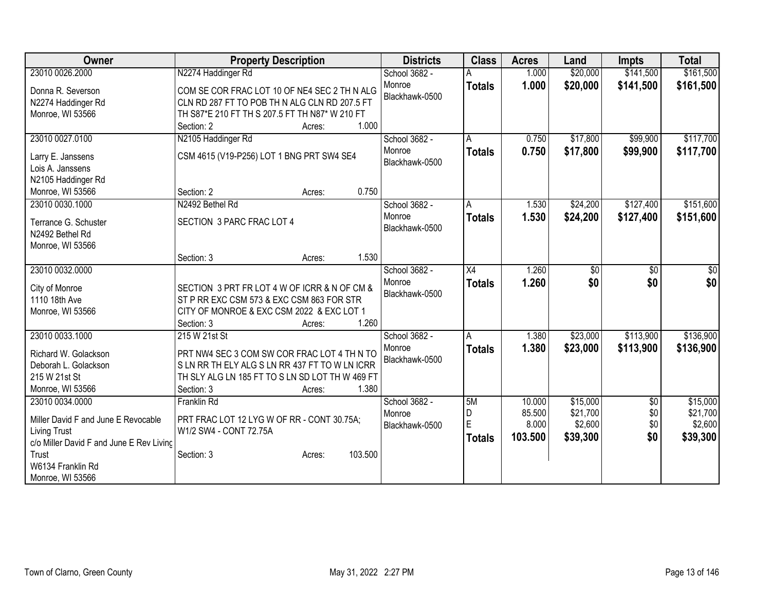| Owner                                    | <b>Property Description</b>                                   |                   | <b>Districts</b>         | <b>Class</b>  | <b>Acres</b> | Land     | <b>Impts</b>           | <b>Total</b>         |
|------------------------------------------|---------------------------------------------------------------|-------------------|--------------------------|---------------|--------------|----------|------------------------|----------------------|
| 23010 0026.2000                          | N2274 Haddinger Rd                                            |                   | School 3682 -            |               | 1.000        | \$20,000 | \$141,500              | \$161,500            |
| Donna R. Severson                        | COM SE COR FRAC LOT 10 OF NE4 SEC 2 TH N ALG                  |                   | Monroe                   | <b>Totals</b> | 1.000        | \$20,000 | \$141,500              | \$161,500            |
| N2274 Haddinger Rd                       | CLN RD 287 FT TO POB TH N ALG CLN RD 207.5 FT                 |                   | Blackhawk-0500           |               |              |          |                        |                      |
| Monroe, WI 53566                         | TH S87*E 210 FT TH S 207.5 FT TH N87* W 210 FT                |                   |                          |               |              |          |                        |                      |
|                                          | Section: 2                                                    | 1.000<br>Acres:   |                          |               |              |          |                        |                      |
| 23010 0027.0100                          | N2105 Haddinger Rd                                            |                   | School 3682 -            | A             | 0.750        | \$17,800 | \$99,900               | \$117,700            |
|                                          |                                                               |                   | Monroe                   | <b>Totals</b> | 0.750        | \$17,800 | \$99,900               | \$117,700            |
| Larry E. Janssens                        | CSM 4615 (V19-P256) LOT 1 BNG PRT SW4 SE4                     |                   | Blackhawk-0500           |               |              |          |                        |                      |
| Lois A. Janssens                         |                                                               |                   |                          |               |              |          |                        |                      |
| N2105 Haddinger Rd                       |                                                               |                   |                          |               |              |          |                        |                      |
| Monroe, WI 53566                         | Section: 2                                                    | 0.750<br>Acres:   |                          |               |              |          |                        |                      |
| 23010 0030.1000                          | N2492 Bethel Rd                                               |                   | School 3682 -            | A             | 1.530        | \$24,200 | \$127,400              | \$151,600            |
| Terrance G. Schuster                     | SECTION 3 PARC FRAC LOT 4                                     |                   | Monroe<br>Blackhawk-0500 | <b>Totals</b> | 1.530        | \$24,200 | \$127,400              | \$151,600            |
| N2492 Bethel Rd                          |                                                               |                   |                          |               |              |          |                        |                      |
| Monroe, WI 53566                         |                                                               |                   |                          |               |              |          |                        |                      |
|                                          | Section: 3                                                    | 1.530<br>Acres:   |                          |               |              |          |                        |                      |
| 23010 0032.0000                          |                                                               |                   | School 3682 -            | X4            | 1.260        | \$0      | \$0                    | \$0                  |
| City of Monroe                           | SECTION 3 PRT FR LOT 4 W OF ICRR & N OF CM &                  |                   | Monroe                   | <b>Totals</b> | 1.260        | \$0      | \$0                    | \$0                  |
| 1110 18th Ave                            | ST P RR EXC CSM 573 & EXC CSM 863 FOR STR                     |                   | Blackhawk-0500           |               |              |          |                        |                      |
| Monroe, WI 53566                         | CITY OF MONROE & EXC CSM 2022 & EXC LOT 1                     |                   |                          |               |              |          |                        |                      |
|                                          | Section: 3                                                    | 1.260<br>Acres:   |                          |               |              |          |                        |                      |
| 23010 0033.1000                          | 215 W 21st St                                                 |                   | School 3682 -            | Α             | 1.380        | \$23,000 | \$113,900              | \$136,900            |
|                                          |                                                               |                   | Monroe                   | <b>Totals</b> | 1.380        | \$23,000 | \$113,900              | \$136,900            |
| Richard W. Golackson                     | PRT NW4 SEC 3 COM SW COR FRAC LOT 4 TH N TO                   |                   | Blackhawk-0500           |               |              |          |                        |                      |
| Deborah L. Golackson                     | S LN RR TH ELY ALG S LN RR 437 FT TO W LN ICRR                |                   |                          |               |              |          |                        |                      |
| 215 W 21st St                            | TH SLY ALG LN 185 FT TO S LN SD LOT TH W 469 FT<br>Section: 3 | 1.380             |                          |               |              |          |                        |                      |
| Monroe, WI 53566<br>23010 0034.0000      | Franklin Rd                                                   | Acres:            |                          |               | 10.000       | \$15,000 |                        |                      |
|                                          |                                                               |                   | School 3682 -<br>Monroe  | 5M<br>D       | 85.500       | \$21,700 | $\overline{50}$<br>\$0 | \$15,000<br>\$21,700 |
| Miller David F and June E Revocable      | PRT FRAC LOT 12 LYG W OF RR - CONT 30.75A;                    |                   | Blackhawk-0500           | E             | 8.000        | \$2,600  | \$0                    | \$2,600              |
| <b>Living Trust</b>                      | W1/2 SW4 - CONT 72.75A                                        |                   |                          |               | 103.500      | \$39,300 | \$0                    | \$39,300             |
| c/o Miller David F and June E Rev Livinc |                                                               |                   |                          | <b>Totals</b> |              |          |                        |                      |
| Trust                                    | Section: 3                                                    | 103.500<br>Acres: |                          |               |              |          |                        |                      |
| W6134 Franklin Rd                        |                                                               |                   |                          |               |              |          |                        |                      |
| Monroe, WI 53566                         |                                                               |                   |                          |               |              |          |                        |                      |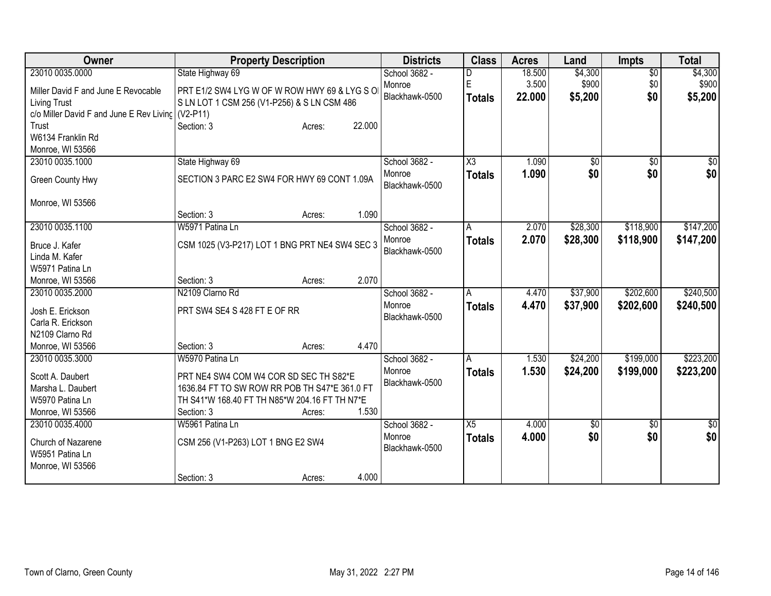| Owner                                             | <b>Property Description</b>                    | <b>Districts</b>         | <b>Class</b>    | <b>Acres</b> | Land       | <b>Impts</b>    | <b>Total</b> |
|---------------------------------------------------|------------------------------------------------|--------------------------|-----------------|--------------|------------|-----------------|--------------|
| 23010 0035.0000                                   | State Highway 69                               | School 3682 -            |                 | 18.500       | \$4,300    | $\overline{50}$ | \$4,300      |
| Miller David F and June E Revocable               | PRT E1/2 SW4 LYG W OF W ROW HWY 69 & LYG S O   | Monroe                   | E               | 3.500        | \$900      | \$0             | \$900        |
| <b>Living Trust</b>                               | S LN LOT 1 CSM 256 (V1-P256) & S LN CSM 486    | Blackhawk-0500           | <b>Totals</b>   | 22.000       | \$5,200    | \$0             | \$5,200      |
| c/o Miller David F and June E Rev Living (V2-P11) |                                                |                          |                 |              |            |                 |              |
| Trust                                             | 22.000<br>Section: 3<br>Acres:                 |                          |                 |              |            |                 |              |
| W6134 Franklin Rd                                 |                                                |                          |                 |              |            |                 |              |
| Monroe, WI 53566                                  |                                                |                          |                 |              |            |                 |              |
| 23010 0035.1000                                   | State Highway 69                               | School 3682 -            | X3              | 1.090        | \$0        | \$0             | \$0          |
| Green County Hwy                                  | SECTION 3 PARC E2 SW4 FOR HWY 69 CONT 1.09A    | Monroe<br>Blackhawk-0500 | <b>Totals</b>   | 1.090        | \$0        | \$0             | \$0          |
| Monroe, WI 53566                                  |                                                |                          |                 |              |            |                 |              |
|                                                   | Section: 3<br>1.090<br>Acres:                  |                          |                 |              |            |                 |              |
| 23010 0035.1100                                   | W5971 Patina Ln                                | School 3682 -            | A               | 2.070        | \$28,300   | \$118,900       | \$147,200    |
|                                                   |                                                | Monroe                   | <b>Totals</b>   | 2.070        | \$28,300   | \$118,900       | \$147,200    |
| Bruce J. Kafer<br>Linda M. Kafer                  | CSM 1025 (V3-P217) LOT 1 BNG PRT NE4 SW4 SEC 3 | Blackhawk-0500           |                 |              |            |                 |              |
| W5971 Patina Ln                                   |                                                |                          |                 |              |            |                 |              |
| Monroe, WI 53566                                  | 2.070<br>Section: 3<br>Acres:                  |                          |                 |              |            |                 |              |
| 23010 0035.2000                                   | N2109 Clarno Rd                                | School 3682 -            | A               | 4.470        | \$37,900   | \$202,600       | \$240,500    |
|                                                   |                                                | Monroe                   | <b>Totals</b>   | 4.470        | \$37,900   | \$202,600       | \$240,500    |
| Josh E. Erickson                                  | PRT SW4 SE4 S 428 FT E OF RR                   | Blackhawk-0500           |                 |              |            |                 |              |
| Carla R. Erickson                                 |                                                |                          |                 |              |            |                 |              |
| N2109 Clarno Rd                                   |                                                |                          |                 |              |            |                 |              |
| Monroe, WI 53566                                  | 4.470<br>Section: 3<br>Acres:                  |                          |                 |              |            |                 |              |
| 23010 0035.3000                                   | W5970 Patina Ln                                | School 3682 -            | A               | 1.530        | \$24,200   | \$199,000       | \$223,200    |
| Scott A. Daubert                                  | PRT NE4 SW4 COM W4 COR SD SEC TH S82*E         | Monroe                   | <b>Totals</b>   | 1.530        | \$24,200   | \$199,000       | \$223,200    |
| Marsha L. Daubert                                 | 1636.84 FT TO SW ROW RR POB TH S47*E 361.0 FT  | Blackhawk-0500           |                 |              |            |                 |              |
| W5970 Patina Ln                                   | TH S41*W 168.40 FT TH N85*W 204.16 FT TH N7*E  |                          |                 |              |            |                 |              |
| Monroe, WI 53566                                  | 1.530<br>Section: 3<br>Acres:                  |                          |                 |              |            |                 |              |
| 23010 0035.4000                                   | W5961 Patina Ln                                | School 3682 -            | $\overline{X5}$ | 4.000        | $\sqrt{6}$ | $\overline{50}$ | \$0          |
| Church of Nazarene<br>W5951 Patina Ln             | CSM 256 (V1-P263) LOT 1 BNG E2 SW4             | Monroe<br>Blackhawk-0500 | <b>Totals</b>   | 4.000        | \$0        | \$0             | \$0          |
| Monroe, WI 53566                                  |                                                |                          |                 |              |            |                 |              |
|                                                   | 4.000<br>Section: 3<br>Acres:                  |                          |                 |              |            |                 |              |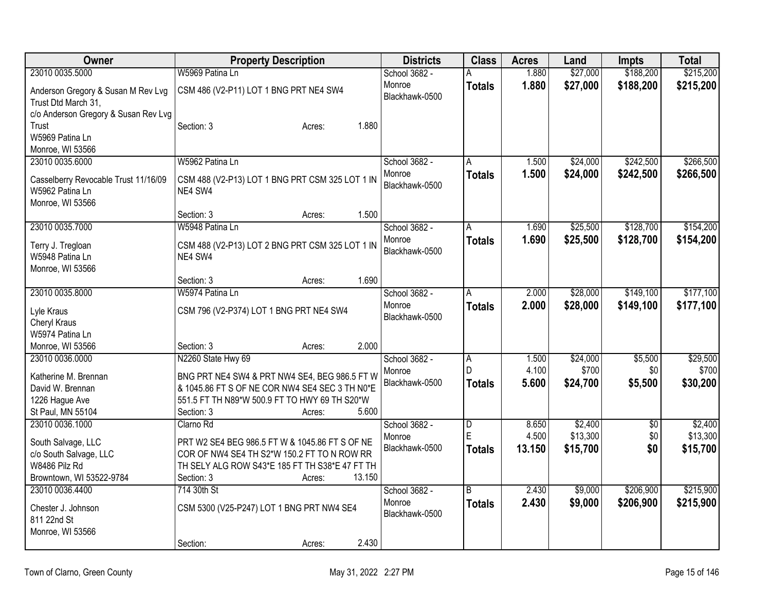| Owner                                    | <b>Property Description</b>                                                                     | <b>Districts</b> | <b>Class</b>   | <b>Acres</b> | Land     | <b>Impts</b> | <b>Total</b> |
|------------------------------------------|-------------------------------------------------------------------------------------------------|------------------|----------------|--------------|----------|--------------|--------------|
| 23010 0035.5000                          | W5969 Patina Ln                                                                                 | School 3682 -    | А              | 1.880        | \$27,000 | \$188,200    | \$215,200    |
| Anderson Gregory & Susan M Rev Lvg       | CSM 486 (V2-P11) LOT 1 BNG PRT NE4 SW4                                                          | Monroe           | <b>Totals</b>  | 1.880        | \$27,000 | \$188,200    | \$215,200    |
| Trust Dtd March 31,                      |                                                                                                 | Blackhawk-0500   |                |              |          |              |              |
| c/o Anderson Gregory & Susan Rev Lvg     |                                                                                                 |                  |                |              |          |              |              |
| Trust                                    | 1.880<br>Section: 3<br>Acres:                                                                   |                  |                |              |          |              |              |
| W5969 Patina Ln                          |                                                                                                 |                  |                |              |          |              |              |
| Monroe, WI 53566                         |                                                                                                 |                  |                |              |          |              |              |
| 23010 0035.6000                          | W5962 Patina Ln                                                                                 | School 3682 -    | A              | 1.500        | \$24,000 | \$242,500    | \$266,500    |
| Casselberry Revocable Trust 11/16/09     | CSM 488 (V2-P13) LOT 1 BNG PRT CSM 325 LOT 1 IN                                                 | Monroe           | <b>Totals</b>  | 1.500        | \$24,000 | \$242,500    | \$266,500    |
| W5962 Patina Ln                          | NE4 SW4                                                                                         | Blackhawk-0500   |                |              |          |              |              |
| Monroe, WI 53566                         |                                                                                                 |                  |                |              |          |              |              |
|                                          | 1.500<br>Section: 3<br>Acres:                                                                   |                  |                |              |          |              |              |
| 23010 0035.7000                          | W5948 Patina Ln                                                                                 | School 3682 -    | Α              | 1.690        | \$25,500 | \$128,700    | \$154,200    |
| Terry J. Tregloan                        | CSM 488 (V2-P13) LOT 2 BNG PRT CSM 325 LOT 1 IN                                                 | Monroe           | <b>Totals</b>  | 1.690        | \$25,500 | \$128,700    | \$154,200    |
| W5948 Patina Ln                          | NE4 SW4                                                                                         | Blackhawk-0500   |                |              |          |              |              |
| Monroe, WI 53566                         |                                                                                                 |                  |                |              |          |              |              |
|                                          | 1.690<br>Section: 3<br>Acres:                                                                   |                  |                |              |          |              |              |
| 23010 0035.8000                          | W5974 Patina Ln                                                                                 | School 3682 -    | A              | 2.000        | \$28,000 | \$149,100    | \$177,100    |
| Lyle Kraus                               | CSM 796 (V2-P374) LOT 1 BNG PRT NE4 SW4                                                         | Monroe           | <b>Totals</b>  | 2.000        | \$28,000 | \$149,100    | \$177,100    |
| Cheryl Kraus                             |                                                                                                 | Blackhawk-0500   |                |              |          |              |              |
| W5974 Patina Ln                          |                                                                                                 |                  |                |              |          |              |              |
| Monroe, WI 53566                         | 2.000<br>Section: 3<br>Acres:                                                                   |                  |                |              |          |              |              |
| 23010 0036.0000                          | N2260 State Hwy 69                                                                              | School 3682 -    | Α              | 1.500        | \$24,000 | \$5,500      | \$29,500     |
|                                          |                                                                                                 | Monroe           | D              | 4.100        | \$700    | \$0          | \$700        |
| Katherine M. Brennan<br>David W. Brennan | BNG PRT NE4 SW4 & PRT NW4 SE4, BEG 986.5 FT W<br>& 1045.86 FT S OF NE COR NW4 SE4 SEC 3 TH N0*E | Blackhawk-0500   | <b>Totals</b>  | 5.600        | \$24,700 | \$5,500      | \$30,200     |
| 1226 Hague Ave                           | 551.5 FT TH N89*W 500.9 FT TO HWY 69 TH S20*W                                                   |                  |                |              |          |              |              |
| St Paul, MN 55104                        | 5.600<br>Section: 3<br>Acres:                                                                   |                  |                |              |          |              |              |
| 23010 0036.1000                          | Clarno Rd                                                                                       | School 3682 -    | $\overline{D}$ | 8.650        | \$2,400  | $\sqrt{6}$   | \$2,400      |
|                                          |                                                                                                 | Monroe           | E              | 4.500        | \$13,300 | \$0          | \$13,300     |
| South Salvage, LLC                       | PRT W2 SE4 BEG 986.5 FT W & 1045.86 FT S OF NE<br>COR OF NW4 SE4 TH S2*W 150.2 FT TO N ROW RR   | Blackhawk-0500   | <b>Totals</b>  | 13.150       | \$15,700 | \$0          | \$15,700     |
| c/o South Salvage, LLC<br>W8486 Pilz Rd  | TH SELY ALG ROW S43*E 185 FT TH S38*E 47 FT TH                                                  |                  |                |              |          |              |              |
| Browntown, WI 53522-9784                 | 13.150<br>Section: 3<br>Acres:                                                                  |                  |                |              |          |              |              |
| 23010 0036.4400                          | 714 30th St                                                                                     | School 3682 -    | B              | 2.430        | \$9,000  | \$206,900    | \$215,900    |
|                                          |                                                                                                 | Monroe           | <b>Totals</b>  | 2.430        | \$9,000  | \$206,900    | \$215,900    |
| Chester J. Johnson                       | CSM 5300 (V25-P247) LOT 1 BNG PRT NW4 SE4                                                       | Blackhawk-0500   |                |              |          |              |              |
| 811 22nd St                              |                                                                                                 |                  |                |              |          |              |              |
| Monroe, WI 53566                         | 2.430                                                                                           |                  |                |              |          |              |              |
|                                          | Section:<br>Acres:                                                                              |                  |                |              |          |              |              |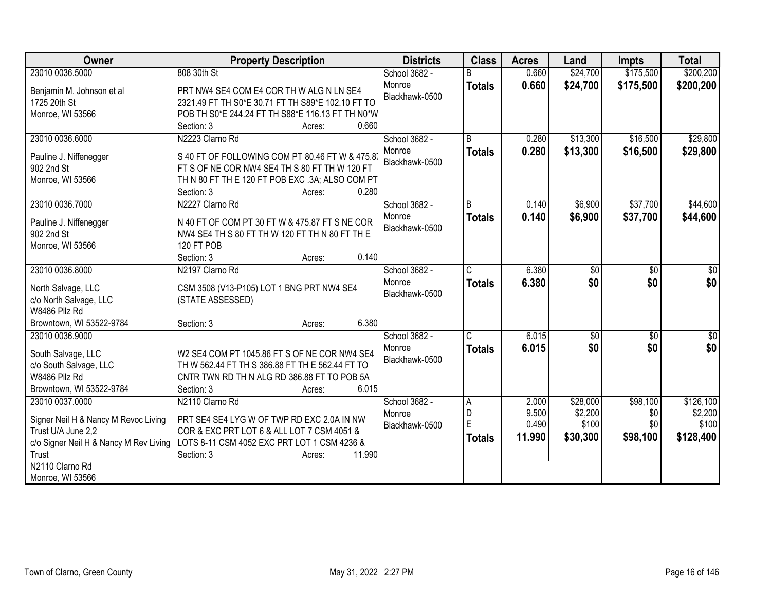| Owner                                           | <b>Property Description</b>                                         | <b>Districts</b> | <b>Class</b>  | <b>Acres</b> | Land     | <b>Impts</b> | <b>Total</b>    |
|-------------------------------------------------|---------------------------------------------------------------------|------------------|---------------|--------------|----------|--------------|-----------------|
| 23010 0036.5000                                 | 808 30th St                                                         | School 3682 -    |               | 0.660        | \$24,700 | \$175,500    | \$200,200       |
| Benjamin M. Johnson et al                       | PRT NW4 SE4 COM E4 COR TH W ALG N LN SE4                            | Monroe           | <b>Totals</b> | 0.660        | \$24,700 | \$175,500    | \$200,200       |
| 1725 20th St                                    | 2321.49 FT TH S0*E 30.71 FT TH S89*E 102.10 FT TO                   | Blackhawk-0500   |               |              |          |              |                 |
| Monroe, WI 53566                                | POB TH S0*E 244.24 FT TH S88*E 116.13 FT TH N0*W                    |                  |               |              |          |              |                 |
|                                                 | Section: 3<br>0.660<br>Acres:                                       |                  |               |              |          |              |                 |
| 23010 0036.6000                                 | N2223 Clarno Rd                                                     | School 3682 -    | B             | 0.280        | \$13,300 | \$16,500     | \$29,800        |
|                                                 | S 40 FT OF FOLLOWING COM PT 80.46 FT W & 475.8                      | Monroe           | <b>Totals</b> | 0.280        | \$13,300 | \$16,500     | \$29,800        |
| Pauline J. Niffenegger<br>902 2nd St            | FT S OF NE COR NW4 SE4 TH S 80 FT TH W 120 FT                       | Blackhawk-0500   |               |              |          |              |                 |
| Monroe, WI 53566                                | TH N 80 FT TH E 120 FT POB EXC .3A; ALSO COM PT                     |                  |               |              |          |              |                 |
|                                                 | 0.280<br>Section: 3<br>Acres:                                       |                  |               |              |          |              |                 |
| 23010 0036.7000                                 | N2227 Clarno Rd                                                     | School 3682 -    | B             | 0.140        | \$6,900  | \$37,700     | \$44,600        |
|                                                 |                                                                     | Monroe           | <b>Totals</b> | 0.140        | \$6,900  | \$37,700     | \$44,600        |
| Pauline J. Niffenegger                          | N 40 FT OF COM PT 30 FT W & 475.87 FT S NE COR                      | Blackhawk-0500   |               |              |          |              |                 |
| 902 2nd St                                      | NW4 SE4 TH S 80 FT TH W 120 FT TH N 80 FT TH E                      |                  |               |              |          |              |                 |
| Monroe, WI 53566                                | 120 FT POB                                                          |                  |               |              |          |              |                 |
|                                                 | 0.140<br>Section: 3<br>Acres:                                       |                  |               |              |          |              |                 |
| 23010 0036.8000                                 | N2197 Clarno Rd                                                     | School 3682 -    | С             | 6.380        | \$0      | \$0          | \$0             |
| North Salvage, LLC                              | CSM 3508 (V13-P105) LOT 1 BNG PRT NW4 SE4                           | Monroe           | <b>Totals</b> | 6.380        | \$0      | \$0          | \$0             |
| c/o North Salvage, LLC                          | (STATE ASSESSED)                                                    | Blackhawk-0500   |               |              |          |              |                 |
| W8486 Pilz Rd                                   |                                                                     |                  |               |              |          |              |                 |
| Browntown, WI 53522-9784                        | 6.380<br>Section: 3<br>Acres:                                       |                  |               |              |          |              |                 |
| 23010 0036.9000                                 |                                                                     | School 3682 -    | C             | 6.015        | \$0      | \$0          | $\overline{30}$ |
| South Salvage, LLC                              | W2 SE4 COM PT 1045.86 FT S OF NE COR NW4 SE4                        | Monroe           | <b>Totals</b> | 6.015        | \$0      | \$0          | \$0             |
| c/o South Salvage, LLC                          | TH W 562.44 FT TH S 386.88 FT TH E 562.44 FT TO                     | Blackhawk-0500   |               |              |          |              |                 |
| W8486 Pilz Rd                                   | CNTR TWN RD TH N ALG RD 386.88 FT TO POB 5A                         |                  |               |              |          |              |                 |
| Browntown, WI 53522-9784                        | Section: 3<br>6.015<br>Acres:                                       |                  |               |              |          |              |                 |
| 23010 0037.0000                                 | N2110 Clarno Rd                                                     | School 3682 -    | A             | 2.000        | \$28,000 | \$98,100     | \$126,100       |
|                                                 |                                                                     | Monroe           | D             | 9.500        | \$2,200  | \$0          | \$2,200         |
| Signer Neil H & Nancy M Revoc Living            | PRT SE4 SE4 LYG W OF TWP RD EXC 2.0A IN NW                          | Blackhawk-0500   | E             | 0.490        | \$100    | \$0          | \$100           |
| Trust U/A June 2,2                              | COR & EXC PRT LOT 6 & ALL LOT 7 CSM 4051 &                          |                  | <b>Totals</b> | 11.990       | \$30,300 | \$98,100     | \$128,400       |
| c/o Signer Neil H & Nancy M Rev Living<br>Trust | LOTS 8-11 CSM 4052 EXC PRT LOT 1 CSM 4236 &<br>11.990<br>Section: 3 |                  |               |              |          |              |                 |
| N2110 Clarno Rd                                 | Acres:                                                              |                  |               |              |          |              |                 |
| Monroe, WI 53566                                |                                                                     |                  |               |              |          |              |                 |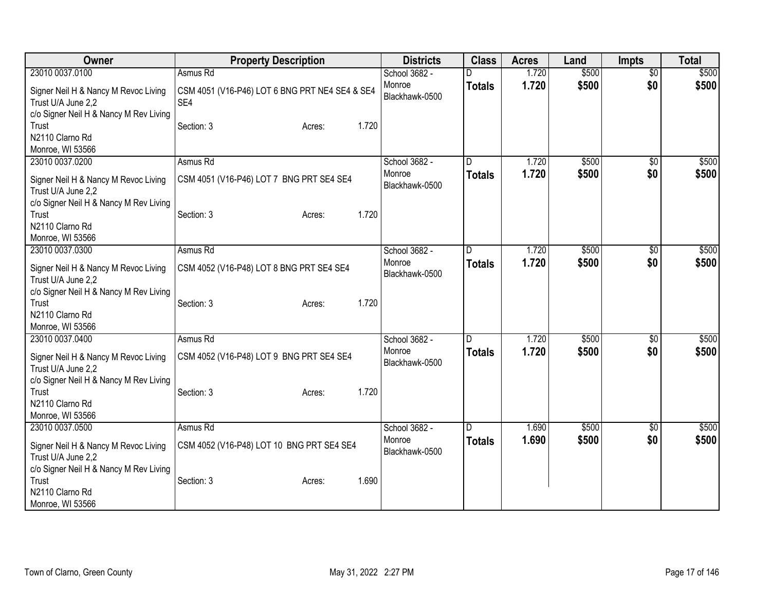| Owner                                                                                                | <b>Property Description</b>                           | <b>Districts</b>         | <b>Class</b>  | <b>Acres</b> | Land  | <b>Impts</b>    | <b>Total</b> |
|------------------------------------------------------------------------------------------------------|-------------------------------------------------------|--------------------------|---------------|--------------|-------|-----------------|--------------|
| 23010 0037.0100                                                                                      | Asmus Rd                                              | School 3682 -            |               | 1.720        | \$500 | $\overline{50}$ | \$500        |
| Signer Neil H & Nancy M Revoc Living<br>Trust U/A June 2,2<br>c/o Signer Neil H & Nancy M Rev Living | CSM 4051 (V16-P46) LOT 6 BNG PRT NE4 SE4 & SE4<br>SE4 | Monroe<br>Blackhawk-0500 | <b>Totals</b> | 1.720        | \$500 | \$0             | \$500        |
| Trust<br>N2110 Clarno Rd<br>Monroe, WI 53566                                                         | Section: 3<br>1.720<br>Acres:                         |                          |               |              |       |                 |              |
| 23010 0037.0200                                                                                      | Asmus Rd                                              | School 3682 -            |               | 1.720        | \$500 | $\overline{60}$ | \$500        |
| Signer Neil H & Nancy M Revoc Living<br>Trust U/A June 2,2<br>c/o Signer Neil H & Nancy M Rev Living | CSM 4051 (V16-P46) LOT 7 BNG PRT SE4 SE4              | Monroe<br>Blackhawk-0500 | <b>Totals</b> | 1.720        | \$500 | \$0             | \$500        |
| Trust<br>N2110 Clarno Rd<br>Monroe, WI 53566                                                         | 1.720<br>Section: 3<br>Acres:                         |                          |               |              |       |                 |              |
| 23010 0037.0300                                                                                      | Asmus Rd                                              | School 3682 -            | D             | 1.720        | \$500 | $\sqrt{6}$      | \$500        |
| Signer Neil H & Nancy M Revoc Living<br>Trust U/A June 2,2                                           | CSM 4052 (V16-P48) LOT 8 BNG PRT SE4 SE4              | Monroe<br>Blackhawk-0500 | <b>Totals</b> | 1.720        | \$500 | \$0             | \$500        |
| c/o Signer Neil H & Nancy M Rev Living<br>Trust<br>N2110 Clarno Rd<br>Monroe, WI 53566               | 1.720<br>Section: 3<br>Acres:                         |                          |               |              |       |                 |              |
| 23010 0037.0400                                                                                      | Asmus Rd                                              | School 3682 -            |               | 1.720        | \$500 | \$0             | \$500        |
| Signer Neil H & Nancy M Revoc Living<br>Trust U/A June 2,2                                           | CSM 4052 (V16-P48) LOT 9 BNG PRT SE4 SE4              | Monroe<br>Blackhawk-0500 | <b>Totals</b> | 1.720        | \$500 | \$0             | \$500        |
| c/o Signer Neil H & Nancy M Rev Living<br>Trust<br>N2110 Clarno Rd<br>Monroe, WI 53566               | 1.720<br>Section: 3<br>Acres:                         |                          |               |              |       |                 |              |
| 23010 0037.0500                                                                                      | Asmus Rd                                              | School 3682 -            | D             | 1.690        | \$500 | \$0             | \$500        |
| Signer Neil H & Nancy M Revoc Living<br>Trust U/A June 2,2<br>c/o Signer Neil H & Nancy M Rev Living | CSM 4052 (V16-P48) LOT 10 BNG PRT SE4 SE4             | Monroe<br>Blackhawk-0500 | <b>Totals</b> | 1.690        | \$500 | \$0             | \$500        |
| Trust<br>N2110 Clarno Rd<br>Monroe, WI 53566                                                         | 1.690<br>Section: 3<br>Acres:                         |                          |               |              |       |                 |              |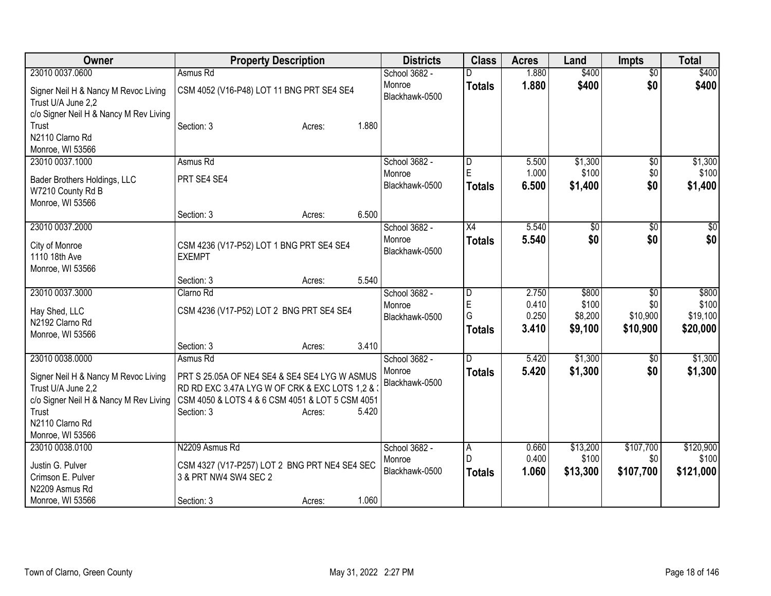| Owner                                                                                                                                               | <b>Property Description</b>                                                                                                                                                                      | <b>Districts</b>                          | <b>Class</b>                     | <b>Acres</b>            | Land                          | <b>Impts</b>                  | <b>Total</b>                    |
|-----------------------------------------------------------------------------------------------------------------------------------------------------|--------------------------------------------------------------------------------------------------------------------------------------------------------------------------------------------------|-------------------------------------------|----------------------------------|-------------------------|-------------------------------|-------------------------------|---------------------------------|
| 23010 0037.0600                                                                                                                                     | Asmus Rd                                                                                                                                                                                         | School 3682 -                             |                                  | 1.880                   | \$400                         | $\overline{50}$               | \$400                           |
| Signer Neil H & Nancy M Revoc Living<br>Trust U/A June 2,2                                                                                          | CSM 4052 (V16-P48) LOT 11 BNG PRT SE4 SE4                                                                                                                                                        | Monroe<br>Blackhawk-0500                  | <b>Totals</b>                    | 1.880                   | \$400                         | \$0                           | \$400                           |
| c/o Signer Neil H & Nancy M Rev Living<br>Trust<br>N2110 Clarno Rd<br>Monroe, WI 53566                                                              | Section: 3<br>1.880<br>Acres:                                                                                                                                                                    |                                           |                                  |                         |                               |                               |                                 |
| 23010 0037.1000                                                                                                                                     | Asmus Rd                                                                                                                                                                                         | School 3682 -<br>Monroe                   | D<br>E                           | 5.500<br>1.000          | \$1,300<br>\$100              | \$0<br>\$0                    | \$1,300<br>\$100                |
| Bader Brothers Holdings, LLC<br>W7210 County Rd B<br>Monroe, WI 53566                                                                               | PRT SE4 SE4                                                                                                                                                                                      | Blackhawk-0500                            | <b>Totals</b>                    | 6.500                   | \$1,400                       | \$0                           | \$1,400                         |
|                                                                                                                                                     | 6.500<br>Section: 3<br>Acres:                                                                                                                                                                    |                                           |                                  |                         |                               |                               |                                 |
| 23010 0037.2000<br>City of Monroe<br>1110 18th Ave                                                                                                  | CSM 4236 (V17-P52) LOT 1 BNG PRT SE4 SE4<br><b>EXEMPT</b>                                                                                                                                        | School 3682 -<br>Monroe<br>Blackhawk-0500 | $\overline{X4}$<br><b>Totals</b> | 5.540<br>5.540          | $\overline{50}$<br>\$0        | $\overline{50}$<br>\$0        | \$0<br>\$0                      |
| Monroe, WI 53566                                                                                                                                    | 5.540<br>Section: 3<br>Acres:                                                                                                                                                                    |                                           |                                  |                         |                               |                               |                                 |
| 23010 0037.3000                                                                                                                                     | Clarno Rd                                                                                                                                                                                        | School 3682 -                             | $\overline{D}$                   | 2.750                   | \$800                         | \$0                           | \$800                           |
| Hay Shed, LLC<br>N2192 Clarno Rd<br>Monroe, WI 53566                                                                                                | CSM 4236 (V17-P52) LOT 2 BNG PRT SE4 SE4                                                                                                                                                         | Monroe<br>Blackhawk-0500                  | E<br>G<br><b>Totals</b>          | 0.410<br>0.250<br>3.410 | \$100<br>\$8,200<br>\$9,100   | \$0<br>\$10,900<br>\$10,900   | \$100<br>\$19,100<br>\$20,000   |
|                                                                                                                                                     | 3.410<br>Section: 3<br>Acres:                                                                                                                                                                    |                                           |                                  |                         |                               |                               |                                 |
| 23010 0038.0000<br>Signer Neil H & Nancy M Revoc Living<br>Trust U/A June 2,2<br>c/o Signer Neil H & Nancy M Rev Living<br>Trust<br>N2110 Clarno Rd | Asmus Rd<br>PRT S 25.05A OF NE4 SE4 & SE4 SE4 LYG W ASMUS<br>RD RD EXC 3.47A LYG W OF CRK & EXC LOTS 1,2 & 3<br>CSM 4050 & LOTS 4 & 6 CSM 4051 & LOT 5 CSM 4051<br>Section: 3<br>5.420<br>Acres: | School 3682 -<br>Monroe<br>Blackhawk-0500 | D.<br><b>Totals</b>              | 5.420<br>5.420          | \$1,300<br>\$1,300            | \$0<br>\$0                    | \$1,300<br>\$1,300              |
| Monroe, WI 53566                                                                                                                                    |                                                                                                                                                                                                  |                                           |                                  |                         |                               |                               |                                 |
| 23010 0038.0100<br>Justin G. Pulver<br>Crimson E. Pulver<br>N2209 Asmus Rd                                                                          | N2209 Asmus Rd<br>CSM 4327 (V17-P257) LOT 2 BNG PRT NE4 SE4 SEC<br>3 & PRT NW4 SW4 SEC 2                                                                                                         | School 3682 -<br>Monroe<br>Blackhawk-0500 | A<br><b>Totals</b>               | 0.660<br>0.400<br>1.060 | \$13,200<br>\$100<br>\$13,300 | \$107,700<br>\$0<br>\$107,700 | \$120,900<br>\$100<br>\$121,000 |
| Monroe, WI 53566                                                                                                                                    | 1.060<br>Section: 3<br>Acres:                                                                                                                                                                    |                                           |                                  |                         |                               |                               |                                 |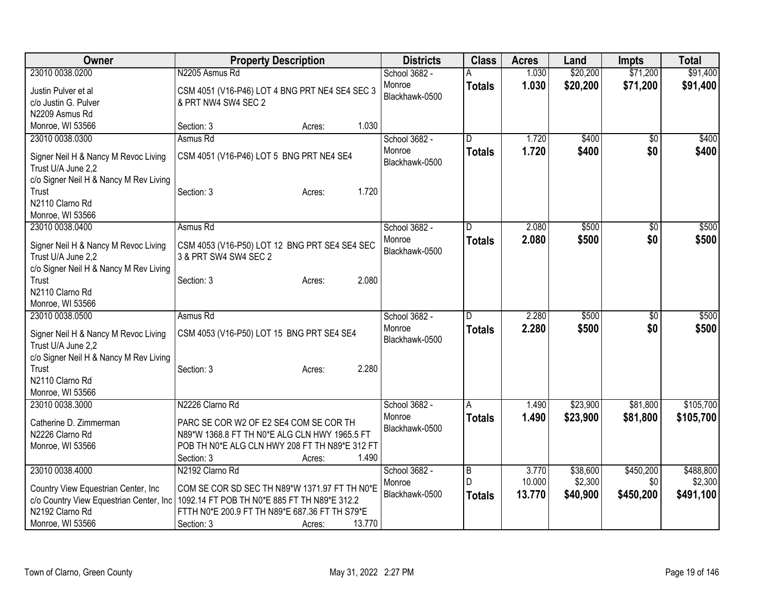| Owner                                   | <b>Property Description</b>                    | <b>Districts</b> | <b>Class</b>   | <b>Acres</b> | Land     | Impts           | <b>Total</b> |
|-----------------------------------------|------------------------------------------------|------------------|----------------|--------------|----------|-----------------|--------------|
| 23010 0038.0200                         | N2205 Asmus Rd                                 | School 3682 -    |                | 1.030        | \$20,200 | \$71,200        | \$91,400     |
| Justin Pulver et al                     | CSM 4051 (V16-P46) LOT 4 BNG PRT NE4 SE4 SEC 3 | Monroe           | <b>Totals</b>  | 1.030        | \$20,200 | \$71,200        | \$91,400     |
| c/o Justin G. Pulver                    | & PRT NW4 SW4 SEC 2                            | Blackhawk-0500   |                |              |          |                 |              |
| N2209 Asmus Rd                          |                                                |                  |                |              |          |                 |              |
| Monroe, WI 53566                        | 1.030<br>Section: 3<br>Acres:                  |                  |                |              |          |                 |              |
| 23010 0038.0300                         | Asmus Rd                                       | School 3682 -    | D              | 1.720        | \$400    | $\overline{50}$ | \$400        |
|                                         |                                                | Monroe           | <b>Totals</b>  | 1.720        | \$400    | \$0             | \$400        |
| Signer Neil H & Nancy M Revoc Living    | CSM 4051 (V16-P46) LOT 5 BNG PRT NE4 SE4       | Blackhawk-0500   |                |              |          |                 |              |
| Trust U/A June 2,2                      |                                                |                  |                |              |          |                 |              |
| c/o Signer Neil H & Nancy M Rev Living  |                                                |                  |                |              |          |                 |              |
| Trust                                   | 1.720<br>Section: 3<br>Acres:                  |                  |                |              |          |                 |              |
| N2110 Clarno Rd                         |                                                |                  |                |              |          |                 |              |
| Monroe, WI 53566                        |                                                |                  |                |              |          |                 |              |
| 23010 0038.0400                         | Asmus Rd                                       | School 3682 -    | D              | 2.080        | \$500    | $\overline{30}$ | \$500        |
| Signer Neil H & Nancy M Revoc Living    | CSM 4053 (V16-P50) LOT 12 BNG PRT SE4 SE4 SEC  | Monroe           | <b>Totals</b>  | 2.080        | \$500    | \$0             | \$500        |
| Trust U/A June 2,2                      | 3 & PRT SW4 SW4 SEC 2                          | Blackhawk-0500   |                |              |          |                 |              |
| c/o Signer Neil H & Nancy M Rev Living  |                                                |                  |                |              |          |                 |              |
| Trust                                   | 2.080<br>Section: 3<br>Acres:                  |                  |                |              |          |                 |              |
| N2110 Clarno Rd                         |                                                |                  |                |              |          |                 |              |
| Monroe, WI 53566                        |                                                |                  |                |              |          |                 |              |
| 23010 0038.0500                         | Asmus Rd                                       | School 3682 -    | D              | 2.280        | \$500    | \$0             | \$500        |
|                                         |                                                | Monroe           | <b>Totals</b>  | 2.280        | \$500    | \$0             | \$500        |
| Signer Neil H & Nancy M Revoc Living    | CSM 4053 (V16-P50) LOT 15 BNG PRT SE4 SE4      | Blackhawk-0500   |                |              |          |                 |              |
| Trust U/A June 2,2                      |                                                |                  |                |              |          |                 |              |
| c/o Signer Neil H & Nancy M Rev Living  |                                                |                  |                |              |          |                 |              |
| Trust                                   | Section: 3<br>2.280<br>Acres:                  |                  |                |              |          |                 |              |
| N2110 Clarno Rd                         |                                                |                  |                |              |          |                 |              |
| Monroe, WI 53566                        |                                                |                  |                |              |          |                 |              |
| 23010 0038.3000                         | N2226 Clarno Rd                                | School 3682 -    | A              | 1.490        | \$23,900 | \$81,800        | \$105,700    |
| Catherine D. Zimmerman                  | PARC SE COR W2 OF E2 SE4 COM SE COR TH         | Monroe           | <b>Totals</b>  | 1.490        | \$23,900 | \$81,800        | \$105,700    |
| N2226 Clarno Rd                         | N89*W 1368.8 FT TH N0*E ALG CLN HWY 1965.5 FT  | Blackhawk-0500   |                |              |          |                 |              |
| Monroe, WI 53566                        | POB TH N0*E ALG CLN HWY 208 FT TH N89*E 312 FT |                  |                |              |          |                 |              |
|                                         | 1.490<br>Section: 3<br>Acres:                  |                  |                |              |          |                 |              |
| 23010 0038.4000                         | N2192 Clarno Rd                                | School 3682 -    | $\overline{B}$ | 3.770        | \$38,600 | \$450,200       | \$488,800    |
|                                         |                                                | Monroe           | D              | 10.000       | \$2,300  | \$0             | \$2,300      |
| Country View Equestrian Center, Inc     | COM SE COR SD SEC TH N89*W 1371.97 FT TH N0*E  | Blackhawk-0500   | <b>Totals</b>  | 13.770       | \$40,900 | \$450,200       | \$491,100    |
| c/o Country View Equestrian Center, Inc | 1092.14 FT POB TH N0*E 885 FT TH N89*E 312.2   |                  |                |              |          |                 |              |
| N2192 Clarno Rd                         | FTTH N0*E 200.9 FT TH N89*E 687.36 FT TH S79*E |                  |                |              |          |                 |              |
| Monroe, WI 53566                        | 13.770<br>Section: 3<br>Acres:                 |                  |                |              |          |                 |              |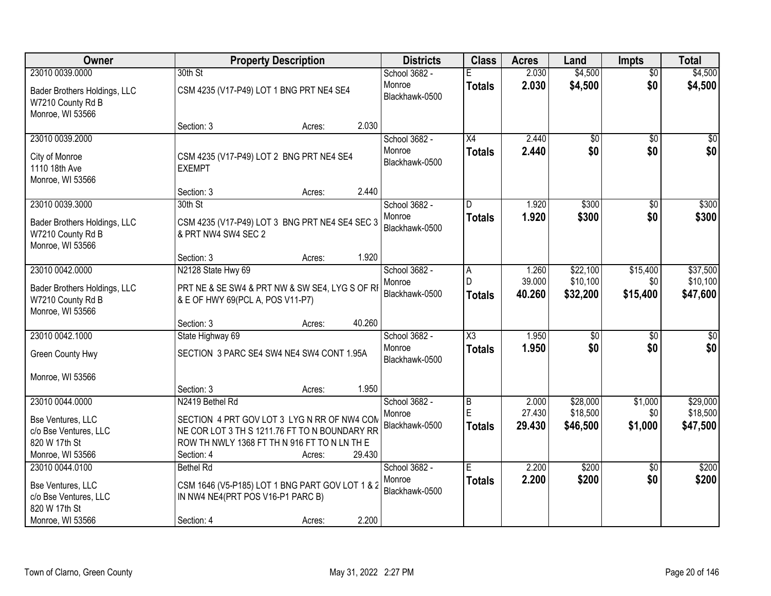| Owner                                           |                                                           | <b>Property Description</b> |        | <b>Districts</b>         | <b>Class</b>           | <b>Acres</b>   | Land               | <b>Impts</b>           | <b>Total</b>       |
|-------------------------------------------------|-----------------------------------------------------------|-----------------------------|--------|--------------------------|------------------------|----------------|--------------------|------------------------|--------------------|
| 23010 0039.0000<br>Bader Brothers Holdings, LLC | 30th St<br>CSM 4235 (V17-P49) LOT 1 BNG PRT NE4 SE4       |                             |        | School 3682 -<br>Monroe  | <b>Totals</b>          | 2.030<br>2.030 | \$4,500<br>\$4,500 | $\overline{50}$<br>\$0 | \$4,500<br>\$4,500 |
| W7210 County Rd B<br>Monroe, WI 53566           |                                                           |                             |        | Blackhawk-0500           |                        |                |                    |                        |                    |
|                                                 | Section: 3                                                | Acres:                      | 2.030  |                          |                        |                |                    |                        |                    |
| 23010 0039.2000                                 |                                                           |                             |        | School 3682 -            | $\overline{X4}$        | 2.440          | \$0                | \$0                    | \$0                |
| City of Monroe<br>1110 18th Ave                 | CSM 4235 (V17-P49) LOT 2 BNG PRT NE4 SE4<br><b>EXEMPT</b> |                             |        | Monroe<br>Blackhawk-0500 | <b>Totals</b>          | 2.440          | \$0                | \$0                    | \$0                |
| Monroe, WI 53566                                |                                                           |                             |        |                          |                        |                |                    |                        |                    |
|                                                 | Section: 3                                                | Acres:                      | 2.440  |                          |                        |                |                    |                        |                    |
| 23010 0039.3000                                 | 30th St                                                   |                             |        | School 3682 -            | D                      | 1.920          | \$300              | \$0                    | \$300              |
| Bader Brothers Holdings, LLC                    | CSM 4235 (V17-P49) LOT 3 BNG PRT NE4 SE4 SEC 3            |                             |        | Monroe<br>Blackhawk-0500 | <b>Totals</b>          | 1.920          | \$300              | \$0                    | \$300              |
| W7210 County Rd B                               | & PRT NW4 SW4 SEC 2                                       |                             |        |                          |                        |                |                    |                        |                    |
| Monroe, WI 53566                                |                                                           |                             |        |                          |                        |                |                    |                        |                    |
| 23010 0042.0000                                 | Section: 3<br>N2128 State Hwy 69                          | Acres:                      | 1.920  | School 3682 -            |                        | 1.260          | \$22,100           | \$15,400               | \$37,500           |
|                                                 |                                                           |                             |        | Monroe                   | A<br>D                 | 39.000         | \$10,100           | \$0                    | \$10,100           |
| Bader Brothers Holdings, LLC                    | PRT NE & SE SW4 & PRT NW & SW SE4, LYG S OF RI            |                             |        | Blackhawk-0500           | <b>Totals</b>          | 40.260         | \$32,200           | \$15,400               | \$47,600           |
| W7210 County Rd B                               | & E OF HWY 69(PCL A, POS V11-P7)                          |                             |        |                          |                        |                |                    |                        |                    |
| Monroe, WI 53566                                |                                                           |                             |        |                          |                        |                |                    |                        |                    |
| 23010 0042.1000                                 | Section: 3                                                | Acres:                      | 40.260 |                          | $\overline{\text{X3}}$ | 1.950          |                    |                        |                    |
|                                                 | State Highway 69                                          |                             |        | School 3682 -<br>Monroe  |                        | 1.950          | \$0<br>\$0         | $\overline{50}$<br>\$0 | $\sqrt{50}$        |
| Green County Hwy                                | SECTION 3 PARC SE4 SW4 NE4 SW4 CONT 1.95A                 |                             |        | Blackhawk-0500           | <b>Totals</b>          |                |                    |                        | \$0                |
| Monroe, WI 53566                                |                                                           |                             |        |                          |                        |                |                    |                        |                    |
|                                                 | Section: 3                                                | Acres:                      | 1.950  |                          |                        |                |                    |                        |                    |
| 23010 0044.0000                                 | N2419 Bethel Rd                                           |                             |        | School 3682 -            | $\overline{B}$         | 2.000          | \$28,000           | \$1,000                | \$29,000           |
| Bse Ventures, LLC                               | SECTION 4 PRT GOV LOT 3 LYG N RR OF NW4 COM               |                             |        | Monroe                   | E                      | 27.430         | \$18,500           | \$0                    | \$18,500           |
| c/o Bse Ventures, LLC                           | NE COR LOT 3 TH S 1211.76 FT TO N BOUNDARY RR             |                             |        | Blackhawk-0500           | <b>Totals</b>          | 29.430         | \$46,500           | \$1,000                | \$47,500           |
| 820 W 17th St                                   | ROW TH NWLY 1368 FT TH N 916 FT TO N LN TH E              |                             |        |                          |                        |                |                    |                        |                    |
| Monroe, WI 53566                                | Section: 4                                                | Acres:                      | 29.430 |                          |                        |                |                    |                        |                    |
| 23010 0044.0100                                 | <b>Bethel Rd</b>                                          |                             |        | School 3682 -            | $\overline{E}$         | 2.200          | \$200              | $\overline{50}$        | \$200              |
| Bse Ventures, LLC                               | CSM 1646 (V5-P185) LOT 1 BNG PART GOV LOT 1 & 2           |                             |        | Monroe                   | <b>Totals</b>          | 2.200          | \$200              | \$0                    | \$200              |
| c/o Bse Ventures, LLC                           | IN NW4 NE4(PRT POS V16-P1 PARC B)                         |                             |        | Blackhawk-0500           |                        |                |                    |                        |                    |
| 820 W 17th St                                   |                                                           |                             |        |                          |                        |                |                    |                        |                    |
| Monroe, WI 53566                                | Section: 4                                                | Acres:                      | 2.200  |                          |                        |                |                    |                        |                    |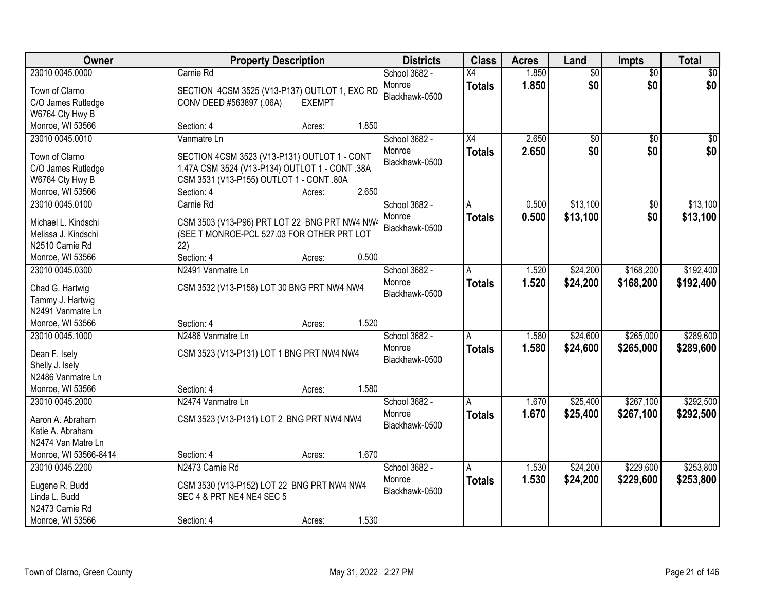| Owner                 |                                                | <b>Property Description</b> |       | <b>Districts</b>         | <b>Class</b>    | <b>Acres</b> | Land            | <b>Impts</b>    | <b>Total</b> |
|-----------------------|------------------------------------------------|-----------------------------|-------|--------------------------|-----------------|--------------|-----------------|-----------------|--------------|
| 23010 0045.0000       | Carnie Rd                                      |                             |       | School 3682 -            | $\overline{X4}$ | 1.850        | $\overline{50}$ | $\overline{50}$ | $\sqrt{30}$  |
| Town of Clarno        | SECTION 4CSM 3525 (V13-P137) OUTLOT 1, EXC RD  |                             |       | Monroe                   | <b>Totals</b>   | 1.850        | \$0             | \$0             | \$0          |
| C/O James Rutledge    | CONV DEED #563897 (.06A)                       | <b>EXEMPT</b>               |       | Blackhawk-0500           |                 |              |                 |                 |              |
| W6764 Cty Hwy B       |                                                |                             |       |                          |                 |              |                 |                 |              |
| Monroe, WI 53566      | Section: 4                                     | Acres:                      | 1.850 |                          |                 |              |                 |                 |              |
| 23010 0045.0010       | Vanmatre Ln                                    |                             |       | School 3682 -            | $\overline{X4}$ | 2.650        | $\overline{50}$ | $\overline{50}$ | \$0          |
|                       |                                                |                             |       | Monroe                   | <b>Totals</b>   | 2.650        | \$0             | \$0             | \$0          |
| Town of Clarno        | SECTION 4CSM 3523 (V13-P131) OUTLOT 1 - CONT   |                             |       | Blackhawk-0500           |                 |              |                 |                 |              |
| C/O James Rutledge    | 1.47A CSM 3524 (V13-P134) OUTLOT 1 - CONT .38A |                             |       |                          |                 |              |                 |                 |              |
| W6764 Cty Hwy B       | CSM 3531 (V13-P155) OUTLOT 1 - CONT .80A       |                             |       |                          |                 |              |                 |                 |              |
| Monroe, WI 53566      | Section: 4                                     | Acres:                      | 2.650 |                          |                 |              |                 |                 |              |
| 23010 0045.0100       | Carnie Rd                                      |                             |       | School 3682 -            | A               | 0.500        | \$13,100        | \$0             | \$13,100     |
| Michael L. Kindschi   | CSM 3503 (V13-P96) PRT LOT 22 BNG PRT NW4 NW4  |                             |       | Monroe                   | <b>Totals</b>   | 0.500        | \$13,100        | \$0             | \$13,100     |
| Melissa J. Kindschi   | (SEE T MONROE-PCL 527.03 FOR OTHER PRT LOT     |                             |       | Blackhawk-0500           |                 |              |                 |                 |              |
| N2510 Carnie Rd       | 22)                                            |                             |       |                          |                 |              |                 |                 |              |
| Monroe, WI 53566      | Section: 4                                     | Acres:                      | 0.500 |                          |                 |              |                 |                 |              |
| 23010 0045.0300       | N2491 Vanmatre Ln                              |                             |       | School 3682 -            | A               | 1.520        | \$24,200        | \$168,200       | \$192,400    |
|                       |                                                |                             |       | Monroe                   | <b>Totals</b>   | 1.520        | \$24,200        | \$168,200       | \$192,400    |
| Chad G. Hartwig       | CSM 3532 (V13-P158) LOT 30 BNG PRT NW4 NW4     |                             |       | Blackhawk-0500           |                 |              |                 |                 |              |
| Tammy J. Hartwig      |                                                |                             |       |                          |                 |              |                 |                 |              |
| N2491 Vanmatre Ln     |                                                |                             |       |                          |                 |              |                 |                 |              |
| Monroe, WI 53566      | Section: 4                                     | Acres:                      | 1.520 |                          |                 |              |                 |                 |              |
| 23010 0045.1000       | N2486 Vanmatre Ln                              |                             |       | School 3682 -            | A               | 1.580        | \$24,600        | \$265,000       | \$289,600    |
| Dean F. Isely         | CSM 3523 (V13-P131) LOT 1 BNG PRT NW4 NW4      |                             |       | Monroe                   | <b>Totals</b>   | 1.580        | \$24,600        | \$265,000       | \$289,600    |
| Shelly J. Isely       |                                                |                             |       | Blackhawk-0500           |                 |              |                 |                 |              |
| N2486 Vanmatre Ln     |                                                |                             |       |                          |                 |              |                 |                 |              |
| Monroe, WI 53566      | Section: 4                                     | Acres:                      | 1.580 |                          |                 |              |                 |                 |              |
| 23010 0045.2000       | N2474 Vanmatre Ln                              |                             |       | School 3682 -            | A               | 1.670        | \$25,400        | \$267,100       | \$292,500    |
|                       |                                                |                             |       |                          |                 |              |                 |                 |              |
| Aaron A. Abraham      | CSM 3523 (V13-P131) LOT 2 BNG PRT NW4 NW4      |                             |       | Monroe<br>Blackhawk-0500 | <b>Totals</b>   | 1.670        | \$25,400        | \$267,100       | \$292,500    |
| Katie A. Abraham      |                                                |                             |       |                          |                 |              |                 |                 |              |
| N2474 Van Matre Ln    |                                                |                             |       |                          |                 |              |                 |                 |              |
| Monroe, WI 53566-8414 | Section: 4                                     | Acres:                      | 1.670 |                          |                 |              |                 |                 |              |
| 23010 0045.2200       | N2473 Carnie Rd                                |                             |       | School 3682 -            | A               | 1.530        | \$24,200        | \$229,600       | \$253,800    |
|                       |                                                |                             |       | Monroe                   | <b>Totals</b>   | 1.530        | \$24,200        | \$229,600       | \$253,800    |
| Eugene R. Budd        | CSM 3530 (V13-P152) LOT 22 BNG PRT NW4 NW4     |                             |       | Blackhawk-0500           |                 |              |                 |                 |              |
| Linda L. Budd         | SEC 4 & PRT NE4 NE4 SEC 5                      |                             |       |                          |                 |              |                 |                 |              |
| N2473 Carnie Rd       |                                                |                             |       |                          |                 |              |                 |                 |              |
| Monroe, WI 53566      | Section: 4                                     | Acres:                      | 1.530 |                          |                 |              |                 |                 |              |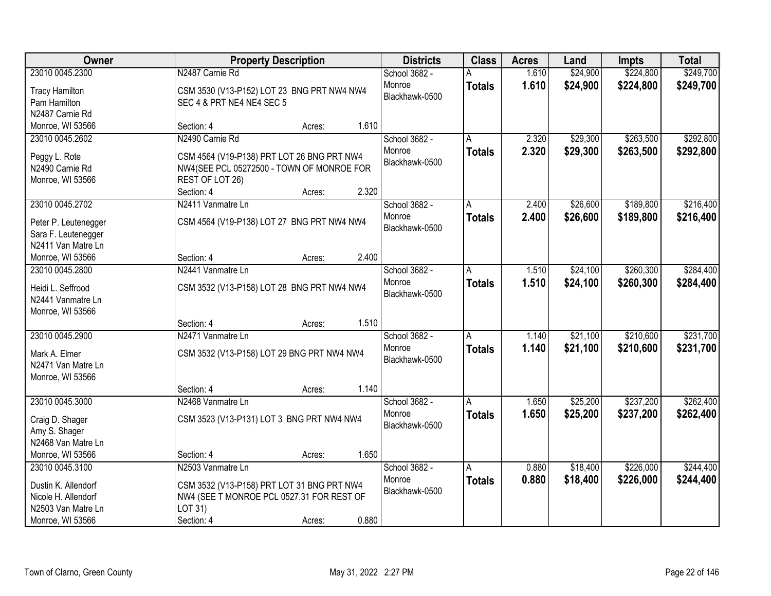| Owner                 |                                            | <b>Property Description</b> |       | <b>Districts</b> | <b>Class</b>  | <b>Acres</b> | Land     | <b>Impts</b> | <b>Total</b> |
|-----------------------|--------------------------------------------|-----------------------------|-------|------------------|---------------|--------------|----------|--------------|--------------|
| 23010 0045.2300       | N2487 Carnie Rd                            |                             |       | School 3682 -    |               | 1.610        | \$24,900 | \$224,800    | \$249,700    |
| <b>Tracy Hamilton</b> | CSM 3530 (V13-P152) LOT 23 BNG PRT NW4 NW4 |                             |       | Monroe           | <b>Totals</b> | 1.610        | \$24,900 | \$224,800    | \$249,700    |
| Pam Hamilton          | SEC 4 & PRT NE4 NE4 SEC 5                  |                             |       | Blackhawk-0500   |               |              |          |              |              |
| N2487 Carnie Rd       |                                            |                             |       |                  |               |              |          |              |              |
| Monroe, WI 53566      | Section: 4                                 | Acres:                      | 1.610 |                  |               |              |          |              |              |
| 23010 0045.2602       | N2490 Carnie Rd                            |                             |       | School 3682 -    | A             | 2.320        | \$29,300 | \$263,500    | \$292,800    |
|                       |                                            |                             |       | Monroe           | <b>Totals</b> | 2.320        | \$29,300 | \$263,500    | \$292,800    |
| Peggy L. Rote         | CSM 4564 (V19-P138) PRT LOT 26 BNG PRT NW4 |                             |       | Blackhawk-0500   |               |              |          |              |              |
| N2490 Carnie Rd       | NW4(SEE PCL 05272500 - TOWN OF MONROE FOR  |                             |       |                  |               |              |          |              |              |
| Monroe, WI 53566      | REST OF LOT 26)                            |                             |       |                  |               |              |          |              |              |
|                       | Section: 4                                 | Acres:                      | 2.320 |                  |               |              |          |              |              |
| 23010 0045.2702       | N2411 Vanmatre Ln                          |                             |       | School 3682 -    | A             | 2.400        | \$26,600 | \$189,800    | \$216,400    |
| Peter P. Leutenegger  | CSM 4564 (V19-P138) LOT 27 BNG PRT NW4 NW4 |                             |       | Monroe           | <b>Totals</b> | 2.400        | \$26,600 | \$189,800    | \$216,400    |
| Sara F. Leutenegger   |                                            |                             |       | Blackhawk-0500   |               |              |          |              |              |
| N2411 Van Matre Ln    |                                            |                             |       |                  |               |              |          |              |              |
| Monroe, WI 53566      | Section: 4                                 | Acres:                      | 2.400 |                  |               |              |          |              |              |
| 23010 0045.2800       | N2441 Vanmatre Ln                          |                             |       | School 3682 -    | A             | 1.510        | \$24,100 | \$260,300    | \$284,400    |
|                       |                                            |                             |       | Monroe           | <b>Totals</b> | 1.510        | \$24,100 | \$260,300    | \$284,400    |
| Heidi L. Seffrood     | CSM 3532 (V13-P158) LOT 28 BNG PRT NW4 NW4 |                             |       | Blackhawk-0500   |               |              |          |              |              |
| N2441 Vanmatre Ln     |                                            |                             |       |                  |               |              |          |              |              |
| Monroe, WI 53566      |                                            |                             |       |                  |               |              |          |              |              |
|                       | Section: 4                                 | Acres:                      | 1.510 |                  |               |              |          |              |              |
| 23010 0045.2900       | N2471 Vanmatre Ln                          |                             |       | School 3682 -    | Α             | 1.140        | \$21,100 | \$210,600    | \$231,700    |
| Mark A. Elmer         | CSM 3532 (V13-P158) LOT 29 BNG PRT NW4 NW4 |                             |       | Monroe           | <b>Totals</b> | 1.140        | \$21,100 | \$210,600    | \$231,700    |
| N2471 Van Matre Ln    |                                            |                             |       | Blackhawk-0500   |               |              |          |              |              |
| Monroe, WI 53566      |                                            |                             |       |                  |               |              |          |              |              |
|                       | Section: 4                                 | Acres:                      | 1.140 |                  |               |              |          |              |              |
| 23010 0045.3000       | N2468 Vanmatre Ln                          |                             |       | School 3682 -    | A             | 1.650        | \$25,200 | \$237,200    | \$262,400    |
| Craig D. Shager       | CSM 3523 (V13-P131) LOT 3 BNG PRT NW4 NW4  |                             |       | Monroe           | <b>Totals</b> | 1.650        | \$25,200 | \$237,200    | \$262,400    |
| Amy S. Shager         |                                            |                             |       | Blackhawk-0500   |               |              |          |              |              |
| N2468 Van Matre Ln    |                                            |                             |       |                  |               |              |          |              |              |
| Monroe, WI 53566      | Section: 4                                 | Acres:                      | 1.650 |                  |               |              |          |              |              |
| 23010 0045.3100       | N2503 Vanmatre Ln                          |                             |       | School 3682 -    | A             | 0.880        | \$18,400 | \$226,000    | \$244,400    |
|                       |                                            |                             |       | Monroe           |               | 0.880        |          | \$226,000    |              |
| Dustin K. Allendorf   | CSM 3532 (V13-P158) PRT LOT 31 BNG PRT NW4 |                             |       | Blackhawk-0500   | <b>Totals</b> |              | \$18,400 |              | \$244,400    |
| Nicole H. Allendorf   | NW4 (SEE T MONROE PCL 0527.31 FOR REST OF  |                             |       |                  |               |              |          |              |              |
| N2503 Van Matre Ln    | LOT 31)                                    |                             |       |                  |               |              |          |              |              |
| Monroe, WI 53566      | Section: 4                                 | Acres:                      | 0.880 |                  |               |              |          |              |              |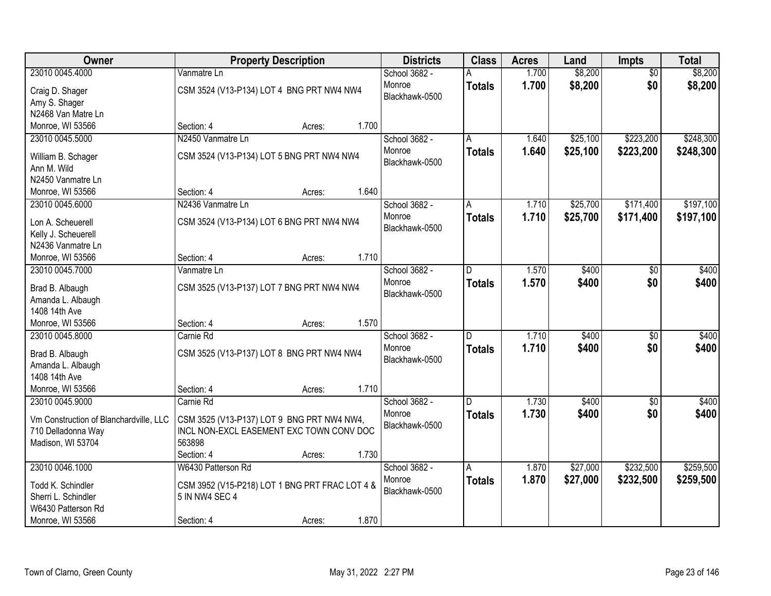| Owner                                  | <b>Property Description</b>                    |       | <b>Districts</b> | <b>Class</b>  | <b>Acres</b> | Land     | Impts           | <b>Total</b> |
|----------------------------------------|------------------------------------------------|-------|------------------|---------------|--------------|----------|-----------------|--------------|
| 23010 0045.4000                        | Vanmatre Ln                                    |       | School 3682 -    |               | 1.700        | \$8,200  | $\overline{50}$ | \$8,200      |
| Craig D. Shager                        | CSM 3524 (V13-P134) LOT 4 BNG PRT NW4 NW4      |       | Monroe           | <b>Totals</b> | 1.700        | \$8,200  | \$0             | \$8,200      |
| Amy S. Shager                          |                                                |       | Blackhawk-0500   |               |              |          |                 |              |
| N2468 Van Matre Ln                     |                                                |       |                  |               |              |          |                 |              |
| Monroe, WI 53566                       | Section: 4<br>Acres:                           | 1.700 |                  |               |              |          |                 |              |
| 23010 0045.5000                        | N2450 Vanmatre Ln                              |       | School 3682 -    | A             | 1.640        | \$25,100 | \$223,200       | \$248,300    |
|                                        |                                                |       | Monroe           | <b>Totals</b> | 1.640        | \$25,100 | \$223,200       | \$248,300    |
| William B. Schager                     | CSM 3524 (V13-P134) LOT 5 BNG PRT NW4 NW4      |       | Blackhawk-0500   |               |              |          |                 |              |
| Ann M. Wild                            |                                                |       |                  |               |              |          |                 |              |
| N2450 Vanmatre Ln                      |                                                |       |                  |               |              |          |                 |              |
| Monroe, WI 53566                       | Section: 4<br>Acres:                           | 1.640 |                  |               |              |          |                 |              |
| 23010 0045.6000                        | N2436 Vanmatre Ln                              |       | School 3682 -    | A             | 1.710        | \$25,700 | \$171,400       | \$197,100    |
| Lon A. Scheuerell                      | CSM 3524 (V13-P134) LOT 6 BNG PRT NW4 NW4      |       | Monroe           | <b>Totals</b> | 1.710        | \$25,700 | \$171,400       | \$197,100    |
| Kelly J. Scheuerell                    |                                                |       | Blackhawk-0500   |               |              |          |                 |              |
| N2436 Vanmatre Ln                      |                                                |       |                  |               |              |          |                 |              |
| Monroe, WI 53566                       | Section: 4<br>Acres:                           | 1.710 |                  |               |              |          |                 |              |
| 23010 0045.7000                        | Vanmatre Ln                                    |       | School 3682 -    | D.            | 1.570        | \$400    | \$0             | \$400        |
|                                        | CSM 3525 (V13-P137) LOT 7 BNG PRT NW4 NW4      |       | Monroe           | <b>Totals</b> | 1.570        | \$400    | \$0             | \$400        |
| Brad B. Albaugh<br>Amanda L. Albaugh   |                                                |       | Blackhawk-0500   |               |              |          |                 |              |
| 1408 14th Ave                          |                                                |       |                  |               |              |          |                 |              |
| Monroe, WI 53566                       | Section: 4<br>Acres:                           | 1.570 |                  |               |              |          |                 |              |
| 23010 0045.8000                        | Carnie Rd                                      |       | School 3682 -    | D.            | 1.710        | \$400    | $\overline{50}$ | \$400        |
|                                        |                                                |       | Monroe           | <b>Totals</b> | 1.710        | \$400    | \$0             | \$400        |
| Brad B. Albaugh                        | CSM 3525 (V13-P137) LOT 8 BNG PRT NW4 NW4      |       | Blackhawk-0500   |               |              |          |                 |              |
| Amanda L. Albaugh                      |                                                |       |                  |               |              |          |                 |              |
| 1408 14th Ave                          |                                                |       |                  |               |              |          |                 |              |
| Monroe, WI 53566                       | Section: 4<br>Acres:                           | 1.710 |                  |               |              |          |                 |              |
| 23010 0045.9000                        | Carnie Rd                                      |       | School 3682 -    | D             | 1.730        | \$400    | $\overline{50}$ | \$400        |
| Vm Construction of Blanchardville, LLC | CSM 3525 (V13-P137) LOT 9 BNG PRT NW4 NW4,     |       | Monroe           | <b>Totals</b> | 1.730        | \$400    | \$0             | \$400        |
| 710 Delladonna Way                     | INCL NON-EXCL EASEMENT EXC TOWN CONV DOC       |       | Blackhawk-0500   |               |              |          |                 |              |
| Madison, WI 53704                      | 563898                                         |       |                  |               |              |          |                 |              |
|                                        | Section: 4<br>Acres:                           | 1.730 |                  |               |              |          |                 |              |
| 23010 0046.1000                        | W6430 Patterson Rd                             |       | School 3682 -    | A             | 1.870        | \$27,000 | \$232,500       | \$259,500    |
|                                        |                                                |       | Monroe           | <b>Totals</b> | 1.870        | \$27,000 | \$232,500       | \$259,500    |
| Todd K. Schindler                      | CSM 3952 (V15-P218) LOT 1 BNG PRT FRAC LOT 4 & |       | Blackhawk-0500   |               |              |          |                 |              |
| Sherri L. Schindler                    | 5 IN NW4 SEC 4                                 |       |                  |               |              |          |                 |              |
| W6430 Patterson Rd                     |                                                |       |                  |               |              |          |                 |              |
| Monroe, WI 53566                       | Section: 4<br>Acres:                           | 1.870 |                  |               |              |          |                 |              |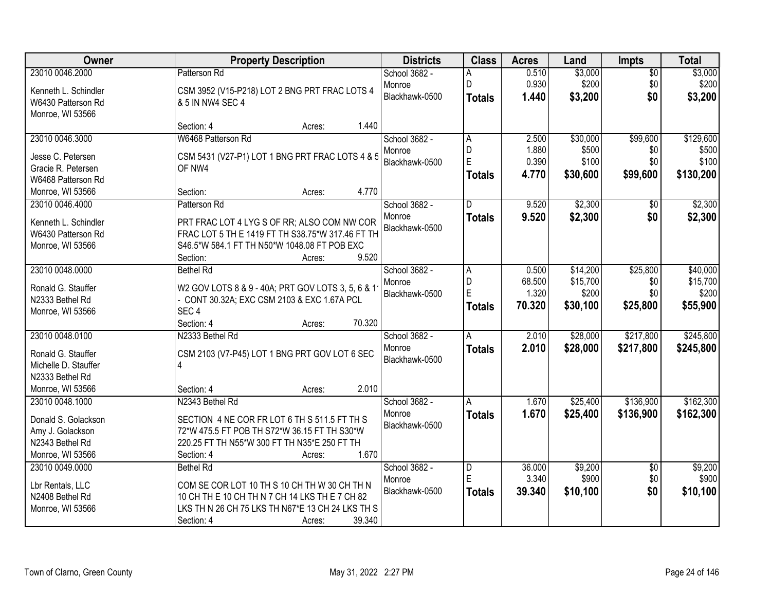| Owner                               | <b>Property Description</b>                                     | <b>Districts</b> | <b>Class</b>  | <b>Acres</b> | Land     | Impts           | <b>Total</b> |
|-------------------------------------|-----------------------------------------------------------------|------------------|---------------|--------------|----------|-----------------|--------------|
| 23010 0046.2000                     | Patterson Rd                                                    | School 3682 -    | A             | 0.510        | \$3,000  | $\overline{60}$ | \$3,000      |
| Kenneth L. Schindler                | CSM 3952 (V15-P218) LOT 2 BNG PRT FRAC LOTS 4                   | Monroe           | D             | 0.930        | \$200    | \$0             | \$200        |
| W6430 Patterson Rd                  | & 5 IN NW4 SEC 4                                                | Blackhawk-0500   | <b>Totals</b> | 1.440        | \$3,200  | \$0             | \$3,200      |
| Monroe, WI 53566                    |                                                                 |                  |               |              |          |                 |              |
|                                     | 1.440<br>Section: 4<br>Acres:                                   |                  |               |              |          |                 |              |
| 23010 0046.3000                     | W6468 Patterson Rd                                              | School 3682 -    | A             | 2.500        | \$30,000 | \$99,600        | \$129,600    |
| Jesse C. Petersen                   | CSM 5431 (V27-P1) LOT 1 BNG PRT FRAC LOTS 4 & 5                 | Monroe           | D             | 1.880        | \$500    | \$0             | \$500        |
| Gracie R. Petersen                  | OF NW4                                                          | Blackhawk-0500   | E             | 0.390        | \$100    | \$0             | \$100        |
| W6468 Patterson Rd                  |                                                                 |                  | <b>Totals</b> | 4.770        | \$30,600 | \$99,600        | \$130,200    |
| Monroe, WI 53566                    | 4.770<br>Section:<br>Acres:                                     |                  |               |              |          |                 |              |
| 23010 0046.4000                     | Patterson Rd                                                    | School 3682 -    | D             | 9.520        | \$2,300  | \$0             | \$2,300      |
| Kenneth L. Schindler                | PRT FRAC LOT 4 LYG S OF RR; ALSO COM NW COR                     | Monroe           | <b>Totals</b> | 9.520        | \$2,300  | \$0             | \$2,300      |
| W6430 Patterson Rd                  | FRAC LOT 5 TH E 1419 FT TH S38.75*W 317.46 FT TH                | Blackhawk-0500   |               |              |          |                 |              |
| Monroe, WI 53566                    | S46.5*W 584.1 FT TH N50*W 1048.08 FT POB EXC                    |                  |               |              |          |                 |              |
|                                     | 9.520<br>Section:<br>Acres:                                     |                  |               |              |          |                 |              |
| 23010 0048.0000                     | <b>Bethel Rd</b>                                                | School 3682 -    | A             | 0.500        | \$14,200 | \$25,800        | \$40,000     |
|                                     |                                                                 | Monroe           | D             | 68.500       | \$15,700 | \$0             | \$15,700     |
| Ronald G. Stauffer                  | W2 GOV LOTS 8 & 9 - 40A; PRT GOV LOTS 3, 5, 6 & 1               | Blackhawk-0500   | E             | 1.320        | \$200    | \$0             | \$200        |
| N2333 Bethel Rd<br>Monroe, WI 53566 | - CONT 30.32A; EXC CSM 2103 & EXC 1.67A PCL<br>SEC <sub>4</sub> |                  | <b>Totals</b> | 70.320       | \$30,100 | \$25,800        | \$55,900     |
|                                     | 70.320<br>Section: 4<br>Acres:                                  |                  |               |              |          |                 |              |
| 23010 0048.0100                     | N2333 Bethel Rd                                                 | School 3682 -    | A             | 2.010        | \$28,000 | \$217,800       | \$245,800    |
|                                     |                                                                 | Monroe           | <b>Totals</b> | 2.010        | \$28,000 | \$217,800       | \$245,800    |
| Ronald G. Stauffer                  | CSM 2103 (V7-P45) LOT 1 BNG PRT GOV LOT 6 SEC                   | Blackhawk-0500   |               |              |          |                 |              |
| Michelle D. Stauffer                | 4                                                               |                  |               |              |          |                 |              |
| N2333 Bethel Rd                     |                                                                 |                  |               |              |          |                 |              |
| Monroe, WI 53566                    | 2.010<br>Section: 4<br>Acres:                                   |                  |               |              |          |                 |              |
| 23010 0048.1000                     | N2343 Bethel Rd                                                 | School 3682 -    | A             | 1.670        | \$25,400 | \$136,900       | \$162,300    |
| Donald S. Golackson                 | SECTION 4 NE COR FR LOT 6 TH S 511.5 FT TH S                    | Monroe           | <b>Totals</b> | 1.670        | \$25,400 | \$136,900       | \$162,300    |
| Amy J. Golackson                    | 72*W 475.5 FT POB TH S72*W 36.15 FT TH S30*W                    | Blackhawk-0500   |               |              |          |                 |              |
| N2343 Bethel Rd                     | 220.25 FT TH N55*W 300 FT TH N35*E 250 FT TH                    |                  |               |              |          |                 |              |
| Monroe, WI 53566                    | 1.670<br>Section: 4<br>Acres:                                   |                  |               |              |          |                 |              |
| 23010 0049.0000                     | <b>Bethel Rd</b>                                                | School 3682 -    | D             | 36.000       | \$9,200  | $\overline{50}$ | \$9,200      |
| Lbr Rentals, LLC                    | COM SE COR LOT 10 TH S 10 CH TH W 30 CH TH N                    | Monroe           | E             | 3.340        | \$900    | \$0             | \$900        |
| N2408 Bethel Rd                     | 10 CH TH E 10 CH TH N 7 CH 14 LKS TH E 7 CH 82                  | Blackhawk-0500   | <b>Totals</b> | 39.340       | \$10,100 | \$0             | \$10,100     |
| Monroe, WI 53566                    | LKS TH N 26 CH 75 LKS TH N67*E 13 CH 24 LKS TH S                |                  |               |              |          |                 |              |
|                                     | 39.340<br>Section: 4<br>Acres:                                  |                  |               |              |          |                 |              |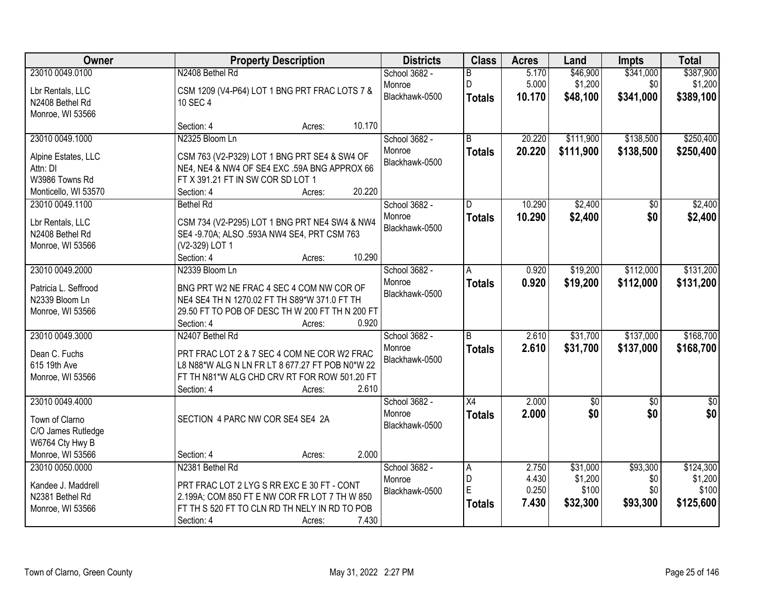| Owner                                  | <b>Property Description</b>                                                                     | <b>Districts</b> | <b>Class</b>    | <b>Acres</b> | Land            | <b>Impts</b>    | <b>Total</b> |
|----------------------------------------|-------------------------------------------------------------------------------------------------|------------------|-----------------|--------------|-----------------|-----------------|--------------|
| 23010 0049.0100                        | N2408 Bethel Rd                                                                                 | School 3682 -    | B               | 5.170        | \$46,900        | \$341,000       | \$387,900    |
| Lbr Rentals, LLC                       | CSM 1209 (V4-P64) LOT 1 BNG PRT FRAC LOTS 7 &                                                   | Monroe           | D               | 5.000        | \$1,200         | \$0             | \$1,200      |
| N2408 Bethel Rd                        | 10 SEC 4                                                                                        | Blackhawk-0500   | <b>Totals</b>   | 10.170       | \$48,100        | \$341,000       | \$389,100    |
| Monroe, WI 53566                       |                                                                                                 |                  |                 |              |                 |                 |              |
|                                        | 10.170<br>Section: 4<br>Acres:                                                                  |                  |                 |              |                 |                 |              |
| 23010 0049.1000                        | N2325 Bloom Ln                                                                                  | School 3682 -    | $\overline{B}$  | 20.220       | \$111,900       | \$138,500       | \$250,400    |
| Alpine Estates, LLC                    | CSM 763 (V2-P329) LOT 1 BNG PRT SE4 & SW4 OF                                                    | Monroe           | <b>Totals</b>   | 20.220       | \$111,900       | \$138,500       | \$250,400    |
| Attn: DI                               | NE4, NE4 & NW4 OF SE4 EXC .59A BNG APPROX 66                                                    | Blackhawk-0500   |                 |              |                 |                 |              |
| W3986 Towns Rd                         | FT X 391.21 FT IN SW COR SD LOT 1                                                               |                  |                 |              |                 |                 |              |
| Monticello, WI 53570                   | 20.220<br>Section: 4<br>Acres:                                                                  |                  |                 |              |                 |                 |              |
| 23010 0049.1100                        | <b>Bethel Rd</b>                                                                                | School 3682 -    | D               | 10.290       | \$2,400         | \$0             | \$2,400      |
|                                        |                                                                                                 | Monroe           | <b>Totals</b>   | 10.290       | \$2,400         | \$0             | \$2,400      |
| Lbr Rentals, LLC<br>N2408 Bethel Rd    | CSM 734 (V2-P295) LOT 1 BNG PRT NE4 SW4 & NW4<br>SE4 -9.70A; ALSO .593A NW4 SE4, PRT CSM 763    | Blackhawk-0500   |                 |              |                 |                 |              |
| Monroe, WI 53566                       | (V2-329) LOT 1                                                                                  |                  |                 |              |                 |                 |              |
|                                        | 10.290<br>Section: 4<br>Acres:                                                                  |                  |                 |              |                 |                 |              |
| 23010 0049.2000                        | N2339 Bloom Ln                                                                                  | School 3682 -    | A               | 0.920        | \$19,200        | \$112,000       | \$131,200    |
|                                        |                                                                                                 | Monroe           | <b>Totals</b>   | 0.920        | \$19,200        | \$112,000       | \$131,200    |
| Patricia L. Seffrood<br>N2339 Bloom Ln | BNG PRT W2 NE FRAC 4 SEC 4 COM NW COR OF<br>NE4 SE4 TH N 1270.02 FT TH S89*W 371.0 FT TH        | Blackhawk-0500   |                 |              |                 |                 |              |
| Monroe, WI 53566                       | 29.50 FT TO POB OF DESC TH W 200 FT TH N 200 FT                                                 |                  |                 |              |                 |                 |              |
|                                        | 0.920<br>Section: 4<br>Acres:                                                                   |                  |                 |              |                 |                 |              |
| 23010 0049.3000                        | N2407 Bethel Rd                                                                                 | School 3682 -    | R.              | 2.610        | \$31,700        | \$137,000       | \$168,700    |
|                                        |                                                                                                 | Monroe           | <b>Totals</b>   | 2.610        | \$31,700        | \$137,000       | \$168,700    |
| Dean C. Fuchs                          | PRT FRAC LOT 2 & 7 SEC 4 COM NE COR W2 FRAC                                                     | Blackhawk-0500   |                 |              |                 |                 |              |
| 615 19th Ave<br>Monroe, WI 53566       | L8 N88*W ALG N LN FR LT 8 677.27 FT POB N0*W 22<br>FT TH N81*W ALG CHD CRV RT FOR ROW 501.20 FT |                  |                 |              |                 |                 |              |
|                                        | 2.610<br>Section: 4<br>Acres:                                                                   |                  |                 |              |                 |                 |              |
| 23010 0049.4000                        |                                                                                                 | School 3682 -    | $\overline{X4}$ | 2.000        | $\overline{60}$ | $\overline{50}$ | $\sqrt{50}$  |
|                                        |                                                                                                 | Monroe           | <b>Totals</b>   | 2.000        | \$0             | \$0             | \$0          |
| Town of Clarno                         | SECTION 4 PARC NW COR SE4 SE4 2A                                                                | Blackhawk-0500   |                 |              |                 |                 |              |
| C/O James Rutledge                     |                                                                                                 |                  |                 |              |                 |                 |              |
| W6764 Cty Hwy B<br>Monroe, WI 53566    | 2.000<br>Section: 4                                                                             |                  |                 |              |                 |                 |              |
| 23010 0050.0000                        | Acres:<br>N2381 Bethel Rd                                                                       | School 3682 -    |                 | 2.750        | \$31,000        | \$93,300        | \$124,300    |
|                                        |                                                                                                 | Monroe           | A<br>D          | 4.430        | \$1,200         | \$0             | \$1,200      |
| Kandee J. Maddrell                     | PRT FRAC LOT 2 LYG S RR EXC E 30 FT - CONT                                                      | Blackhawk-0500   | E               | 0.250        | \$100           | \$0             | \$100        |
| N2381 Bethel Rd                        | 2.199A; COM 850 FT E NW COR FR LOT 7 TH W 850                                                   |                  | <b>Totals</b>   | 7.430        | \$32,300        | \$93,300        | \$125,600    |
| Monroe, WI 53566                       | FT TH S 520 FT TO CLN RD TH NELY IN RD TO POB                                                   |                  |                 |              |                 |                 |              |
|                                        | 7.430<br>Section: 4<br>Acres:                                                                   |                  |                 |              |                 |                 |              |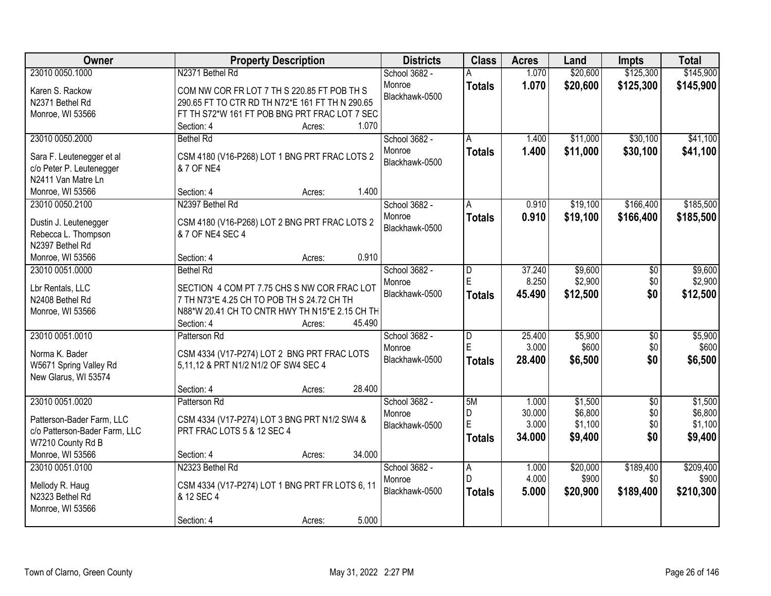| Owner                                                                                                                  | <b>Property Description</b>                                                                                                                                                                       | <b>Districts</b>                          | <b>Class</b>                  | <b>Acres</b>                       | Land                                     | <b>Impts</b>                         | <b>Total</b>                             |
|------------------------------------------------------------------------------------------------------------------------|---------------------------------------------------------------------------------------------------------------------------------------------------------------------------------------------------|-------------------------------------------|-------------------------------|------------------------------------|------------------------------------------|--------------------------------------|------------------------------------------|
| 23010 0050.1000                                                                                                        | N2371 Bethel Rd                                                                                                                                                                                   | School 3682 -                             |                               | 1.070                              | \$20,600                                 | \$125,300                            | \$145,900                                |
| Karen S. Rackow<br>N2371 Bethel Rd<br>Monroe, WI 53566                                                                 | COM NW COR FR LOT 7 TH S 220.85 FT POB TH S<br>290.65 FT TO CTR RD TH N72*E 161 FT TH N 290.65<br>FT TH S72*W 161 FT POB BNG PRT FRAC LOT 7 SEC<br>1.070<br>Section: 4<br>Acres:                  | Monroe<br>Blackhawk-0500                  | <b>Totals</b>                 | 1.070                              | \$20,600                                 | \$125,300                            | \$145,900                                |
| 23010 0050.2000<br>Sara F. Leutenegger et al<br>c/o Peter P. Leutenegger<br>N2411 Van Matre Ln                         | <b>Bethel Rd</b><br>CSM 4180 (V16-P268) LOT 1 BNG PRT FRAC LOTS 2<br>& 7 OF NE4                                                                                                                   | School 3682 -<br>Monroe<br>Blackhawk-0500 | A<br><b>Totals</b>            | 1.400<br>1.400                     | \$11,000<br>\$11,000                     | \$30,100<br>\$30,100                 | \$41,100<br>\$41,100                     |
| Monroe, WI 53566                                                                                                       | 1.400<br>Section: 4<br>Acres:                                                                                                                                                                     |                                           |                               |                                    |                                          |                                      |                                          |
| 23010 0050.2100<br>Dustin J. Leutenegger<br>Rebecca L. Thompson<br>N2397 Bethel Rd                                     | N2397 Bethel Rd<br>CSM 4180 (V16-P268) LOT 2 BNG PRT FRAC LOTS 2<br>& 7 OF NE4 SEC 4                                                                                                              | School 3682 -<br>Monroe<br>Blackhawk-0500 | A<br><b>Totals</b>            | 0.910<br>0.910                     | \$19,100<br>\$19,100                     | \$166,400<br>\$166,400               | \$185,500<br>\$185,500                   |
| Monroe, WI 53566                                                                                                       | 0.910<br>Section: 4<br>Acres:                                                                                                                                                                     |                                           |                               |                                    |                                          |                                      |                                          |
| 23010 0051.0000<br>Lbr Rentals, LLC<br>N2408 Bethel Rd<br>Monroe, WI 53566                                             | <b>Bethel Rd</b><br>SECTION 4 COM PT 7.75 CHS S NW COR FRAC LOT<br>7 TH N73*E 4.25 CH TO POB TH S 24.72 CH TH<br>N88*W 20.41 CH TO CNTR HWY TH N15*E 2.15 CH TH<br>45.490<br>Section: 4<br>Acres: | School 3682 -<br>Monroe<br>Blackhawk-0500 | D<br>E<br><b>Totals</b>       | 37.240<br>8.250<br>45.490          | \$9,600<br>\$2,900<br>\$12,500           | \$0<br>\$0<br>\$0                    | \$9,600<br>\$2,900<br>\$12,500           |
| 23010 0051.0010<br>Norma K. Bader<br>W5671 Spring Valley Rd<br>New Glarus, WI 53574                                    | Patterson Rd<br>CSM 4334 (V17-P274) LOT 2 BNG PRT FRAC LOTS<br>5,11,12 & PRT N1/2 N1/2 OF SW4 SEC 4<br>28.400<br>Section: 4<br>Acres:                                                             | School 3682 -<br>Monroe<br>Blackhawk-0500 | D<br>E<br><b>Totals</b>       | 25.400<br>3.000<br>28.400          | \$5,900<br>\$600<br>\$6,500              | $\overline{50}$<br>\$0<br>\$0        | \$5,900<br>\$600<br>\$6,500              |
| 23010 0051.0020<br>Patterson-Bader Farm, LLC<br>c/o Patterson-Bader Farm, LLC<br>W7210 County Rd B<br>Monroe, WI 53566 | Patterson Rd<br>CSM 4334 (V17-P274) LOT 3 BNG PRT N1/2 SW4 &<br>PRT FRAC LOTS 5 & 12 SEC 4<br>34.000<br>Section: 4<br>Acres:                                                                      | School 3682 -<br>Monroe<br>Blackhawk-0500 | 5M<br>D<br>E<br><b>Totals</b> | 1.000<br>30.000<br>3.000<br>34.000 | \$1,500<br>\$6,800<br>\$1,100<br>\$9,400 | $\overline{50}$<br>\$0<br>\$0<br>\$0 | \$1,500<br>\$6,800<br>\$1,100<br>\$9,400 |
| 23010 0051.0100<br>Mellody R. Haug<br>N2323 Bethel Rd<br>Monroe, WI 53566                                              | N2323 Bethel Rd<br>CSM 4334 (V17-P274) LOT 1 BNG PRT FR LOTS 6, 11<br>& 12 SEC 4<br>5.000<br>Section: 4<br>Acres:                                                                                 | School 3682 -<br>Monroe<br>Blackhawk-0500 | A<br>D.<br><b>Totals</b>      | 1.000<br>4.000<br>5.000            | \$20,000<br>\$900<br>\$20,900            | \$189,400<br>\$0<br>\$189,400        | \$209,400<br>\$900<br>\$210,300          |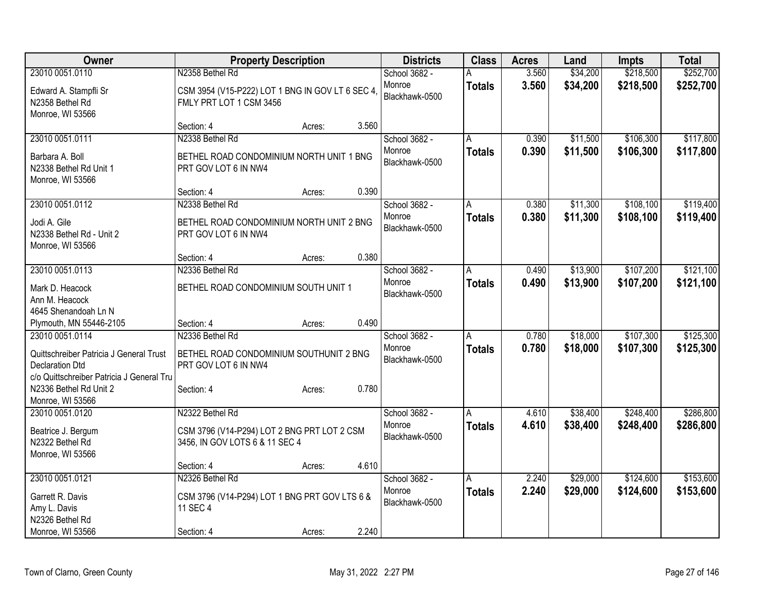| <b>Owner</b>                               |                                                  | <b>Property Description</b> |       | <b>Districts</b>         | <b>Class</b>   | <b>Acres</b> | Land     | Impts     | <b>Total</b> |
|--------------------------------------------|--------------------------------------------------|-----------------------------|-------|--------------------------|----------------|--------------|----------|-----------|--------------|
| 23010 0051.0110                            | N2358 Bethel Rd                                  |                             |       | School 3682 -            |                | 3.560        | \$34,200 | \$218,500 | \$252,700    |
| Edward A. Stampfli Sr                      | CSM 3954 (V15-P222) LOT 1 BNG IN GOV LT 6 SEC 4, |                             |       | Monroe                   | <b>Totals</b>  | 3.560        | \$34,200 | \$218,500 | \$252,700    |
| N2358 Bethel Rd                            | FMLY PRT LOT 1 CSM 3456                          |                             |       | Blackhawk-0500           |                |              |          |           |              |
| Monroe, WI 53566                           |                                                  |                             |       |                          |                |              |          |           |              |
|                                            | Section: 4                                       | Acres:                      | 3.560 |                          |                |              |          |           |              |
| 23010 0051.0111                            | N2338 Bethel Rd                                  |                             |       | School 3682 -            | A              | 0.390        | \$11,500 | \$106,300 | \$117,800    |
| Barbara A. Boll                            | BETHEL ROAD CONDOMINIUM NORTH UNIT 1 BNG         |                             |       | Monroe                   | <b>Totals</b>  | 0.390        | \$11,500 | \$106,300 | \$117,800    |
| N2338 Bethel Rd Unit 1                     | PRT GOV LOT 6 IN NW4                             |                             |       | Blackhawk-0500           |                |              |          |           |              |
| Monroe, WI 53566                           |                                                  |                             |       |                          |                |              |          |           |              |
|                                            | Section: 4                                       | Acres:                      | 0.390 |                          |                |              |          |           |              |
| 23010 0051.0112                            | N2338 Bethel Rd                                  |                             |       | School 3682 -            | A              | 0.380        | \$11,300 | \$108,100 | \$119,400    |
|                                            | BETHEL ROAD CONDOMINIUM NORTH UNIT 2 BNG         |                             |       | Monroe                   | <b>Totals</b>  | 0.380        | \$11,300 | \$108,100 | \$119,400    |
| Jodi A. Gile<br>N2338 Bethel Rd - Unit 2   | PRT GOV LOT 6 IN NW4                             |                             |       | Blackhawk-0500           |                |              |          |           |              |
| Monroe, WI 53566                           |                                                  |                             |       |                          |                |              |          |           |              |
|                                            | Section: 4                                       | Acres:                      | 0.380 |                          |                |              |          |           |              |
| 23010 0051.0113                            | N2336 Bethel Rd                                  |                             |       | School 3682 -            | A              | 0.490        | \$13,900 | \$107,200 | \$121,100    |
|                                            |                                                  |                             |       | Monroe                   | <b>Totals</b>  | 0.490        | \$13,900 | \$107,200 | \$121,100    |
| Mark D. Heacock                            | BETHEL ROAD CONDOMINIUM SOUTH UNIT 1             |                             |       | Blackhawk-0500           |                |              |          |           |              |
| Ann M. Heacock                             |                                                  |                             |       |                          |                |              |          |           |              |
| 4645 Shenandoah Ln N                       |                                                  |                             | 0.490 |                          |                |              |          |           |              |
| Plymouth, MN 55446-2105<br>23010 0051.0114 | Section: 4<br>N2336 Bethel Rd                    | Acres:                      |       |                          | $\overline{A}$ | 0.780        | \$18,000 | \$107,300 | \$125,300    |
|                                            |                                                  |                             |       | School 3682 -<br>Monroe  |                | 0.780        |          |           |              |
| Quittschreiber Patricia J General Trust    | BETHEL ROAD CONDOMINIUM SOUTHUNIT 2 BNG          |                             |       | Blackhawk-0500           | <b>Totals</b>  |              | \$18,000 | \$107,300 | \$125,300    |
| <b>Declaration Dtd</b>                     | PRT GOV LOT 6 IN NW4                             |                             |       |                          |                |              |          |           |              |
| c/o Quittschreiber Patricia J General Tru  |                                                  |                             |       |                          |                |              |          |           |              |
| N2336 Bethel Rd Unit 2                     | Section: 4                                       | Acres:                      | 0.780 |                          |                |              |          |           |              |
| Monroe, WI 53566                           |                                                  |                             |       |                          |                |              |          |           |              |
| 23010 0051.0120                            | N2322 Bethel Rd                                  |                             |       | School 3682 -            | A              | 4.610        | \$38,400 | \$248,400 | \$286,800    |
| Beatrice J. Bergum                         | CSM 3796 (V14-P294) LOT 2 BNG PRT LOT 2 CSM      |                             |       | Monroe<br>Blackhawk-0500 | <b>Totals</b>  | 4.610        | \$38,400 | \$248,400 | \$286,800    |
| N2322 Bethel Rd                            | 3456, IN GOV LOTS 6 & 11 SEC 4                   |                             |       |                          |                |              |          |           |              |
| Monroe, WI 53566                           |                                                  |                             |       |                          |                |              |          |           |              |
|                                            | Section: 4                                       | Acres:                      | 4.610 |                          |                |              |          |           |              |
| 23010 0051.0121                            | N2326 Bethel Rd                                  |                             |       | School 3682 -            | A              | 2.240        | \$29,000 | \$124,600 | \$153,600    |
| Garrett R. Davis                           | CSM 3796 (V14-P294) LOT 1 BNG PRT GOV LTS 6 &    |                             |       | Monroe                   | <b>Totals</b>  | 2.240        | \$29,000 | \$124,600 | \$153,600    |
| Amy L. Davis                               | 11 SEC 4                                         |                             |       | Blackhawk-0500           |                |              |          |           |              |
| N2326 Bethel Rd                            |                                                  |                             |       |                          |                |              |          |           |              |
| Monroe, WI 53566                           | Section: 4                                       | Acres:                      | 2.240 |                          |                |              |          |           |              |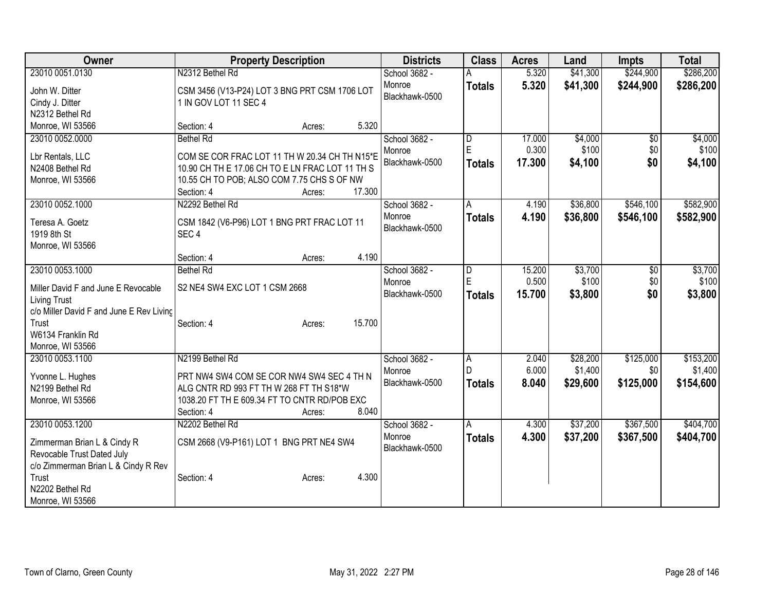| Owner                                                                                                                                                                       | <b>Property Description</b>                                                                                                                                                                          | <b>Districts</b>                          | <b>Class</b>            | <b>Acres</b>              | Land                            | <b>Impts</b>                  | <b>Total</b>                      |
|-----------------------------------------------------------------------------------------------------------------------------------------------------------------------------|------------------------------------------------------------------------------------------------------------------------------------------------------------------------------------------------------|-------------------------------------------|-------------------------|---------------------------|---------------------------------|-------------------------------|-----------------------------------|
| 23010 0051.0130<br>John W. Ditter<br>Cindy J. Ditter<br>N2312 Bethel Rd                                                                                                     | N2312 Bethel Rd<br>CSM 3456 (V13-P24) LOT 3 BNG PRT CSM 1706 LOT<br>1 IN GOV LOT 11 SEC 4                                                                                                            | School 3682 -<br>Monroe<br>Blackhawk-0500 | <b>Totals</b>           | 5.320<br>5.320            | \$41,300<br>\$41,300            | \$244,900<br>\$244,900        | \$286,200<br>\$286,200            |
| Monroe, WI 53566                                                                                                                                                            | 5.320<br>Section: 4<br>Acres:                                                                                                                                                                        |                                           |                         |                           |                                 |                               |                                   |
| 23010 0052.0000<br>Lbr Rentals, LLC<br>N2408 Bethel Rd<br>Monroe, WI 53566                                                                                                  | <b>Bethel Rd</b><br>COM SE COR FRAC LOT 11 TH W 20.34 CH TH N15*E<br>10.90 CH TH E 17.06 CH TO E LN FRAC LOT 11 TH S<br>10.55 CH TO POB; ALSO COM 7.75 CHS S OF NW<br>17.300<br>Section: 4<br>Acres: | School 3682 -<br>Monroe<br>Blackhawk-0500 | D<br>E<br><b>Totals</b> | 17.000<br>0.300<br>17.300 | \$4,000<br>\$100<br>\$4,100     | \$0<br>\$0<br>\$0             | \$4,000<br>\$100<br>\$4,100       |
| 23010 0052.1000<br>Teresa A. Goetz<br>1919 8th St<br>Monroe, WI 53566                                                                                                       | N2292 Bethel Rd<br>CSM 1842 (V6-P96) LOT 1 BNG PRT FRAC LOT 11<br>SEC <sub>4</sub><br>4.190<br>Section: 4<br>Acres:                                                                                  | School 3682 -<br>Monroe<br>Blackhawk-0500 | A<br><b>Totals</b>      | 4.190<br>4.190            | \$36,800<br>\$36,800            | \$546,100<br>\$546,100        | \$582,900<br>\$582,900            |
| 23010 0053.1000<br>Miller David F and June E Revocable<br><b>Living Trust</b><br>c/o Miller David F and June E Rev Living<br>Trust<br>W6134 Franklin Rd<br>Monroe, WI 53566 | <b>Bethel Rd</b><br>S2 NE4 SW4 EXC LOT 1 CSM 2668<br>15.700<br>Section: 4<br>Acres:                                                                                                                  | School 3682 -<br>Monroe<br>Blackhawk-0500 | D<br>E<br><b>Totals</b> | 15.200<br>0.500<br>15.700 | \$3,700<br>\$100<br>\$3,800     | $\overline{50}$<br>\$0<br>\$0 | \$3,700<br>\$100<br>\$3,800       |
| 23010 0053.1100<br>Yvonne L. Hughes<br>N2199 Bethel Rd<br>Monroe, WI 53566                                                                                                  | N2199 Bethel Rd<br>PRT NW4 SW4 COM SE COR NW4 SW4 SEC 4 TH N<br>ALG CNTR RD 993 FT TH W 268 FT TH S18*W<br>1038.20 FT TH E 609.34 FT TO CNTR RD/POB EXC<br>8.040<br>Section: 4<br>Acres:             | School 3682 -<br>Monroe<br>Blackhawk-0500 | A<br>D<br><b>Totals</b> | 2.040<br>6.000<br>8.040   | \$28,200<br>\$1,400<br>\$29,600 | \$125,000<br>\$0<br>\$125,000 | \$153,200<br>\$1,400<br>\$154,600 |
| 23010 0053.1200<br>Zimmerman Brian L & Cindy R<br>Revocable Trust Dated July<br>c/o Zimmerman Brian L & Cindy R Rev<br>Trust<br>N2202 Bethel Rd<br>Monroe, WI 53566         | N2202 Bethel Rd<br>CSM 2668 (V9-P161) LOT 1 BNG PRT NE4 SW4<br>4.300<br>Section: 4<br>Acres:                                                                                                         | School 3682 -<br>Monroe<br>Blackhawk-0500 | A<br><b>Totals</b>      | 4.300<br>4.300            | \$37,200<br>\$37,200            | \$367,500<br>\$367,500        | \$404,700<br>\$404,700            |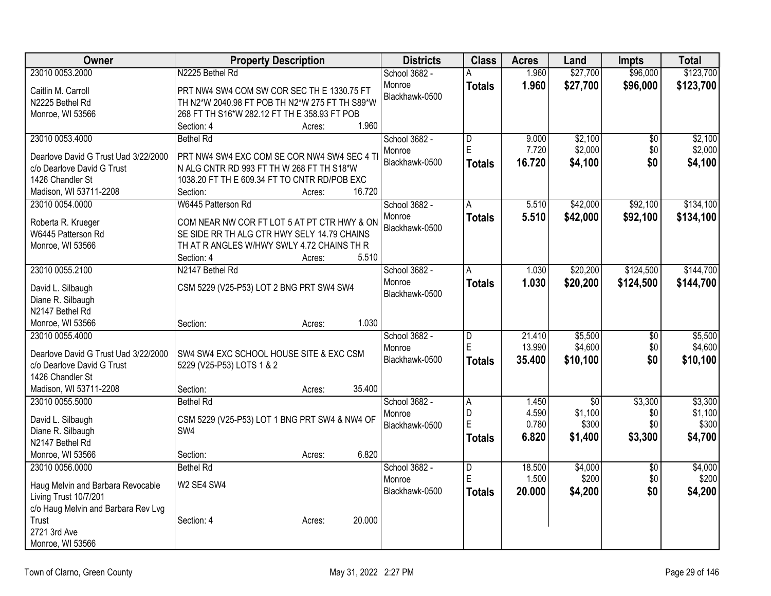| <b>Owner</b>                                                       | <b>Property Description</b>                    | <b>Districts</b> | <b>Class</b>            | <b>Acres</b> | Land            | <b>Impts</b>    | <b>Total</b> |
|--------------------------------------------------------------------|------------------------------------------------|------------------|-------------------------|--------------|-----------------|-----------------|--------------|
| 23010 0053.2000                                                    | N2225 Bethel Rd                                | School 3682 -    |                         | 1.960        | \$27,700        | \$96,000        | \$123,700    |
| Caitlin M. Carroll                                                 | PRT NW4 SW4 COM SW COR SEC TH E 1330.75 FT     | Monroe           | <b>Totals</b>           | 1.960        | \$27,700        | \$96,000        | \$123,700    |
| N2225 Bethel Rd                                                    | TH N2*W 2040.98 FT POB TH N2*W 275 FT TH S89*W | Blackhawk-0500   |                         |              |                 |                 |              |
| Monroe, WI 53566                                                   | 268 FT TH S16*W 282.12 FT TH E 358.93 FT POB   |                  |                         |              |                 |                 |              |
|                                                                    | 1.960<br>Section: 4<br>Acres:                  |                  |                         |              |                 |                 |              |
| 23010 0053.4000                                                    | <b>Bethel Rd</b>                               | School 3682 -    | $\overline{\mathsf{D}}$ | 9.000        | \$2,100         | $\overline{50}$ | \$2,100      |
| Dearlove David G Trust Uad 3/22/2000                               | PRT NW4 SW4 EXC COM SE COR NW4 SW4 SEC 4 T     | Monroe           | E                       | 7.720        | \$2,000         | \$0             | \$2,000      |
| c/o Dearlove David G Trust                                         | N ALG CNTR RD 993 FT TH W 268 FT TH S18*W      | Blackhawk-0500   | <b>Totals</b>           | 16.720       | \$4,100         | \$0             | \$4,100      |
| 1426 Chandler St                                                   | 1038.20 FT TH E 609.34 FT TO CNTR RD/POB EXC   |                  |                         |              |                 |                 |              |
| Madison, WI 53711-2208                                             | 16.720<br>Section:<br>Acres:                   |                  |                         |              |                 |                 |              |
| 23010 0054.0000                                                    | W6445 Patterson Rd                             | School 3682 -    | A                       | 5.510        | \$42,000        | \$92,100        | \$134,100    |
|                                                                    |                                                | Monroe           | <b>Totals</b>           | 5.510        | \$42,000        | \$92,100        | \$134,100    |
| Roberta R. Krueger                                                 | COM NEAR NW COR FT LOT 5 AT PT CTR HWY & ON    | Blackhawk-0500   |                         |              |                 |                 |              |
| W6445 Patterson Rd                                                 | SE SIDE RR TH ALG CTR HWY SELY 14.79 CHAINS    |                  |                         |              |                 |                 |              |
| Monroe, WI 53566                                                   | TH AT R ANGLES W/HWY SWLY 4.72 CHAINS TH R     |                  |                         |              |                 |                 |              |
|                                                                    | 5.510<br>Section: 4<br>Acres:                  |                  |                         |              |                 |                 |              |
| 23010 0055.2100                                                    | N2147 Bethel Rd                                | School 3682 -    | A                       | 1.030        | \$20,200        | \$124,500       | \$144,700    |
| David L. Silbaugh                                                  | CSM 5229 (V25-P53) LOT 2 BNG PRT SW4 SW4       | Monroe           | <b>Totals</b>           | 1.030        | \$20,200        | \$124,500       | \$144,700    |
| Diane R. Silbaugh                                                  |                                                | Blackhawk-0500   |                         |              |                 |                 |              |
| N2147 Bethel Rd                                                    |                                                |                  |                         |              |                 |                 |              |
| Monroe, WI 53566                                                   | 1.030<br>Section:<br>Acres:                    |                  |                         |              |                 |                 |              |
| 23010 0055.4000                                                    |                                                | School 3682 -    | D                       | 21.410       | \$5,500         | $\overline{50}$ | \$5,500      |
|                                                                    |                                                | Monroe           | E                       | 13.990       | \$4,600         | \$0             | \$4,600      |
| Dearlove David G Trust Uad 3/22/2000<br>c/o Dearlove David G Trust | SW4 SW4 EXC SCHOOL HOUSE SITE & EXC CSM        | Blackhawk-0500   | <b>Totals</b>           | 35.400       | \$10,100        | \$0             | \$10,100     |
| 1426 Chandler St                                                   | 5229 (V25-P53) LOTS 1 & 2                      |                  |                         |              |                 |                 |              |
| Madison, WI 53711-2208                                             | 35.400<br>Section:<br>Acres:                   |                  |                         |              |                 |                 |              |
| 23010 0055.5000                                                    | <b>Bethel Rd</b>                               | School 3682 -    | Α                       | 1.450        | $\overline{50}$ | \$3,300         | \$3,300      |
|                                                                    |                                                | Monroe           | D                       | 4.590        | \$1,100         | \$0             | \$1,100      |
| David L. Silbaugh                                                  | CSM 5229 (V25-P53) LOT 1 BNG PRT SW4 & NW4 OF  | Blackhawk-0500   | E                       | 0.780        | \$300           | \$0             | \$300        |
| Diane R. Silbaugh                                                  | SW4                                            |                  | <b>Totals</b>           | 6.820        | \$1,400         | \$3,300         | \$4,700      |
| N2147 Bethel Rd                                                    |                                                |                  |                         |              |                 |                 |              |
| Monroe, WI 53566                                                   | 6.820<br>Section:<br>Acres:                    |                  |                         |              |                 |                 |              |
| 23010 0056.0000                                                    | <b>Bethel Rd</b>                               | School 3682 -    | $\overline{D}$          | 18.500       | \$4,000         | $\overline{50}$ | \$4,000      |
| Haug Melvin and Barbara Revocable                                  | W2 SE4 SW4                                     | Monroe           | E                       | 1.500        | \$200           | \$0             | \$200        |
| Living Trust 10/7/201                                              |                                                | Blackhawk-0500   | <b>Totals</b>           | 20.000       | \$4,200         | \$0             | \$4,200      |
| c/o Haug Melvin and Barbara Rev Lvg                                |                                                |                  |                         |              |                 |                 |              |
| Trust                                                              | 20.000<br>Section: 4<br>Acres:                 |                  |                         |              |                 |                 |              |
| 2721 3rd Ave                                                       |                                                |                  |                         |              |                 |                 |              |
| Monroe, WI 53566                                                   |                                                |                  |                         |              |                 |                 |              |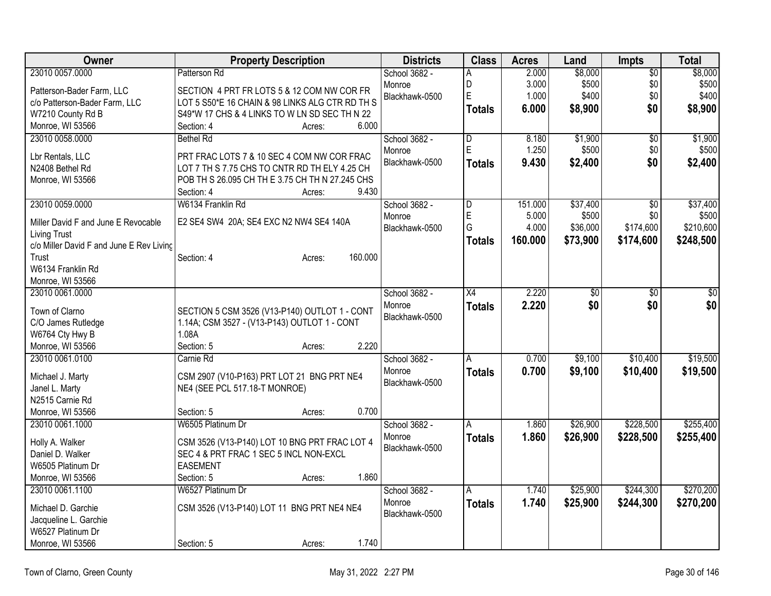| Owner                                    | <b>Property Description</b>                     | <b>Districts</b>         | <b>Class</b>  | <b>Acres</b> | Land            | Impts           | <b>Total</b>    |
|------------------------------------------|-------------------------------------------------|--------------------------|---------------|--------------|-----------------|-----------------|-----------------|
| 23010 0057.0000                          | Patterson Rd                                    | School 3682 -            | A             | 2.000        | \$8,000         | $\overline{50}$ | \$8,000         |
| Patterson-Bader Farm, LLC                | SECTION 4 PRT FR LOTS 5 & 12 COM NW COR FR      | Monroe                   | D             | 3.000        | \$500           | \$0             | \$500           |
| c/o Patterson-Bader Farm, LLC            | LOT 5 S50*E 16 CHAIN & 98 LINKS ALG CTR RD TH S | Blackhawk-0500           | Ė             | 1.000        | \$400           | \$0             | \$400           |
| W7210 County Rd B                        | S49*W 17 CHS & 4 LINKS TO W LN SD SEC TH N 22   |                          | <b>Totals</b> | 6.000        | \$8,900         | \$0             | \$8,900         |
| Monroe, WI 53566                         | 6.000<br>Section: 4<br>Acres:                   |                          |               |              |                 |                 |                 |
| 23010 0058.0000                          | <b>Bethel Rd</b>                                | School 3682 -            | D             | 8.180        | \$1,900         | $\overline{50}$ | \$1,900         |
|                                          | PRT FRAC LOTS 7 & 10 SEC 4 COM NW COR FRAC      | Monroe                   | E             | 1.250        | \$500           | \$0             | \$500           |
| Lbr Rentals, LLC<br>N2408 Bethel Rd      | LOT 7 TH S 7.75 CHS TO CNTR RD TH ELY 4.25 CH   | Blackhawk-0500           | <b>Totals</b> | 9.430        | \$2,400         | \$0             | \$2,400         |
| Monroe, WI 53566                         | POB TH S 26.095 CH TH E 3.75 CH TH N 27.245 CHS |                          |               |              |                 |                 |                 |
|                                          | 9.430<br>Section: 4<br>Acres:                   |                          |               |              |                 |                 |                 |
| 23010 0059.0000                          | W6134 Franklin Rd                               | School 3682 -            | D             | 151.000      | \$37,400        | $\overline{50}$ | \$37,400        |
|                                          |                                                 | Monroe                   | E             | 5.000        | \$500           | \$0             | \$500           |
| Miller David F and June E Revocable      | E2 SE4 SW4 20A; SE4 EXC N2 NW4 SE4 140A         | Blackhawk-0500           | G             | 4.000        | \$36,000        | \$174,600       | \$210,600       |
| <b>Living Trust</b>                      |                                                 |                          | <b>Totals</b> | 160.000      | \$73,900        | \$174,600       | \$248,500       |
| c/o Miller David F and June E Rev Livinc |                                                 |                          |               |              |                 |                 |                 |
| Trust                                    | 160.000<br>Section: 4<br>Acres:                 |                          |               |              |                 |                 |                 |
| W6134 Franklin Rd                        |                                                 |                          |               |              |                 |                 |                 |
| Monroe, WI 53566                         |                                                 |                          |               |              |                 |                 |                 |
| 23010 0061.0000                          |                                                 | School 3682 -            | X4            | 2.220        | $\overline{50}$ | $\sqrt{6}$      | $\overline{50}$ |
| Town of Clarno                           | SECTION 5 CSM 3526 (V13-P140) OUTLOT 1 - CONT   | Monroe<br>Blackhawk-0500 | <b>Totals</b> | 2.220        | \$0             | \$0             | \$0             |
| C/O James Rutledge                       | 1.14A; CSM 3527 - (V13-P143) OUTLOT 1 - CONT    |                          |               |              |                 |                 |                 |
| W6764 Cty Hwy B                          | 1.08A                                           |                          |               |              |                 |                 |                 |
| Monroe, WI 53566                         | 2.220<br>Section: 5<br>Acres:                   |                          |               |              |                 |                 |                 |
| 23010 0061.0100                          | Carnie Rd                                       | School 3682 -            | A             | 0.700        | \$9,100         | \$10,400        | \$19,500        |
| Michael J. Marty                         | CSM 2907 (V10-P163) PRT LOT 21 BNG PRT NE4      | Monroe                   | <b>Totals</b> | 0.700        | \$9,100         | \$10,400        | \$19,500        |
| Janel L. Marty                           | NE4 (SEE PCL 517.18-T MONROE)                   | Blackhawk-0500           |               |              |                 |                 |                 |
| N2515 Carnie Rd                          |                                                 |                          |               |              |                 |                 |                 |
| Monroe, WI 53566                         | 0.700<br>Section: 5<br>Acres:                   |                          |               |              |                 |                 |                 |
| 23010 0061.1000                          | W6505 Platinum Dr                               | School 3682 -            | A             | 1.860        | \$26,900        | \$228,500       | \$255,400       |
|                                          |                                                 | Monroe                   | <b>Totals</b> | 1.860        | \$26,900        | \$228,500       | \$255,400       |
| Holly A. Walker                          | CSM 3526 (V13-P140) LOT 10 BNG PRT FRAC LOT 4   | Blackhawk-0500           |               |              |                 |                 |                 |
| Daniel D. Walker                         | SEC 4 & PRT FRAC 1 SEC 5 INCL NON-EXCL          |                          |               |              |                 |                 |                 |
| W6505 Platinum Dr                        | <b>EASEMENT</b><br>1.860                        |                          |               |              |                 |                 |                 |
| Monroe, WI 53566                         | Section: 5<br>Acres:<br>W6527 Platinum Dr       |                          |               |              |                 | \$244,300       |                 |
| 23010 0061.1100                          |                                                 | School 3682 -<br>Monroe  | Α             | 1.740        | \$25,900        |                 | \$270,200       |
| Michael D. Garchie                       | CSM 3526 (V13-P140) LOT 11 BNG PRT NE4 NE4      | Blackhawk-0500           | <b>Totals</b> | 1.740        | \$25,900        | \$244,300       | \$270,200       |
| Jacqueline L. Garchie                    |                                                 |                          |               |              |                 |                 |                 |
| W6527 Platinum Dr                        |                                                 |                          |               |              |                 |                 |                 |
| Monroe, WI 53566                         | 1.740<br>Section: 5<br>Acres:                   |                          |               |              |                 |                 |                 |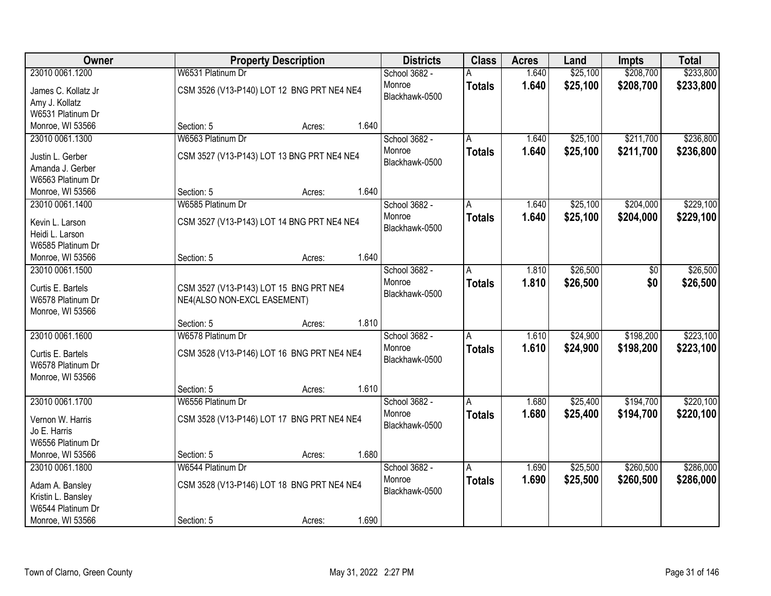| Owner                                |                                            | <b>Property Description</b> |       | <b>Districts</b> | <b>Class</b>  | <b>Acres</b> | Land     | <b>Impts</b>    | <b>Total</b> |
|--------------------------------------|--------------------------------------------|-----------------------------|-------|------------------|---------------|--------------|----------|-----------------|--------------|
| 23010 0061.1200                      | W6531 Platinum Dr                          |                             |       | School 3682 -    |               | 1.640        | \$25,100 | \$208,700       | \$233,800    |
| James C. Kollatz Jr                  | CSM 3526 (V13-P140) LOT 12 BNG PRT NE4 NE4 |                             |       | Monroe           | <b>Totals</b> | 1.640        | \$25,100 | \$208,700       | \$233,800    |
| Amy J. Kollatz                       |                                            |                             |       | Blackhawk-0500   |               |              |          |                 |              |
| W6531 Platinum Dr                    |                                            |                             |       |                  |               |              |          |                 |              |
| Monroe, WI 53566                     | Section: 5                                 | Acres:                      | 1.640 |                  |               |              |          |                 |              |
| 23010 0061.1300                      | W6563 Platinum Dr                          |                             |       | School 3682 -    |               | 1.640        | \$25,100 | \$211,700       | \$236,800    |
| Justin L. Gerber                     | CSM 3527 (V13-P143) LOT 13 BNG PRT NE4 NE4 |                             |       | Monroe           | <b>Totals</b> | 1.640        | \$25,100 | \$211,700       | \$236,800    |
| Amanda J. Gerber                     |                                            |                             |       | Blackhawk-0500   |               |              |          |                 |              |
| W6563 Platinum Dr                    |                                            |                             |       |                  |               |              |          |                 |              |
| Monroe, WI 53566                     | Section: 5                                 | Acres:                      | 1.640 |                  |               |              |          |                 |              |
| 23010 0061.1400                      | W6585 Platinum Dr                          |                             |       | School 3682 -    | A             | 1.640        | \$25,100 | \$204,000       | \$229,100    |
|                                      |                                            |                             |       | Monroe           | <b>Totals</b> | 1.640        | \$25,100 | \$204,000       | \$229,100    |
| Kevin L. Larson                      | CSM 3527 (V13-P143) LOT 14 BNG PRT NE4 NE4 |                             |       | Blackhawk-0500   |               |              |          |                 |              |
| Heidi L. Larson<br>W6585 Platinum Dr |                                            |                             |       |                  |               |              |          |                 |              |
| Monroe, WI 53566                     | Section: 5                                 | Acres:                      | 1.640 |                  |               |              |          |                 |              |
| 23010 0061.1500                      |                                            |                             |       | School 3682 -    | A             | 1.810        | \$26,500 | $\overline{50}$ | \$26,500     |
|                                      |                                            |                             |       | Monroe           | <b>Totals</b> | 1.810        | \$26,500 | \$0             | \$26,500     |
| Curtis E. Bartels                    | CSM 3527 (V13-P143) LOT 15 BNG PRT NE4     |                             |       | Blackhawk-0500   |               |              |          |                 |              |
| W6578 Platinum Dr                    | NE4(ALSO NON-EXCL EASEMENT)                |                             |       |                  |               |              |          |                 |              |
| Monroe, WI 53566                     |                                            |                             |       |                  |               |              |          |                 |              |
|                                      | Section: 5                                 | Acres:                      | 1.810 |                  |               |              |          |                 |              |
| 23010 0061.1600                      | W6578 Platinum Dr                          |                             |       | School 3682 -    | A             | 1.610        | \$24,900 | \$198,200       | \$223,100    |
| Curtis E. Bartels                    | CSM 3528 (V13-P146) LOT 16 BNG PRT NE4 NE4 |                             |       | Monroe           | <b>Totals</b> | 1.610        | \$24,900 | \$198,200       | \$223,100    |
| W6578 Platinum Dr                    |                                            |                             |       | Blackhawk-0500   |               |              |          |                 |              |
| Monroe, WI 53566                     |                                            |                             |       |                  |               |              |          |                 |              |
|                                      | Section: 5                                 | Acres:                      | 1.610 |                  |               |              |          |                 |              |
| 23010 0061.1700                      | W6556 Platinum Dr                          |                             |       | School 3682 -    | A             | 1.680        | \$25,400 | \$194,700       | \$220,100    |
| Vernon W. Harris                     | CSM 3528 (V13-P146) LOT 17 BNG PRT NE4 NE4 |                             |       | Monroe           | <b>Totals</b> | 1.680        | \$25,400 | \$194,700       | \$220,100    |
| Jo E. Harris                         |                                            |                             |       | Blackhawk-0500   |               |              |          |                 |              |
| W6556 Platinum Dr                    |                                            |                             |       |                  |               |              |          |                 |              |
| Monroe, WI 53566                     | Section: 5                                 | Acres:                      | 1.680 |                  |               |              |          |                 |              |
| 23010 0061.1800                      | W6544 Platinum Dr                          |                             |       | School 3682 -    | A             | 1.690        | \$25,500 | \$260,500       | \$286,000    |
| Adam A. Bansley                      | CSM 3528 (V13-P146) LOT 18 BNG PRT NE4 NE4 |                             |       | Monroe           | <b>Totals</b> | 1.690        | \$25,500 | \$260,500       | \$286,000    |
| Kristin L. Bansley                   |                                            |                             |       | Blackhawk-0500   |               |              |          |                 |              |
| W6544 Platinum Dr                    |                                            |                             |       |                  |               |              |          |                 |              |
| Monroe, WI 53566                     | Section: 5                                 | Acres:                      | 1.690 |                  |               |              |          |                 |              |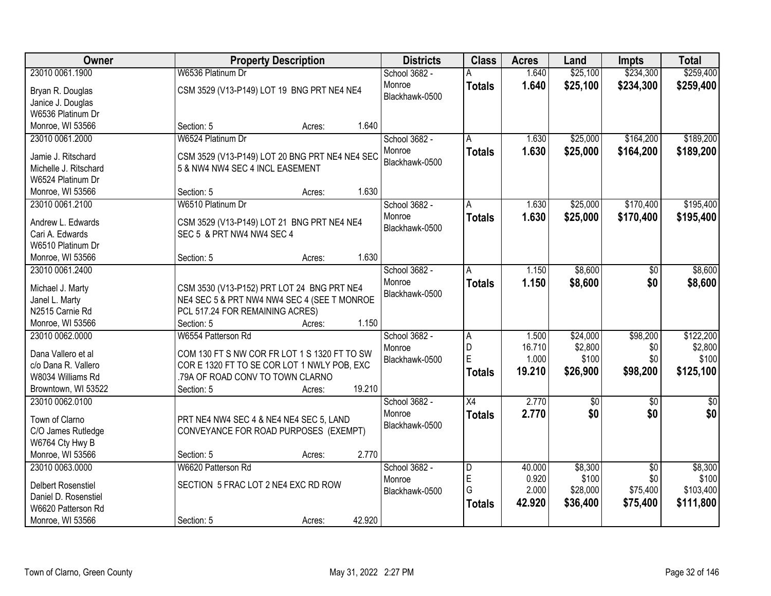| W6536 Platinum Dr<br>\$234,300<br>\$259,400<br>23010 0061.1900<br>School 3682 -<br>1.640<br>\$25,100<br>1.640<br>Monroe<br>\$25,100<br>\$234,300<br>\$259,400<br><b>Totals</b><br>CSM 3529 (V13-P149) LOT 19 BNG PRT NE4 NE4<br>Bryan R. Douglas<br>Blackhawk-0500<br>Janice J. Douglas<br>W6536 Platinum Dr<br>1.640<br>Monroe, WI 53566<br>Section: 5<br>Acres:<br>\$189,200<br>23010 0061.2000<br>W6524 Platinum Dr<br>School 3682 -<br>\$25,000<br>\$164,200<br>1.630<br>Α<br>1.630<br>\$25,000<br>\$164,200<br>Monroe<br>\$189,200<br><b>Totals</b><br>CSM 3529 (V13-P149) LOT 20 BNG PRT NE4 NE4 SEC<br>Jamie J. Ritschard<br>Blackhawk-0500<br>Michelle J. Ritschard<br>5 & NW4 NW4 SEC 4 INCL EASEMENT<br>W6524 Platinum Dr<br>1.630<br>Monroe, WI 53566<br>Section: 5<br>Acres:<br>\$170,400<br>23010 0061.2100<br>\$25,000<br>\$195,400<br>W6510 Platinum Dr<br>School 3682 -<br>1.630<br>A<br>1.630<br>Monroe<br>\$25,000<br>\$170,400<br>\$195,400<br><b>Totals</b><br>Andrew L. Edwards<br>CSM 3529 (V13-P149) LOT 21 BNG PRT NE4 NE4<br>Blackhawk-0500<br>SEC 5 & PRT NW4 NW4 SEC 4<br>Cari A. Edwards<br>W6510 Platinum Dr<br>1.630<br>Monroe, WI 53566<br>Section: 5<br>Acres:<br>\$8,600<br>\$8,600<br>23010 0061.2400<br>School 3682 -<br>1.150<br>$\sqrt[6]{}$<br>A<br>Monroe<br>1.150<br>\$8,600<br>\$0<br>\$8,600<br><b>Totals</b><br>CSM 3530 (V13-P152) PRT LOT 24 BNG PRT NE4<br>Michael J. Marty<br>Blackhawk-0500<br>NE4 SEC 5 & PRT NW4 NW4 SEC 4 (SEE T MONROE<br>Janel L. Marty<br>N2515 Carnie Rd<br>PCL 517.24 FOR REMAINING ACRES)<br>1.150<br>Monroe, WI 53566<br>Section: 5<br>Acres:<br>\$98,200<br>\$122,200<br>23010 0062.0000<br>W6554 Patterson Rd<br>1.500<br>\$24,000<br>School 3682 -<br>$\overline{A}$<br>D<br>16.710<br>\$2,800<br>\$0<br>Monroe<br>Dana Vallero et al<br>COM 130 FT S NW COR FR LOT 1 S 1320 FT TO SW<br>E<br>\$0<br>1.000<br>\$100<br>\$100<br>Blackhawk-0500<br>c/o Dana R. Vallero<br>COR E 1320 FT TO SE COR LOT 1 NWLY POB, EXC<br>\$98,200<br>19.210<br>\$26,900<br>\$125,100<br><b>Totals</b><br>W8034 Williams Rd<br>.79A OF ROAD CONV TO TOWN CLARNO<br>19.210<br>Browntown, WI 53522<br>Section: 5<br>Acres:<br>$\overline{X4}$<br>2.770<br>23010 0062.0100<br>School 3682 -<br>$\sqrt{50}$<br>$\sqrt{6}$<br>$\frac{1}{6}$<br>\$0<br>\$0<br>2.770<br>\$0<br>Monroe<br><b>Totals</b><br>Town of Clarno<br>PRT NE4 NW4 SEC 4 & NE4 NE4 SEC 5, LAND<br>Blackhawk-0500<br>C/O James Rutledge<br>CONVEYANCE FOR ROAD PURPOSES (EXEMPT)<br>W6764 Cty Hwy B<br>Monroe, WI 53566<br>2.770<br>Section: 5<br>Acres: | <b>Owner</b>    | <b>Property Description</b> | <b>Districts</b> | <b>Class</b>            | <b>Acres</b> | Land    | <b>Impts</b>    | <b>Total</b> |
|----------------------------------------------------------------------------------------------------------------------------------------------------------------------------------------------------------------------------------------------------------------------------------------------------------------------------------------------------------------------------------------------------------------------------------------------------------------------------------------------------------------------------------------------------------------------------------------------------------------------------------------------------------------------------------------------------------------------------------------------------------------------------------------------------------------------------------------------------------------------------------------------------------------------------------------------------------------------------------------------------------------------------------------------------------------------------------------------------------------------------------------------------------------------------------------------------------------------------------------------------------------------------------------------------------------------------------------------------------------------------------------------------------------------------------------------------------------------------------------------------------------------------------------------------------------------------------------------------------------------------------------------------------------------------------------------------------------------------------------------------------------------------------------------------------------------------------------------------------------------------------------------------------------------------------------------------------------------------------------------------------------------------------------------------------------------------------------------------------------------------------------------------------------------------------------------------------------------------------------------------------------------------------------------------------------------------------------------------------------------------------------------------------------------------------------------------------------------------------------------------------------------------------------------------------------------------------|-----------------|-----------------------------|------------------|-------------------------|--------------|---------|-----------------|--------------|
|                                                                                                                                                                                                                                                                                                                                                                                                                                                                                                                                                                                                                                                                                                                                                                                                                                                                                                                                                                                                                                                                                                                                                                                                                                                                                                                                                                                                                                                                                                                                                                                                                                                                                                                                                                                                                                                                                                                                                                                                                                                                                                                                                                                                                                                                                                                                                                                                                                                                                                                                                                                  |                 |                             |                  |                         |              |         |                 |              |
|                                                                                                                                                                                                                                                                                                                                                                                                                                                                                                                                                                                                                                                                                                                                                                                                                                                                                                                                                                                                                                                                                                                                                                                                                                                                                                                                                                                                                                                                                                                                                                                                                                                                                                                                                                                                                                                                                                                                                                                                                                                                                                                                                                                                                                                                                                                                                                                                                                                                                                                                                                                  |                 |                             |                  |                         |              |         |                 |              |
|                                                                                                                                                                                                                                                                                                                                                                                                                                                                                                                                                                                                                                                                                                                                                                                                                                                                                                                                                                                                                                                                                                                                                                                                                                                                                                                                                                                                                                                                                                                                                                                                                                                                                                                                                                                                                                                                                                                                                                                                                                                                                                                                                                                                                                                                                                                                                                                                                                                                                                                                                                                  |                 |                             |                  |                         |              |         |                 |              |
|                                                                                                                                                                                                                                                                                                                                                                                                                                                                                                                                                                                                                                                                                                                                                                                                                                                                                                                                                                                                                                                                                                                                                                                                                                                                                                                                                                                                                                                                                                                                                                                                                                                                                                                                                                                                                                                                                                                                                                                                                                                                                                                                                                                                                                                                                                                                                                                                                                                                                                                                                                                  |                 |                             |                  |                         |              |         |                 |              |
|                                                                                                                                                                                                                                                                                                                                                                                                                                                                                                                                                                                                                                                                                                                                                                                                                                                                                                                                                                                                                                                                                                                                                                                                                                                                                                                                                                                                                                                                                                                                                                                                                                                                                                                                                                                                                                                                                                                                                                                                                                                                                                                                                                                                                                                                                                                                                                                                                                                                                                                                                                                  |                 |                             |                  |                         |              |         |                 |              |
|                                                                                                                                                                                                                                                                                                                                                                                                                                                                                                                                                                                                                                                                                                                                                                                                                                                                                                                                                                                                                                                                                                                                                                                                                                                                                                                                                                                                                                                                                                                                                                                                                                                                                                                                                                                                                                                                                                                                                                                                                                                                                                                                                                                                                                                                                                                                                                                                                                                                                                                                                                                  |                 |                             |                  |                         |              |         |                 |              |
|                                                                                                                                                                                                                                                                                                                                                                                                                                                                                                                                                                                                                                                                                                                                                                                                                                                                                                                                                                                                                                                                                                                                                                                                                                                                                                                                                                                                                                                                                                                                                                                                                                                                                                                                                                                                                                                                                                                                                                                                                                                                                                                                                                                                                                                                                                                                                                                                                                                                                                                                                                                  |                 |                             |                  |                         |              |         |                 |              |
|                                                                                                                                                                                                                                                                                                                                                                                                                                                                                                                                                                                                                                                                                                                                                                                                                                                                                                                                                                                                                                                                                                                                                                                                                                                                                                                                                                                                                                                                                                                                                                                                                                                                                                                                                                                                                                                                                                                                                                                                                                                                                                                                                                                                                                                                                                                                                                                                                                                                                                                                                                                  |                 |                             |                  |                         |              |         |                 |              |
|                                                                                                                                                                                                                                                                                                                                                                                                                                                                                                                                                                                                                                                                                                                                                                                                                                                                                                                                                                                                                                                                                                                                                                                                                                                                                                                                                                                                                                                                                                                                                                                                                                                                                                                                                                                                                                                                                                                                                                                                                                                                                                                                                                                                                                                                                                                                                                                                                                                                                                                                                                                  |                 |                             |                  |                         |              |         |                 |              |
|                                                                                                                                                                                                                                                                                                                                                                                                                                                                                                                                                                                                                                                                                                                                                                                                                                                                                                                                                                                                                                                                                                                                                                                                                                                                                                                                                                                                                                                                                                                                                                                                                                                                                                                                                                                                                                                                                                                                                                                                                                                                                                                                                                                                                                                                                                                                                                                                                                                                                                                                                                                  |                 |                             |                  |                         |              |         |                 |              |
|                                                                                                                                                                                                                                                                                                                                                                                                                                                                                                                                                                                                                                                                                                                                                                                                                                                                                                                                                                                                                                                                                                                                                                                                                                                                                                                                                                                                                                                                                                                                                                                                                                                                                                                                                                                                                                                                                                                                                                                                                                                                                                                                                                                                                                                                                                                                                                                                                                                                                                                                                                                  |                 |                             |                  |                         |              |         |                 |              |
|                                                                                                                                                                                                                                                                                                                                                                                                                                                                                                                                                                                                                                                                                                                                                                                                                                                                                                                                                                                                                                                                                                                                                                                                                                                                                                                                                                                                                                                                                                                                                                                                                                                                                                                                                                                                                                                                                                                                                                                                                                                                                                                                                                                                                                                                                                                                                                                                                                                                                                                                                                                  |                 |                             |                  |                         |              |         |                 |              |
|                                                                                                                                                                                                                                                                                                                                                                                                                                                                                                                                                                                                                                                                                                                                                                                                                                                                                                                                                                                                                                                                                                                                                                                                                                                                                                                                                                                                                                                                                                                                                                                                                                                                                                                                                                                                                                                                                                                                                                                                                                                                                                                                                                                                                                                                                                                                                                                                                                                                                                                                                                                  |                 |                             |                  |                         |              |         |                 |              |
|                                                                                                                                                                                                                                                                                                                                                                                                                                                                                                                                                                                                                                                                                                                                                                                                                                                                                                                                                                                                                                                                                                                                                                                                                                                                                                                                                                                                                                                                                                                                                                                                                                                                                                                                                                                                                                                                                                                                                                                                                                                                                                                                                                                                                                                                                                                                                                                                                                                                                                                                                                                  |                 |                             |                  |                         |              |         |                 |              |
|                                                                                                                                                                                                                                                                                                                                                                                                                                                                                                                                                                                                                                                                                                                                                                                                                                                                                                                                                                                                                                                                                                                                                                                                                                                                                                                                                                                                                                                                                                                                                                                                                                                                                                                                                                                                                                                                                                                                                                                                                                                                                                                                                                                                                                                                                                                                                                                                                                                                                                                                                                                  |                 |                             |                  |                         |              |         |                 |              |
|                                                                                                                                                                                                                                                                                                                                                                                                                                                                                                                                                                                                                                                                                                                                                                                                                                                                                                                                                                                                                                                                                                                                                                                                                                                                                                                                                                                                                                                                                                                                                                                                                                                                                                                                                                                                                                                                                                                                                                                                                                                                                                                                                                                                                                                                                                                                                                                                                                                                                                                                                                                  |                 |                             |                  |                         |              |         |                 |              |
|                                                                                                                                                                                                                                                                                                                                                                                                                                                                                                                                                                                                                                                                                                                                                                                                                                                                                                                                                                                                                                                                                                                                                                                                                                                                                                                                                                                                                                                                                                                                                                                                                                                                                                                                                                                                                                                                                                                                                                                                                                                                                                                                                                                                                                                                                                                                                                                                                                                                                                                                                                                  |                 |                             |                  |                         |              |         |                 |              |
|                                                                                                                                                                                                                                                                                                                                                                                                                                                                                                                                                                                                                                                                                                                                                                                                                                                                                                                                                                                                                                                                                                                                                                                                                                                                                                                                                                                                                                                                                                                                                                                                                                                                                                                                                                                                                                                                                                                                                                                                                                                                                                                                                                                                                                                                                                                                                                                                                                                                                                                                                                                  |                 |                             |                  |                         |              |         |                 |              |
|                                                                                                                                                                                                                                                                                                                                                                                                                                                                                                                                                                                                                                                                                                                                                                                                                                                                                                                                                                                                                                                                                                                                                                                                                                                                                                                                                                                                                                                                                                                                                                                                                                                                                                                                                                                                                                                                                                                                                                                                                                                                                                                                                                                                                                                                                                                                                                                                                                                                                                                                                                                  |                 |                             |                  |                         |              |         |                 |              |
|                                                                                                                                                                                                                                                                                                                                                                                                                                                                                                                                                                                                                                                                                                                                                                                                                                                                                                                                                                                                                                                                                                                                                                                                                                                                                                                                                                                                                                                                                                                                                                                                                                                                                                                                                                                                                                                                                                                                                                                                                                                                                                                                                                                                                                                                                                                                                                                                                                                                                                                                                                                  |                 |                             |                  |                         |              |         |                 |              |
| \$2,800                                                                                                                                                                                                                                                                                                                                                                                                                                                                                                                                                                                                                                                                                                                                                                                                                                                                                                                                                                                                                                                                                                                                                                                                                                                                                                                                                                                                                                                                                                                                                                                                                                                                                                                                                                                                                                                                                                                                                                                                                                                                                                                                                                                                                                                                                                                                                                                                                                                                                                                                                                          |                 |                             |                  |                         |              |         |                 |              |
|                                                                                                                                                                                                                                                                                                                                                                                                                                                                                                                                                                                                                                                                                                                                                                                                                                                                                                                                                                                                                                                                                                                                                                                                                                                                                                                                                                                                                                                                                                                                                                                                                                                                                                                                                                                                                                                                                                                                                                                                                                                                                                                                                                                                                                                                                                                                                                                                                                                                                                                                                                                  |                 |                             |                  |                         |              |         |                 |              |
|                                                                                                                                                                                                                                                                                                                                                                                                                                                                                                                                                                                                                                                                                                                                                                                                                                                                                                                                                                                                                                                                                                                                                                                                                                                                                                                                                                                                                                                                                                                                                                                                                                                                                                                                                                                                                                                                                                                                                                                                                                                                                                                                                                                                                                                                                                                                                                                                                                                                                                                                                                                  |                 |                             |                  |                         |              |         |                 |              |
|                                                                                                                                                                                                                                                                                                                                                                                                                                                                                                                                                                                                                                                                                                                                                                                                                                                                                                                                                                                                                                                                                                                                                                                                                                                                                                                                                                                                                                                                                                                                                                                                                                                                                                                                                                                                                                                                                                                                                                                                                                                                                                                                                                                                                                                                                                                                                                                                                                                                                                                                                                                  |                 |                             |                  |                         |              |         |                 |              |
|                                                                                                                                                                                                                                                                                                                                                                                                                                                                                                                                                                                                                                                                                                                                                                                                                                                                                                                                                                                                                                                                                                                                                                                                                                                                                                                                                                                                                                                                                                                                                                                                                                                                                                                                                                                                                                                                                                                                                                                                                                                                                                                                                                                                                                                                                                                                                                                                                                                                                                                                                                                  |                 |                             |                  |                         |              |         |                 |              |
|                                                                                                                                                                                                                                                                                                                                                                                                                                                                                                                                                                                                                                                                                                                                                                                                                                                                                                                                                                                                                                                                                                                                                                                                                                                                                                                                                                                                                                                                                                                                                                                                                                                                                                                                                                                                                                                                                                                                                                                                                                                                                                                                                                                                                                                                                                                                                                                                                                                                                                                                                                                  |                 |                             |                  |                         |              |         |                 |              |
|                                                                                                                                                                                                                                                                                                                                                                                                                                                                                                                                                                                                                                                                                                                                                                                                                                                                                                                                                                                                                                                                                                                                                                                                                                                                                                                                                                                                                                                                                                                                                                                                                                                                                                                                                                                                                                                                                                                                                                                                                                                                                                                                                                                                                                                                                                                                                                                                                                                                                                                                                                                  |                 |                             |                  |                         |              |         |                 |              |
|                                                                                                                                                                                                                                                                                                                                                                                                                                                                                                                                                                                                                                                                                                                                                                                                                                                                                                                                                                                                                                                                                                                                                                                                                                                                                                                                                                                                                                                                                                                                                                                                                                                                                                                                                                                                                                                                                                                                                                                                                                                                                                                                                                                                                                                                                                                                                                                                                                                                                                                                                                                  |                 |                             |                  |                         |              |         |                 |              |
|                                                                                                                                                                                                                                                                                                                                                                                                                                                                                                                                                                                                                                                                                                                                                                                                                                                                                                                                                                                                                                                                                                                                                                                                                                                                                                                                                                                                                                                                                                                                                                                                                                                                                                                                                                                                                                                                                                                                                                                                                                                                                                                                                                                                                                                                                                                                                                                                                                                                                                                                                                                  |                 |                             |                  |                         |              |         |                 |              |
|                                                                                                                                                                                                                                                                                                                                                                                                                                                                                                                                                                                                                                                                                                                                                                                                                                                                                                                                                                                                                                                                                                                                                                                                                                                                                                                                                                                                                                                                                                                                                                                                                                                                                                                                                                                                                                                                                                                                                                                                                                                                                                                                                                                                                                                                                                                                                                                                                                                                                                                                                                                  |                 |                             |                  |                         |              |         |                 |              |
|                                                                                                                                                                                                                                                                                                                                                                                                                                                                                                                                                                                                                                                                                                                                                                                                                                                                                                                                                                                                                                                                                                                                                                                                                                                                                                                                                                                                                                                                                                                                                                                                                                                                                                                                                                                                                                                                                                                                                                                                                                                                                                                                                                                                                                                                                                                                                                                                                                                                                                                                                                                  |                 |                             |                  |                         |              |         |                 |              |
|                                                                                                                                                                                                                                                                                                                                                                                                                                                                                                                                                                                                                                                                                                                                                                                                                                                                                                                                                                                                                                                                                                                                                                                                                                                                                                                                                                                                                                                                                                                                                                                                                                                                                                                                                                                                                                                                                                                                                                                                                                                                                                                                                                                                                                                                                                                                                                                                                                                                                                                                                                                  |                 |                             |                  |                         |              |         |                 |              |
|                                                                                                                                                                                                                                                                                                                                                                                                                                                                                                                                                                                                                                                                                                                                                                                                                                                                                                                                                                                                                                                                                                                                                                                                                                                                                                                                                                                                                                                                                                                                                                                                                                                                                                                                                                                                                                                                                                                                                                                                                                                                                                                                                                                                                                                                                                                                                                                                                                                                                                                                                                                  |                 |                             |                  |                         |              |         |                 |              |
|                                                                                                                                                                                                                                                                                                                                                                                                                                                                                                                                                                                                                                                                                                                                                                                                                                                                                                                                                                                                                                                                                                                                                                                                                                                                                                                                                                                                                                                                                                                                                                                                                                                                                                                                                                                                                                                                                                                                                                                                                                                                                                                                                                                                                                                                                                                                                                                                                                                                                                                                                                                  | 23010 0063.0000 | W6620 Patterson Rd          | School 3682 -    | $\overline{\mathsf{D}}$ | 40.000       | \$8,300 | $\overline{50}$ | \$8,300      |
| E<br>0.920<br>\$100<br>\$0<br>\$100<br>Monroe<br>SECTION 5 FRAC LOT 2 NE4 EXC RD ROW<br><b>Delbert Rosenstiel</b>                                                                                                                                                                                                                                                                                                                                                                                                                                                                                                                                                                                                                                                                                                                                                                                                                                                                                                                                                                                                                                                                                                                                                                                                                                                                                                                                                                                                                                                                                                                                                                                                                                                                                                                                                                                                                                                                                                                                                                                                                                                                                                                                                                                                                                                                                                                                                                                                                                                                |                 |                             |                  |                         |              |         |                 |              |
| G<br>2.000<br>\$28,000<br>\$103,400<br>\$75,400<br>Blackhawk-0500<br>Daniel D. Rosenstiel                                                                                                                                                                                                                                                                                                                                                                                                                                                                                                                                                                                                                                                                                                                                                                                                                                                                                                                                                                                                                                                                                                                                                                                                                                                                                                                                                                                                                                                                                                                                                                                                                                                                                                                                                                                                                                                                                                                                                                                                                                                                                                                                                                                                                                                                                                                                                                                                                                                                                        |                 |                             |                  |                         |              |         |                 |              |
| 42.920<br>\$36,400<br>\$111,800<br>\$75,400<br><b>Totals</b><br>W6620 Patterson Rd                                                                                                                                                                                                                                                                                                                                                                                                                                                                                                                                                                                                                                                                                                                                                                                                                                                                                                                                                                                                                                                                                                                                                                                                                                                                                                                                                                                                                                                                                                                                                                                                                                                                                                                                                                                                                                                                                                                                                                                                                                                                                                                                                                                                                                                                                                                                                                                                                                                                                               |                 |                             |                  |                         |              |         |                 |              |
| 42.920<br>Monroe, WI 53566<br>Section: 5<br>Acres:                                                                                                                                                                                                                                                                                                                                                                                                                                                                                                                                                                                                                                                                                                                                                                                                                                                                                                                                                                                                                                                                                                                                                                                                                                                                                                                                                                                                                                                                                                                                                                                                                                                                                                                                                                                                                                                                                                                                                                                                                                                                                                                                                                                                                                                                                                                                                                                                                                                                                                                               |                 |                             |                  |                         |              |         |                 |              |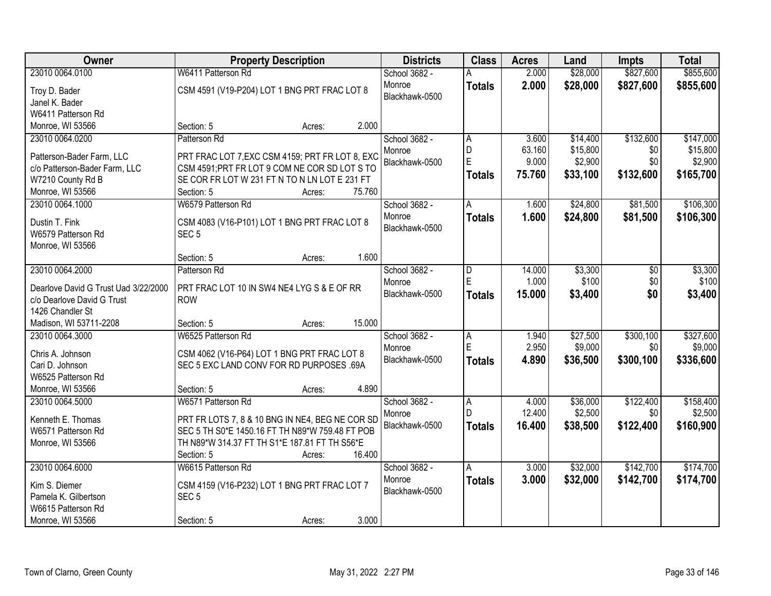| 23010 0064.0100<br>School 3682 -<br>2.000<br>\$28,000<br>\$827,600<br>2.000<br>\$28,000<br>\$827,600<br>Monroe<br><b>Totals</b><br>CSM 4591 (V19-P204) LOT 1 BNG PRT FRAC LOT 8<br>Troy D. Bader<br>Blackhawk-0500<br>Janel K. Bader<br>W6411 Patterson Rd<br>2.000<br>Monroe, WI 53566<br>Section: 5<br>Acres:<br>\$132,600<br>23010 0064.0200<br>Patterson Rd<br>School 3682 -<br>\$14,400<br>3.600<br>A<br>D<br>63.160<br>\$15,800<br>\$15,800<br>\$0<br>Monroe<br>PRT FRAC LOT 7, EXC CSM 4159; PRT FR LOT 8, EXC<br>Patterson-Bader Farm, LLC<br>E<br>9.000<br>\$2,900<br>\$0<br>\$2,900<br>Blackhawk-0500<br>c/o Patterson-Bader Farm, LLC<br>CSM 4591; PRT FR LOT 9 COM NE COR SD LOT S TO<br>75.760<br>\$132,600<br>\$33,100<br>\$165,700<br><b>Totals</b><br>SE COR FR LOT W 231 FT N TO N LN LOT E 231 FT<br>W7210 County Rd B<br>Monroe, WI 53566<br>Section: 5<br>75.760<br>Acres:<br>23010 0064.1000<br>\$24,800<br>\$81,500<br>W6579 Patterson Rd<br>School 3682 -<br>1.600<br>A<br>\$24,800<br>Monroe<br>1.600<br>\$81,500<br><b>Totals</b><br>CSM 4083 (V16-P101) LOT 1 BNG PRT FRAC LOT 8<br>Dustin T. Fink<br>Blackhawk-0500 | <b>Owner</b>       | <b>Property Description</b> | <b>Districts</b> | <b>Class</b> | <b>Acres</b> | Land | <b>Impts</b> | <b>Total</b> |
|------------------------------------------------------------------------------------------------------------------------------------------------------------------------------------------------------------------------------------------------------------------------------------------------------------------------------------------------------------------------------------------------------------------------------------------------------------------------------------------------------------------------------------------------------------------------------------------------------------------------------------------------------------------------------------------------------------------------------------------------------------------------------------------------------------------------------------------------------------------------------------------------------------------------------------------------------------------------------------------------------------------------------------------------------------------------------------------------------------------------------------------------|--------------------|-----------------------------|------------------|--------------|--------------|------|--------------|--------------|
|                                                                                                                                                                                                                                                                                                                                                                                                                                                                                                                                                                                                                                                                                                                                                                                                                                                                                                                                                                                                                                                                                                                                                |                    | W6411 Patterson Rd          |                  |              |              |      |              | \$855,600    |
|                                                                                                                                                                                                                                                                                                                                                                                                                                                                                                                                                                                                                                                                                                                                                                                                                                                                                                                                                                                                                                                                                                                                                |                    |                             |                  |              |              |      |              | \$855,600    |
|                                                                                                                                                                                                                                                                                                                                                                                                                                                                                                                                                                                                                                                                                                                                                                                                                                                                                                                                                                                                                                                                                                                                                |                    |                             |                  |              |              |      |              |              |
|                                                                                                                                                                                                                                                                                                                                                                                                                                                                                                                                                                                                                                                                                                                                                                                                                                                                                                                                                                                                                                                                                                                                                |                    |                             |                  |              |              |      |              |              |
|                                                                                                                                                                                                                                                                                                                                                                                                                                                                                                                                                                                                                                                                                                                                                                                                                                                                                                                                                                                                                                                                                                                                                |                    |                             |                  |              |              |      |              |              |
|                                                                                                                                                                                                                                                                                                                                                                                                                                                                                                                                                                                                                                                                                                                                                                                                                                                                                                                                                                                                                                                                                                                                                |                    |                             |                  |              |              |      |              | \$147,000    |
|                                                                                                                                                                                                                                                                                                                                                                                                                                                                                                                                                                                                                                                                                                                                                                                                                                                                                                                                                                                                                                                                                                                                                |                    |                             |                  |              |              |      |              |              |
|                                                                                                                                                                                                                                                                                                                                                                                                                                                                                                                                                                                                                                                                                                                                                                                                                                                                                                                                                                                                                                                                                                                                                |                    |                             |                  |              |              |      |              |              |
|                                                                                                                                                                                                                                                                                                                                                                                                                                                                                                                                                                                                                                                                                                                                                                                                                                                                                                                                                                                                                                                                                                                                                |                    |                             |                  |              |              |      |              |              |
|                                                                                                                                                                                                                                                                                                                                                                                                                                                                                                                                                                                                                                                                                                                                                                                                                                                                                                                                                                                                                                                                                                                                                |                    |                             |                  |              |              |      |              |              |
|                                                                                                                                                                                                                                                                                                                                                                                                                                                                                                                                                                                                                                                                                                                                                                                                                                                                                                                                                                                                                                                                                                                                                |                    |                             |                  |              |              |      |              | \$106,300    |
|                                                                                                                                                                                                                                                                                                                                                                                                                                                                                                                                                                                                                                                                                                                                                                                                                                                                                                                                                                                                                                                                                                                                                |                    |                             |                  |              |              |      |              | \$106,300    |
|                                                                                                                                                                                                                                                                                                                                                                                                                                                                                                                                                                                                                                                                                                                                                                                                                                                                                                                                                                                                                                                                                                                                                | W6579 Patterson Rd | SEC <sub>5</sub>            |                  |              |              |      |              |              |
| Monroe, WI 53566                                                                                                                                                                                                                                                                                                                                                                                                                                                                                                                                                                                                                                                                                                                                                                                                                                                                                                                                                                                                                                                                                                                               |                    |                             |                  |              |              |      |              |              |
| 1.600<br>Section: 5<br>Acres:                                                                                                                                                                                                                                                                                                                                                                                                                                                                                                                                                                                                                                                                                                                                                                                                                                                                                                                                                                                                                                                                                                                  |                    |                             |                  |              |              |      |              |              |
| 23010 0064.2000<br>\$3,300<br>Patterson Rd<br>School 3682 -<br>14.000<br>\$0<br>D                                                                                                                                                                                                                                                                                                                                                                                                                                                                                                                                                                                                                                                                                                                                                                                                                                                                                                                                                                                                                                                              |                    |                             |                  |              |              |      |              | \$3,300      |
| E<br>1.000<br>\$100<br>\$0<br>Monroe<br>PRT FRAC LOT 10 IN SW4 NE4 LYG S & E OF RR<br>Dearlove David G Trust Uad 3/22/2000                                                                                                                                                                                                                                                                                                                                                                                                                                                                                                                                                                                                                                                                                                                                                                                                                                                                                                                                                                                                                     |                    |                             |                  |              |              |      |              | \$100        |
| \$0<br>Blackhawk-0500<br>15.000<br>\$3,400<br><b>Totals</b><br>c/o Dearlove David G Trust<br><b>ROW</b>                                                                                                                                                                                                                                                                                                                                                                                                                                                                                                                                                                                                                                                                                                                                                                                                                                                                                                                                                                                                                                        |                    |                             |                  |              |              |      |              | \$3,400      |
| 1426 Chandler St                                                                                                                                                                                                                                                                                                                                                                                                                                                                                                                                                                                                                                                                                                                                                                                                                                                                                                                                                                                                                                                                                                                               |                    |                             |                  |              |              |      |              |              |
| 15.000<br>Madison, WI 53711-2208<br>Section: 5<br>Acres:                                                                                                                                                                                                                                                                                                                                                                                                                                                                                                                                                                                                                                                                                                                                                                                                                                                                                                                                                                                                                                                                                       |                    |                             |                  |              |              |      |              |              |
| 23010 0064.3000<br>W6525 Patterson Rd<br>\$27,500<br>\$300,100<br>School 3682 -<br>$\overline{A}$<br>1.940                                                                                                                                                                                                                                                                                                                                                                                                                                                                                                                                                                                                                                                                                                                                                                                                                                                                                                                                                                                                                                     |                    |                             |                  |              |              |      |              | \$327,600    |
| E<br>2.950<br>\$9,000<br>\$0<br>Monroe<br>Chris A. Johnson<br>CSM 4062 (V16-P64) LOT 1 BNG PRT FRAC LOT 8                                                                                                                                                                                                                                                                                                                                                                                                                                                                                                                                                                                                                                                                                                                                                                                                                                                                                                                                                                                                                                      |                    |                             |                  |              |              |      |              | \$9,000      |
| 4.890<br>\$300,100<br>Blackhawk-0500<br>\$36,500<br><b>Totals</b><br>SEC 5 EXC LAND CONV FOR RD PURPOSES .69A<br>Cari D. Johnson                                                                                                                                                                                                                                                                                                                                                                                                                                                                                                                                                                                                                                                                                                                                                                                                                                                                                                                                                                                                               |                    |                             |                  |              |              |      |              | \$336,600    |
| W6525 Patterson Rd                                                                                                                                                                                                                                                                                                                                                                                                                                                                                                                                                                                                                                                                                                                                                                                                                                                                                                                                                                                                                                                                                                                             |                    |                             |                  |              |              |      |              |              |
| 4.890<br>Monroe, WI 53566<br>Section: 5<br>Acres:                                                                                                                                                                                                                                                                                                                                                                                                                                                                                                                                                                                                                                                                                                                                                                                                                                                                                                                                                                                                                                                                                              |                    |                             |                  |              |              |      |              |              |
| W6571 Patterson Rd<br>\$122,400<br>23010 0064.5000<br>School 3682 -<br>\$36,000<br>A<br>4.000                                                                                                                                                                                                                                                                                                                                                                                                                                                                                                                                                                                                                                                                                                                                                                                                                                                                                                                                                                                                                                                  |                    |                             |                  |              |              |      |              | \$158,400    |
| 12.400<br>\$2,500<br>D<br>\$0<br>Monroe                                                                                                                                                                                                                                                                                                                                                                                                                                                                                                                                                                                                                                                                                                                                                                                                                                                                                                                                                                                                                                                                                                        |                    |                             |                  |              |              |      |              | \$2,500      |
| PRT FR LOTS 7, 8 & 10 BNG IN NE4, BEG NE COR SD<br>Kenneth E. Thomas<br>Blackhawk-0500<br>16.400<br>\$38,500<br>\$122,400<br><b>Totals</b><br>SEC 5 TH S0*E 1450.16 FT TH N89*W 759.48 FT POB<br>W6571 Patterson Rd                                                                                                                                                                                                                                                                                                                                                                                                                                                                                                                                                                                                                                                                                                                                                                                                                                                                                                                            |                    |                             |                  |              |              |      |              | \$160,900    |
| TH N89*W 314.37 FT TH S1*E 187.81 FT TH S56*E<br>Monroe, WI 53566                                                                                                                                                                                                                                                                                                                                                                                                                                                                                                                                                                                                                                                                                                                                                                                                                                                                                                                                                                                                                                                                              |                    |                             |                  |              |              |      |              |              |
| 16.400<br>Section: 5<br>Acres:                                                                                                                                                                                                                                                                                                                                                                                                                                                                                                                                                                                                                                                                                                                                                                                                                                                                                                                                                                                                                                                                                                                 |                    |                             |                  |              |              |      |              |              |
| 23010 0064.6000<br>\$32,000<br>\$142,700<br>W6615 Patterson Rd<br>School 3682 -<br>A<br>3.000                                                                                                                                                                                                                                                                                                                                                                                                                                                                                                                                                                                                                                                                                                                                                                                                                                                                                                                                                                                                                                                  |                    |                             |                  |              |              |      |              | \$174,700    |
| Monroe<br>3.000<br>\$32,000<br>\$142,700<br><b>Totals</b>                                                                                                                                                                                                                                                                                                                                                                                                                                                                                                                                                                                                                                                                                                                                                                                                                                                                                                                                                                                                                                                                                      |                    |                             |                  |              |              |      |              | \$174,700    |
| CSM 4159 (V16-P232) LOT 1 BNG PRT FRAC LOT 7<br>Kim S. Diemer<br>Blackhawk-0500                                                                                                                                                                                                                                                                                                                                                                                                                                                                                                                                                                                                                                                                                                                                                                                                                                                                                                                                                                                                                                                                |                    |                             |                  |              |              |      |              |              |
| Pamela K. Gilbertson<br>SEC <sub>5</sub><br>W6615 Patterson Rd                                                                                                                                                                                                                                                                                                                                                                                                                                                                                                                                                                                                                                                                                                                                                                                                                                                                                                                                                                                                                                                                                 |                    |                             |                  |              |              |      |              |              |
| 3.000<br>Monroe, WI 53566<br>Section: 5<br>Acres:                                                                                                                                                                                                                                                                                                                                                                                                                                                                                                                                                                                                                                                                                                                                                                                                                                                                                                                                                                                                                                                                                              |                    |                             |                  |              |              |      |              |              |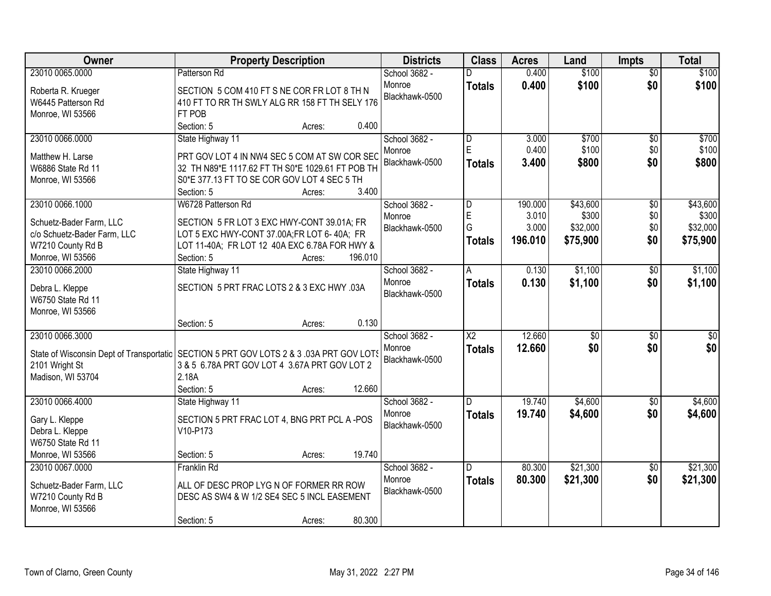| Owner                                                                                     | <b>Property Description</b>                      |                   | <b>Districts</b> | <b>Class</b>            | <b>Acres</b> | Land            | <b>Impts</b>    | <b>Total</b>     |
|-------------------------------------------------------------------------------------------|--------------------------------------------------|-------------------|------------------|-------------------------|--------------|-----------------|-----------------|------------------|
| 23010 0065.0000                                                                           | Patterson Rd                                     |                   | School 3682 -    |                         | 0.400        | \$100           | $\overline{50}$ | \$100            |
| Roberta R. Krueger                                                                        | SECTION 5 COM 410 FT S NE COR FR LOT 8 TH N      |                   | Monroe           | <b>Totals</b>           | 0.400        | \$100           | \$0             | \$100            |
| W6445 Patterson Rd                                                                        | 410 FT TO RR TH SWLY ALG RR 158 FT TH SELY 176   |                   | Blackhawk-0500   |                         |              |                 |                 |                  |
| Monroe, WI 53566                                                                          | FT POB                                           |                   |                  |                         |              |                 |                 |                  |
|                                                                                           | Section: 5                                       | 0.400<br>Acres:   |                  |                         |              |                 |                 |                  |
| 23010 0066.0000                                                                           | State Highway 11                                 |                   | School 3682 -    | $\overline{\mathsf{D}}$ | 3.000        | \$700           | \$0             | \$700            |
| Matthew H. Larse                                                                          | PRT GOV LOT 4 IN NW4 SEC 5 COM AT SW COR SEC     |                   | Monroe           | E                       | 0.400        | \$100           | \$0             | \$100            |
| W6886 State Rd 11                                                                         | 32 TH N89*E 1117.62 FT TH S0*E 1029.61 FT POB TH |                   | Blackhawk-0500   | <b>Totals</b>           | 3.400        | \$800           | \$0             | \$800            |
| Monroe, WI 53566                                                                          | S0*E 377.13 FT TO SE COR GOV LOT 4 SEC 5 TH      |                   |                  |                         |              |                 |                 |                  |
|                                                                                           | Section: 5                                       | 3.400<br>Acres:   |                  |                         |              |                 |                 |                  |
| 23010 0066.1000                                                                           | W6728 Patterson Rd                               |                   | School 3682 -    | $\overline{\mathsf{D}}$ | 190.000      | \$43,600        | $\overline{50}$ | \$43,600         |
|                                                                                           |                                                  |                   | Monroe           | E                       | 3.010        | \$300           | \$0             | \$300            |
| Schuetz-Bader Farm, LLC                                                                   | SECTION 5 FR LOT 3 EXC HWY-CONT 39.01A; FR       |                   | Blackhawk-0500   | G                       | 3.000        | \$32,000        | \$0             | \$32,000         |
| c/o Schuetz-Bader Farm, LLC                                                               | LOT 5 EXC HWY-CONT 37.00A;FR LOT 6-40A; FR       |                   |                  | <b>Totals</b>           | 196.010      | \$75,900        | \$0             | \$75,900         |
| W7210 County Rd B                                                                         | LOT 11-40A; FR LOT 12 40A EXC 6.78A FOR HWY &    |                   |                  |                         |              |                 |                 |                  |
| Monroe, WI 53566                                                                          | Section: 5                                       | 196.010<br>Acres: |                  |                         |              |                 |                 |                  |
| 23010 0066.2000                                                                           | State Highway 11                                 |                   | School 3682 -    | A                       | 0.130        | \$1,100         | $\sqrt[6]{}$    | \$1,100          |
| Debra L. Kleppe                                                                           | SECTION 5 PRT FRAC LOTS 2 & 3 EXC HWY .03A       |                   | Monroe           | <b>Totals</b>           | 0.130        | \$1,100         | \$0             | \$1,100          |
| W6750 State Rd 11                                                                         |                                                  |                   | Blackhawk-0500   |                         |              |                 |                 |                  |
| Monroe, WI 53566                                                                          |                                                  |                   |                  |                         |              |                 |                 |                  |
|                                                                                           | Section: 5                                       | 0.130<br>Acres:   |                  |                         |              |                 |                 |                  |
| 23010 0066.3000                                                                           |                                                  |                   | School 3682 -    | $\overline{\text{X2}}$  | 12.660       | $\overline{50}$ | $\overline{30}$ | $\overline{\$0}$ |
| State of Wisconsin Dept of Transportatic   SECTION 5 PRT GOV LOTS 2 & 3 .03A PRT GOV LOTS |                                                  |                   | Monroe           | <b>Totals</b>           | 12.660       | \$0             | \$0             | \$0              |
| 2101 Wright St                                                                            | 3 & 5 6.78A PRT GOV LOT 4 3.67A PRT GOV LOT 2    |                   | Blackhawk-0500   |                         |              |                 |                 |                  |
| Madison, WI 53704                                                                         | 2.18A                                            |                   |                  |                         |              |                 |                 |                  |
|                                                                                           | Section: 5                                       | 12.660<br>Acres:  |                  |                         |              |                 |                 |                  |
| 23010 0066.4000                                                                           | State Highway 11                                 |                   | School 3682 -    | D.                      | 19.740       | \$4,600         | $\sqrt{$0}$     | \$4,600          |
|                                                                                           |                                                  |                   | Monroe           | <b>Totals</b>           | 19.740       | \$4,600         | \$0             | \$4,600          |
| Gary L. Kleppe                                                                            | SECTION 5 PRT FRAC LOT 4, BNG PRT PCL A -POS     |                   | Blackhawk-0500   |                         |              |                 |                 |                  |
| Debra L. Kleppe<br>W6750 State Rd 11                                                      | V10-P173                                         |                   |                  |                         |              |                 |                 |                  |
| Monroe, WI 53566                                                                          | Section: 5                                       | 19.740<br>Acres:  |                  |                         |              |                 |                 |                  |
| 23010 0067.0000                                                                           | <b>Franklin Rd</b>                               |                   | School 3682 -    | D.                      | 80.300       | \$21,300        | $\overline{50}$ | \$21,300         |
|                                                                                           |                                                  |                   | Monroe           |                         | 80.300       | \$21,300        | \$0             |                  |
| Schuetz-Bader Farm, LLC                                                                   | ALL OF DESC PROP LYG N OF FORMER RR ROW          |                   | Blackhawk-0500   | <b>Totals</b>           |              |                 |                 | \$21,300         |
| W7210 County Rd B                                                                         | DESC AS SW4 & W 1/2 SE4 SEC 5 INCL EASEMENT      |                   |                  |                         |              |                 |                 |                  |
| Monroe, WI 53566                                                                          |                                                  |                   |                  |                         |              |                 |                 |                  |
|                                                                                           | Section: 5                                       | 80.300<br>Acres:  |                  |                         |              |                 |                 |                  |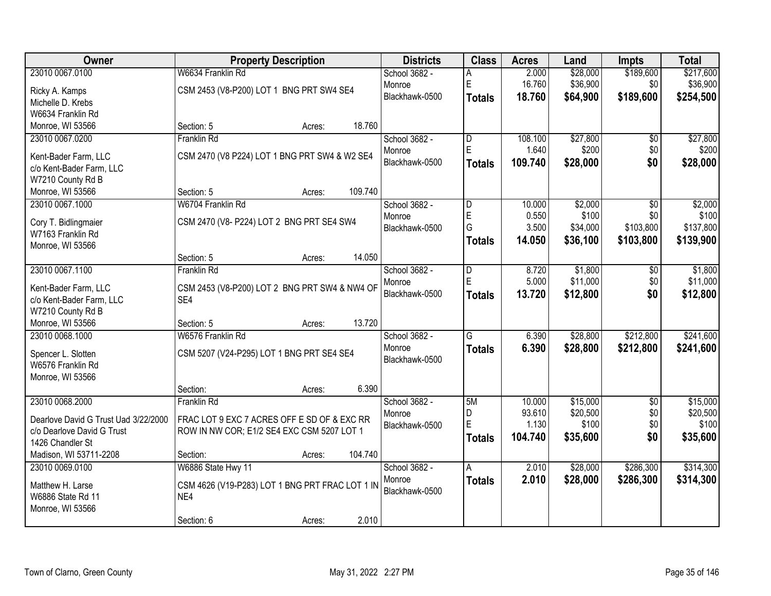| Owner                                |                                                 | <b>Property Description</b> |         | <b>Districts</b> | <b>Class</b>            | <b>Acres</b> | Land     | <b>Impts</b>    | <b>Total</b> |
|--------------------------------------|-------------------------------------------------|-----------------------------|---------|------------------|-------------------------|--------------|----------|-----------------|--------------|
| 23010 0067.0100                      | W6634 Franklin Rd                               |                             |         | School 3682 -    | А                       | 2.000        | \$28,000 | \$189,600       | \$217,600    |
| Ricky A. Kamps                       | CSM 2453 (V8-P200) LOT 1 BNG PRT SW4 SE4        |                             |         | Monroe           | E                       | 16.760       | \$36,900 | \$0             | \$36,900     |
| Michelle D. Krebs                    |                                                 |                             |         | Blackhawk-0500   | <b>Totals</b>           | 18.760       | \$64,900 | \$189,600       | \$254,500    |
| W6634 Franklin Rd                    |                                                 |                             |         |                  |                         |              |          |                 |              |
| Monroe, WI 53566                     | Section: 5                                      | Acres:                      | 18.760  |                  |                         |              |          |                 |              |
| 23010 0067.0200                      | Franklin Rd                                     |                             |         | School 3682 -    | $\overline{\mathsf{D}}$ | 108.100      | \$27,800 | \$0             | \$27,800     |
| Kent-Bader Farm, LLC                 | CSM 2470 (V8 P224) LOT 1 BNG PRT SW4 & W2 SE4   |                             |         | Monroe           | E                       | 1.640        | \$200    | \$0             | \$200        |
| c/o Kent-Bader Farm, LLC             |                                                 |                             |         | Blackhawk-0500   | <b>Totals</b>           | 109.740      | \$28,000 | \$0             | \$28,000     |
| W7210 County Rd B                    |                                                 |                             |         |                  |                         |              |          |                 |              |
| Monroe, WI 53566                     | Section: 5                                      | Acres:                      | 109.740 |                  |                         |              |          |                 |              |
| 23010 0067.1000                      | W6704 Franklin Rd                               |                             |         | School 3682 -    | $\overline{\mathsf{D}}$ | 10.000       | \$2,000  | \$0             | \$2,000      |
| Cory T. Bidlingmaier                 | CSM 2470 (V8- P224) LOT 2 BNG PRT SE4 SW4       |                             |         | Monroe           | E                       | 0.550        | \$100    | \$0             | \$100        |
| W7163 Franklin Rd                    |                                                 |                             |         | Blackhawk-0500   | G                       | 3.500        | \$34,000 | \$103,800       | \$137,800    |
| Monroe, WI 53566                     |                                                 |                             |         |                  | <b>Totals</b>           | 14.050       | \$36,100 | \$103,800       | \$139,900    |
|                                      | Section: 5                                      | Acres:                      | 14.050  |                  |                         |              |          |                 |              |
| 23010 0067.1100                      | Franklin Rd                                     |                             |         | School 3682 -    | D                       | 8.720        | \$1,800  | \$0             | \$1,800      |
| Kent-Bader Farm, LLC                 | CSM 2453 (V8-P200) LOT 2 BNG PRT SW4 & NW4 OF   |                             |         | Monroe           | E                       | 5.000        | \$11,000 | \$0             | \$11,000     |
| c/o Kent-Bader Farm, LLC             | SE4                                             |                             |         | Blackhawk-0500   | <b>Totals</b>           | 13.720       | \$12,800 | \$0             | \$12,800     |
| W7210 County Rd B                    |                                                 |                             |         |                  |                         |              |          |                 |              |
| Monroe, WI 53566                     | Section: 5                                      | Acres:                      | 13.720  |                  |                         |              |          |                 |              |
| 23010 0068.1000                      | W6576 Franklin Rd                               |                             |         | School 3682 -    | $\overline{\mathsf{G}}$ | 6.390        | \$28,800 | \$212,800       | \$241,600    |
| Spencer L. Slotten                   | CSM 5207 (V24-P295) LOT 1 BNG PRT SE4 SE4       |                             |         | Monroe           | <b>Totals</b>           | 6.390        | \$28,800 | \$212,800       | \$241,600    |
| W6576 Franklin Rd                    |                                                 |                             |         | Blackhawk-0500   |                         |              |          |                 |              |
| Monroe, WI 53566                     |                                                 |                             |         |                  |                         |              |          |                 |              |
|                                      | Section:                                        | Acres:                      | 6.390   |                  |                         |              |          |                 |              |
| 23010 0068.2000                      | Franklin Rd                                     |                             |         | School 3682 -    | 5M                      | 10.000       | \$15,000 | $\overline{30}$ | \$15,000     |
| Dearlove David G Trust Uad 3/22/2000 | FRAC LOT 9 EXC 7 ACRES OFF E SD OF & EXC RR     |                             |         | Monroe           | D                       | 93.610       | \$20,500 | \$0             | \$20,500     |
| c/o Dearlove David G Trust           | ROW IN NW COR; E1/2 SE4 EXC CSM 5207 LOT 1      |                             |         | Blackhawk-0500   | E                       | 1.130        | \$100    | \$0             | \$100        |
| 1426 Chandler St                     |                                                 |                             |         |                  | <b>Totals</b>           | 104.740      | \$35,600 | \$0             | \$35,600     |
| Madison, WI 53711-2208               | Section:                                        | Acres:                      | 104.740 |                  |                         |              |          |                 |              |
| 23010 0069.0100                      | W6886 State Hwy 11                              |                             |         | School 3682 -    | A                       | 2.010        | \$28,000 | \$286,300       | \$314,300    |
| Matthew H. Larse                     | CSM 4626 (V19-P283) LOT 1 BNG PRT FRAC LOT 1 IN |                             |         | Monroe           | <b>Totals</b>           | 2.010        | \$28,000 | \$286,300       | \$314,300    |
| W6886 State Rd 11                    | NE4                                             |                             |         | Blackhawk-0500   |                         |              |          |                 |              |
| Monroe, WI 53566                     |                                                 |                             |         |                  |                         |              |          |                 |              |
|                                      | Section: 6                                      | Acres:                      | 2.010   |                  |                         |              |          |                 |              |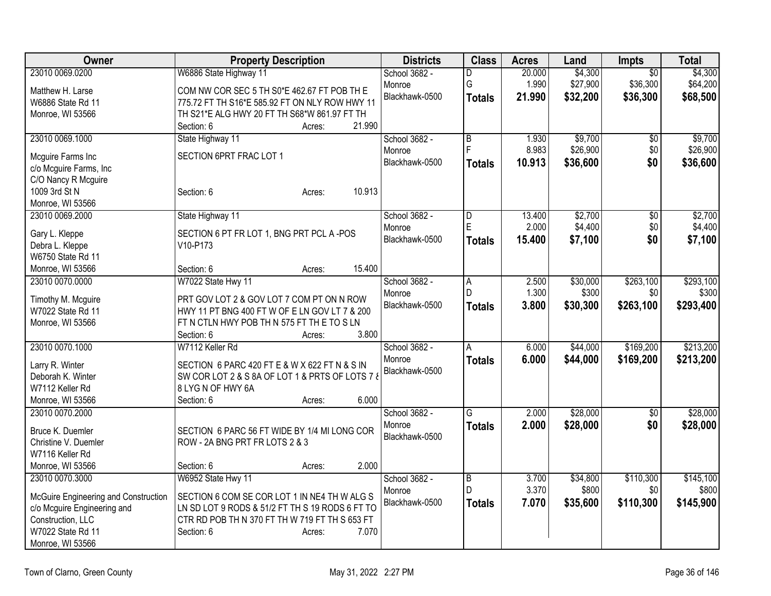| Owner                                | <b>Property Description</b>                     | <b>Districts</b> | <b>Class</b>            | <b>Acres</b> | Land     | Impts           | <b>Total</b> |
|--------------------------------------|-------------------------------------------------|------------------|-------------------------|--------------|----------|-----------------|--------------|
| 23010 0069.0200                      | W6886 State Highway 11                          | School 3682 -    | D                       | 20.000       | \$4,300  | $\overline{50}$ | \$4,300      |
| Matthew H. Larse                     | COM NW COR SEC 5 TH S0*E 462.67 FT POB TH E     | Monroe           | G                       | 1.990        | \$27,900 | \$36,300        | \$64,200     |
| W6886 State Rd 11                    | 775.72 FT TH S16*E 585.92 FT ON NLY ROW HWY 11  | Blackhawk-0500   | <b>Totals</b>           | 21.990       | \$32,200 | \$36,300        | \$68,500     |
| Monroe, WI 53566                     | TH S21*E ALG HWY 20 FT TH S68*W 861.97 FT TH    |                  |                         |              |          |                 |              |
|                                      | 21.990<br>Section: 6<br>Acres:                  |                  |                         |              |          |                 |              |
| 23010 0069.1000                      | State Highway 11                                | School 3682 -    | $\overline{\mathsf{B}}$ | 1.930        | \$9,700  | $\overline{50}$ | \$9,700      |
|                                      | SECTION 6PRT FRAC LOT 1                         | Monroe           | Ē                       | 8.983        | \$26,900 | \$0             | \$26,900     |
| Mcguire Farms Inc                    |                                                 | Blackhawk-0500   | <b>Totals</b>           | 10.913       | \$36,600 | \$0             | \$36,600     |
| c/o Mcguire Farms, Inc               |                                                 |                  |                         |              |          |                 |              |
| C/O Nancy R Mcguire                  |                                                 |                  |                         |              |          |                 |              |
| 1009 3rd St N                        | 10.913<br>Section: 6<br>Acres:                  |                  |                         |              |          |                 |              |
| Monroe, WI 53566                     |                                                 |                  |                         |              |          |                 |              |
| 23010 0069.2000                      | State Highway 11                                | School 3682 -    | $\overline{\mathsf{D}}$ | 13.400       | \$2,700  | $\overline{50}$ | \$2,700      |
| Gary L. Kleppe                       | SECTION 6 PT FR LOT 1, BNG PRT PCL A -POS       | Monroe           | E                       | 2.000        | \$4,400  | \$0             | \$4,400      |
| Debra L. Kleppe                      | V10-P173                                        | Blackhawk-0500   | <b>Totals</b>           | 15.400       | \$7,100  | \$0             | \$7,100      |
| W6750 State Rd 11                    |                                                 |                  |                         |              |          |                 |              |
| Monroe, WI 53566                     | 15.400<br>Section: 6<br>Acres:                  |                  |                         |              |          |                 |              |
| 23010 0070.0000                      | W7022 State Hwy 11                              | School 3682 -    | Α                       | 2.500        | \$30,000 | \$263,100       | \$293,100    |
|                                      |                                                 | Monroe           | D                       | 1.300        | \$300    | \$0             | \$300        |
| Timothy M. Mcguire                   | PRT GOV LOT 2 & GOV LOT 7 COM PT ON N ROW       | Blackhawk-0500   |                         |              |          |                 |              |
| W7022 State Rd 11                    | HWY 11 PT BNG 400 FT W OF E LN GOV LT 7 & 200   |                  | <b>Totals</b>           | 3.800        | \$30,300 | \$263,100       | \$293,400    |
| Monroe, WI 53566                     | FT N CTLN HWY POB TH N 575 FT TH E TO S LN      |                  |                         |              |          |                 |              |
|                                      | 3.800<br>Section: 6<br>Acres:                   |                  |                         |              |          |                 |              |
| 23010 0070.1000                      | W7112 Keller Rd                                 | School 3682 -    | A                       | 6.000        | \$44,000 | \$169,200       | \$213,200    |
|                                      |                                                 | Monroe           | <b>Totals</b>           | 6.000        | \$44,000 | \$169,200       | \$213,200    |
| Larry R. Winter                      | SECTION 6 PARC 420 FT E & W X 622 FT N & S IN   | Blackhawk-0500   |                         |              |          |                 |              |
| Deborah K. Winter                    | SW COR LOT 2 & S 8A OF LOT 1 & PRTS OF LOTS 7 & |                  |                         |              |          |                 |              |
| W7112 Keller Rd                      | 8 LYG N OF HWY 6A                               |                  |                         |              |          |                 |              |
| Monroe, WI 53566                     | 6.000<br>Section: 6<br>Acres:                   |                  |                         |              |          |                 |              |
| 23010 0070.2000                      |                                                 | School 3682 -    | G                       | 2.000        | \$28,000 | $\sqrt{6}$      | \$28,000     |
| Bruce K. Duemler                     | SECTION 6 PARC 56 FT WIDE BY 1/4 MI LONG COR    | Monroe           | <b>Totals</b>           | 2.000        | \$28,000 | \$0             | \$28,000     |
| Christine V. Duemler                 | ROW - 2A BNG PRT FR LOTS 2 & 3                  | Blackhawk-0500   |                         |              |          |                 |              |
| W7116 Keller Rd                      |                                                 |                  |                         |              |          |                 |              |
| Monroe, WI 53566                     | 2.000<br>Section: 6<br>Acres:                   |                  |                         |              |          |                 |              |
| 23010 0070.3000                      | W6952 State Hwy 11                              | School 3682 -    | $\overline{B}$          | 3.700        | \$34,800 | \$110,300       | \$145,100    |
|                                      |                                                 | Monroe           | D                       | 3.370        | \$800    | \$0             | \$800        |
| McGuire Engineering and Construction | SECTION 6 COM SE COR LOT 1 IN NE4 TH W ALG S    | Blackhawk-0500   |                         |              |          |                 |              |
| c/o Mcguire Engineering and          | LN SD LOT 9 RODS & 51/2 FT TH S 19 RODS 6 FT TO |                  | <b>Totals</b>           | 7.070        | \$35,600 | \$110,300       | \$145,900    |
| Construction, LLC                    | CTR RD POB TH N 370 FT TH W 719 FT TH S 653 FT  |                  |                         |              |          |                 |              |
| W7022 State Rd 11                    | 7.070<br>Section: 6<br>Acres:                   |                  |                         |              |          |                 |              |
| Monroe, WI 53566                     |                                                 |                  |                         |              |          |                 |              |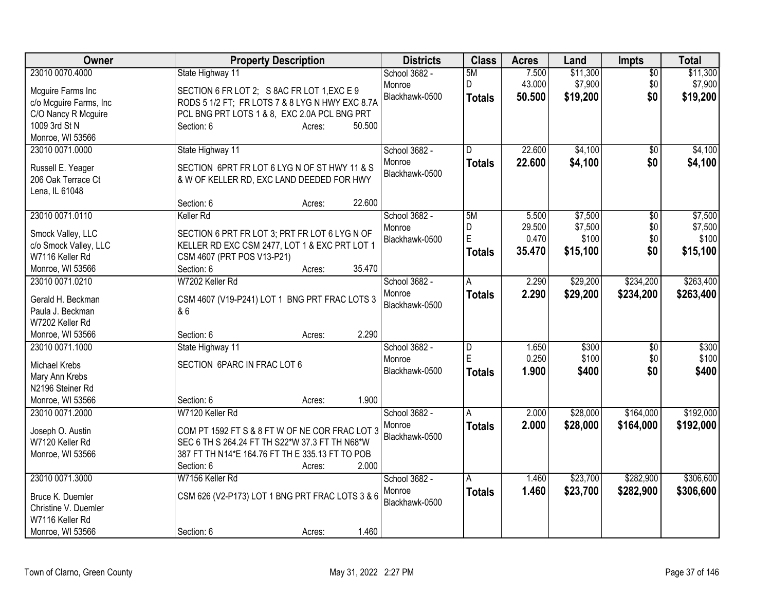| Owner                  | <b>Property Description</b>                                            | <b>Districts</b> | <b>Class</b>        | <b>Acres</b> | Land     | <b>Impts</b>   | <b>Total</b> |
|------------------------|------------------------------------------------------------------------|------------------|---------------------|--------------|----------|----------------|--------------|
| 23010 0070.4000        | State Highway 11                                                       | School 3682 -    | 5M                  | 7.500        | \$11,300 | \$0            | \$11,300     |
| Mcguire Farms Inc      | SECTION 6 FR LOT 2; S 8AC FR LOT 1, EXC E 9                            | Monroe           | D                   | 43.000       | \$7,900  | \$0            | \$7,900      |
| c/o Mcguire Farms, Inc | RODS 5 1/2 FT; FR LOTS 7 & 8 LYG N HWY EXC 8.7A                        | Blackhawk-0500   | <b>Totals</b>       | 50,500       | \$19,200 | \$0            | \$19,200     |
| C/O Nancy R Mcguire    | PCL BNG PRT LOTS 1 & 8, EXC 2.0A PCL BNG PRT                           |                  |                     |              |          |                |              |
| 1009 3rd St N          | Section: 6<br>50.500<br>Acres:                                         |                  |                     |              |          |                |              |
| Monroe, WI 53566       |                                                                        |                  |                     |              |          |                |              |
| 23010 0071.0000        | State Highway 11                                                       | School 3682 -    | D                   | 22.600       | \$4,100  | \$0            | \$4,100      |
|                        |                                                                        | Monroe           | <b>Totals</b>       | 22.600       | \$4,100  | \$0            | \$4,100      |
| Russell E. Yeager      | SECTION 6PRT FR LOT 6 LYG N OF ST HWY 11 & S                           | Blackhawk-0500   |                     |              |          |                |              |
| 206 Oak Terrace Ct     | & W OF KELLER RD, EXC LAND DEEDED FOR HWY                              |                  |                     |              |          |                |              |
| Lena, IL 61048         |                                                                        |                  |                     |              |          |                |              |
|                        | 22.600<br>Section: 6<br>Acres:                                         |                  |                     |              |          |                |              |
| 23010 0071.0110        | Keller Rd                                                              | School 3682 -    | 5M                  | 5.500        | \$7,500  | \$0            | \$7,500      |
| Smock Valley, LLC      | SECTION 6 PRT FR LOT 3; PRT FR LOT 6 LYG N OF                          | Monroe           | D<br>$\overline{E}$ | 29.500       | \$7,500  | \$0            | \$7,500      |
| c/o Smock Valley, LLC  | KELLER RD EXC CSM 2477, LOT 1 & EXC PRT LOT 1                          | Blackhawk-0500   |                     | 0.470        | \$100    | \$0            | \$100        |
| W7116 Keller Rd        | CSM 4607 (PRT POS V13-P21)                                             |                  | Totals              | 35.470       | \$15,100 | \$0            | \$15,100     |
| Monroe, WI 53566       | 35.470<br>Section: 6<br>Acres:                                         |                  |                     |              |          |                |              |
| 23010 0071.0210        | W7202 Keller Rd                                                        | School 3682 -    | A                   | 2.290        | \$29,200 | \$234,200      | \$263,400    |
|                        |                                                                        | Monroe           | <b>Totals</b>       | 2.290        | \$29,200 | \$234,200      | \$263,400    |
| Gerald H. Beckman      | CSM 4607 (V19-P241) LOT 1 BNG PRT FRAC LOTS 3                          | Blackhawk-0500   |                     |              |          |                |              |
| Paula J. Beckman       | & 6                                                                    |                  |                     |              |          |                |              |
| W7202 Keller Rd        | 2.290                                                                  |                  |                     |              |          |                |              |
| Monroe, WI 53566       | Section: 6<br>Acres:                                                   |                  |                     |              |          |                |              |
| 23010 0071.1000        | State Highway 11                                                       | School 3682 -    | D                   | 1.650        | \$300    | $\sqrt[6]{30}$ | \$300        |
| Michael Krebs          | SECTION 6PARC IN FRAC LOT 6                                            | Monroe           | E                   | 0.250        | \$100    | \$0            | \$100        |
| Mary Ann Krebs         |                                                                        | Blackhawk-0500   | <b>Totals</b>       | 1.900        | \$400    | \$0            | \$400        |
| N2196 Steiner Rd       |                                                                        |                  |                     |              |          |                |              |
| Monroe, WI 53566       | 1.900<br>Section: 6<br>Acres:                                          |                  |                     |              |          |                |              |
| 23010 0071.2000        | W7120 Keller Rd                                                        | School 3682 -    | A                   | 2.000        | \$28,000 | \$164,000      | \$192,000    |
|                        |                                                                        | Monroe           | Totals              | 2.000        | \$28,000 | \$164,000      | \$192,000    |
| Joseph O. Austin       | COM PT 1592 FT S & 8 FT W OF NE COR FRAC LOT 3                         | Blackhawk-0500   |                     |              |          |                |              |
| W7120 Keller Rd        | SEC 6 TH S 264.24 FT TH S22*W 37.3 FT TH N68*W                         |                  |                     |              |          |                |              |
| Monroe, WI 53566       | 387 FT TH N14*E 164.76 FT TH E 335.13 FT TO POB<br>2.000<br>Section: 6 |                  |                     |              |          |                |              |
|                        | Acres:                                                                 |                  |                     |              |          |                |              |
| 23010 0071.3000        | W7156 Keller Rd                                                        | School 3682 -    | A                   | 1.460        | \$23,700 | \$282,900      | \$306,600    |
| Bruce K. Duemler       | CSM 626 (V2-P173) LOT 1 BNG PRT FRAC LOTS 3 & 6                        | Monroe           | Totals              | 1.460        | \$23,700 | \$282,900      | \$306,600    |
| Christine V. Duemler   |                                                                        | Blackhawk-0500   |                     |              |          |                |              |
| W7116 Keller Rd        |                                                                        |                  |                     |              |          |                |              |
| Monroe, WI 53566       | 1.460<br>Section: 6<br>Acres:                                          |                  |                     |              |          |                |              |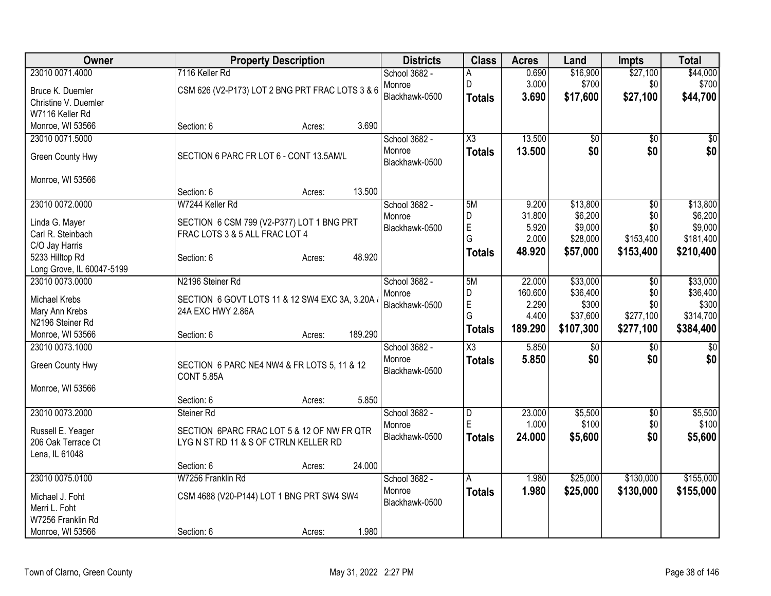| <b>Owner</b>              |                                                                  | <b>Property Description</b> |         | <b>Districts</b> | <b>Class</b>  | <b>Acres</b> | Land         | <b>Impts</b>    | <b>Total</b> |
|---------------------------|------------------------------------------------------------------|-----------------------------|---------|------------------|---------------|--------------|--------------|-----------------|--------------|
| 23010 0071.4000           | 7116 Keller Rd                                                   |                             |         | School 3682 -    | A             | 0.690        | \$16,900     | \$27,100        | \$44,000     |
| Bruce K. Duemler          | CSM 626 (V2-P173) LOT 2 BNG PRT FRAC LOTS 3 & 6                  |                             |         | Monroe           | D             | 3.000        | \$700        | \$0             | \$700        |
| Christine V. Duemler      |                                                                  |                             |         | Blackhawk-0500   | Totals        | 3.690        | \$17,600     | \$27,100        | \$44,700     |
| W7116 Keller Rd           |                                                                  |                             |         |                  |               |              |              |                 |              |
| Monroe, WI 53566          | Section: 6                                                       | Acres:                      | 3.690   |                  |               |              |              |                 |              |
| 23010 0071.5000           |                                                                  |                             |         | School 3682 -    | X3            | 13.500       | \$0          | $\overline{30}$ | \$0          |
|                           |                                                                  |                             |         | Monroe           | <b>Totals</b> | 13.500       | \$0          | \$0             | \$0          |
| Green County Hwy          | SECTION 6 PARC FR LOT 6 - CONT 13.5AM/L                          |                             |         | Blackhawk-0500   |               |              |              |                 |              |
| Monroe, WI 53566          |                                                                  |                             |         |                  |               |              |              |                 |              |
|                           | Section: 6                                                       | Acres:                      | 13.500  |                  |               |              |              |                 |              |
| 23010 0072.0000           | W7244 Keller Rd                                                  |                             |         | School 3682 -    | 5M            | 9.200        | \$13,800     | $\overline{50}$ | \$13,800     |
|                           |                                                                  |                             |         | Monroe           | D             | 31.800       | \$6,200      | \$0             | \$6,200      |
| Linda G. Mayer            | SECTION 6 CSM 799 (V2-P377) LOT 1 BNG PRT                        |                             |         | Blackhawk-0500   | E             | 5.920        | \$9,000      | \$0             | \$9,000      |
| Carl R. Steinbach         | FRAC LOTS 3 & 5 ALL FRAC LOT 4                                   |                             |         |                  | G             | 2.000        | \$28,000     | \$153,400       | \$181,400    |
| C/O Jay Harris            |                                                                  |                             |         |                  | Totals        | 48.920       | \$57,000     | \$153,400       | \$210,400    |
| 5233 Hilltop Rd           | Section: 6                                                       | Acres:                      | 48.920  |                  |               |              |              |                 |              |
| Long Grove, IL 60047-5199 |                                                                  |                             |         |                  |               |              |              |                 |              |
| 23010 0073.0000           | N2196 Steiner Rd                                                 |                             |         | School 3682 -    | 5M            | 22.000       | \$33,000     | \$0             | \$33,000     |
| Michael Krebs             | SECTION 6 GOVT LOTS 11 & 12 SW4 EXC 3A, 3.20A &                  |                             |         | Monroe           | D             | 160.600      | \$36,400     | \$0             | \$36,400     |
| Mary Ann Krebs            | 24A EXC HWY 2.86A                                                |                             |         | Blackhawk-0500   | E<br>G        | 2.290        | \$300        | \$0             | \$300        |
| N2196 Steiner Rd          |                                                                  |                             |         |                  |               | 4.400        | \$37,600     | \$277,100       | \$314,700    |
| Monroe, WI 53566          | Section: 6                                                       | Acres:                      | 189.290 |                  | Totals        | 189.290      | \$107,300    | \$277,100       | \$384,400    |
| 23010 0073.1000           |                                                                  |                             |         | School 3682 -    | X3            | 5.850        | $\sqrt[6]{}$ | \$0             | \$0          |
|                           |                                                                  |                             |         | Monroe           | <b>Totals</b> | 5.850        | \$0          | \$0             | \$0          |
| Green County Hwy          | SECTION 6 PARC NE4 NW4 & FR LOTS 5, 11 & 12<br><b>CONT 5.85A</b> |                             |         | Blackhawk-0500   |               |              |              |                 |              |
| Monroe, WI 53566          |                                                                  |                             |         |                  |               |              |              |                 |              |
|                           | Section: 6                                                       | Acres:                      | 5.850   |                  |               |              |              |                 |              |
| 23010 0073.2000           | Steiner Rd                                                       |                             |         | School 3682 -    | D             | 23.000       | \$5,500      | $\overline{50}$ | \$5,500      |
|                           |                                                                  |                             |         | Monroe           | E             | 1.000        | \$100        | \$0             | \$100        |
| Russell E. Yeager         | SECTION 6PARC FRAC LOT 5 & 12 OF NW FR QTR                       |                             |         | Blackhawk-0500   | <b>Totals</b> | 24.000       | \$5,600      | \$0             | \$5,600      |
| 206 Oak Terrace Ct        | LYGN ST RD 11 & S OF CTRLN KELLER RD                             |                             |         |                  |               |              |              |                 |              |
| Lena, IL 61048            |                                                                  |                             |         |                  |               |              |              |                 |              |
|                           | Section: 6                                                       | Acres:                      | 24.000  |                  |               |              |              |                 |              |
| 23010 0075.0100           | W7256 Franklin Rd                                                |                             |         | School 3682 -    | A             | 1.980        | \$25,000     | \$130,000       | \$155,000    |
| Michael J. Foht           | CSM 4688 (V20-P144) LOT 1 BNG PRT SW4 SW4                        |                             |         | Monroe           | <b>Totals</b> | 1.980        | \$25,000     | \$130,000       | \$155,000    |
| Merri L. Foht             |                                                                  |                             |         | Blackhawk-0500   |               |              |              |                 |              |
| W7256 Franklin Rd         |                                                                  |                             |         |                  |               |              |              |                 |              |
| Monroe, WI 53566          | Section: 6                                                       | Acres:                      | 1.980   |                  |               |              |              |                 |              |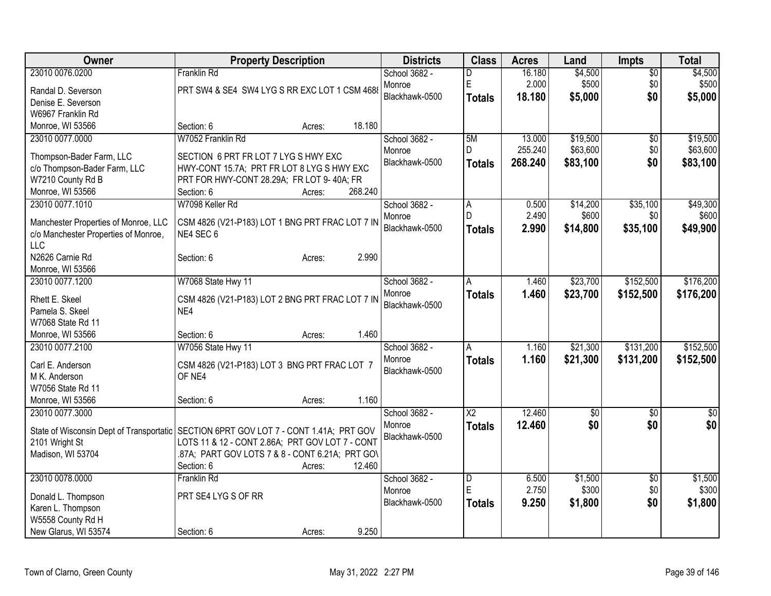| Owner                                                      | <b>Property Description</b>                     |         | <b>Districts</b> | <b>Class</b>            | <b>Acres</b> | Land            | <b>Impts</b>    | <b>Total</b>    |
|------------------------------------------------------------|-------------------------------------------------|---------|------------------|-------------------------|--------------|-----------------|-----------------|-----------------|
| 23010 0076.0200                                            | <b>Franklin Rd</b>                              |         | School 3682 -    | D                       | 16.180       | \$4,500         | $\overline{50}$ | \$4,500         |
| Randal D. Severson                                         | PRT SW4 & SE4 SW4 LYG S RR EXC LOT 1 CSM 4688   |         | Monroe           | E                       | 2.000        | \$500           | \$0             | \$500           |
| Denise E. Severson                                         |                                                 |         | Blackhawk-0500   | <b>Totals</b>           | 18.180       | \$5,000         | \$0             | \$5,000         |
| W6967 Franklin Rd                                          |                                                 |         |                  |                         |              |                 |                 |                 |
| Monroe, WI 53566                                           | Section: 6<br>Acres:                            | 18.180  |                  |                         |              |                 |                 |                 |
| 23010 0077.0000                                            | W7052 Franklin Rd                               |         | School 3682 -    | 5M                      | 13.000       | \$19,500        | $\overline{50}$ | \$19,500        |
| Thompson-Bader Farm, LLC                                   | SECTION 6 PRT FR LOT 7 LYG S HWY EXC            |         | Monroe           | D                       | 255.240      | \$63,600        | \$0             | \$63,600        |
| c/o Thompson-Bader Farm, LLC                               | HWY-CONT 15.7A; PRT FR LOT 8 LYG S HWY EXC      |         | Blackhawk-0500   | <b>Totals</b>           | 268.240      | \$83,100        | \$0             | \$83,100        |
| W7210 County Rd B                                          | PRT FOR HWY-CONT 28.29A; FR LOT 9-40A; FR       |         |                  |                         |              |                 |                 |                 |
| Monroe, WI 53566                                           | Section: 6<br>Acres:                            | 268.240 |                  |                         |              |                 |                 |                 |
| 23010 0077.1010                                            | W7098 Keller Rd                                 |         | School 3682 -    | A                       | 0.500        | \$14,200        | \$35,100        | \$49,300        |
|                                                            |                                                 |         | Monroe           | D.                      | 2.490        | \$600           | \$0             | \$600           |
| Manchester Properties of Monroe, LLC                       | CSM 4826 (V21-P183) LOT 1 BNG PRT FRAC LOT 7 IN |         | Blackhawk-0500   | <b>Totals</b>           | 2.990        | \$14,800        | \$35,100        | \$49,900        |
| c/o Manchester Properties of Monroe,                       | NE4 SEC 6                                       |         |                  |                         |              |                 |                 |                 |
| <b>LLC</b>                                                 |                                                 |         |                  |                         |              |                 |                 |                 |
| N2626 Carnie Rd                                            | Section: 6<br>Acres:                            | 2.990   |                  |                         |              |                 |                 |                 |
| Monroe, WI 53566<br>23010 0077.1200                        | W7068 State Hwy 11                              |         | School 3682 -    |                         | 1.460        | \$23,700        | \$152,500       | \$176,200       |
|                                                            |                                                 |         | Monroe           | A                       |              |                 |                 |                 |
| Rhett E. Skeel                                             | CSM 4826 (V21-P183) LOT 2 BNG PRT FRAC LOT 7 IN |         | Blackhawk-0500   | <b>Totals</b>           | 1.460        | \$23,700        | \$152,500       | \$176,200       |
| Pamela S. Skeel                                            | NE4                                             |         |                  |                         |              |                 |                 |                 |
| W7068 State Rd 11                                          |                                                 |         |                  |                         |              |                 |                 |                 |
| Monroe, WI 53566                                           | Section: 6<br>Acres:                            | 1.460   |                  |                         |              |                 |                 |                 |
| 23010 0077.2100                                            | W7056 State Hwy 11                              |         | School 3682 -    | A                       | 1.160        | \$21,300        | \$131,200       | \$152,500       |
| Carl E. Anderson                                           | CSM 4826 (V21-P183) LOT 3 BNG PRT FRAC LOT 7    |         | Monroe           | <b>Totals</b>           | 1.160        | \$21,300        | \$131,200       | \$152,500       |
| M K. Anderson                                              | OF NE4                                          |         | Blackhawk-0500   |                         |              |                 |                 |                 |
| W7056 State Rd 11                                          |                                                 |         |                  |                         |              |                 |                 |                 |
| Monroe, WI 53566                                           | Section: 6<br>Acres:                            | 1.160   |                  |                         |              |                 |                 |                 |
| 23010 0077.3000                                            |                                                 |         | School 3682 -    | $\overline{\text{X2}}$  | 12.460       | $\overline{50}$ | $\overline{30}$ | $\overline{30}$ |
|                                                            | SECTION 6PRT GOV LOT 7 - CONT 1.41A; PRT GOV    |         | Monroe           | <b>Totals</b>           | 12.460       | \$0             | \$0             | \$0             |
| State of Wisconsin Dept of Transportatic<br>2101 Wright St | LOTS 11 & 12 - CONT 2.86A; PRT GOV LOT 7 - CONT |         | Blackhawk-0500   |                         |              |                 |                 |                 |
| Madison, WI 53704                                          | .87A; PART GOV LOTS 7 & 8 - CONT 6.21A; PRT GOV |         |                  |                         |              |                 |                 |                 |
|                                                            | Section: 6<br>Acres:                            | 12.460  |                  |                         |              |                 |                 |                 |
| 23010 0078.0000                                            | <b>Franklin Rd</b>                              |         | School 3682 -    | $\overline{\mathsf{D}}$ | 6.500        | \$1,500         | $\overline{50}$ | \$1,500         |
|                                                            |                                                 |         | Monroe           | E                       | 2.750        | \$300           | \$0             | \$300           |
| Donald L. Thompson                                         | PRT SE4 LYG S OF RR                             |         | Blackhawk-0500   | <b>Totals</b>           | 9.250        | \$1,800         | \$0             | \$1,800         |
| Karen L. Thompson                                          |                                                 |         |                  |                         |              |                 |                 |                 |
| W5558 County Rd H                                          |                                                 |         |                  |                         |              |                 |                 |                 |
| New Glarus, WI 53574                                       | Section: 6<br>Acres:                            | 9.250   |                  |                         |              |                 |                 |                 |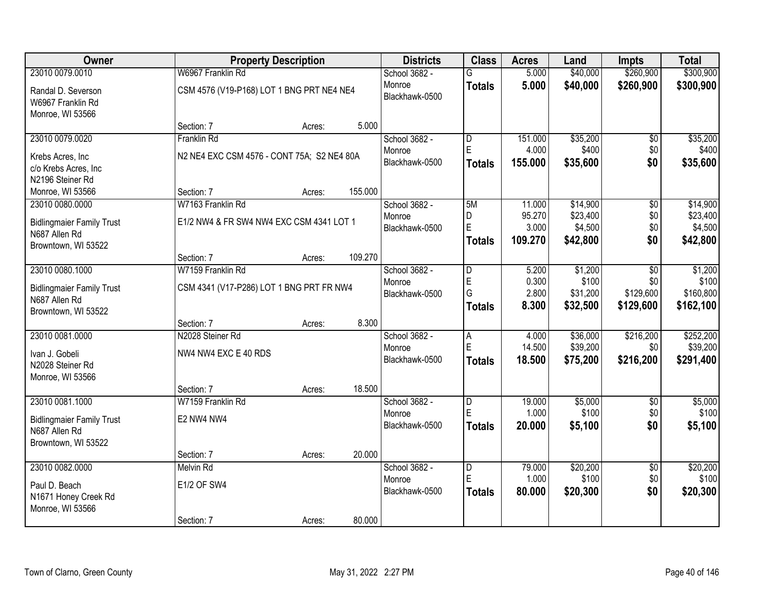| Owner                                                                    |                                            | <b>Property Description</b> |         | <b>Districts</b>         | <b>Class</b>            | <b>Acres</b>               | Land                            | <b>Impts</b>      | <b>Total</b>                    |
|--------------------------------------------------------------------------|--------------------------------------------|-----------------------------|---------|--------------------------|-------------------------|----------------------------|---------------------------------|-------------------|---------------------------------|
| 23010 0079.0010                                                          | W6967 Franklin Rd                          |                             |         | School 3682 -            | G                       | 5.000                      | \$40,000                        | \$260,900         | \$300,900                       |
| Randal D. Severson<br>W6967 Franklin Rd<br>Monroe, WI 53566              | CSM 4576 (V19-P168) LOT 1 BNG PRT NE4 NE4  |                             |         | Monroe<br>Blackhawk-0500 | <b>Totals</b>           | 5.000                      | \$40,000                        | \$260,900         | \$300,900                       |
|                                                                          | Section: 7                                 | Acres:                      | 5.000   |                          |                         |                            |                                 |                   |                                 |
| 23010 0079.0020                                                          | Franklin Rd                                |                             |         | School 3682 -            | D                       | 151.000                    | \$35,200                        | $\overline{50}$   | \$35,200                        |
| Krebs Acres, Inc<br>c/o Krebs Acres, Inc<br>N2196 Steiner Rd             | N2 NE4 EXC CSM 4576 - CONT 75A; S2 NE4 80A |                             |         | Monroe<br>Blackhawk-0500 | E<br><b>Totals</b>      | 4.000<br>155.000           | \$400<br>\$35,600               | \$0<br>\$0        | \$400<br>\$35,600               |
| Monroe, WI 53566                                                         | Section: 7                                 | Acres:                      | 155.000 |                          |                         |                            |                                 |                   |                                 |
| 23010 0080.0000                                                          | W7163 Franklin Rd                          |                             |         | School 3682 -            | 5M                      | 11.000                     | \$14,900                        | \$0               | \$14,900                        |
| <b>Bidlingmaier Family Trust</b><br>N687 Allen Rd<br>Browntown, WI 53522 | E1/2 NW4 & FR SW4 NW4 EXC CSM 4341 LOT 1   |                             |         | Monroe<br>Blackhawk-0500 | D<br>E<br><b>Totals</b> | 95.270<br>3.000<br>109.270 | \$23,400<br>\$4,500<br>\$42,800 | \$0<br>\$0<br>\$0 | \$23,400<br>\$4,500<br>\$42,800 |
|                                                                          | Section: 7                                 | Acres:                      | 109.270 |                          |                         |                            |                                 |                   |                                 |
| 23010 0080.1000                                                          | W7159 Franklin Rd                          |                             |         | School 3682 -            | D                       | 5.200                      | \$1,200                         | \$0               | \$1,200                         |
|                                                                          |                                            |                             |         | Monroe                   | E                       | 0.300                      | \$100                           | \$0               | \$100                           |
| <b>Bidlingmaier Family Trust</b><br>N687 Allen Rd                        | CSM 4341 (V17-P286) LOT 1 BNG PRT FR NW4   |                             |         | Blackhawk-0500           | G                       | 2.800                      | \$31,200                        | \$129,600         | \$160,800                       |
| Browntown, WI 53522                                                      |                                            |                             |         |                          | <b>Totals</b>           | 8.300                      | \$32,500                        | \$129,600         | \$162,100                       |
|                                                                          | Section: 7                                 | Acres:                      | 8.300   |                          |                         |                            |                                 |                   |                                 |
| 23010 0081.0000                                                          | N2028 Steiner Rd                           |                             |         | School 3682 -            | $\overline{A}$          | 4.000                      | \$36,000                        | \$216,200         | \$252,200                       |
| Ivan J. Gobeli                                                           | NW4 NW4 EXC E 40 RDS                       |                             |         | Monroe                   | E                       | 14.500                     | \$39,200                        | \$0               | \$39,200                        |
| N2028 Steiner Rd<br>Monroe, WI 53566                                     |                                            |                             |         | Blackhawk-0500           | <b>Totals</b>           | 18.500                     | \$75,200                        | \$216,200         | \$291,400                       |
|                                                                          | Section: 7                                 | Acres:                      | 18.500  |                          |                         |                            |                                 |                   |                                 |
| 23010 0081.1000                                                          | W7159 Franklin Rd                          |                             |         | School 3682 -            | D                       | 19.000                     | \$5,000                         | $\overline{50}$   | \$5,000                         |
| <b>Bidlingmaier Family Trust</b><br>N687 Allen Rd<br>Browntown, WI 53522 | E2 NW4 NW4                                 |                             |         | Monroe<br>Blackhawk-0500 | E<br><b>Totals</b>      | 1.000<br>20.000            | \$100<br>\$5,100                | \$0<br>\$0        | \$100<br>\$5,100                |
|                                                                          | Section: 7                                 | Acres:                      | 20.000  |                          |                         |                            |                                 |                   |                                 |
| 23010 0082.0000                                                          | <b>Melvin Rd</b>                           |                             |         | School 3682 -            | D                       | 79.000                     | \$20,200                        | $\overline{50}$   | \$20,200                        |
| Paul D. Beach                                                            | <b>E1/2 OF SW4</b>                         |                             |         | Monroe                   | E                       | 1.000                      | \$100                           | \$0               | \$100                           |
| N1671 Honey Creek Rd<br>Monroe, WI 53566                                 |                                            |                             |         | Blackhawk-0500           | <b>Totals</b>           | 80.000                     | \$20,300                        | \$0               | \$20,300                        |
|                                                                          | Section: 7                                 | Acres:                      | 80.000  |                          |                         |                            |                                 |                   |                                 |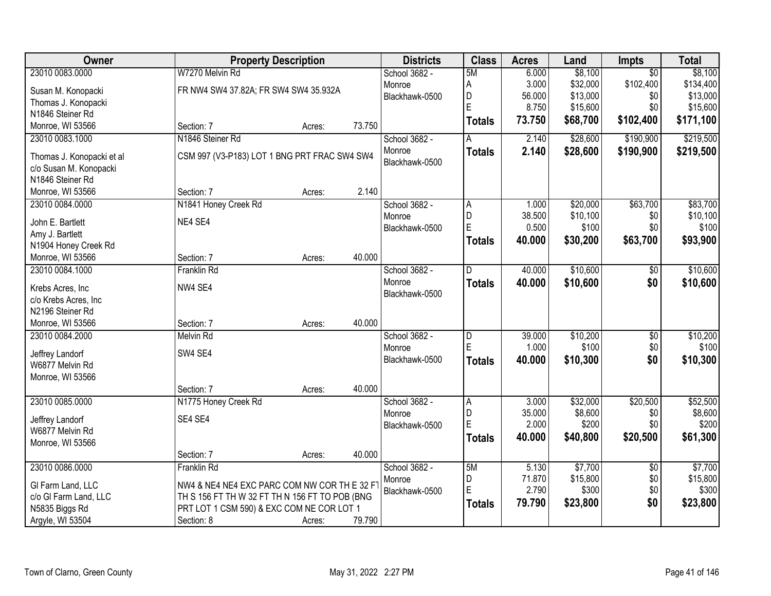| Owner                                    |                                                | <b>Property Description</b> |        | <b>Districts</b>         | <b>Class</b>            | <b>Acres</b>    | Land     | Impts           | <b>Total</b>      |
|------------------------------------------|------------------------------------------------|-----------------------------|--------|--------------------------|-------------------------|-----------------|----------|-----------------|-------------------|
| 23010 0083.0000                          | W7270 Melvin Rd                                |                             |        | School 3682 -            | 5M                      | 6.000           | \$8,100  | $\overline{50}$ | \$8,100           |
| Susan M. Konopacki                       | FR NW4 SW4 37.82A; FR SW4 SW4 35.932A          |                             |        | Monroe                   | А                       | 3.000           | \$32,000 | \$102,400       | \$134,400         |
| Thomas J. Konopacki                      |                                                |                             |        | Blackhawk-0500           | D                       | 56.000          | \$13,000 | \$0             | \$13,000          |
| N1846 Steiner Rd                         |                                                |                             |        |                          | E                       | 8.750           | \$15,600 | \$0             | \$15,600          |
| Monroe, WI 53566                         | Section: 7                                     | Acres:                      | 73.750 |                          | <b>Totals</b>           | 73.750          | \$68,700 | \$102,400       | \$171,100         |
| 23010 0083.1000                          | N1846 Steiner Rd                               |                             |        | School 3682 -            |                         | 2.140           | \$28,600 | \$190,900       | \$219,500         |
|                                          |                                                |                             |        | Monroe                   | <b>Totals</b>           | 2.140           | \$28,600 | \$190,900       | \$219,500         |
| Thomas J. Konopacki et al                | CSM 997 (V3-P183) LOT 1 BNG PRT FRAC SW4 SW4   |                             |        | Blackhawk-0500           |                         |                 |          |                 |                   |
| c/o Susan M. Konopacki                   |                                                |                             |        |                          |                         |                 |          |                 |                   |
| N1846 Steiner Rd<br>Monroe, WI 53566     | Section: 7                                     |                             | 2.140  |                          |                         |                 |          |                 |                   |
|                                          |                                                | Acres:                      |        |                          |                         |                 | \$20,000 |                 |                   |
| 23010 0084.0000                          | N1841 Honey Creek Rd                           |                             |        | School 3682 -            | A<br>D                  | 1.000<br>38.500 | \$10,100 | \$63,700<br>\$0 | \$83,700          |
| John E. Bartlett                         | NE4 SE4                                        |                             |        | Monroe<br>Blackhawk-0500 | E                       | 0.500           | \$100    | \$0             | \$10,100<br>\$100 |
| Amy J. Bartlett                          |                                                |                             |        |                          |                         |                 |          |                 |                   |
| N1904 Honey Creek Rd                     |                                                |                             |        |                          | <b>Totals</b>           | 40.000          | \$30,200 | \$63,700        | \$93,900          |
| Monroe, WI 53566                         | Section: 7                                     | Acres:                      | 40.000 |                          |                         |                 |          |                 |                   |
| 23010 0084.1000                          | <b>Franklin Rd</b>                             |                             |        | School 3682 -            | D                       | 40.000          | \$10,600 | $\sqrt[6]{3}$   | \$10,600          |
|                                          | NW4 SE4                                        |                             |        | Monroe                   | <b>Totals</b>           | 40.000          | \$10,600 | \$0             | \$10,600          |
| Krebs Acres, Inc<br>c/o Krebs Acres, Inc |                                                |                             |        | Blackhawk-0500           |                         |                 |          |                 |                   |
| N2196 Steiner Rd                         |                                                |                             |        |                          |                         |                 |          |                 |                   |
| Monroe, WI 53566                         | Section: 7                                     | Acres:                      | 40.000 |                          |                         |                 |          |                 |                   |
| 23010 0084.2000                          | <b>Melvin Rd</b>                               |                             |        | School 3682 -            | $\overline{\mathsf{D}}$ | 39.000          | \$10,200 | $\overline{50}$ | \$10,200          |
|                                          |                                                |                             |        | Monroe                   | E                       | 1.000           | \$100    | \$0             | \$100             |
| Jeffrey Landorf                          | SW4 SE4                                        |                             |        | Blackhawk-0500           | <b>Totals</b>           | 40.000          | \$10,300 | \$0             | \$10,300          |
| W6877 Melvin Rd                          |                                                |                             |        |                          |                         |                 |          |                 |                   |
| Monroe, WI 53566                         |                                                |                             |        |                          |                         |                 |          |                 |                   |
|                                          | Section: 7                                     | Acres:                      | 40.000 |                          |                         |                 |          |                 |                   |
| 23010 0085.0000                          | N1775 Honey Creek Rd                           |                             |        | School 3682 -            | A                       | 3.000           | \$32,000 | \$20,500        | \$52,500          |
| Jeffrey Landorf                          | SE4 SE4                                        |                             |        | Monroe                   | D                       | 35.000          | \$8,600  | \$0             | \$8,600           |
| W6877 Melvin Rd                          |                                                |                             |        | Blackhawk-0500           | E                       | 2.000           | \$200    | \$0             | \$200             |
| Monroe, WI 53566                         |                                                |                             |        |                          | <b>Totals</b>           | 40.000          | \$40,800 | \$20,500        | \$61,300          |
|                                          | Section: 7                                     | Acres:                      | 40.000 |                          |                         |                 |          |                 |                   |
| 23010 0086.0000                          | Franklin Rd                                    |                             |        | School 3682 -            | 5M                      | 5.130           | \$7,700  | $\overline{50}$ | \$7,700           |
|                                          |                                                |                             |        | Monroe                   | D                       | 71.870          | \$15,800 | \$0             | \$15,800          |
| GI Farm Land, LLC                        | NW4 & NE4 NE4 EXC PARC COM NW COR TH E 32 F    |                             |        | Blackhawk-0500           | E                       | 2.790           | \$300    | \$0             | \$300             |
| c/o GI Farm Land, LLC                    | TH S 156 FT TH W 32 FT TH N 156 FT TO POB (BNG |                             |        |                          | <b>Totals</b>           | 79.790          | \$23,800 | \$0             | \$23,800          |
| N5835 Biggs Rd                           | PRT LOT 1 CSM 590) & EXC COM NE COR LOT 1      |                             |        |                          |                         |                 |          |                 |                   |
| Argyle, WI 53504                         | Section: 8                                     | Acres:                      | 79.790 |                          |                         |                 |          |                 |                   |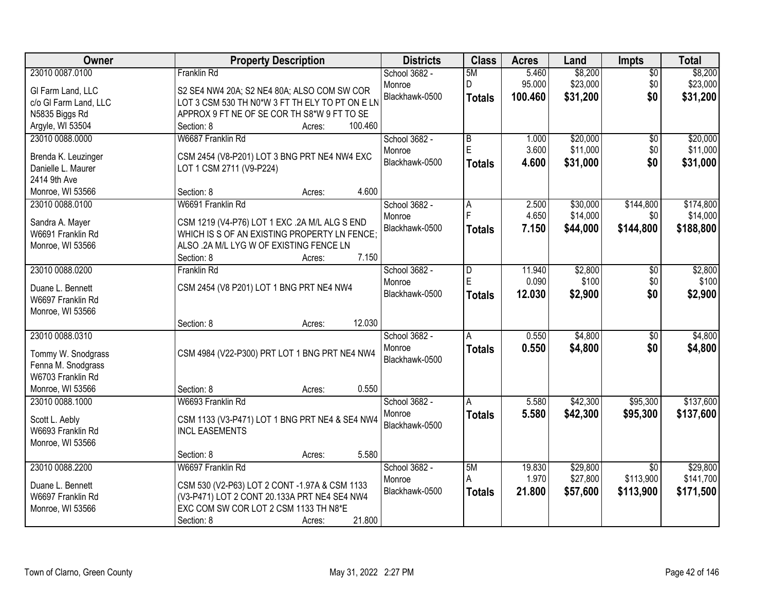| Owner                                   | <b>Property Description</b>                     | <b>Districts</b> | <b>Class</b>   | <b>Acres</b> | Land     | Impts           | <b>Total</b> |
|-----------------------------------------|-------------------------------------------------|------------------|----------------|--------------|----------|-----------------|--------------|
| 23010 0087.0100                         | <b>Franklin Rd</b>                              | School 3682 -    | 5M             | 5.460        | \$8,200  | $\overline{50}$ | \$8,200      |
| GI Farm Land, LLC                       | S2 SE4 NW4 20A; S2 NE4 80A; ALSO COM SW COR     | Monroe           | D              | 95.000       | \$23,000 | \$0             | \$23,000     |
| c/o GI Farm Land, LLC                   | LOT 3 CSM 530 TH N0*W 3 FT TH ELY TO PT ON E LN | Blackhawk-0500   | <b>Totals</b>  | 100.460      | \$31,200 | \$0             | \$31,200     |
| N5835 Biggs Rd                          | APPROX 9 FT NE OF SE COR TH S8*W 9 FT TO SE     |                  |                |              |          |                 |              |
| Argyle, WI 53504                        | 100.460<br>Section: 8<br>Acres:                 |                  |                |              |          |                 |              |
| 23010 0088.0000                         | W6687 Franklin Rd                               | School 3682 -    | $\overline{B}$ | 1.000        | \$20,000 | \$0             | \$20,000     |
|                                         |                                                 | Monroe           | Ė              | 3.600        | \$11,000 | \$0             | \$11,000     |
| Brenda K. Leuzinger                     | CSM 2454 (V8-P201) LOT 3 BNG PRT NE4 NW4 EXC    | Blackhawk-0500   | <b>Totals</b>  | 4.600        | \$31,000 | \$0             | \$31,000     |
| Danielle L. Maurer                      | LOT 1 CSM 2711 (V9-P224)                        |                  |                |              |          |                 |              |
| 2414 9th Ave                            | 4.600<br>Section: 8                             |                  |                |              |          |                 |              |
| Monroe, WI 53566<br>23010 0088.0100     | Acres:<br>W6691 Franklin Rd                     | School 3682 -    |                | 2.500        | \$30,000 | \$144,800       | \$174,800    |
|                                         |                                                 | Monroe           | A              | 4.650        | \$14,000 | \$0             | \$14,000     |
| Sandra A. Mayer                         | CSM 1219 (V4-P76) LOT 1 EXC .2A M/L ALG S END   | Blackhawk-0500   |                | 7.150        | \$44,000 | \$144,800       | \$188,800    |
| W6691 Franklin Rd                       | WHICH IS S OF AN EXISTING PROPERTY LN FENCE:    |                  | <b>Totals</b>  |              |          |                 |              |
| Monroe, WI 53566                        | ALSO .2A M/L LYG W OF EXISTING FENCE LN         |                  |                |              |          |                 |              |
|                                         | 7.150<br>Section: 8<br>Acres:                   |                  |                |              |          |                 |              |
| 23010 0088.0200                         | <b>Franklin Rd</b>                              | School 3682 -    | D              | 11.940       | \$2,800  | $\frac{1}{20}$  | \$2,800      |
| Duane L. Bennett                        | CSM 2454 (V8 P201) LOT 1 BNG PRT NE4 NW4        | Monroe           | E              | 0.090        | \$100    | \$0             | \$100        |
| W6697 Franklin Rd                       |                                                 | Blackhawk-0500   | <b>Totals</b>  | 12.030       | \$2,900  | \$0             | \$2,900      |
| Monroe, WI 53566                        |                                                 |                  |                |              |          |                 |              |
|                                         | 12.030<br>Section: 8<br>Acres:                  |                  |                |              |          |                 |              |
| 23010 0088.0310                         |                                                 | School 3682 -    | Ā              | 0.550        | \$4,800  | $\overline{50}$ | \$4,800      |
|                                         |                                                 | Monroe           | <b>Totals</b>  | 0.550        | \$4,800  | \$0             | \$4,800      |
| Tommy W. Snodgrass                      | CSM 4984 (V22-P300) PRT LOT 1 BNG PRT NE4 NW4   | Blackhawk-0500   |                |              |          |                 |              |
| Fenna M. Snodgrass<br>W6703 Franklin Rd |                                                 |                  |                |              |          |                 |              |
| Monroe, WI 53566                        | 0.550<br>Section: 8                             |                  |                |              |          |                 |              |
| 23010 0088.1000                         | Acres:<br>W6693 Franklin Rd                     | School 3682 -    | A              | 5.580        | \$42,300 | \$95,300        | \$137,600    |
|                                         |                                                 | Monroe           |                | 5.580        |          |                 |              |
| Scott L. Aebly                          | CSM 1133 (V3-P471) LOT 1 BNG PRT NE4 & SE4 NW4  | Blackhawk-0500   | <b>Totals</b>  |              | \$42,300 | \$95,300        | \$137,600    |
| W6693 Franklin Rd                       | <b>INCL EASEMENTS</b>                           |                  |                |              |          |                 |              |
| Monroe, WI 53566                        |                                                 |                  |                |              |          |                 |              |
|                                         | 5.580<br>Section: 8<br>Acres:                   |                  |                |              |          |                 |              |
| 23010 0088.2200                         | W6697 Franklin Rd                               | School 3682 -    | 5M             | 19.830       | \$29,800 | $\overline{50}$ | \$29,800     |
| Duane L. Bennett                        | CSM 530 (V2-P63) LOT 2 CONT -1.97A & CSM 1133   | Monroe           | A              | 1.970        | \$27,800 | \$113,900       | \$141,700    |
| W6697 Franklin Rd                       | (V3-P471) LOT 2 CONT 20.133A PRT NE4 SE4 NW4    | Blackhawk-0500   | <b>Totals</b>  | 21.800       | \$57,600 | \$113,900       | \$171,500    |
| Monroe, WI 53566                        | EXC COM SW COR LOT 2 CSM 1133 TH N8*E           |                  |                |              |          |                 |              |
|                                         | 21.800<br>Section: 8<br>Acres:                  |                  |                |              |          |                 |              |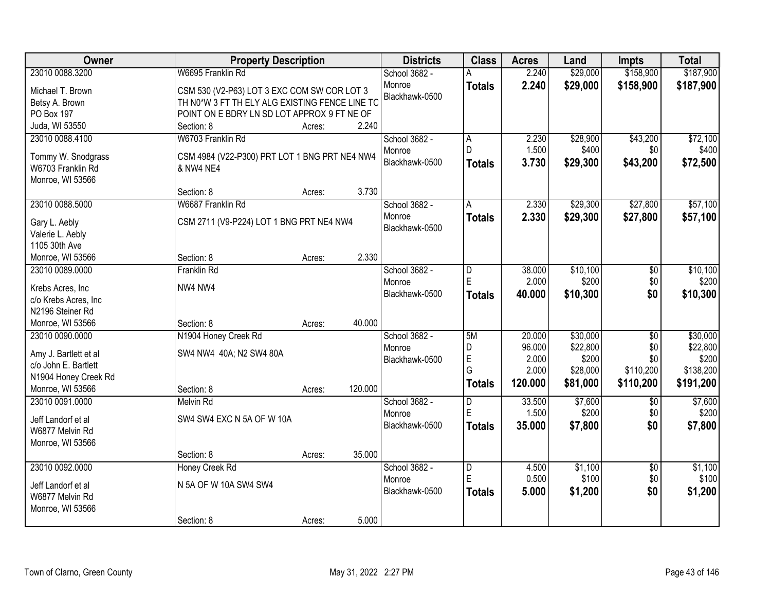| Owner                               | <b>Property Description</b>                    |                          | <b>Districts</b> | <b>Class</b>   | <b>Acres</b>    | Land             | <b>Impts</b>           | <b>Total</b>     |
|-------------------------------------|------------------------------------------------|--------------------------|------------------|----------------|-----------------|------------------|------------------------|------------------|
| 23010 0088.3200                     | W6695 Franklin Rd                              | School 3682 -            |                  |                | 2.240           | \$29,000         | \$158,900              | \$187,900        |
| Michael T. Brown                    | CSM 530 (V2-P63) LOT 3 EXC COM SW COR LOT 3    | Monroe                   |                  | <b>Totals</b>  | 2.240           | \$29,000         | \$158,900              | \$187,900        |
| Betsy A. Brown                      | TH N0*W 3 FT TH ELY ALG EXISTING FENCE LINE TO | Blackhawk-0500           |                  |                |                 |                  |                        |                  |
| PO Box 197                          | POINT ON E BDRY LN SD LOT APPROX 9 FT NE OF    |                          |                  |                |                 |                  |                        |                  |
| Juda, WI 53550                      | Section: 8<br>Acres:                           | 2.240                    |                  |                |                 |                  |                        |                  |
| 23010 0088.4100                     | W6703 Franklin Rd                              | School 3682 -            |                  | A              | 2.230           | \$28,900         | \$43,200               | \$72,100         |
|                                     |                                                | Monroe                   |                  | D.             | 1.500           | \$400            | \$0                    | \$400            |
| Tommy W. Snodgrass                  | CSM 4984 (V22-P300) PRT LOT 1 BNG PRT NE4 NW4  | Blackhawk-0500           |                  | <b>Totals</b>  | 3.730           | \$29,300         | \$43,200               | \$72,500         |
| W6703 Franklin Rd                   | & NW4 NE4                                      |                          |                  |                |                 |                  |                        |                  |
| Monroe, WI 53566                    |                                                | 3.730                    |                  |                |                 |                  |                        |                  |
| 23010 0088.5000                     | Section: 8<br>Acres:<br>W6687 Franklin Rd      |                          |                  |                | 2.330           |                  | \$27,800               | \$57,100         |
|                                     |                                                | School 3682 -            |                  | A              |                 | \$29,300         |                        |                  |
| Gary L. Aebly                       | CSM 2711 (V9-P224) LOT 1 BNG PRT NE4 NW4       | Monroe<br>Blackhawk-0500 |                  | <b>Totals</b>  | 2.330           | \$29,300         | \$27,800               | \$57,100         |
| Valerie L. Aebly                    |                                                |                          |                  |                |                 |                  |                        |                  |
| 1105 30th Ave                       |                                                |                          |                  |                |                 |                  |                        |                  |
| Monroe, WI 53566                    | Section: 8<br>Acres:                           | 2.330                    |                  |                |                 |                  |                        |                  |
| 23010 0089.0000                     | <b>Franklin Rd</b>                             | School 3682 -            |                  | D              | 38.000          | \$10,100         | \$0                    | \$10,100         |
| Krebs Acres, Inc                    | NW4 NW4                                        | Monroe                   |                  | E              | 2.000           | \$200            | \$0                    | \$200            |
| c/o Krebs Acres, Inc                |                                                | Blackhawk-0500           |                  | <b>Totals</b>  | 40.000          | \$10,300         | \$0                    | \$10,300         |
| N2196 Steiner Rd                    |                                                |                          |                  |                |                 |                  |                        |                  |
| Monroe, WI 53566                    | Section: 8<br>Acres:                           | 40.000                   |                  |                |                 |                  |                        |                  |
| 23010 0090.0000                     | N1904 Honey Creek Rd                           | School 3682 -            |                  | 5M             | 20.000          | \$30,000         | $\overline{50}$        | \$30,000         |
|                                     |                                                | Monroe                   |                  | D              | 96.000          | \$22,800         | \$0                    | \$22,800         |
| Amy J. Bartlett et al               | SW4 NW4 40A; N2 SW4 80A                        | Blackhawk-0500           |                  | E              | 2.000           | \$200            | \$0                    | \$200            |
| c/o John E. Bartlett                |                                                |                          |                  | G              | 2.000           | \$28,000         | \$110,200              | \$138,200        |
| N1904 Honey Creek Rd                |                                                | 120.000                  |                  | <b>Totals</b>  | 120.000         | \$81,000         | \$110,200              | \$191,200        |
| Monroe, WI 53566<br>23010 0091.0000 | Section: 8<br>Acres:                           |                          |                  |                |                 |                  |                        |                  |
|                                     | <b>Melvin Rd</b>                               | School 3682 -            |                  | D<br>E         | 33.500<br>1.500 | \$7,600<br>\$200 | $\overline{50}$<br>\$0 | \$7,600<br>\$200 |
| Jeff Landorf et al                  | SW4 SW4 EXC N 5A OF W 10A                      | Monroe<br>Blackhawk-0500 |                  |                |                 |                  | \$0                    |                  |
| W6877 Melvin Rd                     |                                                |                          |                  | <b>Totals</b>  | 35.000          | \$7,800          |                        | \$7,800          |
| Monroe, WI 53566                    |                                                |                          |                  |                |                 |                  |                        |                  |
|                                     | Section: 8<br>Acres:                           | 35.000                   |                  |                |                 |                  |                        |                  |
| 23010 0092.0000                     | Honey Creek Rd                                 | School 3682 -            |                  | $\overline{D}$ | 4.500           | \$1,100          | $\overline{50}$        | \$1,100          |
| Jeff Landorf et al                  | N 5A OF W 10A SW4 SW4                          | Monroe                   |                  | E              | 0.500           | \$100            | \$0                    | \$100            |
| W6877 Melvin Rd                     |                                                | Blackhawk-0500           |                  | <b>Totals</b>  | 5.000           | \$1,200          | \$0                    | \$1,200          |
| Monroe, WI 53566                    |                                                |                          |                  |                |                 |                  |                        |                  |
|                                     | Section: 8<br>Acres:                           | 5.000                    |                  |                |                 |                  |                        |                  |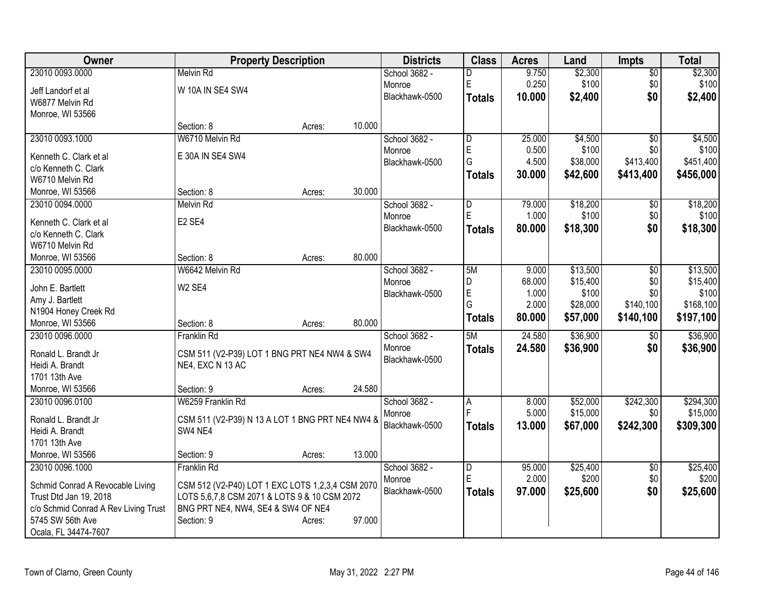| Owner                                    |                                                  | <b>Property Description</b> |        | <b>Districts</b>         | <b>Class</b>  | <b>Acres</b> | Land     | <b>Impts</b>    | <b>Total</b> |
|------------------------------------------|--------------------------------------------------|-----------------------------|--------|--------------------------|---------------|--------------|----------|-----------------|--------------|
| 23010 0093.0000                          | <b>Melvin Rd</b>                                 |                             |        | School 3682 -            | D             | 9.750        | \$2,300  | $\overline{50}$ | \$2,300      |
| Jeff Landorf et al                       | W 10A IN SE4 SW4                                 |                             |        | Monroe                   | E             | 0.250        | \$100    | \$0             | \$100        |
| W6877 Melvin Rd                          |                                                  |                             |        | Blackhawk-0500           | <b>Totals</b> | 10.000       | \$2,400  | \$0             | \$2,400      |
| Monroe, WI 53566                         |                                                  |                             |        |                          |               |              |          |                 |              |
|                                          | Section: 8                                       | Acres:                      | 10.000 |                          |               |              |          |                 |              |
| 23010 0093.1000                          | W6710 Melvin Rd                                  |                             |        | School 3682 -            | D             | 25.000       | \$4,500  | $\overline{60}$ | \$4,500      |
| Kenneth C. Clark et al                   | E 30A IN SE4 SW4                                 |                             |        | Monroe                   | E             | 0.500        | \$100    | \$0             | \$100        |
| c/o Kenneth C. Clark                     |                                                  |                             |        | Blackhawk-0500           | G             | 4.500        | \$38,000 | \$413,400       | \$451,400    |
| W6710 Melvin Rd                          |                                                  |                             |        |                          | <b>Totals</b> | 30.000       | \$42,600 | \$413,400       | \$456,000    |
| Monroe, WI 53566                         | Section: 8                                       | Acres:                      | 30.000 |                          |               |              |          |                 |              |
| 23010 0094.0000                          | <b>Melvin Rd</b>                                 |                             |        | School 3682 -            | D             | 79.000       | \$18,200 | $\sqrt[6]{}$    | \$18,200     |
| Kenneth C. Clark et al                   | E <sub>2</sub> SE <sub>4</sub>                   |                             |        | Monroe                   | ΙE            | 1.000        | \$100    | \$0             | \$100        |
| c/o Kenneth C. Clark                     |                                                  |                             |        | Blackhawk-0500           | <b>Totals</b> | 80.000       | \$18,300 | \$0             | \$18,300     |
| W6710 Melvin Rd                          |                                                  |                             |        |                          |               |              |          |                 |              |
| Monroe, WI 53566                         | Section: 8                                       | Acres:                      | 80.000 |                          |               |              |          |                 |              |
| 23010 0095.0000                          | W6642 Melvin Rd                                  |                             |        | School 3682 -            | 5M            | 9.000        | \$13,500 | \$0             | \$13,500     |
|                                          |                                                  |                             |        | Monroe                   | D             | 68.000       | \$15,400 | \$0             | \$15,400     |
| John E. Bartlett                         | W <sub>2</sub> SE4                               |                             |        | Blackhawk-0500           | E             | 1.000        | \$100    | \$0             | \$100        |
| Amy J. Bartlett                          |                                                  |                             |        |                          | G             | 2.000        | \$28,000 | \$140,100       | \$168,100    |
| N1904 Honey Creek Rd<br>Monroe, WI 53566 | Section: 8                                       | Acres:                      | 80.000 |                          | <b>Totals</b> | 80.000       | \$57,000 | \$140,100       | \$197,100    |
| 23010 0096.0000                          | Franklin Rd                                      |                             |        | School 3682 -            | 5M            | 24.580       | \$36,900 | $\sqrt[6]{}$    | \$36,900     |
|                                          |                                                  |                             |        | Monroe                   | <b>Totals</b> | 24.580       | \$36,900 | \$0             | \$36,900     |
| Ronald L. Brandt Jr                      | CSM 511 (V2-P39) LOT 1 BNG PRT NE4 NW4 & SW4     |                             |        | Blackhawk-0500           |               |              |          |                 |              |
| Heidi A. Brandt                          | NE4, EXC N 13 AC                                 |                             |        |                          |               |              |          |                 |              |
| 1701 13th Ave                            |                                                  |                             |        |                          |               |              |          |                 |              |
| Monroe, WI 53566                         | Section: 9                                       | Acres:                      | 24.580 |                          |               |              |          |                 |              |
| 23010 0096.0100                          | W6259 Franklin Rd                                |                             |        | School 3682 -            | A<br>F        | 8.000        | \$52,000 | \$242,300       | \$294,300    |
| Ronald L. Brandt Jr                      | CSM 511 (V2-P39) N 13 A LOT 1 BNG PRT NE4 NW4 &  |                             |        | Monroe<br>Blackhawk-0500 |               | 5.000        | \$15,000 | \$0             | \$15,000     |
| Heidi A. Brandt                          | SW4 NE4                                          |                             |        |                          | <b>Totals</b> | 13.000       | \$67,000 | \$242,300       | \$309,300    |
| 1701 13th Ave                            |                                                  |                             |        |                          |               |              |          |                 |              |
| Monroe, WI 53566                         | Section: 9                                       | Acres:                      | 13.000 |                          |               |              |          |                 |              |
| 23010 0096.1000                          | Franklin Rd                                      |                             |        | School 3682 -            | D             | 95.000       | \$25,400 | $\sqrt{6}$      | \$25,400     |
| Schmid Conrad A Revocable Living         | CSM 512 (V2-P40) LOT 1 EXC LOTS 1,2,3,4 CSM 2070 |                             |        | Monroe                   | E             | 2.000        | \$200    | \$0             | \$200        |
| Trust Dtd Jan 19, 2018                   | LOTS 5,6,7,8 CSM 2071 & LOTS 9 & 10 CSM 2072     |                             |        | Blackhawk-0500           | <b>Totals</b> | 97.000       | \$25,600 | \$0             | \$25,600     |
| c/o Schmid Conrad A Rev Living Trust     | BNG PRT NE4, NW4, SE4 & SW4 OF NE4               |                             |        |                          |               |              |          |                 |              |
| 5745 SW 56th Ave                         | Section: 9                                       | Acres:                      | 97.000 |                          |               |              |          |                 |              |
| Ocala, FL 34474-7607                     |                                                  |                             |        |                          |               |              |          |                 |              |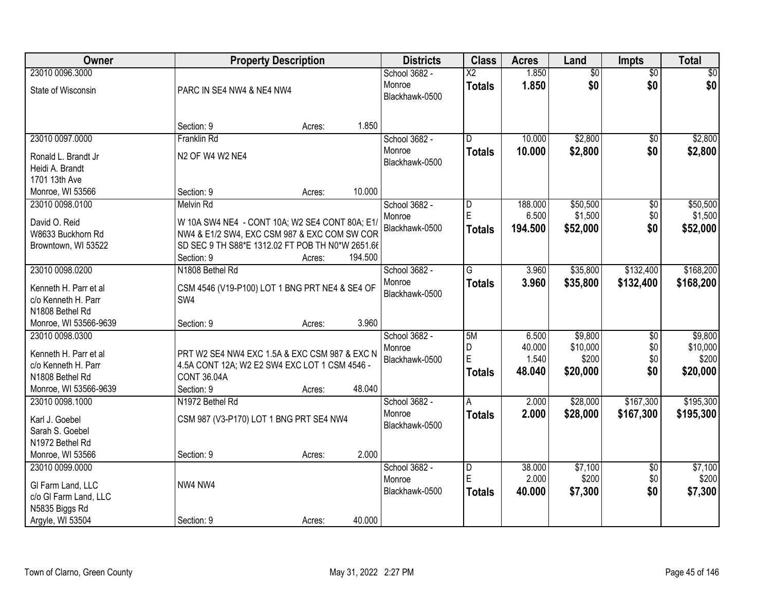| Owner                                    |                                                                     | <b>Property Description</b> |         | <b>Districts</b> | <b>Class</b>           | <b>Acres</b> | Land            | Impts           | <b>Total</b> |
|------------------------------------------|---------------------------------------------------------------------|-----------------------------|---------|------------------|------------------------|--------------|-----------------|-----------------|--------------|
| 23010 0096.3000                          |                                                                     |                             |         | School 3682 -    | $\overline{\text{X2}}$ | 1.850        | $\overline{60}$ | $\overline{50}$ | \$0          |
| State of Wisconsin                       | PARC IN SE4 NW4 & NE4 NW4                                           |                             |         | Monroe           | <b>Totals</b>          | 1.850        | \$0             | \$0             | \$0          |
|                                          |                                                                     |                             |         | Blackhawk-0500   |                        |              |                 |                 |              |
|                                          |                                                                     |                             |         |                  |                        |              |                 |                 |              |
|                                          | Section: 9                                                          | Acres:                      | 1.850   |                  |                        |              |                 |                 |              |
| 23010 0097.0000                          | <b>Franklin Rd</b>                                                  |                             |         | School 3682 -    | D.                     | 10.000       | \$2,800         | \$0             | \$2,800      |
| Ronald L. Brandt Jr                      | N2 OF W4 W2 NE4                                                     |                             |         | Monroe           | <b>Totals</b>          | 10.000       | \$2,800         | \$0             | \$2,800      |
| Heidi A. Brandt                          |                                                                     |                             |         | Blackhawk-0500   |                        |              |                 |                 |              |
| 1701 13th Ave                            |                                                                     |                             |         |                  |                        |              |                 |                 |              |
| Monroe, WI 53566                         | Section: 9                                                          | Acres:                      | 10.000  |                  |                        |              |                 |                 |              |
| 23010 0098.0100                          | <b>Melvin Rd</b>                                                    |                             |         | School 3682 -    | D                      | 188.000      | \$50,500        | $\overline{50}$ | \$50,500     |
| David O. Reid                            | W 10A SW4 NE4 - CONT 10A; W2 SE4 CONT 80A; E1/                      |                             |         | Monroe           | E.                     | 6.500        | \$1,500         | \$0             | \$1,500      |
| W8633 Buckhorn Rd                        | NW4 & E1/2 SW4, EXC CSM 987 & EXC COM SW COR                        |                             |         | Blackhawk-0500   | <b>Totals</b>          | 194.500      | \$52,000        | \$0             | \$52,000     |
| Browntown, WI 53522                      | SD SEC 9 TH S88*E 1312.02 FT POB TH N0*W 2651.66                    |                             |         |                  |                        |              |                 |                 |              |
|                                          | Section: 9                                                          | Acres:                      | 194.500 |                  |                        |              |                 |                 |              |
| 23010 0098.0200                          | N1808 Bethel Rd                                                     |                             |         | School 3682 -    | G                      | 3.960        | \$35,800        | \$132,400       | \$168,200    |
| Kenneth H. Parr et al                    | CSM 4546 (V19-P100) LOT 1 BNG PRT NE4 & SE4 OF                      |                             |         | Monroe           | <b>Totals</b>          | 3.960        | \$35,800        | \$132,400       | \$168,200    |
| c/o Kenneth H. Parr                      | SW4                                                                 |                             |         | Blackhawk-0500   |                        |              |                 |                 |              |
| N1808 Bethel Rd                          |                                                                     |                             |         |                  |                        |              |                 |                 |              |
| Monroe, WI 53566-9639                    | Section: 9                                                          | Acres:                      | 3.960   |                  |                        |              |                 |                 |              |
| 23010 0098.0300                          |                                                                     |                             |         | School 3682 -    | 5M                     | 6.500        | \$9,800         | \$0             | \$9,800      |
|                                          |                                                                     |                             |         | Monroe           | D                      | 40.000       | \$10,000        | \$0             | \$10,000     |
| Kenneth H. Parr et al                    | PRT W2 SE4 NW4 EXC 1.5A & EXC CSM 987 & EXC N                       |                             |         | Blackhawk-0500   | E                      | 1.540        | \$200           | \$0             | \$200        |
| c/o Kenneth H. Parr                      | 4.5A CONT 12A; W2 E2 SW4 EXC LOT 1 CSM 4546 -<br><b>CONT 36,04A</b> |                             |         |                  | <b>Totals</b>          | 48.040       | \$20,000        | \$0             | \$20,000     |
| N1808 Bethel Rd<br>Monroe, WI 53566-9639 | Section: 9                                                          |                             | 48.040  |                  |                        |              |                 |                 |              |
| 23010 0098.1000                          | N1972 Bethel Rd                                                     | Acres:                      |         | School 3682 -    | A                      | 2.000        | \$28,000        | \$167,300       | \$195,300    |
|                                          |                                                                     |                             |         | Monroe           | <b>Totals</b>          | 2.000        | \$28,000        | \$167,300       | \$195,300    |
| Karl J. Goebel                           | CSM 987 (V3-P170) LOT 1 BNG PRT SE4 NW4                             |                             |         | Blackhawk-0500   |                        |              |                 |                 |              |
| Sarah S. Goebel                          |                                                                     |                             |         |                  |                        |              |                 |                 |              |
| N1972 Bethel Rd                          |                                                                     |                             |         |                  |                        |              |                 |                 |              |
| Monroe, WI 53566                         | Section: 9                                                          | Acres:                      | 2.000   |                  |                        |              |                 |                 |              |
| 23010 0099.0000                          |                                                                     |                             |         | School 3682 -    | D                      | 38.000       | \$7,100         | $\overline{50}$ | \$7,100      |
| GI Farm Land, LLC                        | NW4 NW4                                                             |                             |         | Monroe           | E                      | 2.000        | \$200           | \$0             | \$200        |
| c/o GI Farm Land, LLC                    |                                                                     |                             |         | Blackhawk-0500   | <b>Totals</b>          | 40.000       | \$7,300         | \$0             | \$7,300      |
| N5835 Biggs Rd                           |                                                                     |                             |         |                  |                        |              |                 |                 |              |
| Argyle, WI 53504                         | Section: 9                                                          | Acres:                      | 40.000  |                  |                        |              |                 |                 |              |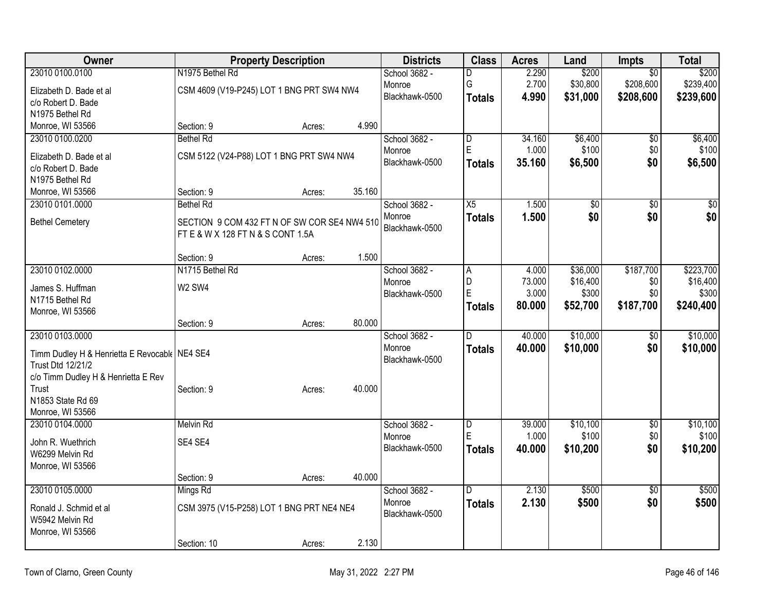| Owner                                           |                                              | <b>Property Description</b> |        | <b>Districts</b> | <b>Class</b>   | <b>Acres</b> | Land        | <b>Impts</b>    | <b>Total</b>    |
|-------------------------------------------------|----------------------------------------------|-----------------------------|--------|------------------|----------------|--------------|-------------|-----------------|-----------------|
| 23010 0100.0100                                 | N1975 Bethel Rd                              |                             |        | School 3682 -    | D              | 2.290        | \$200       | $\overline{50}$ | \$200           |
| Elizabeth D. Bade et al                         | CSM 4609 (V19-P245) LOT 1 BNG PRT SW4 NW4    |                             |        | Monroe           | G              | 2.700        | \$30,800    | \$208,600       | \$239,400       |
| c/o Robert D. Bade                              |                                              |                             |        | Blackhawk-0500   | <b>Totals</b>  | 4.990        | \$31,000    | \$208,600       | \$239,600       |
| N1975 Bethel Rd                                 |                                              |                             |        |                  |                |              |             |                 |                 |
| Monroe, WI 53566                                | Section: 9                                   | Acres:                      | 4.990  |                  |                |              |             |                 |                 |
| 23010 0100.0200                                 | <b>Bethel Rd</b>                             |                             |        | School 3682 -    | $\overline{D}$ | 34.160       | \$6,400     | $\overline{50}$ | \$6,400         |
| Elizabeth D. Bade et al                         | CSM 5122 (V24-P88) LOT 1 BNG PRT SW4 NW4     |                             |        | Monroe           | E              | 1.000        | \$100       | \$0             | \$100           |
| c/o Robert D. Bade                              |                                              |                             |        | Blackhawk-0500   | <b>Totals</b>  | 35.160       | \$6,500     | \$0             | \$6,500         |
| N1975 Bethel Rd                                 |                                              |                             |        |                  |                |              |             |                 |                 |
| Monroe, WI 53566                                | Section: 9                                   | Acres:                      | 35.160 |                  |                |              |             |                 |                 |
| 23010 0101.0000                                 | <b>Bethel Rd</b>                             |                             |        | School 3682 -    | X5             | 1.500        | $\sqrt{50}$ | $\overline{50}$ | $\overline{50}$ |
| <b>Bethel Cemetery</b>                          | SECTION 9 COM 432 FT N OF SW COR SE4 NW4 510 |                             |        | Monroe           | <b>Totals</b>  | 1.500        | \$0         | \$0             | \$0             |
|                                                 | FT E & W X 128 FT N & S CONT 1.5A            |                             |        | Blackhawk-0500   |                |              |             |                 |                 |
|                                                 |                                              |                             |        |                  |                |              |             |                 |                 |
|                                                 | Section: 9                                   | Acres:                      | 1.500  |                  |                |              |             |                 |                 |
| 23010 0102.0000                                 | N1715 Bethel Rd                              |                             |        | School 3682 -    | A              | 4.000        | \$36,000    | \$187,700       | \$223,700       |
| James S. Huffman                                | <b>W2 SW4</b>                                |                             |        | Monroe           | D              | 73.000       | \$16,400    | \$0             | \$16,400        |
| N1715 Bethel Rd                                 |                                              |                             |        | Blackhawk-0500   | E              | 3.000        | \$300       | \$0             | \$300           |
| Monroe, WI 53566                                |                                              |                             |        |                  | <b>Totals</b>  | 80.000       | \$52,700    | \$187,700       | \$240,400       |
|                                                 | Section: 9                                   | Acres:                      | 80.000 |                  |                |              |             |                 |                 |
| 23010 0103.0000                                 |                                              |                             |        | School 3682 -    | $\overline{D}$ | 40.000       | \$10,000    | \$0             | \$10,000        |
| Timm Dudley H & Henrietta E Revocable   NE4 SE4 |                                              |                             |        | Monroe           | <b>Totals</b>  | 40.000       | \$10,000    | \$0             | \$10,000        |
| Trust Dtd 12/21/2                               |                                              |                             |        | Blackhawk-0500   |                |              |             |                 |                 |
| c/o Timm Dudley H & Henrietta E Rev             |                                              |                             |        |                  |                |              |             |                 |                 |
| Trust                                           | Section: 9                                   | Acres:                      | 40.000 |                  |                |              |             |                 |                 |
| N1853 State Rd 69                               |                                              |                             |        |                  |                |              |             |                 |                 |
| Monroe, WI 53566                                |                                              |                             |        |                  |                |              |             |                 |                 |
| 23010 0104.0000                                 | <b>Melvin Rd</b>                             |                             |        | School 3682 -    | $\overline{D}$ | 39.000       | \$10,100    | $\overline{50}$ | \$10,100        |
| John R. Wuethrich                               | SE4 SE4                                      |                             |        | Monroe           | E              | 1.000        | \$100       | \$0             | \$100           |
| W6299 Melvin Rd                                 |                                              |                             |        | Blackhawk-0500   | <b>Totals</b>  | 40.000       | \$10,200    | \$0             | \$10,200        |
| Monroe, WI 53566                                |                                              |                             |        |                  |                |              |             |                 |                 |
|                                                 | Section: 9                                   | Acres:                      | 40.000 |                  |                |              |             |                 |                 |
| 23010 0105.0000                                 | Mings Rd                                     |                             |        | School 3682 -    | D.             | 2.130        | \$500       | $\overline{50}$ | \$500           |
| Ronald J. Schmid et al                          | CSM 3975 (V15-P258) LOT 1 BNG PRT NE4 NE4    |                             |        | Monroe           | <b>Totals</b>  | 2.130        | \$500       | \$0             | \$500           |
| W5942 Melvin Rd                                 |                                              |                             |        | Blackhawk-0500   |                |              |             |                 |                 |
| Monroe, WI 53566                                |                                              |                             |        |                  |                |              |             |                 |                 |
|                                                 | Section: 10                                  | Acres:                      | 2.130  |                  |                |              |             |                 |                 |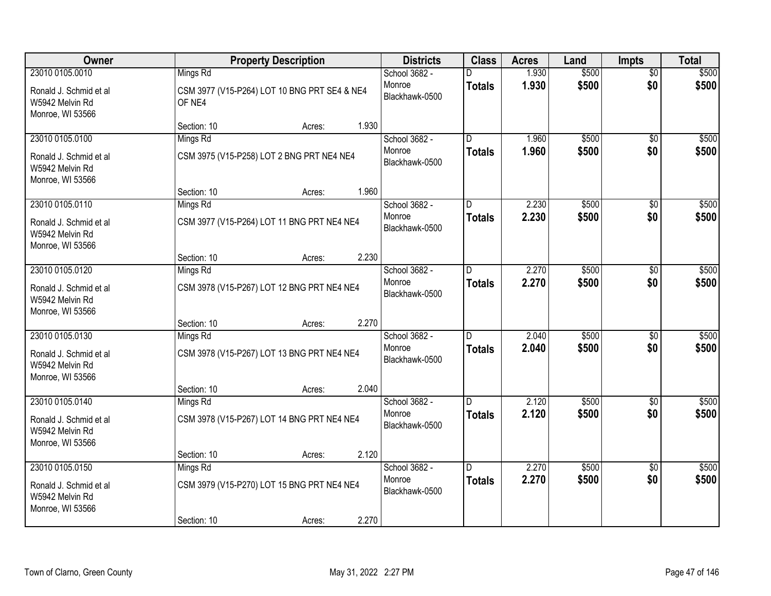| Owner                                                         |                    | <b>Property Description</b>                  |       | <b>Districts</b>                          | <b>Class</b>   | <b>Acres</b>   | Land           | <b>Impts</b>           | <b>Total</b>   |
|---------------------------------------------------------------|--------------------|----------------------------------------------|-------|-------------------------------------------|----------------|----------------|----------------|------------------------|----------------|
| 23010 0105.0010<br>Ronald J. Schmid et al<br>W5942 Melvin Rd  | Mings Rd<br>OF NE4 | CSM 3977 (V15-P264) LOT 10 BNG PRT SE4 & NE4 |       | School 3682 -<br>Monroe<br>Blackhawk-0500 | <b>Totals</b>  | 1.930<br>1.930 | \$500<br>\$500 | $\overline{50}$<br>\$0 | \$500<br>\$500 |
| Monroe, WI 53566                                              | Section: 10        | Acres:                                       | 1.930 |                                           |                |                |                |                        |                |
| 23010 0105.0100                                               | Mings Rd           |                                              |       | School 3682 -                             | D.             | 1.960          | \$500          | $\overline{50}$        | \$500          |
| Ronald J. Schmid et al<br>W5942 Melvin Rd<br>Monroe, WI 53566 |                    | CSM 3975 (V15-P258) LOT 2 BNG PRT NE4 NE4    |       | Monroe<br>Blackhawk-0500                  | <b>Totals</b>  | 1.960          | \$500          | \$0                    | \$500          |
|                                                               | Section: 10        | Acres:                                       | 1.960 |                                           |                |                |                |                        |                |
| 23010 0105.0110                                               | Mings Rd           |                                              |       | School 3682 -                             | D              | 2.230          | \$500          | \$0                    | \$500          |
| Ronald J. Schmid et al<br>W5942 Melvin Rd<br>Monroe, WI 53566 |                    | CSM 3977 (V15-P264) LOT 11 BNG PRT NE4 NE4   |       | Monroe<br>Blackhawk-0500                  | <b>Totals</b>  | 2.230          | \$500          | \$0                    | \$500          |
|                                                               | Section: 10        | Acres:                                       | 2.230 |                                           |                |                |                |                        |                |
| 23010 0105.0120                                               | Mings Rd           |                                              |       | School 3682 -                             | D              | 2.270          | \$500          | \$0                    | \$500          |
| Ronald J. Schmid et al<br>W5942 Melvin Rd<br>Monroe, WI 53566 |                    | CSM 3978 (V15-P267) LOT 12 BNG PRT NE4 NE4   |       | Monroe<br>Blackhawk-0500                  | <b>Totals</b>  | 2.270          | \$500          | \$0                    | \$500          |
|                                                               | Section: 10        | Acres:                                       | 2.270 |                                           |                |                |                |                        |                |
| 23010 0105.0130                                               | Mings Rd           |                                              |       | School 3682 -                             | $\overline{D}$ | 2.040          | \$500          | \$0                    | \$500          |
| Ronald J. Schmid et al<br>W5942 Melvin Rd<br>Monroe, WI 53566 |                    | CSM 3978 (V15-P267) LOT 13 BNG PRT NE4 NE4   |       | Monroe<br>Blackhawk-0500                  | <b>Totals</b>  | 2.040          | \$500          | \$0                    | \$500          |
|                                                               | Section: 10        | Acres:                                       | 2.040 |                                           |                |                |                |                        |                |
| 23010 0105.0140                                               | Mings Rd           |                                              |       | School 3682 -                             | D              | 2.120          | \$500          | \$0                    | \$500          |
| Ronald J. Schmid et al<br>W5942 Melvin Rd<br>Monroe, WI 53566 |                    | CSM 3978 (V15-P267) LOT 14 BNG PRT NE4 NE4   |       | Monroe<br>Blackhawk-0500                  | <b>Totals</b>  | 2.120          | \$500          | \$0                    | \$500          |
|                                                               | Section: 10        | Acres:                                       | 2.120 |                                           |                |                |                |                        |                |
| 23010 0105.0150                                               | Mings Rd           |                                              |       | School 3682 -                             | $\overline{D}$ | 2.270          | \$500          | $\overline{50}$        | \$500          |
| Ronald J. Schmid et al<br>W5942 Melvin Rd<br>Monroe, WI 53566 |                    | CSM 3979 (V15-P270) LOT 15 BNG PRT NE4 NE4   |       | Monroe<br>Blackhawk-0500                  | <b>Totals</b>  | 2.270          | \$500          | \$0                    | \$500          |
|                                                               | Section: 10        | Acres:                                       | 2.270 |                                           |                |                |                |                        |                |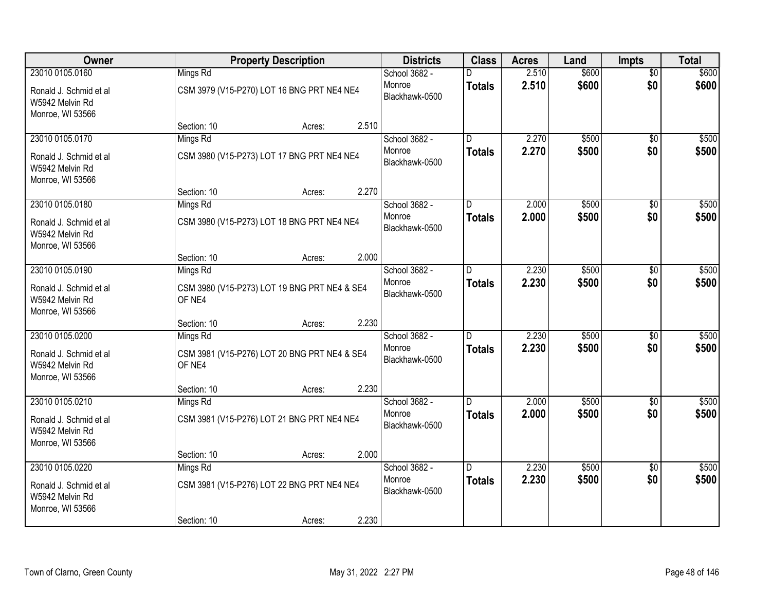| Owner                                                         |             | <b>Property Description</b>                  |       | <b>Districts</b>         | <b>Class</b>   | <b>Acres</b> | Land  | <b>Impts</b>    | <b>Total</b> |
|---------------------------------------------------------------|-------------|----------------------------------------------|-------|--------------------------|----------------|--------------|-------|-----------------|--------------|
| 23010 0105.0160                                               | Mings Rd    |                                              |       | School 3682 -            |                | 2.510        | \$600 | $\overline{50}$ | \$600        |
| Ronald J. Schmid et al<br>W5942 Melvin Rd<br>Monroe, WI 53566 |             | CSM 3979 (V15-P270) LOT 16 BNG PRT NE4 NE4   |       | Monroe<br>Blackhawk-0500 | <b>Totals</b>  | 2.510        | \$600 | \$0             | \$600        |
|                                                               | Section: 10 | Acres:                                       | 2.510 |                          |                |              |       |                 |              |
| 23010 0105.0170                                               | Mings Rd    |                                              |       | School 3682 -            | D.             | 2.270        | \$500 | $\overline{50}$ | \$500        |
| Ronald J. Schmid et al<br>W5942 Melvin Rd<br>Monroe, WI 53566 |             | CSM 3980 (V15-P273) LOT 17 BNG PRT NE4 NE4   |       | Monroe<br>Blackhawk-0500 | <b>Totals</b>  | 2.270        | \$500 | \$0             | \$500        |
|                                                               | Section: 10 | Acres:                                       | 2.270 |                          |                |              |       |                 |              |
| 23010 0105.0180                                               | Mings Rd    |                                              |       | School 3682 -            | D              | 2.000        | \$500 | \$0             | \$500        |
| Ronald J. Schmid et al<br>W5942 Melvin Rd<br>Monroe, WI 53566 |             | CSM 3980 (V15-P273) LOT 18 BNG PRT NE4 NE4   |       | Monroe<br>Blackhawk-0500 | <b>Totals</b>  | 2.000        | \$500 | \$0             | \$500        |
|                                                               | Section: 10 | Acres:                                       | 2.000 |                          |                |              |       |                 |              |
| 23010 0105.0190                                               | Mings Rd    |                                              |       | School 3682 -            | D              | 2.230        | \$500 | \$0             | \$500        |
| Ronald J. Schmid et al<br>W5942 Melvin Rd<br>Monroe, WI 53566 | OF NE4      | CSM 3980 (V15-P273) LOT 19 BNG PRT NE4 & SE4 |       | Monroe<br>Blackhawk-0500 | Totals         | 2.230        | \$500 | \$0             | \$500        |
|                                                               | Section: 10 | Acres:                                       | 2.230 |                          |                |              |       |                 |              |
| 23010 0105.0200                                               | Mings Rd    |                                              |       | School 3682 -            | n              | 2.230        | \$500 | \$0             | \$500        |
| Ronald J. Schmid et al<br>W5942 Melvin Rd<br>Monroe, WI 53566 | OF NE4      | CSM 3981 (V15-P276) LOT 20 BNG PRT NE4 & SE4 |       | Monroe<br>Blackhawk-0500 | <b>Totals</b>  | 2.230        | \$500 | \$0             | \$500        |
|                                                               | Section: 10 | Acres:                                       | 2.230 |                          |                |              |       |                 |              |
| 23010 0105.0210                                               | Mings Rd    |                                              |       | School 3682 -            | D.             | 2.000        | \$500 | \$0             | \$500        |
| Ronald J. Schmid et al<br>W5942 Melvin Rd<br>Monroe, WI 53566 |             | CSM 3981 (V15-P276) LOT 21 BNG PRT NE4 NE4   |       | Monroe<br>Blackhawk-0500 | <b>Totals</b>  | 2.000        | \$500 | \$0             | \$500        |
|                                                               | Section: 10 | Acres:                                       | 2.000 |                          |                |              |       |                 |              |
| 23010 0105.0220                                               | Mings Rd    |                                              |       | School 3682 -            | $\overline{D}$ | 2.230        | \$500 | $\overline{50}$ | \$500        |
| Ronald J. Schmid et al<br>W5942 Melvin Rd<br>Monroe, WI 53566 |             | CSM 3981 (V15-P276) LOT 22 BNG PRT NE4 NE4   |       | Monroe<br>Blackhawk-0500 | <b>Totals</b>  | 2.230        | \$500 | \$0             | \$500        |
|                                                               | Section: 10 | Acres:                                       | 2.230 |                          |                |              |       |                 |              |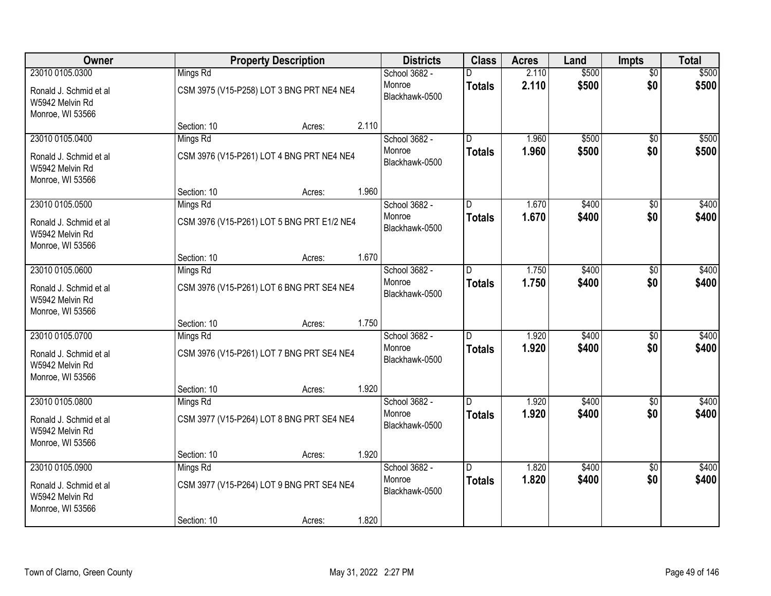| Owner                                                         |             | <b>Property Description</b>                |       | <b>Districts</b>         | <b>Class</b>  | <b>Acres</b> | Land  | <b>Impts</b>    | <b>Total</b> |
|---------------------------------------------------------------|-------------|--------------------------------------------|-------|--------------------------|---------------|--------------|-------|-----------------|--------------|
| 23010 0105.0300                                               | Mings Rd    |                                            |       | School 3682 -            |               | 2.110        | \$500 | $\overline{50}$ | \$500        |
| Ronald J. Schmid et al<br>W5942 Melvin Rd<br>Monroe, WI 53566 |             | CSM 3975 (V15-P258) LOT 3 BNG PRT NE4 NE4  |       | Monroe<br>Blackhawk-0500 | <b>Totals</b> | 2.110        | \$500 | \$0             | \$500        |
|                                                               | Section: 10 | Acres:                                     | 2.110 |                          |               |              |       |                 |              |
| 23010 0105.0400                                               | Mings Rd    |                                            |       | School 3682 -            | D.            | 1.960        | \$500 | $\overline{50}$ | \$500        |
| Ronald J. Schmid et al<br>W5942 Melvin Rd<br>Monroe, WI 53566 |             | CSM 3976 (V15-P261) LOT 4 BNG PRT NE4 NE4  |       | Monroe<br>Blackhawk-0500 | <b>Totals</b> | 1.960        | \$500 | \$0             | \$500        |
|                                                               | Section: 10 | Acres:                                     | 1.960 |                          |               |              |       |                 |              |
| 23010 0105.0500                                               | Mings Rd    |                                            |       | School 3682 -            | D             | 1.670        | \$400 | \$0             | \$400        |
| Ronald J. Schmid et al<br>W5942 Melvin Rd<br>Monroe, WI 53566 |             | CSM 3976 (V15-P261) LOT 5 BNG PRT E1/2 NE4 |       | Monroe<br>Blackhawk-0500 | <b>Totals</b> | 1.670        | \$400 | \$0             | \$400        |
|                                                               | Section: 10 | Acres:                                     | 1.670 |                          |               |              |       |                 |              |
| 23010 0105.0600                                               | Mings Rd    |                                            |       | School 3682 -            | D             | 1.750        | \$400 | \$0             | \$400        |
| Ronald J. Schmid et al<br>W5942 Melvin Rd<br>Monroe, WI 53566 |             | CSM 3976 (V15-P261) LOT 6 BNG PRT SE4 NE4  |       | Monroe<br>Blackhawk-0500 | Totals        | 1.750        | \$400 | \$0             | \$400        |
|                                                               | Section: 10 | Acres:                                     | 1.750 |                          |               |              |       |                 |              |
| 23010 0105.0700                                               | Mings Rd    |                                            |       | School 3682 -            | D             | 1.920        | \$400 | \$0             | \$400        |
| Ronald J. Schmid et al<br>W5942 Melvin Rd<br>Monroe, WI 53566 |             | CSM 3976 (V15-P261) LOT 7 BNG PRT SE4 NE4  |       | Monroe<br>Blackhawk-0500 | <b>Totals</b> | 1.920        | \$400 | \$0             | \$400        |
|                                                               | Section: 10 | Acres:                                     | 1.920 |                          |               |              |       |                 |              |
| 23010 0105.0800                                               | Mings Rd    |                                            |       | School 3682 -            | D.            | 1.920        | \$400 | \$0             | \$400        |
| Ronald J. Schmid et al<br>W5942 Melvin Rd<br>Monroe, WI 53566 |             | CSM 3977 (V15-P264) LOT 8 BNG PRT SE4 NE4  |       | Monroe<br>Blackhawk-0500 | <b>Totals</b> | 1.920        | \$400 | \$0             | \$400        |
|                                                               | Section: 10 | Acres:                                     | 1.920 |                          |               |              |       |                 |              |
| 23010 0105.0900                                               | Mings Rd    |                                            |       | School 3682 -            | D.            | 1.820        | \$400 | $\overline{50}$ | \$400        |
| Ronald J. Schmid et al<br>W5942 Melvin Rd<br>Monroe, WI 53566 |             | CSM 3977 (V15-P264) LOT 9 BNG PRT SE4 NE4  |       | Monroe<br>Blackhawk-0500 | <b>Totals</b> | 1.820        | \$400 | \$0             | \$400        |
|                                                               | Section: 10 | Acres:                                     | 1.820 |                          |               |              |       |                 |              |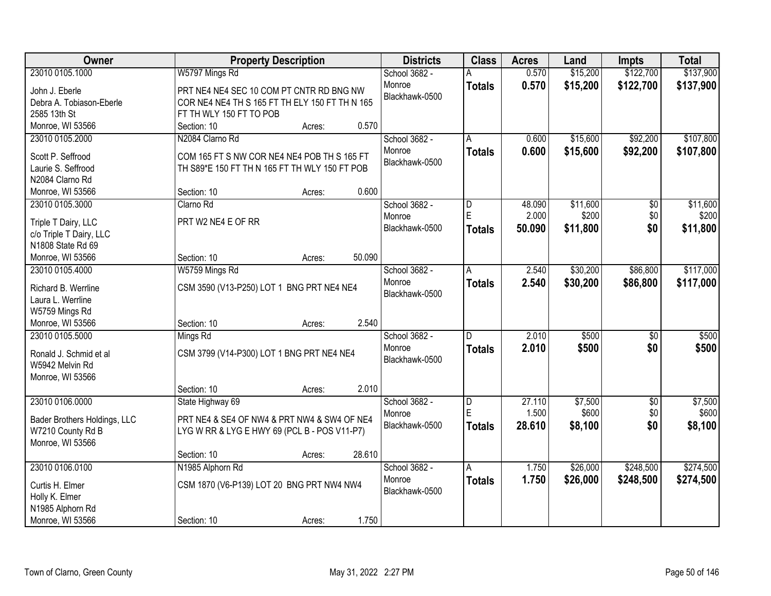| Owner                                             | <b>Property Description</b>                    | <b>Districts</b> |                | <b>Class</b>  | <b>Acres</b> | Land     | <b>Impts</b>    | <b>Total</b> |
|---------------------------------------------------|------------------------------------------------|------------------|----------------|---------------|--------------|----------|-----------------|--------------|
| 23010 0105.1000                                   | W5797 Mings Rd                                 |                  | School 3682 -  |               | 0.570        | \$15,200 | \$122,700       | \$137,900    |
| John J. Eberle                                    | PRT NE4 NE4 SEC 10 COM PT CNTR RD BNG NW       |                  | Monroe         | <b>Totals</b> | 0.570        | \$15,200 | \$122,700       | \$137,900    |
| Debra A. Tobiason-Eberle                          | COR NE4 NE4 TH S 165 FT TH ELY 150 FT TH N 165 |                  | Blackhawk-0500 |               |              |          |                 |              |
| 2585 13th St                                      | FT TH WLY 150 FT TO POB                        |                  |                |               |              |          |                 |              |
| Monroe, WI 53566                                  | Section: 10<br>Acres:                          | 0.570            |                |               |              |          |                 |              |
| 23010 0105.2000                                   | N2084 Clarno Rd                                |                  | School 3682 -  | A             | 0.600        | \$15,600 | \$92,200        | \$107,800    |
|                                                   |                                                |                  | Monroe         | <b>Totals</b> | 0.600        | \$15,600 | \$92,200        | \$107,800    |
| Scott P. Seffrood                                 | COM 165 FT S NW COR NE4 NE4 POB TH S 165 FT    |                  | Blackhawk-0500 |               |              |          |                 |              |
| Laurie S. Seffrood                                | TH S89*E 150 FT TH N 165 FT TH WLY 150 FT POB  |                  |                |               |              |          |                 |              |
| N2084 Clarno Rd                                   |                                                |                  |                |               |              |          |                 |              |
| Monroe, WI 53566                                  | Section: 10<br>Acres:                          | 0.600            |                |               |              |          |                 |              |
| 23010 0105.3000                                   | Clarno Rd                                      |                  | School 3682 -  | D             | 48.090       | \$11,600 | \$0             | \$11,600     |
| Triple T Dairy, LLC                               | PRT W2 NE4 E OF RR                             |                  | Monroe         | E             | 2.000        | \$200    | \$0             | \$200        |
| c/o Triple T Dairy, LLC                           |                                                |                  | Blackhawk-0500 | <b>Totals</b> | 50.090       | \$11,800 | \$0             | \$11,800     |
| N1808 State Rd 69                                 |                                                |                  |                |               |              |          |                 |              |
| Monroe, WI 53566                                  | Section: 10<br>Acres:                          | 50.090           |                |               |              |          |                 |              |
| 23010 0105.4000                                   | W5759 Mings Rd                                 |                  | School 3682 -  | A             | 2.540        | \$30,200 | \$86,800        | \$117,000    |
|                                                   |                                                |                  | Monroe         | <b>Totals</b> | 2.540        | \$30,200 | \$86,800        | \$117,000    |
| Richard B. Werrline                               | CSM 3590 (V13-P250) LOT 1 BNG PRT NE4 NE4      |                  | Blackhawk-0500 |               |              |          |                 |              |
| Laura L. Werrline                                 |                                                |                  |                |               |              |          |                 |              |
| W5759 Mings Rd                                    |                                                |                  |                |               |              |          |                 |              |
| Monroe, WI 53566                                  | Section: 10<br>Acres:                          | 2.540            |                |               |              |          |                 |              |
| 23010 0105.5000                                   | Mings Rd                                       |                  | School 3682 -  | D.            | 2.010        | \$500    | $\overline{50}$ | \$500        |
| Ronald J. Schmid et al                            | CSM 3799 (V14-P300) LOT 1 BNG PRT NE4 NE4      |                  | Monroe         | <b>Totals</b> | 2.010        | \$500    | \$0             | \$500        |
| W5942 Melvin Rd                                   |                                                |                  | Blackhawk-0500 |               |              |          |                 |              |
| Monroe, WI 53566                                  |                                                |                  |                |               |              |          |                 |              |
|                                                   | Section: 10<br>Acres:                          | 2.010            |                |               |              |          |                 |              |
| 23010 0106.0000                                   | State Highway 69                               |                  | School 3682 -  | D             | 27.110       | \$7,500  | $\sqrt{6}$      | \$7,500      |
|                                                   |                                                |                  | Monroe         | E             | 1.500        | \$600    | \$0             | \$600        |
| Bader Brothers Holdings, LLC<br>W7210 County Rd B | PRT NE4 & SE4 OF NW4 & PRT NW4 & SW4 OF NE4    |                  | Blackhawk-0500 | <b>Totals</b> | 28.610       | \$8,100  | \$0             | \$8,100      |
| Monroe, WI 53566                                  | LYG W RR & LYG E HWY 69 (PCL B - POS V11-P7)   |                  |                |               |              |          |                 |              |
|                                                   | Section: 10<br>Acres:                          | 28.610           |                |               |              |          |                 |              |
| 23010 0106.0100                                   | N1985 Alphorn Rd                               |                  | School 3682 -  | A             | 1.750        | \$26,000 | \$248,500       | \$274,500    |
|                                                   |                                                |                  | Monroe         |               | 1.750        |          |                 |              |
| Curtis H. Elmer                                   | CSM 1870 (V6-P139) LOT 20 BNG PRT NW4 NW4      |                  | Blackhawk-0500 | <b>Totals</b> |              | \$26,000 | \$248,500       | \$274,500    |
| Holly K. Elmer                                    |                                                |                  |                |               |              |          |                 |              |
| N1985 Alphorn Rd                                  |                                                |                  |                |               |              |          |                 |              |
| Monroe, WI 53566                                  | Section: 10<br>Acres:                          | 1.750            |                |               |              |          |                 |              |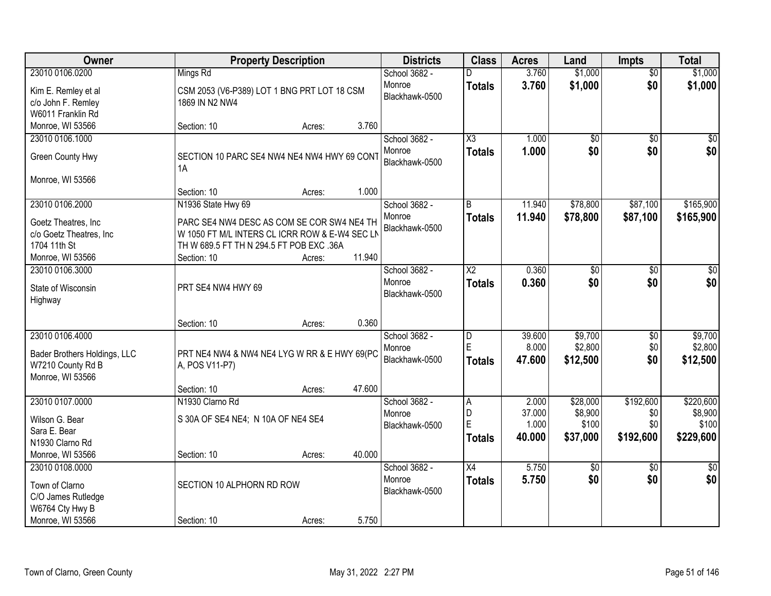| <b>Owner</b>                 | <b>Property Description</b>                       |        |        | <b>Districts</b>         | <b>Class</b>           | <b>Acres</b> | Land            | <b>Impts</b>    | <b>Total</b>    |
|------------------------------|---------------------------------------------------|--------|--------|--------------------------|------------------------|--------------|-----------------|-----------------|-----------------|
| 23010 0106.0200              | Mings Rd                                          |        |        | School 3682 -            |                        | 3.760        | \$1,000         | $\overline{50}$ | \$1,000         |
| Kim E. Remley et al          | CSM 2053 (V6-P389) LOT 1 BNG PRT LOT 18 CSM       |        |        | Monroe                   | <b>Totals</b>          | 3.760        | \$1,000         | \$0             | \$1,000         |
| c/o John F. Remley           | 1869 IN N2 NW4                                    |        |        | Blackhawk-0500           |                        |              |                 |                 |                 |
| W6011 Franklin Rd            |                                                   |        |        |                          |                        |              |                 |                 |                 |
| Monroe, WI 53566             | Section: 10                                       | Acres: | 3.760  |                          |                        |              |                 |                 |                 |
| 23010 0106.1000              |                                                   |        |        | School 3682 -            | $\overline{\chi_3}$    | 1.000        | $\overline{50}$ | $\overline{50}$ | $\sqrt{50}$     |
| Green County Hwy             | SECTION 10 PARC SE4 NW4 NE4 NW4 HWY 69 CONT<br>1A |        |        | Monroe<br>Blackhawk-0500 | <b>Totals</b>          | 1.000        | \$0             | \$0             | \$0             |
| Monroe, WI 53566             |                                                   |        |        |                          |                        |              |                 |                 |                 |
|                              | Section: 10                                       | Acres: | 1.000  |                          |                        |              |                 |                 |                 |
| 23010 0106.2000              | N1936 State Hwy 69                                |        |        | School 3682 -            | B                      | 11.940       | \$78,800        | \$87,100        | \$165,900       |
| Goetz Theatres, Inc          | PARC SE4 NW4 DESC AS COM SE COR SW4 NE4 TH        |        |        | Monroe                   | <b>Totals</b>          | 11.940       | \$78,800        | \$87,100        | \$165,900       |
| c/o Goetz Theatres, Inc      | W 1050 FT M/L INTERS CL ICRR ROW & E-W4 SEC LN    |        |        | Blackhawk-0500           |                        |              |                 |                 |                 |
| 1704 11th St                 | TH W 689.5 FT TH N 294.5 FT POB EXC .36A          |        |        |                          |                        |              |                 |                 |                 |
| Monroe, WI 53566             | Section: 10                                       | Acres: | 11.940 |                          |                        |              |                 |                 |                 |
| 23010 0106.3000              |                                                   |        |        | School 3682 -            | $\overline{\text{X2}}$ | 0.360        | \$0             | \$0             | \$0             |
| State of Wisconsin           | PRT SE4 NW4 HWY 69                                |        |        | Monroe                   | <b>Totals</b>          | 0.360        | \$0             | \$0             | \$0             |
| Highway                      |                                                   |        |        | Blackhawk-0500           |                        |              |                 |                 |                 |
|                              |                                                   |        |        |                          |                        |              |                 |                 |                 |
|                              | Section: 10                                       | Acres: | 0.360  |                          |                        |              |                 |                 |                 |
| 23010 0106.4000              |                                                   |        |        | School 3682 -            | D                      | 39.600       | \$9,700         | $\overline{50}$ | \$9,700         |
| Bader Brothers Holdings, LLC | PRT NE4 NW4 & NW4 NE4 LYG W RR & E HWY 69(PC      |        |        | Monroe                   | E                      | 8.000        | \$2,800         | \$0             | \$2,800         |
| W7210 County Rd B            | A, POS V11-P7)                                    |        |        | Blackhawk-0500           | <b>Totals</b>          | 47.600       | \$12,500        | \$0             | \$12,500        |
| Monroe, WI 53566             |                                                   |        |        |                          |                        |              |                 |                 |                 |
|                              | Section: 10                                       | Acres: | 47.600 |                          |                        |              |                 |                 |                 |
| 23010 0107.0000              | N1930 Clarno Rd                                   |        |        | School 3682 -            | A                      | 2.000        | \$28,000        | \$192,600       | \$220,600       |
| Wilson G. Bear               | S 30A OF SE4 NE4; N 10A OF NE4 SE4                |        |        | Monroe                   | D                      | 37.000       | \$8,900         | \$0             | \$8,900         |
| Sara E. Bear                 |                                                   |        |        | Blackhawk-0500           | E                      | 1.000        | \$100           | \$0             | \$100           |
| N1930 Clarno Rd              |                                                   |        |        |                          | <b>Totals</b>          | 40.000       | \$37,000        | \$192,600       | \$229,600       |
| Monroe, WI 53566             | Section: 10                                       | Acres: | 40.000 |                          |                        |              |                 |                 |                 |
| 23010 0108,0000              |                                                   |        |        | School 3682 -            | $\overline{X4}$        | 5.750        | \$0             | $\overline{50}$ | $\overline{50}$ |
| Town of Clarno               | SECTION 10 ALPHORN RD ROW                         |        |        | Monroe                   | <b>Totals</b>          | 5.750        | \$0             | \$0             | \$0             |
| C/O James Rutledge           |                                                   |        |        | Blackhawk-0500           |                        |              |                 |                 |                 |
| W6764 Cty Hwy B              |                                                   |        |        |                          |                        |              |                 |                 |                 |
| Monroe, WI 53566             | Section: 10                                       | Acres: | 5.750  |                          |                        |              |                 |                 |                 |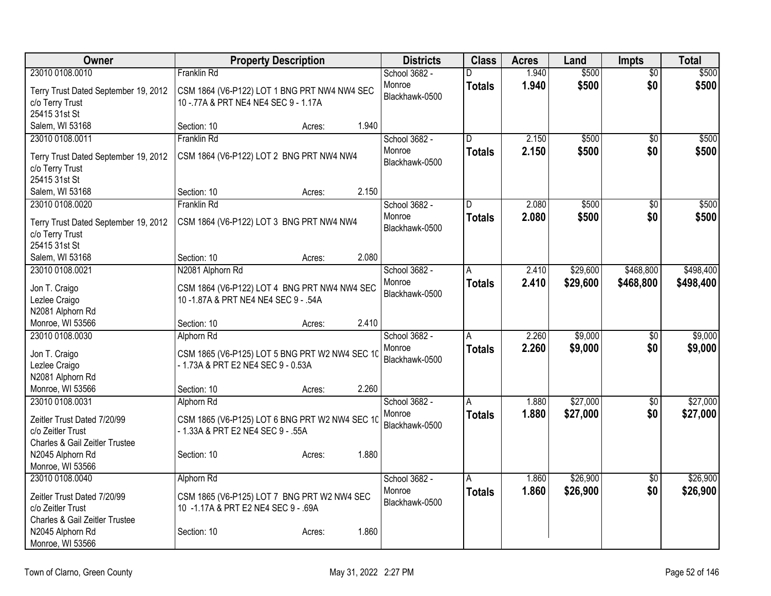| Owner                                               | <b>Property Description</b>                                                          | <b>Districts</b> | <b>Class</b>  | <b>Acres</b> | Land     | <b>Impts</b>    | <b>Total</b> |
|-----------------------------------------------------|--------------------------------------------------------------------------------------|------------------|---------------|--------------|----------|-----------------|--------------|
| 23010 0108.0010                                     | Franklin Rd                                                                          | School 3682 -    | D             | 1.940        | \$500    | $\overline{60}$ | \$500        |
| Terry Trust Dated September 19, 2012                | CSM 1864 (V6-P122) LOT 1 BNG PRT NW4 NW4 SEC                                         | Monroe           | <b>Totals</b> | 1.940        | \$500    | \$0             | \$500        |
| c/o Terry Trust                                     | 10 - 77A & PRT NE4 NE4 SEC 9 - 1.17A                                                 | Blackhawk-0500   |               |              |          |                 |              |
| 25415 31st St                                       |                                                                                      |                  |               |              |          |                 |              |
| Salem, WI 53168                                     | 1.940<br>Section: 10<br>Acres:                                                       |                  |               |              |          |                 |              |
| 23010 0108.0011                                     | <b>Franklin Rd</b>                                                                   | School 3682 -    | D             | 2.150        | \$500    | $\overline{50}$ | \$500        |
| Terry Trust Dated September 19, 2012                | CSM 1864 (V6-P122) LOT 2 BNG PRT NW4 NW4                                             | Monroe           | <b>Totals</b> | 2.150        | \$500    | \$0             | \$500        |
| c/o Terry Trust                                     |                                                                                      | Blackhawk-0500   |               |              |          |                 |              |
| 25415 31st St                                       |                                                                                      |                  |               |              |          |                 |              |
| Salem, WI 53168                                     | 2.150<br>Section: 10<br>Acres:                                                       |                  |               |              |          |                 |              |
| 23010 0108.0020                                     | <b>Franklin Rd</b>                                                                   | School 3682 -    | D             | 2.080        | \$500    | $\overline{50}$ | \$500        |
| Terry Trust Dated September 19, 2012                | CSM 1864 (V6-P122) LOT 3 BNG PRT NW4 NW4                                             | Monroe           | <b>Totals</b> | 2.080        | \$500    | \$0             | \$500        |
| c/o Terry Trust                                     |                                                                                      | Blackhawk-0500   |               |              |          |                 |              |
| 25415 31st St                                       |                                                                                      |                  |               |              |          |                 |              |
| Salem, WI 53168                                     | 2.080<br>Section: 10<br>Acres:                                                       |                  |               |              |          |                 |              |
| 23010 0108.0021                                     | N2081 Alphorn Rd                                                                     | School 3682 -    | A             | 2.410        | \$29,600 | \$468,800       | \$498,400    |
|                                                     |                                                                                      | Monroe           | <b>Totals</b> | 2.410        | \$29,600 | \$468,800       | \$498,400    |
| Jon T. Craigo<br>Lezlee Craigo                      | CSM 1864 (V6-P122) LOT 4 BNG PRT NW4 NW4 SEC<br>10 -1.87A & PRT NE4 NE4 SEC 9 - .54A | Blackhawk-0500   |               |              |          |                 |              |
| N2081 Alphorn Rd                                    |                                                                                      |                  |               |              |          |                 |              |
| Monroe, WI 53566                                    | 2.410<br>Section: 10<br>Acres:                                                       |                  |               |              |          |                 |              |
| 23010 0108.0030                                     | Alphorn Rd                                                                           | School 3682 -    | A             | 2.260        | \$9,000  | \$0             | \$9,000      |
|                                                     |                                                                                      | Monroe           | <b>Totals</b> | 2.260        | \$9,000  | \$0             | \$9,000      |
| Jon T. Craigo<br>Lezlee Craigo                      | CSM 1865 (V6-P125) LOT 5 BNG PRT W2 NW4 SEC 10<br>- 1.73A & PRT E2 NE4 SEC 9 - 0.53A | Blackhawk-0500   |               |              |          |                 |              |
| N2081 Alphorn Rd                                    |                                                                                      |                  |               |              |          |                 |              |
| Monroe, WI 53566                                    | 2.260<br>Section: 10<br>Acres:                                                       |                  |               |              |          |                 |              |
| 23010 0108.0031                                     | Alphorn Rd                                                                           | School 3682 -    | A             | 1.880        | \$27,000 | $\overline{50}$ | \$27,000     |
|                                                     |                                                                                      | Monroe           | <b>Totals</b> | 1.880        | \$27,000 | \$0             | \$27,000     |
| Zeitler Trust Dated 7/20/99                         | CSM 1865 (V6-P125) LOT 6 BNG PRT W2 NW4 SEC 10                                       | Blackhawk-0500   |               |              |          |                 |              |
| c/o Zeitler Trust<br>Charles & Gail Zeitler Trustee | - 1.33A & PRT E2 NE4 SEC 9 - .55A                                                    |                  |               |              |          |                 |              |
| N2045 Alphorn Rd                                    | 1.880<br>Section: 10<br>Acres:                                                       |                  |               |              |          |                 |              |
| Monroe, WI 53566                                    |                                                                                      |                  |               |              |          |                 |              |
| 23010 0108.0040                                     | <b>Alphorn Rd</b>                                                                    | School 3682 -    | A             | 1.860        | \$26,900 | $\sqrt{$0}$     | \$26,900     |
|                                                     |                                                                                      | Monroe           | <b>Totals</b> | 1.860        | \$26,900 | \$0             | \$26,900     |
| Zeitler Trust Dated 7/20/99<br>c/o Zeitler Trust    | CSM 1865 (V6-P125) LOT 7 BNG PRT W2 NW4 SEC<br>10 -1.17A & PRT E2 NE4 SEC 9 - .69A   | Blackhawk-0500   |               |              |          |                 |              |
| Charles & Gail Zeitler Trustee                      |                                                                                      |                  |               |              |          |                 |              |
| N2045 Alphorn Rd                                    | 1.860<br>Section: 10<br>Acres:                                                       |                  |               |              |          |                 |              |
| Monroe, WI 53566                                    |                                                                                      |                  |               |              |          |                 |              |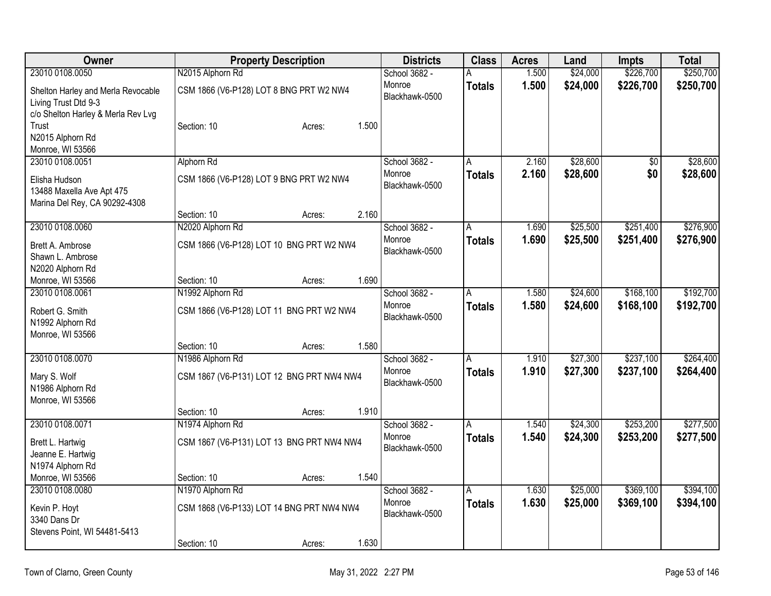| Owner                              | <b>Property Description</b>               | <b>Districts</b> | <b>Class</b>            | <b>Acres</b> | Land     | Impts     | <b>Total</b> |
|------------------------------------|-------------------------------------------|------------------|-------------------------|--------------|----------|-----------|--------------|
| 23010 0108.0050                    | N2015 Alphorn Rd                          | School 3682 -    | Α                       | 1.500        | \$24,000 | \$226,700 | \$250,700    |
| Shelton Harley and Merla Revocable | CSM 1866 (V6-P128) LOT 8 BNG PRT W2 NW4   | Monroe           | <b>Totals</b>           | 1.500        | \$24,000 | \$226,700 | \$250,700    |
| Living Trust Dtd 9-3               |                                           | Blackhawk-0500   |                         |              |          |           |              |
| c/o Shelton Harley & Merla Rev Lvg |                                           |                  |                         |              |          |           |              |
| Trust                              | 1.500<br>Section: 10<br>Acres:            |                  |                         |              |          |           |              |
| N2015 Alphorn Rd                   |                                           |                  |                         |              |          |           |              |
| Monroe, WI 53566                   |                                           |                  |                         |              |          |           |              |
| 23010 0108.0051                    | Alphorn Rd                                | School 3682 -    | $\overline{\mathsf{A}}$ | 2.160        | \$28,600 | \$0       | \$28,600     |
| Elisha Hudson                      | CSM 1866 (V6-P128) LOT 9 BNG PRT W2 NW4   | Monroe           | <b>Totals</b>           | 2.160        | \$28,600 | \$0       | \$28,600     |
| 13488 Maxella Ave Apt 475          |                                           | Blackhawk-0500   |                         |              |          |           |              |
| Marina Del Rey, CA 90292-4308      |                                           |                  |                         |              |          |           |              |
|                                    | 2.160<br>Section: 10<br>Acres:            |                  |                         |              |          |           |              |
| 23010 0108.0060                    | N2020 Alphorn Rd                          | School 3682 -    | A                       | 1.690        | \$25,500 | \$251,400 | \$276,900    |
| Brett A. Ambrose                   | CSM 1866 (V6-P128) LOT 10 BNG PRT W2 NW4  | Monroe           | <b>Totals</b>           | 1.690        | \$25,500 | \$251,400 | \$276,900    |
| Shawn L. Ambrose                   |                                           | Blackhawk-0500   |                         |              |          |           |              |
| N2020 Alphorn Rd                   |                                           |                  |                         |              |          |           |              |
| Monroe, WI 53566                   | 1.690<br>Section: 10<br>Acres:            |                  |                         |              |          |           |              |
| 23010 0108.0061                    | N1992 Alphorn Rd                          | School 3682 -    | A                       | 1.580        | \$24,600 | \$168,100 | \$192,700    |
| Robert G. Smith                    | CSM 1866 (V6-P128) LOT 11 BNG PRT W2 NW4  | Monroe           | <b>Totals</b>           | 1.580        | \$24,600 | \$168,100 | \$192,700    |
| N1992 Alphorn Rd                   |                                           | Blackhawk-0500   |                         |              |          |           |              |
| Monroe, WI 53566                   |                                           |                  |                         |              |          |           |              |
|                                    | 1.580<br>Section: 10<br>Acres:            |                  |                         |              |          |           |              |
| 23010 0108.0070                    | N1986 Alphorn Rd                          | School 3682 -    | A                       | 1.910        | \$27,300 | \$237,100 | \$264,400    |
| Mary S. Wolf                       | CSM 1867 (V6-P131) LOT 12 BNG PRT NW4 NW4 | Monroe           | <b>Totals</b>           | 1.910        | \$27,300 | \$237,100 | \$264,400    |
| N1986 Alphorn Rd                   |                                           | Blackhawk-0500   |                         |              |          |           |              |
| Monroe, WI 53566                   |                                           |                  |                         |              |          |           |              |
|                                    | Section: 10<br>1.910<br>Acres:            |                  |                         |              |          |           |              |
| 23010 0108.0071                    | N1974 Alphorn Rd                          | School 3682 -    | A                       | 1.540        | \$24,300 | \$253,200 | \$277,500    |
| Brett L. Hartwig                   | CSM 1867 (V6-P131) LOT 13 BNG PRT NW4 NW4 | Monroe           | <b>Totals</b>           | 1.540        | \$24,300 | \$253,200 | \$277,500    |
| Jeanne E. Hartwig                  |                                           | Blackhawk-0500   |                         |              |          |           |              |
| N1974 Alphorn Rd                   |                                           |                  |                         |              |          |           |              |
| Monroe, WI 53566                   | 1.540<br>Section: 10<br>Acres:            |                  |                         |              |          |           |              |
| 23010 0108.0080                    | N1970 Alphorn Rd                          | School 3682 -    | Α                       | 1.630        | \$25,000 | \$369,100 | \$394,100    |
| Kevin P. Hoyt                      | CSM 1868 (V6-P133) LOT 14 BNG PRT NW4 NW4 | Monroe           | <b>Totals</b>           | 1.630        | \$25,000 | \$369,100 | \$394,100    |
| 3340 Dans Dr                       |                                           | Blackhawk-0500   |                         |              |          |           |              |
| Stevens Point, WI 54481-5413       |                                           |                  |                         |              |          |           |              |
|                                    | 1.630<br>Section: 10<br>Acres:            |                  |                         |              |          |           |              |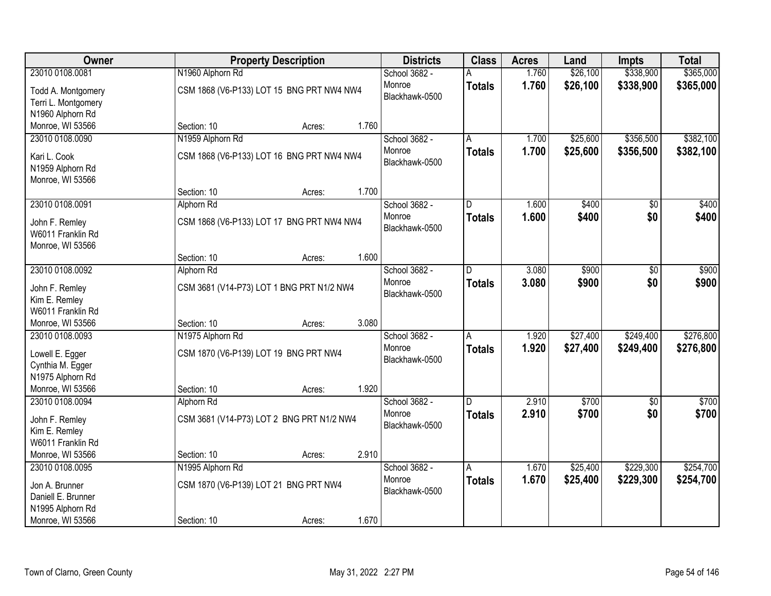| Owner               | <b>Property Description</b>               | <b>Districts</b>        | <b>Class</b>  | <b>Acres</b> | Land     | <b>Impts</b>    | <b>Total</b> |
|---------------------|-------------------------------------------|-------------------------|---------------|--------------|----------|-----------------|--------------|
| 23010 0108.0081     | N1960 Alphorn Rd                          | School 3682 -           |               | 1.760        | \$26,100 | \$338,900       | \$365,000    |
| Todd A. Montgomery  | CSM 1868 (V6-P133) LOT 15 BNG PRT NW4 NW4 | Monroe                  | <b>Totals</b> | 1.760        | \$26,100 | \$338,900       | \$365,000    |
| Terri L. Montgomery |                                           | Blackhawk-0500          |               |              |          |                 |              |
| N1960 Alphorn Rd    |                                           |                         |               |              |          |                 |              |
| Monroe, WI 53566    | 1.760<br>Section: 10<br>Acres:            |                         |               |              |          |                 |              |
| 23010 0108.0090     | N1959 Alphorn Rd                          | School 3682 -           | A             | 1.700        | \$25,600 | \$356,500       | \$382,100    |
|                     |                                           | Monroe                  | <b>Totals</b> | 1.700        | \$25,600 | \$356,500       | \$382,100    |
| Kari L. Cook        | CSM 1868 (V6-P133) LOT 16 BNG PRT NW4 NW4 | Blackhawk-0500          |               |              |          |                 |              |
| N1959 Alphorn Rd    |                                           |                         |               |              |          |                 |              |
| Monroe, WI 53566    | 1.700                                     |                         |               |              |          |                 |              |
|                     | Section: 10<br>Acres:                     |                         |               |              |          |                 |              |
| 23010 0108.0091     | Alphorn Rd                                | School 3682 -<br>Monroe | D             | 1.600        | \$400    | \$0             | \$400        |
| John F. Remley      | CSM 1868 (V6-P133) LOT 17 BNG PRT NW4 NW4 | Blackhawk-0500          | <b>Totals</b> | 1.600        | \$400    | \$0             | \$400        |
| W6011 Franklin Rd   |                                           |                         |               |              |          |                 |              |
| Monroe, WI 53566    |                                           |                         |               |              |          |                 |              |
|                     | 1.600<br>Section: 10<br>Acres:            |                         |               |              |          |                 |              |
| 23010 0108.0092     | Alphorn Rd                                | School 3682 -           | D.            | 3.080        | \$900    | \$0             | \$900        |
| John F. Remley      | CSM 3681 (V14-P73) LOT 1 BNG PRT N1/2 NW4 | Monroe                  | <b>Totals</b> | 3.080        | \$900    | \$0             | \$900        |
| Kim E. Remley       |                                           | Blackhawk-0500          |               |              |          |                 |              |
| W6011 Franklin Rd   |                                           |                         |               |              |          |                 |              |
| Monroe, WI 53566    | 3.080<br>Section: 10<br>Acres:            |                         |               |              |          |                 |              |
| 23010 0108.0093     | N1975 Alphorn Rd                          | School 3682 -           | A             | 1.920        | \$27,400 | \$249,400       | \$276,800    |
|                     |                                           | Monroe                  | <b>Totals</b> | 1.920        | \$27,400 | \$249,400       | \$276,800    |
| Lowell E. Egger     | CSM 1870 (V6-P139) LOT 19 BNG PRT NW4     | Blackhawk-0500          |               |              |          |                 |              |
| Cynthia M. Egger    |                                           |                         |               |              |          |                 |              |
| N1975 Alphorn Rd    |                                           |                         |               |              |          |                 |              |
| Monroe, WI 53566    | 1.920<br>Section: 10<br>Acres:            |                         |               |              |          |                 |              |
| 23010 0108.0094     | Alphorn Rd                                | School 3682 -           | D.            | 2.910        | \$700    | $\overline{50}$ | \$700        |
| John F. Remley      | CSM 3681 (V14-P73) LOT 2 BNG PRT N1/2 NW4 | Monroe                  | <b>Totals</b> | 2.910        | \$700    | \$0             | \$700        |
| Kim E. Remley       |                                           | Blackhawk-0500          |               |              |          |                 |              |
| W6011 Franklin Rd   |                                           |                         |               |              |          |                 |              |
| Monroe, WI 53566    | 2.910<br>Section: 10<br>Acres:            |                         |               |              |          |                 |              |
| 23010 0108.0095     | N1995 Alphorn Rd                          | School 3682 -           | Α             | 1.670        | \$25,400 | \$229,300       | \$254,700    |
| Jon A. Brunner      | CSM 1870 (V6-P139) LOT 21 BNG PRT NW4     | Monroe                  | <b>Totals</b> | 1.670        | \$25,400 | \$229,300       | \$254,700    |
| Daniell E. Brunner  |                                           | Blackhawk-0500          |               |              |          |                 |              |
| N1995 Alphorn Rd    |                                           |                         |               |              |          |                 |              |
| Monroe, WI 53566    | 1.670<br>Section: 10<br>Acres:            |                         |               |              |          |                 |              |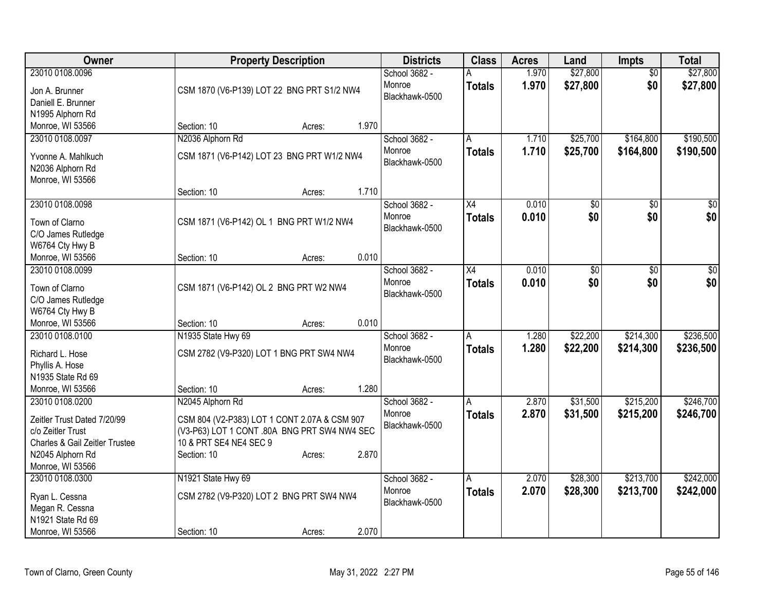| \$27,800<br>23010 0108.0096<br>School 3682 -<br>1.970<br>$\overline{50}$<br>1.970<br>\$27,800<br>\$0<br>\$27,800<br>Monroe<br><b>Totals</b><br>CSM 1870 (V6-P139) LOT 22 BNG PRT S1/2 NW4<br>Jon A. Brunner<br>Blackhawk-0500<br>Daniell E. Brunner<br>N1995 Alphorn Rd<br>1.970<br>Monroe, WI 53566<br>Section: 10<br>Acres:<br>23010 0108.0097<br>N2036 Alphorn Rd<br>School 3682 -<br>\$25,700<br>\$164,800<br>\$190,500<br>1.710<br>A<br>1.710<br>\$25,700<br>Monroe<br>\$164,800<br>\$190,500<br><b>Totals</b><br>CSM 1871 (V6-P142) LOT 23 BNG PRT W1/2 NW4<br>Yvonne A. Mahlkuch<br>Blackhawk-0500<br>N2036 Alphorn Rd<br>Monroe, WI 53566<br>1.710<br>Section: 10<br>Acres:<br>23010 0108.0098<br>School 3682 -<br>$\overline{X4}$<br>0.010<br>\$0<br>\$0<br>\$0<br>\$0<br>\$0<br>Monroe<br>0.010<br>\$0<br><b>Totals</b><br>CSM 1871 (V6-P142) OL 1 BNG PRT W1/2 NW4<br>Town of Clarno<br>Blackhawk-0500<br>C/O James Rutledge<br>W6764 Cty Hwy B<br>0.010<br>Monroe, WI 53566<br>Section: 10<br>Acres:<br>23010 0108,0099<br>School 3682 -<br>$\overline{X4}$<br>0.010<br>\$0<br>$\overline{30}$<br>$\overline{50}$<br>\$0<br>Monroe<br>0.010<br>\$0<br><b>Totals</b><br>Town of Clarno<br>CSM 1871 (V6-P142) OL 2 BNG PRT W2 NW4<br>Blackhawk-0500<br>C/O James Rutledge<br>W6764 Cty Hwy B<br>0.010<br>Monroe, WI 53566<br>Section: 10<br>Acres:<br>N1935 State Hwy 69<br>\$22,200<br>\$214,300<br>23010 0108.0100<br>School 3682 -<br>1.280<br>A<br>1.280<br>\$22,200<br>Monroe<br>\$214,300<br><b>Totals</b><br>Richard L. Hose<br>CSM 2782 (V9-P320) LOT 1 BNG PRT SW4 NW4<br>Blackhawk-0500<br>Phyllis A. Hose<br>N1935 State Rd 69<br>1.280<br>Monroe, WI 53566<br>Section: 10<br>Acres:<br>\$215,200<br>23010 0108.0200<br>N2045 Alphorn Rd<br>School 3682 -<br>2.870<br>\$31,500<br>А<br>2.870<br>Monroe<br><b>Totals</b><br>\$31,500<br>\$215,200<br>CSM 804 (V2-P383) LOT 1 CONT 2.07A & CSM 907<br>Zeitler Trust Dated 7/20/99<br>Blackhawk-0500<br>c/o Zeitler Trust<br>(V3-P63) LOT 1 CONT .80A BNG PRT SW4 NW4 SEC<br>10 & PRT SE4 NE4 SEC 9<br>Charles & Gail Zeitler Trustee<br>2.870<br>N2045 Alphorn Rd<br>Section: 10<br>Acres:<br>Monroe, WI 53566<br>N1921 State Hwy 69<br>\$28,300<br>\$213,700<br>23010 0108.0300<br>School 3682 -<br>2.070<br>А<br>Monroe<br>2.070<br>\$28,300<br>\$213,700<br><b>Totals</b><br>CSM 2782 (V9-P320) LOT 2 BNG PRT SW4 NW4<br>Ryan L. Cessna<br>Blackhawk-0500<br>Megan R. Cessna<br>N1921 State Rd 69 | Owner | <b>Property Description</b> | <b>Districts</b> | <b>Class</b> | <b>Acres</b> | Land     | Impts | <b>Total</b> |
|-------------------------------------------------------------------------------------------------------------------------------------------------------------------------------------------------------------------------------------------------------------------------------------------------------------------------------------------------------------------------------------------------------------------------------------------------------------------------------------------------------------------------------------------------------------------------------------------------------------------------------------------------------------------------------------------------------------------------------------------------------------------------------------------------------------------------------------------------------------------------------------------------------------------------------------------------------------------------------------------------------------------------------------------------------------------------------------------------------------------------------------------------------------------------------------------------------------------------------------------------------------------------------------------------------------------------------------------------------------------------------------------------------------------------------------------------------------------------------------------------------------------------------------------------------------------------------------------------------------------------------------------------------------------------------------------------------------------------------------------------------------------------------------------------------------------------------------------------------------------------------------------------------------------------------------------------------------------------------------------------------------------------------------------------------------------------------------------------------------------------------------------------------------------------------------------------------------------------------------------------------------------------------------------------------------------------------------------------------------------------------------------------------------------------------------------------------------------------|-------|-----------------------------|------------------|--------------|--------------|----------|-------|--------------|
|                                                                                                                                                                                                                                                                                                                                                                                                                                                                                                                                                                                                                                                                                                                                                                                                                                                                                                                                                                                                                                                                                                                                                                                                                                                                                                                                                                                                                                                                                                                                                                                                                                                                                                                                                                                                                                                                                                                                                                                                                                                                                                                                                                                                                                                                                                                                                                                                                                                                         |       |                             |                  |              |              | \$27,800 |       |              |
|                                                                                                                                                                                                                                                                                                                                                                                                                                                                                                                                                                                                                                                                                                                                                                                                                                                                                                                                                                                                                                                                                                                                                                                                                                                                                                                                                                                                                                                                                                                                                                                                                                                                                                                                                                                                                                                                                                                                                                                                                                                                                                                                                                                                                                                                                                                                                                                                                                                                         |       |                             |                  |              |              |          |       |              |
|                                                                                                                                                                                                                                                                                                                                                                                                                                                                                                                                                                                                                                                                                                                                                                                                                                                                                                                                                                                                                                                                                                                                                                                                                                                                                                                                                                                                                                                                                                                                                                                                                                                                                                                                                                                                                                                                                                                                                                                                                                                                                                                                                                                                                                                                                                                                                                                                                                                                         |       |                             |                  |              |              |          |       |              |
|                                                                                                                                                                                                                                                                                                                                                                                                                                                                                                                                                                                                                                                                                                                                                                                                                                                                                                                                                                                                                                                                                                                                                                                                                                                                                                                                                                                                                                                                                                                                                                                                                                                                                                                                                                                                                                                                                                                                                                                                                                                                                                                                                                                                                                                                                                                                                                                                                                                                         |       |                             |                  |              |              |          |       |              |
|                                                                                                                                                                                                                                                                                                                                                                                                                                                                                                                                                                                                                                                                                                                                                                                                                                                                                                                                                                                                                                                                                                                                                                                                                                                                                                                                                                                                                                                                                                                                                                                                                                                                                                                                                                                                                                                                                                                                                                                                                                                                                                                                                                                                                                                                                                                                                                                                                                                                         |       |                             |                  |              |              |          |       |              |
|                                                                                                                                                                                                                                                                                                                                                                                                                                                                                                                                                                                                                                                                                                                                                                                                                                                                                                                                                                                                                                                                                                                                                                                                                                                                                                                                                                                                                                                                                                                                                                                                                                                                                                                                                                                                                                                                                                                                                                                                                                                                                                                                                                                                                                                                                                                                                                                                                                                                         |       |                             |                  |              |              |          |       |              |
|                                                                                                                                                                                                                                                                                                                                                                                                                                                                                                                                                                                                                                                                                                                                                                                                                                                                                                                                                                                                                                                                                                                                                                                                                                                                                                                                                                                                                                                                                                                                                                                                                                                                                                                                                                                                                                                                                                                                                                                                                                                                                                                                                                                                                                                                                                                                                                                                                                                                         |       |                             |                  |              |              |          |       |              |
|                                                                                                                                                                                                                                                                                                                                                                                                                                                                                                                                                                                                                                                                                                                                                                                                                                                                                                                                                                                                                                                                                                                                                                                                                                                                                                                                                                                                                                                                                                                                                                                                                                                                                                                                                                                                                                                                                                                                                                                                                                                                                                                                                                                                                                                                                                                                                                                                                                                                         |       |                             |                  |              |              |          |       |              |
|                                                                                                                                                                                                                                                                                                                                                                                                                                                                                                                                                                                                                                                                                                                                                                                                                                                                                                                                                                                                                                                                                                                                                                                                                                                                                                                                                                                                                                                                                                                                                                                                                                                                                                                                                                                                                                                                                                                                                                                                                                                                                                                                                                                                                                                                                                                                                                                                                                                                         |       |                             |                  |              |              |          |       |              |
|                                                                                                                                                                                                                                                                                                                                                                                                                                                                                                                                                                                                                                                                                                                                                                                                                                                                                                                                                                                                                                                                                                                                                                                                                                                                                                                                                                                                                                                                                                                                                                                                                                                                                                                                                                                                                                                                                                                                                                                                                                                                                                                                                                                                                                                                                                                                                                                                                                                                         |       |                             |                  |              |              |          |       |              |
|                                                                                                                                                                                                                                                                                                                                                                                                                                                                                                                                                                                                                                                                                                                                                                                                                                                                                                                                                                                                                                                                                                                                                                                                                                                                                                                                                                                                                                                                                                                                                                                                                                                                                                                                                                                                                                                                                                                                                                                                                                                                                                                                                                                                                                                                                                                                                                                                                                                                         |       |                             |                  |              |              |          |       |              |
|                                                                                                                                                                                                                                                                                                                                                                                                                                                                                                                                                                                                                                                                                                                                                                                                                                                                                                                                                                                                                                                                                                                                                                                                                                                                                                                                                                                                                                                                                                                                                                                                                                                                                                                                                                                                                                                                                                                                                                                                                                                                                                                                                                                                                                                                                                                                                                                                                                                                         |       |                             |                  |              |              |          |       |              |
|                                                                                                                                                                                                                                                                                                                                                                                                                                                                                                                                                                                                                                                                                                                                                                                                                                                                                                                                                                                                                                                                                                                                                                                                                                                                                                                                                                                                                                                                                                                                                                                                                                                                                                                                                                                                                                                                                                                                                                                                                                                                                                                                                                                                                                                                                                                                                                                                                                                                         |       |                             |                  |              |              |          |       |              |
|                                                                                                                                                                                                                                                                                                                                                                                                                                                                                                                                                                                                                                                                                                                                                                                                                                                                                                                                                                                                                                                                                                                                                                                                                                                                                                                                                                                                                                                                                                                                                                                                                                                                                                                                                                                                                                                                                                                                                                                                                                                                                                                                                                                                                                                                                                                                                                                                                                                                         |       |                             |                  |              |              |          |       |              |
|                                                                                                                                                                                                                                                                                                                                                                                                                                                                                                                                                                                                                                                                                                                                                                                                                                                                                                                                                                                                                                                                                                                                                                                                                                                                                                                                                                                                                                                                                                                                                                                                                                                                                                                                                                                                                                                                                                                                                                                                                                                                                                                                                                                                                                                                                                                                                                                                                                                                         |       |                             |                  |              |              |          |       |              |
| \$0<br>\$236,500<br>\$246,700<br>\$242,000<br>\$242,000                                                                                                                                                                                                                                                                                                                                                                                                                                                                                                                                                                                                                                                                                                                                                                                                                                                                                                                                                                                                                                                                                                                                                                                                                                                                                                                                                                                                                                                                                                                                                                                                                                                                                                                                                                                                                                                                                                                                                                                                                                                                                                                                                                                                                                                                                                                                                                                                                 |       |                             |                  |              |              |          |       |              |
|                                                                                                                                                                                                                                                                                                                                                                                                                                                                                                                                                                                                                                                                                                                                                                                                                                                                                                                                                                                                                                                                                                                                                                                                                                                                                                                                                                                                                                                                                                                                                                                                                                                                                                                                                                                                                                                                                                                                                                                                                                                                                                                                                                                                                                                                                                                                                                                                                                                                         |       |                             |                  |              |              |          |       |              |
|                                                                                                                                                                                                                                                                                                                                                                                                                                                                                                                                                                                                                                                                                                                                                                                                                                                                                                                                                                                                                                                                                                                                                                                                                                                                                                                                                                                                                                                                                                                                                                                                                                                                                                                                                                                                                                                                                                                                                                                                                                                                                                                                                                                                                                                                                                                                                                                                                                                                         |       |                             |                  |              |              |          |       |              |
|                                                                                                                                                                                                                                                                                                                                                                                                                                                                                                                                                                                                                                                                                                                                                                                                                                                                                                                                                                                                                                                                                                                                                                                                                                                                                                                                                                                                                                                                                                                                                                                                                                                                                                                                                                                                                                                                                                                                                                                                                                                                                                                                                                                                                                                                                                                                                                                                                                                                         |       |                             |                  |              |              |          |       |              |
| \$236,500<br>\$246,700                                                                                                                                                                                                                                                                                                                                                                                                                                                                                                                                                                                                                                                                                                                                                                                                                                                                                                                                                                                                                                                                                                                                                                                                                                                                                                                                                                                                                                                                                                                                                                                                                                                                                                                                                                                                                                                                                                                                                                                                                                                                                                                                                                                                                                                                                                                                                                                                                                                  |       |                             |                  |              |              |          |       |              |
|                                                                                                                                                                                                                                                                                                                                                                                                                                                                                                                                                                                                                                                                                                                                                                                                                                                                                                                                                                                                                                                                                                                                                                                                                                                                                                                                                                                                                                                                                                                                                                                                                                                                                                                                                                                                                                                                                                                                                                                                                                                                                                                                                                                                                                                                                                                                                                                                                                                                         |       |                             |                  |              |              |          |       |              |
|                                                                                                                                                                                                                                                                                                                                                                                                                                                                                                                                                                                                                                                                                                                                                                                                                                                                                                                                                                                                                                                                                                                                                                                                                                                                                                                                                                                                                                                                                                                                                                                                                                                                                                                                                                                                                                                                                                                                                                                                                                                                                                                                                                                                                                                                                                                                                                                                                                                                         |       |                             |                  |              |              |          |       |              |
|                                                                                                                                                                                                                                                                                                                                                                                                                                                                                                                                                                                                                                                                                                                                                                                                                                                                                                                                                                                                                                                                                                                                                                                                                                                                                                                                                                                                                                                                                                                                                                                                                                                                                                                                                                                                                                                                                                                                                                                                                                                                                                                                                                                                                                                                                                                                                                                                                                                                         |       |                             |                  |              |              |          |       |              |
|                                                                                                                                                                                                                                                                                                                                                                                                                                                                                                                                                                                                                                                                                                                                                                                                                                                                                                                                                                                                                                                                                                                                                                                                                                                                                                                                                                                                                                                                                                                                                                                                                                                                                                                                                                                                                                                                                                                                                                                                                                                                                                                                                                                                                                                                                                                                                                                                                                                                         |       |                             |                  |              |              |          |       |              |
|                                                                                                                                                                                                                                                                                                                                                                                                                                                                                                                                                                                                                                                                                                                                                                                                                                                                                                                                                                                                                                                                                                                                                                                                                                                                                                                                                                                                                                                                                                                                                                                                                                                                                                                                                                                                                                                                                                                                                                                                                                                                                                                                                                                                                                                                                                                                                                                                                                                                         |       |                             |                  |              |              |          |       |              |
|                                                                                                                                                                                                                                                                                                                                                                                                                                                                                                                                                                                                                                                                                                                                                                                                                                                                                                                                                                                                                                                                                                                                                                                                                                                                                                                                                                                                                                                                                                                                                                                                                                                                                                                                                                                                                                                                                                                                                                                                                                                                                                                                                                                                                                                                                                                                                                                                                                                                         |       |                             |                  |              |              |          |       |              |
|                                                                                                                                                                                                                                                                                                                                                                                                                                                                                                                                                                                                                                                                                                                                                                                                                                                                                                                                                                                                                                                                                                                                                                                                                                                                                                                                                                                                                                                                                                                                                                                                                                                                                                                                                                                                                                                                                                                                                                                                                                                                                                                                                                                                                                                                                                                                                                                                                                                                         |       |                             |                  |              |              |          |       |              |
|                                                                                                                                                                                                                                                                                                                                                                                                                                                                                                                                                                                                                                                                                                                                                                                                                                                                                                                                                                                                                                                                                                                                                                                                                                                                                                                                                                                                                                                                                                                                                                                                                                                                                                                                                                                                                                                                                                                                                                                                                                                                                                                                                                                                                                                                                                                                                                                                                                                                         |       |                             |                  |              |              |          |       |              |
|                                                                                                                                                                                                                                                                                                                                                                                                                                                                                                                                                                                                                                                                                                                                                                                                                                                                                                                                                                                                                                                                                                                                                                                                                                                                                                                                                                                                                                                                                                                                                                                                                                                                                                                                                                                                                                                                                                                                                                                                                                                                                                                                                                                                                                                                                                                                                                                                                                                                         |       |                             |                  |              |              |          |       |              |
|                                                                                                                                                                                                                                                                                                                                                                                                                                                                                                                                                                                                                                                                                                                                                                                                                                                                                                                                                                                                                                                                                                                                                                                                                                                                                                                                                                                                                                                                                                                                                                                                                                                                                                                                                                                                                                                                                                                                                                                                                                                                                                                                                                                                                                                                                                                                                                                                                                                                         |       |                             |                  |              |              |          |       |              |
|                                                                                                                                                                                                                                                                                                                                                                                                                                                                                                                                                                                                                                                                                                                                                                                                                                                                                                                                                                                                                                                                                                                                                                                                                                                                                                                                                                                                                                                                                                                                                                                                                                                                                                                                                                                                                                                                                                                                                                                                                                                                                                                                                                                                                                                                                                                                                                                                                                                                         |       |                             |                  |              |              |          |       |              |
|                                                                                                                                                                                                                                                                                                                                                                                                                                                                                                                                                                                                                                                                                                                                                                                                                                                                                                                                                                                                                                                                                                                                                                                                                                                                                                                                                                                                                                                                                                                                                                                                                                                                                                                                                                                                                                                                                                                                                                                                                                                                                                                                                                                                                                                                                                                                                                                                                                                                         |       |                             |                  |              |              |          |       |              |
|                                                                                                                                                                                                                                                                                                                                                                                                                                                                                                                                                                                                                                                                                                                                                                                                                                                                                                                                                                                                                                                                                                                                                                                                                                                                                                                                                                                                                                                                                                                                                                                                                                                                                                                                                                                                                                                                                                                                                                                                                                                                                                                                                                                                                                                                                                                                                                                                                                                                         |       |                             |                  |              |              |          |       |              |
|                                                                                                                                                                                                                                                                                                                                                                                                                                                                                                                                                                                                                                                                                                                                                                                                                                                                                                                                                                                                                                                                                                                                                                                                                                                                                                                                                                                                                                                                                                                                                                                                                                                                                                                                                                                                                                                                                                                                                                                                                                                                                                                                                                                                                                                                                                                                                                                                                                                                         |       |                             |                  |              |              |          |       |              |
|                                                                                                                                                                                                                                                                                                                                                                                                                                                                                                                                                                                                                                                                                                                                                                                                                                                                                                                                                                                                                                                                                                                                                                                                                                                                                                                                                                                                                                                                                                                                                                                                                                                                                                                                                                                                                                                                                                                                                                                                                                                                                                                                                                                                                                                                                                                                                                                                                                                                         |       |                             |                  |              |              |          |       |              |
|                                                                                                                                                                                                                                                                                                                                                                                                                                                                                                                                                                                                                                                                                                                                                                                                                                                                                                                                                                                                                                                                                                                                                                                                                                                                                                                                                                                                                                                                                                                                                                                                                                                                                                                                                                                                                                                                                                                                                                                                                                                                                                                                                                                                                                                                                                                                                                                                                                                                         |       |                             |                  |              |              |          |       |              |
| 2.070<br>Monroe, WI 53566<br>Section: 10<br>Acres:                                                                                                                                                                                                                                                                                                                                                                                                                                                                                                                                                                                                                                                                                                                                                                                                                                                                                                                                                                                                                                                                                                                                                                                                                                                                                                                                                                                                                                                                                                                                                                                                                                                                                                                                                                                                                                                                                                                                                                                                                                                                                                                                                                                                                                                                                                                                                                                                                      |       |                             |                  |              |              |          |       |              |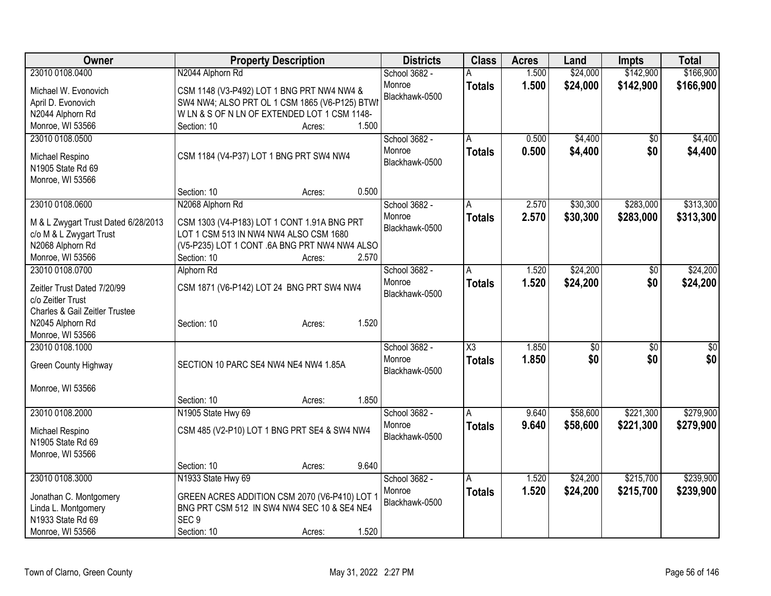| Owner                               | <b>Property Description</b>                    | <b>Districts</b> | <b>Class</b>        | <b>Acres</b> | Land     | Impts           | <b>Total</b> |
|-------------------------------------|------------------------------------------------|------------------|---------------------|--------------|----------|-----------------|--------------|
| 23010 0108.0400                     | N2044 Alphorn Rd                               | School 3682 -    |                     | 1.500        | \$24,000 | \$142,900       | \$166,900    |
| Michael W. Evonovich                | CSM 1148 (V3-P492) LOT 1 BNG PRT NW4 NW4 &     | Monroe           | <b>Totals</b>       | 1.500        | \$24,000 | \$142,900       | \$166,900    |
| April D. Evonovich                  | SW4 NW4; ALSO PRT OL 1 CSM 1865 (V6-P125) BTWI | Blackhawk-0500   |                     |              |          |                 |              |
| N2044 Alphorn Rd                    | WLN & S OF N LN OF EXTENDED LOT 1 CSM 1148-    |                  |                     |              |          |                 |              |
| Monroe, WI 53566                    | 1.500<br>Section: 10<br>Acres:                 |                  |                     |              |          |                 |              |
| 23010 0108.0500                     |                                                | School 3682 -    | A                   | 0.500        | \$4,400  | \$0             | \$4,400      |
|                                     |                                                | Monroe           | <b>Totals</b>       | 0.500        | \$4,400  | \$0             | \$4,400      |
| Michael Respino                     | CSM 1184 (V4-P37) LOT 1 BNG PRT SW4 NW4        | Blackhawk-0500   |                     |              |          |                 |              |
| N1905 State Rd 69                   |                                                |                  |                     |              |          |                 |              |
| Monroe, WI 53566                    |                                                |                  |                     |              |          |                 |              |
|                                     | 0.500<br>Section: 10<br>Acres:                 |                  |                     |              |          |                 |              |
| 23010 0108.0600                     | N2068 Alphorn Rd                               | School 3682 -    | A                   | 2.570        | \$30,300 | \$283,000       | \$313,300    |
| M & L Zwygart Trust Dated 6/28/2013 | CSM 1303 (V4-P183) LOT 1 CONT 1.91A BNG PRT    | Monroe           | <b>Totals</b>       | 2.570        | \$30,300 | \$283,000       | \$313,300    |
| c/o M & L Zwygart Trust             | LOT 1 CSM 513 IN NW4 NW4 ALSO CSM 1680         | Blackhawk-0500   |                     |              |          |                 |              |
| N2068 Alphorn Rd                    | (V5-P235) LOT 1 CONT .6A BNG PRT NW4 NW4 ALSO  |                  |                     |              |          |                 |              |
| Monroe, WI 53566                    | 2.570<br>Section: 10<br>Acres:                 |                  |                     |              |          |                 |              |
| 23010 0108.0700                     | Alphorn Rd                                     | School 3682 -    | A                   | 1.520        | \$24,200 | $\overline{30}$ | \$24,200     |
|                                     |                                                | Monroe           | <b>Totals</b>       | 1.520        | \$24,200 | \$0             | \$24,200     |
| Zeitler Trust Dated 7/20/99         | CSM 1871 (V6-P142) LOT 24 BNG PRT SW4 NW4      | Blackhawk-0500   |                     |              |          |                 |              |
| c/o Zeitler Trust                   |                                                |                  |                     |              |          |                 |              |
| Charles & Gail Zeitler Trustee      |                                                |                  |                     |              |          |                 |              |
| N2045 Alphorn Rd                    | 1.520<br>Section: 10<br>Acres:                 |                  |                     |              |          |                 |              |
| Monroe, WI 53566<br>23010 0108.1000 |                                                | School 3682 -    | $\overline{\chi_3}$ | 1.850        |          |                 | \$0          |
|                                     |                                                | Monroe           |                     |              | \$0      | \$0             |              |
| Green County Highway                | SECTION 10 PARC SE4 NW4 NE4 NW4 1.85A          | Blackhawk-0500   | <b>Totals</b>       | 1.850        | \$0      | \$0             | \$0          |
|                                     |                                                |                  |                     |              |          |                 |              |
| Monroe, WI 53566                    |                                                |                  |                     |              |          |                 |              |
|                                     | 1.850<br>Section: 10<br>Acres:                 |                  |                     |              |          |                 |              |
| 23010 0108.2000                     | N1905 State Hwy 69                             | School 3682 -    | A                   | 9.640        | \$58,600 | \$221,300       | \$279,900    |
| Michael Respino                     | CSM 485 (V2-P10) LOT 1 BNG PRT SE4 & SW4 NW4   | Monroe           | <b>Totals</b>       | 9.640        | \$58,600 | \$221,300       | \$279,900    |
| N1905 State Rd 69                   |                                                | Blackhawk-0500   |                     |              |          |                 |              |
| Monroe, WI 53566                    |                                                |                  |                     |              |          |                 |              |
|                                     | 9.640<br>Section: 10<br>Acres:                 |                  |                     |              |          |                 |              |
| 23010 0108.3000                     | N1933 State Hwy 69                             | School 3682 -    | A                   | 1.520        | \$24,200 | \$215,700       | \$239,900    |
|                                     |                                                | Monroe           | <b>Totals</b>       | 1.520        | \$24,200 | \$215,700       | \$239,900    |
| Jonathan C. Montgomery              | GREEN ACRES ADDITION CSM 2070 (V6-P410) LOT 1  | Blackhawk-0500   |                     |              |          |                 |              |
| Linda L. Montgomery                 | BNG PRT CSM 512 IN SW4 NW4 SEC 10 & SE4 NE4    |                  |                     |              |          |                 |              |
| N1933 State Rd 69                   | SEC <sub>9</sub>                               |                  |                     |              |          |                 |              |
| Monroe, WI 53566                    | 1.520<br>Section: 10<br>Acres:                 |                  |                     |              |          |                 |              |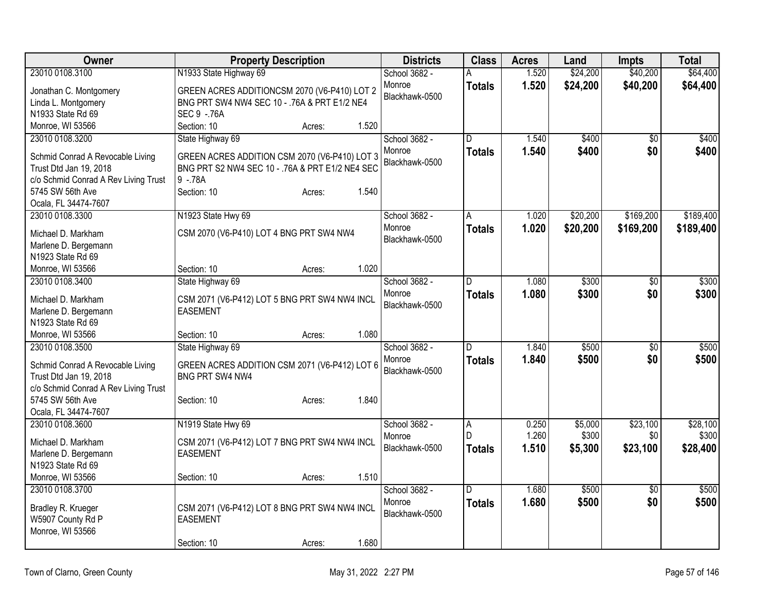| Owner                                                                                                                                                             | <b>Property Description</b>                                                                                                                                          | <b>Districts</b>                          | <b>Class</b>       | <b>Acres</b>   | Land           | Impts                  | <b>Total</b>   |
|-------------------------------------------------------------------------------------------------------------------------------------------------------------------|----------------------------------------------------------------------------------------------------------------------------------------------------------------------|-------------------------------------------|--------------------|----------------|----------------|------------------------|----------------|
| 23010 0108.3100                                                                                                                                                   | N1933 State Highway 69                                                                                                                                               | School 3682 -                             | Α                  | 1.520          | \$24,200       | \$40,200               | \$64,400       |
| Jonathan C. Montgomery<br>Linda L. Montgomery<br>N1933 State Rd 69                                                                                                | GREEN ACRES ADDITIONCSM 2070 (V6-P410) LOT 2<br>BNG PRT SW4 NW4 SEC 10 - .76A & PRT E1/2 NE4<br>SEC 9 - 76A                                                          | Monroe<br>Blackhawk-0500                  | <b>Totals</b>      | 1.520          | \$24,200       | \$40,200               | \$64,400       |
| Monroe, WI 53566                                                                                                                                                  | 1.520<br>Section: 10<br>Acres:                                                                                                                                       |                                           |                    |                |                |                        |                |
| 23010 0108.3200<br>Schmid Conrad A Revocable Living<br>Trust Dtd Jan 19, 2018<br>c/o Schmid Conrad A Rev Living Trust<br>5745 SW 56th Ave<br>Ocala, FL 34474-7607 | State Highway 69<br>GREEN ACRES ADDITION CSM 2070 (V6-P410) LOT 3<br>BNG PRT S2 NW4 SEC 10 - . 76A & PRT E1/2 NE4 SEC<br>$9 - 78A$<br>1.540<br>Section: 10<br>Acres: | School 3682 -<br>Monroe<br>Blackhawk-0500 | D<br><b>Totals</b> | 1.540<br>1.540 | \$400<br>\$400 | $\overline{50}$<br>\$0 | \$400<br>\$400 |
| 23010 0108.3300                                                                                                                                                   | N1923 State Hwy 69                                                                                                                                                   | School 3682 -                             | Α                  | 1.020          | \$20,200       | \$169,200              | \$189,400      |
| Michael D. Markham<br>Marlene D. Bergemann<br>N1923 State Rd 69                                                                                                   | CSM 2070 (V6-P410) LOT 4 BNG PRT SW4 NW4                                                                                                                             | Monroe<br>Blackhawk-0500                  | <b>Totals</b>      | 1.020          | \$20,200       | \$169,200              | \$189,400      |
| Monroe, WI 53566                                                                                                                                                  | 1.020<br>Section: 10<br>Acres:                                                                                                                                       |                                           |                    |                |                |                        |                |
| 23010 0108.3400                                                                                                                                                   | State Highway 69                                                                                                                                                     | School 3682 -                             | D                  | 1.080          | \$300          | $\overline{50}$        | \$300          |
| Michael D. Markham<br>Marlene D. Bergemann<br>N1923 State Rd 69                                                                                                   | CSM 2071 (V6-P412) LOT 5 BNG PRT SW4 NW4 INCL<br><b>EASEMENT</b>                                                                                                     | Monroe<br>Blackhawk-0500                  | <b>Totals</b>      | 1.080          | \$300          | \$0                    | \$300          |
| Monroe, WI 53566                                                                                                                                                  | 1.080<br>Section: 10<br>Acres:                                                                                                                                       |                                           |                    |                |                |                        |                |
| 23010 0108.3500                                                                                                                                                   | State Highway 69                                                                                                                                                     | School 3682 -                             | D                  | 1.840          | \$500          | \$0                    | \$500          |
| Schmid Conrad A Revocable Living<br>Trust Dtd Jan 19, 2018<br>c/o Schmid Conrad A Rev Living Trust                                                                | GREEN ACRES ADDITION CSM 2071 (V6-P412) LOT 6<br>BNG PRT SW4 NW4                                                                                                     | Monroe<br>Blackhawk-0500                  | <b>Totals</b>      | 1.840          | \$500          | \$0                    | \$500          |
| 5745 SW 56th Ave                                                                                                                                                  | 1.840<br>Section: 10<br>Acres:                                                                                                                                       |                                           |                    |                |                |                        |                |
| Ocala, FL 34474-7607                                                                                                                                              |                                                                                                                                                                      |                                           |                    |                |                |                        |                |
| 23010 0108.3600                                                                                                                                                   | N1919 State Hwy 69                                                                                                                                                   | School 3682 -                             | $\overline{A}$     | 0.250          | \$5,000        | \$23,100               | \$28,100       |
| Michael D. Markham                                                                                                                                                | CSM 2071 (V6-P412) LOT 7 BNG PRT SW4 NW4 INCL                                                                                                                        | Monroe                                    | D                  | 1.260          | \$300          | \$0                    | \$300          |
| Marlene D. Bergemann                                                                                                                                              | <b>EASEMENT</b>                                                                                                                                                      | Blackhawk-0500                            | <b>Totals</b>      | 1.510          | \$5,300        | \$23,100               | \$28,400       |
| N1923 State Rd 69                                                                                                                                                 |                                                                                                                                                                      |                                           |                    |                |                |                        |                |
| Monroe, WI 53566                                                                                                                                                  | 1.510<br>Section: 10<br>Acres:                                                                                                                                       |                                           |                    |                |                |                        |                |
| 23010 0108.3700<br>Bradley R. Krueger<br>W5907 County Rd P<br>Monroe, WI 53566                                                                                    | CSM 2071 (V6-P412) LOT 8 BNG PRT SW4 NW4 INCL<br><b>EASEMENT</b>                                                                                                     | School 3682 -<br>Monroe<br>Blackhawk-0500 | D<br><b>Totals</b> | 1.680<br>1.680 | \$500<br>\$500 | $\sqrt{6}$<br>\$0      | \$500<br>\$500 |
|                                                                                                                                                                   | 1.680<br>Section: 10<br>Acres:                                                                                                                                       |                                           |                    |                |                |                        |                |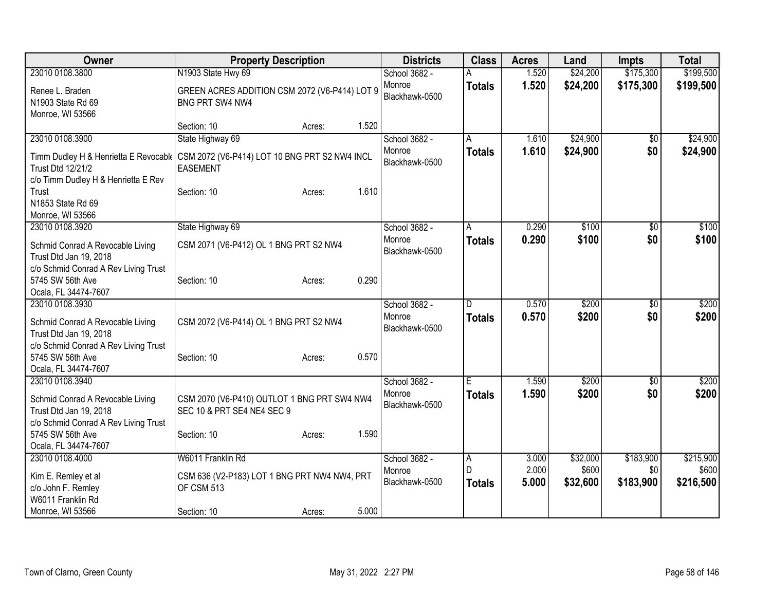| <b>Owner</b>                                                                                                                                     | <b>Property Description</b>                                                     |        |       | <b>Districts</b>                          | <b>Class</b>                         | <b>Acres</b>            | Land                          | <b>Impts</b>                  | <b>Total</b>                    |
|--------------------------------------------------------------------------------------------------------------------------------------------------|---------------------------------------------------------------------------------|--------|-------|-------------------------------------------|--------------------------------------|-------------------------|-------------------------------|-------------------------------|---------------------------------|
| 23010 0108.3800                                                                                                                                  | N1903 State Hwy 69                                                              |        |       | School 3682 -                             |                                      | 1.520                   | \$24,200                      | \$175,300                     | \$199,500                       |
| Renee L. Braden<br>N1903 State Rd 69<br>Monroe, WI 53566                                                                                         | GREEN ACRES ADDITION CSM 2072 (V6-P414) LOT 9<br>BNG PRT SW4 NW4                |        |       | Monroe<br>Blackhawk-0500                  | <b>Totals</b>                        | 1.520                   | \$24,200                      | \$175,300                     | \$199,500                       |
|                                                                                                                                                  | Section: 10                                                                     | Acres: | 1.520 |                                           |                                      |                         |                               |                               |                                 |
| 23010 0108.3900                                                                                                                                  | State Highway 69                                                                |        |       | School 3682 -                             | A                                    | 1.610                   | \$24,900                      | \$0                           | \$24,900                        |
| Timm Dudley H & Henrietta E Revocabl   CSM 2072 (V6-P414) LOT 10 BNG PRT S2 NW4 INCL<br>Trust Dtd 12/21/2<br>c/o Timm Dudley H & Henrietta E Rev | <b>EASEMENT</b>                                                                 |        |       | Monroe<br>Blackhawk-0500                  | Totals                               | 1.610                   | \$24,900                      | \$0                           | \$24,900                        |
| Trust<br>N1853 State Rd 69                                                                                                                       | Section: 10                                                                     | Acres: | 1.610 |                                           |                                      |                         |                               |                               |                                 |
| Monroe, WI 53566<br>23010 0108.3920                                                                                                              |                                                                                 |        |       | School 3682 -                             |                                      | 0.290                   | \$100                         | \$0                           | \$100                           |
| Schmid Conrad A Revocable Living<br>Trust Dtd Jan 19, 2018                                                                                       | State Highway 69<br>CSM 2071 (V6-P412) OL 1 BNG PRT S2 NW4                      |        |       | Monroe<br>Blackhawk-0500                  | A<br><b>Totals</b>                   | 0.290                   | \$100                         | \$0                           | \$100                           |
| c/o Schmid Conrad A Rev Living Trust<br>5745 SW 56th Ave<br>Ocala, FL 34474-7607                                                                 | Section: 10                                                                     | Acres: | 0.290 |                                           |                                      |                         |                               |                               |                                 |
| 23010 0108.3930<br>Schmid Conrad A Revocable Living<br>Trust Dtd Jan 19, 2018                                                                    | CSM 2072 (V6-P414) OL 1 BNG PRT S2 NW4                                          |        |       | School 3682 -<br>Monroe<br>Blackhawk-0500 | D<br><b>Totals</b>                   | 0.570<br>0.570          | \$200<br>\$200                | \$0<br>\$0                    | \$200<br>\$200                  |
| c/o Schmid Conrad A Rev Living Trust<br>5745 SW 56th Ave<br>Ocala, FL 34474-7607                                                                 | Section: 10                                                                     | Acres: | 0.570 |                                           |                                      |                         |                               |                               |                                 |
| 23010 0108.3940<br>Schmid Conrad A Revocable Living<br>Trust Dtd Jan 19, 2018                                                                    | CSM 2070 (V6-P410) OUTLOT 1 BNG PRT SW4 NW4<br>SEC 10 & PRT SE4 NE4 SEC 9       |        |       | School 3682 -<br>Monroe<br>Blackhawk-0500 | Έ<br><b>Totals</b>                   | 1.590<br>1.590          | \$200<br>\$200                | \$0<br>\$0                    | \$200<br>\$200                  |
| c/o Schmid Conrad A Rev Living Trust<br>5745 SW 56th Ave<br>Ocala, FL 34474-7607                                                                 | Section: 10                                                                     | Acres: | 1.590 |                                           |                                      |                         |                               |                               |                                 |
| 23010 0108.4000<br>Kim E. Remley et al<br>c/o John F. Remley<br>W6011 Franklin Rd                                                                | W6011 Franklin Rd<br>CSM 636 (V2-P183) LOT 1 BNG PRT NW4 NW4, PRT<br>OF CSM 513 |        |       | School 3682 -<br>Monroe<br>Blackhawk-0500 | $\overline{A}$<br>D<br><b>Totals</b> | 3.000<br>2.000<br>5.000 | \$32,000<br>\$600<br>\$32,600 | \$183,900<br>\$0<br>\$183,900 | \$215,900<br>\$600<br>\$216,500 |
| Monroe, WI 53566                                                                                                                                 | Section: 10                                                                     | Acres: | 5.000 |                                           |                                      |                         |                               |                               |                                 |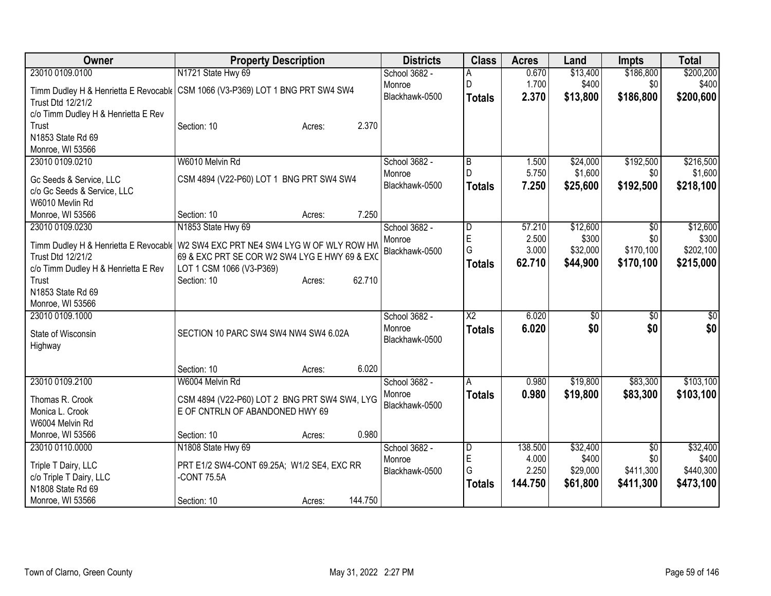| Owner                               | <b>Property Description</b>                                                                                                        | <b>Districts</b> | <b>Class</b>           | <b>Acres</b>   | Land              | <b>Impts</b>     | <b>Total</b>       |
|-------------------------------------|------------------------------------------------------------------------------------------------------------------------------------|------------------|------------------------|----------------|-------------------|------------------|--------------------|
| 23010 0109.0100                     | N1721 State Hwy 69                                                                                                                 | School 3682 -    | A                      | 0.670          | \$13,400          | \$186,800        | \$200,200          |
|                                     | Timm Dudley H & Henrietta E Revocabl (CSM 1066 (V3-P369) LOT 1 BNG PRT SW4 SW4                                                     | Monroe           | D                      | 1.700          | \$400             | \$0              | \$400              |
| Trust Dtd 12/21/2                   |                                                                                                                                    | Blackhawk-0500   | <b>Totals</b>          | 2.370          | \$13,800          | \$186,800        | \$200,600          |
| c/o Timm Dudley H & Henrietta E Rev |                                                                                                                                    |                  |                        |                |                   |                  |                    |
| Trust                               | 2.370<br>Section: 10<br>Acres:                                                                                                     |                  |                        |                |                   |                  |                    |
| N1853 State Rd 69                   |                                                                                                                                    |                  |                        |                |                   |                  |                    |
| Monroe, WI 53566                    |                                                                                                                                    |                  |                        |                |                   |                  |                    |
| 23010 0109.0210                     | W6010 Melvin Rd                                                                                                                    | School 3682 -    | B                      | 1.500          | \$24,000          | \$192,500        | \$216,500          |
| Gc Seeds & Service, LLC             | CSM 4894 (V22-P60) LOT 1 BNG PRT SW4 SW4                                                                                           | Monroe           | D                      | 5.750          | \$1,600           | \$0              | \$1,600            |
| c/o Gc Seeds & Service, LLC         |                                                                                                                                    | Blackhawk-0500   | <b>Totals</b>          | 7.250          | \$25,600          | \$192,500        | \$218,100          |
| W6010 Mevlin Rd                     |                                                                                                                                    |                  |                        |                |                   |                  |                    |
| Monroe, WI 53566                    | 7.250<br>Section: 10<br>Acres:                                                                                                     |                  |                        |                |                   |                  |                    |
| 23010 0109.0230                     | N1853 State Hwy 69                                                                                                                 | School 3682 -    | D                      | 57.210         | \$12,600          | $\overline{50}$  | \$12,600           |
|                                     |                                                                                                                                    | Monroe           | E                      | 2.500          | \$300             | \$0              | \$300              |
| Trust Dtd 12/21/2                   | Timm Dudley H & Henrietta E Revocabl   W2 SW4 EXC PRT NE4 SW4 LYG W OF WLY ROW HW<br>69 & EXC PRT SE COR W2 SW4 LYG E HWY 69 & EXC | Blackhawk-0500   | G                      | 3.000          | \$32,000          | \$170,100        | \$202,100          |
| c/o Timm Dudley H & Henrietta E Rev | LOT 1 CSM 1066 (V3-P369)                                                                                                           |                  | <b>Totals</b>          | 62.710         | \$44,900          | \$170,100        | \$215,000          |
| Trust                               | 62.710<br>Section: 10<br>Acres:                                                                                                    |                  |                        |                |                   |                  |                    |
| N1853 State Rd 69                   |                                                                                                                                    |                  |                        |                |                   |                  |                    |
| Monroe, WI 53566                    |                                                                                                                                    |                  |                        |                |                   |                  |                    |
| 23010 0109.1000                     |                                                                                                                                    | School 3682 -    | $\overline{\text{X2}}$ | 6.020          | \$0               | \$0              | \$0                |
|                                     |                                                                                                                                    | Monroe           | <b>Totals</b>          | 6.020          | \$0               | \$0              | \$0                |
| State of Wisconsin                  | SECTION 10 PARC SW4 SW4 NW4 SW4 6.02A                                                                                              | Blackhawk-0500   |                        |                |                   |                  |                    |
| Highway                             |                                                                                                                                    |                  |                        |                |                   |                  |                    |
|                                     | 6.020<br>Section: 10<br>Acres:                                                                                                     |                  |                        |                |                   |                  |                    |
| 23010 0109.2100                     | W6004 Melvin Rd                                                                                                                    | School 3682 -    | A                      | 0.980          | \$19,800          | \$83,300         | \$103,100          |
|                                     |                                                                                                                                    | Monroe           | <b>Totals</b>          | 0.980          | \$19,800          | \$83,300         | \$103,100          |
| Thomas R. Crook                     | CSM 4894 (V22-P60) LOT 2 BNG PRT SW4 SW4, LYG                                                                                      | Blackhawk-0500   |                        |                |                   |                  |                    |
| Monica L. Crook                     | E OF CNTRLN OF ABANDONED HWY 69                                                                                                    |                  |                        |                |                   |                  |                    |
| W6004 Melvin Rd                     |                                                                                                                                    |                  |                        |                |                   |                  |                    |
| Monroe, WI 53566                    | 0.980<br>Section: 10<br>Acres:                                                                                                     |                  |                        |                |                   |                  |                    |
| 23010 0110.0000                     | N1808 State Hwy 69                                                                                                                 | School 3682 -    | D                      | 138.500        | \$32,400          | $\overline{50}$  | \$32,400           |
| Triple T Dairy, LLC                 | PRT E1/2 SW4-CONT 69.25A; W1/2 SE4, EXC RR                                                                                         | Monroe           | E<br>G                 | 4.000<br>2.250 | \$400<br>\$29,000 | \$0<br>\$411,300 | \$400<br>\$440,300 |
| c/o Triple T Dairy, LLC             | -CONT 75.5A                                                                                                                        | Blackhawk-0500   |                        | 144.750        | \$61,800          | \$411,300        | \$473,100          |
| N1808 State Rd 69                   |                                                                                                                                    |                  | <b>Totals</b>          |                |                   |                  |                    |
| Monroe, WI 53566                    | 144.750<br>Section: 10<br>Acres:                                                                                                   |                  |                        |                |                   |                  |                    |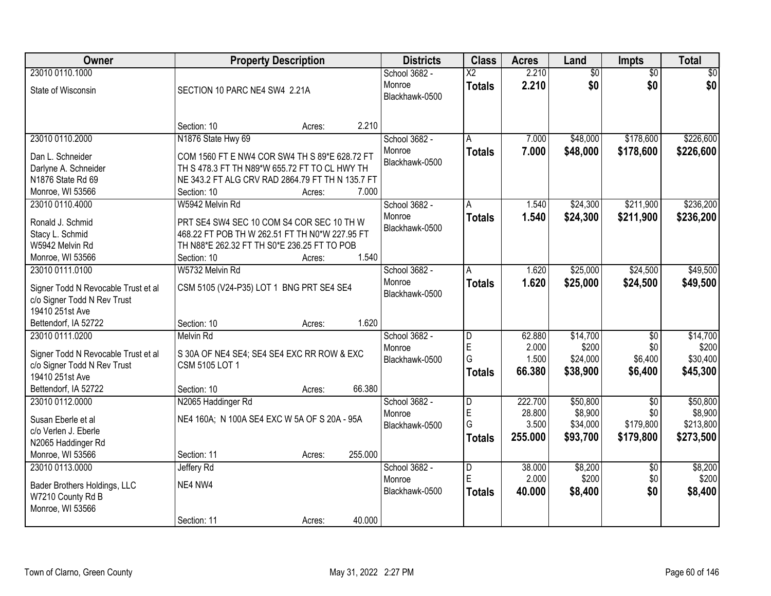| Owner                                 | <b>Property Description</b>                      | <b>Districts</b>         | <b>Class</b>            | <b>Acres</b>    | Land              | <b>Impts</b>           | <b>Total</b>      |
|---------------------------------------|--------------------------------------------------|--------------------------|-------------------------|-----------------|-------------------|------------------------|-------------------|
| 23010 0110.1000                       |                                                  | School 3682 -            | $\overline{\text{X2}}$  | 2.210           | $\overline{60}$   | $\overline{50}$        | \$0               |
| State of Wisconsin                    | SECTION 10 PARC NE4 SW4 2.21A                    | Monroe                   | <b>Totals</b>           | 2.210           | \$0               | \$0                    | \$0               |
|                                       |                                                  | Blackhawk-0500           |                         |                 |                   |                        |                   |
|                                       |                                                  |                          |                         |                 |                   |                        |                   |
|                                       | 2.210<br>Section: 10<br>Acres:                   |                          |                         |                 |                   |                        |                   |
| 23010 0110.2000                       | N1876 State Hwy 69                               | School 3682 -            | A                       | 7.000           | \$48,000          | \$178,600              | \$226,600         |
| Dan L. Schneider                      | COM 1560 FT E NW4 COR SW4 TH S 89*E 628.72 FT    | Monroe                   | <b>Totals</b>           | 7.000           | \$48,000          | \$178,600              | \$226,600         |
| Darlyne A. Schneider                  | TH S 478.3 FT TH N89*W 655.72 FT TO CL HWY TH    | Blackhawk-0500           |                         |                 |                   |                        |                   |
| N1876 State Rd 69                     | NE 343.2 FT ALG CRV RAD 2864.79 FT TH N 135.7 FT |                          |                         |                 |                   |                        |                   |
| Monroe, WI 53566                      | 7.000<br>Section: 10<br>Acres:                   |                          |                         |                 |                   |                        |                   |
| 23010 0110.4000                       | W5942 Melvin Rd                                  | School 3682 -            | Α                       | 1.540           | \$24,300          | \$211,900              | \$236,200         |
| Ronald J. Schmid                      | PRT SE4 SW4 SEC 10 COM S4 COR SEC 10 TH W        | Monroe                   | <b>Totals</b>           | 1.540           | \$24,300          | \$211,900              | \$236,200         |
| Stacy L. Schmid                       | 468.22 FT POB TH W 262.51 FT TH N0*W 227.95 FT   | Blackhawk-0500           |                         |                 |                   |                        |                   |
| W5942 Melvin Rd                       | TH N88*E 262.32 FT TH S0*E 236.25 FT TO POB      |                          |                         |                 |                   |                        |                   |
| Monroe, WI 53566                      | 1.540<br>Section: 10<br>Acres:                   |                          |                         |                 |                   |                        |                   |
| 23010 0111.0100                       | W5732 Melvin Rd                                  | School 3682 -            | A                       | 1.620           | \$25,000          | \$24,500               | \$49,500          |
|                                       |                                                  | Monroe                   | <b>Totals</b>           | 1.620           | \$25,000          | \$24,500               | \$49,500          |
| Signer Todd N Revocable Trust et al   | CSM 5105 (V24-P35) LOT 1 BNG PRT SE4 SE4         | Blackhawk-0500           |                         |                 |                   |                        |                   |
| c/o Signer Todd N Rev Trust           |                                                  |                          |                         |                 |                   |                        |                   |
| 19410 251st Ave                       |                                                  |                          |                         |                 |                   |                        |                   |
| Bettendorf, IA 52722                  | 1.620<br>Section: 10<br>Acres:                   |                          |                         |                 |                   |                        |                   |
| 23010 0111.0200                       | <b>Melvin Rd</b>                                 | School 3682 -            | D<br>E                  | 62.880<br>2.000 | \$14,700<br>\$200 | $\overline{50}$<br>\$0 | \$14,700<br>\$200 |
| Signer Todd N Revocable Trust et al   | S 30A OF NE4 SE4; SE4 SE4 EXC RR ROW & EXC       | Monroe<br>Blackhawk-0500 | G                       | 1.500           | \$24,000          | \$6,400                | \$30,400          |
| c/o Signer Todd N Rev Trust           | CSM 5105 LOT 1                                   |                          |                         | 66.380          | \$38,900          | \$6,400                |                   |
| 19410 251st Ave                       |                                                  |                          | <b>Totals</b>           |                 |                   |                        | \$45,300          |
| Bettendorf, IA 52722                  | 66.380<br>Section: 10<br>Acres:                  |                          |                         |                 |                   |                        |                   |
| 23010 0112.0000                       | N2065 Haddinger Rd                               | School 3682 -            | $\overline{\mathsf{D}}$ | 222.700         | \$50,800          | $\overline{30}$        | \$50,800          |
| Susan Eberle et al                    | NE4 160A; N 100A SE4 EXC W 5A OF S 20A - 95A     | Monroe                   | E                       | 28.800          | \$8,900           | \$0                    | \$8,900           |
| c/o Verlen J. Eberle                  |                                                  | Blackhawk-0500           | G                       | 3.500           | \$34,000          | \$179,800              | \$213,800         |
| N2065 Haddinger Rd                    |                                                  |                          | <b>Totals</b>           | 255.000         | \$93,700          | \$179,800              | \$273,500         |
| Monroe, WI 53566                      | 255.000<br>Section: 11<br>Acres:                 |                          |                         |                 |                   |                        |                   |
| 23010 0113.0000                       | Jeffery Rd                                       | School 3682 -            | D                       | 38.000          | \$8,200           | $\overline{50}$        | \$8,200           |
|                                       |                                                  | Monroe                   | E                       | 2.000           | \$200             | \$0                    | \$200             |
| Bader Brothers Holdings, LLC          | NE4 NW4                                          | Blackhawk-0500           | <b>Totals</b>           | 40.000          | \$8,400           | \$0                    | \$8,400           |
| W7210 County Rd B<br>Monroe, WI 53566 |                                                  |                          |                         |                 |                   |                        |                   |
|                                       | 40.000<br>Section: 11<br>Acres:                  |                          |                         |                 |                   |                        |                   |
|                                       |                                                  |                          |                         |                 |                   |                        |                   |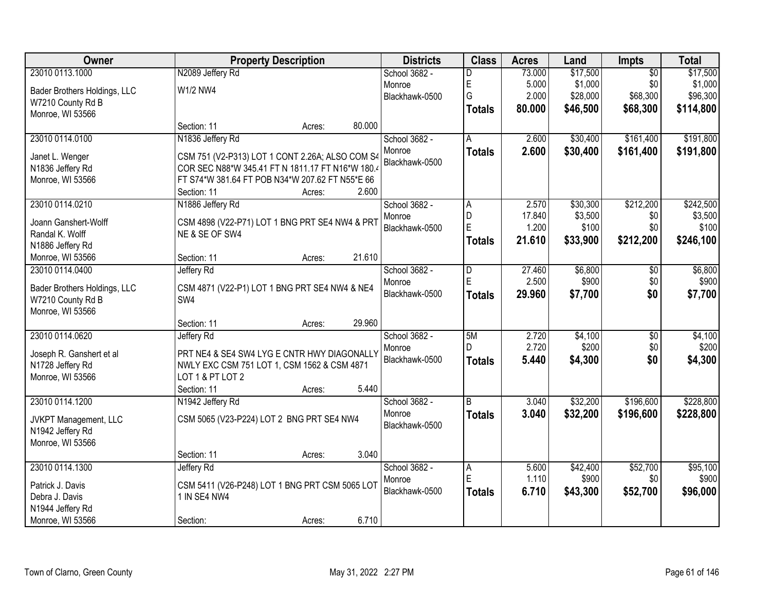| Owner                        | <b>Property Description</b>                                      |        |        | <b>Districts</b> | <b>Class</b>  | <b>Acres</b>   | Land     | <b>Impts</b>    | <b>Total</b> |
|------------------------------|------------------------------------------------------------------|--------|--------|------------------|---------------|----------------|----------|-----------------|--------------|
| 23010 0113.1000              | N2089 Jeffery Rd                                                 |        |        | School 3682 -    | D             | 73.000         | \$17,500 | $\overline{50}$ | \$17,500     |
| Bader Brothers Holdings, LLC | W1/2 NW4                                                         |        |        | Monroe           | E             | 5.000          | \$1,000  | \$0             | \$1,000      |
| W7210 County Rd B            |                                                                  |        |        | Blackhawk-0500   | G             | 2.000          | \$28,000 | \$68,300        | \$96,300     |
| Monroe, WI 53566             |                                                                  |        |        |                  | <b>Totals</b> | 80.000         | \$46,500 | \$68,300        | \$114,800    |
|                              | Section: 11                                                      | Acres: | 80.000 |                  |               |                |          |                 |              |
| 23010 0114.0100              | N1836 Jeffery Rd                                                 |        |        | School 3682 -    | A             | 2.600          | \$30,400 | \$161,400       | \$191,800    |
| Janet L. Wenger              | CSM 751 (V2-P313) LOT 1 CONT 2.26A; ALSO COM S4                  |        |        | Monroe           | <b>Totals</b> | 2.600          | \$30,400 | \$161,400       | \$191,800    |
| N1836 Jeffery Rd             | COR SEC N88*W 345.41 FT N 1811.17 FT N16*W 180.4                 |        |        | Blackhawk-0500   |               |                |          |                 |              |
| Monroe, WI 53566             | FT S74*W 381.64 FT POB N34*W 207.62 FT N55*E 66                  |        |        |                  |               |                |          |                 |              |
|                              | Section: 11                                                      | Acres: | 2.600  |                  |               |                |          |                 |              |
| 23010 0114.0210              | N1886 Jeffery Rd                                                 |        |        | School 3682 -    | A             | 2.570          | \$30,300 | \$212,200       | \$242,500    |
| Joann Ganshert-Wolff         |                                                                  |        |        | Monroe           | D             | 17.840         | \$3,500  | \$0             | \$3,500      |
| Randal K. Wolff              | CSM 4898 (V22-P71) LOT 1 BNG PRT SE4 NW4 & PRT<br>NE & SE OF SW4 |        |        | Blackhawk-0500   | E             | 1.200          | \$100    | \$0             | \$100        |
| N1886 Jeffery Rd             |                                                                  |        |        |                  | <b>Totals</b> | 21.610         | \$33,900 | \$212,200       | \$246,100    |
| Monroe, WI 53566             | Section: 11                                                      | Acres: | 21.610 |                  |               |                |          |                 |              |
| 23010 0114.0400              | Jeffery Rd                                                       |        |        | School 3682 -    | D             | 27.460         | \$6,800  | $\sqrt[6]{}$    | \$6,800      |
|                              |                                                                  |        |        | Monroe           | E             | 2.500          | \$900    | \$0             | \$900        |
| Bader Brothers Holdings, LLC | CSM 4871 (V22-P1) LOT 1 BNG PRT SE4 NW4 & NE4                    |        |        | Blackhawk-0500   | <b>Totals</b> | 29.960         | \$7,700  | \$0             | \$7,700      |
| W7210 County Rd B            | SW4                                                              |        |        |                  |               |                |          |                 |              |
| Monroe, WI 53566             |                                                                  |        | 29.960 |                  |               |                |          |                 |              |
|                              | Section: 11                                                      | Acres: |        |                  |               |                |          |                 |              |
| 23010 0114.0620              | Jeffery Rd                                                       |        |        | School 3682 -    | 5M<br>D       | 2.720<br>2.720 | \$4,100  | $\overline{50}$ | \$4,100      |
| Joseph R. Ganshert et al     | PRT NE4 & SE4 SW4 LYG E CNTR HWY DIAGONALLY                      |        |        | Monroe           |               |                | \$200    | \$0<br>\$0      | \$200        |
| N1728 Jeffery Rd             | NWLY EXC CSM 751 LOT 1, CSM 1562 & CSM 4871                      |        |        | Blackhawk-0500   | <b>Totals</b> | 5.440          | \$4,300  |                 | \$4,300      |
| Monroe, WI 53566             | LOT 1 & PT LOT 2                                                 |        |        |                  |               |                |          |                 |              |
|                              | Section: 11                                                      | Acres: | 5.440  |                  |               |                |          |                 |              |
| 23010 0114.1200              | N1942 Jeffery Rd                                                 |        |        | School 3682 -    | B             | 3.040          | \$32,200 | \$196,600       | \$228,800    |
| JVKPT Management, LLC        | CSM 5065 (V23-P224) LOT 2 BNG PRT SE4 NW4                        |        |        | Monroe           | <b>Totals</b> | 3.040          | \$32,200 | \$196,600       | \$228,800    |
| N1942 Jeffery Rd             |                                                                  |        |        | Blackhawk-0500   |               |                |          |                 |              |
| Monroe, WI 53566             |                                                                  |        |        |                  |               |                |          |                 |              |
|                              | Section: 11                                                      | Acres: | 3.040  |                  |               |                |          |                 |              |
| 23010 0114.1300              | Jeffery Rd                                                       |        |        | School 3682 -    | A             | 5.600          | \$42,400 | \$52,700        | \$95,100     |
| Patrick J. Davis             | CSM 5411 (V26-P248) LOT 1 BNG PRT CSM 5065 LOT                   |        |        | Monroe           | E             | 1.110          | \$900    | \$0             | \$900        |
| Debra J. Davis               | 1 IN SE4 NW4                                                     |        |        | Blackhawk-0500   | <b>Totals</b> | 6.710          | \$43,300 | \$52,700        | \$96,000     |
| N1944 Jeffery Rd             |                                                                  |        |        |                  |               |                |          |                 |              |
| Monroe, WI 53566             | Section:                                                         | Acres: | 6.710  |                  |               |                |          |                 |              |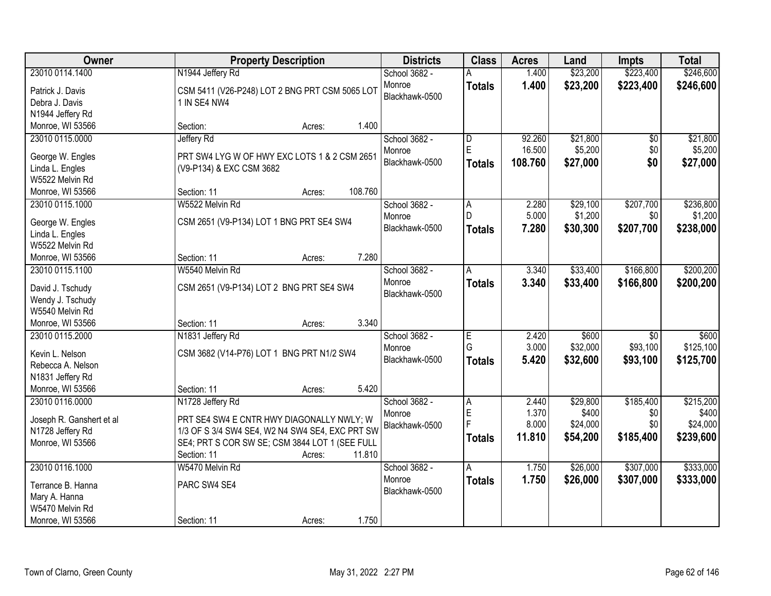| Owner                                        | <b>Property Description</b>                     | <b>Districts</b> | <b>Class</b>  | <b>Acres</b> | Land     | <b>Impts</b>    | <b>Total</b> |
|----------------------------------------------|-------------------------------------------------|------------------|---------------|--------------|----------|-----------------|--------------|
| 23010 0114.1400                              | N1944 Jeffery Rd                                | School 3682 -    |               | 1.400        | \$23,200 | \$223,400       | \$246,600    |
| Patrick J. Davis                             | CSM 5411 (V26-P248) LOT 2 BNG PRT CSM 5065 LOT  | Monroe           | <b>Totals</b> | 1.400        | \$23,200 | \$223,400       | \$246,600    |
| Debra J. Davis                               | 1 IN SE4 NW4                                    | Blackhawk-0500   |               |              |          |                 |              |
| N1944 Jeffery Rd                             |                                                 |                  |               |              |          |                 |              |
| Monroe, WI 53566                             | Section:<br>Acres:                              | 1.400            |               |              |          |                 |              |
| 23010 0115.0000                              | Jeffery Rd                                      | School 3682 -    | D             | 92.260       | \$21,800 | \$0             | \$21,800     |
| George W. Engles                             | PRT SW4 LYG W OF HWY EXC LOTS 1 & 2 CSM 2651    | Monroe           | E             | 16.500       | \$5,200  | \$0             | \$5,200      |
| Linda L. Engles                              | (V9-P134) & EXC CSM 3682                        | Blackhawk-0500   | <b>Totals</b> | 108.760      | \$27,000 | \$0             | \$27,000     |
| W5522 Melvin Rd                              |                                                 |                  |               |              |          |                 |              |
| Monroe, WI 53566                             | 108.760<br>Section: 11<br>Acres:                |                  |               |              |          |                 |              |
| 23010 0115.1000                              | W5522 Melvin Rd                                 | School 3682 -    | A             | 2.280        | \$29,100 | \$207,700       | \$236,800    |
|                                              |                                                 | Monroe           | D.            | 5.000        | \$1,200  | \$0             | \$1,200      |
| George W. Engles                             | CSM 2651 (V9-P134) LOT 1 BNG PRT SE4 SW4        | Blackhawk-0500   | <b>Totals</b> | 7.280        | \$30,300 | \$207,700       | \$238,000    |
| Linda L. Engles                              |                                                 |                  |               |              |          |                 |              |
| W5522 Melvin Rd                              | Section: 11                                     | 7.280            |               |              |          |                 |              |
| Monroe, WI 53566                             | Acres:<br>W5540 Melvin Rd                       | School 3682 -    |               |              | \$33,400 | \$166,800       | \$200,200    |
| 23010 0115.1100                              |                                                 | Monroe           | Α             | 3.340        |          |                 |              |
| David J. Tschudy                             | CSM 2651 (V9-P134) LOT 2 BNG PRT SE4 SW4        | Blackhawk-0500   | <b>Totals</b> | 3.340        | \$33,400 | \$166,800       | \$200,200    |
| Wendy J. Tschudy                             |                                                 |                  |               |              |          |                 |              |
| W5540 Melvin Rd                              |                                                 |                  |               |              |          |                 |              |
| Monroe, WI 53566                             | Section: 11<br>Acres:                           | 3.340            |               |              |          |                 |              |
| 23010 0115.2000                              | N1831 Jeffery Rd                                | School 3682 -    | E             | 2.420        | \$600    | $\overline{50}$ | \$600        |
| Kevin L. Nelson                              | CSM 3682 (V14-P76) LOT 1 BNG PRT N1/2 SW4       | Monroe           | G             | 3.000        | \$32,000 | \$93,100        | \$125,100    |
| Rebecca A. Nelson                            |                                                 | Blackhawk-0500   | <b>Totals</b> | 5.420        | \$32,600 | \$93,100        | \$125,700    |
| N1831 Jeffery Rd                             |                                                 |                  |               |              |          |                 |              |
| Monroe, WI 53566                             | Section: 11<br>Acres:                           | 5.420            |               |              |          |                 |              |
| 23010 0116.0000                              | N1728 Jeffery Rd                                | School 3682 -    | A             | 2.440        | \$29,800 | \$185,400       | \$215,200    |
|                                              | PRT SE4 SW4 E CNTR HWY DIAGONALLY NWLY; W       | Monroe           | E             | 1.370        | \$400    | \$0             | \$400        |
| Joseph R. Ganshert et al<br>N1728 Jeffery Rd | 1/3 OF S 3/4 SW4 SE4, W2 N4 SW4 SE4, EXC PRT SW | Blackhawk-0500   | F             | 8.000        | \$24,000 | \$0             | \$24,000     |
| Monroe, WI 53566                             | SE4; PRT S COR SW SE; CSM 3844 LOT 1 (SEE FULL  |                  | <b>Totals</b> | 11.810       | \$54,200 | \$185,400       | \$239,600    |
|                                              | 11.810<br>Section: 11<br>Acres:                 |                  |               |              |          |                 |              |
| 23010 0116.1000                              | W5470 Melvin Rd                                 | School 3682 -    | A             | 1.750        | \$26,000 | \$307,000       | \$333,000    |
|                                              |                                                 | Monroe           | <b>Totals</b> | 1.750        | \$26,000 | \$307,000       | \$333,000    |
| Terrance B. Hanna                            | PARC SW4 SE4                                    | Blackhawk-0500   |               |              |          |                 |              |
| Mary A. Hanna                                |                                                 |                  |               |              |          |                 |              |
| W5470 Melvin Rd                              |                                                 |                  |               |              |          |                 |              |
| Monroe, WI 53566                             | Section: 11<br>Acres:                           | 1.750            |               |              |          |                 |              |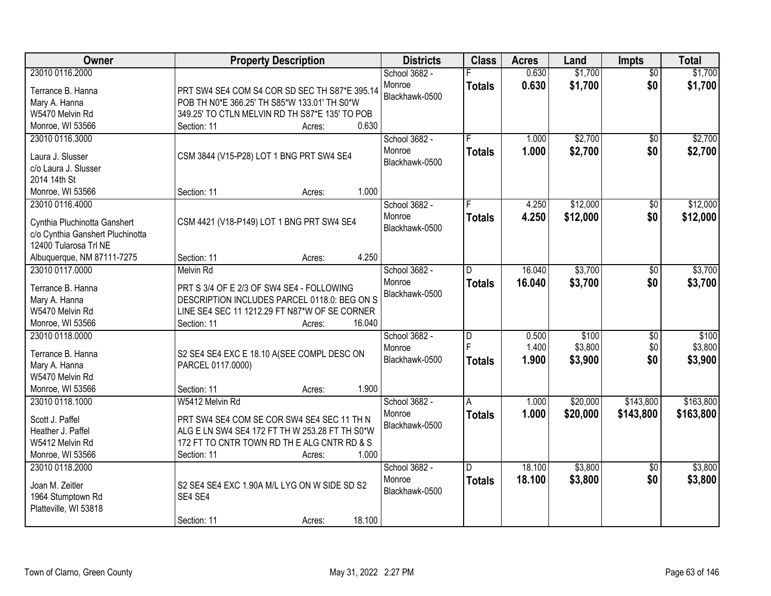| Owner                            | <b>Property Description</b>                                                               | <b>Districts</b> | <b>Class</b>  | <b>Acres</b> | Land     | Impts           | <b>Total</b> |
|----------------------------------|-------------------------------------------------------------------------------------------|------------------|---------------|--------------|----------|-----------------|--------------|
| 23010 0116.2000                  |                                                                                           | School 3682 -    |               | 0.630        | \$1,700  | $\overline{50}$ | \$1,700      |
| Terrance B. Hanna                | PRT SW4 SE4 COM S4 COR SD SEC TH S87*E 395.14                                             | Monroe           | <b>Totals</b> | 0.630        | \$1,700  | \$0             | \$1,700      |
| Mary A. Hanna                    | POB TH N0*E 366.25' TH S85*W 133.01' TH S0*W                                              | Blackhawk-0500   |               |              |          |                 |              |
| W5470 Melvin Rd                  | 349.25' TO CTLN MELVIN RD TH S87*E 135' TO POB                                            |                  |               |              |          |                 |              |
| Monroe, WI 53566                 | 0.630<br>Section: 11<br>Acres:                                                            |                  |               |              |          |                 |              |
| 23010 0116.3000                  |                                                                                           | School 3682 -    |               | 1.000        | \$2,700  | \$0             | \$2,700      |
|                                  |                                                                                           | Monroe           | <b>Totals</b> | 1.000        | \$2,700  | \$0             | \$2,700      |
| Laura J. Slusser                 | CSM 3844 (V15-P28) LOT 1 BNG PRT SW4 SE4                                                  | Blackhawk-0500   |               |              |          |                 |              |
| c/o Laura J. Slusser             |                                                                                           |                  |               |              |          |                 |              |
| 2014 14th St                     |                                                                                           |                  |               |              |          |                 |              |
| Monroe, WI 53566                 | 1.000<br>Section: 11<br>Acres:                                                            |                  |               |              |          |                 |              |
| 23010 0116.4000                  |                                                                                           | School 3682 -    |               | 4.250        | \$12,000 | $\overline{50}$ | \$12,000     |
| Cynthia Pluchinotta Ganshert     | CSM 4421 (V18-P149) LOT 1 BNG PRT SW4 SE4                                                 | Monroe           | <b>Totals</b> | 4.250        | \$12,000 | \$0             | \$12,000     |
| c/o Cynthia Ganshert Pluchinotta |                                                                                           | Blackhawk-0500   |               |              |          |                 |              |
| 12400 Tularosa Trl NE            |                                                                                           |                  |               |              |          |                 |              |
| Albuquerque, NM 87111-7275       | 4.250<br>Section: 11<br>Acres:                                                            |                  |               |              |          |                 |              |
| 23010 0117.0000                  | <b>Melvin Rd</b>                                                                          | School 3682 -    | D             | 16.040       | \$3,700  | \$0             | \$3,700      |
|                                  |                                                                                           | Monroe           | <b>Totals</b> | 16.040       | \$3,700  | \$0             | \$3,700      |
| Terrance B. Hanna                | PRT S 3/4 OF E 2/3 OF SW4 SE4 - FOLLOWING<br>DESCRIPTION INCLUDES PARCEL 0118.0: BEG ON S | Blackhawk-0500   |               |              |          |                 |              |
| Mary A. Hanna<br>W5470 Melvin Rd | LINE SE4 SEC 11 1212.29 FT N87*W OF SE CORNER                                             |                  |               |              |          |                 |              |
| Monroe, WI 53566                 | 16.040<br>Section: 11                                                                     |                  |               |              |          |                 |              |
| 23010 0118.0000                  | Acres:                                                                                    | School 3682 -    | D             | 0.500        | \$100    | \$0             | \$100        |
|                                  |                                                                                           | Monroe           | F             | 1.400        | \$3,800  | \$0             | \$3,800      |
| Terrance B. Hanna                | S2 SE4 SE4 EXC E 18.10 A(SEE COMPL DESC ON                                                | Blackhawk-0500   |               | 1.900        | \$3,900  | \$0             | \$3,900      |
| Mary A. Hanna                    | PARCEL 0117.0000)                                                                         |                  | <b>Totals</b> |              |          |                 |              |
| W5470 Melvin Rd                  |                                                                                           |                  |               |              |          |                 |              |
| Monroe, WI 53566                 | 1.900<br>Section: 11<br>Acres:                                                            |                  |               |              |          |                 |              |
| 23010 0118.1000                  | W5412 Melvin Rd                                                                           | School 3682 -    | A             | 1.000        | \$20,000 | \$143,800       | \$163,800    |
| Scott J. Paffel                  | PRT SW4 SE4 COM SE COR SW4 SE4 SEC 11 TH N                                                | Monroe           | <b>Totals</b> | 1.000        | \$20,000 | \$143,800       | \$163,800    |
| Heather J. Paffel                | ALG E LN SW4 SE4 172 FT TH W 253.28 FT TH S0*W                                            | Blackhawk-0500   |               |              |          |                 |              |
| W5412 Melvin Rd                  | 172 FT TO CNTR TOWN RD TH E ALG CNTR RD & S                                               |                  |               |              |          |                 |              |
| Monroe, WI 53566                 | 1.000<br>Section: 11<br>Acres:                                                            |                  |               |              |          |                 |              |
| 23010 0118.2000                  |                                                                                           | School 3682 -    | D.            | 18.100       | \$3,800  | $\overline{30}$ | \$3,800      |
|                                  |                                                                                           | Monroe           | <b>Totals</b> | 18.100       | \$3,800  | \$0             | \$3,800      |
| Joan M. Zeitler                  | S2 SE4 SE4 EXC 1.90A M/L LYG ON W SIDE SD S2                                              | Blackhawk-0500   |               |              |          |                 |              |
| 1964 Stumptown Rd                | SE4 SE4                                                                                   |                  |               |              |          |                 |              |
| Platteville, WI 53818            |                                                                                           |                  |               |              |          |                 |              |
|                                  | 18.100<br>Section: 11<br>Acres:                                                           |                  |               |              |          |                 |              |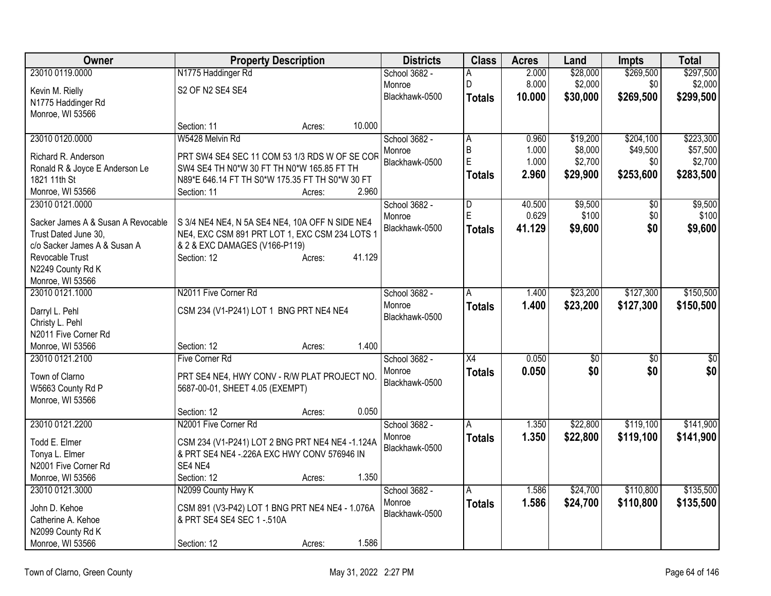| Owner                                                      | <b>Property Description</b>                                                                       | <b>Districts</b>         | <b>Class</b>   | <b>Acres</b> | Land        | <b>Impts</b>    | <b>Total</b>    |
|------------------------------------------------------------|---------------------------------------------------------------------------------------------------|--------------------------|----------------|--------------|-------------|-----------------|-----------------|
| 23010 0119.0000                                            | N1775 Haddinger Rd                                                                                | School 3682 -            | A              | 2.000        | \$28,000    | \$269,500       | \$297,500       |
| Kevin M. Rielly                                            | S2 OF N2 SE4 SE4                                                                                  | Monroe                   | D              | 8.000        | \$2,000     | \$0             | \$2,000         |
| N1775 Haddinger Rd                                         |                                                                                                   | Blackhawk-0500           | <b>Totals</b>  | 10,000       | \$30,000    | \$269,500       | \$299,500       |
| Monroe, WI 53566                                           |                                                                                                   |                          |                |              |             |                 |                 |
|                                                            | 10.000<br>Section: 11<br>Acres:                                                                   |                          |                |              |             |                 |                 |
| 23010 0120.0000                                            | W5428 Melvin Rd                                                                                   | School 3682 -            | $\overline{A}$ | 0.960        | \$19,200    | \$204,100       | \$223,300       |
| Richard R. Anderson                                        | PRT SW4 SE4 SEC 11 COM 53 1/3 RDS W OF SE COR                                                     | Monroe                   | B              | 1.000        | \$8,000     | \$49,500        | \$57,500        |
| Ronald R & Joyce E Anderson Le                             | SW4 SE4 TH N0*W 30 FT TH N0*W 165.85 FT TH                                                        | Blackhawk-0500           | E              | 1.000        | \$2,700     | \$0             | \$2,700         |
| 1821 11th St                                               | N89*E 646.14 FT TH S0*W 175.35 FT TH S0*W 30 FT                                                   |                          | <b>Totals</b>  | 2.960        | \$29,900    | \$253,600       | \$283,500       |
| Monroe, WI 53566                                           | 2.960<br>Section: 11<br>Acres:                                                                    |                          |                |              |             |                 |                 |
| 23010 0121.0000                                            |                                                                                                   | School 3682 -            | D              | 40.500       | \$9,500     | $\overline{50}$ | \$9,500         |
|                                                            |                                                                                                   | Monroe                   | E              | 0.629        | \$100       | \$0             | \$100           |
| Sacker James A & Susan A Revocable<br>Trust Dated June 30, | S 3/4 NE4 NE4, N 5A SE4 NE4, 10A OFF N SIDE NE4<br>NE4, EXC CSM 891 PRT LOT 1, EXC CSM 234 LOTS 1 | Blackhawk-0500           | <b>Totals</b>  | 41.129       | \$9,600     | \$0             | \$9,600         |
| c/o Sacker James A & Susan A                               | & 2 & EXC DAMAGES (V166-P119)                                                                     |                          |                |              |             |                 |                 |
| Revocable Trust                                            | 41.129<br>Section: 12<br>Acres:                                                                   |                          |                |              |             |                 |                 |
| N2249 County Rd K                                          |                                                                                                   |                          |                |              |             |                 |                 |
| Monroe, WI 53566                                           |                                                                                                   |                          |                |              |             |                 |                 |
| 23010 0121.1000                                            | N2011 Five Corner Rd                                                                              | School 3682 -            | A              | 1.400        | \$23,200    | \$127,300       | \$150,500       |
|                                                            |                                                                                                   | Monroe                   | <b>Totals</b>  | 1.400        | \$23,200    | \$127,300       | \$150,500       |
| Darryl L. Pehl<br>Christy L. Pehl                          | CSM 234 (V1-P241) LOT 1 BNG PRT NE4 NE4                                                           | Blackhawk-0500           |                |              |             |                 |                 |
| N2011 Five Corner Rd                                       |                                                                                                   |                          |                |              |             |                 |                 |
| Monroe, WI 53566                                           | 1.400<br>Section: 12<br>Acres:                                                                    |                          |                |              |             |                 |                 |
| 23010 0121.2100                                            | Five Corner Rd                                                                                    | School 3682 -            | X4             | 0.050        | $\sqrt{30}$ | $\overline{50}$ | $\overline{50}$ |
|                                                            |                                                                                                   | Monroe                   | <b>Totals</b>  | 0.050        | \$0         | \$0             | \$0             |
| Town of Clarno                                             | PRT SE4 NE4, HWY CONV - R/W PLAT PROJECT NO.                                                      | Blackhawk-0500           |                |              |             |                 |                 |
| W5663 County Rd P                                          | 5687-00-01, SHEET 4.05 (EXEMPT)                                                                   |                          |                |              |             |                 |                 |
| Monroe, WI 53566                                           |                                                                                                   |                          |                |              |             |                 |                 |
|                                                            | 0.050<br>Section: 12<br>Acres:                                                                    |                          |                |              |             |                 |                 |
| 23010 0121.2200                                            | N2001 Five Corner Rd                                                                              | School 3682 -            | A              | 1.350        | \$22,800    | \$119,100       | \$141,900       |
| Todd E. Elmer                                              | CSM 234 (V1-P241) LOT 2 BNG PRT NE4 NE4 -1.124A                                                   | Monroe<br>Blackhawk-0500 | <b>Totals</b>  | 1.350        | \$22,800    | \$119,100       | \$141,900       |
| Tonya L. Elmer                                             | & PRT SE4 NE4 - 226A EXC HWY CONV 576946 IN                                                       |                          |                |              |             |                 |                 |
| N2001 Five Corner Rd                                       | SE4 NE4                                                                                           |                          |                |              |             |                 |                 |
| Monroe, WI 53566                                           | 1.350<br>Section: 12<br>Acres:                                                                    |                          |                |              |             |                 |                 |
| 23010 0121.3000                                            | N2099 County Hwy K                                                                                | School 3682 -            | A              | 1.586        | \$24,700    | \$110,800       | \$135,500       |
| John D. Kehoe                                              | CSM 891 (V3-P42) LOT 1 BNG PRT NE4 NE4 - 1.076A                                                   | Monroe                   | <b>Totals</b>  | 1.586        | \$24,700    | \$110,800       | \$135,500       |
| Catherine A. Kehoe                                         | & PRT SE4 SE4 SEC 1 - 510A                                                                        | Blackhawk-0500           |                |              |             |                 |                 |
| N2099 County Rd K                                          |                                                                                                   |                          |                |              |             |                 |                 |
| Monroe, WI 53566                                           | 1.586<br>Section: 12<br>Acres:                                                                    |                          |                |              |             |                 |                 |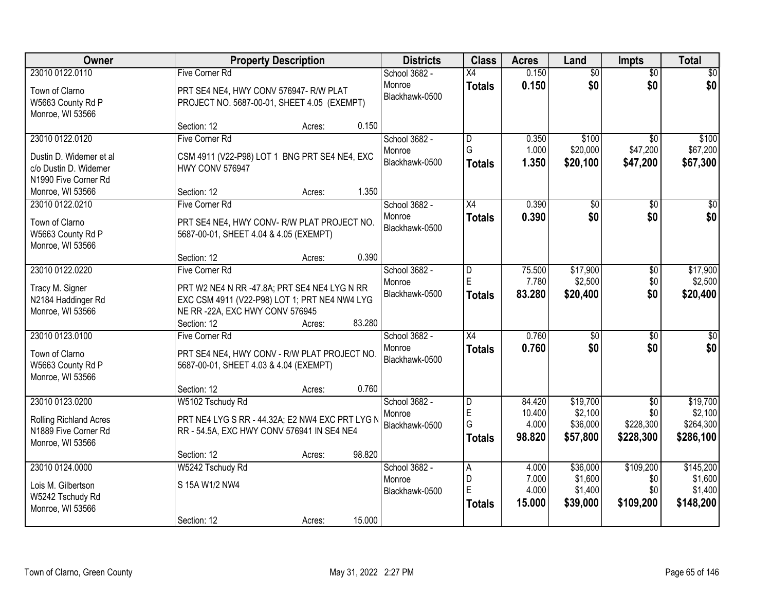| Owner                                                                                 | <b>Property Description</b>                                                                                       |                  | <b>Districts</b>                          | <b>Class</b>                 | <b>Acres</b>                        | Land                                        | <b>Impts</b>                         | <b>Total</b>                                  |
|---------------------------------------------------------------------------------------|-------------------------------------------------------------------------------------------------------------------|------------------|-------------------------------------------|------------------------------|-------------------------------------|---------------------------------------------|--------------------------------------|-----------------------------------------------|
| 23010 0122.0110                                                                       | Five Corner Rd                                                                                                    |                  | School 3682 -                             | X4                           | 0.150                               | $\overline{50}$                             | $\overline{50}$                      | $\overline{30}$                               |
| Town of Clarno<br>W5663 County Rd P<br>Monroe, WI 53566                               | PRT SE4 NE4, HWY CONV 576947- R/W PLAT<br>PROJECT NO. 5687-00-01, SHEET 4.05 (EXEMPT)                             |                  | Monroe<br>Blackhawk-0500                  | <b>Totals</b>                | 0.150                               | \$0                                         | \$0                                  | \$0                                           |
|                                                                                       | Section: 12                                                                                                       | 0.150<br>Acres:  |                                           |                              |                                     |                                             |                                      |                                               |
| 23010 0122.0120                                                                       | <b>Five Corner Rd</b>                                                                                             |                  | School 3682 -                             | D                            | 0.350                               | \$100                                       | \$0                                  | \$100                                         |
| Dustin D. Widemer et al<br>c/o Dustin D. Widemer<br>N1990 Five Corner Rd              | CSM 4911 (V22-P98) LOT 1 BNG PRT SE4 NE4, EXC<br><b>HWY CONV 576947</b>                                           |                  | Monroe<br>Blackhawk-0500                  | G<br><b>Totals</b>           | 1.000<br>1.350                      | \$20,000<br>\$20,100                        | \$47,200<br>\$47,200                 | \$67,200<br>\$67,300                          |
| Monroe, WI 53566                                                                      | Section: 12                                                                                                       | 1.350<br>Acres:  |                                           |                              |                                     |                                             |                                      |                                               |
| 23010 0122.0210                                                                       | Five Corner Rd                                                                                                    |                  | School 3682 -                             | $\overline{X4}$              | 0.390                               | \$0                                         | \$0                                  | \$0                                           |
| Town of Clarno<br>W5663 County Rd P<br>Monroe, WI 53566                               | PRT SE4 NE4, HWY CONV-R/W PLAT PROJECT NO.<br>5687-00-01, SHEET 4.04 & 4.05 (EXEMPT)                              |                  | Monroe<br>Blackhawk-0500                  | <b>Totals</b>                | 0.390                               | \$0                                         | \$0                                  | \$0                                           |
|                                                                                       | Section: 12                                                                                                       | 0.390<br>Acres:  |                                           |                              |                                     |                                             |                                      |                                               |
| 23010 0122.0220<br>Tracy M. Signer                                                    | Five Corner Rd<br>PRT W2 NE4 N RR -47.8A; PRT SE4 NE4 LYG N RR                                                    |                  | School 3682 -<br>Monroe<br>Blackhawk-0500 | D<br>E<br><b>Totals</b>      | 75.500<br>7.780<br>83.280           | \$17,900<br>\$2,500<br>\$20,400             | \$0<br>\$0<br>\$0                    | \$17,900<br>\$2,500<br>\$20,400               |
| N2184 Haddinger Rd<br>Monroe, WI 53566                                                | EXC CSM 4911 (V22-P98) LOT 1; PRT NE4 NW4 LYG<br>NE RR-22A, EXC HWY CONV 576945<br>Section: 12                    | 83.280<br>Acres: |                                           |                              |                                     |                                             |                                      |                                               |
| 23010 0123.0100                                                                       | Five Corner Rd                                                                                                    |                  | School 3682 -                             | $\overline{X4}$              | 0.760                               | $\overline{50}$                             | $\overline{50}$                      | $\overline{30}$                               |
| Town of Clarno<br>W5663 County Rd P<br>Monroe, WI 53566                               | PRT SE4 NE4, HWY CONV - R/W PLAT PROJECT NO.<br>5687-00-01, SHEET 4.03 & 4.04 (EXEMPT)                            |                  | Monroe<br>Blackhawk-0500                  | <b>Totals</b>                | 0.760                               | \$0                                         | \$0                                  | \$0                                           |
|                                                                                       | Section: 12                                                                                                       | 0.760<br>Acres:  |                                           |                              |                                     |                                             |                                      |                                               |
| 23010 0123.0200<br>Rolling Richland Acres<br>N1889 Five Corner Rd<br>Monroe, WI 53566 | W5102 Tschudy Rd<br>PRT NE4 LYG S RR - 44.32A; E2 NW4 EXC PRT LYG N<br>RR - 54.5A, EXC HWY CONV 576941 IN SE4 NE4 |                  | School 3682 -<br>Monroe<br>Blackhawk-0500 | D<br>E<br>G<br><b>Totals</b> | 84.420<br>10.400<br>4.000<br>98.820 | \$19,700<br>\$2,100<br>\$36,000<br>\$57,800 | \$0<br>\$0<br>\$228,300<br>\$228,300 | \$19,700<br>\$2,100<br>\$264,300<br>\$286,100 |
|                                                                                       | Section: 12                                                                                                       | 98.820<br>Acres: |                                           |                              |                                     |                                             |                                      |                                               |
| 23010 0124.0000                                                                       | W5242 Tschudy Rd                                                                                                  |                  | School 3682 -                             | $\overline{A}$               | 4.000                               | \$36,000                                    | \$109,200                            | \$145,200                                     |
| Lois M. Gilbertson                                                                    | S 15A W1/2 NW4                                                                                                    |                  | Monroe                                    | D                            | 7.000                               | \$1,600                                     | \$0                                  | \$1,600                                       |
| W5242 Tschudy Rd<br>Monroe, WI 53566                                                  |                                                                                                                   |                  | Blackhawk-0500                            | E<br><b>Totals</b>           | 4.000<br>15.000                     | \$1,400<br>\$39,000                         | \$0<br>\$109,200                     | \$1,400<br>\$148,200                          |
|                                                                                       | Section: 12                                                                                                       | 15.000<br>Acres: |                                           |                              |                                     |                                             |                                      |                                               |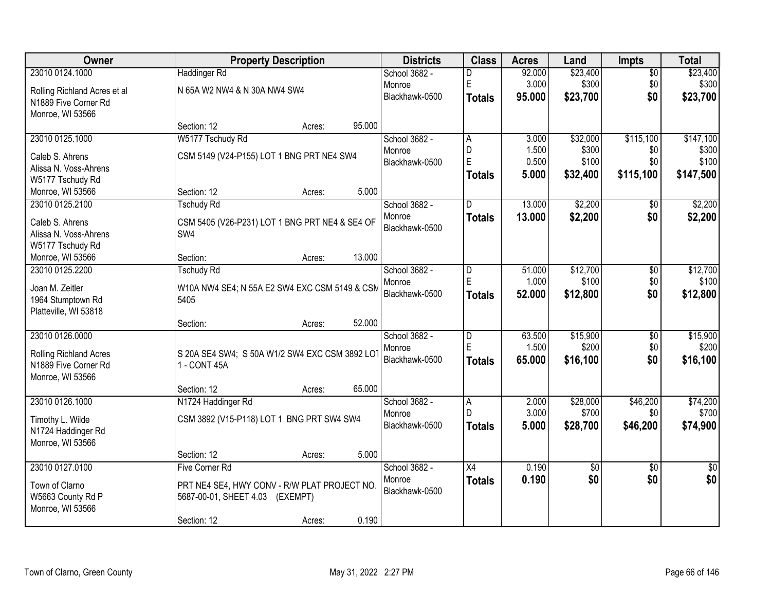| Owner                        |                                                | <b>Property Description</b> |        | <b>Districts</b> | <b>Class</b>   | <b>Acres</b> | Land        | Impts           | <b>Total</b>    |
|------------------------------|------------------------------------------------|-----------------------------|--------|------------------|----------------|--------------|-------------|-----------------|-----------------|
| 23010 0124.1000              | <b>Haddinger Rd</b>                            |                             |        | School 3682 -    | D              | 92.000       | \$23,400    | $\overline{50}$ | \$23,400        |
| Rolling Richland Acres et al | N 65A W2 NW4 & N 30A NW4 SW4                   |                             |        | Monroe           | E              | 3.000        | \$300       | \$0             | \$300           |
| N1889 Five Corner Rd         |                                                |                             |        | Blackhawk-0500   | <b>Totals</b>  | 95.000       | \$23,700    | \$0             | \$23,700        |
| Monroe, WI 53566             |                                                |                             |        |                  |                |              |             |                 |                 |
|                              | Section: 12                                    | Acres:                      | 95.000 |                  |                |              |             |                 |                 |
| 23010 0125.1000              | W5177 Tschudy Rd                               |                             |        | School 3682 -    | A              | 3.000        | \$32,000    | \$115,100       | \$147,100       |
| Caleb S. Ahrens              | CSM 5149 (V24-P155) LOT 1 BNG PRT NE4 SW4      |                             |        | Monroe           | D              | 1.500        | \$300       | \$0             | \$300           |
| Alissa N. Voss-Ahrens        |                                                |                             |        | Blackhawk-0500   | E              | 0.500        | \$100       | \$0             | \$100           |
| W5177 Tschudy Rd             |                                                |                             |        |                  | <b>Totals</b>  | 5.000        | \$32,400    | \$115,100       | \$147,500       |
| Monroe, WI 53566             | Section: 12                                    | Acres:                      | 5.000  |                  |                |              |             |                 |                 |
| 23010 0125.2100              | <b>Tschudy Rd</b>                              |                             |        | School 3682 -    | D              | 13.000       | \$2,200     | \$0             | \$2,200         |
| Caleb S. Ahrens              | CSM 5405 (V26-P231) LOT 1 BNG PRT NE4 & SE4 OF |                             |        | Monroe           | <b>Totals</b>  | 13.000       | \$2,200     | \$0             | \$2,200         |
| Alissa N. Voss-Ahrens        | SW4                                            |                             |        | Blackhawk-0500   |                |              |             |                 |                 |
| W5177 Tschudy Rd             |                                                |                             |        |                  |                |              |             |                 |                 |
| Monroe, WI 53566             | Section:                                       | Acres:                      | 13.000 |                  |                |              |             |                 |                 |
| 23010 0125.2200              | <b>Tschudy Rd</b>                              |                             |        | School 3682 -    | D              | 51.000       | \$12,700    | \$0             | \$12,700        |
| Joan M. Zeitler              | W10A NW4 SE4; N 55A E2 SW4 EXC CSM 5149 & CSM  |                             |        | Monroe           | E              | 1.000        | \$100       | \$0             | \$100           |
| 1964 Stumptown Rd            | 5405                                           |                             |        | Blackhawk-0500   | <b>Totals</b>  | 52.000       | \$12,800    | \$0             | \$12,800        |
| Platteville, WI 53818        |                                                |                             |        |                  |                |              |             |                 |                 |
|                              | Section:                                       | Acres:                      | 52.000 |                  |                |              |             |                 |                 |
| 23010 0126.0000              |                                                |                             |        | School 3682 -    | $\overline{D}$ | 63.500       | \$15,900    | $\overline{50}$ | \$15,900        |
| Rolling Richland Acres       | S 20A SE4 SW4; S 50A W1/2 SW4 EXC CSM 3892 LO  |                             |        | Monroe           | E              | 1.500        | \$200       | \$0             | \$200           |
| N1889 Five Corner Rd         | 1 - CONT 45A                                   |                             |        | Blackhawk-0500   | <b>Totals</b>  | 65.000       | \$16,100    | \$0             | \$16,100        |
| Monroe, WI 53566             |                                                |                             |        |                  |                |              |             |                 |                 |
|                              | Section: 12                                    | Acres:                      | 65.000 |                  |                |              |             |                 |                 |
| 23010 0126.1000              | N1724 Haddinger Rd                             |                             |        | School 3682 -    | l A            | 2.000        | \$28,000    | \$46,200        | \$74,200        |
| Timothy L. Wilde             | CSM 3892 (V15-P118) LOT 1 BNG PRT SW4 SW4      |                             |        | Monroe           | D.             | 3.000        | \$700       | \$0             | \$700           |
| N1724 Haddinger Rd           |                                                |                             |        | Blackhawk-0500   | <b>Totals</b>  | 5.000        | \$28,700    | \$46,200        | \$74,900        |
| Monroe, WI 53566             |                                                |                             |        |                  |                |              |             |                 |                 |
|                              | Section: 12                                    | Acres:                      | 5.000  |                  |                |              |             |                 |                 |
| 23010 0127.0100              | <b>Five Corner Rd</b>                          |                             |        | School 3682 -    | X4             | 0.190        | $\sqrt{$0}$ | $\overline{50}$ | $\overline{50}$ |
| Town of Clarno               | PRT NE4 SE4, HWY CONV - R/W PLAT PROJECT NO.   |                             |        | Monroe           | <b>Totals</b>  | 0.190        | \$0         | \$0             | \$0             |
| W5663 County Rd P            | 5687-00-01, SHEET 4.03 (EXEMPT)                |                             |        | Blackhawk-0500   |                |              |             |                 |                 |
| Monroe, WI 53566             |                                                |                             |        |                  |                |              |             |                 |                 |
|                              | Section: 12                                    | Acres:                      | 0.190  |                  |                |              |             |                 |                 |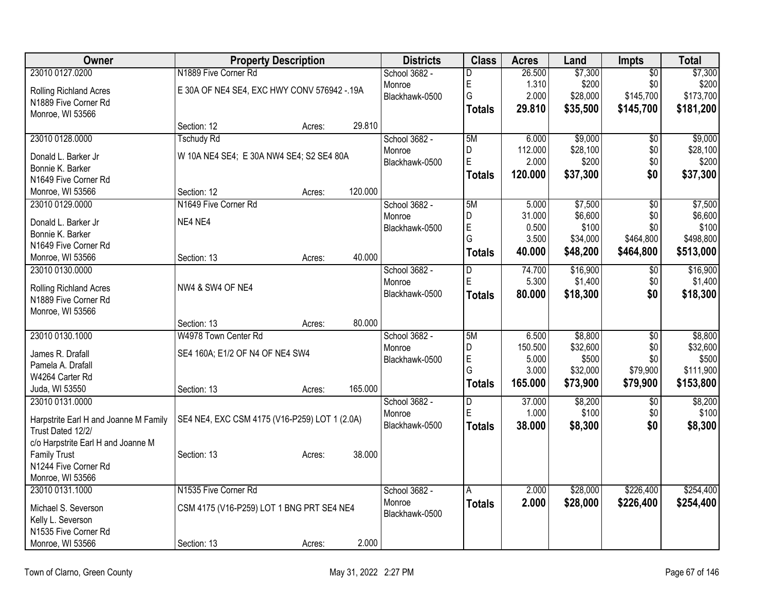| Owner                                       |                                               | <b>Property Description</b> |         | <b>Districts</b>        | <b>Class</b>  | <b>Acres</b>    | Land     | Impts           | <b>Total</b> |
|---------------------------------------------|-----------------------------------------------|-----------------------------|---------|-------------------------|---------------|-----------------|----------|-----------------|--------------|
| 23010 0127.0200                             | N1889 Five Corner Rd                          |                             |         | School 3682 -           | D             | 26.500          | \$7,300  | $\overline{50}$ | \$7,300      |
| Rolling Richland Acres                      | E 30A OF NE4 SE4, EXC HWY CONV 576942 -. 19A  |                             |         | Monroe                  | E             | 1.310           | \$200    | \$0             | \$200        |
| N1889 Five Corner Rd                        |                                               |                             |         | Blackhawk-0500          | G             | 2.000           | \$28,000 | \$145,700       | \$173,700    |
| Monroe, WI 53566                            |                                               |                             |         |                         | <b>Totals</b> | 29.810          | \$35,500 | \$145,700       | \$181,200    |
|                                             | Section: 12                                   | Acres:                      | 29.810  |                         |               |                 |          |                 |              |
| 23010 0128.0000                             | <b>Tschudy Rd</b>                             |                             |         | School 3682 -           | 5M            | 6.000           | \$9,000  | $\overline{50}$ | \$9,000      |
| Donald L. Barker Jr                         | W 10A NE4 SE4; E 30A NW4 SE4; S2 SE4 80A      |                             |         | Monroe                  | D             | 112.000         | \$28,100 | \$0             | \$28,100     |
| Bonnie K. Barker                            |                                               |                             |         | Blackhawk-0500          | E             | 2.000           | \$200    | \$0             | \$200        |
| N1649 Five Corner Rd                        |                                               |                             |         |                         | <b>Totals</b> | 120.000         | \$37,300 | \$0             | \$37,300     |
| Monroe, WI 53566                            | Section: 12                                   | Acres:                      | 120.000 |                         |               |                 |          |                 |              |
| 23010 0129.0000                             | N1649 Five Corner Rd                          |                             |         | School 3682 -           | 5M            | 5.000           | \$7,500  | $\overline{50}$ | \$7,500      |
|                                             |                                               |                             |         | Monroe                  | D             | 31.000          | \$6,600  | \$0             | \$6,600      |
| Donald L. Barker Jr                         | NE4 NE4                                       |                             |         | Blackhawk-0500          | E             | 0.500           | \$100    | \$0             | \$100        |
| Bonnie K. Barker                            |                                               |                             |         |                         | G             | 3.500           | \$34,000 | \$464,800       | \$498,800    |
| N1649 Five Corner Rd                        |                                               |                             | 40.000  |                         | <b>Totals</b> | 40.000          | \$48,200 | \$464,800       | \$513,000    |
| Monroe, WI 53566                            | Section: 13                                   | Acres:                      |         |                         |               |                 |          |                 |              |
| 23010 0130.0000                             |                                               |                             |         | School 3682 -<br>Monroe | D<br>E        | 74.700<br>5.300 | \$16,900 | \$0             | \$16,900     |
| Rolling Richland Acres                      | NW4 & SW4 OF NE4                              |                             |         | Blackhawk-0500          |               |                 | \$1,400  | \$0             | \$1,400      |
| N1889 Five Corner Rd                        |                                               |                             |         |                         | <b>Totals</b> | 80.000          | \$18,300 | \$0             | \$18,300     |
| Monroe, WI 53566                            |                                               |                             |         |                         |               |                 |          |                 |              |
|                                             | Section: 13                                   | Acres:                      | 80.000  |                         |               |                 |          |                 |              |
| 23010 0130.1000                             | W4978 Town Center Rd                          |                             |         | School 3682 -           | 5M            | 6.500           | \$8,800  | $\overline{30}$ | \$8,800      |
| James R. Drafall                            | SE4 160A; E1/2 OF N4 OF NE4 SW4               |                             |         | Monroe                  | D             | 150.500         | \$32,600 | \$0             | \$32,600     |
| Pamela A. Drafall                           |                                               |                             |         | Blackhawk-0500          | E             | 5.000           | \$500    | \$0             | \$500        |
| W4264 Carter Rd                             |                                               |                             |         |                         | G             | 3.000           | \$32,000 | \$79,900        | \$111,900    |
| Juda, WI 53550                              | Section: 13                                   | Acres:                      | 165.000 |                         | <b>Totals</b> | 165.000         | \$73,900 | \$79,900        | \$153,800    |
| 23010 0131.0000                             |                                               |                             |         | School 3682 -           | D             | 37.000          | \$8,200  | $\overline{30}$ | \$8,200      |
|                                             |                                               |                             |         | Monroe                  | E             | 1.000           | \$100    | \$0             | \$100        |
| Harpstrite Earl H and Joanne M Family       | SE4 NE4, EXC CSM 4175 (V16-P259) LOT 1 (2.0A) |                             |         | Blackhawk-0500          | <b>Totals</b> | 38.000          | \$8,300  | \$0             | \$8,300      |
| Trust Dated 12/2/                           |                                               |                             |         |                         |               |                 |          |                 |              |
| c/o Harpstrite Earl H and Joanne M          |                                               |                             | 38.000  |                         |               |                 |          |                 |              |
| <b>Family Trust</b><br>N1244 Five Corner Rd | Section: 13                                   | Acres:                      |         |                         |               |                 |          |                 |              |
| Monroe, WI 53566                            |                                               |                             |         |                         |               |                 |          |                 |              |
| 23010 0131.1000                             | N1535 Five Corner Rd                          |                             |         | School 3682 -           |               | 2.000           | \$28,000 | \$226,400       | \$254,400    |
|                                             |                                               |                             |         | Monroe                  | <b>Totals</b> | 2.000           | \$28,000 | \$226,400       | \$254,400    |
| Michael S. Severson                         | CSM 4175 (V16-P259) LOT 1 BNG PRT SE4 NE4     |                             |         | Blackhawk-0500          |               |                 |          |                 |              |
| Kelly L. Severson                           |                                               |                             |         |                         |               |                 |          |                 |              |
| N1535 Five Corner Rd                        |                                               |                             |         |                         |               |                 |          |                 |              |
| Monroe, WI 53566                            | Section: 13                                   | Acres:                      | 2.000   |                         |               |                 |          |                 |              |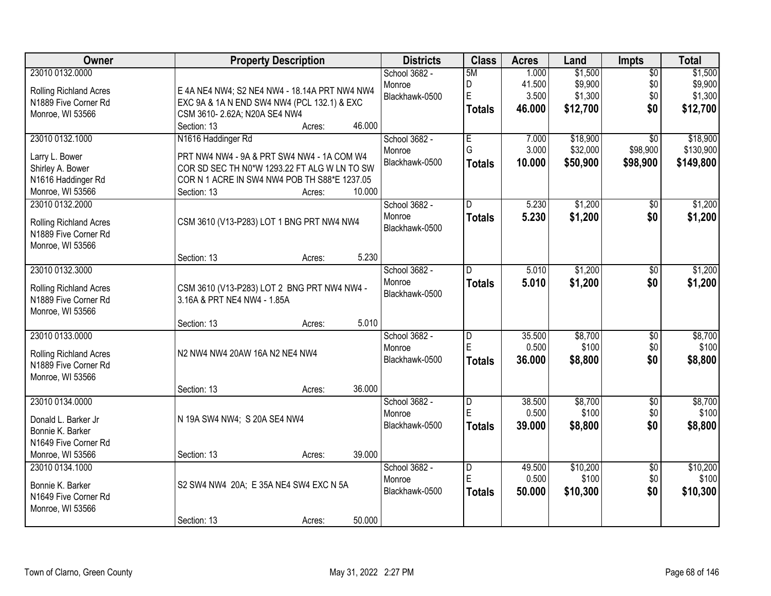| Owner                                                                                               | <b>Property Description</b>                                                                                                                                                                                                  | <b>Districts</b>                          | <b>Class</b>                  | <b>Acres</b>                       | Land                                      | Impts                                   | <b>Total</b>                              |
|-----------------------------------------------------------------------------------------------------|------------------------------------------------------------------------------------------------------------------------------------------------------------------------------------------------------------------------------|-------------------------------------------|-------------------------------|------------------------------------|-------------------------------------------|-----------------------------------------|-------------------------------------------|
| 23010 0132.0000<br>Rolling Richland Acres<br>N1889 Five Corner Rd<br>Monroe, WI 53566               | E 4A NE4 NW4; S2 NE4 NW4 - 18.14A PRT NW4 NW4<br>EXC 9A & 1A N END SW4 NW4 (PCL 132.1) & EXC<br>CSM 3610-2.62A; N20A SE4 NW4<br>46.000                                                                                       | School 3682 -<br>Monroe<br>Blackhawk-0500 | 5M<br>D<br>E<br><b>Totals</b> | 1.000<br>41.500<br>3.500<br>46.000 | \$1,500<br>\$9,900<br>\$1,300<br>\$12,700 | $\overline{50}$<br>\$0<br>\$0<br>\$0    | \$1,500<br>\$9,900<br>\$1,300<br>\$12,700 |
| 23010 0132.1000<br>Larry L. Bower<br>Shirley A. Bower<br>N1616 Haddinger Rd<br>Monroe, WI 53566     | Section: 13<br>Acres:<br>N1616 Haddinger Rd<br>PRT NW4 NW4 - 9A & PRT SW4 NW4 - 1A COM W4<br>COR SD SEC TH N0*W 1293.22 FT ALG W LN TO SW<br>COR N 1 ACRE IN SW4 NW4 POB TH S88*E 1237.05<br>10.000<br>Section: 13<br>Acres: | School 3682 -<br>Monroe<br>Blackhawk-0500 | E<br>G<br><b>Totals</b>       | 7.000<br>3.000<br>10.000           | \$18,900<br>\$32,000<br>\$50,900          | $\overline{50}$<br>\$98,900<br>\$98,900 | \$18,900<br>\$130,900<br>\$149,800        |
| 23010 0132.2000<br>Rolling Richland Acres<br>N1889 Five Corner Rd<br>Monroe, WI 53566               | CSM 3610 (V13-P283) LOT 1 BNG PRT NW4 NW4<br>5.230<br>Section: 13<br>Acres:                                                                                                                                                  | School 3682 -<br>Monroe<br>Blackhawk-0500 | D<br><b>Totals</b>            | 5.230<br>5.230                     | \$1,200<br>\$1,200                        | \$0<br>\$0                              | \$1,200<br>\$1,200                        |
| 23010 0132.3000<br>Rolling Richland Acres<br>N1889 Five Corner Rd<br>Monroe, WI 53566               | CSM 3610 (V13-P283) LOT 2 BNG PRT NW4 NW4 -<br>3.16A & PRT NE4 NW4 - 1.85A<br>5.010                                                                                                                                          | School 3682 -<br>Monroe<br>Blackhawk-0500 | D<br><b>Totals</b>            | 5.010<br>5.010                     | \$1,200<br>\$1,200                        | \$0<br>\$0                              | \$1,200<br>\$1,200                        |
| 23010 0133.0000<br>Rolling Richland Acres<br>N1889 Five Corner Rd<br>Monroe, WI 53566               | Section: 13<br>Acres:<br>N2 NW4 NW4 20AW 16A N2 NE4 NW4<br>36.000<br>Section: 13<br>Acres:                                                                                                                                   | School 3682 -<br>Monroe<br>Blackhawk-0500 | D<br>E<br><b>Totals</b>       | 35.500<br>0.500<br>36.000          | \$8,700<br>\$100<br>\$8,800               | $\overline{50}$<br>\$0<br>\$0           | \$8,700<br>\$100<br>\$8,800               |
| 23010 0134.0000<br>Donald L. Barker Jr<br>Bonnie K. Barker<br>N1649 Five Corner Rd                  | N 19A SW4 NW4; S 20A SE4 NW4<br>39.000<br>Section: 13                                                                                                                                                                        | School 3682 -<br>Monroe<br>Blackhawk-0500 | D<br>E<br><b>Totals</b>       | 38.500<br>0.500<br>39,000          | \$8,700<br>\$100<br>\$8,800               | $\overline{50}$<br>\$0<br>\$0           | \$8,700<br>\$100<br>\$8,800               |
| Monroe, WI 53566<br>23010 0134.1000<br>Bonnie K. Barker<br>N1649 Five Corner Rd<br>Monroe, WI 53566 | Acres:<br>S2 SW4 NW4 20A; E 35A NE4 SW4 EXC N 5A<br>50.000<br>Section: 13<br>Acres:                                                                                                                                          | School 3682 -<br>Monroe<br>Blackhawk-0500 | D<br>E<br><b>Totals</b>       | 49.500<br>0.500<br>50.000          | \$10,200<br>\$100<br>\$10,300             | $\overline{50}$<br>\$0<br>\$0           | \$10,200<br>\$100<br>\$10,300             |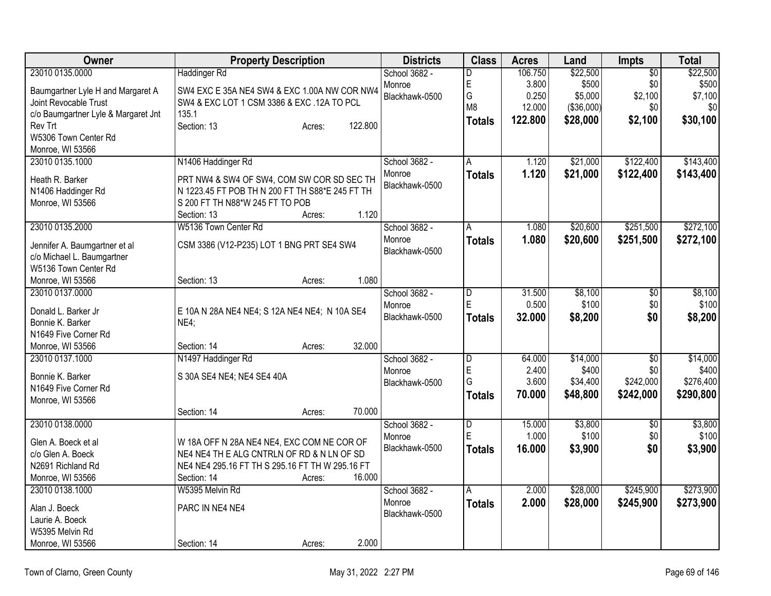| <b>Owner</b>                        | <b>Property Description</b>                                                                   | <b>Districts</b> | <b>Class</b>            | <b>Acres</b> | Land        | Impts           | <b>Total</b> |
|-------------------------------------|-----------------------------------------------------------------------------------------------|------------------|-------------------------|--------------|-------------|-----------------|--------------|
| 23010 0135.0000                     | <b>Haddinger Rd</b>                                                                           | School 3682 -    | D                       | 106.750      | \$22,500    | $\overline{50}$ | \$22,500     |
| Baumgartner Lyle H and Margaret A   | SW4 EXC E 35A NE4 SW4 & EXC 1.00A NW COR NW4                                                  | Monroe           | E                       | 3.800        | \$500       | \$0             | \$500        |
| Joint Revocable Trust               | SW4 & EXC LOT 1 CSM 3386 & EXC .12A TO PCL                                                    | Blackhawk-0500   | G                       | 0.250        | \$5,000     | \$2,100         | \$7,100      |
| c/o Baumgartner Lyle & Margaret Jnt | 135.1                                                                                         |                  | M <sub>8</sub>          | 12.000       | ( \$36,000) | \$0             | \$0          |
| Rev Trt                             | Section: 13<br>122.800<br>Acres:                                                              |                  | <b>Totals</b>           | 122.800      | \$28,000    | \$2,100         | \$30,100     |
| W5306 Town Center Rd                |                                                                                               |                  |                         |              |             |                 |              |
| Monroe, WI 53566                    |                                                                                               |                  |                         |              |             |                 |              |
| 23010 0135.1000                     | N1406 Haddinger Rd                                                                            | School 3682 -    | $\overline{\mathsf{A}}$ | 1.120        | \$21,000    | \$122,400       | \$143,400    |
| Heath R. Barker                     |                                                                                               | Monroe           | <b>Totals</b>           | 1.120        | \$21,000    | \$122,400       | \$143,400    |
| N1406 Haddinger Rd                  | PRT NW4 & SW4 OF SW4, COM SW COR SD SEC TH<br>N 1223.45 FT POB TH N 200 FT TH S88*E 245 FT TH | Blackhawk-0500   |                         |              |             |                 |              |
| Monroe, WI 53566                    | S 200 FT TH N88*W 245 FT TO POB                                                               |                  |                         |              |             |                 |              |
|                                     | 1.120<br>Section: 13<br>Acres:                                                                |                  |                         |              |             |                 |              |
| 23010 0135.2000                     | W5136 Town Center Rd                                                                          | School 3682 -    | Α                       | 1.080        | \$20,600    | \$251,500       | \$272,100    |
|                                     |                                                                                               | Monroe           | <b>Totals</b>           | 1.080        | \$20,600    | \$251,500       | \$272,100    |
| Jennifer A. Baumgartner et al       | CSM 3386 (V12-P235) LOT 1 BNG PRT SE4 SW4                                                     | Blackhawk-0500   |                         |              |             |                 |              |
| c/o Michael L. Baumgartner          |                                                                                               |                  |                         |              |             |                 |              |
| W5136 Town Center Rd                |                                                                                               |                  |                         |              |             |                 |              |
| Monroe, WI 53566                    | 1.080<br>Section: 13<br>Acres:                                                                |                  |                         |              |             |                 |              |
| 23010 0137.0000                     |                                                                                               | School 3682 -    | D                       | 31.500       | \$8,100     | \$0             | \$8,100      |
| Donald L. Barker Jr                 | E 10A N 28A NE4 NE4; S 12A NE4 NE4; N 10A SE4                                                 | Monroe           | E                       | 0.500        | \$100       | \$0             | \$100        |
| Bonnie K. Barker                    | NE4;                                                                                          | Blackhawk-0500   | <b>Totals</b>           | 32.000       | \$8,200     | \$0             | \$8,200      |
| N1649 Five Corner Rd                |                                                                                               |                  |                         |              |             |                 |              |
| Monroe, WI 53566                    | 32.000<br>Section: 14<br>Acres:                                                               |                  |                         |              |             |                 |              |
| 23010 0137.1000                     | N1497 Haddinger Rd                                                                            | School 3682 -    | $\overline{\mathsf{D}}$ | 64.000       | \$14,000    | \$0             | \$14,000     |
|                                     |                                                                                               | Monroe           | E                       | 2.400        | \$400       | \$0             | \$400        |
| Bonnie K. Barker                    | S 30A SE4 NE4; NE4 SE4 40A                                                                    | Blackhawk-0500   | G                       | 3.600        | \$34,400    | \$242,000       | \$276,400    |
| N1649 Five Corner Rd                |                                                                                               |                  | <b>Totals</b>           | 70.000       | \$48,800    | \$242,000       | \$290,800    |
| Monroe, WI 53566                    | 70.000<br>Section: 14                                                                         |                  |                         |              |             |                 |              |
| 23010 0138.0000                     | Acres:                                                                                        | School 3682 -    | D                       | 15.000       | \$3,800     | $\overline{50}$ | \$3,800      |
|                                     |                                                                                               | Monroe           | E                       | 1.000        | \$100       | \$0             | \$100        |
| Glen A. Boeck et al                 | W 18A OFF N 28A NE4 NE4, EXC COM NE COR OF                                                    | Blackhawk-0500   | <b>Totals</b>           | 16.000       | \$3,900     | \$0             | \$3,900      |
| c/o Glen A. Boeck                   | NE4 NE4 TH E ALG CNTRLN OF RD & N LN OF SD                                                    |                  |                         |              |             |                 |              |
| N2691 Richland Rd                   | NE4 NE4 295.16 FT TH S 295.16 FT TH W 295.16 FT                                               |                  |                         |              |             |                 |              |
| Monroe, WI 53566                    | 16.000<br>Section: 14<br>Acres:                                                               |                  |                         |              |             |                 |              |
| 23010 0138.1000                     | W5395 Melvin Rd                                                                               | School 3682 -    | Α                       | 2.000        | \$28,000    | \$245,900       | \$273,900    |
| Alan J. Boeck                       | PARC IN NE4 NE4                                                                               | Monroe           | <b>Totals</b>           | 2.000        | \$28,000    | \$245,900       | \$273,900    |
| Laurie A. Boeck                     |                                                                                               | Blackhawk-0500   |                         |              |             |                 |              |
| W5395 Melvin Rd                     |                                                                                               |                  |                         |              |             |                 |              |
| Monroe, WI 53566                    | 2.000<br>Section: 14<br>Acres:                                                                |                  |                         |              |             |                 |              |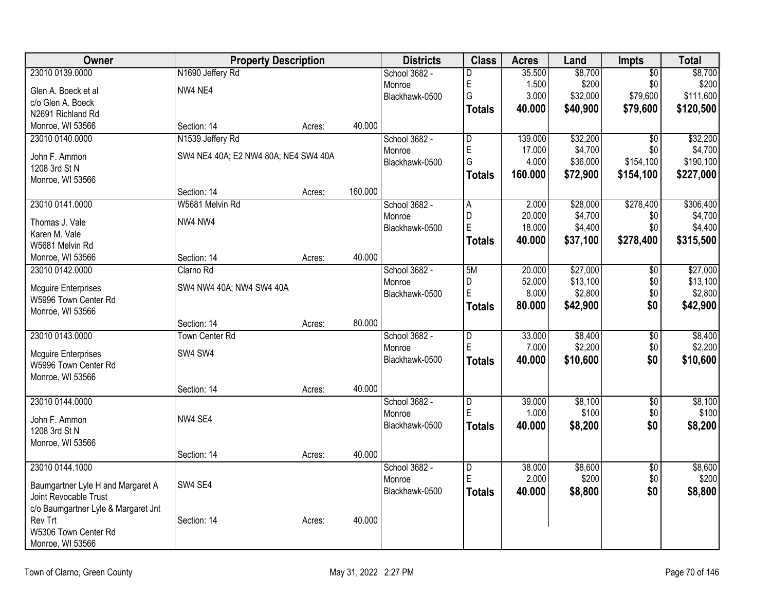| Owner                                          |                                      | <b>Property Description</b> |         | <b>Districts</b> | <b>Class</b>   | <b>Acres</b> | Land     | <b>Impts</b>    | <b>Total</b> |
|------------------------------------------------|--------------------------------------|-----------------------------|---------|------------------|----------------|--------------|----------|-----------------|--------------|
| 23010 0139.0000                                | N1690 Jeffery Rd                     |                             |         | School 3682 -    | D              | 35.500       | \$8,700  | $\overline{50}$ | \$8,700      |
| Glen A. Boeck et al                            | NW4 NE4                              |                             |         | Monroe           | E              | 1.500        | \$200    | \$0             | \$200        |
| c/o Glen A. Boeck                              |                                      |                             |         | Blackhawk-0500   | G              | 3.000        | \$32,000 | \$79,600        | \$111,600    |
| N2691 Richland Rd                              |                                      |                             |         |                  | <b>Totals</b>  | 40.000       | \$40,900 | \$79,600        | \$120,500    |
| Monroe, WI 53566                               | Section: 14                          | Acres:                      | 40.000  |                  |                |              |          |                 |              |
| 23010 0140.0000                                | N1539 Jeffery Rd                     |                             |         | School 3682 -    | $\overline{D}$ | 139.000      | \$32,200 | $\overline{50}$ | \$32,200     |
| John F. Ammon                                  | SW4 NE4 40A; E2 NW4 80A; NE4 SW4 40A |                             |         | Monroe           | E              | 17.000       | \$4,700  | \$0             | \$4,700      |
| 1208 3rd St N                                  |                                      |                             |         | Blackhawk-0500   | G              | 4.000        | \$36,000 | \$154,100       | \$190,100    |
| Monroe, WI 53566                               |                                      |                             |         |                  | <b>Totals</b>  | 160.000      | \$72,900 | \$154,100       | \$227,000    |
|                                                | Section: 14                          | Acres:                      | 160.000 |                  |                |              |          |                 |              |
| 23010 0141.0000                                | W5681 Melvin Rd                      |                             |         | School 3682 -    | A              | 2.000        | \$28,000 | \$278,400       | \$306,400    |
|                                                |                                      |                             |         | Monroe           | D              | 20.000       | \$4,700  | \$0             | \$4,700      |
| Thomas J. Vale                                 | NW4 NW4                              |                             |         | Blackhawk-0500   | E              | 18.000       | \$4,400  | \$0             | \$4,400      |
| Karen M. Vale                                  |                                      |                             |         |                  | <b>Totals</b>  | 40.000       | \$37,100 | \$278,400       | \$315,500    |
| W5681 Melvin Rd<br>Monroe, WI 53566            | Section: 14                          |                             | 40.000  |                  |                |              |          |                 |              |
| 23010 0142.0000                                | Clarno Rd                            | Acres:                      |         | School 3682 -    | 5M             | 20.000       | \$27,000 | $\overline{50}$ | \$27,000     |
|                                                |                                      |                             |         | Monroe           | D              | 52.000       | \$13,100 | \$0             | \$13,100     |
| <b>Mcguire Enterprises</b>                     | SW4 NW4 40A; NW4 SW4 40A             |                             |         | Blackhawk-0500   | E              | 8.000        | \$2,800  | \$0             | \$2,800      |
| W5996 Town Center Rd                           |                                      |                             |         |                  | <b>Totals</b>  | 80.000       | \$42,900 | \$0             | \$42,900     |
| Monroe, WI 53566                               |                                      |                             |         |                  |                |              |          |                 |              |
|                                                | Section: 14                          | Acres:                      | 80.000  |                  |                |              |          |                 |              |
| 23010 0143.0000                                | <b>Town Center Rd</b>                |                             |         | School 3682 -    | D              | 33.000       | \$8,400  | \$0             | \$8,400      |
| <b>Mcguire Enterprises</b>                     | SW4 SW4                              |                             |         | Monroe           | E              | 7.000        | \$2,200  | \$0             | \$2,200      |
| W5996 Town Center Rd                           |                                      |                             |         | Blackhawk-0500   | <b>Totals</b>  | 40.000       | \$10,600 | \$0             | \$10,600     |
| Monroe, WI 53566                               |                                      |                             |         |                  |                |              |          |                 |              |
|                                                | Section: 14                          | Acres:                      | 40.000  |                  |                |              |          |                 |              |
| 23010 0144.0000                                |                                      |                             |         | School 3682 -    | D              | 39.000       | \$8,100  | $\sqrt{6}$      | \$8,100      |
| John F. Ammon                                  | NW4 SE4                              |                             |         | Monroe           | E              | 1.000        | \$100    | \$0             | \$100        |
| 1208 3rd St N                                  |                                      |                             |         | Blackhawk-0500   | <b>Totals</b>  | 40.000       | \$8,200  | \$0             | \$8,200      |
| Monroe, WI 53566                               |                                      |                             |         |                  |                |              |          |                 |              |
|                                                | Section: 14                          | Acres:                      | 40.000  |                  |                |              |          |                 |              |
| 23010 0144.1000                                |                                      |                             |         | School 3682 -    | $\overline{D}$ | 38.000       | \$8,600  | $\overline{50}$ | \$8,600      |
|                                                |                                      |                             |         | Monroe           | E              | 2.000        | \$200    | \$0             | \$200        |
| Baumgartner Lyle H and Margaret A              | SW4 SE4                              |                             |         | Blackhawk-0500   | <b>Totals</b>  | 40.000       | \$8,800  | \$0             | \$8,800      |
| Joint Revocable Trust                          |                                      |                             |         |                  |                |              |          |                 |              |
| c/o Baumgartner Lyle & Margaret Jnt<br>Rev Trt | Section: 14                          |                             | 40.000  |                  |                |              |          |                 |              |
| W5306 Town Center Rd                           |                                      | Acres:                      |         |                  |                |              |          |                 |              |
| Monroe, WI 53566                               |                                      |                             |         |                  |                |              |          |                 |              |
|                                                |                                      |                             |         |                  |                |              |          |                 |              |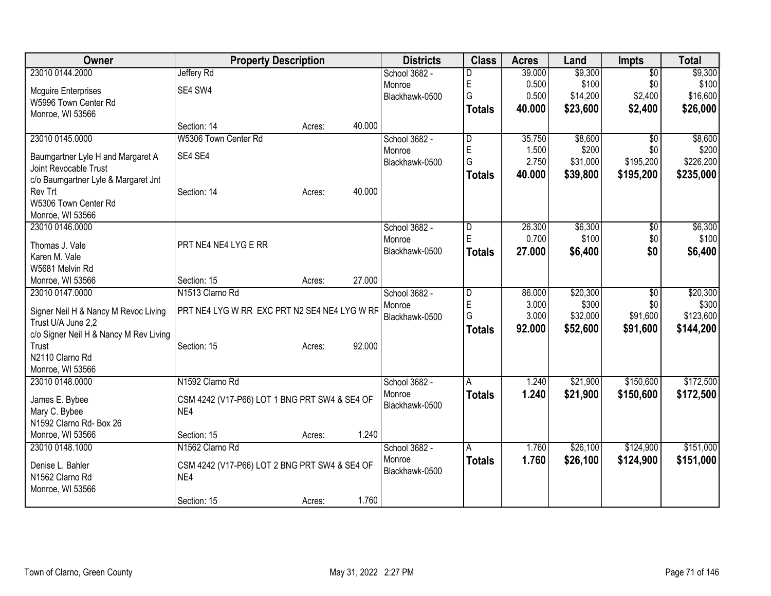| <b>Owner</b>                           | <b>Property Description</b>                   |        | <b>Districts</b>        | <b>Class</b>  | <b>Acres</b> | Land     | <b>Impts</b>    | <b>Total</b> |
|----------------------------------------|-----------------------------------------------|--------|-------------------------|---------------|--------------|----------|-----------------|--------------|
| 23010 0144.2000                        | <b>Jeffery Rd</b>                             |        | School 3682 -           | D             | 39.000       | \$9,300  | $\overline{30}$ | \$9,300      |
| <b>Mcguire Enterprises</b>             | SE4 SW4                                       |        | Monroe                  | E             | 0.500        | \$100    | \$0             | \$100        |
| W5996 Town Center Rd                   |                                               |        | Blackhawk-0500          | G             | 0.500        | \$14,200 | \$2,400         | \$16,600     |
| Monroe, WI 53566                       |                                               |        |                         | <b>Totals</b> | 40.000       | \$23,600 | \$2,400         | \$26,000     |
|                                        | Section: 14<br>Acres:                         | 40.000 |                         |               |              |          |                 |              |
| 23010 0145.0000                        | W5306 Town Center Rd                          |        | School 3682 -           | D             | 35.750       | \$8,600  | $\sqrt{$0}$     | \$8,600      |
| Baumgartner Lyle H and Margaret A      | SE4 SE4                                       |        | Monroe                  | E             | 1.500        | \$200    | \$0             | \$200        |
| Joint Revocable Trust                  |                                               |        | Blackhawk-0500          | G             | 2.750        | \$31,000 | \$195,200       | \$226,200    |
| c/o Baumgartner Lyle & Margaret Jnt    |                                               |        |                         | <b>Totals</b> | 40.000       | \$39,800 | \$195,200       | \$235,000    |
| Rev Trt                                | Section: 14<br>Acres:                         | 40.000 |                         |               |              |          |                 |              |
| W5306 Town Center Rd                   |                                               |        |                         |               |              |          |                 |              |
| Monroe, WI 53566                       |                                               |        |                         |               |              |          |                 |              |
| 23010 0146.0000                        |                                               |        | School 3682 -           | D             | 26.300       | \$6,300  | \$0             | \$6,300      |
| Thomas J. Vale                         | PRT NE4 NE4 LYG E RR                          |        | Monroe                  | E             | 0.700        | \$100    | \$0             | \$100        |
| Karen M. Vale                          |                                               |        | Blackhawk-0500          | <b>Totals</b> | 27,000       | \$6,400  | \$0             | \$6,400      |
| W5681 Melvin Rd                        |                                               |        |                         |               |              |          |                 |              |
| Monroe, WI 53566                       | Section: 15<br>Acres:                         | 27.000 |                         |               |              |          |                 |              |
| 23010 0147.0000                        | N1513 Clarno Rd                               |        | School 3682 -           | D             | 86.000       | \$20,300 | $\overline{30}$ | \$20,300     |
|                                        |                                               |        | Monroe                  | E             | 3.000        | \$300    | \$0             | \$300        |
| Signer Neil H & Nancy M Revoc Living   | PRT NE4 LYG W RR EXC PRT N2 SE4 NE4 LYG W RR  |        | Blackhawk-0500          | G             | 3.000        | \$32,000 | \$91,600        | \$123,600    |
| Trust U/A June 2,2                     |                                               |        |                         | <b>Totals</b> | 92.000       | \$52,600 | \$91,600        | \$144,200    |
| c/o Signer Neil H & Nancy M Rev Living |                                               |        |                         |               |              |          |                 |              |
| Trust                                  | Section: 15<br>Acres:                         | 92.000 |                         |               |              |          |                 |              |
| N2110 Clarno Rd                        |                                               |        |                         |               |              |          |                 |              |
| Monroe, WI 53566<br>23010 0148.0000    | N1592 Clarno Rd                               |        |                         |               | 1.240        |          | \$150,600       | \$172,500    |
|                                        |                                               |        | School 3682 -<br>Monroe | A             |              | \$21,900 |                 |              |
| James E. Bybee                         | CSM 4242 (V17-P66) LOT 1 BNG PRT SW4 & SE4 OF |        | Blackhawk-0500          | <b>Totals</b> | 1.240        | \$21,900 | \$150,600       | \$172,500    |
| Mary C. Bybee                          | NE4                                           |        |                         |               |              |          |                 |              |
| N1592 Clarno Rd- Box 26                |                                               |        |                         |               |              |          |                 |              |
| Monroe, WI 53566                       | Section: 15<br>Acres:                         | 1.240  |                         |               |              |          |                 |              |
| 23010 0148.1000                        | N1562 Clarno Rd                               |        | School 3682 -           | A             | 1.760        | \$26,100 | \$124,900       | \$151,000    |
| Denise L. Bahler                       | CSM 4242 (V17-P66) LOT 2 BNG PRT SW4 & SE4 OF |        | Monroe                  | <b>Totals</b> | 1.760        | \$26,100 | \$124,900       | \$151,000    |
| N1562 Clarno Rd                        | NE4                                           |        | Blackhawk-0500          |               |              |          |                 |              |
| Monroe, WI 53566                       |                                               |        |                         |               |              |          |                 |              |
|                                        | Section: 15<br>Acres:                         | 1.760  |                         |               |              |          |                 |              |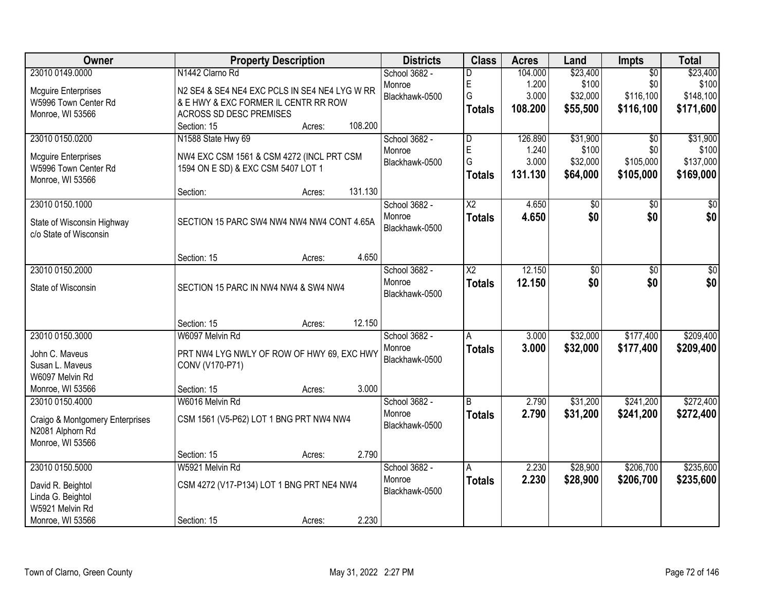| Owner                           | <b>Property Description</b>                   |         | <b>Districts</b> | <b>Class</b>   | <b>Acres</b> | Land     | Impts           | <b>Total</b> |
|---------------------------------|-----------------------------------------------|---------|------------------|----------------|--------------|----------|-----------------|--------------|
| 23010 0149.0000                 | N1442 Clarno Rd                               |         | School 3682 -    | D              | 104.000      | \$23,400 | $\overline{50}$ | \$23,400     |
| <b>Mcguire Enterprises</b>      | N2 SE4 & SE4 NE4 EXC PCLS IN SE4 NE4 LYG W RR |         | Monroe           | E              | 1.200        | \$100    | \$0             | \$100        |
| W5996 Town Center Rd            | & E HWY & EXC FORMER IL CENTR RR ROW          |         | Blackhawk-0500   | G              | 3.000        | \$32,000 | \$116,100       | \$148,100    |
| Monroe, WI 53566                | ACROSS SD DESC PREMISES                       |         |                  | <b>Totals</b>  | 108.200      | \$55,500 | \$116,100       | \$171,600    |
|                                 | Section: 15<br>Acres:                         | 108.200 |                  |                |              |          |                 |              |
| 23010 0150.0200                 | N1588 State Hwy 69                            |         | School 3682 -    | D              | 126.890      | \$31,900 | $\overline{30}$ | \$31,900     |
| <b>Mcguire Enterprises</b>      | NW4 EXC CSM 1561 & CSM 4272 (INCL PRT CSM     |         | Monroe           | E              | 1.240        | \$100    | \$0             | \$100        |
| W5996 Town Center Rd            | 1594 ON E SD) & EXC CSM 5407 LOT 1            |         | Blackhawk-0500   | G              | 3.000        | \$32,000 | \$105,000       | \$137,000    |
| Monroe, WI 53566                |                                               |         |                  | <b>Totals</b>  | 131.130      | \$64,000 | \$105,000       | \$169,000    |
|                                 | Section:<br>Acres:                            | 131.130 |                  |                |              |          |                 |              |
| 23010 0150.1000                 |                                               |         | School 3682 -    | X <sub>2</sub> | 4.650        | \$0      | \$0             | \$0          |
| State of Wisconsin Highway      | SECTION 15 PARC SW4 NW4 NW4 NW4 CONT 4.65A    |         | Monroe           | <b>Totals</b>  | 4.650        | \$0      | \$0             | \$0          |
| c/o State of Wisconsin          |                                               |         | Blackhawk-0500   |                |              |          |                 |              |
|                                 |                                               |         |                  |                |              |          |                 |              |
|                                 | Section: 15<br>Acres:                         | 4.650   |                  |                |              |          |                 |              |
| 23010 0150.2000                 |                                               |         | School 3682 -    | X2             | 12.150       | \$0      | \$0             | \$0          |
| State of Wisconsin              | SECTION 15 PARC IN NW4 NW4 & SW4 NW4          |         | Monroe           | <b>Totals</b>  | 12.150       | \$0      | \$0             | \$0          |
|                                 |                                               |         | Blackhawk-0500   |                |              |          |                 |              |
|                                 |                                               |         |                  |                |              |          |                 |              |
|                                 | Section: 15<br>Acres:                         | 12.150  |                  |                |              |          |                 |              |
| 23010 0150.3000                 | W6097 Melvin Rd                               |         | School 3682 -    | A              | 3.000        | \$32,000 | \$177,400       | \$209,400    |
| John C. Maveus                  | PRT NW4 LYG NWLY OF ROW OF HWY 69, EXC HWY    |         | Monroe           | <b>Totals</b>  | 3.000        | \$32,000 | \$177,400       | \$209,400    |
| Susan L. Maveus                 | CONV (V170-P71)                               |         | Blackhawk-0500   |                |              |          |                 |              |
| W6097 Melvin Rd                 |                                               |         |                  |                |              |          |                 |              |
| Monroe, WI 53566                | Section: 15<br>Acres:                         | 3.000   |                  |                |              |          |                 |              |
| 23010 0150.4000                 | W6016 Melvin Rd                               |         | School 3682 -    | B              | 2.790        | \$31,200 | \$241,200       | \$272,400    |
| Craigo & Montgomery Enterprises | CSM 1561 (V5-P62) LOT 1 BNG PRT NW4 NW4       |         | Monroe           | <b>Totals</b>  | 2.790        | \$31,200 | \$241,200       | \$272,400    |
| N2081 Alphorn Rd                |                                               |         | Blackhawk-0500   |                |              |          |                 |              |
| Monroe, WI 53566                |                                               |         |                  |                |              |          |                 |              |
|                                 | Section: 15<br>Acres:                         | 2.790   |                  |                |              |          |                 |              |
| 23010 0150.5000                 | W5921 Melvin Rd                               |         | School 3682 -    | A              | 2.230        | \$28,900 | \$206,700       | \$235,600    |
| David R. Beightol               | CSM 4272 (V17-P134) LOT 1 BNG PRT NE4 NW4     |         | Monroe           | <b>Totals</b>  | 2.230        | \$28,900 | \$206,700       | \$235,600    |
| Linda G. Beightol               |                                               |         | Blackhawk-0500   |                |              |          |                 |              |
| W5921 Melvin Rd                 |                                               |         |                  |                |              |          |                 |              |
| Monroe, WI 53566                | Section: 15<br>Acres:                         | 2.230   |                  |                |              |          |                 |              |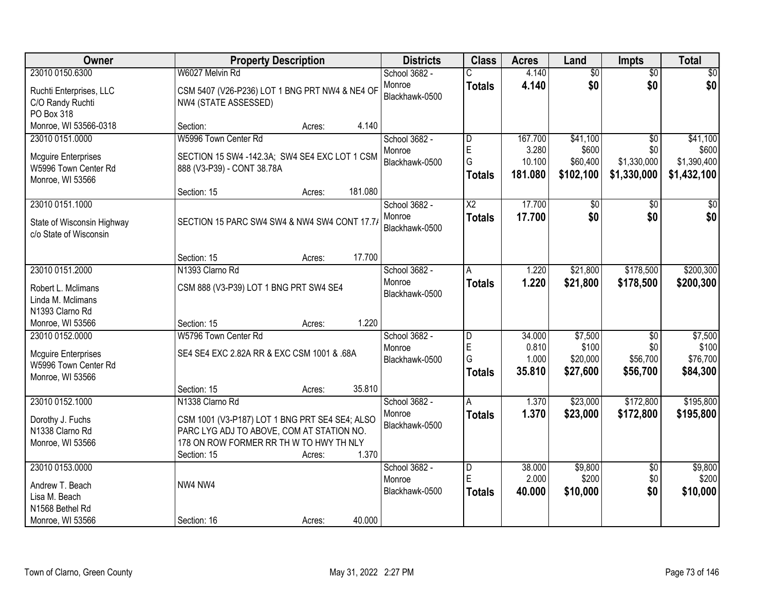| Owner                                                                                      | <b>Property Description</b>                                                                                                                                                                 | <b>Districts</b>                          | <b>Class</b>                         | <b>Acres</b>                          | Land                                       | Impts                                                | <b>Total</b>                                    |
|--------------------------------------------------------------------------------------------|---------------------------------------------------------------------------------------------------------------------------------------------------------------------------------------------|-------------------------------------------|--------------------------------------|---------------------------------------|--------------------------------------------|------------------------------------------------------|-------------------------------------------------|
| 23010 0150.6300                                                                            | W6027 Melvin Rd                                                                                                                                                                             | School 3682 -                             |                                      | 4.140                                 | $\overline{60}$                            | $\overline{50}$                                      | \$0                                             |
| Ruchti Enterprises, LLC<br>C/O Randy Ruchti<br>PO Box 318                                  | CSM 5407 (V26-P236) LOT 1 BNG PRT NW4 & NE4 OF<br>NW4 (STATE ASSESSED)                                                                                                                      | Monroe<br>Blackhawk-0500                  | <b>Totals</b>                        | 4.140                                 | \$0                                        | \$0                                                  | \$0                                             |
| Monroe, WI 53566-0318                                                                      | 4.140<br>Section:<br>Acres:                                                                                                                                                                 |                                           |                                      |                                       |                                            |                                                      |                                                 |
| 23010 0151.0000<br><b>Mcguire Enterprises</b><br>W5996 Town Center Rd<br>Monroe, WI 53566  | W5996 Town Center Rd<br>SECTION 15 SW4 -142.3A; SW4 SE4 EXC LOT 1 CSM<br>888 (V3-P39) - CONT 38.78A                                                                                         | School 3682 -<br>Monroe<br>Blackhawk-0500 | D<br>E<br>G<br><b>Totals</b>         | 167.700<br>3.280<br>10.100<br>181.080 | \$41,100<br>\$600<br>\$60,400<br>\$102,100 | $\overline{30}$<br>\$0<br>\$1,330,000<br>\$1,330,000 | \$41,100<br>\$600<br>\$1,390,400<br>\$1,432,100 |
|                                                                                            | 181.080<br>Section: 15<br>Acres:                                                                                                                                                            |                                           |                                      |                                       |                                            |                                                      |                                                 |
| 23010 0151.1000<br>State of Wisconsin Highway<br>c/o State of Wisconsin                    | SECTION 15 PARC SW4 SW4 & NW4 SW4 CONT 17.7/                                                                                                                                                | School 3682 -<br>Monroe<br>Blackhawk-0500 | X2<br><b>Totals</b>                  | 17.700<br>17.700                      | \$0<br>\$0                                 | \$0<br>\$0                                           | \$0<br>\$0                                      |
|                                                                                            | 17.700<br>Section: 15<br>Acres:                                                                                                                                                             |                                           |                                      |                                       |                                            |                                                      |                                                 |
| 23010 0151.2000                                                                            | N1393 Clarno Rd                                                                                                                                                                             | School 3682 -                             | A                                    | 1.220                                 | \$21,800                                   | \$178,500                                            | \$200,300                                       |
| Robert L. Mclimans<br>Linda M. Mclimans<br>N1393 Clarno Rd                                 | CSM 888 (V3-P39) LOT 1 BNG PRT SW4 SE4                                                                                                                                                      | Monroe<br>Blackhawk-0500                  | <b>Totals</b>                        | 1.220                                 | \$21,800                                   | \$178,500                                            | \$200,300                                       |
| Monroe, WI 53566                                                                           | 1.220<br>Section: 15<br>Acres:                                                                                                                                                              |                                           |                                      |                                       |                                            |                                                      |                                                 |
| 23010 0152.0000<br><b>Mcguire Enterprises</b><br>W5996 Town Center Rd<br>Monroe, WI 53566  | W5796 Town Center Rd<br>SE4 SE4 EXC 2.82A RR & EXC CSM 1001 & .68A                                                                                                                          | School 3682 -<br>Monroe<br>Blackhawk-0500 | D<br>E<br>G<br><b>Totals</b>         | 34.000<br>0.810<br>1.000<br>35.810    | \$7,500<br>\$100<br>\$20,000<br>\$27,600   | $\overline{50}$<br>\$0<br>\$56,700<br>\$56,700       | \$7,500<br>\$100<br>\$76,700<br>\$84,300        |
|                                                                                            | 35.810<br>Section: 15<br>Acres:                                                                                                                                                             |                                           |                                      |                                       |                                            |                                                      |                                                 |
| 23010 0152.1000<br>Dorothy J. Fuchs<br>N1338 Clarno Rd<br>Monroe, WI 53566                 | N1338 Clarno Rd<br>CSM 1001 (V3-P187) LOT 1 BNG PRT SE4 SE4; ALSO<br>PARC LYG ADJ TO ABOVE, COM AT STATION NO.<br>178 ON ROW FORMER RR TH W TO HWY TH NLY<br>1.370<br>Section: 15<br>Acres: | School 3682 -<br>Monroe<br>Blackhawk-0500 | A<br><b>Totals</b>                   | 1.370<br>1.370                        | \$23,000<br>\$23,000                       | \$172,800<br>\$172,800                               | \$195,800<br>\$195,800                          |
| 23010 0153.0000<br>Andrew T. Beach<br>Lisa M. Beach<br>N1568 Bethel Rd<br>Monroe, WI 53566 | NW4 NW4<br>40.000<br>Section: 16<br>Acres:                                                                                                                                                  | School 3682 -<br>Monroe<br>Blackhawk-0500 | $\overline{D}$<br>E<br><b>Totals</b> | 38.000<br>2.000<br>40.000             | \$9,800<br>\$200<br>\$10,000               | $\overline{50}$<br>\$0<br>\$0                        | \$9,800<br>\$200<br>\$10,000                    |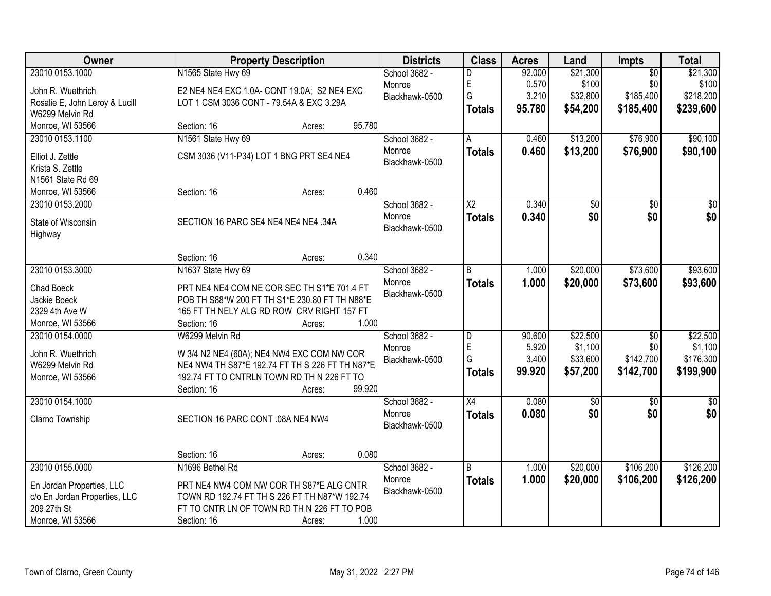| Owner                          | <b>Property Description</b>                     |                  | <b>Districts</b>         | <b>Class</b>           | <b>Acres</b>    | Land                | Impts                  | <b>Total</b>        |
|--------------------------------|-------------------------------------------------|------------------|--------------------------|------------------------|-----------------|---------------------|------------------------|---------------------|
| 23010 0153.1000                | N1565 State Hwy 69                              |                  | School 3682 -            | D                      | 92.000          | \$21,300            | $\overline{50}$        | \$21,300            |
| John R. Wuethrich              | E2 NE4 NE4 EXC 1.0A- CONT 19.0A; S2 NE4 EXC     |                  | Monroe                   | E                      | 0.570           | \$100               | \$0                    | \$100               |
| Rosalie E, John Leroy & Lucill | LOT 1 CSM 3036 CONT - 79.54A & EXC 3.29A        |                  | Blackhawk-0500           | G                      | 3.210           | \$32,800            | \$185,400              | \$218,200           |
| W6299 Melvin Rd                |                                                 |                  |                          | <b>Totals</b>          | 95.780          | \$54,200            | \$185,400              | \$239,600           |
| Monroe, WI 53566               | Section: 16                                     | 95.780<br>Acres: |                          |                        |                 |                     |                        |                     |
| 23010 0153.1100                | N1561 State Hwy 69                              |                  | School 3682 -            | A                      | 0.460           | \$13,200            | \$76,900               | \$90,100            |
| Elliot J. Zettle               | CSM 3036 (V11-P34) LOT 1 BNG PRT SE4 NE4        |                  | Monroe                   | <b>Totals</b>          | 0.460           | \$13,200            | \$76,900               | \$90,100            |
| Krista S. Zettle               |                                                 |                  | Blackhawk-0500           |                        |                 |                     |                        |                     |
| N1561 State Rd 69              |                                                 |                  |                          |                        |                 |                     |                        |                     |
| Monroe, WI 53566               | Section: 16                                     | 0.460<br>Acres:  |                          |                        |                 |                     |                        |                     |
| 23010 0153.2000                |                                                 |                  | School 3682 -            | $\overline{\text{X2}}$ | 0.340           | \$0                 | $\overline{50}$        | $\overline{50}$     |
|                                |                                                 |                  | Monroe                   | <b>Totals</b>          | 0.340           | \$0                 | \$0                    | \$0                 |
| State of Wisconsin             | SECTION 16 PARC SE4 NE4 NE4 NE4 .34A            |                  | Blackhawk-0500           |                        |                 |                     |                        |                     |
| Highway                        |                                                 |                  |                          |                        |                 |                     |                        |                     |
|                                | Section: 16                                     | 0.340<br>Acres:  |                          |                        |                 |                     |                        |                     |
| 23010 0153.3000                | N1637 State Hwy 69                              |                  | School 3682 -            | B                      | 1.000           | \$20,000            | \$73,600               | \$93,600            |
|                                |                                                 |                  | Monroe                   | <b>Totals</b>          | 1.000           | \$20,000            | \$73,600               | \$93,600            |
| Chad Boeck                     | PRT NE4 NE4 COM NE COR SEC TH S1*E 701.4 FT     |                  | Blackhawk-0500           |                        |                 |                     |                        |                     |
| Jackie Boeck                   | POB TH S88*W 200 FT TH S1*E 230.80 FT TH N88*E  |                  |                          |                        |                 |                     |                        |                     |
| 2329 4th Ave W                 | 165 FT TH NELY ALG RD ROW CRV RIGHT 157 FT      |                  |                          |                        |                 |                     |                        |                     |
| Monroe, WI 53566               | Section: 16                                     | 1.000<br>Acres:  |                          |                        |                 |                     |                        |                     |
| 23010 0154.0000                | W6299 Melvin Rd                                 |                  | School 3682 -            | D<br>E                 | 90.600<br>5.920 | \$22,500<br>\$1,100 | $\overline{50}$<br>\$0 | \$22,500<br>\$1,100 |
| John R. Wuethrich              | W 3/4 N2 NE4 (60A); NE4 NW4 EXC COM NW COR      |                  | Monroe<br>Blackhawk-0500 | Ġ                      | 3.400           | \$33,600            | \$142,700              | \$176,300           |
| W6299 Melvin Rd                | NE4 NW4 TH S87*E 192.74 FT TH S 226 FT TH N87*E |                  |                          | <b>Totals</b>          | 99.920          | \$57,200            | \$142,700              | \$199,900           |
| Monroe, WI 53566               | 192.74 FT TO CNTRLN TOWN RD TH N 226 FT TO      |                  |                          |                        |                 |                     |                        |                     |
|                                | Section: 16                                     | 99.920<br>Acres: |                          |                        |                 |                     |                        |                     |
| 23010 0154.1000                |                                                 |                  | School 3682 -            | $\overline{X4}$        | 0.080           | $\sqrt{6}$          | $\sqrt{6}$             | $\frac{1}{6}$       |
| Clarno Township                | SECTION 16 PARC CONT .08A NE4 NW4               |                  | Monroe                   | <b>Totals</b>          | 0.080           | \$0                 | \$0                    | \$0                 |
|                                |                                                 |                  | Blackhawk-0500           |                        |                 |                     |                        |                     |
|                                |                                                 |                  |                          |                        |                 |                     |                        |                     |
|                                | Section: 16                                     | 0.080<br>Acres:  |                          |                        |                 |                     |                        |                     |
| 23010 0155.0000                | N1696 Bethel Rd                                 |                  | School 3682 -            | B                      | 1.000           | \$20,000            | \$106,200              | \$126,200           |
| En Jordan Properties, LLC      | PRT NE4 NW4 COM NW COR TH S87*E ALG CNTR        |                  | Monroe                   | <b>Totals</b>          | 1.000           | \$20,000            | \$106,200              | \$126,200           |
| c/o En Jordan Properties, LLC  | TOWN RD 192.74 FT TH S 226 FT TH N87*W 192.74   |                  | Blackhawk-0500           |                        |                 |                     |                        |                     |
| 209 27th St                    | FT TO CNTR LN OF TOWN RD TH N 226 FT TO POB     |                  |                          |                        |                 |                     |                        |                     |
| Monroe, WI 53566               | Section: 16                                     | 1.000<br>Acres:  |                          |                        |                 |                     |                        |                     |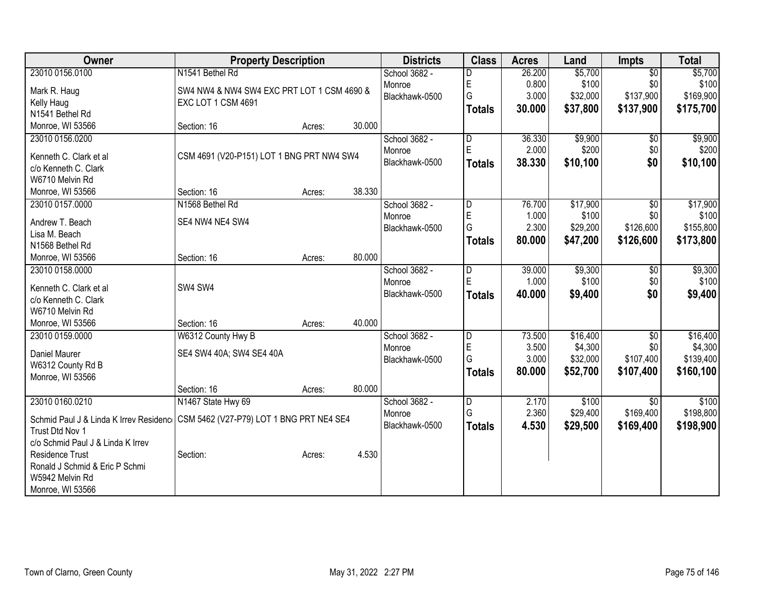| 23010 0156.0100<br>\$5,700<br>$\overline{30}$<br>N1541 Bethel Rd<br>26.200<br>School 3682 -<br>D<br>E<br>0.800<br>\$100<br>\$0<br>\$100<br>Monroe<br>SW4 NW4 & NW4 SW4 EXC PRT LOT 1 CSM 4690 &<br>Mark R. Haug<br>Ġ<br>\$137,900<br>3.000<br>\$32,000<br>Blackhawk-0500<br>EXC LOT 1 CSM 4691<br>Kelly Haug<br>30.000<br>\$37,800<br>\$137,900<br><b>Totals</b><br>N1541 Bethel Rd<br>30.000<br>Monroe, WI 53566<br>Section: 16<br>Acres:<br>\$9,900<br>\$9,900<br>23010 0156.0200<br>36.330<br>School 3682 -<br>$\overline{\mathsf{D}}$<br>\$0<br>E<br>2.000<br>\$200<br>\$0<br>Monroe<br>CSM 4691 (V20-P151) LOT 1 BNG PRT NW4 SW4<br>Kenneth C. Clark et al<br>38.330<br>\$10,100<br>\$0<br>Blackhawk-0500<br><b>Totals</b><br>c/o Kenneth C. Clark<br>W6710 Melvin Rd<br>38.330<br>Section: 16<br>Monroe, WI 53566<br>Acres:<br>23010 0157.0000<br>N1568 Bethel Rd<br>\$17,900<br>School 3682 -<br>76.700<br>\$0<br>D<br>E<br>\$100<br>1.000<br>\$0<br>Monroe<br>Andrew T. Beach<br>SE4 NW4 NE4 SW4<br>G<br>2.300<br>\$29,200<br>\$126,600<br>Blackhawk-0500<br>Lisa M. Beach<br>80.000<br>\$47,200<br>\$126,600<br><b>Totals</b><br>N1568 Bethel Rd<br>80.000<br>Monroe, WI 53566<br>Section: 16<br>Acres:<br>\$9,300<br>\$9,300<br>23010 0158.0000<br>School 3682 -<br>39.000<br>\$0<br>D<br>E<br>\$100<br>1.000<br>\$0<br>Monroe<br>Kenneth C. Clark et al<br>SW4 SW4<br>\$0<br>Blackhawk-0500<br>40.000<br>\$9,400<br><b>Totals</b><br>c/o Kenneth C. Clark<br>W6710 Melvin Rd<br>40.000<br>Monroe, WI 53566<br>Section: 16<br>Acres:<br>\$16,400<br>23010 0159.0000<br>W6312 County Hwy B<br>73.500<br>$\overline{50}$<br>School 3682 -<br>$\overline{\mathsf{D}}$<br>E<br>\$4,300<br>\$0 | Owner | <b>Property Description</b> | <b>Districts</b> | <b>Class</b> | <b>Acres</b> | Land | <b>Impts</b> | <b>Total</b> |
|-----------------------------------------------------------------------------------------------------------------------------------------------------------------------------------------------------------------------------------------------------------------------------------------------------------------------------------------------------------------------------------------------------------------------------------------------------------------------------------------------------------------------------------------------------------------------------------------------------------------------------------------------------------------------------------------------------------------------------------------------------------------------------------------------------------------------------------------------------------------------------------------------------------------------------------------------------------------------------------------------------------------------------------------------------------------------------------------------------------------------------------------------------------------------------------------------------------------------------------------------------------------------------------------------------------------------------------------------------------------------------------------------------------------------------------------------------------------------------------------------------------------------------------------------------------------------------------------------------------------------------------------------------------------------------------------------------|-------|-----------------------------|------------------|--------------|--------------|------|--------------|--------------|
| \$169,900<br>\$175,700                                                                                                                                                                                                                                                                                                                                                                                                                                                                                                                                                                                                                                                                                                                                                                                                                                                                                                                                                                                                                                                                                                                                                                                                                                                                                                                                                                                                                                                                                                                                                                                                                                                                              |       |                             |                  |              |              |      |              | \$5,700      |
|                                                                                                                                                                                                                                                                                                                                                                                                                                                                                                                                                                                                                                                                                                                                                                                                                                                                                                                                                                                                                                                                                                                                                                                                                                                                                                                                                                                                                                                                                                                                                                                                                                                                                                     |       |                             |                  |              |              |      |              |              |
|                                                                                                                                                                                                                                                                                                                                                                                                                                                                                                                                                                                                                                                                                                                                                                                                                                                                                                                                                                                                                                                                                                                                                                                                                                                                                                                                                                                                                                                                                                                                                                                                                                                                                                     |       |                             |                  |              |              |      |              |              |
| \$200<br>\$10,100<br>\$17,900<br>\$100<br>\$155,800<br>\$173,800<br>\$100<br>\$9,400<br>\$16,400                                                                                                                                                                                                                                                                                                                                                                                                                                                                                                                                                                                                                                                                                                                                                                                                                                                                                                                                                                                                                                                                                                                                                                                                                                                                                                                                                                                                                                                                                                                                                                                                    |       |                             |                  |              |              |      |              |              |
|                                                                                                                                                                                                                                                                                                                                                                                                                                                                                                                                                                                                                                                                                                                                                                                                                                                                                                                                                                                                                                                                                                                                                                                                                                                                                                                                                                                                                                                                                                                                                                                                                                                                                                     |       |                             |                  |              |              |      |              |              |
|                                                                                                                                                                                                                                                                                                                                                                                                                                                                                                                                                                                                                                                                                                                                                                                                                                                                                                                                                                                                                                                                                                                                                                                                                                                                                                                                                                                                                                                                                                                                                                                                                                                                                                     |       |                             |                  |              |              |      |              |              |
|                                                                                                                                                                                                                                                                                                                                                                                                                                                                                                                                                                                                                                                                                                                                                                                                                                                                                                                                                                                                                                                                                                                                                                                                                                                                                                                                                                                                                                                                                                                                                                                                                                                                                                     |       |                             |                  |              |              |      |              |              |
|                                                                                                                                                                                                                                                                                                                                                                                                                                                                                                                                                                                                                                                                                                                                                                                                                                                                                                                                                                                                                                                                                                                                                                                                                                                                                                                                                                                                                                                                                                                                                                                                                                                                                                     |       |                             |                  |              |              |      |              |              |
|                                                                                                                                                                                                                                                                                                                                                                                                                                                                                                                                                                                                                                                                                                                                                                                                                                                                                                                                                                                                                                                                                                                                                                                                                                                                                                                                                                                                                                                                                                                                                                                                                                                                                                     |       |                             |                  |              |              |      |              |              |
|                                                                                                                                                                                                                                                                                                                                                                                                                                                                                                                                                                                                                                                                                                                                                                                                                                                                                                                                                                                                                                                                                                                                                                                                                                                                                                                                                                                                                                                                                                                                                                                                                                                                                                     |       |                             |                  |              |              |      |              |              |
|                                                                                                                                                                                                                                                                                                                                                                                                                                                                                                                                                                                                                                                                                                                                                                                                                                                                                                                                                                                                                                                                                                                                                                                                                                                                                                                                                                                                                                                                                                                                                                                                                                                                                                     |       |                             |                  |              |              |      |              |              |
|                                                                                                                                                                                                                                                                                                                                                                                                                                                                                                                                                                                                                                                                                                                                                                                                                                                                                                                                                                                                                                                                                                                                                                                                                                                                                                                                                                                                                                                                                                                                                                                                                                                                                                     |       |                             |                  |              |              |      |              |              |
|                                                                                                                                                                                                                                                                                                                                                                                                                                                                                                                                                                                                                                                                                                                                                                                                                                                                                                                                                                                                                                                                                                                                                                                                                                                                                                                                                                                                                                                                                                                                                                                                                                                                                                     |       |                             |                  |              |              |      |              |              |
|                                                                                                                                                                                                                                                                                                                                                                                                                                                                                                                                                                                                                                                                                                                                                                                                                                                                                                                                                                                                                                                                                                                                                                                                                                                                                                                                                                                                                                                                                                                                                                                                                                                                                                     |       |                             |                  |              |              |      |              |              |
|                                                                                                                                                                                                                                                                                                                                                                                                                                                                                                                                                                                                                                                                                                                                                                                                                                                                                                                                                                                                                                                                                                                                                                                                                                                                                                                                                                                                                                                                                                                                                                                                                                                                                                     |       |                             |                  |              |              |      |              |              |
|                                                                                                                                                                                                                                                                                                                                                                                                                                                                                                                                                                                                                                                                                                                                                                                                                                                                                                                                                                                                                                                                                                                                                                                                                                                                                                                                                                                                                                                                                                                                                                                                                                                                                                     |       |                             |                  |              |              |      |              |              |
|                                                                                                                                                                                                                                                                                                                                                                                                                                                                                                                                                                                                                                                                                                                                                                                                                                                                                                                                                                                                                                                                                                                                                                                                                                                                                                                                                                                                                                                                                                                                                                                                                                                                                                     |       |                             |                  |              |              |      |              |              |
|                                                                                                                                                                                                                                                                                                                                                                                                                                                                                                                                                                                                                                                                                                                                                                                                                                                                                                                                                                                                                                                                                                                                                                                                                                                                                                                                                                                                                                                                                                                                                                                                                                                                                                     |       |                             |                  |              |              |      |              |              |
|                                                                                                                                                                                                                                                                                                                                                                                                                                                                                                                                                                                                                                                                                                                                                                                                                                                                                                                                                                                                                                                                                                                                                                                                                                                                                                                                                                                                                                                                                                                                                                                                                                                                                                     |       |                             |                  |              |              |      |              |              |
|                                                                                                                                                                                                                                                                                                                                                                                                                                                                                                                                                                                                                                                                                                                                                                                                                                                                                                                                                                                                                                                                                                                                                                                                                                                                                                                                                                                                                                                                                                                                                                                                                                                                                                     |       |                             |                  |              |              |      |              |              |
|                                                                                                                                                                                                                                                                                                                                                                                                                                                                                                                                                                                                                                                                                                                                                                                                                                                                                                                                                                                                                                                                                                                                                                                                                                                                                                                                                                                                                                                                                                                                                                                                                                                                                                     |       |                             |                  |              |              |      |              |              |
|                                                                                                                                                                                                                                                                                                                                                                                                                                                                                                                                                                                                                                                                                                                                                                                                                                                                                                                                                                                                                                                                                                                                                                                                                                                                                                                                                                                                                                                                                                                                                                                                                                                                                                     |       |                             |                  |              |              |      |              |              |
|                                                                                                                                                                                                                                                                                                                                                                                                                                                                                                                                                                                                                                                                                                                                                                                                                                                                                                                                                                                                                                                                                                                                                                                                                                                                                                                                                                                                                                                                                                                                                                                                                                                                                                     |       |                             |                  |              |              |      |              |              |
| SE4 SW4 40A; SW4 SE4 40A<br>Daniel Maurer                                                                                                                                                                                                                                                                                                                                                                                                                                                                                                                                                                                                                                                                                                                                                                                                                                                                                                                                                                                                                                                                                                                                                                                                                                                                                                                                                                                                                                                                                                                                                                                                                                                           |       |                             | Monroe           |              | 3.500        |      |              | \$4,300      |
| G<br>\$32,000<br>\$107,400<br>3.000<br>\$139,400<br>Blackhawk-0500<br>W6312 County Rd B                                                                                                                                                                                                                                                                                                                                                                                                                                                                                                                                                                                                                                                                                                                                                                                                                                                                                                                                                                                                                                                                                                                                                                                                                                                                                                                                                                                                                                                                                                                                                                                                             |       |                             |                  |              |              |      |              |              |
| 80.000<br>\$52,700<br>\$107,400<br>\$160,100<br><b>Totals</b><br>Monroe, WI 53566                                                                                                                                                                                                                                                                                                                                                                                                                                                                                                                                                                                                                                                                                                                                                                                                                                                                                                                                                                                                                                                                                                                                                                                                                                                                                                                                                                                                                                                                                                                                                                                                                   |       |                             |                  |              |              |      |              |              |
| Section: 16<br>80.000<br>Acres:                                                                                                                                                                                                                                                                                                                                                                                                                                                                                                                                                                                                                                                                                                                                                                                                                                                                                                                                                                                                                                                                                                                                                                                                                                                                                                                                                                                                                                                                                                                                                                                                                                                                     |       |                             |                  |              |              |      |              |              |
| 23010 0160.0210<br>N1467 State Hwy 69<br>School 3682 -<br>2.170<br>\$100<br>\$100<br>D<br>$\overline{50}$                                                                                                                                                                                                                                                                                                                                                                                                                                                                                                                                                                                                                                                                                                                                                                                                                                                                                                                                                                                                                                                                                                                                                                                                                                                                                                                                                                                                                                                                                                                                                                                           |       |                             |                  |              |              |      |              |              |
| G<br>2.360<br>\$169,400<br>\$198,800<br>\$29,400<br>Monroe<br>Schmid Paul J & Linda K Irrev Residenc   CSM 5462 (V27-P79) LOT 1 BNG PRT NE4 SE4                                                                                                                                                                                                                                                                                                                                                                                                                                                                                                                                                                                                                                                                                                                                                                                                                                                                                                                                                                                                                                                                                                                                                                                                                                                                                                                                                                                                                                                                                                                                                     |       |                             |                  |              |              |      |              |              |
| Blackhawk-0500<br>4.530<br>\$29,500<br>\$169,400<br>\$198,900<br><b>Totals</b><br>Trust Dtd Nov 1                                                                                                                                                                                                                                                                                                                                                                                                                                                                                                                                                                                                                                                                                                                                                                                                                                                                                                                                                                                                                                                                                                                                                                                                                                                                                                                                                                                                                                                                                                                                                                                                   |       |                             |                  |              |              |      |              |              |
| c/o Schmid Paul J & Linda K Irrev                                                                                                                                                                                                                                                                                                                                                                                                                                                                                                                                                                                                                                                                                                                                                                                                                                                                                                                                                                                                                                                                                                                                                                                                                                                                                                                                                                                                                                                                                                                                                                                                                                                                   |       |                             |                  |              |              |      |              |              |
| 4.530<br><b>Residence Trust</b><br>Section:                                                                                                                                                                                                                                                                                                                                                                                                                                                                                                                                                                                                                                                                                                                                                                                                                                                                                                                                                                                                                                                                                                                                                                                                                                                                                                                                                                                                                                                                                                                                                                                                                                                         |       |                             |                  |              |              |      |              |              |
| Acres:<br>Ronald J Schmid & Eric P Schmi                                                                                                                                                                                                                                                                                                                                                                                                                                                                                                                                                                                                                                                                                                                                                                                                                                                                                                                                                                                                                                                                                                                                                                                                                                                                                                                                                                                                                                                                                                                                                                                                                                                            |       |                             |                  |              |              |      |              |              |
| W5942 Melvin Rd                                                                                                                                                                                                                                                                                                                                                                                                                                                                                                                                                                                                                                                                                                                                                                                                                                                                                                                                                                                                                                                                                                                                                                                                                                                                                                                                                                                                                                                                                                                                                                                                                                                                                     |       |                             |                  |              |              |      |              |              |
| Monroe, WI 53566                                                                                                                                                                                                                                                                                                                                                                                                                                                                                                                                                                                                                                                                                                                                                                                                                                                                                                                                                                                                                                                                                                                                                                                                                                                                                                                                                                                                                                                                                                                                                                                                                                                                                    |       |                             |                  |              |              |      |              |              |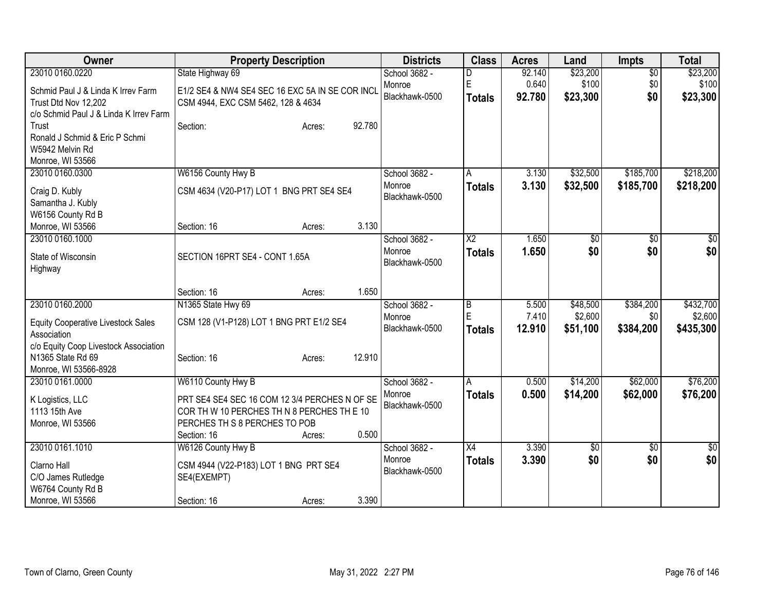| <b>Owner</b>                                             | <b>Property Description</b>                     | <b>Districts</b> | <b>Class</b>        | <b>Acres</b> | Land        | <b>Impts</b>    | <b>Total</b>    |
|----------------------------------------------------------|-------------------------------------------------|------------------|---------------------|--------------|-------------|-----------------|-----------------|
| 23010 0160.0220                                          | State Highway 69                                | School 3682 -    | D                   | 92.140       | \$23,200    | $\overline{50}$ | \$23,200        |
| Schmid Paul J & Linda K Irrev Farm                       | E1/2 SE4 & NW4 SE4 SEC 16 EXC 5A IN SE COR INCL | Monroe           | E                   | 0.640        | \$100       | \$0             | \$100           |
| Trust Dtd Nov 12,202                                     | CSM 4944, EXC CSM 5462, 128 & 4634              | Blackhawk-0500   | <b>Totals</b>       | 92.780       | \$23,300    | \$0             | \$23,300        |
| c/o Schmid Paul J & Linda K Irrev Farm                   |                                                 |                  |                     |              |             |                 |                 |
| Trust                                                    | 92.780<br>Section:<br>Acres:                    |                  |                     |              |             |                 |                 |
| Ronald J Schmid & Eric P Schmi                           |                                                 |                  |                     |              |             |                 |                 |
| W5942 Melvin Rd                                          |                                                 |                  |                     |              |             |                 |                 |
| Monroe, WI 53566<br>23010 0160.0300                      | W6156 County Hwy B                              | School 3682 -    | A                   | 3.130        | \$32,500    | \$185,700       | \$218,200       |
|                                                          |                                                 | Monroe           | <b>Totals</b>       | 3.130        | \$32,500    | \$185,700       | \$218,200       |
| Craig D. Kubly                                           | CSM 4634 (V20-P17) LOT 1 BNG PRT SE4 SE4        | Blackhawk-0500   |                     |              |             |                 |                 |
| Samantha J. Kubly                                        |                                                 |                  |                     |              |             |                 |                 |
| W6156 County Rd B                                        | 3.130                                           |                  |                     |              |             |                 |                 |
| Monroe, WI 53566<br>23010 0160.1000                      | Section: 16<br>Acres:                           | School 3682 -    | $\overline{\chi_2}$ | 1.650        | \$0         | $\overline{50}$ | \$0             |
|                                                          |                                                 | Monroe           | <b>Totals</b>       | 1.650        | \$0         | \$0             | \$0             |
| State of Wisconsin                                       | SECTION 16PRT SE4 - CONT 1.65A                  | Blackhawk-0500   |                     |              |             |                 |                 |
| Highway                                                  |                                                 |                  |                     |              |             |                 |                 |
|                                                          | 1.650<br>Section: 16<br>Acres:                  |                  |                     |              |             |                 |                 |
| 23010 0160.2000                                          | N1365 State Hwy 69                              | School 3682 -    | B                   | 5.500        | \$48,500    | \$384,200       | \$432,700       |
|                                                          | CSM 128 (V1-P128) LOT 1 BNG PRT E1/2 SE4        | Monroe           | E                   | 7.410        | \$2,600     | \$0             | \$2,600         |
| <b>Equity Cooperative Livestock Sales</b><br>Association |                                                 | Blackhawk-0500   | <b>Totals</b>       | 12.910       | \$51,100    | \$384,200       | \$435,300       |
| c/o Equity Coop Livestock Association                    |                                                 |                  |                     |              |             |                 |                 |
| N1365 State Rd 69                                        | 12.910<br>Section: 16<br>Acres:                 |                  |                     |              |             |                 |                 |
| Monroe, WI 53566-8928                                    |                                                 |                  |                     |              |             |                 |                 |
| 23010 0161.0000                                          | W6110 County Hwy B                              | School 3682 -    | A                   | 0.500        | \$14,200    | \$62,000        | \$76,200        |
| K Logistics, LLC                                         | PRT SE4 SE4 SEC 16 COM 12 3/4 PERCHES N OF SE   | Monroe           | <b>Totals</b>       | 0.500        | \$14,200    | \$62,000        | \$76,200        |
| 1113 15th Ave                                            | COR TH W 10 PERCHES TH N 8 PERCHES TH E 10      | Blackhawk-0500   |                     |              |             |                 |                 |
| Monroe, WI 53566                                         | PERCHES TH S 8 PERCHES TO POB                   |                  |                     |              |             |                 |                 |
|                                                          | 0.500<br>Section: 16<br>Acres:                  |                  |                     |              |             |                 |                 |
| 23010 0161.1010                                          | W6126 County Hwy B                              | School 3682 -    | $\overline{X4}$     | 3.390        | $\sqrt{30}$ | $\overline{50}$ | $\overline{50}$ |
| Clarno Hall                                              | CSM 4944 (V22-P183) LOT 1 BNG PRT SE4           | Monroe           | <b>Totals</b>       | 3.390        | \$0         | \$0             | \$0             |
| C/O James Rutledge                                       | SE4(EXEMPT)                                     | Blackhawk-0500   |                     |              |             |                 |                 |
| W6764 County Rd B                                        |                                                 |                  |                     |              |             |                 |                 |
| Monroe, WI 53566                                         | 3.390<br>Section: 16<br>Acres:                  |                  |                     |              |             |                 |                 |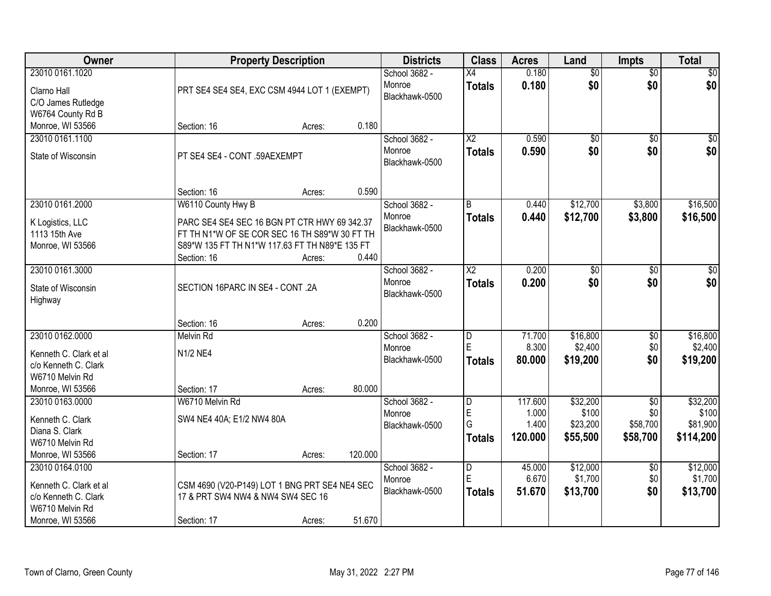| Owner                                                                                                    |                                                                                                                                                                                      | <b>Property Description</b> |         | <b>Districts</b>                          | <b>Class</b>                     | <b>Acres</b>                         | Land                                      | <b>Impts</b>                                   | <b>Total</b>                               |
|----------------------------------------------------------------------------------------------------------|--------------------------------------------------------------------------------------------------------------------------------------------------------------------------------------|-----------------------------|---------|-------------------------------------------|----------------------------------|--------------------------------------|-------------------------------------------|------------------------------------------------|--------------------------------------------|
| 23010 0161.1020<br>Clarno Hall<br>C/O James Rutledge<br>W6764 County Rd B                                | PRT SE4 SE4 SE4, EXC CSM 4944 LOT 1 (EXEMPT)                                                                                                                                         |                             |         | School 3682 -<br>Monroe<br>Blackhawk-0500 | $\overline{X4}$<br><b>Totals</b> | 0.180<br>0.180                       | $\overline{50}$<br>\$0                    | $\overline{50}$<br>\$0                         | $\sqrt{50}$<br>\$0                         |
| Monroe, WI 53566                                                                                         | Section: 16                                                                                                                                                                          | Acres:                      | 0.180   |                                           |                                  |                                      |                                           |                                                |                                            |
| 23010 0161.1100<br>State of Wisconsin                                                                    | PT SE4 SE4 - CONT .59AEXEMPT                                                                                                                                                         |                             |         | School 3682 -<br>Monroe<br>Blackhawk-0500 | $\overline{X2}$<br><b>Totals</b> | 0.590<br>0.590                       | $\overline{50}$<br>\$0                    | $\overline{50}$<br>\$0                         | $\sqrt{50}$<br>\$0                         |
|                                                                                                          | Section: 16                                                                                                                                                                          | Acres:                      | 0.590   |                                           |                                  |                                      |                                           |                                                |                                            |
| 23010 0161.2000<br>K Logistics, LLC<br>1113 15th Ave<br>Monroe, WI 53566                                 | W6110 County Hwy B<br>PARC SE4 SE4 SEC 16 BGN PT CTR HWY 69 342.37<br>FT TH N1*W OF SE COR SEC 16 TH S89*W 30 FT TH<br>S89*W 135 FT TH N1*W 117.63 FT TH N89*E 135 FT<br>Section: 16 | Acres:                      | 0.440   | School 3682 -<br>Monroe<br>Blackhawk-0500 | B<br><b>Totals</b>               | 0.440<br>0.440                       | \$12,700<br>\$12,700                      | \$3,800<br>\$3,800                             | \$16,500<br>\$16,500                       |
| 23010 0161.3000<br>State of Wisconsin<br>Highway                                                         | SECTION 16PARC IN SE4 - CONT .2A                                                                                                                                                     |                             |         | School 3682 -<br>Monroe<br>Blackhawk-0500 | $\overline{X2}$<br><b>Totals</b> | 0.200<br>0.200                       | $\overline{50}$<br>\$0                    | \$0<br>\$0                                     | \$0<br>\$0                                 |
|                                                                                                          | Section: 16                                                                                                                                                                          | Acres:                      | 0.200   |                                           |                                  |                                      |                                           |                                                |                                            |
| 23010 0162.0000<br>Kenneth C. Clark et al<br>c/o Kenneth C. Clark<br>W6710 Melvin Rd<br>Monroe, WI 53566 | Melvin Rd<br>N1/2 NE4<br>Section: 17                                                                                                                                                 | Acres:                      | 80.000  | School 3682 -<br>Monroe<br>Blackhawk-0500 | D<br>E<br><b>Totals</b>          | 71.700<br>8.300<br>80.000            | \$16,800<br>\$2,400<br>\$19,200           | $\overline{30}$<br>\$0<br>\$0                  | \$16,800<br>\$2,400<br>\$19,200            |
| 23010 0163.0000<br>Kenneth C. Clark<br>Diana S. Clark<br>W6710 Melvin Rd<br>Monroe, WI 53566             | W6710 Melvin Rd<br>SW4 NE4 40A; E1/2 NW4 80A<br>Section: 17                                                                                                                          | Acres:                      | 120.000 | School 3682 -<br>Monroe<br>Blackhawk-0500 | D<br>$\mathsf E$<br>G<br>Totals  | 117.600<br>1.000<br>1.400<br>120.000 | \$32,200<br>\$100<br>\$23,200<br>\$55,500 | $\overline{50}$<br>\$0<br>\$58,700<br>\$58,700 | \$32,200<br>\$100<br>\$81,900<br>\$114,200 |
| 23010 0164.0100<br>Kenneth C. Clark et al<br>c/o Kenneth C. Clark<br>W6710 Melvin Rd<br>Monroe, WI 53566 | CSM 4690 (V20-P149) LOT 1 BNG PRT SE4 NE4 SEC<br>17 & PRT SW4 NW4 & NW4 SW4 SEC 16<br>Section: 17                                                                                    | Acres:                      | 51.670  | School 3682 -<br>Monroe<br>Blackhawk-0500 | D<br>E<br>Totals                 | 45.000<br>6.670<br>51.670            | \$12,000<br>\$1,700<br>\$13,700           | $\overline{30}$<br>\$0<br>\$0                  | \$12,000<br>\$1,700<br>\$13,700            |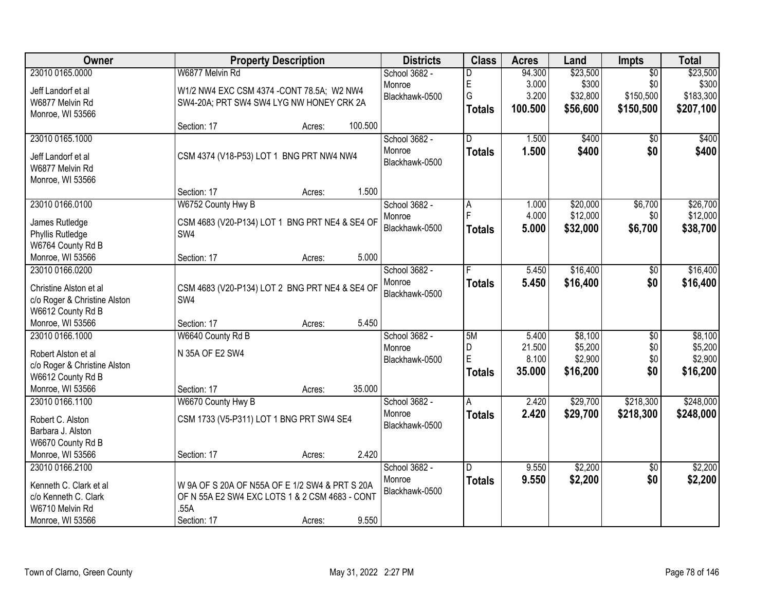| Owner                              |                                                | <b>Property Description</b> |         | <b>Districts</b> | <b>Class</b>   | <b>Acres</b> | Land     | Impts           | <b>Total</b> |
|------------------------------------|------------------------------------------------|-----------------------------|---------|------------------|----------------|--------------|----------|-----------------|--------------|
| 23010 0165.0000                    | W6877 Melvin Rd                                |                             |         | School 3682 -    | D              | 94.300       | \$23,500 | $\overline{50}$ | \$23,500     |
| Jeff Landorf et al                 | W1/2 NW4 EXC CSM 4374 - CONT 78.5A; W2 NW4     |                             |         | Monroe           | E              | 3.000        | \$300    | \$0             | \$300        |
| W6877 Melvin Rd                    | SW4-20A; PRT SW4 SW4 LYG NW HONEY CRK 2A       |                             |         | Blackhawk-0500   | G              | 3.200        | \$32,800 | \$150,500       | \$183,300    |
| Monroe, WI 53566                   |                                                |                             |         |                  | <b>Totals</b>  | 100.500      | \$56,600 | \$150,500       | \$207,100    |
|                                    | Section: 17                                    | Acres:                      | 100.500 |                  |                |              |          |                 |              |
| 23010 0165.1000                    |                                                |                             |         | School 3682 -    | $\overline{D}$ | 1.500        | \$400    | $\overline{50}$ | \$400        |
| Jeff Landorf et al                 | CSM 4374 (V18-P53) LOT 1 BNG PRT NW4 NW4       |                             |         | Monroe           | <b>Totals</b>  | 1.500        | \$400    | \$0             | \$400        |
| W6877 Melvin Rd                    |                                                |                             |         | Blackhawk-0500   |                |              |          |                 |              |
| Monroe, WI 53566                   |                                                |                             |         |                  |                |              |          |                 |              |
|                                    | Section: 17                                    | Acres:                      | 1.500   |                  |                |              |          |                 |              |
| 23010 0166.0100                    | W6752 County Hwy B                             |                             |         | School 3682 -    | A              | 1.000        | \$20,000 | \$6,700         | \$26,700     |
|                                    | CSM 4683 (V20-P134) LOT 1 BNG PRT NE4 & SE4 OF |                             |         | Monroe           |                | 4.000        | \$12,000 | \$0             | \$12,000     |
| James Rutledge<br>Phyllis Rutledge | SW4                                            |                             |         | Blackhawk-0500   | <b>Totals</b>  | 5.000        | \$32,000 | \$6,700         | \$38,700     |
| W6764 County Rd B                  |                                                |                             |         |                  |                |              |          |                 |              |
| Monroe, WI 53566                   | Section: 17                                    | Acres:                      | 5.000   |                  |                |              |          |                 |              |
| 23010 0166.0200                    |                                                |                             |         | School 3682 -    | F              | 5.450        | \$16,400 | \$0             | \$16,400     |
|                                    |                                                |                             |         | Monroe           | <b>Totals</b>  | 5.450        | \$16,400 | \$0             | \$16,400     |
| Christine Alston et al             | CSM 4683 (V20-P134) LOT 2 BNG PRT NE4 & SE4 OF |                             |         | Blackhawk-0500   |                |              |          |                 |              |
| c/o Roger & Christine Alston       | SW4                                            |                             |         |                  |                |              |          |                 |              |
| W6612 County Rd B                  |                                                |                             |         |                  |                |              |          |                 |              |
| Monroe, WI 53566                   | Section: 17                                    | Acres:                      | 5.450   |                  |                |              |          |                 |              |
| 23010 0166.1000                    | W6640 County Rd B                              |                             |         | School 3682 -    | 5M             | 5.400        | \$8,100  | $\overline{50}$ | \$8,100      |
| Robert Alston et al                | N 35A OF E2 SW4                                |                             |         | Monroe           | D              | 21.500       | \$5,200  | \$0             | \$5,200      |
| c/o Roger & Christine Alston       |                                                |                             |         | Blackhawk-0500   | E              | 8.100        | \$2,900  | \$0             | \$2,900      |
| W6612 County Rd B                  |                                                |                             |         |                  | <b>Totals</b>  | 35.000       | \$16,200 | \$0             | \$16,200     |
| Monroe, WI 53566                   | Section: 17                                    | Acres:                      | 35.000  |                  |                |              |          |                 |              |
| 23010 0166.1100                    | W6670 County Hwy B                             |                             |         | School 3682 -    | A              | 2.420        | \$29,700 | \$218,300       | \$248,000    |
| Robert C. Alston                   | CSM 1733 (V5-P311) LOT 1 BNG PRT SW4 SE4       |                             |         | Monroe           | <b>Totals</b>  | 2.420        | \$29,700 | \$218,300       | \$248,000    |
| Barbara J. Alston                  |                                                |                             |         | Blackhawk-0500   |                |              |          |                 |              |
| W6670 County Rd B                  |                                                |                             |         |                  |                |              |          |                 |              |
| Monroe, WI 53566                   | Section: 17                                    | Acres:                      | 2.420   |                  |                |              |          |                 |              |
| 23010 0166.2100                    |                                                |                             |         | School 3682 -    | D              | 9.550        | \$2,200  | $\overline{50}$ | \$2,200      |
|                                    |                                                |                             |         | Monroe           | <b>Totals</b>  | 9.550        | \$2,200  | \$0             | \$2,200      |
| Kenneth C. Clark et al             | W 9A OF S 20A OF N55A OF E 1/2 SW4 & PRT S 20A |                             |         | Blackhawk-0500   |                |              |          |                 |              |
| c/o Kenneth C. Clark               | OF N 55A E2 SW4 EXC LOTS 1 & 2 CSM 4683 - CONT |                             |         |                  |                |              |          |                 |              |
| W6710 Melvin Rd                    | .55A                                           |                             |         |                  |                |              |          |                 |              |
| Monroe, WI 53566                   | Section: 17                                    | Acres:                      | 9.550   |                  |                |              |          |                 |              |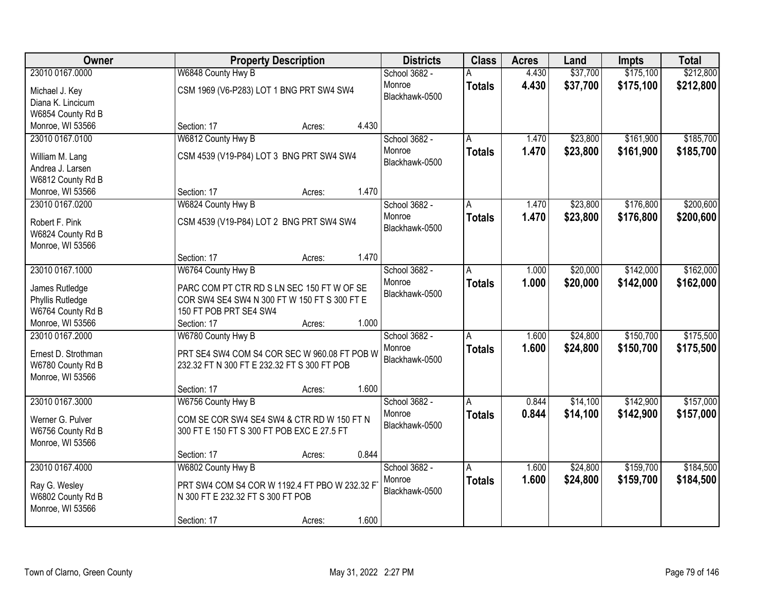| Owner                              | <b>Property Description</b>                   |       | <b>Districts</b> | <b>Class</b>  | <b>Acres</b> | Land     | <b>Impts</b> | <b>Total</b> |
|------------------------------------|-----------------------------------------------|-------|------------------|---------------|--------------|----------|--------------|--------------|
| 23010 0167.0000                    | W6848 County Hwy B                            |       | School 3682 -    |               | 4.430        | \$37,700 | \$175,100    | \$212,800    |
| Michael J. Key                     | CSM 1969 (V6-P283) LOT 1 BNG PRT SW4 SW4      |       | Monroe           | <b>Totals</b> | 4.430        | \$37,700 | \$175,100    | \$212,800    |
| Diana K. Lincicum                  |                                               |       | Blackhawk-0500   |               |              |          |              |              |
| W6854 County Rd B                  |                                               |       |                  |               |              |          |              |              |
| Monroe, WI 53566                   | Section: 17<br>Acres:                         | 4.430 |                  |               |              |          |              |              |
| 23010 0167.0100                    | W6812 County Hwy B                            |       | School 3682 -    |               | 1.470        | \$23,800 | \$161,900    | \$185,700    |
| William M. Lang                    | CSM 4539 (V19-P84) LOT 3 BNG PRT SW4 SW4      |       | Monroe           | <b>Totals</b> | 1.470        | \$23,800 | \$161,900    | \$185,700    |
| Andrea J. Larsen                   |                                               |       | Blackhawk-0500   |               |              |          |              |              |
| W6812 County Rd B                  |                                               |       |                  |               |              |          |              |              |
| Monroe, WI 53566                   | Section: 17<br>Acres:                         | 1.470 |                  |               |              |          |              |              |
| 23010 0167.0200                    | W6824 County Hwy B                            |       | School 3682 -    | A             | 1.470        | \$23,800 | \$176,800    | \$200,600    |
|                                    |                                               |       | Monroe           | <b>Totals</b> | 1.470        | \$23,800 | \$176,800    | \$200,600    |
| Robert F. Pink                     | CSM 4539 (V19-P84) LOT 2 BNG PRT SW4 SW4      |       | Blackhawk-0500   |               |              |          |              |              |
| W6824 County Rd B                  |                                               |       |                  |               |              |          |              |              |
| Monroe, WI 53566                   | Section: 17<br>Acres:                         | 1.470 |                  |               |              |          |              |              |
| 23010 0167.1000                    | W6764 County Hwy B                            |       | School 3682 -    | Α             | 1.000        | \$20,000 | \$142,000    | \$162,000    |
|                                    |                                               |       | Monroe           | <b>Totals</b> | 1.000        | \$20,000 | \$142,000    | \$162,000    |
| James Rutledge                     | PARC COM PT CTR RD S LN SEC 150 FT W OF SE    |       | Blackhawk-0500   |               |              |          |              |              |
| Phyllis Rutledge                   | COR SW4 SE4 SW4 N 300 FT W 150 FT S 300 FT E  |       |                  |               |              |          |              |              |
| W6764 County Rd B                  | 150 FT POB PRT SE4 SW4                        |       |                  |               |              |          |              |              |
| Monroe, WI 53566                   | Section: 17<br>Acres:                         | 1.000 |                  |               |              |          |              |              |
| 23010 0167.2000                    | W6780 County Hwy B                            |       | School 3682 -    | A             | 1.600        | \$24,800 | \$150,700    | \$175,500    |
| Ernest D. Strothman                | PRT SE4 SW4 COM S4 COR SEC W 960.08 FT POB W  |       | Monroe           | <b>Totals</b> | 1.600        | \$24,800 | \$150,700    | \$175,500    |
| W6780 County Rd B                  | 232.32 FT N 300 FT E 232.32 FT S 300 FT POB   |       | Blackhawk-0500   |               |              |          |              |              |
| Monroe, WI 53566                   |                                               |       |                  |               |              |          |              |              |
|                                    | Section: 17<br>Acres:                         | 1.600 |                  |               |              |          |              |              |
| 23010 0167.3000                    | W6756 County Hwy B                            |       | School 3682 -    | A             | 0.844        | \$14,100 | \$142,900    | \$157,000    |
| Werner G. Pulver                   | COM SE COR SW4 SE4 SW4 & CTR RD W 150 FT N    |       | Monroe           | <b>Totals</b> | 0.844        | \$14,100 | \$142,900    | \$157,000    |
| W6756 County Rd B                  | 300 FT E 150 FT S 300 FT POB EXC E 27.5 FT    |       | Blackhawk-0500   |               |              |          |              |              |
| Monroe, WI 53566                   |                                               |       |                  |               |              |          |              |              |
|                                    | Section: 17<br>Acres:                         | 0.844 |                  |               |              |          |              |              |
| 23010 0167.4000                    | W6802 County Hwy B                            |       | School 3682 -    | A             | 1.600        | \$24,800 | \$159,700    | \$184,500    |
|                                    | PRT SW4 COM S4 COR W 1192.4 FT PBO W 232.32 F |       | Monroe           | <b>Totals</b> | 1.600        | \$24,800 | \$159,700    | \$184,500    |
| Ray G. Wesley<br>W6802 County Rd B | N 300 FT E 232.32 FT S 300 FT POB             |       | Blackhawk-0500   |               |              |          |              |              |
| Monroe, WI 53566                   |                                               |       |                  |               |              |          |              |              |
|                                    | Section: 17<br>Acres:                         | 1.600 |                  |               |              |          |              |              |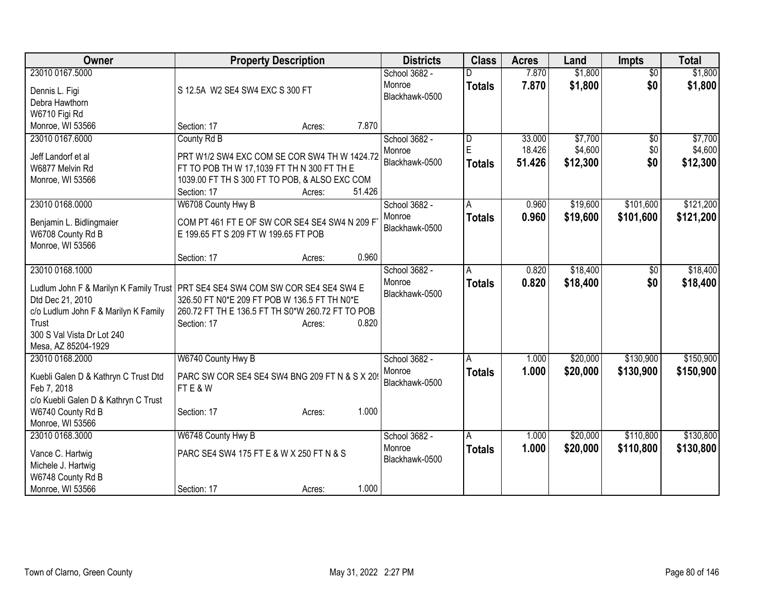| Owner                                | <b>Property Description</b>                                                                                                       | <b>Districts</b> | <b>Class</b>            | <b>Acres</b> | Land     | <b>Impts</b>    | <b>Total</b> |
|--------------------------------------|-----------------------------------------------------------------------------------------------------------------------------------|------------------|-------------------------|--------------|----------|-----------------|--------------|
| 23010 0167.5000                      |                                                                                                                                   | School 3682 -    |                         | 7.870        | \$1,800  | $\overline{30}$ | \$1,800      |
| Dennis L. Figi                       | S 12.5A W2 SE4 SW4 EXC S 300 FT                                                                                                   | Monroe           | <b>Totals</b>           | 7.870        | \$1,800  | \$0             | \$1,800      |
| Debra Hawthorn                       |                                                                                                                                   | Blackhawk-0500   |                         |              |          |                 |              |
| W6710 Figi Rd                        |                                                                                                                                   |                  |                         |              |          |                 |              |
| Monroe, WI 53566                     | 7.870<br>Section: 17<br>Acres:                                                                                                    |                  |                         |              |          |                 |              |
| 23010 0167.6000                      | County Rd B                                                                                                                       | School 3682 -    | $\overline{\mathsf{D}}$ | 33.000       | \$7,700  | $\overline{50}$ | \$7,700      |
| Jeff Landorf et al                   | PRT W1/2 SW4 EXC COM SE COR SW4 TH W 1424.72                                                                                      | Monroe           | E                       | 18.426       | \$4,600  | \$0             | \$4,600      |
| W6877 Melvin Rd                      | FT TO POB TH W 17,1039 FT TH N 300 FT TH E                                                                                        | Blackhawk-0500   | <b>Totals</b>           | 51.426       | \$12,300 | \$0             | \$12,300     |
| Monroe, WI 53566                     | 1039.00 FT TH S 300 FT TO POB, & ALSO EXC COM                                                                                     |                  |                         |              |          |                 |              |
|                                      | 51.426<br>Section: 17<br>Acres:                                                                                                   |                  |                         |              |          |                 |              |
| 23010 0168.0000                      | W6708 County Hwy B                                                                                                                | School 3682 -    | A                       | 0.960        | \$19,600 | \$101,600       | \$121,200    |
| Benjamin L. Bidlingmaier             | COM PT 461 FT E OF SW COR SE4 SE4 SW4 N 209 F                                                                                     | Monroe           | <b>Totals</b>           | 0.960        | \$19,600 | \$101,600       | \$121,200    |
| W6708 County Rd B                    | E 199.65 FT S 209 FT W 199.65 FT POB                                                                                              | Blackhawk-0500   |                         |              |          |                 |              |
| Monroe, WI 53566                     |                                                                                                                                   |                  |                         |              |          |                 |              |
|                                      | 0.960<br>Section: 17<br>Acres:                                                                                                    |                  |                         |              |          |                 |              |
| 23010 0168.1000                      |                                                                                                                                   | School 3682 -    | A                       | 0.820        | \$18,400 | \$0             | \$18,400     |
|                                      |                                                                                                                                   | Monroe           | <b>Totals</b>           | 0.820        | \$18,400 | \$0             | \$18,400     |
| Dtd Dec 21, 2010                     | Ludlum John F & Marilyn K Family Trust   PRT SE4 SE4 SW4 COM SW COR SE4 SE4 SW4 E<br>326.50 FT N0*E 209 FT POB W 136.5 FT TH N0*E | Blackhawk-0500   |                         |              |          |                 |              |
| c/o Ludlum John F & Marilyn K Family | 260.72 FT TH E 136.5 FT TH S0*W 260.72 FT TO POB                                                                                  |                  |                         |              |          |                 |              |
| Trust                                | 0.820<br>Section: 17<br>Acres:                                                                                                    |                  |                         |              |          |                 |              |
| 300 S Val Vista Dr Lot 240           |                                                                                                                                   |                  |                         |              |          |                 |              |
| Mesa, AZ 85204-1929                  |                                                                                                                                   |                  |                         |              |          |                 |              |
| 23010 0168.2000                      | W6740 County Hwy B                                                                                                                | School 3682 -    | A                       | 1.000        | \$20,000 | \$130,900       | \$150,900    |
| Kuebli Galen D & Kathryn C Trust Dtd | PARC SW COR SE4 SE4 SW4 BNG 209 FT N & S X 20                                                                                     | Monroe           | <b>Totals</b>           | 1.000        | \$20,000 | \$130,900       | \$150,900    |
| Feb 7, 2018                          | FTE&W                                                                                                                             | Blackhawk-0500   |                         |              |          |                 |              |
| c/o Kuebli Galen D & Kathryn C Trust |                                                                                                                                   |                  |                         |              |          |                 |              |
| W6740 County Rd B                    | 1.000<br>Section: 17<br>Acres:                                                                                                    |                  |                         |              |          |                 |              |
| Monroe, WI 53566                     |                                                                                                                                   |                  |                         |              |          |                 |              |
| 23010 0168.3000                      | W6748 County Hwy B                                                                                                                | School 3682 -    | A                       | 1.000        | \$20,000 | \$110,800       | \$130,800    |
| Vance C. Hartwig                     | PARC SE4 SW4 175 FT E & W X 250 FT N & S                                                                                          | Monroe           | <b>Totals</b>           | 1.000        | \$20,000 | \$110,800       | \$130,800    |
| Michele J. Hartwig                   |                                                                                                                                   | Blackhawk-0500   |                         |              |          |                 |              |
| W6748 County Rd B                    |                                                                                                                                   |                  |                         |              |          |                 |              |
| Monroe, WI 53566                     | 1.000<br>Section: 17<br>Acres:                                                                                                    |                  |                         |              |          |                 |              |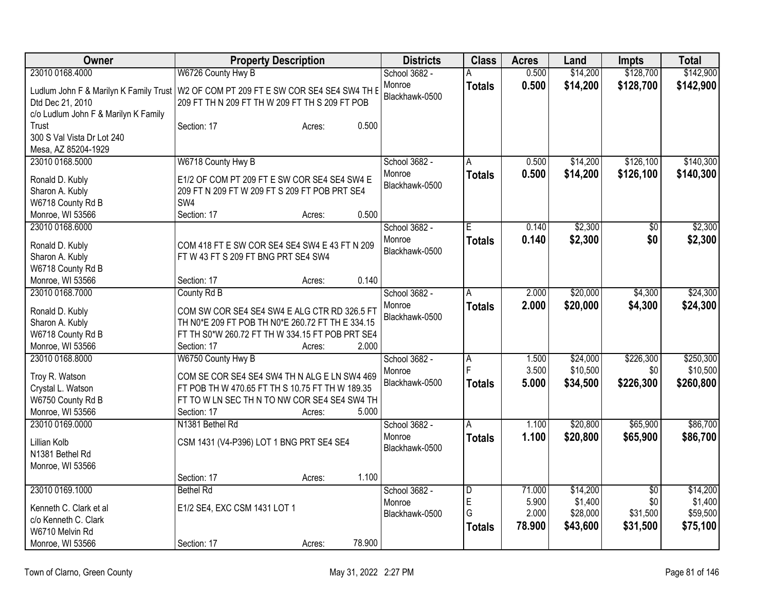| Owner                                | <b>Property Description</b>                                                            | <b>Districts</b> | <b>Class</b>   | <b>Acres</b> | Land     | <b>Impts</b>    | <b>Total</b> |
|--------------------------------------|----------------------------------------------------------------------------------------|------------------|----------------|--------------|----------|-----------------|--------------|
| 23010 0168.4000                      | W6726 County Hwy B                                                                     | School 3682 -    |                | 0.500        | \$14,200 | \$128,700       | \$142,900    |
|                                      | Ludlum John F & Marilyn K Family Trust   W2 OF COM PT 209 FT E SW COR SE4 SE4 SW4 TH E | Monroe           | <b>Totals</b>  | 0.500        | \$14,200 | \$128,700       | \$142,900    |
| Dtd Dec 21, 2010                     | 209 FT TH N 209 FT TH W 209 FT TH S 209 FT POB                                         | Blackhawk-0500   |                |              |          |                 |              |
| c/o Ludlum John F & Marilyn K Family |                                                                                        |                  |                |              |          |                 |              |
| Trust                                | Section: 17<br>Acres:                                                                  | 0.500            |                |              |          |                 |              |
| 300 S Val Vista Dr Lot 240           |                                                                                        |                  |                |              |          |                 |              |
| Mesa, AZ 85204-1929                  |                                                                                        |                  |                |              |          |                 |              |
| 23010 0168.5000                      | W6718 County Hwy B                                                                     | School 3682 -    | A              | 0.500        | \$14,200 | \$126,100       | \$140,300    |
| Ronald D. Kubly                      | E1/2 OF COM PT 209 FT E SW COR SE4 SE4 SW4 E                                           | Monroe           | <b>Totals</b>  | 0.500        | \$14,200 | \$126,100       | \$140,300    |
| Sharon A. Kubly                      | 209 FT N 209 FT W 209 FT S 209 FT POB PRT SE4                                          | Blackhawk-0500   |                |              |          |                 |              |
| W6718 County Rd B                    | SW <sub>4</sub>                                                                        |                  |                |              |          |                 |              |
| Monroe, WI 53566                     | Section: 17<br>Acres:                                                                  | 0.500            |                |              |          |                 |              |
| 23010 0168,6000                      |                                                                                        | School 3682 -    | E              | 0.140        | \$2,300  | $\sqrt{50}$     | \$2,300      |
| Ronald D. Kubly                      | COM 418 FT E SW COR SE4 SE4 SW4 E 43 FT N 209                                          | Monroe           | <b>Totals</b>  | 0.140        | \$2,300  | \$0             | \$2,300      |
| Sharon A. Kubly                      | FT W 43 FT S 209 FT BNG PRT SE4 SW4                                                    | Blackhawk-0500   |                |              |          |                 |              |
| W6718 County Rd B                    |                                                                                        |                  |                |              |          |                 |              |
| Monroe, WI 53566                     | Section: 17<br>Acres:                                                                  | 0.140            |                |              |          |                 |              |
| 23010 0168.7000                      | County Rd B                                                                            | School 3682 -    | Α              | 2.000        | \$20,000 | \$4,300         | \$24,300     |
| Ronald D. Kubly                      | COM SW COR SE4 SE4 SW4 E ALG CTR RD 326.5 FT                                           | Monroe           | <b>Totals</b>  | 2.000        | \$20,000 | \$4,300         | \$24,300     |
| Sharon A. Kubly                      | TH N0*E 209 FT POB TH N0*E 260.72 FT TH E 334.15                                       | Blackhawk-0500   |                |              |          |                 |              |
| W6718 County Rd B                    | FT TH S0*W 260.72 FT TH W 334.15 FT POB PRT SE4                                        |                  |                |              |          |                 |              |
| Monroe, WI 53566                     | Section: 17<br>Acres:                                                                  | 2.000            |                |              |          |                 |              |
| 23010 0168.8000                      | W6750 County Hwy B                                                                     | School 3682 -    | Α              | 1.500        | \$24,000 | \$226,300       | \$250,300    |
| Troy R. Watson                       | COM SE COR SE4 SE4 SW4 TH N ALG E LN SW4 469                                           | Monroe           | E              | 3.500        | \$10,500 | \$0             | \$10,500     |
| Crystal L. Watson                    | FT POB TH W 470.65 FT TH S 10.75 FT TH W 189.35                                        | Blackhawk-0500   | <b>Totals</b>  | 5.000        | \$34,500 | \$226,300       | \$260,800    |
| W6750 County Rd B                    | FT TO W LN SEC TH N TO NW COR SE4 SE4 SW4 TH                                           |                  |                |              |          |                 |              |
| Monroe, WI 53566                     | Section: 17<br>Acres:                                                                  | 5.000            |                |              |          |                 |              |
| 23010 0169.0000                      | N1381 Bethel Rd                                                                        | School 3682 -    | A              | 1.100        | \$20,800 | \$65,900        | \$86,700     |
| <b>Lillian Kolb</b>                  | CSM 1431 (V4-P396) LOT 1 BNG PRT SE4 SE4                                               | Monroe           | <b>Totals</b>  | 1.100        | \$20,800 | \$65,900        | \$86,700     |
| N1381 Bethel Rd                      |                                                                                        | Blackhawk-0500   |                |              |          |                 |              |
| Monroe, WI 53566                     |                                                                                        |                  |                |              |          |                 |              |
|                                      | Section: 17<br>Acres:                                                                  | 1.100            |                |              |          |                 |              |
| 23010 0169.1000                      | <b>Bethel Rd</b>                                                                       | School 3682 -    | $\overline{D}$ | 71.000       | \$14,200 | $\overline{50}$ | \$14,200     |
| Kenneth C. Clark et al               | E1/2 SE4, EXC CSM 1431 LOT 1                                                           | Monroe           | E              | 5.900        | \$1,400  | \$0             | \$1,400      |
| c/o Kenneth C. Clark                 |                                                                                        | Blackhawk-0500   | G              | 2.000        | \$28,000 | \$31,500        | \$59,500     |
| W6710 Melvin Rd                      |                                                                                        |                  | <b>Totals</b>  | 78.900       | \$43,600 | \$31,500        | \$75,100     |
| Monroe, WI 53566                     | Section: 17<br>Acres:                                                                  | 78.900           |                |              |          |                 |              |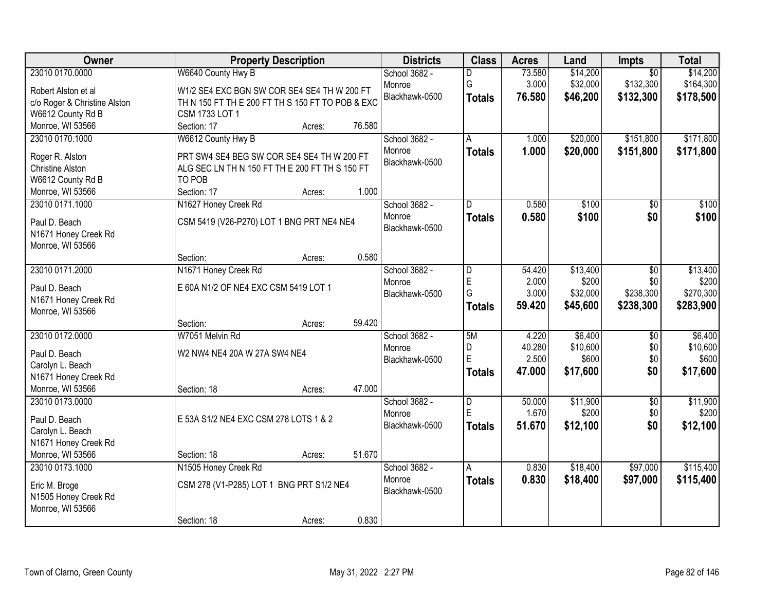| Owner                                    |                                                  | <b>Property Description</b> |        | <b>Districts</b> | <b>Class</b>  | <b>Acres</b> | Land     | Impts           | <b>Total</b> |
|------------------------------------------|--------------------------------------------------|-----------------------------|--------|------------------|---------------|--------------|----------|-----------------|--------------|
| 23010 0170.0000                          | W6640 County Hwy B                               |                             |        | School 3682 -    | D             | 73.580       | \$14,200 | $\overline{50}$ | \$14,200     |
| Robert Alston et al                      | W1/2 SE4 EXC BGN SW COR SE4 SE4 TH W 200 FT      |                             |        | Monroe           | G             | 3.000        | \$32,000 | \$132,300       | \$164,300    |
| c/o Roger & Christine Alston             | TH N 150 FT TH E 200 FT TH S 150 FT TO POB & EXC |                             |        | Blackhawk-0500   | <b>Totals</b> | 76.580       | \$46,200 | \$132,300       | \$178,500    |
| W6612 County Rd B                        | CSM 1733 LOT 1                                   |                             |        |                  |               |              |          |                 |              |
| Monroe, WI 53566                         | Section: 17                                      | Acres:                      | 76.580 |                  |               |              |          |                 |              |
| 23010 0170.1000                          | W6612 County Hwy B                               |                             |        | School 3682 -    | A             | 1.000        | \$20,000 | \$151,800       | \$171,800    |
|                                          |                                                  |                             |        | Monroe           | <b>Totals</b> | 1.000        | \$20,000 | \$151,800       | \$171,800    |
| Roger R. Alston                          | PRT SW4 SE4 BEG SW COR SE4 SE4 TH W 200 FT       |                             |        | Blackhawk-0500   |               |              |          |                 |              |
| <b>Christine Alston</b>                  | ALG SEC LN TH N 150 FT TH E 200 FT TH S 150 FT   |                             |        |                  |               |              |          |                 |              |
| W6612 County Rd B                        | TO POB                                           |                             |        |                  |               |              |          |                 |              |
| Monroe, WI 53566                         | Section: 17                                      | Acres:                      | 1.000  |                  |               |              |          |                 |              |
| 23010 0171.1000                          | N1627 Honey Creek Rd                             |                             |        | School 3682 -    | D             | 0.580        | \$100    | \$0             | \$100        |
| Paul D. Beach                            | CSM 5419 (V26-P270) LOT 1 BNG PRT NE4 NE4        |                             |        | Monroe           | <b>Totals</b> | 0.580        | \$100    | \$0             | \$100        |
| N1671 Honey Creek Rd                     |                                                  |                             |        | Blackhawk-0500   |               |              |          |                 |              |
| Monroe, WI 53566                         |                                                  |                             |        |                  |               |              |          |                 |              |
|                                          | Section:                                         | Acres:                      | 0.580  |                  |               |              |          |                 |              |
| 23010 0171.2000                          | N1671 Honey Creek Rd                             |                             |        | School 3682 -    | D             | 54.420       | \$13,400 | $\overline{50}$ | \$13,400     |
|                                          | E 60A N1/2 OF NE4 EXC CSM 5419 LOT 1             |                             |        | Monroe           | E             | 2.000        | \$200    | \$0             | \$200        |
| Paul D. Beach                            |                                                  |                             |        | Blackhawk-0500   | G             | 3.000        | \$32,000 | \$238,300       | \$270,300    |
| N1671 Honey Creek Rd<br>Monroe, WI 53566 |                                                  |                             |        |                  | <b>Totals</b> | 59.420       | \$45,600 | \$238,300       | \$283,900    |
|                                          | Section:                                         |                             | 59.420 |                  |               |              |          |                 |              |
| 23010 0172.0000                          | W7051 Melvin Rd                                  | Acres:                      |        | School 3682 -    | 5M            | 4.220        | \$6,400  | $\overline{50}$ | \$6,400      |
|                                          |                                                  |                             |        | Monroe           | D             | 40.280       | \$10,600 | \$0             | \$10,600     |
| Paul D. Beach                            | W2 NW4 NE4 20A W 27A SW4 NE4                     |                             |        | Blackhawk-0500   | E             | 2.500        | \$600    | \$0             | \$600        |
| Carolyn L. Beach                         |                                                  |                             |        |                  | <b>Totals</b> | 47.000       | \$17,600 | \$0             | \$17,600     |
| N1671 Honey Creek Rd                     |                                                  |                             |        |                  |               |              |          |                 |              |
| Monroe, WI 53566                         | Section: 18                                      | Acres:                      | 47.000 |                  |               |              |          |                 |              |
| 23010 0173.0000                          |                                                  |                             |        | School 3682 -    | D             | 50.000       | \$11,900 | $\overline{50}$ | \$11,900     |
| Paul D. Beach                            | E 53A S1/2 NE4 EXC CSM 278 LOTS 1 & 2            |                             |        | Monroe           | E             | 1.670        | \$200    | \$0             | \$200        |
| Carolyn L. Beach                         |                                                  |                             |        | Blackhawk-0500   | <b>Totals</b> | 51.670       | \$12,100 | \$0             | \$12,100     |
| N1671 Honey Creek Rd                     |                                                  |                             |        |                  |               |              |          |                 |              |
| Monroe, WI 53566                         | Section: 18                                      | Acres:                      | 51.670 |                  |               |              |          |                 |              |
| 23010 0173.1000                          | N1505 Honey Creek Rd                             |                             |        | School 3682 -    | A             | 0.830        | \$18,400 | \$97,000        | \$115,400    |
|                                          |                                                  |                             |        | Monroe           | <b>Totals</b> | 0.830        | \$18,400 | \$97,000        | \$115,400    |
| Eric M. Broge                            | CSM 278 (V1-P285) LOT 1 BNG PRT S1/2 NE4         |                             |        | Blackhawk-0500   |               |              |          |                 |              |
| N1505 Honey Creek Rd                     |                                                  |                             |        |                  |               |              |          |                 |              |
| Monroe, WI 53566                         |                                                  |                             |        |                  |               |              |          |                 |              |
|                                          | Section: 18                                      | Acres:                      | 0.830  |                  |               |              |          |                 |              |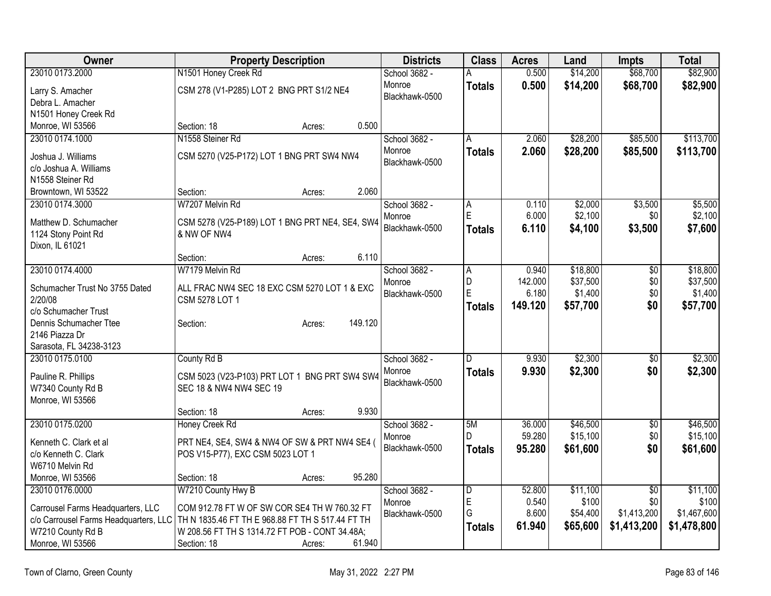| <b>Owner</b><br><b>Districts</b><br><b>Class</b><br><b>Property Description</b><br><b>Acres</b><br>Land<br>Impts                                                                                    | <b>Total</b> |
|-----------------------------------------------------------------------------------------------------------------------------------------------------------------------------------------------------|--------------|
| 0.500<br>\$14,200<br>\$68,700<br>23010 0173.2000<br>N1501 Honey Creek Rd<br>School 3682 -<br>А                                                                                                      | \$82,900     |
| 0.500<br>\$14,200<br>Monroe<br>\$68,700<br><b>Totals</b><br>CSM 278 (V1-P285) LOT 2 BNG PRT S1/2 NE4<br>Larry S. Amacher                                                                            | \$82,900     |
| Blackhawk-0500<br>Debra L. Amacher                                                                                                                                                                  |              |
| N1501 Honey Creek Rd                                                                                                                                                                                |              |
| Monroe, WI 53566<br>0.500<br>Section: 18<br>Acres:                                                                                                                                                  |              |
| 23010 0174.1000<br>N1558 Steiner Rd<br>School 3682 -<br>\$28,200<br>\$85,500<br>2.060<br>A                                                                                                          | \$113,700    |
| Monroe<br>\$28,200<br>\$85,500<br>2.060<br><b>Totals</b><br>CSM 5270 (V25-P172) LOT 1 BNG PRT SW4 NW4<br>Joshua J. Williams                                                                         | \$113,700    |
| Blackhawk-0500<br>c/o Joshua A. Williams                                                                                                                                                            |              |
| N1558 Steiner Rd                                                                                                                                                                                    |              |
| 2.060<br>Section:<br>Browntown, WI 53522<br>Acres:                                                                                                                                                  |              |
| School 3682 -<br>\$3,500<br>23010 0174.3000<br>W7207 Melvin Rd<br>0.110<br>\$2,000<br>Α                                                                                                             | \$5,500      |
| E<br>6.000<br>\$2,100<br>\$0<br>Monroe<br>Matthew D. Schumacher<br>CSM 5278 (V25-P189) LOT 1 BNG PRT NE4, SE4, SW4                                                                                  | \$2,100      |
| Blackhawk-0500<br><b>Totals</b><br>6.110<br>\$4,100<br>\$3,500<br>1124 Stony Point Rd<br>& NW OF NW4                                                                                                | \$7,600      |
| Dixon, IL 61021                                                                                                                                                                                     |              |
| 6.110<br>Section:<br>Acres:                                                                                                                                                                         |              |
| 23010 0174.4000<br>W7179 Melvin Rd<br>School 3682 -<br>\$18,800<br>0.940<br>\$0<br>A                                                                                                                | \$18,800     |
| D<br>142.000<br>\$37,500<br>\$0<br>Monroe                                                                                                                                                           | \$37,500     |
| Schumacher Trust No 3755 Dated<br>ALL FRAC NW4 SEC 18 EXC CSM 5270 LOT 1 & EXC<br>E<br>6.180<br>\$1,400<br>\$0<br>Blackhawk-0500<br>2/20/08<br>CSM 5278 LOT 1                                       | \$1,400      |
| \$0<br>149.120<br>\$57,700<br><b>Totals</b><br>c/o Schumacher Trust                                                                                                                                 | \$57,700     |
| 149.120<br>Dennis Schumacher Ttee<br>Section:<br>Acres:                                                                                                                                             |              |
| 2146 Piazza Dr                                                                                                                                                                                      |              |
| Sarasota, FL 34238-3123                                                                                                                                                                             |              |
| \$2,300<br>23010 0175.0100<br>County Rd B<br>School 3682 -<br>9.930<br>D<br>\$0                                                                                                                     | \$2,300      |
| \$2,300<br>\$0<br>Monroe<br>9.930<br><b>Totals</b><br>Pauline R. Phillips<br>CSM 5023 (V23-P103) PRT LOT 1 BNG PRT SW4 SW4                                                                          | \$2,300      |
| Blackhawk-0500<br>SEC 18 & NW4 NW4 SEC 19<br>W7340 County Rd B                                                                                                                                      |              |
| Monroe, WI 53566                                                                                                                                                                                    |              |
| 9.930<br>Section: 18<br>Acres:                                                                                                                                                                      |              |
| 23010 0175.0200<br>School 3682 -<br>\$46,500<br>Honey Creek Rd<br>5M<br>36.000<br>$\sqrt{6}$                                                                                                        | \$46,500     |
| D.<br>59.280<br>\$15,100<br>\$0<br>Monroe                                                                                                                                                           | \$15,100     |
| Kenneth C. Clark et al<br>PRT NE4, SE4, SW4 & NW4 OF SW & PRT NW4 SE4 (<br>Blackhawk-0500<br>95.280<br>\$61,600<br>\$0<br><b>Totals</b><br>c/o Kenneth C. Clark<br>POS V15-P77), EXC CSM 5023 LOT 1 | \$61,600     |
| W6710 Melvin Rd                                                                                                                                                                                     |              |
| 95.280<br>Monroe, WI 53566<br>Section: 18<br>Acres:                                                                                                                                                 |              |
| 23010 0176.0000<br>W7210 County Hwy B<br>School 3682 -<br>$\overline{\mathsf{D}}$<br>52.800<br>\$11,100<br>$\overline{50}$                                                                          | \$11,100     |
| E<br>0.540<br>\$100<br>\$0<br>Monroe                                                                                                                                                                | \$100        |
| COM 912.78 FT W OF SW COR SE4 TH W 760.32 FT<br>Carrousel Farms Headquarters, LLC<br>G<br>8.600<br>\$54,400<br>\$1,413,200<br>Blackhawk-0500<br>TH N 1835.46 FT TH E 968.88 FT TH S 517.44 FT TH    | \$1,467,600  |
| c/o Carrousel Farms Headquarters, LLC<br>\$65,600<br>61.940<br>\$1,413,200<br><b>Totals</b><br>W7210 County Rd B<br>W 208.56 FT TH S 1314.72 FT POB - CONT 34.48A;                                  | \$1,478,800  |
| Monroe, WI 53566<br>Section: 18<br>61.940<br>Acres:                                                                                                                                                 |              |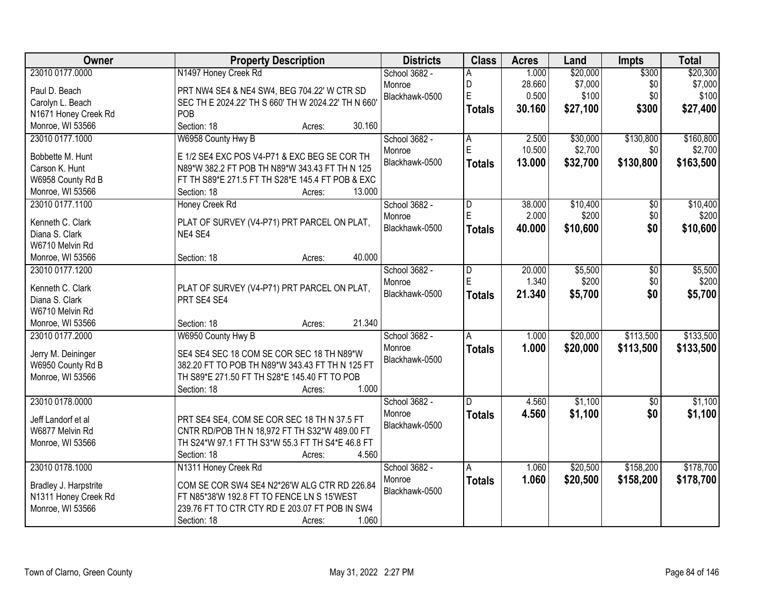| Owner                 | <b>Property Description</b>                         | <b>Districts</b> | <b>Class</b>  | <b>Acres</b> | Land     | <b>Impts</b> | <b>Total</b> |
|-----------------------|-----------------------------------------------------|------------------|---------------|--------------|----------|--------------|--------------|
| 23010 0177.0000       | N1497 Honey Creek Rd                                | School 3682 -    | А             | 1.000        | \$20,000 | \$300        | \$20,300     |
| Paul D. Beach         | PRT NW4 SE4 & NE4 SW4, BEG 704.22' W CTR SD         | Monroe           | D             | 28.660       | \$7,000  | \$0          | \$7,000      |
| Carolyn L. Beach      | SEC TH E 2024.22' TH S 660' TH W 2024.22' TH N 660' | Blackhawk-0500   | E             | 0.500        | \$100    | \$0          | \$100        |
| N1671 Honey Creek Rd  | POB                                                 |                  | <b>Totals</b> | 30.160       | \$27,100 | \$300        | \$27,400     |
| Monroe, WI 53566      | Section: 18<br>30.160<br>Acres:                     |                  |               |              |          |              |              |
| 23010 0177.1000       | W6958 County Hwy B                                  | School 3682 -    | Α             | 2.500        | \$30,000 | \$130,800    | \$160,800    |
|                       |                                                     | Monroe           | E             | 10.500       | \$2,700  | \$0          | \$2,700      |
| Bobbette M. Hunt      | E 1/2 SE4 EXC POS V4-P71 & EXC BEG SE COR TH        | Blackhawk-0500   | <b>Totals</b> | 13.000       | \$32,700 | \$130,800    | \$163,500    |
| Carson K. Hunt        | N89*W 382.2 FT POB TH N89*W 343.43 FT TH N 125      |                  |               |              |          |              |              |
| W6958 County Rd B     | FT TH S89*E 271.5 FT TH S28*E 145.4 FT POB & EXC    |                  |               |              |          |              |              |
| Monroe, WI 53566      | 13.000<br>Section: 18<br>Acres:                     |                  |               |              |          |              |              |
| 23010 0177.1100       | Honey Creek Rd                                      | School 3682 -    | D             | 38.000       | \$10,400 | \$0          | \$10,400     |
| Kenneth C. Clark      | PLAT OF SURVEY (V4-P71) PRT PARCEL ON PLAT,         | Monroe           | Ė             | 2.000        | \$200    | \$0          | \$200        |
| Diana S. Clark        | NE4 SE4                                             | Blackhawk-0500   | <b>Totals</b> | 40.000       | \$10,600 | \$0          | \$10,600     |
| W6710 Melvin Rd       |                                                     |                  |               |              |          |              |              |
| Monroe, WI 53566      | 40.000<br>Section: 18<br>Acres:                     |                  |               |              |          |              |              |
| 23010 0177.1200       |                                                     | School 3682 -    | D             | 20.000       | \$5,500  | \$0          | \$5,500      |
|                       |                                                     | Monroe           | E             | 1.340        | \$200    | \$0          | \$200        |
| Kenneth C. Clark      | PLAT OF SURVEY (V4-P71) PRT PARCEL ON PLAT,         | Blackhawk-0500   | <b>Totals</b> | 21.340       | \$5,700  | \$0          | \$5,700      |
| Diana S. Clark        | PRT SE4 SE4                                         |                  |               |              |          |              |              |
| W6710 Melvin Rd       |                                                     |                  |               |              |          |              |              |
| Monroe, WI 53566      | 21.340<br>Section: 18<br>Acres:                     |                  |               |              |          |              |              |
| 23010 0177.2000       | W6950 County Hwy B                                  | School 3682 -    | A             | 1.000        | \$20,000 | \$113,500    | \$133,500    |
| Jerry M. Deininger    | SE4 SE4 SEC 18 COM SE COR SEC 18 TH N89*W           | Monroe           | <b>Totals</b> | 1.000        | \$20,000 | \$113,500    | \$133,500    |
| W6950 County Rd B     | 382.20 FT TO POB TH N89*W 343.43 FT TH N 125 FT     | Blackhawk-0500   |               |              |          |              |              |
| Monroe, WI 53566      | TH S89*E 271.50 FT TH S28*E 145.40 FT TO POB        |                  |               |              |          |              |              |
|                       | 1.000<br>Section: 18<br>Acres:                      |                  |               |              |          |              |              |
| 23010 0178.0000       |                                                     | School 3682 -    | D.            | 4.560        | \$1,100  | $\sqrt{6}$   | \$1,100      |
|                       |                                                     | Monroe           | <b>Totals</b> | 4.560        | \$1,100  | \$0          | \$1,100      |
| Jeff Landorf et al    | PRT SE4 SE4, COM SE COR SEC 18 TH N 37.5 FT         | Blackhawk-0500   |               |              |          |              |              |
| W6877 Melvin Rd       | CNTR RD/POB TH N 18,972 FT TH S32*W 489.00 FT       |                  |               |              |          |              |              |
| Monroe, WI 53566      | TH S24*W 97.1 FT TH S3*W 55.3 FT TH S4*E 46.8 FT    |                  |               |              |          |              |              |
|                       | 4.560<br>Section: 18<br>Acres:                      |                  |               |              |          |              |              |
| 23010 0178.1000       | N1311 Honey Creek Rd                                | School 3682 -    | Α             | 1.060        | \$20,500 | \$158,200    | \$178,700    |
| Bradley J. Harpstrite | COM SE COR SW4 SE4 N2*26'W ALG CTR RD 226.84        | Monroe           | <b>Totals</b> | 1.060        | \$20,500 | \$158,200    | \$178,700    |
| N1311 Honey Creek Rd  | FT N85*38'W 192.8 FT TO FENCE LN S 15'WEST          | Blackhawk-0500   |               |              |          |              |              |
| Monroe, WI 53566      | 239.76 FT TO CTR CTY RD E 203.07 FT POB IN SW4      |                  |               |              |          |              |              |
|                       | 1.060<br>Section: 18<br>Acres:                      |                  |               |              |          |              |              |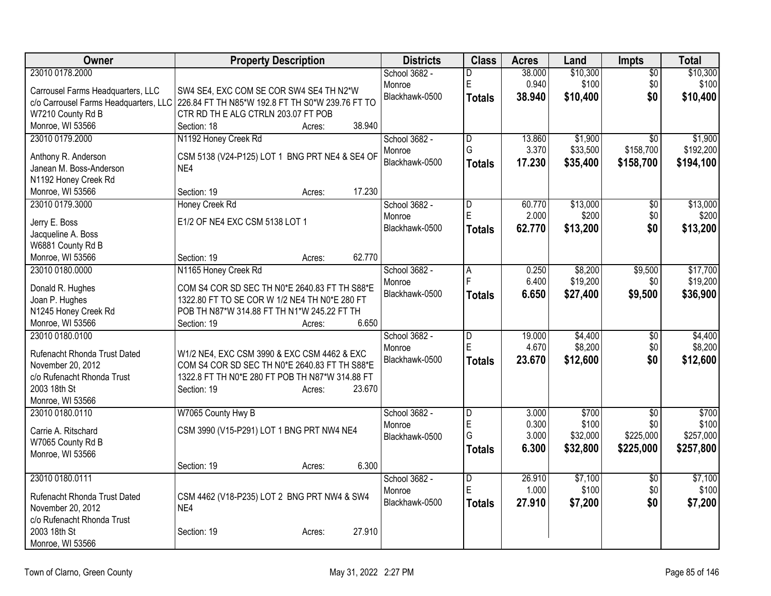| Owner                                           | <b>Property Description</b>                                                                      | <b>Districts</b> | <b>Class</b>            | <b>Acres</b> | Land     | <b>Impts</b>    | <b>Total</b> |
|-------------------------------------------------|--------------------------------------------------------------------------------------------------|------------------|-------------------------|--------------|----------|-----------------|--------------|
| 23010 0178.2000                                 |                                                                                                  | School 3682 -    | D                       | 38.000       | \$10,300 | $\overline{50}$ | \$10,300     |
| Carrousel Farms Headquarters, LLC               | SW4 SE4, EXC COM SE COR SW4 SE4 TH N2*W                                                          | Monroe           | $\mathsf E$             | 0.940        | \$100    | \$0             | \$100        |
| c/o Carrousel Farms Headquarters, LLC           | 226.84 FT TH N85*W 192.8 FT TH S0*W 239.76 FT TO                                                 | Blackhawk-0500   | Totals                  | 38.940       | \$10,400 | \$0             | \$10,400     |
| W7210 County Rd B                               | CTR RD TH E ALG CTRLN 203.07 FT POB                                                              |                  |                         |              |          |                 |              |
| Monroe, WI 53566                                | 38.940<br>Section: 18<br>Acres:                                                                  |                  |                         |              |          |                 |              |
| 23010 0179.2000                                 | N1192 Honey Creek Rd                                                                             | School 3682 -    | D                       | 13.860       | \$1,900  | $\overline{30}$ | \$1,900      |
| Anthony R. Anderson                             | CSM 5138 (V24-P125) LOT 1 BNG PRT NE4 & SE4 OF                                                   | Monroe           | G                       | 3.370        | \$33,500 | \$158,700       | \$192,200    |
| Janean M. Boss-Anderson                         | NE4                                                                                              | Blackhawk-0500   | Totals                  | 17.230       | \$35,400 | \$158,700       | \$194,100    |
| N1192 Honey Creek Rd                            |                                                                                                  |                  |                         |              |          |                 |              |
| Monroe, WI 53566                                | 17.230<br>Section: 19<br>Acres:                                                                  |                  |                         |              |          |                 |              |
| 23010 0179.3000                                 | Honey Creek Rd                                                                                   | School 3682 -    | D                       | 60.770       | \$13,000 | \$0             | \$13,000     |
| Jerry E. Boss                                   | E1/2 OF NE4 EXC CSM 5138 LOT 1                                                                   | Monroe           | E                       | 2.000        | \$200    | \$0             | \$200        |
| Jacqueline A. Boss                              |                                                                                                  | Blackhawk-0500   | Totals                  | 62.770       | \$13,200 | \$0             | \$13,200     |
| W6881 County Rd B                               |                                                                                                  |                  |                         |              |          |                 |              |
| Monroe, WI 53566                                | 62.770<br>Section: 19<br>Acres:                                                                  |                  |                         |              |          |                 |              |
| 23010 0180.0000                                 | N1165 Honey Creek Rd                                                                             | School 3682 -    | $\overline{A}$          | 0.250        | \$8,200  | \$9,500         | \$17,700     |
|                                                 |                                                                                                  | Monroe           | E                       | 6.400        | \$19,200 | \$0             | \$19,200     |
| Donald R. Hughes<br>Joan P. Hughes              | COM S4 COR SD SEC TH N0*E 2640.83 FT TH S88*E<br>1322.80 FT TO SE COR W 1/2 NE4 TH N0*E 280 FT   | Blackhawk-0500   | <b>Totals</b>           | 6.650        | \$27,400 | \$9,500         | \$36,900     |
| N1245 Honey Creek Rd                            | POB TH N87*W 314.88 FT TH N1*W 245.22 FT TH                                                      |                  |                         |              |          |                 |              |
| Monroe, WI 53566                                | 6.650<br>Section: 19<br>Acres:                                                                   |                  |                         |              |          |                 |              |
| 23010 0180.0100                                 |                                                                                                  | School 3682 -    | $\overline{D}$          | 19.000       | \$4,400  | $\overline{30}$ | \$4,400      |
|                                                 |                                                                                                  | Monroe           | E                       | 4.670        | \$8,200  | \$0             | \$8,200      |
| Rufenacht Rhonda Trust Dated                    | W1/2 NE4, EXC CSM 3990 & EXC CSM 4462 & EXC                                                      | Blackhawk-0500   | <b>Totals</b>           | 23.670       | \$12,600 | \$0             | \$12,600     |
| November 20, 2012<br>c/o Rufenacht Rhonda Trust | COM S4 COR SD SEC TH N0*E 2640.83 FT TH S88*E<br>1322.8 FT TH N0*E 280 FT POB TH N87*W 314.88 FT |                  |                         |              |          |                 |              |
| 2003 18th St                                    | Section: 19<br>23.670<br>Acres:                                                                  |                  |                         |              |          |                 |              |
| Monroe, WI 53566                                |                                                                                                  |                  |                         |              |          |                 |              |
| 23010 0180.0110                                 | W7065 County Hwy B                                                                               | School 3682 -    | $\overline{\mathsf{D}}$ | 3.000        | \$700    | $\overline{50}$ | \$700        |
|                                                 |                                                                                                  | Monroe           | E                       | 0.300        | \$100    | \$0             | \$100        |
| Carrie A. Ritschard                             | CSM 3990 (V15-P291) LOT 1 BNG PRT NW4 NE4                                                        | Blackhawk-0500   | G                       | 3.000        | \$32,000 | \$225,000       | \$257,000    |
| W7065 County Rd B                               |                                                                                                  |                  | <b>Totals</b>           | 6.300        | \$32,800 | \$225,000       | \$257,800    |
| Monroe, WI 53566                                | 6.300<br>Section: 19<br>Acres:                                                                   |                  |                         |              |          |                 |              |
| 23010 0180.0111                                 |                                                                                                  | School 3682 -    | $\overline{D}$          | 26.910       | \$7,100  | $\overline{50}$ | \$7,100      |
|                                                 |                                                                                                  | Monroe           | $\overline{E}$          | 1.000        | \$100    | \$0             | \$100        |
| Rufenacht Rhonda Trust Dated                    | CSM 4462 (V18-P235) LOT 2 BNG PRT NW4 & SW4                                                      | Blackhawk-0500   | Totals                  | 27.910       | \$7,200  | \$0             | \$7,200      |
| November 20, 2012                               | NE4                                                                                              |                  |                         |              |          |                 |              |
| c/o Rufenacht Rhonda Trust                      |                                                                                                  |                  |                         |              |          |                 |              |
| 2003 18th St                                    | 27.910<br>Section: 19<br>Acres:                                                                  |                  |                         |              |          |                 |              |
| Monroe, WI 53566                                |                                                                                                  |                  |                         |              |          |                 |              |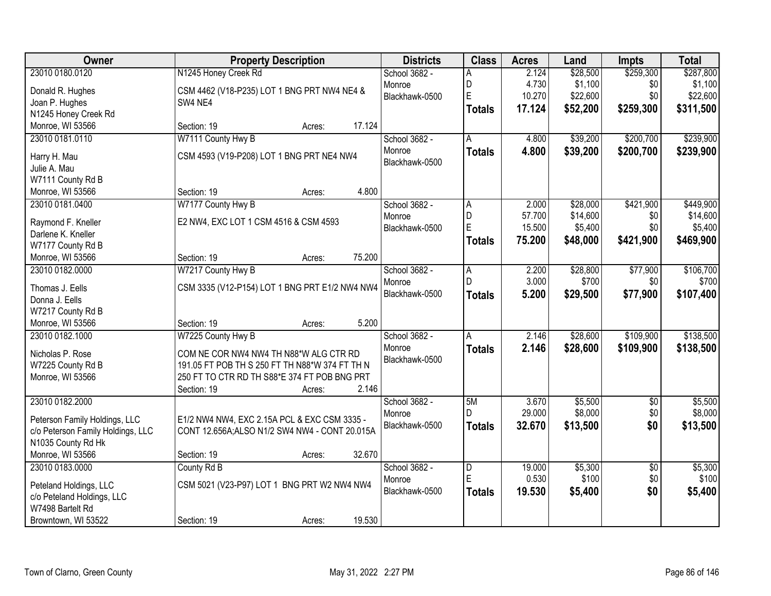| <b>Owner</b>                          | <b>Property Description</b>                    | <b>Districts</b> | <b>Class</b>   | <b>Acres</b> | Land     | <b>Impts</b>    | <b>Total</b> |
|---------------------------------------|------------------------------------------------|------------------|----------------|--------------|----------|-----------------|--------------|
| 23010 0180.0120                       | N1245 Honey Creek Rd                           | School 3682 -    | Α              | 2.124        | \$28,500 | \$259,300       | \$287,800    |
| Donald R. Hughes                      | CSM 4462 (V18-P235) LOT 1 BNG PRT NW4 NE4 &    | Monroe           | D              | 4.730        | \$1,100  | \$0             | \$1,100      |
| Joan P. Hughes                        | SW4 NE4                                        | Blackhawk-0500   | E              | 10.270       | \$22,600 | \$0             | \$22,600     |
| N1245 Honey Creek Rd                  |                                                |                  | <b>Totals</b>  | 17.124       | \$52,200 | \$259,300       | \$311,500    |
| Monroe, WI 53566                      | 17.124<br>Section: 19<br>Acres:                |                  |                |              |          |                 |              |
| 23010 0181.0110                       | W7111 County Hwy B                             | School 3682 -    | A              | 4.800        | \$39,200 | \$200,700       | \$239,900    |
| Harry H. Mau                          | CSM 4593 (V19-P208) LOT 1 BNG PRT NE4 NW4      | Monroe           | <b>Totals</b>  | 4.800        | \$39,200 | \$200,700       | \$239,900    |
| Julie A. Mau                          |                                                | Blackhawk-0500   |                |              |          |                 |              |
| W7111 County Rd B                     |                                                |                  |                |              |          |                 |              |
| Monroe, WI 53566                      | 4.800<br>Section: 19<br>Acres:                 |                  |                |              |          |                 |              |
| 23010 0181.0400                       | W7177 County Hwy B                             | School 3682 -    | A              | 2.000        | \$28,000 | \$421,900       | \$449,900    |
|                                       |                                                | Monroe           | D              | 57.700       | \$14,600 | \$0             | \$14,600     |
| Raymond F. Kneller                    | E2 NW4, EXC LOT 1 CSM 4516 & CSM 4593          | Blackhawk-0500   | E              | 15.500       | \$5,400  | \$0             | \$5,400      |
| Darlene K. Kneller                    |                                                |                  | <b>Totals</b>  | 75.200       | \$48,000 | \$421,900       | \$469,900    |
| W7177 County Rd B<br>Monroe, WI 53566 | 75.200<br>Section: 19<br>Acres:                |                  |                |              |          |                 |              |
| 23010 0182.0000                       | W7217 County Hwy B                             | School 3682 -    | A              | 2.200        | \$28,800 | \$77,900        | \$106,700    |
|                                       |                                                | Monroe           | D              | 3.000        | \$700    | \$0             | \$700        |
| Thomas J. Eells                       | CSM 3335 (V12-P154) LOT 1 BNG PRT E1/2 NW4 NW4 | Blackhawk-0500   | <b>Totals</b>  | 5.200        | \$29,500 | \$77,900        | \$107,400    |
| Donna J. Eells                        |                                                |                  |                |              |          |                 |              |
| W7217 County Rd B                     |                                                |                  |                |              |          |                 |              |
| Monroe, WI 53566                      | 5.200<br>Section: 19<br>Acres:                 |                  |                |              |          |                 |              |
| 23010 0182.1000                       | W7225 County Hwy B                             | School 3682 -    | Α              | 2.146        | \$28,600 | \$109,900       | \$138,500    |
| Nicholas P. Rose                      | COM NE COR NW4 NW4 TH N88*W ALG CTR RD         | Monroe           | <b>Totals</b>  | 2.146        | \$28,600 | \$109,900       | \$138,500    |
| W7225 County Rd B                     | 191.05 FT POB TH S 250 FT TH N88*W 374 FT TH N | Blackhawk-0500   |                |              |          |                 |              |
| Monroe, WI 53566                      | 250 FT TO CTR RD TH S88*E 374 FT POB BNG PRT   |                  |                |              |          |                 |              |
|                                       | 2.146<br>Section: 19<br>Acres:                 |                  |                |              |          |                 |              |
| 23010 0182.2000                       |                                                | School 3682 -    | 5M             | 3.670        | \$5,500  | $\sqrt{6}$      | \$5,500      |
| Peterson Family Holdings, LLC         | E1/2 NW4 NW4, EXC 2.15A PCL & EXC CSM 3335 -   | Monroe           | D.             | 29.000       | \$8,000  | \$0             | \$8,000      |
| c/o Peterson Family Holdings, LLC     | CONT 12.656A;ALSO N1/2 SW4 NW4 - CONT 20.015A  | Blackhawk-0500   | <b>Totals</b>  | 32.670       | \$13,500 | \$0             | \$13,500     |
| N1035 County Rd Hk                    |                                                |                  |                |              |          |                 |              |
| Monroe, WI 53566                      | 32.670<br>Section: 19<br>Acres:                |                  |                |              |          |                 |              |
| 23010 0183.0000                       | County Rd B                                    | School 3682 -    | $\overline{D}$ | 19.000       | \$5,300  | $\overline{50}$ | \$5,300      |
| Peteland Holdings, LLC                | CSM 5021 (V23-P97) LOT 1 BNG PRT W2 NW4 NW4    | Monroe           | E              | 0.530        | \$100    | \$0             | \$100        |
| c/o Peteland Holdings, LLC            |                                                | Blackhawk-0500   | <b>Totals</b>  | 19.530       | \$5,400  | \$0             | \$5,400      |
| W7498 Bartelt Rd                      |                                                |                  |                |              |          |                 |              |
| Browntown, WI 53522                   | 19.530<br>Section: 19<br>Acres:                |                  |                |              |          |                 |              |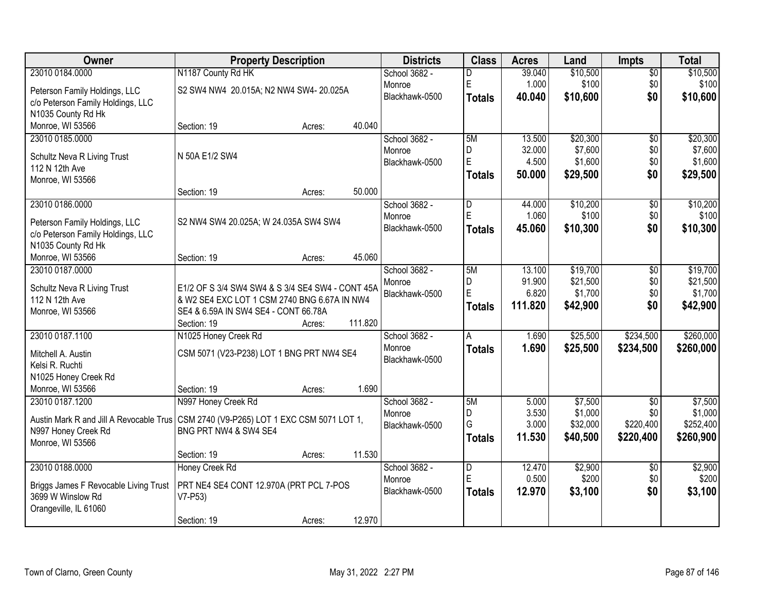| Owner                                                                                                       | <b>Property Description</b>                         |        |         | <b>Districts</b> | <b>Class</b>            | <b>Acres</b> | Land     | <b>Impts</b>    | <b>Total</b> |
|-------------------------------------------------------------------------------------------------------------|-----------------------------------------------------|--------|---------|------------------|-------------------------|--------------|----------|-----------------|--------------|
| 23010 0184.0000                                                                                             | N1187 County Rd HK                                  |        |         | School 3682 -    | D                       | 39.040       | \$10,500 | $\overline{50}$ | \$10,500     |
| Peterson Family Holdings, LLC                                                                               | S2 SW4 NW4 20.015A; N2 NW4 SW4-20.025A              |        |         | Monroe           | E                       | 1.000        | \$100    | \$0             | \$100        |
| c/o Peterson Family Holdings, LLC                                                                           |                                                     |        |         | Blackhawk-0500   | <b>Totals</b>           | 40.040       | \$10,600 | \$0             | \$10,600     |
| N1035 County Rd Hk                                                                                          |                                                     |        |         |                  |                         |              |          |                 |              |
| Monroe, WI 53566                                                                                            | Section: 19                                         | Acres: | 40.040  |                  |                         |              |          |                 |              |
| 23010 0185.0000                                                                                             |                                                     |        |         | School 3682 -    | 5M                      | 13.500       | \$20,300 | $\overline{50}$ | \$20,300     |
| Schultz Neva R Living Trust                                                                                 | N 50A E1/2 SW4                                      |        |         | Monroe           | D                       | 32.000       | \$7,600  | \$0             | \$7,600      |
| 112 N 12th Ave                                                                                              |                                                     |        |         | Blackhawk-0500   | $\mathsf E$             | 4.500        | \$1,600  | \$0             | \$1,600      |
| Monroe, WI 53566                                                                                            |                                                     |        |         |                  | <b>Totals</b>           | 50.000       | \$29,500 | \$0             | \$29,500     |
|                                                                                                             | Section: 19                                         | Acres: | 50.000  |                  |                         |              |          |                 |              |
| 23010 0186.0000                                                                                             |                                                     |        |         | School 3682 -    | D                       | 44.000       | \$10,200 | \$0             | \$10,200     |
| Peterson Family Holdings, LLC                                                                               | S2 NW4 SW4 20.025A; W 24.035A SW4 SW4               |        |         | Monroe           | E                       | 1.060        | \$100    | \$0             | \$100        |
| c/o Peterson Family Holdings, LLC                                                                           |                                                     |        |         | Blackhawk-0500   | <b>Totals</b>           | 45.060       | \$10,300 | \$0             | \$10,300     |
| N1035 County Rd Hk                                                                                          |                                                     |        |         |                  |                         |              |          |                 |              |
| Monroe, WI 53566                                                                                            | Section: 19                                         | Acres: | 45.060  |                  |                         |              |          |                 |              |
| 23010 0187.0000                                                                                             |                                                     |        |         | School 3682 -    | 5M                      | 13.100       | \$19,700 | $\sqrt[6]{}$    | \$19,700     |
| Schultz Neva R Living Trust                                                                                 | E1/2 OF S 3/4 SW4 SW4 & S 3/4 SE4 SW4 - CONT 45A    |        |         | Monroe           | D                       | 91.900       | \$21,500 | \$0             | \$21,500     |
| 112 N 12th Ave                                                                                              | & W2 SE4 EXC LOT 1 CSM 2740 BNG 6.67A IN NW4        |        |         | Blackhawk-0500   | E                       | 6.820        | \$1,700  | \$0             | \$1,700      |
| Monroe, WI 53566                                                                                            | SE4 & 6.59A IN SW4 SE4 - CONT 66.78A                |        |         |                  | Totals                  | 111.820      | \$42,900 | \$0             | \$42,900     |
|                                                                                                             | Section: 19                                         | Acres: | 111.820 |                  |                         |              |          |                 |              |
| 23010 0187.1100                                                                                             | N1025 Honey Creek Rd                                |        |         | School 3682 -    | $\overline{A}$          | 1.690        | \$25,500 | \$234,500       | \$260,000    |
| Mitchell A. Austin                                                                                          | CSM 5071 (V23-P238) LOT 1 BNG PRT NW4 SE4           |        |         | Monroe           | <b>Totals</b>           | 1.690        | \$25,500 | \$234,500       | \$260,000    |
| Kelsi R. Ruchti                                                                                             |                                                     |        |         | Blackhawk-0500   |                         |              |          |                 |              |
| N1025 Honey Creek Rd                                                                                        |                                                     |        |         |                  |                         |              |          |                 |              |
| Monroe, WI 53566                                                                                            | Section: 19                                         | Acres: | 1.690   |                  |                         |              |          |                 |              |
| 23010 0187.1200                                                                                             | N997 Honey Creek Rd                                 |        |         | School 3682 -    | 5M                      | 5.000        | \$7,500  | $\overline{50}$ | \$7,500      |
|                                                                                                             |                                                     |        |         | Monroe           | D                       | 3.530        | \$1,000  | \$0             | \$1,000      |
| Austin Mark R and Jill A Revocable Trus CSM 2740 (V9-P265) LOT 1 EXC CSM 5071 LOT 1,<br>N997 Honey Creek Rd | BNG PRT NW4 & SW4 SE4                               |        |         | Blackhawk-0500   | G                       | 3.000        | \$32,000 | \$220,400       | \$252,400    |
| Monroe, WI 53566                                                                                            |                                                     |        |         |                  | <b>Totals</b>           | 11.530       | \$40,500 | \$220,400       | \$260,900    |
|                                                                                                             | Section: 19                                         | Acres: | 11.530  |                  |                         |              |          |                 |              |
| 23010 0188.0000                                                                                             | Honey Creek Rd                                      |        |         | School 3682 -    | $\overline{\mathsf{D}}$ | 12.470       | \$2,900  | $\overline{50}$ | \$2,900      |
|                                                                                                             |                                                     |        |         | Monroe           | ΙE                      | 0.500        | \$200    | \$0             | \$200        |
| Briggs James F Revocable Living Trust<br>3699 W Winslow Rd                                                  | PRT NE4 SE4 CONT 12.970A (PRT PCL 7-POS<br>$V7-P53$ |        |         | Blackhawk-0500   | <b>Totals</b>           | 12.970       | \$3,100  | \$0             | \$3,100      |
| Orangeville, IL 61060                                                                                       |                                                     |        |         |                  |                         |              |          |                 |              |
|                                                                                                             | Section: 19                                         | Acres: | 12.970  |                  |                         |              |          |                 |              |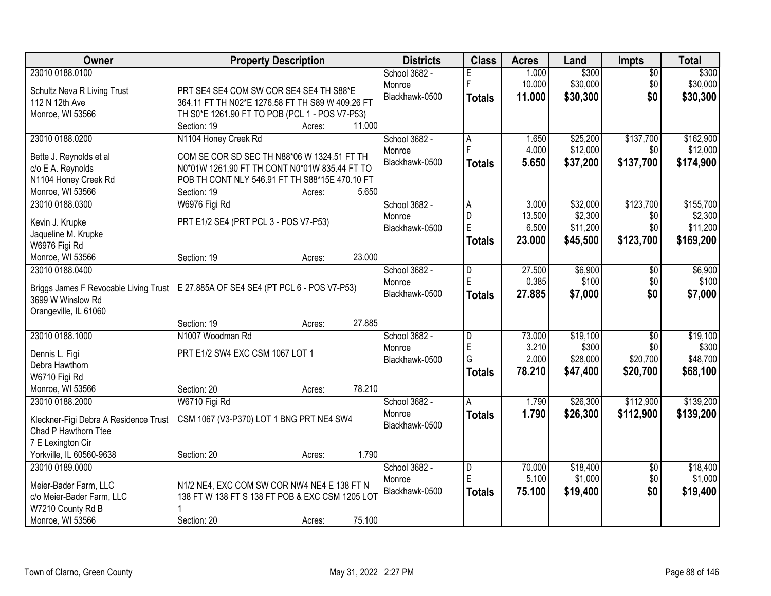| Owner                                                      | <b>Property Description</b>                                                                     | <b>Districts</b> | <b>Class</b>            | <b>Acres</b> | Land     | Impts           | <b>Total</b> |
|------------------------------------------------------------|-------------------------------------------------------------------------------------------------|------------------|-------------------------|--------------|----------|-----------------|--------------|
| 23010 0188.0100                                            |                                                                                                 | School 3682 -    | E                       | 1.000        | \$300    | $\overline{50}$ | \$300        |
| Schultz Neva R Living Trust                                | PRT SE4 SE4 COM SW COR SE4 SE4 TH S88*E                                                         | Monroe           | F                       | 10.000       | \$30,000 | \$0             | \$30,000     |
| 112 N 12th Ave                                             | 364.11 FT TH N02*E 1276.58 FT TH S89 W 409.26 FT                                                | Blackhawk-0500   | <b>Totals</b>           | 11.000       | \$30,300 | \$0             | \$30,300     |
| Monroe, WI 53566                                           | TH S0*E 1261.90 FT TO POB (PCL 1 - POS V7-P53)                                                  |                  |                         |              |          |                 |              |
|                                                            | 11.000<br>Section: 19<br>Acres:                                                                 |                  |                         |              |          |                 |              |
| 23010 0188.0200                                            | N1104 Honey Creek Rd                                                                            | School 3682 -    | $\overline{A}$          | 1.650        | \$25,200 | \$137,700       | \$162,900    |
|                                                            |                                                                                                 | Monroe           |                         | 4.000        | \$12,000 | \$0             | \$12,000     |
| Bette J. Reynolds et al                                    | COM SE COR SD SEC TH N88*06 W 1324.51 FT TH                                                     | Blackhawk-0500   | <b>Totals</b>           | 5.650        | \$37,200 | \$137,700       | \$174,900    |
| c/o E A. Reynolds                                          | N0*01W 1261.90 FT TH CONT N0*01W 835.44 FT TO<br>POB TH CONT NLY 546.91 FT TH S88*15E 470.10 FT |                  |                         |              |          |                 |              |
| N1104 Honey Creek Rd<br>Monroe, WI 53566                   | 5.650<br>Section: 19                                                                            |                  |                         |              |          |                 |              |
| 23010 0188.0300                                            | Acres:                                                                                          | School 3682 -    |                         | 3.000        | \$32,000 | \$123,700       | \$155,700    |
|                                                            | W6976 Figi Rd                                                                                   | Monroe           | A<br>D                  | 13.500       | \$2,300  | \$0             | \$2,300      |
| Kevin J. Krupke                                            | PRT E1/2 SE4 (PRT PCL 3 - POS V7-P53)                                                           | Blackhawk-0500   | E                       | 6.500        | \$11,200 | \$0             | \$11,200     |
| Jaqueline M. Krupke                                        |                                                                                                 |                  |                         | 23.000       |          |                 |              |
| W6976 Figi Rd                                              |                                                                                                 |                  | <b>Totals</b>           |              | \$45,500 | \$123,700       | \$169,200    |
| Monroe, WI 53566                                           | 23.000<br>Section: 19<br>Acres:                                                                 |                  |                         |              |          |                 |              |
| 23010 0188,0400                                            |                                                                                                 | School 3682 -    | D                       | 27.500       | \$6,900  | $\sqrt[6]{3}$   | \$6,900      |
|                                                            |                                                                                                 | Monroe           | E                       | 0.385        | \$100    | \$0             | \$100        |
| Briggs James F Revocable Living Trust<br>3699 W Winslow Rd | E 27.885A OF SE4 SE4 (PT PCL 6 - POS V7-P53)                                                    | Blackhawk-0500   | <b>Totals</b>           | 27.885       | \$7,000  | \$0             | \$7,000      |
| Orangeville, IL 61060                                      |                                                                                                 |                  |                         |              |          |                 |              |
|                                                            | 27.885<br>Section: 19<br>Acres:                                                                 |                  |                         |              |          |                 |              |
| 23010 0188.1000                                            | N1007 Woodman Rd                                                                                | School 3682 -    | $\overline{\mathsf{D}}$ | 73.000       | \$19,100 | $\overline{50}$ | \$19,100     |
|                                                            |                                                                                                 | Monroe           | E                       | 3.210        | \$300    | \$0             | \$300        |
| Dennis L. Figi                                             | PRT E1/2 SW4 EXC CSM 1067 LOT 1                                                                 | Blackhawk-0500   | G                       | 2.000        | \$28,000 | \$20,700        | \$48,700     |
| Debra Hawthorn                                             |                                                                                                 |                  | <b>Totals</b>           | 78.210       | \$47,400 | \$20,700        | \$68,100     |
| W6710 Figi Rd                                              |                                                                                                 |                  |                         |              |          |                 |              |
| Monroe, WI 53566                                           | 78.210<br>Section: 20<br>Acres:                                                                 |                  |                         |              |          |                 |              |
| 23010 0188.2000                                            | W6710 Figi Rd                                                                                   | School 3682 -    | A                       | 1.790        | \$26,300 | \$112,900       | \$139,200    |
| Kleckner-Figi Debra A Residence Trust                      | CSM 1067 (V3-P370) LOT 1 BNG PRT NE4 SW4                                                        | Monroe           | <b>Totals</b>           | 1.790        | \$26,300 | \$112,900       | \$139,200    |
| Chad P Hawthorn Ttee                                       |                                                                                                 | Blackhawk-0500   |                         |              |          |                 |              |
| 7 E Lexington Cir                                          |                                                                                                 |                  |                         |              |          |                 |              |
| Yorkville, IL 60560-9638                                   | 1.790<br>Section: 20<br>Acres:                                                                  |                  |                         |              |          |                 |              |
| 23010 0189.0000                                            |                                                                                                 | School 3682 -    | $\overline{D}$          | 70.000       | \$18,400 | $\overline{50}$ | \$18,400     |
|                                                            |                                                                                                 | Monroe           | E                       | 5.100        | \$1,000  | \$0             | \$1,000      |
| Meier-Bader Farm, LLC                                      | N1/2 NE4, EXC COM SW COR NW4 NE4 E 138 FT N                                                     | Blackhawk-0500   | <b>Totals</b>           | 75.100       | \$19,400 | \$0             | \$19,400     |
| c/o Meier-Bader Farm, LLC                                  | 138 FT W 138 FT S 138 FT POB & EXC CSM 1205 LOT                                                 |                  |                         |              |          |                 |              |
| W7210 County Rd B                                          |                                                                                                 |                  |                         |              |          |                 |              |
| Monroe, WI 53566                                           | Section: 20<br>75.100<br>Acres:                                                                 |                  |                         |              |          |                 |              |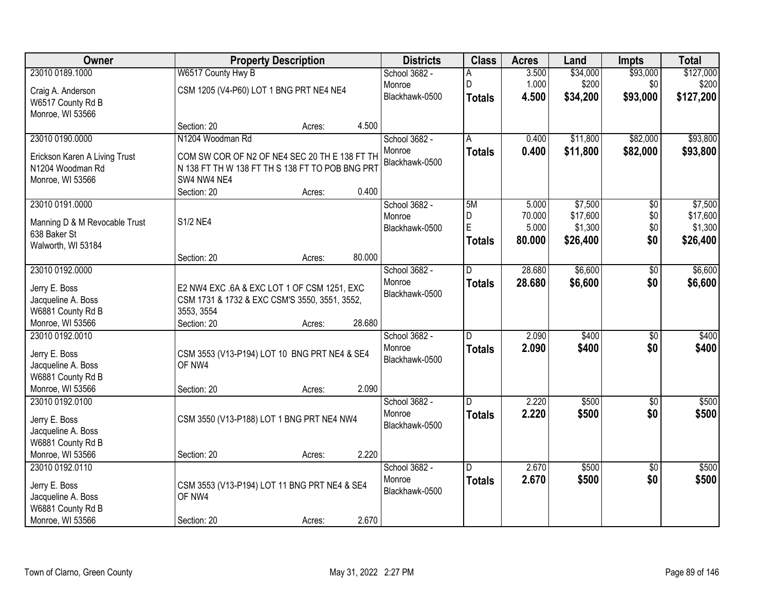| Owner                               |                                                        | <b>Property Description</b> |        | <b>Districts</b> | <b>Class</b>  | <b>Acres</b> | Land     | <b>Impts</b>    | <b>Total</b> |
|-------------------------------------|--------------------------------------------------------|-----------------------------|--------|------------------|---------------|--------------|----------|-----------------|--------------|
| 23010 0189.1000                     | W6517 County Hwy B                                     |                             |        | School 3682 -    | А             | 3.500        | \$34,000 | \$93,000        | \$127,000    |
| Craig A. Anderson                   | CSM 1205 (V4-P60) LOT 1 BNG PRT NE4 NE4                |                             |        | Monroe           | D             | 1.000        | \$200    | \$0             | \$200        |
| W6517 County Rd B                   |                                                        |                             |        | Blackhawk-0500   | <b>Totals</b> | 4.500        | \$34,200 | \$93,000        | \$127,200    |
| Monroe, WI 53566                    |                                                        |                             |        |                  |               |              |          |                 |              |
|                                     | Section: 20                                            | Acres:                      | 4.500  |                  |               |              |          |                 |              |
| 23010 0190.0000                     | N1204 Woodman Rd                                       |                             |        | School 3682 -    | A             | 0.400        | \$11,800 | \$82,000        | \$93,800     |
| Erickson Karen A Living Trust       | COM SW COR OF N2 OF NE4 SEC 20 TH E 138 FT TH          |                             |        | Monroe           | <b>Totals</b> | 0.400        | \$11,800 | \$82,000        | \$93,800     |
| N1204 Woodman Rd                    | N 138 FT TH W 138 FT TH S 138 FT TO POB BNG PRT        |                             |        | Blackhawk-0500   |               |              |          |                 |              |
| Monroe, WI 53566                    | SW4 NW4 NE4                                            |                             |        |                  |               |              |          |                 |              |
|                                     | Section: 20                                            | Acres:                      | 0.400  |                  |               |              |          |                 |              |
| 23010 0191.0000                     |                                                        |                             |        | School 3682 -    | 5M            | 5.000        | \$7,500  | $\overline{50}$ | \$7,500      |
| Manning D & M Revocable Trust       | <b>S1/2 NE4</b>                                        |                             |        | Monroe           | D             | 70.000       | \$17,600 | \$0             | \$17,600     |
| 638 Baker St                        |                                                        |                             |        | Blackhawk-0500   | E             | 5.000        | \$1,300  | \$0             | \$1,300      |
| Walworth, WI 53184                  |                                                        |                             |        |                  | <b>Totals</b> | 80.000       | \$26,400 | \$0             | \$26,400     |
|                                     | Section: 20                                            | Acres:                      | 80.000 |                  |               |              |          |                 |              |
| 23010 0192.0000                     |                                                        |                             |        | School 3682 -    | D             | 28.680       | \$6,600  | \$0             | \$6,600      |
| Jerry E. Boss                       | E2 NW4 EXC .6A & EXC LOT 1 OF CSM 1251, EXC            |                             |        | Monroe           | <b>Totals</b> | 28.680       | \$6,600  | \$0             | \$6,600      |
| Jacqueline A. Boss                  | CSM 1731 & 1732 & EXC CSM'S 3550, 3551, 3552,          |                             |        | Blackhawk-0500   |               |              |          |                 |              |
| W6881 County Rd B                   | 3553, 3554                                             |                             |        |                  |               |              |          |                 |              |
| Monroe, WI 53566                    | Section: 20                                            | Acres:                      | 28.680 |                  |               |              |          |                 |              |
| 23010 0192.0010                     |                                                        |                             |        | School 3682 -    | D             | 2.090        | \$400    | $\overline{50}$ | \$400        |
|                                     |                                                        |                             |        | Monroe           | <b>Totals</b> | 2.090        | \$400    | \$0             | \$400        |
| Jerry E. Boss<br>Jacqueline A. Boss | CSM 3553 (V13-P194) LOT 10 BNG PRT NE4 & SE4<br>OF NW4 |                             |        | Blackhawk-0500   |               |              |          |                 |              |
| W6881 County Rd B                   |                                                        |                             |        |                  |               |              |          |                 |              |
| Monroe, WI 53566                    | Section: 20                                            | Acres:                      | 2.090  |                  |               |              |          |                 |              |
| 23010 0192.0100                     |                                                        |                             |        | School 3682 -    | D.            | 2.220        | \$500    | $\sqrt{6}$      | \$500        |
|                                     |                                                        |                             |        | Monroe           | <b>Totals</b> | 2.220        | \$500    | \$0             | \$500        |
| Jerry E. Boss<br>Jacqueline A. Boss | CSM 3550 (V13-P188) LOT 1 BNG PRT NE4 NW4              |                             |        | Blackhawk-0500   |               |              |          |                 |              |
| W6881 County Rd B                   |                                                        |                             |        |                  |               |              |          |                 |              |
| Monroe, WI 53566                    | Section: 20                                            | Acres:                      | 2.220  |                  |               |              |          |                 |              |
| 23010 0192.0110                     |                                                        |                             |        | School 3682 -    | D.            | 2.670        | \$500    | $\overline{50}$ | \$500        |
|                                     |                                                        |                             |        | Monroe           | <b>Totals</b> | 2.670        | \$500    | \$0             | \$500        |
| Jerry E. Boss                       | CSM 3553 (V13-P194) LOT 11 BNG PRT NE4 & SE4           |                             |        | Blackhawk-0500   |               |              |          |                 |              |
| Jacqueline A. Boss                  | OF NW4                                                 |                             |        |                  |               |              |          |                 |              |
| W6881 County Rd B                   |                                                        |                             | 2.670  |                  |               |              |          |                 |              |
| Monroe, WI 53566                    | Section: 20                                            | Acres:                      |        |                  |               |              |          |                 |              |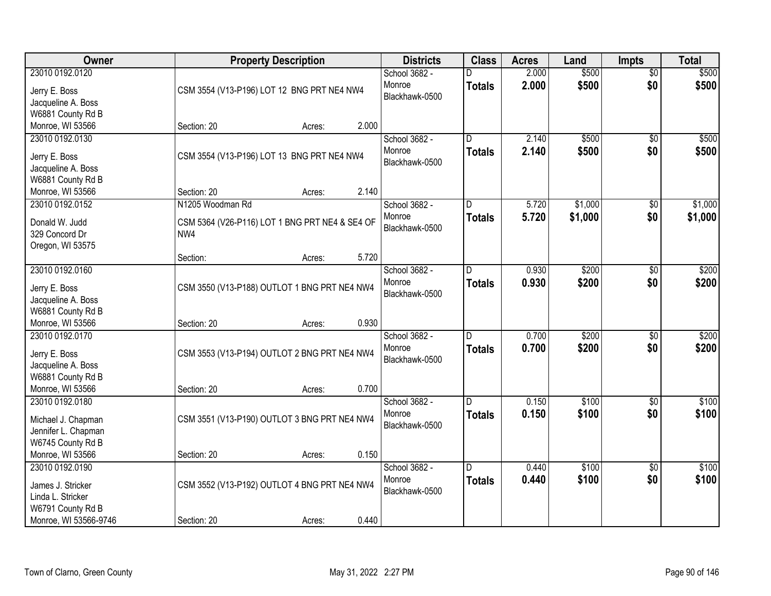| Owner                                                                          |                                                       | <b>Property Description</b> |       | <b>Districts</b>                          | <b>Class</b>                             | <b>Acres</b>   | Land               | <b>Impts</b>           | <b>Total</b>       |
|--------------------------------------------------------------------------------|-------------------------------------------------------|-----------------------------|-------|-------------------------------------------|------------------------------------------|----------------|--------------------|------------------------|--------------------|
| 23010 0192.0120<br>Jerry E. Boss<br>Jacqueline A. Boss                         | CSM 3554 (V13-P196) LOT 12 BNG PRT NE4 NW4            |                             |       | School 3682 -<br>Monroe<br>Blackhawk-0500 | <b>Totals</b>                            | 2.000<br>2.000 | \$500<br>\$500     | $\overline{50}$<br>\$0 | \$500<br>\$500     |
| W6881 County Rd B<br>Monroe, WI 53566                                          | Section: 20                                           | Acres:                      | 2.000 |                                           |                                          |                |                    |                        |                    |
| 23010 0192.0130<br>Jerry E. Boss<br>Jacqueline A. Boss                         | CSM 3554 (V13-P196) LOT 13 BNG PRT NE4 NW4            |                             |       | School 3682 -<br>Monroe<br>Blackhawk-0500 | $\overline{\mathsf{n}}$<br><b>Totals</b> | 2.140<br>2.140 | \$500<br>\$500     | $\overline{50}$<br>\$0 | \$500<br>\$500     |
| W6881 County Rd B<br>Monroe, WI 53566                                          | Section: 20                                           | Acres:                      | 2.140 |                                           |                                          |                |                    |                        |                    |
| 23010 0192.0152                                                                | N1205 Woodman Rd                                      |                             |       | School 3682 -<br>Monroe                   | D<br><b>Totals</b>                       | 5.720<br>5.720 | \$1,000<br>\$1,000 | \$0<br>\$0             | \$1,000<br>\$1,000 |
| Donald W. Judd<br>329 Concord Dr<br>Oregon, WI 53575                           | CSM 5364 (V26-P116) LOT 1 BNG PRT NE4 & SE4 OF<br>NW4 |                             |       | Blackhawk-0500                            |                                          |                |                    |                        |                    |
|                                                                                | Section:                                              | Acres:                      | 5.720 |                                           |                                          |                |                    |                        |                    |
| 23010 0192.0160<br>Jerry E. Boss<br>Jacqueline A. Boss                         | CSM 3550 (V13-P188) OUTLOT 1 BNG PRT NE4 NW4          |                             |       | School 3682 -<br>Monroe<br>Blackhawk-0500 | D<br><b>Totals</b>                       | 0.930<br>0.930 | \$200<br>\$200     | \$0<br>\$0             | \$200<br>\$200     |
| W6881 County Rd B<br>Monroe, WI 53566                                          | Section: 20                                           | Acres:                      | 0.930 |                                           |                                          |                |                    |                        |                    |
| 23010 0192.0170<br>Jerry E. Boss<br>Jacqueline A. Boss<br>W6881 County Rd B    | CSM 3553 (V13-P194) OUTLOT 2 BNG PRT NE4 NW4          |                             |       | School 3682 -<br>Monroe<br>Blackhawk-0500 | $\overline{D}$<br>Totals                 | 0.700<br>0.700 | \$200<br>\$200     | \$0<br>\$0             | \$200<br>\$200     |
| Monroe, WI 53566<br>23010 0192.0180                                            | Section: 20                                           | Acres:                      | 0.700 | School 3682 -                             | D                                        | 0.150          | \$100              | \$0                    | \$100              |
| Michael J. Chapman<br>Jennifer L. Chapman<br>W6745 County Rd B                 | CSM 3551 (V13-P190) OUTLOT 3 BNG PRT NE4 NW4          |                             |       | Monroe<br>Blackhawk-0500                  | <b>Totals</b>                            | 0.150          | \$100              | \$0                    | \$100              |
| Monroe, WI 53566                                                               | Section: 20                                           | Acres:                      | 0.150 |                                           |                                          |                |                    |                        |                    |
| 23010 0192.0190<br>James J. Stricker<br>Linda L. Stricker<br>W6791 County Rd B | CSM 3552 (V13-P192) OUTLOT 4 BNG PRT NE4 NW4          |                             |       | School 3682 -<br>Monroe<br>Blackhawk-0500 | $\overline{D}$<br>Totals                 | 0.440<br>0.440 | \$100<br>\$100     | $\overline{30}$<br>\$0 | \$100<br>\$100     |
| Monroe, WI 53566-9746                                                          | Section: 20                                           | Acres:                      | 0.440 |                                           |                                          |                |                    |                        |                    |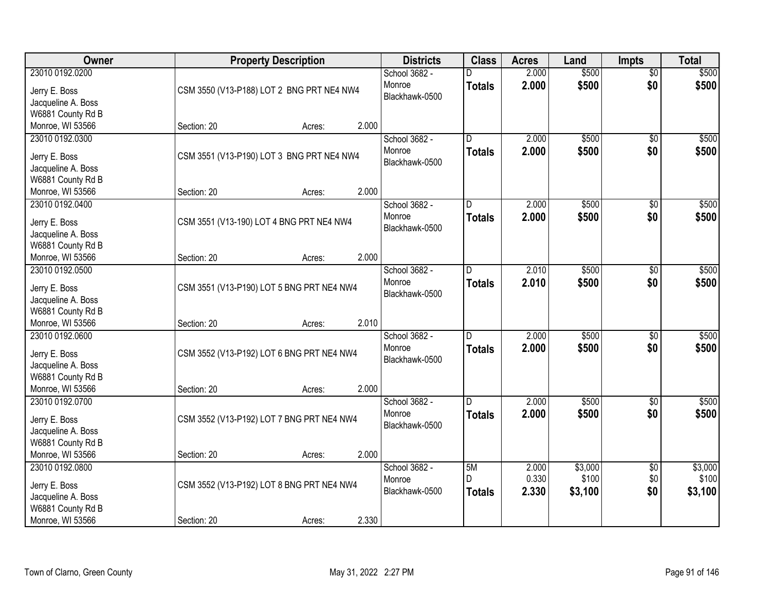| Owner                                   | <b>Property Description</b>               | <b>Districts</b> | <b>Class</b>  | <b>Acres</b> | Land    | <b>Impts</b>    | <b>Total</b> |
|-----------------------------------------|-------------------------------------------|------------------|---------------|--------------|---------|-----------------|--------------|
| 23010 0192.0200                         |                                           | School 3682 -    | D             | 2.000        | \$500   | \$0             | \$500        |
| Jerry E. Boss                           | CSM 3550 (V13-P188) LOT 2 BNG PRT NE4 NW4 | Monroe           | <b>Totals</b> | 2.000        | \$500   | \$0             | \$500        |
| Jacqueline A. Boss                      |                                           | Blackhawk-0500   |               |              |         |                 |              |
| W6881 County Rd B                       |                                           |                  |               |              |         |                 |              |
| Monroe, WI 53566                        | 2.000<br>Section: 20<br>Acres:            |                  |               |              |         |                 |              |
| 23010 0192.0300                         |                                           | School 3682 -    | D             | 2.000        | \$500   | $\overline{50}$ | \$500        |
|                                         |                                           | Monroe           | <b>Totals</b> | 2.000        | \$500   | \$0             | \$500        |
| Jerry E. Boss                           | CSM 3551 (V13-P190) LOT 3 BNG PRT NE4 NW4 | Blackhawk-0500   |               |              |         |                 |              |
| Jacqueline A. Boss                      |                                           |                  |               |              |         |                 |              |
| W6881 County Rd B                       |                                           |                  |               |              |         |                 |              |
| Monroe, WI 53566                        | 2.000<br>Section: 20<br>Acres:            |                  |               |              |         |                 |              |
| 23010 0192.0400                         |                                           | School 3682 -    | D             | 2.000        | \$500   | \$0             | \$500        |
| Jerry E. Boss                           | CSM 3551 (V13-190) LOT 4 BNG PRT NE4 NW4  | Monroe           | <b>Totals</b> | 2.000        | \$500   | \$0             | \$500        |
| Jacqueline A. Boss                      |                                           | Blackhawk-0500   |               |              |         |                 |              |
| W6881 County Rd B                       |                                           |                  |               |              |         |                 |              |
| Monroe, WI 53566                        | 2.000<br>Section: 20<br>Acres:            |                  |               |              |         |                 |              |
| 23010 0192.0500                         |                                           | School 3682 -    | D             | 2.010        | \$500   | \$0             | \$500        |
|                                         |                                           | Monroe           | <b>Totals</b> | 2.010        | \$500   | \$0             | \$500        |
| Jerry E. Boss                           | CSM 3551 (V13-P190) LOT 5 BNG PRT NE4 NW4 | Blackhawk-0500   |               |              |         |                 |              |
| Jacqueline A. Boss                      |                                           |                  |               |              |         |                 |              |
| W6881 County Rd B                       |                                           |                  |               |              |         |                 |              |
| Monroe, WI 53566                        | 2.010<br>Section: 20<br>Acres:            |                  |               |              |         |                 |              |
| 23010 0192.0600                         |                                           | School 3682 -    | D             | 2.000        | \$500   | \$0             | \$500        |
| Jerry E. Boss                           | CSM 3552 (V13-P192) LOT 6 BNG PRT NE4 NW4 | Monroe           | <b>Totals</b> | 2.000        | \$500   | \$0             | \$500        |
| Jacqueline A. Boss                      |                                           | Blackhawk-0500   |               |              |         |                 |              |
| W6881 County Rd B                       |                                           |                  |               |              |         |                 |              |
| Monroe, WI 53566                        | 2.000<br>Section: 20<br>Acres:            |                  |               |              |         |                 |              |
| 23010 0192.0700                         |                                           | School 3682 -    | D.            | 2.000        | \$500   | \$0             | \$500        |
| Jerry E. Boss                           | CSM 3552 (V13-P192) LOT 7 BNG PRT NE4 NW4 | Monroe           | <b>Totals</b> | 2.000        | \$500   | \$0             | \$500        |
|                                         |                                           | Blackhawk-0500   |               |              |         |                 |              |
| Jacqueline A. Boss<br>W6881 County Rd B |                                           |                  |               |              |         |                 |              |
| Monroe, WI 53566                        | 2.000<br>Section: 20<br>Acres:            |                  |               |              |         |                 |              |
| 23010 0192.0800                         |                                           | School 3682 -    | 5M            | 2.000        | \$3,000 | $\overline{50}$ | \$3,000      |
|                                         |                                           | Monroe           | D             | 0.330        | \$100   | \$0             | \$100        |
| Jerry E. Boss                           | CSM 3552 (V13-P192) LOT 8 BNG PRT NE4 NW4 | Blackhawk-0500   |               |              |         |                 |              |
| Jacqueline A. Boss                      |                                           |                  | <b>Totals</b> | 2.330        | \$3,100 | \$0             | \$3,100      |
| W6881 County Rd B                       |                                           |                  |               |              |         |                 |              |
| Monroe, WI 53566                        | 2.330<br>Section: 20<br>Acres:            |                  |               |              |         |                 |              |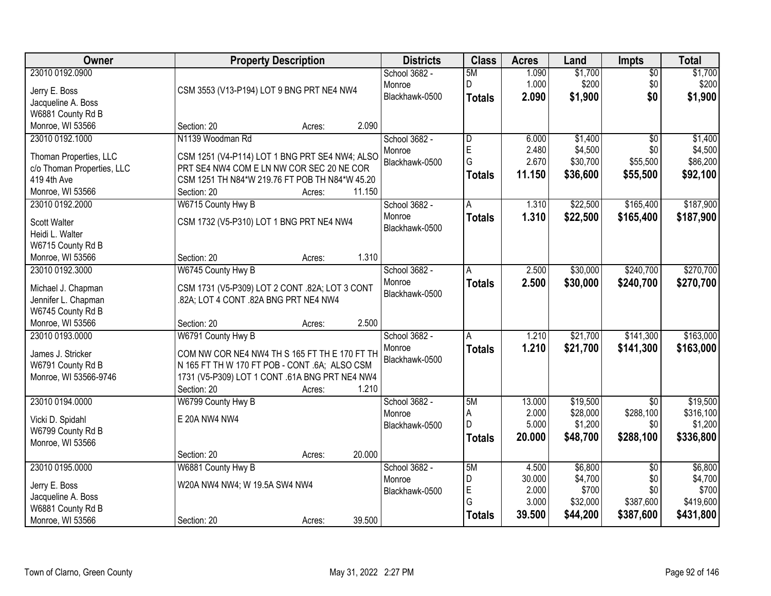| Owner                                     | <b>Property Description</b>                                                            | <b>Districts</b> | <b>Class</b>            | <b>Acres</b> | Land     | Impts           | <b>Total</b> |
|-------------------------------------------|----------------------------------------------------------------------------------------|------------------|-------------------------|--------------|----------|-----------------|--------------|
| 23010 0192.0900                           |                                                                                        | School 3682 -    | 5M                      | 1.090        | \$1,700  | $\overline{50}$ | \$1,700      |
| Jerry E. Boss                             | CSM 3553 (V13-P194) LOT 9 BNG PRT NE4 NW4                                              | Monroe           | D                       | 1.000        | \$200    | \$0             | \$200        |
| Jacqueline A. Boss                        |                                                                                        | Blackhawk-0500   | <b>Totals</b>           | 2.090        | \$1,900  | \$0             | \$1,900      |
| W6881 County Rd B                         |                                                                                        |                  |                         |              |          |                 |              |
| Monroe, WI 53566                          | 2.090<br>Section: 20<br>Acres:                                                         |                  |                         |              |          |                 |              |
| 23010 0192.1000                           | N1139 Woodman Rd                                                                       | School 3682 -    | $\overline{\mathsf{D}}$ | 6.000        | \$1,400  | $\overline{30}$ | \$1,400      |
|                                           |                                                                                        | Monroe           | E                       | 2.480        | \$4,500  | \$0             | \$4,500      |
| Thoman Properties, LLC                    | CSM 1251 (V4-P114) LOT 1 BNG PRT SE4 NW4; ALSO                                         | Blackhawk-0500   | G                       | 2.670        | \$30,700 | \$55,500        | \$86,200     |
| c/o Thoman Properties, LLC                | PRT SE4 NW4 COM E LN NW COR SEC 20 NE COR                                              |                  | <b>Totals</b>           | 11.150       | \$36,600 | \$55,500        | \$92,100     |
| 419 4th Ave                               | CSM 1251 TH N84*W 219.76 FT POB TH N84*W 45.20                                         |                  |                         |              |          |                 |              |
| Monroe, WI 53566                          | 11.150<br>Section: 20<br>Acres:                                                        |                  |                         |              |          |                 |              |
| 23010 0192.2000                           | W6715 County Hwy B                                                                     | School 3682 -    | A                       | 1.310        | \$22,500 | \$165,400       | \$187,900    |
| <b>Scott Walter</b>                       | CSM 1732 (V5-P310) LOT 1 BNG PRT NE4 NW4                                               | Monroe           | <b>Totals</b>           | 1.310        | \$22,500 | \$165,400       | \$187,900    |
| Heidi L. Walter                           |                                                                                        | Blackhawk-0500   |                         |              |          |                 |              |
| W6715 County Rd B                         |                                                                                        |                  |                         |              |          |                 |              |
| Monroe, WI 53566                          | 1.310<br>Section: 20<br>Acres:                                                         |                  |                         |              |          |                 |              |
| 23010 0192.3000                           | W6745 County Hwy B                                                                     | School 3682 -    | A                       | 2.500        | \$30,000 | \$240,700       | \$270,700    |
|                                           |                                                                                        | Monroe           | <b>Totals</b>           | 2.500        | \$30,000 | \$240,700       | \$270,700    |
| Michael J. Chapman<br>Jennifer L. Chapman | CSM 1731 (V5-P309) LOT 2 CONT .82A; LOT 3 CONT<br>82A; LOT 4 CONT .82A BNG PRT NE4 NW4 | Blackhawk-0500   |                         |              |          |                 |              |
| W6745 County Rd B                         |                                                                                        |                  |                         |              |          |                 |              |
| Monroe, WI 53566                          | 2.500<br>Section: 20<br>Acres:                                                         |                  |                         |              |          |                 |              |
| 23010 0193.0000                           | W6791 County Hwy B                                                                     | School 3682 -    | A                       | 1.210        | \$21,700 | \$141,300       | \$163,000    |
|                                           |                                                                                        | Monroe           | <b>Totals</b>           | 1.210        | \$21,700 | \$141,300       | \$163,000    |
| James J. Stricker                         | COM NW COR NE4 NW4 TH S 165 FT TH E 170 FT TH                                          | Blackhawk-0500   |                         |              |          |                 |              |
| W6791 County Rd B                         | N 165 FT TH W 170 FT POB - CONT .6A; ALSO CSM                                          |                  |                         |              |          |                 |              |
| Monroe, WI 53566-9746                     | 1731 (V5-P309) LOT 1 CONT .61A BNG PRT NE4 NW4                                         |                  |                         |              |          |                 |              |
|                                           | Section: 20<br>1.210<br>Acres:                                                         |                  |                         |              |          |                 |              |
| 23010 0194.0000                           | W6799 County Hwy B                                                                     | School 3682 -    | 5M                      | 13.000       | \$19,500 | $\overline{50}$ | \$19,500     |
| Vicki D. Spidahl                          | E 20A NW4 NW4                                                                          | Monroe           | Α                       | 2.000        | \$28,000 | \$288,100       | \$316,100    |
| W6799 County Rd B                         |                                                                                        | Blackhawk-0500   | D                       | 5.000        | \$1,200  | \$0             | \$1,200      |
| Monroe, WI 53566                          |                                                                                        |                  | <b>Totals</b>           | 20.000       | \$48,700 | \$288,100       | \$336,800    |
|                                           | 20.000<br>Section: 20<br>Acres:                                                        |                  |                         |              |          |                 |              |
| 23010 0195.0000                           | W6881 County Hwy B                                                                     | School 3682 -    | 5M                      | 4.500        | \$6,800  | $\overline{50}$ | \$6,800      |
|                                           |                                                                                        | Monroe           | D                       | 30.000       | \$4,700  | \$0             | \$4,700      |
| Jerry E. Boss                             | W20A NW4 NW4; W 19.5A SW4 NW4                                                          | Blackhawk-0500   | E                       | 2.000        | \$700    | \$0             | \$700        |
| Jacqueline A. Boss                        |                                                                                        |                  | G                       | 3.000        | \$32,000 | \$387,600       | \$419,600    |
| W6881 County Rd B                         |                                                                                        |                  | <b>Totals</b>           | 39.500       | \$44,200 | \$387,600       | \$431,800    |
| Monroe, WI 53566                          | 39.500<br>Section: 20<br>Acres:                                                        |                  |                         |              |          |                 |              |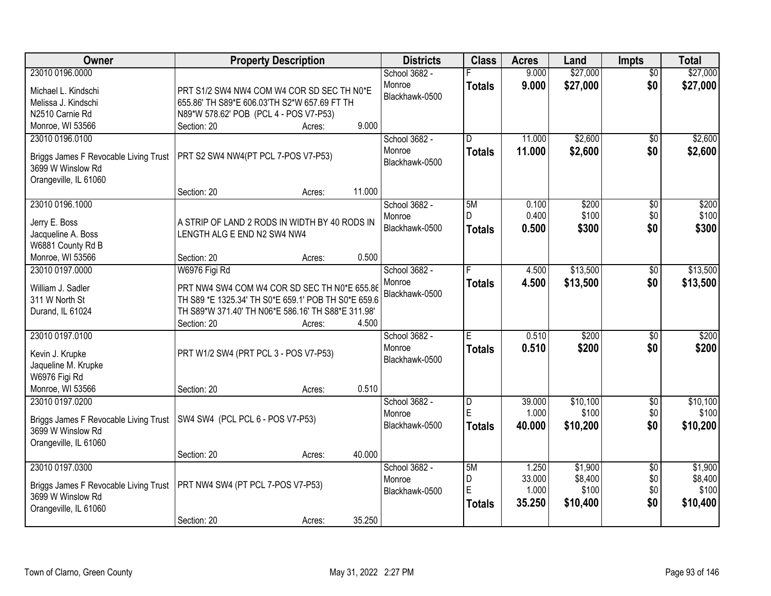| <b>Owner</b>                          | <b>Property Description</b>                         |                  | <b>Districts</b> | <b>Class</b>  | <b>Acres</b> | Land     | <b>Impts</b>    | <b>Total</b> |
|---------------------------------------|-----------------------------------------------------|------------------|------------------|---------------|--------------|----------|-----------------|--------------|
| 23010 0196.0000                       |                                                     |                  | School 3682 -    |               | 9.000        | \$27,000 | $\overline{50}$ | \$27,000     |
| Michael L. Kindschi                   | PRT S1/2 SW4 NW4 COM W4 COR SD SEC TH N0*E          |                  | Monroe           | <b>Totals</b> | 9.000        | \$27,000 | \$0             | \$27,000     |
| Melissa J. Kindschi                   | 655.86' TH S89*E 606.03'TH S2*W 657.69 FT TH        |                  | Blackhawk-0500   |               |              |          |                 |              |
| N2510 Carnie Rd                       | N89*W 578.62' POB (PCL 4 - POS V7-P53)              |                  |                  |               |              |          |                 |              |
| Monroe, WI 53566                      | Section: 20                                         | 9.000<br>Acres:  |                  |               |              |          |                 |              |
| 23010 0196.0100                       |                                                     |                  | School 3682 -    | D.            | 11.000       | \$2,600  | $\overline{50}$ | \$2,600      |
|                                       |                                                     |                  | Monroe           | Totals        | 11.000       | \$2,600  | \$0             | \$2,600      |
| Briggs James F Revocable Living Trust | PRT S2 SW4 NW4(PT PCL 7-POS V7-P53)                 |                  | Blackhawk-0500   |               |              |          |                 |              |
| 3699 W Winslow Rd                     |                                                     |                  |                  |               |              |          |                 |              |
| Orangeville, IL 61060                 |                                                     |                  |                  |               |              |          |                 |              |
|                                       | Section: 20                                         | 11.000<br>Acres: |                  |               |              |          |                 |              |
| 23010 0196.1000                       |                                                     |                  | School 3682 -    | 5M            | 0.100        | \$200    | \$0             | \$200        |
| Jerry E. Boss                         | A STRIP OF LAND 2 RODS IN WIDTH BY 40 RODS IN       |                  | Monroe           | D             | 0.400        | \$100    | \$0             | \$100        |
| Jacqueline A. Boss                    | LENGTH ALG E END N2 SW4 NW4                         |                  | Blackhawk-0500   | <b>Totals</b> | 0.500        | \$300    | \$0             | \$300        |
| W6881 County Rd B                     |                                                     |                  |                  |               |              |          |                 |              |
| Monroe, WI 53566                      | Section: 20                                         | 0.500<br>Acres:  |                  |               |              |          |                 |              |
| 23010 0197.0000                       | W6976 Figi Rd                                       |                  | School 3682 -    |               | 4.500        | \$13,500 | \$0             | \$13,500     |
| William J. Sadler                     | PRT NW4 SW4 COM W4 COR SD SEC TH N0*E 655.86        |                  | Monroe           | <b>Totals</b> | 4.500        | \$13,500 | \$0             | \$13,500     |
| 311 W North St                        | TH S89 *E 1325.34' TH S0*E 659.1' POB TH S0*E 659.6 |                  | Blackhawk-0500   |               |              |          |                 |              |
| Durand, IL 61024                      | TH S89*W 371.40' TH N06*E 586.16' TH S88*E 311.98'  |                  |                  |               |              |          |                 |              |
|                                       | Section: 20                                         | 4.500<br>Acres:  |                  |               |              |          |                 |              |
| 23010 0197.0100                       |                                                     |                  | School 3682 -    | E             | 0.510        | \$200    | $\overline{50}$ | \$200        |
|                                       |                                                     |                  | Monroe           | <b>Totals</b> | 0.510        | \$200    | \$0             | \$200        |
| Kevin J. Krupke                       | PRT W1/2 SW4 (PRT PCL 3 - POS V7-P53)               |                  | Blackhawk-0500   |               |              |          |                 |              |
| Jaqueline M. Krupke                   |                                                     |                  |                  |               |              |          |                 |              |
| W6976 Figi Rd                         |                                                     |                  |                  |               |              |          |                 |              |
| Monroe, WI 53566                      | Section: 20                                         | 0.510<br>Acres:  |                  |               |              |          |                 |              |
| 23010 0197.0200                       |                                                     |                  | School 3682 -    | D             | 39.000       | \$10,100 | $\overline{60}$ | \$10,100     |
| Briggs James F Revocable Living Trust | SW4 SW4 (PCL PCL 6 - POS V7-P53)                    |                  | Monroe           | E             | 1.000        | \$100    | \$0             | \$100        |
| 3699 W Winslow Rd                     |                                                     |                  | Blackhawk-0500   | <b>Totals</b> | 40.000       | \$10,200 | \$0             | \$10,200     |
| Orangeville, IL 61060                 |                                                     |                  |                  |               |              |          |                 |              |
|                                       | Section: 20                                         | 40.000<br>Acres: |                  |               |              |          |                 |              |
| 23010 0197.0300                       |                                                     |                  | School 3682 -    | 5M            | 1.250        | \$1,900  | $\overline{50}$ | \$1,900      |
|                                       |                                                     |                  | Monroe           | D             | 33.000       | \$8,400  | \$0             | \$8,400      |
| Briggs James F Revocable Living Trust | PRT NW4 SW4 (PT PCL 7-POS V7-P53)                   |                  | Blackhawk-0500   | E             | 1.000        | \$100    | \$0             | \$100        |
| 3699 W Winslow Rd                     |                                                     |                  |                  | <b>Totals</b> | 35.250       | \$10,400 | \$0             | \$10,400     |
| Orangeville, IL 61060                 |                                                     | 35.250           |                  |               |              |          |                 |              |
|                                       | Section: 20                                         | Acres:           |                  |               |              |          |                 |              |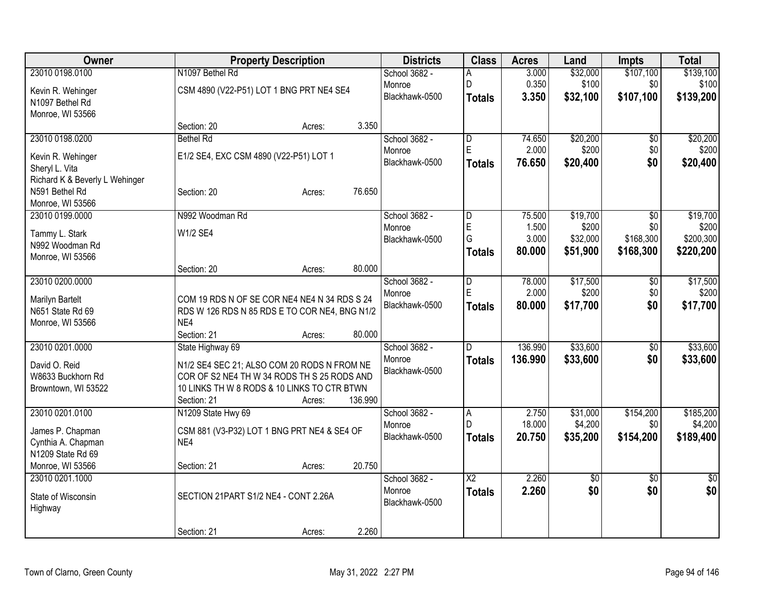| Owner                               |                                                                                               | <b>Property Description</b> |         | <b>Districts</b>         | <b>Class</b>            | <b>Acres</b> | Land            | Impts           | <b>Total</b> |
|-------------------------------------|-----------------------------------------------------------------------------------------------|-----------------------------|---------|--------------------------|-------------------------|--------------|-----------------|-----------------|--------------|
| 23010 0198.0100                     | N1097 Bethel Rd                                                                               |                             |         | School 3682 -            |                         | 3.000        | \$32,000        | \$107,100       | \$139,100    |
| Kevin R. Wehinger                   | CSM 4890 (V22-P51) LOT 1 BNG PRT NE4 SE4                                                      |                             |         | Monroe                   | D                       | 0.350        | \$100           | \$0             | \$100        |
| N1097 Bethel Rd                     |                                                                                               |                             |         | Blackhawk-0500           | <b>Totals</b>           | 3.350        | \$32,100        | \$107,100       | \$139,200    |
| Monroe, WI 53566                    |                                                                                               |                             |         |                          |                         |              |                 |                 |              |
|                                     | Section: 20                                                                                   | Acres:                      | 3.350   |                          |                         |              |                 |                 |              |
| 23010 0198.0200                     | <b>Bethel Rd</b>                                                                              |                             |         | School 3682 -            | D                       | 74.650       | \$20,200        | \$0             | \$20,200     |
| Kevin R. Wehinger                   | E1/2 SE4, EXC CSM 4890 (V22-P51) LOT 1                                                        |                             |         | Monroe                   | E                       | 2.000        | \$200           | \$0             | \$200        |
| Sheryl L. Vita                      |                                                                                               |                             |         | Blackhawk-0500           | <b>Totals</b>           | 76.650       | \$20,400        | \$0             | \$20,400     |
| Richard K & Beverly L Wehinger      |                                                                                               |                             |         |                          |                         |              |                 |                 |              |
| N591 Bethel Rd                      | Section: 20                                                                                   | Acres:                      | 76.650  |                          |                         |              |                 |                 |              |
| Monroe, WI 53566                    |                                                                                               |                             |         |                          |                         |              |                 |                 |              |
| 23010 0199.0000                     | N992 Woodman Rd                                                                               |                             |         | School 3682 -            | $\overline{\mathsf{D}}$ | 75.500       | \$19,700        | $\overline{50}$ | \$19,700     |
| Tammy L. Stark                      | W1/2 SE4                                                                                      |                             |         | Monroe                   | E                       | 1.500        | \$200           | \$0             | \$200        |
| N992 Woodman Rd                     |                                                                                               |                             |         | Blackhawk-0500           | G                       | 3.000        | \$32,000        | \$168,300       | \$200,300    |
| Monroe, WI 53566                    |                                                                                               |                             |         |                          | <b>Totals</b>           | 80,000       | \$51,900        | \$168,300       | \$220,200    |
|                                     | Section: 20                                                                                   | Acres:                      | 80.000  |                          |                         |              |                 |                 |              |
| 23010 0200.0000                     |                                                                                               |                             |         | School 3682 -            | D                       | 78.000       | \$17,500        | \$0             | \$17,500     |
|                                     |                                                                                               |                             |         | Monroe                   | E                       | 2.000        | \$200           | \$0             | \$200        |
| Marilyn Bartelt<br>N651 State Rd 69 | COM 19 RDS N OF SE COR NE4 NE4 N 34 RDS S 24<br>RDS W 126 RDS N 85 RDS E TO COR NE4, BNG N1/2 |                             |         | Blackhawk-0500           | <b>Totals</b>           | 80,000       | \$17,700        | \$0             | \$17,700     |
| Monroe, WI 53566                    | NE4                                                                                           |                             |         |                          |                         |              |                 |                 |              |
|                                     | Section: 21                                                                                   | Acres:                      | 80.000  |                          |                         |              |                 |                 |              |
| 23010 0201.0000                     | State Highway 69                                                                              |                             |         | School 3682 -            | D.                      | 136.990      | \$33,600        | \$0             | \$33,600     |
|                                     |                                                                                               |                             |         | Monroe                   | <b>Totals</b>           | 136.990      | \$33,600        | \$0             | \$33,600     |
| David O. Reid                       | N1/2 SE4 SEC 21; ALSO COM 20 RODS N FROM NE                                                   |                             |         | Blackhawk-0500           |                         |              |                 |                 |              |
| W8633 Buckhorn Rd                   | COR OF S2 NE4 TH W 34 RODS TH S 25 RODS AND<br>10 LINKS TH W 8 RODS & 10 LINKS TO CTR BTWN    |                             |         |                          |                         |              |                 |                 |              |
| Browntown, WI 53522                 | Section: 21                                                                                   | Acres:                      | 136.990 |                          |                         |              |                 |                 |              |
| 23010 0201.0100                     | N1209 State Hwy 69                                                                            |                             |         | School 3682 -            | $\overline{A}$          | 2.750        | \$31,000        | \$154,200       | \$185,200    |
|                                     |                                                                                               |                             |         | Monroe                   | D.                      | 18.000       | \$4,200         | \$0             | \$4,200      |
| James P. Chapman                    | CSM 881 (V3-P32) LOT 1 BNG PRT NE4 & SE4 OF                                                   |                             |         | Blackhawk-0500           | <b>Totals</b>           | 20.750       | \$35,200        | \$154,200       | \$189,400    |
| Cynthia A. Chapman                  | NE4                                                                                           |                             |         |                          |                         |              |                 |                 |              |
| N1209 State Rd 69                   |                                                                                               |                             |         |                          |                         |              |                 |                 |              |
| Monroe, WI 53566                    | Section: 21                                                                                   | Acres:                      | 20.750  |                          |                         |              |                 |                 |              |
| 23010 0201.1000                     |                                                                                               |                             |         | School 3682 -            | $\overline{X2}$         | 2.260        | $\overline{60}$ | $\overline{50}$ | \$0          |
| State of Wisconsin                  | SECTION 21PART S1/2 NE4 - CONT 2.26A                                                          |                             |         | Monroe<br>Blackhawk-0500 | <b>Totals</b>           | 2.260        | \$0             | \$0             | \$0          |
| Highway                             |                                                                                               |                             |         |                          |                         |              |                 |                 |              |
|                                     |                                                                                               |                             |         |                          |                         |              |                 |                 |              |
|                                     | Section: 21                                                                                   | Acres:                      | 2.260   |                          |                         |              |                 |                 |              |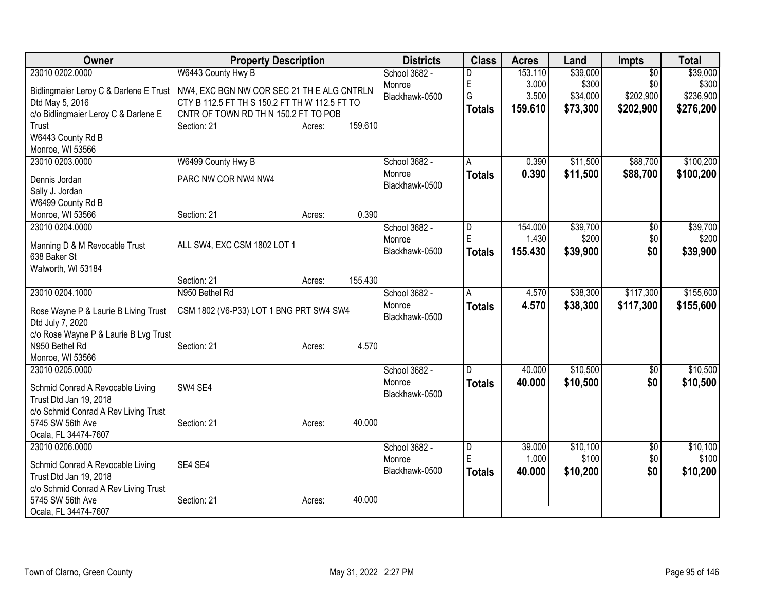| Owner                                                          | <b>Property Description</b>                   |                   | <b>Districts</b> | <b>Class</b>   | <b>Acres</b>   | Land     | Impts            | <b>Total</b> |
|----------------------------------------------------------------|-----------------------------------------------|-------------------|------------------|----------------|----------------|----------|------------------|--------------|
| 23010 0202.0000                                                | W6443 County Hwy B                            |                   | School 3682 -    | D              | 153.110        | \$39,000 | $\overline{50}$  | \$39,000     |
| Bidlingmaier Leroy C & Darlene E Trust                         | NW4, EXC BGN NW COR SEC 21 TH E ALG CNTRLN    |                   | Monroe           | E<br>G         | 3.000<br>3.500 | \$300    | \$0<br>\$202,900 | \$300        |
| Dtd May 5, 2016                                                | CTY B 112.5 FT TH S 150.2 FT TH W 112.5 FT TO |                   | Blackhawk-0500   |                |                | \$34,000 |                  | \$236,900    |
| c/o Bidlingmaier Leroy C & Darlene E                           | CNTR OF TOWN RD TH N 150.2 FT TO POB          |                   |                  | <b>Totals</b>  | 159.610        | \$73,300 | \$202,900        | \$276,200    |
| Trust                                                          | Section: 21                                   | 159.610<br>Acres: |                  |                |                |          |                  |              |
| W6443 County Rd B                                              |                                               |                   |                  |                |                |          |                  |              |
| Monroe, WI 53566                                               |                                               |                   |                  |                |                |          |                  |              |
| 23010 0203.0000                                                | W6499 County Hwy B                            |                   | School 3682 -    | A              | 0.390          | \$11,500 | \$88,700         | \$100,200    |
| Dennis Jordan                                                  | PARC NW COR NW4 NW4                           |                   | Monroe           | <b>Totals</b>  | 0.390          | \$11,500 | \$88,700         | \$100,200    |
| Sally J. Jordan                                                |                                               |                   | Blackhawk-0500   |                |                |          |                  |              |
| W6499 County Rd B                                              |                                               |                   |                  |                |                |          |                  |              |
| Monroe, WI 53566                                               | Section: 21                                   | Acres:            | 0.390            |                |                |          |                  |              |
| 23010 0204.0000                                                |                                               |                   | School 3682 -    | D              | 154.000        | \$39,700 | \$0              | \$39,700     |
| Manning D & M Revocable Trust                                  | ALL SW4, EXC CSM 1802 LOT 1                   |                   | Monroe           | E              | 1.430          | \$200    | \$0              | \$200        |
| 638 Baker St                                                   |                                               |                   | Blackhawk-0500   | <b>Totals</b>  | 155.430        | \$39,900 | \$0              | \$39,900     |
| Walworth, WI 53184                                             |                                               |                   |                  |                |                |          |                  |              |
|                                                                | Section: 21                                   | 155.430<br>Acres: |                  |                |                |          |                  |              |
| 23010 0204.1000                                                | N950 Bethel Rd                                |                   | School 3682 -    | A              | 4.570          | \$38,300 | \$117,300        | \$155,600    |
| Rose Wayne P & Laurie B Living Trust                           | CSM 1802 (V6-P33) LOT 1 BNG PRT SW4 SW4       |                   | Monroe           | <b>Totals</b>  | 4.570          | \$38,300 | \$117,300        | \$155,600    |
| Dtd July 7, 2020                                               |                                               |                   | Blackhawk-0500   |                |                |          |                  |              |
| c/o Rose Wayne P & Laurie B Lvg Trust                          |                                               |                   |                  |                |                |          |                  |              |
| N950 Bethel Rd                                                 | Section: 21                                   | Acres:            | 4.570            |                |                |          |                  |              |
| Monroe, WI 53566                                               |                                               |                   |                  |                |                |          |                  |              |
| 23010 0205.0000                                                |                                               |                   | School 3682 -    | $\overline{D}$ | 40.000         | \$10,500 | $\overline{50}$  | \$10,500     |
|                                                                | SW4 SE4                                       |                   | Monroe           | <b>Totals</b>  | 40.000         | \$10,500 | \$0              | \$10,500     |
| Schmid Conrad A Revocable Living<br>Trust Dtd Jan 19, 2018     |                                               |                   | Blackhawk-0500   |                |                |          |                  |              |
| c/o Schmid Conrad A Rev Living Trust                           |                                               |                   |                  |                |                |          |                  |              |
| 5745 SW 56th Ave                                               | Section: 21                                   | Acres:            | 40.000           |                |                |          |                  |              |
| Ocala, FL 34474-7607                                           |                                               |                   |                  |                |                |          |                  |              |
| 23010 0206.0000                                                |                                               |                   | School 3682 -    | D              | 39.000         | \$10,100 | \$0              | \$10,100     |
|                                                                |                                               |                   | Monroe           | E              | 1.000          | \$100    | \$0              | \$100        |
| Schmid Conrad A Revocable Living                               | SE4 SE4                                       |                   | Blackhawk-0500   | <b>Totals</b>  | 40.000         | \$10,200 | \$0              | \$10,200     |
| Trust Dtd Jan 19, 2018<br>c/o Schmid Conrad A Rev Living Trust |                                               |                   |                  |                |                |          |                  |              |
| 5745 SW 56th Ave                                               | Section: 21                                   | Acres:            | 40.000           |                |                |          |                  |              |
| Ocala, FL 34474-7607                                           |                                               |                   |                  |                |                |          |                  |              |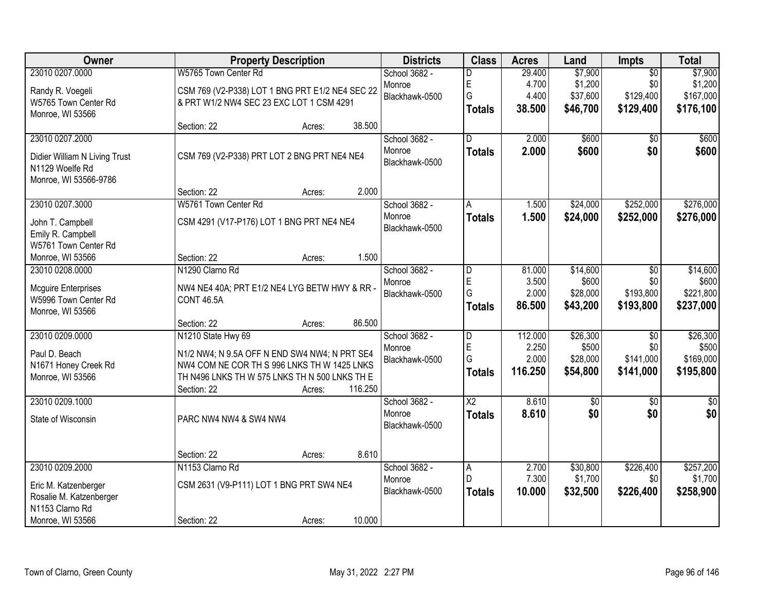| <b>Owner</b>                  |                                                 | <b>Property Description</b> | <b>Districts</b>         | <b>Class</b>           | <b>Acres</b>   | Land                | <b>Impts</b>     | <b>Total</b>         |
|-------------------------------|-------------------------------------------------|-----------------------------|--------------------------|------------------------|----------------|---------------------|------------------|----------------------|
| 23010 0207.0000               | W5765 Town Center Rd                            |                             | School 3682 -            |                        | 29.400         | \$7,900             | $\overline{50}$  | \$7,900              |
| Randy R. Voegeli              | CSM 769 (V2-P338) LOT 1 BNG PRT E1/2 NE4 SEC 22 |                             | Monroe                   | E                      | 4.700          | \$1,200             | \$0              | \$1,200              |
| W5765 Town Center Rd          | & PRT W1/2 NW4 SEC 23 EXC LOT 1 CSM 4291        |                             | Blackhawk-0500           | G                      | 4.400          | \$37,600            | \$129,400        | \$167,000            |
| Monroe, WI 53566              |                                                 |                             |                          | <b>Totals</b>          | 38.500         | \$46,700            | \$129,400        | \$176,100            |
|                               | Section: 22                                     | Acres:                      | 38.500                   |                        |                |                     |                  |                      |
| 23010 0207.2000               |                                                 |                             | School 3682 -            | D.                     | 2.000          | \$600               | \$0              | \$600                |
| Didier William N Living Trust | CSM 769 (V2-P338) PRT LOT 2 BNG PRT NE4 NE4     |                             | Monroe                   | <b>Totals</b>          | 2.000          | \$600               | \$0              | \$600                |
| N1129 Woelfe Rd               |                                                 |                             | Blackhawk-0500           |                        |                |                     |                  |                      |
| Monroe, WI 53566-9786         |                                                 |                             |                          |                        |                |                     |                  |                      |
|                               | Section: 22                                     | Acres:                      | 2.000                    |                        |                |                     |                  |                      |
| 23010 0207.3000               | W5761 Town Center Rd                            |                             | School 3682 -            | A                      | 1.500          | \$24,000            | \$252,000        | \$276,000            |
| John T. Campbell              | CSM 4291 (V17-P176) LOT 1 BNG PRT NE4 NE4       |                             | Monroe                   | <b>Totals</b>          | 1.500          | \$24,000            | \$252,000        | \$276,000            |
| Emily R. Campbell             |                                                 |                             | Blackhawk-0500           |                        |                |                     |                  |                      |
| W5761 Town Center Rd          |                                                 |                             |                          |                        |                |                     |                  |                      |
| Monroe, WI 53566              | Section: 22                                     | Acres:                      | 1.500                    |                        |                |                     |                  |                      |
| 23010 0208.0000               | N1290 Clarno Rd                                 |                             | School 3682 -            | D                      | 81.000         | \$14,600            | \$0              | \$14,600             |
| <b>Mcguire Enterprises</b>    | NW4 NE4 40A; PRT E1/2 NE4 LYG BETW HWY & RR -   |                             | Monroe                   | E<br>G                 | 3.500<br>2.000 | \$600<br>\$28,000   | \$0<br>\$193,800 | \$600<br>\$221,800   |
| W5996 Town Center Rd          | <b>CONT 46.5A</b>                               |                             | Blackhawk-0500           | <b>Totals</b>          | 86.500         | \$43,200            | \$193,800        | \$237,000            |
| Monroe, WI 53566              |                                                 |                             |                          |                        |                |                     |                  |                      |
|                               | Section: 22                                     | Acres:                      | 86.500                   |                        |                |                     |                  |                      |
| 23010 0209.0000               | N1210 State Hwy 69                              |                             | School 3682 -            | D                      | 112.000        | \$26,300            | $\overline{30}$  | \$26,300             |
| Paul D. Beach                 | N1/2 NW4; N 9.5A OFF N END SW4 NW4; N PRT SE4   |                             | Monroe                   | E<br>G                 | 2.250<br>2.000 | \$500<br>\$28,000   | \$0<br>\$141,000 | \$500<br>\$169,000   |
| N1671 Honey Creek Rd          | NW4 COM NE COR TH S 996 LNKS TH W 1425 LNKS     |                             | Blackhawk-0500           | <b>Totals</b>          | 116.250        | \$54,800            | \$141,000        | \$195,800            |
| Monroe, WI 53566              | TH N496 LNKS TH W 575 LNKS TH N 500 LNKS TH E   |                             |                          |                        |                |                     |                  |                      |
|                               | Section: 22                                     | Acres:                      | 116.250                  |                        |                |                     |                  |                      |
| 23010 0209.1000               |                                                 |                             | School 3682 -            | $\overline{\text{X2}}$ | 8.610          | $\sqrt{$0}$         | \$0              | $\sqrt{30}$          |
| State of Wisconsin            | PARC NW4 NW4 & SW4 NW4                          |                             | Monroe<br>Blackhawk-0500 | <b>Totals</b>          | 8.610          | \$0                 | \$0              | \$0                  |
|                               |                                                 |                             |                          |                        |                |                     |                  |                      |
|                               |                                                 |                             |                          |                        |                |                     |                  |                      |
|                               | Section: 22                                     | Acres:                      | 8.610                    |                        |                |                     |                  |                      |
| 23010 0209.2000               | N1153 Clarno Rd                                 |                             | School 3682 -            | $\overline{A}$<br>D    | 2.700<br>7.300 | \$30,800<br>\$1,700 | \$226,400<br>\$0 | \$257,200<br>\$1,700 |
| Eric M. Katzenberger          | CSM 2631 (V9-P111) LOT 1 BNG PRT SW4 NE4        |                             | Monroe<br>Blackhawk-0500 | Totals                 | 10.000         | \$32,500            | \$226,400        | \$258,900            |
| Rosalie M. Katzenberger       |                                                 |                             |                          |                        |                |                     |                  |                      |
| N1153 Clarno Rd               |                                                 |                             |                          |                        |                |                     |                  |                      |
| Monroe, WI 53566              | Section: 22                                     | Acres:                      | 10.000                   |                        |                |                     |                  |                      |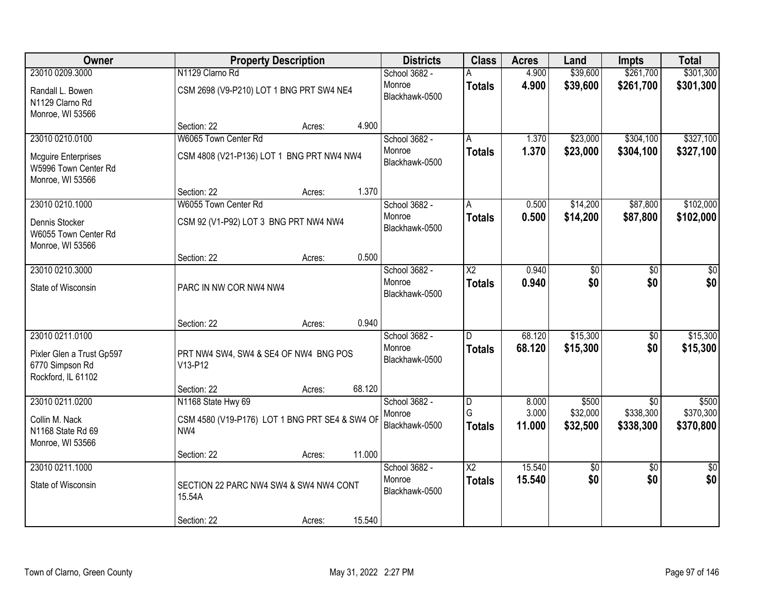| Owner                                                                  |                                                       | <b>Property Description</b> |        | <b>Districts</b>         | <b>Class</b>           | <b>Acres</b>    | Land                 | <b>Impts</b>           | <b>Total</b>           |
|------------------------------------------------------------------------|-------------------------------------------------------|-----------------------------|--------|--------------------------|------------------------|-----------------|----------------------|------------------------|------------------------|
| 23010 0209.3000                                                        | N1129 Clarno Rd                                       |                             |        | School 3682 -            |                        | 4.900           | \$39,600             | \$261,700              | \$301,300              |
| Randall L. Bowen<br>N1129 Clarno Rd<br>Monroe, WI 53566                | CSM 2698 (V9-P210) LOT 1 BNG PRT SW4 NE4              |                             |        | Monroe<br>Blackhawk-0500 | <b>Totals</b>          | 4.900           | \$39,600             | \$261,700              | \$301,300              |
|                                                                        | Section: 22                                           | Acres:                      | 4.900  |                          |                        |                 |                      |                        |                        |
| 23010 0210.0100                                                        | W6065 Town Center Rd                                  |                             |        | School 3682 -            | A                      | 1.370           | \$23,000             | \$304,100              | \$327,100              |
| <b>Mcguire Enterprises</b><br>W5996 Town Center Rd<br>Monroe, WI 53566 | CSM 4808 (V21-P136) LOT 1 BNG PRT NW4 NW4             |                             |        | Monroe<br>Blackhawk-0500 | <b>Totals</b>          | 1.370           | \$23,000             | \$304,100              | \$327,100              |
|                                                                        | Section: 22                                           | Acres:                      | 1.370  |                          |                        |                 |                      |                        |                        |
| 23010 0210.1000                                                        | W6055 Town Center Rd                                  |                             |        | School 3682 -            | A                      | 0.500           | \$14,200             | \$87,800               | \$102,000              |
| Dennis Stocker<br>W6055 Town Center Rd<br>Monroe, WI 53566             | CSM 92 (V1-P92) LOT 3 BNG PRT NW4 NW4                 |                             |        | Monroe<br>Blackhawk-0500 | <b>Totals</b>          | 0.500           | \$14,200             | \$87,800               | \$102,000              |
|                                                                        | Section: 22                                           | Acres:                      | 0.500  |                          |                        |                 |                      |                        |                        |
| 23010 0210.3000                                                        |                                                       |                             |        | School 3682 -            | $\overline{\text{X2}}$ | 0.940           | \$0                  | \$0                    | \$0                    |
| State of Wisconsin                                                     | PARC IN NW COR NW4 NW4                                |                             |        | Monroe<br>Blackhawk-0500 | <b>Totals</b>          | 0.940           | \$0                  | \$0                    | \$0                    |
|                                                                        | Section: 22                                           | Acres:                      | 0.940  |                          |                        |                 |                      |                        |                        |
| 23010 0211.0100                                                        |                                                       |                             |        | School 3682 -            | D.                     | 68.120          | \$15,300             | $\overline{50}$        | \$15,300               |
| Pixler Glen a Trust Gp597<br>6770 Simpson Rd<br>Rockford, IL 61102     | PRT NW4 SW4, SW4 & SE4 OF NW4 BNG POS<br>V13-P12      |                             |        | Monroe<br>Blackhawk-0500 | <b>Totals</b>          | 68.120          | \$15,300             | \$0                    | \$15,300               |
|                                                                        | Section: 22                                           | Acres:                      | 68.120 |                          |                        |                 |                      |                        |                        |
| 23010 0211.0200                                                        | N1168 State Hwy 69                                    |                             |        | School 3682 -            | D                      | 8.000           | \$500                | $\overline{50}$        | \$500                  |
| Collin M. Nack<br>N1168 State Rd 69<br>Monroe, WI 53566                | CSM 4580 (V19-P176) LOT 1 BNG PRT SE4 & SW4 OF<br>NW4 |                             |        | Monroe<br>Blackhawk-0500 | G<br><b>Totals</b>     | 3.000<br>11.000 | \$32,000<br>\$32,500 | \$338,300<br>\$338,300 | \$370,300<br>\$370,800 |
|                                                                        | Section: 22                                           | Acres:                      | 11.000 |                          |                        |                 |                      |                        |                        |
| 23010 0211.1000                                                        |                                                       |                             |        | School 3682 -            | $\overline{\text{X2}}$ | 15.540          | $\sqrt{6}$           | $\overline{50}$        | $\overline{50}$        |
| State of Wisconsin                                                     | SECTION 22 PARC NW4 SW4 & SW4 NW4 CONT<br>15.54A      |                             |        | Monroe<br>Blackhawk-0500 | <b>Totals</b>          | 15.540          | \$0                  | \$0                    | \$0                    |
|                                                                        | Section: 22                                           | Acres:                      | 15.540 |                          |                        |                 |                      |                        |                        |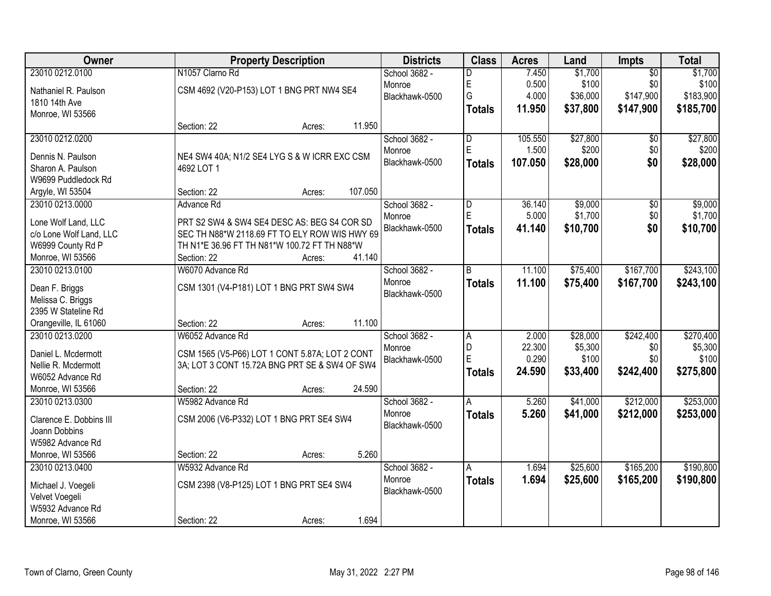| Owner                                          | <b>Property Description</b>                                                                  |        |         | <b>Districts</b> | <b>Class</b>  | <b>Acres</b> | Land     | Impts           | <b>Total</b> |
|------------------------------------------------|----------------------------------------------------------------------------------------------|--------|---------|------------------|---------------|--------------|----------|-----------------|--------------|
| 23010 0212.0100                                | N1057 Clarno Rd                                                                              |        |         | School 3682 -    | D             | 7.450        | \$1,700  | $\overline{50}$ | \$1,700      |
| Nathaniel R. Paulson                           | CSM 4692 (V20-P153) LOT 1 BNG PRT NW4 SE4                                                    |        |         | Monroe           | E             | 0.500        | \$100    | \$0             | \$100        |
| 1810 14th Ave                                  |                                                                                              |        |         | Blackhawk-0500   | G             | 4.000        | \$36,000 | \$147,900       | \$183,900    |
| Monroe, WI 53566                               |                                                                                              |        |         |                  | <b>Totals</b> | 11.950       | \$37,800 | \$147,900       | \$185,700    |
|                                                | Section: 22                                                                                  | Acres: | 11.950  |                  |               |              |          |                 |              |
| 23010 0212.0200                                |                                                                                              |        |         | School 3682 -    | D             | 105.550      | \$27,800 | \$0             | \$27,800     |
| Dennis N. Paulson                              | NE4 SW4 40A; N1/2 SE4 LYG S & W ICRR EXC CSM                                                 |        |         | Monroe           | E             | 1.500        | \$200    | \$0             | \$200        |
| Sharon A. Paulson                              | 4692 LOT 1                                                                                   |        |         | Blackhawk-0500   | <b>Totals</b> | 107.050      | \$28,000 | \$0             | \$28,000     |
| W9699 Puddledock Rd                            |                                                                                              |        |         |                  |               |              |          |                 |              |
| Argyle, WI 53504                               | Section: 22                                                                                  | Acres: | 107.050 |                  |               |              |          |                 |              |
| 23010 0213.0000                                | Advance Rd                                                                                   |        |         | School 3682 -    | D             | 36.140       | \$9,000  | $\overline{50}$ | \$9,000      |
|                                                |                                                                                              |        |         | Monroe           | E             | 5.000        | \$1,700  | \$0             | \$1,700      |
| Lone Wolf Land, LLC<br>c/o Lone Wolf Land, LLC | PRT S2 SW4 & SW4 SE4 DESC AS: BEG S4 COR SD<br>SEC TH N88*W 2118.69 FT TO ELY ROW WIS HWY 69 |        |         | Blackhawk-0500   | <b>Totals</b> | 41.140       | \$10,700 | \$0             | \$10,700     |
| W6999 County Rd P                              | TH N1*E 36.96 FT TH N81*W 100.72 FT TH N88*W                                                 |        |         |                  |               |              |          |                 |              |
| Monroe, WI 53566                               | Section: 22                                                                                  | Acres: | 41.140  |                  |               |              |          |                 |              |
| 23010 0213.0100                                | W6070 Advance Rd                                                                             |        |         | School 3682 -    | B             | 11.100       | \$75,400 | \$167,700       | \$243,100    |
|                                                |                                                                                              |        |         | Monroe           | <b>Totals</b> | 11.100       | \$75,400 | \$167,700       | \$243,100    |
| Dean F. Briggs                                 | CSM 1301 (V4-P181) LOT 1 BNG PRT SW4 SW4                                                     |        |         | Blackhawk-0500   |               |              |          |                 |              |
| Melissa C. Briggs                              |                                                                                              |        |         |                  |               |              |          |                 |              |
| 2395 W Stateline Rd                            |                                                                                              |        |         |                  |               |              |          |                 |              |
| Orangeville, IL 61060                          | Section: 22                                                                                  | Acres: | 11.100  |                  |               |              |          |                 |              |
| 23010 0213.0200                                | W6052 Advance Rd                                                                             |        |         | School 3682 -    | Α             | 2.000        | \$28,000 | \$242,400       | \$270,400    |
| Daniel L. Mcdermott                            | CSM 1565 (V5-P66) LOT 1 CONT 5.87A; LOT 2 CONT                                               |        |         | Monroe           | D             | 22.300       | \$5,300  | \$0             | \$5,300      |
| Nellie R. Mcdermott                            | 3A; LOT 3 CONT 15.72A BNG PRT SE & SW4 OF SW4                                                |        |         | Blackhawk-0500   | E             | 0.290        | \$100    | \$0             | \$100        |
| W6052 Advance Rd                               |                                                                                              |        |         |                  | <b>Totals</b> | 24.590       | \$33,400 | \$242,400       | \$275,800    |
| Monroe, WI 53566                               | Section: 22                                                                                  | Acres: | 24.590  |                  |               |              |          |                 |              |
| 23010 0213.0300                                | W5982 Advance Rd                                                                             |        |         | School 3682 -    | A             | 5.260        | \$41,000 | \$212,000       | \$253,000    |
| Clarence E. Dobbins III                        | CSM 2006 (V6-P332) LOT 1 BNG PRT SE4 SW4                                                     |        |         | Monroe           | <b>Totals</b> | 5.260        | \$41,000 | \$212,000       | \$253,000    |
| Joann Dobbins                                  |                                                                                              |        |         | Blackhawk-0500   |               |              |          |                 |              |
| W5982 Advance Rd                               |                                                                                              |        |         |                  |               |              |          |                 |              |
| Monroe, WI 53566                               | Section: 22                                                                                  | Acres: | 5.260   |                  |               |              |          |                 |              |
| 23010 0213.0400                                | W5932 Advance Rd                                                                             |        |         | School 3682 -    | A             | 1.694        | \$25,600 | \$165,200       | \$190,800    |
|                                                | CSM 2398 (V8-P125) LOT 1 BNG PRT SE4 SW4                                                     |        |         | Monroe           | <b>Totals</b> | 1.694        | \$25,600 | \$165,200       | \$190,800    |
| Michael J. Voegeli<br>Velvet Voegeli           |                                                                                              |        |         | Blackhawk-0500   |               |              |          |                 |              |
| W5932 Advance Rd                               |                                                                                              |        |         |                  |               |              |          |                 |              |
| Monroe, WI 53566                               | Section: 22                                                                                  | Acres: | 1.694   |                  |               |              |          |                 |              |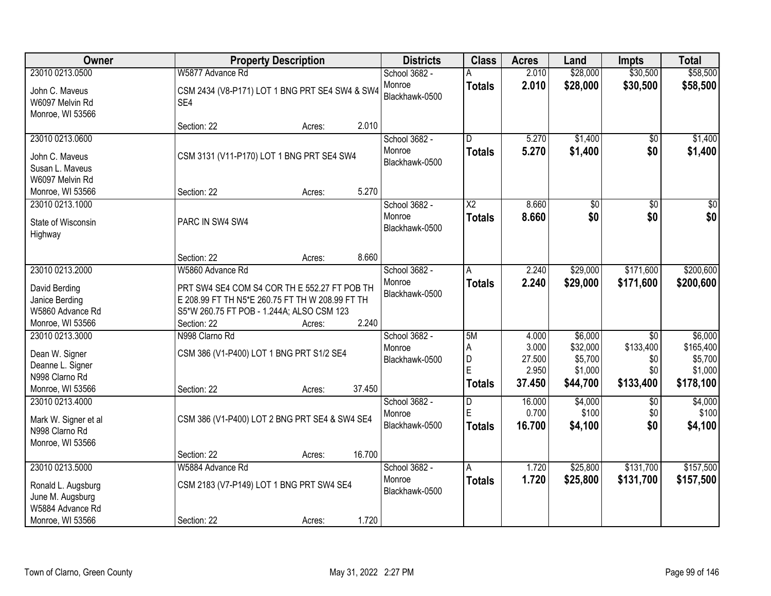| Owner                                                                                             |                                                                                                                                              | <b>Property Description</b> |        | <b>Districts</b>                          | <b>Class</b>                       | <b>Acres</b>                                | Land                                                  | <b>Impts</b>                                            | <b>Total</b>                                            |
|---------------------------------------------------------------------------------------------------|----------------------------------------------------------------------------------------------------------------------------------------------|-----------------------------|--------|-------------------------------------------|------------------------------------|---------------------------------------------|-------------------------------------------------------|---------------------------------------------------------|---------------------------------------------------------|
| 23010 0213.0500                                                                                   | W5877 Advance Rd                                                                                                                             |                             |        | School 3682 -                             |                                    | 2.010                                       | \$28,000                                              | \$30,500                                                | \$58,500                                                |
| John C. Maveus<br>W6097 Melvin Rd<br>Monroe, WI 53566                                             | CSM 2434 (V8-P171) LOT 1 BNG PRT SE4 SW4 & SW4<br>SE4                                                                                        |                             |        | Monroe<br>Blackhawk-0500                  | <b>Totals</b>                      | 2.010                                       | \$28,000                                              | \$30,500                                                | \$58,500                                                |
|                                                                                                   | Section: 22                                                                                                                                  | Acres:                      | 2.010  |                                           |                                    |                                             |                                                       |                                                         |                                                         |
| 23010 0213.0600<br>John C. Maveus<br>Susan L. Maveus                                              | CSM 3131 (V11-P170) LOT 1 BNG PRT SE4 SW4                                                                                                    |                             |        | School 3682 -<br>Monroe<br>Blackhawk-0500 | D.<br><b>Totals</b>                | 5.270<br>5.270                              | \$1,400<br>\$1,400                                    | \$0<br>\$0                                              | \$1,400<br>\$1,400                                      |
| W6097 Melvin Rd                                                                                   | Section: 22                                                                                                                                  |                             | 5.270  |                                           |                                    |                                             |                                                       |                                                         |                                                         |
| Monroe, WI 53566<br>23010 0213.1000                                                               |                                                                                                                                              | Acres:                      |        | School 3682 -                             | $\overline{\text{X2}}$             | 8.660                                       | \$0                                                   | $\overline{50}$                                         | \$0                                                     |
| State of Wisconsin<br>Highway                                                                     | PARC IN SW4 SW4                                                                                                                              |                             |        | Monroe<br>Blackhawk-0500                  | <b>Totals</b>                      | 8.660                                       | \$0                                                   | \$0                                                     | \$0                                                     |
|                                                                                                   | Section: 22                                                                                                                                  | Acres:                      | 8.660  |                                           |                                    |                                             |                                                       |                                                         |                                                         |
| 23010 0213.2000                                                                                   | W5860 Advance Rd                                                                                                                             |                             |        | School 3682 -                             | A                                  | 2.240                                       | \$29,000                                              | \$171,600                                               | \$200,600                                               |
| David Berding<br>Janice Berding<br>W5860 Advance Rd                                               | PRT SW4 SE4 COM S4 COR TH E 552.27 FT POB TH<br>E 208.99 FT TH N5*E 260.75 FT TH W 208.99 FT TH<br>S5*W 260.75 FT POB - 1.244A; ALSO CSM 123 |                             |        | Monroe<br>Blackhawk-0500                  | <b>Totals</b>                      | 2.240                                       | \$29,000                                              | \$171,600                                               | \$200,600                                               |
| Monroe, WI 53566                                                                                  | Section: 22                                                                                                                                  | Acres:                      | 2.240  |                                           |                                    |                                             |                                                       |                                                         |                                                         |
| 23010 0213.3000<br>Dean W. Signer<br>Deanne L. Signer<br>N998 Clarno Rd<br>Monroe, WI 53566       | N998 Clarno Rd<br>CSM 386 (V1-P400) LOT 1 BNG PRT S1/2 SE4<br>Section: 22                                                                    | Acres:                      | 37.450 | School 3682 -<br>Monroe<br>Blackhawk-0500 | 5M<br>A<br>D<br>E<br><b>Totals</b> | 4.000<br>3.000<br>27.500<br>2.950<br>37.450 | \$6,000<br>\$32,000<br>\$5,700<br>\$1,000<br>\$44,700 | $\overline{50}$<br>\$133,400<br>\$0<br>\$0<br>\$133,400 | \$6,000<br>\$165,400<br>\$5,700<br>\$1,000<br>\$178,100 |
| 23010 0213.4000<br>Mark W. Signer et al<br>N998 Clarno Rd<br>Monroe, WI 53566                     | CSM 386 (V1-P400) LOT 2 BNG PRT SE4 & SW4 SE4                                                                                                |                             |        | School 3682 -<br>Monroe<br>Blackhawk-0500 | D<br>E<br><b>Totals</b>            | 16.000<br>0.700<br>16.700                   | \$4,000<br>\$100<br>\$4,100                           | \$0<br>\$0<br>\$0                                       | \$4,000<br>\$100<br>\$4,100                             |
|                                                                                                   | Section: 22                                                                                                                                  | Acres:                      | 16.700 |                                           |                                    |                                             |                                                       |                                                         |                                                         |
| 23010 0213.5000<br>Ronald L. Augsburg<br>June M. Augsburg<br>W5884 Advance Rd<br>Monroe, WI 53566 | W5884 Advance Rd<br>CSM 2183 (V7-P149) LOT 1 BNG PRT SW4 SE4<br>Section: 22                                                                  | Acres:                      | 1.720  | School 3682 -<br>Monroe<br>Blackhawk-0500 | A<br><b>Totals</b>                 | 1.720<br>1.720                              | \$25,800<br>\$25,800                                  | \$131,700<br>\$131,700                                  | \$157,500<br>\$157,500                                  |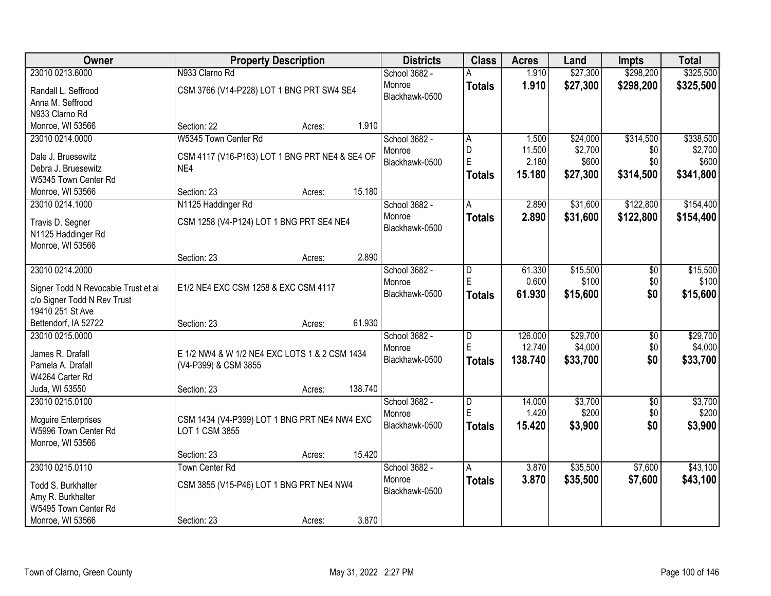| Owner                                                              |                                                | <b>Property Description</b> |         | <b>Districts</b> | <b>Class</b>            | <b>Acres</b> | Land     | <b>Impts</b>    | <b>Total</b> |
|--------------------------------------------------------------------|------------------------------------------------|-----------------------------|---------|------------------|-------------------------|--------------|----------|-----------------|--------------|
| 23010 0213.6000                                                    | N933 Clarno Rd                                 |                             |         | School 3682 -    |                         | 1.910        | \$27,300 | \$298,200       | \$325,500    |
| Randall L. Seffrood                                                | CSM 3766 (V14-P228) LOT 1 BNG PRT SW4 SE4      |                             |         | Monroe           | <b>Totals</b>           | 1.910        | \$27,300 | \$298,200       | \$325,500    |
| Anna M. Seffrood                                                   |                                                |                             |         | Blackhawk-0500   |                         |              |          |                 |              |
| N933 Clarno Rd                                                     |                                                |                             |         |                  |                         |              |          |                 |              |
| Monroe, WI 53566                                                   | Section: 22                                    | Acres:                      | 1.910   |                  |                         |              |          |                 |              |
| 23010 0214.0000                                                    | W5345 Town Center Rd                           |                             |         | School 3682 -    | Α                       | 1.500        | \$24,000 | \$314,500       | \$338,500    |
| Dale J. Bruesewitz                                                 | CSM 4117 (V16-P163) LOT 1 BNG PRT NE4 & SE4 OF |                             |         | Monroe           | D                       | 11.500       | \$2,700  | \$0             | \$2,700      |
| Debra J. Bruesewitz                                                | NE4                                            |                             |         | Blackhawk-0500   | E                       | 2.180        | \$600    | \$0             | \$600        |
| W5345 Town Center Rd                                               |                                                |                             |         |                  | <b>Totals</b>           | 15.180       | \$27,300 | \$314,500       | \$341,800    |
| Monroe, WI 53566                                                   | Section: 23                                    | Acres:                      | 15.180  |                  |                         |              |          |                 |              |
| 23010 0214.1000                                                    | N1125 Haddinger Rd                             |                             |         | School 3682 -    | A                       | 2.890        | \$31,600 | \$122,800       | \$154,400    |
|                                                                    | CSM 1258 (V4-P124) LOT 1 BNG PRT SE4 NE4       |                             |         | Monroe           | <b>Totals</b>           | 2.890        | \$31,600 | \$122,800       | \$154,400    |
| Travis D. Segner<br>N1125 Haddinger Rd                             |                                                |                             |         | Blackhawk-0500   |                         |              |          |                 |              |
| Monroe, WI 53566                                                   |                                                |                             |         |                  |                         |              |          |                 |              |
|                                                                    | Section: 23                                    | Acres:                      | 2.890   |                  |                         |              |          |                 |              |
| 23010 0214.2000                                                    |                                                |                             |         | School 3682 -    | D                       | 61.330       | \$15,500 | \$0             | \$15,500     |
|                                                                    |                                                |                             |         | Monroe           | E                       | 0.600        | \$100    | \$0             | \$100        |
| Signer Todd N Revocable Trust et al<br>c/o Signer Todd N Rev Trust | E1/2 NE4 EXC CSM 1258 & EXC CSM 4117           |                             |         | Blackhawk-0500   | <b>Totals</b>           | 61.930       | \$15,600 | \$0             | \$15,600     |
| 19410 251 St Ave                                                   |                                                |                             |         |                  |                         |              |          |                 |              |
| Bettendorf, IA 52722                                               | Section: 23                                    | Acres:                      | 61.930  |                  |                         |              |          |                 |              |
| 23010 0215.0000                                                    |                                                |                             |         | School 3682 -    | $\overline{\mathsf{D}}$ | 126.000      | \$29,700 | $\overline{50}$ | \$29,700     |
|                                                                    |                                                |                             |         | Monroe           | E                       | 12.740       | \$4,000  | \$0             | \$4,000      |
| James R. Drafall                                                   | E 1/2 NW4 & W 1/2 NE4 EXC LOTS 1 & 2 CSM 1434  |                             |         | Blackhawk-0500   | <b>Totals</b>           | 138.740      | \$33,700 | \$0             | \$33,700     |
| Pamela A. Drafall                                                  | (V4-P399) & CSM 3855                           |                             |         |                  |                         |              |          |                 |              |
| W4264 Carter Rd<br>Juda, WI 53550                                  | Section: 23                                    | Acres:                      | 138.740 |                  |                         |              |          |                 |              |
| 23010 0215.0100                                                    |                                                |                             |         | School 3682 -    | D                       | 14.000       | \$3,700  | $\sqrt{$0}$     | \$3,700      |
|                                                                    |                                                |                             |         | Monroe           | E                       | 1.420        | \$200    | \$0             | \$200        |
| <b>Mcguire Enterprises</b>                                         | CSM 1434 (V4-P399) LOT 1 BNG PRT NE4 NW4 EXC   |                             |         | Blackhawk-0500   | <b>Totals</b>           | 15.420       | \$3,900  | \$0             | \$3,900      |
| W5996 Town Center Rd                                               | LOT 1 CSM 3855                                 |                             |         |                  |                         |              |          |                 |              |
| Monroe, WI 53566                                                   |                                                |                             |         |                  |                         |              |          |                 |              |
| 23010 0215.0110                                                    | Section: 23<br><b>Town Center Rd</b>           | Acres:                      | 15.420  | School 3682 -    |                         | 3.870        | \$35,500 | \$7,600         | \$43,100     |
|                                                                    |                                                |                             |         | Monroe           | A                       | 3.870        |          |                 |              |
| Todd S. Burkhalter                                                 | CSM 3855 (V15-P46) LOT 1 BNG PRT NE4 NW4       |                             |         | Blackhawk-0500   | <b>Totals</b>           |              | \$35,500 | \$7,600         | \$43,100     |
| Amy R. Burkhalter                                                  |                                                |                             |         |                  |                         |              |          |                 |              |
| W5495 Town Center Rd                                               |                                                |                             |         |                  |                         |              |          |                 |              |
| Monroe, WI 53566                                                   | Section: 23                                    | Acres:                      | 3.870   |                  |                         |              |          |                 |              |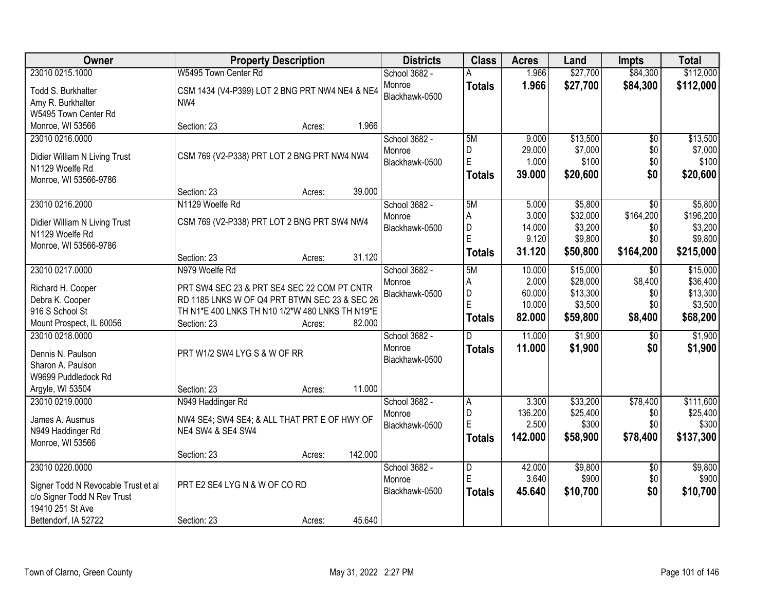| Owner<br><b>Property Description</b>                                                            | <b>Districts</b> | <b>Class</b>  | <b>Acres</b> | Land     | <b>Impts</b>    | <b>Total</b> |
|-------------------------------------------------------------------------------------------------|------------------|---------------|--------------|----------|-----------------|--------------|
| 23010 0215.1000<br>W5495 Town Center Rd                                                         | School 3682 -    |               | 1.966        | \$27,700 | \$84,300        | \$112,000    |
| Todd S. Burkhalter<br>CSM 1434 (V4-P399) LOT 2 BNG PRT NW4 NE4 & NE4                            | Monroe           | <b>Totals</b> | 1.966        | \$27,700 | \$84,300        | \$112,000    |
| Amy R. Burkhalter<br>NW4                                                                        | Blackhawk-0500   |               |              |          |                 |              |
| W5495 Town Center Rd                                                                            |                  |               |              |          |                 |              |
| Monroe, WI 53566<br>1.966<br>Section: 23<br>Acres:                                              |                  |               |              |          |                 |              |
| 23010 0216.0000                                                                                 | School 3682 -    | 5M            | 9.000        | \$13,500 | $\overline{50}$ | \$13,500     |
|                                                                                                 | Monroe           | D             | 29.000       | \$7,000  | \$0             | \$7,000      |
| CSM 769 (V2-P338) PRT LOT 2 BNG PRT NW4 NW4<br>Didier William N Living Trust<br>N1129 Woelfe Rd | Blackhawk-0500   | E             | 1.000        | \$100    | \$0             | \$100        |
| Monroe, WI 53566-9786                                                                           |                  | <b>Totals</b> | 39.000       | \$20,600 | \$0             | \$20,600     |
| 39.000<br>Section: 23<br>Acres:                                                                 |                  |               |              |          |                 |              |
| 23010 0216.2000<br>N1129 Woelfe Rd                                                              | School 3682 -    | 5M            | 5.000        | \$5,800  | $\overline{50}$ | \$5,800      |
|                                                                                                 | Monroe           | Α             | 3.000        | \$32,000 | \$164,200       | \$196,200    |
| CSM 769 (V2-P338) PRT LOT 2 BNG PRT SW4 NW4<br>Didier William N Living Trust                    | Blackhawk-0500   | D             | 14.000       | \$3,200  | \$0             | \$3,200      |
| N1129 Woelfe Rd                                                                                 |                  | E             | 9.120        | \$9,800  | \$0             | \$9,800      |
| Monroe, WI 53566-9786<br>31.120<br>Section: 23                                                  |                  | Totals        | 31.120       | \$50,800 | \$164,200       | \$215,000    |
| Acres:<br>23010 0217.0000<br>N979 Woelfe Rd                                                     | School 3682 -    | 5M            | 10.000       | \$15,000 | $\sqrt{6}$      | \$15,000     |
|                                                                                                 | Monroe           | Α             | 2.000        | \$28,000 | \$8,400         | \$36,400     |
| Richard H. Cooper<br>PRT SW4 SEC 23 & PRT SE4 SEC 22 COM PT CNTR                                | Blackhawk-0500   | D             | 60.000       | \$13,300 | \$0             | \$13,300     |
| RD 1185 LNKS W OF Q4 PRT BTWN SEC 23 & SEC 26<br>Debra K. Cooper                                |                  | E             | 10.000       | \$3,500  | \$0             | \$3,500      |
| 916 S School St<br>TH N1*E 400 LNKS TH N10 1/2*W 480 LNKS TH N19*E                              |                  | <b>Totals</b> | 82.000       | \$59,800 | \$8,400         | \$68,200     |
| 82.000<br>Mount Prospect, IL 60056<br>Section: 23<br>Acres:                                     |                  |               |              |          |                 |              |
| 23010 0218.0000                                                                                 | School 3682 -    | D             | 11.000       | \$1,900  | $\overline{50}$ | \$1,900      |
| PRT W1/2 SW4 LYG S & W OF RR<br>Dennis N. Paulson                                               | Monroe           | <b>Totals</b> | 11.000       | \$1,900  | \$0             | \$1,900      |
| Sharon A. Paulson                                                                               | Blackhawk-0500   |               |              |          |                 |              |
| W9699 Puddledock Rd                                                                             |                  |               |              |          |                 |              |
| 11.000<br>Argyle, WI 53504<br>Section: 23<br>Acres:                                             |                  |               |              |          |                 |              |
| 23010 0219.0000<br>N949 Haddinger Rd                                                            | School 3682 -    | ΙA            | 3.300        | \$33,200 | \$78,400        | \$111,600    |
| James A. Ausmus<br>NW4 SE4; SW4 SE4; & ALL THAT PRT E OF HWY OF                                 | Monroe           | D             | 136.200      | \$25,400 | \$0             | \$25,400     |
| N949 Haddinger Rd<br><b>NE4 SW4 &amp; SE4 SW4</b>                                               | Blackhawk-0500   | E             | 2.500        | \$300    | \$0             | \$300        |
| Monroe, WI 53566                                                                                |                  | Totals        | 142.000      | \$58,900 | \$78,400        | \$137,300    |
| 142.000<br>Section: 23<br>Acres:                                                                |                  |               |              |          |                 |              |
| 23010 0220.0000                                                                                 | School 3682 -    | D             | 42.000       | \$9,800  | $\overline{50}$ | \$9,800      |
| PRT E2 SE4 LYG N & W OF CO RD                                                                   | Monroe           | E             | 3.640        | \$900    | \$0             | \$900        |
| Signer Todd N Revocable Trust et al<br>c/o Signer Todd N Rev Trust                              | Blackhawk-0500   | <b>Totals</b> | 45.640       | \$10,700 | \$0             | \$10,700     |
| 19410 251 St Ave                                                                                |                  |               |              |          |                 |              |
| 45.640<br>Bettendorf, IA 52722<br>Section: 23<br>Acres:                                         |                  |               |              |          |                 |              |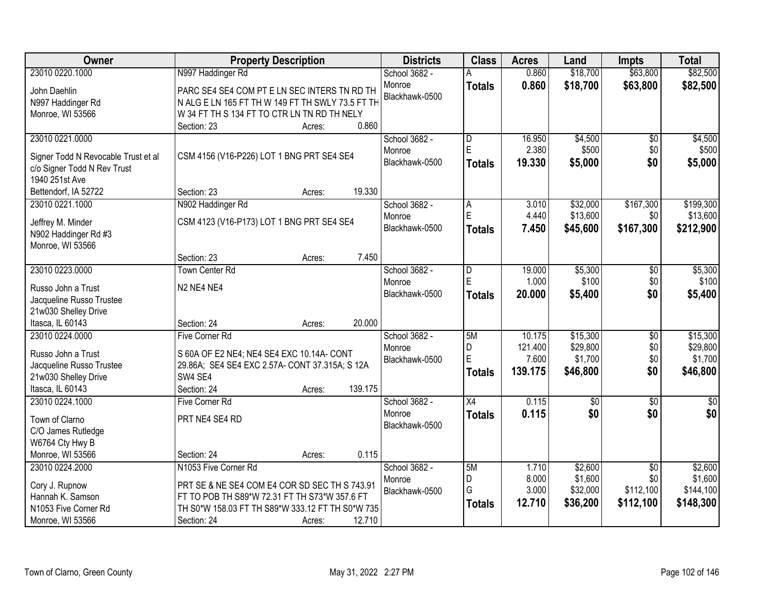| Owner                               | <b>Property Description</b>                      |                   | <b>Districts</b> | <b>Class</b>            | <b>Acres</b>     | Land            | <b>Impts</b>    | <b>Total</b>    |
|-------------------------------------|--------------------------------------------------|-------------------|------------------|-------------------------|------------------|-----------------|-----------------|-----------------|
| 23010 0220.1000                     | N997 Haddinger Rd                                |                   | School 3682 -    |                         | 0.860            | \$18,700        | \$63,800        | \$82,500        |
| John Daehlin                        | PARC SE4 SE4 COM PT E LN SEC INTERS TN RD TH     |                   | Monroe           | <b>Totals</b>           | 0.860            | \$18,700        | \$63,800        | \$82,500        |
| N997 Haddinger Rd                   | N ALG E LN 165 FT TH W 149 FT TH SWLY 73.5 FT TH |                   | Blackhawk-0500   |                         |                  |                 |                 |                 |
| Monroe, WI 53566                    | W 34 FT TH S 134 FT TO CTR LN TN RD TH NELY      |                   |                  |                         |                  |                 |                 |                 |
|                                     | Section: 23                                      | 0.860<br>Acres:   |                  |                         |                  |                 |                 |                 |
| 23010 0221.0000                     |                                                  |                   | School 3682 -    | $\overline{\mathsf{D}}$ | 16.950           | \$4,500         | $\overline{50}$ | \$4,500         |
| Signer Todd N Revocable Trust et al | CSM 4156 (V16-P226) LOT 1 BNG PRT SE4 SE4        |                   | Monroe           | E                       | 2.380            | \$500           | \$0             | \$500           |
| c/o Signer Todd N Rev Trust         |                                                  |                   | Blackhawk-0500   | <b>Totals</b>           | 19.330           | \$5,000         | \$0             | \$5,000         |
| 1940 251st Ave                      |                                                  |                   |                  |                         |                  |                 |                 |                 |
| Bettendorf, IA 52722                | Section: 23                                      | 19.330<br>Acres:  |                  |                         |                  |                 |                 |                 |
| 23010 0221.1000                     | N902 Haddinger Rd                                |                   | School 3682 -    | A                       | 3.010            | \$32,000        | \$167,300       | \$199,300       |
|                                     |                                                  |                   | Monroe           | E                       | 4.440            | \$13,600        | \$0             | \$13,600        |
| Jeffrey M. Minder                   | CSM 4123 (V16-P173) LOT 1 BNG PRT SE4 SE4        |                   | Blackhawk-0500   | <b>Totals</b>           | 7.450            | \$45,600        | \$167,300       | \$212,900       |
| N902 Haddinger Rd #3                |                                                  |                   |                  |                         |                  |                 |                 |                 |
| Monroe, WI 53566                    | Section: 23                                      | 7.450<br>Acres:   |                  |                         |                  |                 |                 |                 |
| 23010 0223.0000                     | <b>Town Center Rd</b>                            |                   | School 3682 -    | D                       | 19.000           | \$5,300         | \$0             | \$5,300         |
|                                     |                                                  |                   | Monroe           | E                       | 1.000            | \$100           | \$0             | \$100           |
| Russo John a Trust                  | N2 NE4 NE4                                       |                   | Blackhawk-0500   | <b>Totals</b>           | 20.000           | \$5,400         | \$0             | \$5,400         |
| Jacqueline Russo Trustee            |                                                  |                   |                  |                         |                  |                 |                 |                 |
| 21w030 Shelley Drive                |                                                  |                   |                  |                         |                  |                 |                 |                 |
| Itasca, IL 60143                    | Section: 24                                      | 20.000<br>Acres:  |                  |                         |                  |                 |                 |                 |
| 23010 0224.0000                     | <b>Five Corner Rd</b>                            |                   | School 3682 -    | 5M                      | 10.175           | \$15,300        | $\overline{50}$ | \$15,300        |
| Russo John a Trust                  | S 60A OF E2 NE4; NE4 SE4 EXC 10.14A- CONT        |                   | Monroe           | D<br>E                  | 121.400<br>7.600 | \$29,800        | \$0             | \$29,800        |
| Jacqueline Russo Trustee            | 29.86A; SE4 SE4 EXC 2.57A- CONT 37.315A; S 12A   |                   | Blackhawk-0500   |                         | 139.175          | \$1,700         | \$0<br>\$0      | \$1,700         |
| 21w030 Shelley Drive                | SW4 SE4                                          |                   |                  | <b>Totals</b>           |                  | \$46,800        |                 | \$46,800        |
| Itasca, IL 60143                    | Section: 24                                      | 139.175<br>Acres: |                  |                         |                  |                 |                 |                 |
| 23010 0224.1000                     | Five Corner Rd                                   |                   | School 3682 -    | $\overline{X4}$         | 0.115            | $\overline{60}$ | $\overline{50}$ | $\overline{50}$ |
| Town of Clarno                      | PRT NE4 SE4 RD                                   |                   | Monroe           | <b>Totals</b>           | 0.115            | \$0             | \$0             | \$0             |
| C/O James Rutledge                  |                                                  |                   | Blackhawk-0500   |                         |                  |                 |                 |                 |
| W6764 Cty Hwy B                     |                                                  |                   |                  |                         |                  |                 |                 |                 |
| Monroe, WI 53566                    | Section: 24                                      | 0.115<br>Acres:   |                  |                         |                  |                 |                 |                 |
| 23010 0224.2000                     | N1053 Five Corner Rd                             |                   | School 3682 -    | 5M                      | 1.710            | \$2,600         | $\overline{50}$ | \$2,600         |
| Cory J. Rupnow                      | PRT SE & NE SE4 COM E4 COR SD SEC TH S 743.91    |                   | Monroe           | D                       | 8.000            | \$1,600         | \$0             | \$1,600         |
| Hannah K. Samson                    | FT TO POB TH S89*W 72.31 FT TH S73*W 357.6 FT    |                   | Blackhawk-0500   | G                       | 3.000            | \$32,000        | \$112,100       | \$144,100       |
| N1053 Five Corner Rd                | TH S0*W 158.03 FT TH S89*W 333.12 FT TH S0*W 735 |                   |                  | <b>Totals</b>           | 12.710           | \$36,200        | \$112,100       | \$148,300       |
| Monroe, WI 53566                    | Section: 24                                      | 12.710<br>Acres:  |                  |                         |                  |                 |                 |                 |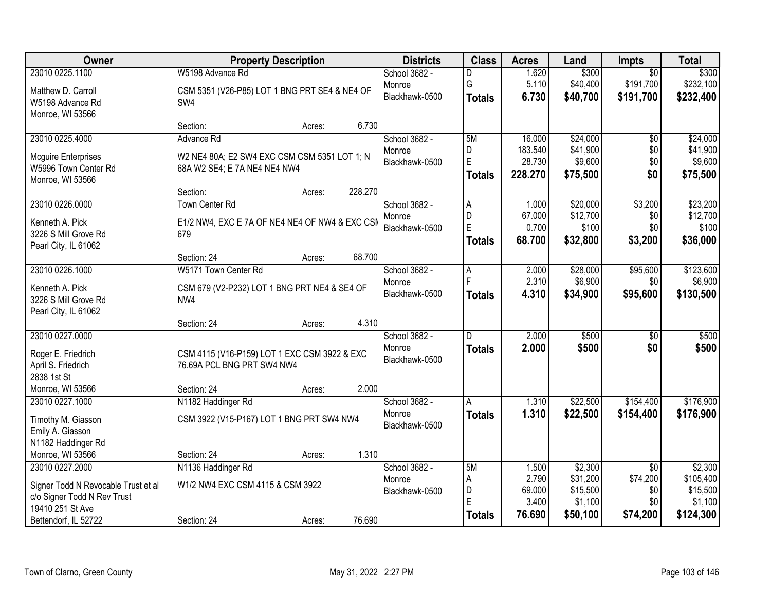| Owner                               | <b>Property Description</b>                    |         | <b>Districts</b> | <b>Class</b>  | <b>Acres</b>    | Land                | <b>Impts</b>    | <b>Total</b>        |
|-------------------------------------|------------------------------------------------|---------|------------------|---------------|-----------------|---------------------|-----------------|---------------------|
| 23010 0225.1100                     | W5198 Advance Rd                               |         | School 3682 -    | D             | 1.620           | \$300               | $\overline{30}$ | \$300               |
| Matthew D. Carroll                  | CSM 5351 (V26-P85) LOT 1 BNG PRT SE4 & NE4 OF  |         | Monroe           | G             | 5.110           | \$40,400            | \$191,700       | \$232,100           |
| W5198 Advance Rd                    | SW4                                            |         | Blackhawk-0500   | <b>Totals</b> | 6.730           | \$40,700            | \$191,700       | \$232,400           |
| Monroe, WI 53566                    |                                                |         |                  |               |                 |                     |                 |                     |
|                                     | Section:<br>Acres:                             | 6.730   |                  |               |                 |                     |                 |                     |
| 23010 0225.4000                     | Advance Rd                                     |         | School 3682 -    | 5M            | 16.000          | \$24,000            | $\overline{50}$ | \$24,000            |
| <b>Mcguire Enterprises</b>          | W2 NE4 80A; E2 SW4 EXC CSM CSM 5351 LOT 1; N   |         | Monroe           | D             | 183.540         | \$41,900            | \$0             | \$41,900            |
| W5996 Town Center Rd                | 68A W2 SE4; E 7A NE4 NE4 NW4                   |         | Blackhawk-0500   | E             | 28.730          | \$9,600             | \$0             | \$9,600             |
| Monroe, WI 53566                    |                                                |         |                  | <b>Totals</b> | 228.270         | \$75,500            | \$0             | \$75,500            |
|                                     | Section:<br>Acres:                             | 228.270 |                  |               |                 |                     |                 |                     |
| 23010 0226.0000                     | <b>Town Center Rd</b>                          |         | School 3682 -    | A             | 1.000           | \$20,000            | \$3,200         | \$23,200            |
| Kenneth A. Pick                     | E1/2 NW4, EXC E 7A OF NE4 NE4 OF NW4 & EXC CSM |         | Monroe           | D             | 67.000          | \$12,700            | \$0             | \$12,700            |
| 3226 S Mill Grove Rd                | 679                                            |         | Blackhawk-0500   | E             | 0.700           | \$100               | \$0             | \$100               |
| Pearl City, IL 61062                |                                                |         |                  | <b>Totals</b> | 68.700          | \$32,800            | \$3,200         | \$36,000            |
|                                     | Section: 24<br>Acres:                          | 68.700  |                  |               |                 |                     |                 |                     |
| 23010 0226.1000                     | W5171 Town Center Rd                           |         | School 3682 -    | Α             | 2.000           | \$28,000            | \$95,600        | \$123,600           |
| Kenneth A. Pick                     | CSM 679 (V2-P232) LOT 1 BNG PRT NE4 & SE4 OF   |         | Monroe           |               | 2.310           | \$6,900             | \$0             | \$6,900             |
| 3226 S Mill Grove Rd                | NW4                                            |         | Blackhawk-0500   | <b>Totals</b> | 4.310           | \$34,900            | \$95,600        | \$130,500           |
| Pearl City, IL 61062                |                                                |         |                  |               |                 |                     |                 |                     |
|                                     | Section: 24<br>Acres:                          | 4.310   |                  |               |                 |                     |                 |                     |
| 23010 0227.0000                     |                                                |         | School 3682 -    | D.            | 2.000           | \$500               | $\overline{50}$ | \$500               |
| Roger E. Friedrich                  | CSM 4115 (V16-P159) LOT 1 EXC CSM 3922 & EXC   |         | Monroe           | <b>Totals</b> | 2.000           | \$500               | \$0             | \$500               |
| April S. Friedrich                  | 76.69A PCL BNG PRT SW4 NW4                     |         | Blackhawk-0500   |               |                 |                     |                 |                     |
| 2838 1st St                         |                                                |         |                  |               |                 |                     |                 |                     |
| Monroe, WI 53566                    | Section: 24<br>Acres:                          | 2.000   |                  |               |                 |                     |                 |                     |
| 23010 0227.1000                     | N1182 Haddinger Rd                             |         | School 3682 -    | A             | 1.310           | \$22,500            | \$154,400       | \$176,900           |
| Timothy M. Giasson                  | CSM 3922 (V15-P167) LOT 1 BNG PRT SW4 NW4      |         | Monroe           | <b>Totals</b> | 1.310           | \$22,500            | \$154,400       | \$176,900           |
| Emily A. Giasson                    |                                                |         | Blackhawk-0500   |               |                 |                     |                 |                     |
| N1182 Haddinger Rd                  |                                                |         |                  |               |                 |                     |                 |                     |
| Monroe, WI 53566                    | Section: 24<br>Acres:                          | 1.310   |                  |               |                 |                     |                 |                     |
| 23010 0227.2000                     | N1136 Haddinger Rd                             |         | School 3682 -    | 5M            | 1.500           | \$2,300             | $\overline{50}$ | \$2,300             |
| Signer Todd N Revocable Trust et al | W1/2 NW4 EXC CSM 4115 & CSM 3922               |         | Monroe           | A             | 2.790           | \$31,200            | \$74,200        | \$105,400           |
| c/o Signer Todd N Rev Trust         |                                                |         | Blackhawk-0500   | D<br>E        | 69.000<br>3.400 | \$15,500<br>\$1,100 | \$0<br>\$0      | \$15,500<br>\$1,100 |
| 19410 251 St Ave                    |                                                |         |                  | <b>Totals</b> | 76.690          | \$50,100            | \$74,200        | \$124,300           |
| Bettendorf, IL 52722                | Section: 24<br>Acres:                          | 76.690  |                  |               |                 |                     |                 |                     |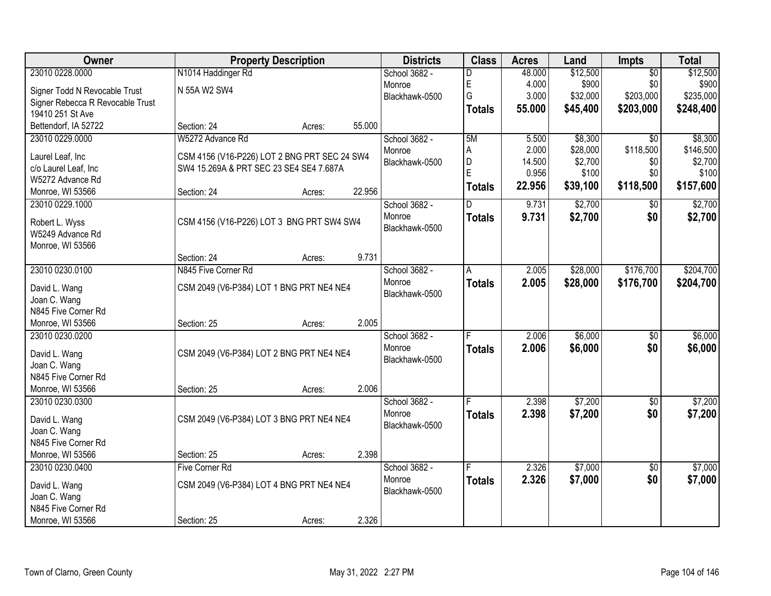| Owner                                   |                                              | <b>Property Description</b> |        | <b>Districts</b> | <b>Class</b>  | <b>Acres</b> | Land     | Impts           | <b>Total</b> |
|-----------------------------------------|----------------------------------------------|-----------------------------|--------|------------------|---------------|--------------|----------|-----------------|--------------|
| 23010 0228.0000                         | N1014 Haddinger Rd                           |                             |        | School 3682 -    | D             | 48.000       | \$12,500 | $\overline{50}$ | \$12,500     |
| Signer Todd N Revocable Trust           | N 55A W2 SW4                                 |                             |        | Monroe           | E             | 4.000        | \$900    | \$0             | \$900        |
| Signer Rebecca R Revocable Trust        |                                              |                             |        | Blackhawk-0500   | G             | 3.000        | \$32,000 | \$203,000       | \$235,000    |
| 19410 251 St Ave                        |                                              |                             |        |                  | <b>Totals</b> | 55.000       | \$45,400 | \$203,000       | \$248,400    |
| Bettendorf, IA 52722                    | Section: 24                                  | Acres:                      | 55.000 |                  |               |              |          |                 |              |
| 23010 0229.0000                         | W5272 Advance Rd                             |                             |        | School 3682 -    | 5M            | 5.500        | \$8,300  | $\overline{30}$ | \$8,300      |
| Laurel Leaf, Inc                        | CSM 4156 (V16-P226) LOT 2 BNG PRT SEC 24 SW4 |                             |        | Monroe           | Α             | 2.000        | \$28,000 | \$118,500       | \$146,500    |
| c/o Laurel Leaf, Inc                    | SW4 15.269A & PRT SEC 23 SE4 SE4 7.687A      |                             |        | Blackhawk-0500   | D             | 14.500       | \$2,700  | \$0             | \$2,700      |
| W5272 Advance Rd                        |                                              |                             |        |                  | E             | 0.956        | \$100    | \$0             | \$100        |
| Monroe, WI 53566                        | Section: 24                                  | Acres:                      | 22.956 |                  | <b>Totals</b> | 22.956       | \$39,100 | \$118,500       | \$157,600    |
| 23010 0229.1000                         |                                              |                             |        | School 3682 -    | D             | 9.731        | \$2,700  | $\sqrt{50}$     | \$2,700      |
|                                         | CSM 4156 (V16-P226) LOT 3 BNG PRT SW4 SW4    |                             |        | Monroe           | <b>Totals</b> | 9.731        | \$2,700  | \$0             | \$2,700      |
| Robert L. Wyss<br>W5249 Advance Rd      |                                              |                             |        | Blackhawk-0500   |               |              |          |                 |              |
| Monroe, WI 53566                        |                                              |                             |        |                  |               |              |          |                 |              |
|                                         | Section: 24                                  | Acres:                      | 9.731  |                  |               |              |          |                 |              |
| 23010 0230.0100                         | N845 Five Corner Rd                          |                             |        | School 3682 -    | Α             | 2.005        | \$28,000 | \$176,700       | \$204,700    |
|                                         |                                              |                             |        | Monroe           | <b>Totals</b> | 2.005        | \$28,000 | \$176,700       | \$204,700    |
| David L. Wang                           | CSM 2049 (V6-P384) LOT 1 BNG PRT NE4 NE4     |                             |        | Blackhawk-0500   |               |              |          |                 |              |
| Joan C. Wang                            |                                              |                             |        |                  |               |              |          |                 |              |
| N845 Five Corner Rd<br>Monroe, WI 53566 | Section: 25                                  |                             | 2.005  |                  |               |              |          |                 |              |
| 23010 0230.0200                         |                                              | Acres:                      |        | School 3682 -    |               | 2.006        | \$6,000  | $\overline{50}$ | \$6,000      |
|                                         |                                              |                             |        | Monroe           |               |              |          |                 |              |
| David L. Wang                           | CSM 2049 (V6-P384) LOT 2 BNG PRT NE4 NE4     |                             |        | Blackhawk-0500   | <b>Totals</b> | 2.006        | \$6,000  | \$0             | \$6,000      |
| Joan C. Wang                            |                                              |                             |        |                  |               |              |          |                 |              |
| N845 Five Corner Rd                     |                                              |                             |        |                  |               |              |          |                 |              |
| Monroe, WI 53566                        | Section: 25                                  | Acres:                      | 2.006  |                  |               |              |          |                 |              |
| 23010 0230.0300                         |                                              |                             |        | School 3682 -    |               | 2.398        | \$7,200  | $\overline{50}$ | \$7,200      |
| David L. Wang                           | CSM 2049 (V6-P384) LOT 3 BNG PRT NE4 NE4     |                             |        | Monroe           | <b>Totals</b> | 2.398        | \$7,200  | \$0             | \$7,200      |
| Joan C. Wang                            |                                              |                             |        | Blackhawk-0500   |               |              |          |                 |              |
| N845 Five Corner Rd                     |                                              |                             |        |                  |               |              |          |                 |              |
| Monroe, WI 53566                        | Section: 25                                  | Acres:                      | 2.398  |                  |               |              |          |                 |              |
| 23010 0230.0400                         | <b>Five Corner Rd</b>                        |                             |        | School 3682 -    |               | 2.326        | \$7,000  | $\overline{50}$ | \$7,000      |
| David L. Wang                           | CSM 2049 (V6-P384) LOT 4 BNG PRT NE4 NE4     |                             |        | Monroe           | <b>Totals</b> | 2.326        | \$7,000  | \$0             | \$7,000      |
| Joan C. Wang                            |                                              |                             |        | Blackhawk-0500   |               |              |          |                 |              |
| N845 Five Corner Rd                     |                                              |                             |        |                  |               |              |          |                 |              |
| Monroe, WI 53566                        | Section: 25                                  | Acres:                      | 2.326  |                  |               |              |          |                 |              |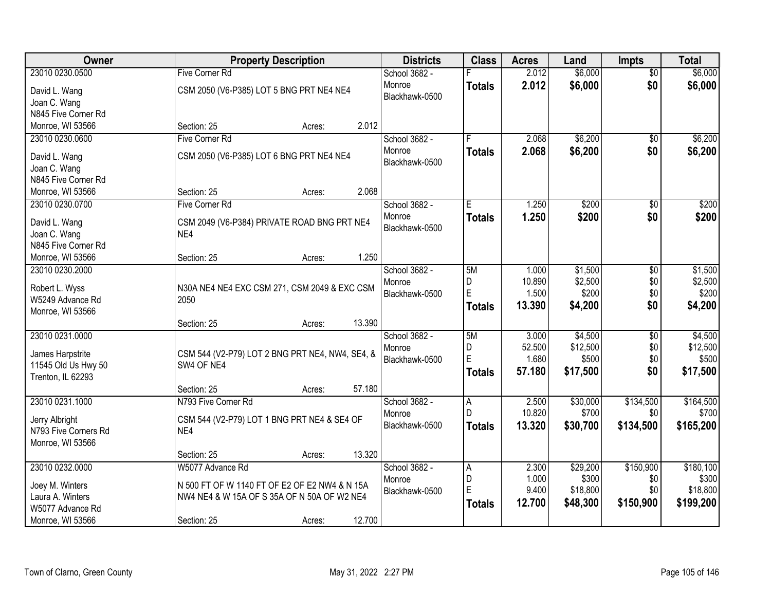| Owner                               | <b>Property Description</b>                        |        |        | <b>Districts</b> | <b>Class</b>  | <b>Acres</b> | Land     | <b>Impts</b>    | <b>Total</b> |
|-------------------------------------|----------------------------------------------------|--------|--------|------------------|---------------|--------------|----------|-----------------|--------------|
| 23010 0230.0500                     | Five Corner Rd                                     |        |        | School 3682 -    |               | 2.012        | \$6,000  | $\overline{50}$ | \$6,000      |
| David L. Wang                       | CSM 2050 (V6-P385) LOT 5 BNG PRT NE4 NE4           |        |        | Monroe           | <b>Totals</b> | 2.012        | \$6,000  | \$0             | \$6,000      |
| Joan C. Wang                        |                                                    |        |        | Blackhawk-0500   |               |              |          |                 |              |
| N845 Five Corner Rd                 |                                                    |        |        |                  |               |              |          |                 |              |
| Monroe, WI 53566                    | Section: 25                                        | Acres: | 2.012  |                  |               |              |          |                 |              |
| 23010 0230.0600                     | <b>Five Corner Rd</b>                              |        |        | School 3682 -    |               | 2.068        | \$6,200  | \$0             | \$6,200      |
| David L. Wang                       | CSM 2050 (V6-P385) LOT 6 BNG PRT NE4 NE4           |        |        | Monroe           | <b>Totals</b> | 2.068        | \$6,200  | \$0             | \$6,200      |
| Joan C. Wang                        |                                                    |        |        | Blackhawk-0500   |               |              |          |                 |              |
| N845 Five Corner Rd                 |                                                    |        |        |                  |               |              |          |                 |              |
| Monroe, WI 53566                    | Section: 25                                        | Acres: | 2.068  |                  |               |              |          |                 |              |
| 23010 0230.0700                     | Five Corner Rd                                     |        |        | School 3682 -    | Έ             | 1.250        | \$200    | $\overline{50}$ | \$200        |
|                                     |                                                    |        |        | Monroe           | <b>Totals</b> | 1.250        | \$200    | \$0             | \$200        |
| David L. Wang                       | CSM 2049 (V6-P384) PRIVATE ROAD BNG PRT NE4<br>NE4 |        |        | Blackhawk-0500   |               |              |          |                 |              |
| Joan C. Wang<br>N845 Five Corner Rd |                                                    |        |        |                  |               |              |          |                 |              |
| Monroe, WI 53566                    | Section: 25                                        | Acres: | 1.250  |                  |               |              |          |                 |              |
| 23010 0230.2000                     |                                                    |        |        | School 3682 -    | 5M            | 1.000        | \$1,500  | \$0             | \$1,500      |
|                                     |                                                    |        |        | Monroe           | $\mathsf D$   | 10.890       | \$2,500  | \$0             | \$2,500      |
| Robert L. Wyss                      | N30A NE4 NE4 EXC CSM 271, CSM 2049 & EXC CSM       |        |        | Blackhawk-0500   | E             | 1.500        | \$200    | \$0             | \$200        |
| W5249 Advance Rd                    | 2050                                               |        |        |                  | <b>Totals</b> | 13.390       | \$4,200  | \$0             | \$4,200      |
| Monroe, WI 53566                    |                                                    |        |        |                  |               |              |          |                 |              |
|                                     | Section: 25                                        | Acres: | 13.390 |                  |               |              |          |                 |              |
| 23010 0231.0000                     |                                                    |        |        | School 3682 -    | 5M            | 3.000        | \$4,500  | $\overline{30}$ | \$4,500      |
| James Harpstrite                    | CSM 544 (V2-P79) LOT 2 BNG PRT NE4, NW4, SE4, &    |        |        | Monroe           | D<br>E        | 52.500       | \$12,500 | \$0             | \$12,500     |
| 11545 Old Us Hwy 50                 | SW4 OF NE4                                         |        |        | Blackhawk-0500   |               | 1.680        | \$500    | \$0<br>\$0      | \$500        |
| Trenton, IL 62293                   |                                                    |        |        |                  | <b>Totals</b> | 57.180       | \$17,500 |                 | \$17,500     |
|                                     | Section: 25                                        | Acres: | 57.180 |                  |               |              |          |                 |              |
| 23010 0231.1000                     | N793 Five Corner Rd                                |        |        | School 3682 -    | A             | 2.500        | \$30,000 | \$134,500       | \$164,500    |
| Jerry Albright                      | CSM 544 (V2-P79) LOT 1 BNG PRT NE4 & SE4 OF        |        |        | Monroe           | D             | 10.820       | \$700    | \$0             | \$700        |
| N793 Five Corners Rd                | NE4                                                |        |        | Blackhawk-0500   | <b>Totals</b> | 13.320       | \$30,700 | \$134,500       | \$165,200    |
| Monroe, WI 53566                    |                                                    |        |        |                  |               |              |          |                 |              |
|                                     | Section: 25                                        | Acres: | 13.320 |                  |               |              |          |                 |              |
| 23010 0232.0000                     | W5077 Advance Rd                                   |        |        | School 3682 -    | A             | 2.300        | \$29,200 | \$150,900       | \$180,100    |
| Joey M. Winters                     | N 500 FT OF W 1140 FT OF E2 OF E2 NW4 & N 15A      |        |        | Monroe           | D             | 1.000        | \$300    | \$0             | \$300        |
| Laura A. Winters                    | NW4 NE4 & W 15A OF S 35A OF N 50A OF W2 NE4        |        |        | Blackhawk-0500   | E             | 9.400        | \$18,800 | \$0             | \$18,800     |
| W5077 Advance Rd                    |                                                    |        |        |                  | <b>Totals</b> | 12.700       | \$48,300 | \$150,900       | \$199,200    |
| Monroe, WI 53566                    | Section: 25                                        | Acres: | 12.700 |                  |               |              |          |                 |              |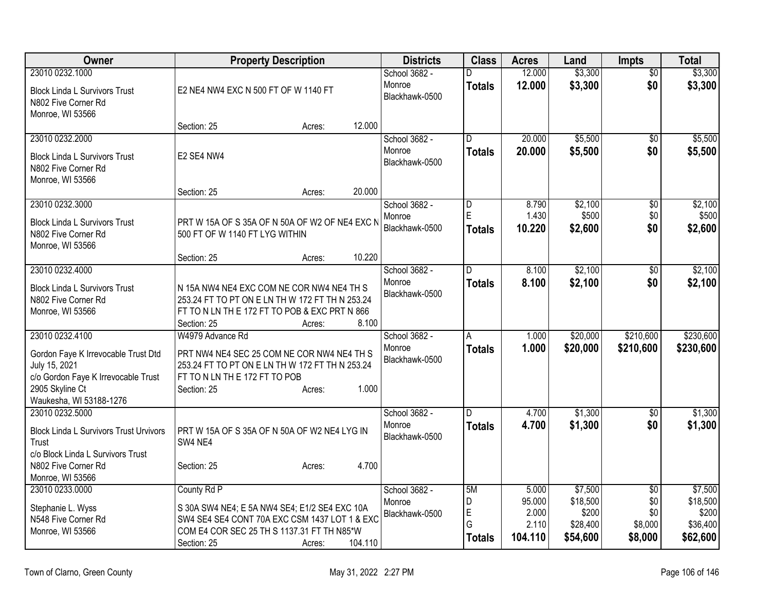| Owner                                                                                                                                                        | <b>Property Description</b>                                                                                                                                                                     | <b>Districts</b>                          | <b>Class</b>                                 | <b>Acres</b>                                 | Land                                                 | <b>Impts</b>                                        | <b>Total</b>                                         |
|--------------------------------------------------------------------------------------------------------------------------------------------------------------|-------------------------------------------------------------------------------------------------------------------------------------------------------------------------------------------------|-------------------------------------------|----------------------------------------------|----------------------------------------------|------------------------------------------------------|-----------------------------------------------------|------------------------------------------------------|
| 23010 0232.1000<br><b>Block Linda L Survivors Trust</b><br>N802 Five Corner Rd<br>Monroe, WI 53566                                                           | E2 NE4 NW4 EXC N 500 FT OF W 1140 FT                                                                                                                                                            | School 3682 -<br>Monroe<br>Blackhawk-0500 | D.<br><b>Totals</b>                          | 12.000<br>12.000                             | \$3,300<br>\$3,300                                   | $\overline{50}$<br>\$0                              | \$3,300<br>\$3,300                                   |
|                                                                                                                                                              | 12.000<br>Section: 25<br>Acres:                                                                                                                                                                 |                                           |                                              |                                              |                                                      |                                                     |                                                      |
| 23010 0232.2000<br><b>Block Linda L Survivors Trust</b><br>N802 Five Corner Rd<br>Monroe, WI 53566                                                           | E2 SE4 NW4                                                                                                                                                                                      | School 3682 -<br>Monroe<br>Blackhawk-0500 | D<br><b>Totals</b>                           | 20.000<br>20,000                             | \$5,500<br>\$5,500                                   | \$0<br>\$0                                          | \$5,500<br>\$5,500                                   |
| 23010 0232.3000<br><b>Block Linda L Survivors Trust</b><br>N802 Five Corner Rd<br>Monroe, WI 53566                                                           | 20.000<br>Section: 25<br>Acres:<br>PRT W 15A OF S 35A OF N 50A OF W2 OF NE4 EXC N<br>500 FT OF W 1140 FT LYG WITHIN<br>10.220<br>Section: 25<br>Acres:                                          | School 3682 -<br>Monroe<br>Blackhawk-0500 | D<br>E<br><b>Totals</b>                      | 8.790<br>1.430<br>10.220                     | \$2,100<br>\$500<br>\$2,600                          | $\overline{50}$<br>\$0<br>\$0                       | \$2,100<br>\$500<br>\$2,600                          |
| 23010 0232.4000<br><b>Block Linda L Survivors Trust</b><br>N802 Five Corner Rd<br>Monroe, WI 53566                                                           | N 15A NW4 NE4 EXC COM NE COR NW4 NE4 TH S<br>253.24 FT TO PT ON E LN TH W 172 FT TH N 253.24<br>FT TO N LN TH E 172 FT TO POB & EXC PRT N 866<br>8.100<br>Section: 25<br>Acres:                 | School 3682 -<br>Monroe<br>Blackhawk-0500 | D<br><b>Totals</b>                           | 8.100<br>8.100                               | \$2,100<br>\$2,100                                   | $\overline{30}$<br>\$0                              | \$2,100<br>\$2,100                                   |
| 23010 0232.4100<br>Gordon Faye K Irrevocable Trust Dtd<br>July 15, 2021<br>c/o Gordon Faye K Irrevocable Trust<br>2905 Skyline Ct<br>Waukesha, WI 53188-1276 | W4979 Advance Rd<br>PRT NW4 NE4 SEC 25 COM NE COR NW4 NE4 TH S<br>253.24 FT TO PT ON E LN TH W 172 FT TH N 253.24<br>FT TO N LN TH E 172 FT TO POB<br>Section: 25<br>1.000<br>Acres:            | School 3682 -<br>Monroe<br>Blackhawk-0500 | A<br><b>Totals</b>                           | 1.000<br>1.000                               | \$20,000<br>\$20,000                                 | \$210,600<br>\$210,600                              | \$230,600<br>\$230,600                               |
| 23010 0232.5000<br><b>Block Linda L Survivors Trust Urvivors</b><br>Trust<br>c/o Block Linda L Survivors Trust<br>N802 Five Corner Rd<br>Monroe, WI 53566    | PRT W 15A OF S 35A OF N 50A OF W2 NE4 LYG IN<br>SW4 NE4<br>4.700<br>Section: 25<br>Acres:                                                                                                       | School 3682 -<br>Monroe<br>Blackhawk-0500 | D<br><b>Totals</b>                           | 4.700<br>4.700                               | \$1,300<br>\$1,300                                   | \$0<br>\$0                                          | \$1,300<br>\$1,300                                   |
| 23010 0233.0000<br>Stephanie L. Wyss<br>N548 Five Corner Rd<br>Monroe, WI 53566                                                                              | County Rd P<br>S 30A SW4 NE4; E 5A NW4 SE4; E1/2 SE4 EXC 10A<br>SW4 SE4 SE4 CONT 70A EXC CSM 1437 LOT 1 & EXC<br>COM E4 COR SEC 25 TH S 1137.31 FT TH N85*W<br>104.110<br>Section: 25<br>Acres: | School 3682 -<br>Monroe<br>Blackhawk-0500 | 5M<br>D<br>$\mathsf E$<br>G<br><b>Totals</b> | 5.000<br>95.000<br>2.000<br>2.110<br>104.110 | \$7,500<br>\$18,500<br>\$200<br>\$28,400<br>\$54,600 | $\overline{50}$<br>\$0<br>\$0<br>\$8,000<br>\$8,000 | \$7,500<br>\$18,500<br>\$200<br>\$36,400<br>\$62,600 |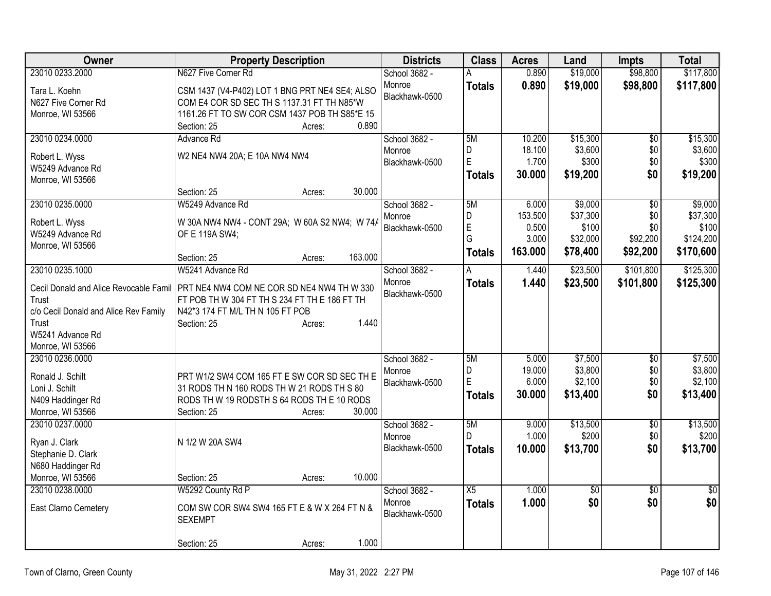| Owner                                  | <b>Property Description</b>                    | <b>Districts</b> | <b>Class</b>    | <b>Acres</b> | Land            | <b>Impts</b>    | <b>Total</b>    |
|----------------------------------------|------------------------------------------------|------------------|-----------------|--------------|-----------------|-----------------|-----------------|
| 23010 0233.2000                        | N627 Five Corner Rd                            | School 3682 -    |                 | 0.890        | \$19,000        | \$98,800        | \$117,800       |
| Tara L. Koehn                          | CSM 1437 (V4-P402) LOT 1 BNG PRT NE4 SE4; ALSO | Monroe           | <b>Totals</b>   | 0.890        | \$19,000        | \$98,800        | \$117,800       |
| N627 Five Corner Rd                    | COM E4 COR SD SEC TH S 1137.31 FT TH N85*W     | Blackhawk-0500   |                 |              |                 |                 |                 |
| Monroe, WI 53566                       | 1161.26 FT TO SW COR CSM 1437 POB TH S85*E 15  |                  |                 |              |                 |                 |                 |
|                                        | 0.890<br>Section: 25<br>Acres:                 |                  |                 |              |                 |                 |                 |
| 23010 0234.0000                        | Advance Rd                                     | School 3682 -    | 5M              | 10.200       | \$15,300        | \$0             | \$15,300        |
| Robert L. Wyss                         | W2 NE4 NW4 20A; E 10A NW4 NW4                  | Monroe           | D               | 18.100       | \$3,600         | \$0             | \$3,600         |
| W5249 Advance Rd                       |                                                | Blackhawk-0500   | E               | 1.700        | \$300           | \$0             | \$300           |
| Monroe, WI 53566                       |                                                |                  | <b>Totals</b>   | 30.000       | \$19,200        | \$0             | \$19,200        |
|                                        | 30.000<br>Section: 25<br>Acres:                |                  |                 |              |                 |                 |                 |
| 23010 0235.0000                        | W5249 Advance Rd                               | School 3682 -    | 5M              | 6.000        | \$9,000         | \$0             | \$9,000         |
| Robert L. Wyss                         | W 30A NW4 NW4 - CONT 29A; W 60A S2 NW4; W 74A  | Monroe           | D               | 153.500      | \$37,300        | \$0             | \$37,300        |
| W5249 Advance Rd                       | OF E 119A SW4;                                 | Blackhawk-0500   | E               | 0.500        | \$100           | \$0             | \$100           |
| Monroe, WI 53566                       |                                                |                  | G               | 3.000        | \$32,000        | \$92,200        | \$124,200       |
|                                        | 163.000<br>Section: 25<br>Acres:               |                  | <b>Totals</b>   | 163.000      | \$78,400        | \$92,200        | \$170,600       |
| 23010 0235.1000                        | W5241 Advance Rd                               | School 3682 -    | А               | 1.440        | \$23,500        | \$101,800       | \$125,300       |
| Cecil Donald and Alice Revocable Famil | PRT NE4 NW4 COM NE COR SD NE4 NW4 TH W 330     | Monroe           | <b>Totals</b>   | 1.440        | \$23,500        | \$101,800       | \$125,300       |
| Trust                                  | FT POB TH W 304 FT TH S 234 FT TH E 186 FT TH  | Blackhawk-0500   |                 |              |                 |                 |                 |
| c/o Cecil Donald and Alice Rev Family  | N42*3 174 FT M/L TH N 105 FT POB               |                  |                 |              |                 |                 |                 |
| Trust                                  | 1.440<br>Section: 25<br>Acres:                 |                  |                 |              |                 |                 |                 |
| W5241 Advance Rd                       |                                                |                  |                 |              |                 |                 |                 |
| Monroe, WI 53566                       |                                                |                  |                 |              |                 |                 |                 |
| 23010 0236.0000                        |                                                | School 3682 -    | 5M              | 5.000        | \$7,500         | \$0             | \$7,500         |
| Ronald J. Schilt                       | PRT W1/2 SW4 COM 165 FT E SW COR SD SEC TH E   | Monroe           | D               | 19.000       | \$3,800         | \$0             | \$3,800         |
| Loni J. Schilt                         | 31 RODS TH N 160 RODS TH W 21 RODS TH S 80     | Blackhawk-0500   | E               | 6.000        | \$2,100         | \$0             | \$2,100         |
| N409 Haddinger Rd                      | RODS TH W 19 RODSTH S 64 RODS TH E 10 RODS     |                  | <b>Totals</b>   | 30.000       | \$13,400        | \$0             | \$13,400        |
| Monroe, WI 53566                       | 30.000<br>Section: 25<br>Acres:                |                  |                 |              |                 |                 |                 |
| 23010 0237.0000                        |                                                | School 3682 -    | 5M              | 9.000        | \$13,500        | $\sqrt{6}$      | \$13,500        |
| Ryan J. Clark                          | N 1/2 W 20A SW4                                | Monroe           | D               | 1.000        | \$200           | \$0             | \$200           |
| Stephanie D. Clark                     |                                                | Blackhawk-0500   | <b>Totals</b>   | 10.000       | \$13,700        | \$0             | \$13,700        |
| N680 Haddinger Rd                      |                                                |                  |                 |              |                 |                 |                 |
| Monroe, WI 53566                       | 10.000<br>Section: 25<br>Acres:                |                  |                 |              |                 |                 |                 |
| 23010 0238.0000                        | W5292 County Rd P                              | School 3682 -    | $\overline{X5}$ | 1.000        | $\overline{30}$ | $\overline{50}$ | $\overline{50}$ |
|                                        |                                                | Monroe           | <b>Totals</b>   | 1.000        | \$0             | \$0             | \$0             |
| East Clarno Cemetery                   | COM SW COR SW4 SW4 165 FT E & W X 264 FT N &   | Blackhawk-0500   |                 |              |                 |                 |                 |
|                                        | <b>SEXEMPT</b>                                 |                  |                 |              |                 |                 |                 |
|                                        | 1.000<br>Section: 25<br>Acres:                 |                  |                 |              |                 |                 |                 |
|                                        |                                                |                  |                 |              |                 |                 |                 |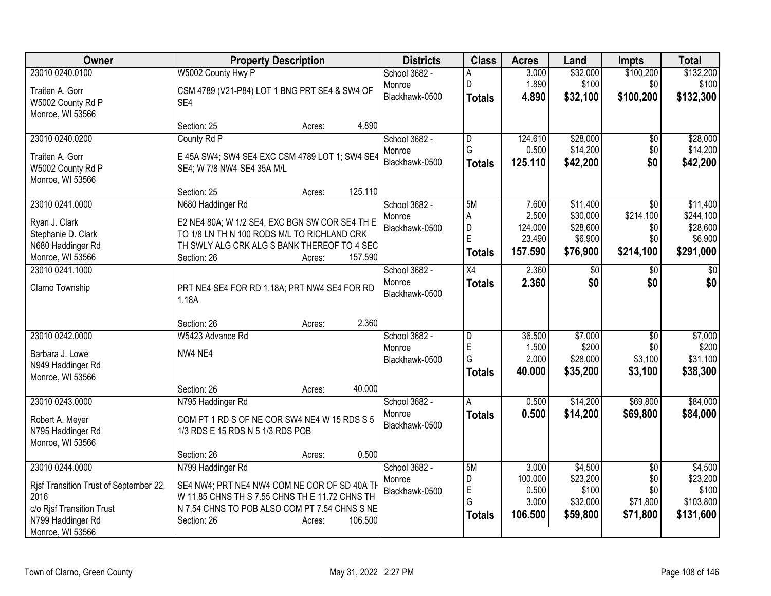| Owner                                  | <b>Property Description</b>                    | <b>Districts</b> | <b>Class</b>  | <b>Acres</b>      | Land                | <b>Impts</b>    | <b>Total</b>        |
|----------------------------------------|------------------------------------------------|------------------|---------------|-------------------|---------------------|-----------------|---------------------|
| 23010 0240.0100                        | W5002 County Hwy P                             | School 3682 -    |               | 3.000             | \$32,000            | \$100,200       | \$132,200           |
| Traiten A. Gorr                        | CSM 4789 (V21-P84) LOT 1 BNG PRT SE4 & SW4 OF  | Monroe           | D             | 1.890             | \$100               | \$0             | \$100               |
| W5002 County Rd P                      | SE4                                            | Blackhawk-0500   | <b>Totals</b> | 4.890             | \$32,100            | \$100,200       | \$132,300           |
| Monroe, WI 53566                       |                                                |                  |               |                   |                     |                 |                     |
|                                        | 4.890<br>Section: 25<br>Acres:                 |                  |               |                   |                     |                 |                     |
| 23010 0240.0200                        | County Rd P                                    | School 3682 -    | D             | 124.610           | \$28,000            | \$0             | \$28,000            |
| Traiten A. Gorr                        | E 45A SW4; SW4 SE4 EXC CSM 4789 LOT 1; SW4 SE4 | Monroe           | G             | 0.500             | \$14,200            | \$0             | \$14,200            |
| W5002 County Rd P                      | SE4; W 7/8 NW4 SE4 35A M/L                     | Blackhawk-0500   | <b>Totals</b> | 125.110           | \$42,200            | \$0             | \$42,200            |
| Monroe, WI 53566                       |                                                |                  |               |                   |                     |                 |                     |
|                                        | 125.110<br>Section: 25<br>Acres:               |                  |               |                   |                     |                 |                     |
| 23010 0241.0000                        | N680 Haddinger Rd                              | School 3682 -    | 5M            | 7.600             | \$11,400            | \$0             | \$11,400            |
| Ryan J. Clark                          | E2 NE4 80A; W 1/2 SE4, EXC BGN SW COR SE4 TH E | Monroe           | A             | 2.500             | \$30,000            | \$214,100       | \$244,100           |
| Stephanie D. Clark                     | TO 1/8 LN TH N 100 RODS M/L TO RICHLAND CRK    | Blackhawk-0500   | D<br>Ė        | 124.000<br>23.490 | \$28,600<br>\$6,900 | \$0<br>\$0      | \$28,600<br>\$6,900 |
| N680 Haddinger Rd                      | TH SWLY ALG CRK ALG S BANK THEREOF TO 4 SEC    |                  | <b>Totals</b> | 157.590           | \$76,900            | \$214,100       | \$291,000           |
| Monroe, WI 53566                       | Section: 26<br>157.590<br>Acres:               |                  |               |                   |                     |                 |                     |
| 23010 0241.1000                        |                                                | School 3682 -    | X4            | 2.360             | $\sqrt[6]{}$        | \$0             | \$0                 |
| Clarno Township                        | PRT NE4 SE4 FOR RD 1.18A; PRT NW4 SE4 FOR RD   | Monroe           | <b>Totals</b> | 2.360             | \$0                 | \$0             | \$0                 |
|                                        | 1.18A                                          | Blackhawk-0500   |               |                   |                     |                 |                     |
|                                        |                                                |                  |               |                   |                     |                 |                     |
|                                        | 2.360<br>Section: 26<br>Acres:                 |                  |               |                   |                     |                 |                     |
| 23010 0242.0000                        | W5423 Advance Rd                               | School 3682 -    | D             | 36.500            | \$7,000             | \$0             | \$7,000             |
| Barbara J. Lowe                        | NW4 NE4                                        | Monroe           | E<br>G        | 1.500<br>2.000    | \$200<br>\$28,000   | \$0<br>\$3,100  | \$200<br>\$31,100   |
| N949 Haddinger Rd                      |                                                | Blackhawk-0500   |               | 40.000            | \$35,200            | \$3,100         | \$38,300            |
| Monroe, WI 53566                       |                                                |                  | <b>Totals</b> |                   |                     |                 |                     |
|                                        | 40.000<br>Section: 26<br>Acres:                |                  |               |                   |                     |                 |                     |
| 23010 0243.0000                        | N795 Haddinger Rd                              | School 3682 -    | A             | 0.500             | \$14,200            | \$69,800        | \$84,000            |
| Robert A. Meyer                        | COM PT 1 RD S OF NE COR SW4 NE4 W 15 RDS S 5   | Monroe           | <b>Totals</b> | 0.500             | \$14,200            | \$69,800        | \$84,000            |
| N795 Haddinger Rd                      | 1/3 RDS E 15 RDS N 5 1/3 RDS POB               | Blackhawk-0500   |               |                   |                     |                 |                     |
| Monroe, WI 53566                       |                                                |                  |               |                   |                     |                 |                     |
|                                        | 0.500<br>Section: 26<br>Acres:                 |                  |               |                   |                     |                 |                     |
| 23010 0244.0000                        | N799 Haddinger Rd                              | School 3682 -    | 5M            | 3.000             | \$4,500             | $\overline{50}$ | \$4,500             |
| Risf Transition Trust of September 22, | SE4 NW4; PRT NE4 NW4 COM NE COR OF SD 40A TH   | Monroe           | D<br>E        | 100.000<br>0.500  | \$23,200<br>\$100   | \$0<br>\$0      | \$23,200<br>\$100   |
| 2016                                   | W 11.85 CHNS TH S 7.55 CHNS TH E 11.72 CHNS TH | Blackhawk-0500   | G             | 3.000             | \$32,000            | \$71,800        | \$103,800           |
| c/o Rjsf Transition Trust              | N 7.54 CHNS TO POB ALSO COM PT 7.54 CHNS S NE  |                  | <b>Totals</b> | 106.500           | \$59,800            | \$71,800        | \$131,600           |
| N799 Haddinger Rd                      | 106.500<br>Section: 26<br>Acres:               |                  |               |                   |                     |                 |                     |
| Monroe, WI 53566                       |                                                |                  |               |                   |                     |                 |                     |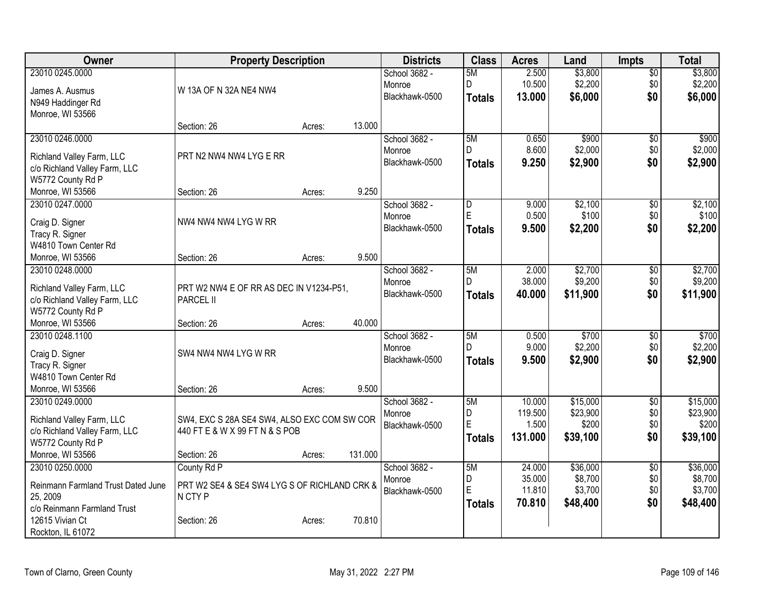| Owner                              | <b>Property Description</b>                  |        |         | <b>Districts</b>         | <b>Class</b>  | <b>Acres</b>   | Land               | <b>Impts</b>    | <b>Total</b>     |
|------------------------------------|----------------------------------------------|--------|---------|--------------------------|---------------|----------------|--------------------|-----------------|------------------|
| 23010 0245.0000                    |                                              |        |         | School 3682 -            | 5M            | 2.500          | \$3,800            | $\sqrt{$0}$     | \$3,800          |
| James A. Ausmus                    | W 13A OF N 32A NE4 NW4                       |        |         | Monroe                   | D             | 10.500         | \$2,200            | \$0             | \$2,200          |
| N949 Haddinger Rd                  |                                              |        |         | Blackhawk-0500           | <b>Totals</b> | 13.000         | \$6,000            | \$0             | \$6,000          |
| Monroe, WI 53566                   |                                              |        |         |                          |               |                |                    |                 |                  |
|                                    | Section: 26                                  | Acres: | 13.000  |                          |               |                |                    |                 |                  |
| 23010 0246.0000                    |                                              |        |         | School 3682 -            | 5M            | 0.650          | \$900              | \$0             | \$900            |
| Richland Valley Farm, LLC          | PRT N2 NW4 NW4 LYG E RR                      |        |         | Monroe                   | D             | 8.600          | \$2,000            | \$0             | \$2,000          |
| c/o Richland Valley Farm, LLC      |                                              |        |         | Blackhawk-0500           | <b>Totals</b> | 9.250          | \$2,900            | \$0             | \$2,900          |
| W5772 County Rd P                  |                                              |        |         |                          |               |                |                    |                 |                  |
| Monroe, WI 53566                   | Section: 26                                  | Acres: | 9.250   |                          |               |                |                    |                 |                  |
| 23010 0247.0000                    |                                              |        |         | School 3682 -            | D             | 9.000          | \$2,100            | $\sqrt[6]{}$    | \$2,100          |
|                                    |                                              |        |         | Monroe                   | $\mathsf E$   | 0.500          | \$100              | \$0             | \$100            |
| Craig D. Signer<br>Tracy R. Signer | NW4 NW4 NW4 LYG W RR                         |        |         | Blackhawk-0500           | <b>Totals</b> | 9.500          | \$2,200            | \$0             | \$2,200          |
| W4810 Town Center Rd               |                                              |        |         |                          |               |                |                    |                 |                  |
| Monroe, WI 53566                   | Section: 26                                  | Acres: | 9.500   |                          |               |                |                    |                 |                  |
| 23010 0248.0000                    |                                              |        |         | School 3682 -            | 5M            | 2.000          | \$2,700            | $\overline{50}$ | \$2,700          |
|                                    |                                              |        |         | Monroe                   | D.            | 38.000         | \$9,200            | \$0             | \$9,200          |
| Richland Valley Farm, LLC          | PRT W2 NW4 E OF RR AS DEC IN V1234-P51,      |        |         | Blackhawk-0500           | <b>Totals</b> | 40.000         | \$11,900           | \$0             | \$11,900         |
| c/o Richland Valley Farm, LLC      | PARCEL II                                    |        |         |                          |               |                |                    |                 |                  |
| W5772 County Rd P                  |                                              |        |         |                          |               |                |                    |                 |                  |
| Monroe, WI 53566                   | Section: 26                                  | Acres: | 40.000  |                          |               |                |                    |                 |                  |
| 23010 0248.1100                    |                                              |        |         | School 3682 -            | 5M<br>D.      | 0.500<br>9.000 | \$700              | \$0             | \$700<br>\$2,200 |
| Craig D. Signer                    | SW4 NW4 NW4 LYG W RR                         |        |         | Monroe<br>Blackhawk-0500 |               | 9.500          | \$2,200<br>\$2,900 | \$0<br>\$0      | \$2,900          |
| Tracy R. Signer                    |                                              |        |         |                          | <b>Totals</b> |                |                    |                 |                  |
| W4810 Town Center Rd               |                                              |        |         |                          |               |                |                    |                 |                  |
| Monroe, WI 53566                   | Section: 26                                  | Acres: | 9.500   |                          |               |                |                    |                 |                  |
| 23010 0249.0000                    |                                              |        |         | School 3682 -            | 5M            | 10.000         | \$15,000           | $\overline{50}$ | \$15,000         |
| Richland Valley Farm, LLC          | SW4, EXC S 28A SE4 SW4, ALSO EXC COM SW COR  |        |         | Monroe                   | D             | 119.500        | \$23,900           | \$0             | \$23,900         |
| c/o Richland Valley Farm, LLC      | 440 FT E & W X 99 FT N & S POB               |        |         | Blackhawk-0500           | E             | 1.500          | \$200              | \$0             | \$200            |
| W5772 County Rd P                  |                                              |        |         |                          | <b>Totals</b> | 131.000        | \$39,100           | \$0             | \$39,100         |
| Monroe, WI 53566                   | Section: 26                                  | Acres: | 131.000 |                          |               |                |                    |                 |                  |
| 23010 0250.0000                    | County Rd P                                  |        |         | School 3682 -            | 5M            | 24.000         | \$36,000           | $\overline{50}$ | \$36,000         |
| Reinmann Farmland Trust Dated June | PRT W2 SE4 & SE4 SW4 LYG S OF RICHLAND CRK & |        |         | Monroe                   | D             | 35.000         | \$8,700            | \$0             | \$8,700          |
| 25, 2009                           | N CTY P                                      |        |         | Blackhawk-0500           | E             | 11.810         | \$3,700            | \$0             | \$3,700          |
| c/o Reinmann Farmland Trust        |                                              |        |         |                          | <b>Totals</b> | 70.810         | \$48,400           | \$0             | \$48,400         |
| 12615 Vivian Ct                    | Section: 26                                  | Acres: | 70.810  |                          |               |                |                    |                 |                  |
| Rockton, IL 61072                  |                                              |        |         |                          |               |                |                    |                 |                  |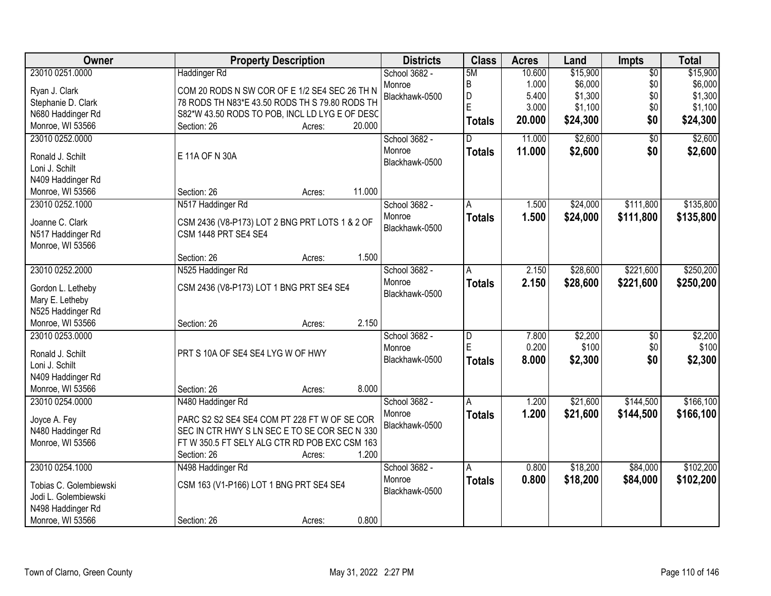| Owner                  | <b>Property Description</b>                    | <b>Districts</b> | <b>Class</b>  | <b>Acres</b> | Land     | Impts           | <b>Total</b> |
|------------------------|------------------------------------------------|------------------|---------------|--------------|----------|-----------------|--------------|
| 23010 0251.0000        | <b>Haddinger Rd</b>                            | School 3682 -    | 5M            | 10.600       | \$15,900 | $\overline{50}$ | \$15,900     |
| Ryan J. Clark          | COM 20 RODS N SW COR OF E 1/2 SE4 SEC 26 TH N  | Monroe           | B             | 1.000        | \$6,000  | \$0             | \$6,000      |
| Stephanie D. Clark     | 78 RODS TH N83*E 43.50 RODS TH S 79.80 RODS TH | Blackhawk-0500   | D             | 5.400        | \$1,300  | \$0             | \$1,300      |
| N680 Haddinger Rd      | S82*W 43.50 RODS TO POB, INCL LD LYG E OF DESC |                  | E             | 3.000        | \$1,100  | \$0             | \$1,100      |
| Monroe, WI 53566       | 20.000<br>Section: 26<br>Acres:                |                  | <b>Totals</b> | 20.000       | \$24,300 | \$0             | \$24,300     |
| 23010 0252.0000        |                                                | School 3682 -    | D.            | 11.000       | \$2,600  | $\overline{50}$ | \$2,600      |
|                        |                                                | Monroe           | <b>Totals</b> | 11.000       | \$2,600  | \$0             | \$2,600      |
| Ronald J. Schilt       | E 11A OF N 30A                                 | Blackhawk-0500   |               |              |          |                 |              |
| Loni J. Schilt         |                                                |                  |               |              |          |                 |              |
| N409 Haddinger Rd      |                                                |                  |               |              |          |                 |              |
| Monroe, WI 53566       | 11.000<br>Section: 26<br>Acres:                |                  |               |              |          |                 |              |
| 23010 0252.1000        | N517 Haddinger Rd                              | School 3682 -    | A             | 1.500        | \$24,000 | \$111,800       | \$135,800    |
| Joanne C. Clark        | CSM 2436 (V8-P173) LOT 2 BNG PRT LOTS 1 & 2 OF | Monroe           | <b>Totals</b> | 1.500        | \$24,000 | \$111,800       | \$135,800    |
| N517 Haddinger Rd      | CSM 1448 PRT SE4 SE4                           | Blackhawk-0500   |               |              |          |                 |              |
| Monroe, WI 53566       |                                                |                  |               |              |          |                 |              |
|                        | 1.500<br>Section: 26<br>Acres:                 |                  |               |              |          |                 |              |
| 23010 0252.2000        | N525 Haddinger Rd                              | School 3682 -    | A             | 2.150        | \$28,600 | \$221,600       | \$250,200    |
|                        |                                                | Monroe           | <b>Totals</b> | 2.150        | \$28,600 | \$221,600       | \$250,200    |
| Gordon L. Letheby      | CSM 2436 (V8-P173) LOT 1 BNG PRT SE4 SE4       | Blackhawk-0500   |               |              |          |                 |              |
| Mary E. Letheby        |                                                |                  |               |              |          |                 |              |
| N525 Haddinger Rd      |                                                |                  |               |              |          |                 |              |
| Monroe, WI 53566       | 2.150<br>Section: 26<br>Acres:                 |                  |               |              |          |                 |              |
| 23010 0253.0000        |                                                | School 3682 -    | D             | 7.800        | \$2,200  | $\overline{50}$ | \$2,200      |
| Ronald J. Schilt       | PRT S 10A OF SE4 SE4 LYG W OF HWY              | Monroe           | E             | 0.200        | \$100    | \$0             | \$100        |
| Loni J. Schilt         |                                                | Blackhawk-0500   | <b>Totals</b> | 8.000        | \$2,300  | \$0             | \$2,300      |
| N409 Haddinger Rd      |                                                |                  |               |              |          |                 |              |
| Monroe, WI 53566       | 8.000<br>Section: 26<br>Acres:                 |                  |               |              |          |                 |              |
| 23010 0254.0000        | N480 Haddinger Rd                              | School 3682 -    | A             | 1.200        | \$21,600 | \$144,500       | \$166, 100   |
|                        |                                                | Monroe           | <b>Totals</b> | 1.200        | \$21,600 | \$144,500       | \$166,100    |
| Joyce A. Fey           | PARC S2 S2 SE4 SE4 COM PT 228 FT W OF SE COR   | Blackhawk-0500   |               |              |          |                 |              |
| N480 Haddinger Rd      | SEC IN CTR HWY S LN SEC E TO SE COR SEC N 330  |                  |               |              |          |                 |              |
| Monroe, WI 53566       | FT W 350.5 FT SELY ALG CTR RD POB EXC CSM 163  |                  |               |              |          |                 |              |
|                        | 1.200<br>Section: 26<br>Acres:                 |                  |               |              |          |                 |              |
| 23010 0254.1000        | N498 Haddinger Rd                              | School 3682 -    | A             | 0.800        | \$18,200 | \$84,000        | \$102,200    |
| Tobias C. Golembiewski | CSM 163 (V1-P166) LOT 1 BNG PRT SE4 SE4        | Monroe           | <b>Totals</b> | 0.800        | \$18,200 | \$84,000        | \$102,200    |
| Jodi L. Golembiewski   |                                                | Blackhawk-0500   |               |              |          |                 |              |
| N498 Haddinger Rd      |                                                |                  |               |              |          |                 |              |
| Monroe, WI 53566       | 0.800<br>Section: 26<br>Acres:                 |                  |               |              |          |                 |              |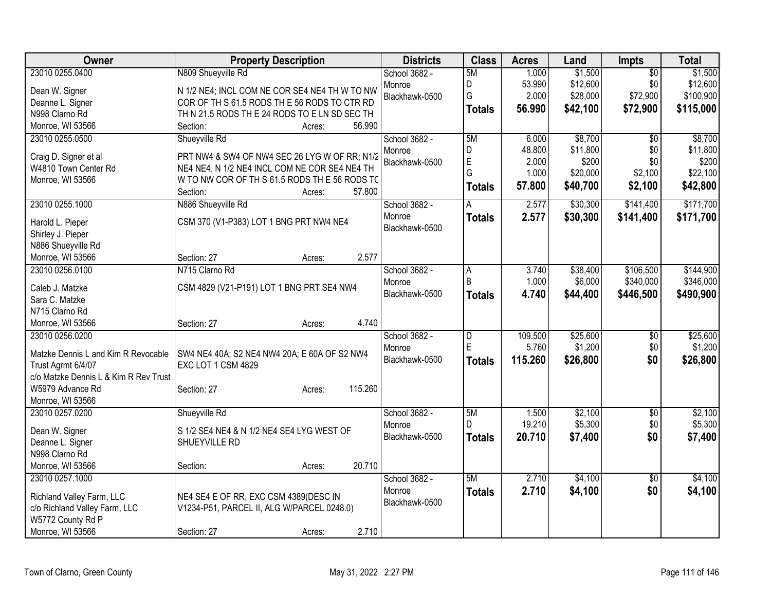| Owner                                    | <b>Property Description</b>                                                                    |         | <b>Districts</b> | <b>Class</b>   | <b>Acres</b> | Land     | <b>Impts</b>    | <b>Total</b> |
|------------------------------------------|------------------------------------------------------------------------------------------------|---------|------------------|----------------|--------------|----------|-----------------|--------------|
| 23010 0255.0400                          | N809 Shueyville Rd                                                                             |         | School 3682 -    | 5M             | 1.000        | \$1,500  | $\overline{50}$ | \$1,500      |
| Dean W. Signer                           | N 1/2 NE4; INCL COM NE COR SE4 NE4 TH W TO NW                                                  |         | Monroe           | D              | 53.990       | \$12,600 | \$0             | \$12,600     |
| Deanne L. Signer                         | COR OF TH S 61.5 RODS TH E 56 RODS TO CTR RD                                                   |         | Blackhawk-0500   | G              | 2.000        | \$28,000 | \$72,900        | \$100,900    |
| N998 Clarno Rd                           | TH N 21.5 RODS TH E 24 RODS TO E LN SD SEC TH                                                  |         |                  | Totals         | 56.990       | \$42,100 | \$72,900        | \$115,000    |
| Monroe, WI 53566                         | Section:<br>Acres:                                                                             | 56.990  |                  |                |              |          |                 |              |
| 23010 0255.0500                          | Shueyville Rd                                                                                  |         | School 3682 -    | 5M             | 6.000        | \$8,700  | $\overline{50}$ | \$8,700      |
|                                          |                                                                                                |         | Monroe           | D              | 48.800       | \$11,800 | \$0             | \$11,800     |
| Craig D. Signer et al                    | PRT NW4 & SW4 OF NW4 SEC 26 LYG W OF RR; N1/2                                                  |         | Blackhawk-0500   | $\overline{E}$ | 2.000        | \$200    | \$0             | \$200        |
| W4810 Town Center Rd<br>Monroe, WI 53566 | NE4 NE4, N 1/2 NE4 INCL COM NE COR SE4 NE4 TH<br>W TO NW COR OF TH S 61.5 RODS TH E 56 RODS TC |         |                  | G              | 1.000        | \$20,000 | \$2,100         | \$22,100     |
|                                          | Section:<br>Acres:                                                                             | 57.800  |                  | Totals         | 57.800       | \$40,700 | \$2,100         | \$42,800     |
| 23010 0255.1000                          | N886 Shueyville Rd                                                                             |         | School 3682 -    | A              | 2.577        | \$30,300 | \$141,400       | \$171,700    |
|                                          |                                                                                                |         | Monroe           |                | 2.577        | \$30,300 | \$141,400       | \$171,700    |
| Harold L. Pieper                         | CSM 370 (V1-P383) LOT 1 BNG PRT NW4 NE4                                                        |         | Blackhawk-0500   | <b>Totals</b>  |              |          |                 |              |
| Shirley J. Pieper                        |                                                                                                |         |                  |                |              |          |                 |              |
| N886 Shueyville Rd                       |                                                                                                |         |                  |                |              |          |                 |              |
| Monroe, WI 53566                         | Section: 27<br>Acres:                                                                          | 2.577   |                  |                |              |          |                 |              |
| 23010 0256.0100                          | N715 Clarno Rd                                                                                 |         | School 3682 -    | A              | 3.740        | \$38,400 | \$106,500       | \$144,900    |
| Caleb J. Matzke                          | CSM 4829 (V21-P191) LOT 1 BNG PRT SE4 NW4                                                      |         | Monroe           | B              | 1.000        | \$6,000  | \$340,000       | \$346,000    |
| Sara C. Matzke                           |                                                                                                |         | Blackhawk-0500   | Totals         | 4.740        | \$44,400 | \$446,500       | \$490,900    |
| N715 Clarno Rd                           |                                                                                                |         |                  |                |              |          |                 |              |
| Monroe, WI 53566                         | Section: 27<br>Acres:                                                                          | 4.740   |                  |                |              |          |                 |              |
| 23010 0256.0200                          |                                                                                                |         | School 3682 -    | $\overline{D}$ | 109.500      | \$25,600 | \$0             | \$25,600     |
|                                          |                                                                                                |         | Monroe           | E              | 5.760        | \$1,200  | \$0             | \$1,200      |
| Matzke Dennis L and Kim R Revocable      | SW4 NE4 40A; S2 NE4 NW4 20A; E 60A OF S2 NW4                                                   |         | Blackhawk-0500   | Totals         | 115.260      | \$26,800 | \$0             | \$26,800     |
| Trust Agrmt 6/4/07                       | EXC LOT 1 CSM 4829                                                                             |         |                  |                |              |          |                 |              |
| c/o Matzke Dennis L & Kim R Rev Trust    |                                                                                                | 115.260 |                  |                |              |          |                 |              |
| W5979 Advance Rd<br>Monroe, WI 53566     | Section: 27<br>Acres:                                                                          |         |                  |                |              |          |                 |              |
| 23010 0257.0200                          | Shueyville Rd                                                                                  |         | School 3682 -    | 5M             | 1.500        | \$2,100  | $\overline{50}$ | \$2,100      |
|                                          |                                                                                                |         | Monroe           | D              | 19.210       | \$5,300  | \$0             | \$5,300      |
| Dean W. Signer                           | S 1/2 SE4 NE4 & N 1/2 NE4 SE4 LYG WEST OF                                                      |         | Blackhawk-0500   | <b>Totals</b>  | 20.710       | \$7,400  | \$0             | \$7,400      |
| Deanne L. Signer                         | SHUEYVILLE RD                                                                                  |         |                  |                |              |          |                 |              |
| N998 Clarno Rd                           |                                                                                                |         |                  |                |              |          |                 |              |
| Monroe, WI 53566                         | Section:<br>Acres:                                                                             | 20.710  |                  |                |              |          |                 |              |
| 23010 0257.1000                          |                                                                                                |         | School 3682 -    | 5M             | 2.710        | \$4,100  | $\overline{50}$ | \$4,100      |
| Richland Valley Farm, LLC                | NE4 SE4 E OF RR, EXC CSM 4389(DESC IN                                                          |         | Monroe           | <b>Totals</b>  | 2.710        | \$4,100  | \$0             | \$4,100      |
| c/o Richland Valley Farm, LLC            | V1234-P51, PARCEL II, ALG W/PARCEL 0248.0)                                                     |         | Blackhawk-0500   |                |              |          |                 |              |
| W5772 County Rd P                        |                                                                                                |         |                  |                |              |          |                 |              |
| Monroe, WI 53566                         | Section: 27<br>Acres:                                                                          | 2.710   |                  |                |              |          |                 |              |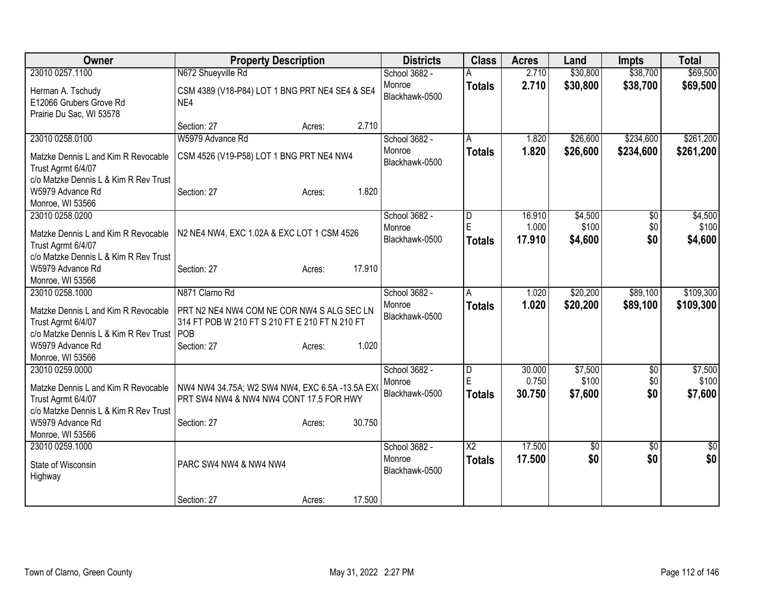| Owner                                                                                                                                      | <b>Property Description</b>                                                                                                           | <b>Districts</b>                          | <b>Class</b>                            | <b>Acres</b>     | Land             | <b>Impts</b>    | <b>Total</b>     |
|--------------------------------------------------------------------------------------------------------------------------------------------|---------------------------------------------------------------------------------------------------------------------------------------|-------------------------------------------|-----------------------------------------|------------------|------------------|-----------------|------------------|
| 23010 0257.1100                                                                                                                            | N672 Shueyville Rd                                                                                                                    | School 3682 -                             |                                         | 2.710            | \$30,800         | \$38,700        | \$69,500         |
| Herman A. Tschudy<br>E12066 Grubers Grove Rd<br>Prairie Du Sac, WI 53578                                                                   | CSM 4389 (V18-P84) LOT 1 BNG PRT NE4 SE4 & SE4<br>NE4                                                                                 | Monroe<br>Blackhawk-0500                  | <b>Totals</b>                           | 2.710            | \$30,800         | \$38,700        | \$69,500         |
|                                                                                                                                            | 2.710<br>Section: 27<br>Acres:                                                                                                        |                                           |                                         |                  |                  |                 |                  |
| 23010 0258.0100                                                                                                                            | W5979 Advance Rd                                                                                                                      | School 3682 -                             | A                                       | 1.820            | \$26,600         | \$234,600       | \$261,200        |
| Matzke Dennis L and Kim R Revocable<br>Trust Agrmt 6/4/07                                                                                  | CSM 4526 (V19-P58) LOT 1 BNG PRT NE4 NW4                                                                                              | Monroe<br>Blackhawk-0500                  | <b>Totals</b>                           | 1.820            | \$26,600         | \$234,600       | \$261,200        |
| c/o Matzke Dennis L & Kim R Rev Trust<br>W5979 Advance Rd<br>Monroe, WI 53566                                                              | 1.820<br>Section: 27<br>Acres:                                                                                                        |                                           |                                         |                  |                  |                 |                  |
| 23010 0258.0200                                                                                                                            |                                                                                                                                       | School 3682 -                             | D                                       | 16.910           | \$4,500          | $\overline{50}$ | \$4,500          |
| Matzke Dennis L and Kim R Revocable<br>Trust Agrmt 6/4/07                                                                                  | N2 NE4 NW4, EXC 1.02A & EXC LOT 1 CSM 4526                                                                                            | Monroe<br>Blackhawk-0500                  | E<br><b>Totals</b>                      | 1.000<br>17.910  | \$100<br>\$4,600 | \$0<br>\$0      | \$100<br>\$4,600 |
| c/o Matzke Dennis L & Kim R Rev Trust<br>W5979 Advance Rd<br>Monroe, WI 53566                                                              | 17.910<br>Section: 27<br>Acres:                                                                                                       |                                           |                                         |                  |                  |                 |                  |
| 23010 0258.1000                                                                                                                            | N871 Clarno Rd                                                                                                                        | School 3682 -                             | A                                       | 1.020            | \$20,200         | \$89,100        | \$109,300        |
| Matzke Dennis L and Kim R Revocable<br>Trust Agrmt 6/4/07<br>c/o Matzke Dennis L & Kim R Rev Trust<br>W5979 Advance Rd<br>Monroe, WI 53566 | PRT N2 NE4 NW4 COM NE COR NW4 S ALG SEC LN<br>314 FT POB W 210 FT S 210 FT E 210 FT N 210 FT<br>POB<br>1.020<br>Section: 27<br>Acres: | Monroe<br>Blackhawk-0500                  | <b>Totals</b>                           | 1.020            | \$20,200         | \$89,100        | \$109,300        |
| 23010 0259.0000                                                                                                                            |                                                                                                                                       | School 3682 -                             | D                                       | 30.000           | \$7,500          | \$0             | \$7,500          |
| Matzke Dennis L and Kim R Revocable<br>Trust Agrmt 6/4/07<br>c/o Matzke Dennis L & Kim R Rev Trust                                         | NW4 NW4 34.75A; W2 SW4 NW4, EXC 6.5A -13.5A EX<br>PRT SW4 NW4 & NW4 NW4 CONT 17.5 FOR HWY                                             | Monroe<br>Blackhawk-0500                  | E<br><b>Totals</b>                      | 0.750<br>30.750  | \$100<br>\$7,600 | \$0<br>\$0      | \$100<br>\$7,600 |
| W5979 Advance Rd                                                                                                                           | 30.750<br>Section: 27<br>Acres:                                                                                                       |                                           |                                         |                  |                  |                 |                  |
| Monroe, WI 53566                                                                                                                           |                                                                                                                                       |                                           |                                         |                  |                  |                 |                  |
| 23010 0259.1000<br>State of Wisconsin<br>Highway                                                                                           | PARC SW4 NW4 & NW4 NW4                                                                                                                | School 3682 -<br>Monroe<br>Blackhawk-0500 | $\overline{\text{X2}}$<br><b>Totals</b> | 17.500<br>17.500 | \$0<br>\$0       | \$0<br>\$0      | \$0<br>\$0       |
|                                                                                                                                            | 17.500<br>Section: 27<br>Acres:                                                                                                       |                                           |                                         |                  |                  |                 |                  |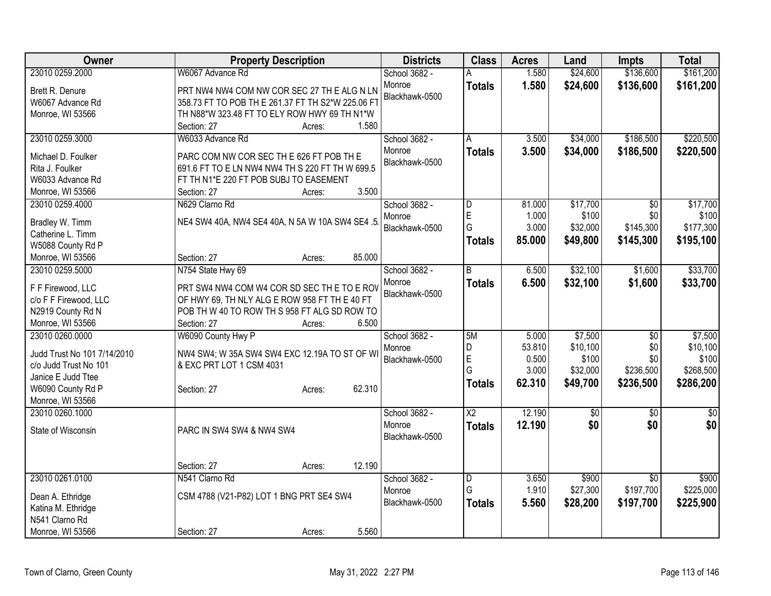| Owner                       | <b>Property Description</b>                       | <b>Districts</b> | <b>Class</b>           | <b>Acres</b>   | Land              | <b>Impts</b>     | <b>Total</b>       |
|-----------------------------|---------------------------------------------------|------------------|------------------------|----------------|-------------------|------------------|--------------------|
| 23010 0259.2000             | W6067 Advance Rd                                  | School 3682 -    |                        | 1.580          | \$24,600          | \$136,600        | \$161,200          |
| Brett R. Denure             | PRT NW4 NW4 COM NW COR SEC 27 TH E ALG N LN       | Monroe           | <b>Totals</b>          | 1.580          | \$24,600          | \$136,600        | \$161,200          |
| W6067 Advance Rd            | 358.73 FT TO POB TH E 261.37 FT TH S2*W 225.06 FT | Blackhawk-0500   |                        |                |                   |                  |                    |
| Monroe, WI 53566            | TH N88*W 323.48 FT TO ELY ROW HWY 69 TH N1*W      |                  |                        |                |                   |                  |                    |
|                             | 1.580<br>Section: 27<br>Acres:                    |                  |                        |                |                   |                  |                    |
| 23010 0259.3000             | W6033 Advance Rd                                  | School 3682 -    | A                      | 3.500          | \$34,000          | \$186,500        | \$220,500          |
|                             |                                                   | Monroe           | <b>Totals</b>          | 3.500          | \$34,000          | \$186,500        | \$220,500          |
| Michael D. Foulker          | PARC COM NW COR SEC TH E 626 FT POB TH E          | Blackhawk-0500   |                        |                |                   |                  |                    |
| Rita J. Foulker             | 691.6 FT TO E LN NW4 NW4 TH S 220 FT TH W 699.5   |                  |                        |                |                   |                  |                    |
| W6033 Advance Rd            | FT TH N1*E 220 FT POB SUBJ TO EASEMENT            |                  |                        |                |                   |                  |                    |
| Monroe, WI 53566            | 3.500<br>Section: 27<br>Acres:                    |                  |                        |                |                   |                  |                    |
| 23010 0259.4000             | N629 Clarno Rd                                    | School 3682 -    | D                      | 81.000         | \$17,700          | \$0              | \$17,700           |
| Bradley W. Timm             | NE4 SW4 40A, NW4 SE4 40A, N 5A W 10A SW4 SE4 .5   | Monroe           | E                      | 1.000          | \$100             | \$0              | \$100              |
| Catherine L. Timm           |                                                   | Blackhawk-0500   | G                      | 3.000          | \$32,000          | \$145,300        | \$177,300          |
| W5088 County Rd P           |                                                   |                  | <b>Totals</b>          | 85.000         | \$49,800          | \$145,300        | \$195,100          |
| Monroe, WI 53566            | 85.000<br>Section: 27<br>Acres:                   |                  |                        |                |                   |                  |                    |
| 23010 0259.5000             | N754 State Hwy 69                                 | School 3682 -    | R.                     | 6.500          | \$32,100          | \$1,600          | \$33,700           |
|                             |                                                   | Monroe           | <b>Totals</b>          | 6.500          | \$32,100          | \$1,600          | \$33,700           |
| F F Firewood, LLC           | PRT SW4 NW4 COM W4 COR SD SEC THE TO E ROV        | Blackhawk-0500   |                        |                |                   |                  |                    |
| c/o F F Firewood, LLC       | OF HWY 69, TH NLY ALG E ROW 958 FT TH E 40 FT     |                  |                        |                |                   |                  |                    |
| N2919 County Rd N           | POB TH W 40 TO ROW TH S 958 FT ALG SD ROW TO      |                  |                        |                |                   |                  |                    |
| Monroe, WI 53566            | 6.500<br>Section: 27<br>Acres:                    |                  |                        |                |                   |                  |                    |
| 23010 0260.0000             | W6090 County Hwy P                                | School 3682 -    | 5M                     | 5.000          | \$7,500           | $\overline{50}$  | \$7,500            |
| Judd Trust No 101 7/14/2010 | NW4 SW4; W 35A SW4 SW4 EXC 12.19A TO ST OF WI     | Monroe           | D                      | 53.810         | \$10,100          | \$0              | \$10,100           |
| c/o Judd Trust No 101       | & EXC PRT LOT 1 CSM 4031                          | Blackhawk-0500   | $\mathsf E$<br>G       | 0.500<br>3.000 | \$100<br>\$32,000 | \$0<br>\$236,500 | \$100<br>\$268,500 |
| Janice E Judd Ttee          |                                                   |                  |                        |                |                   |                  |                    |
| W6090 County Rd P           | 62.310<br>Section: 27<br>Acres:                   |                  | <b>Totals</b>          | 62.310         | \$49,700          | \$236,500        | \$286,200          |
| Monroe, WI 53566            |                                                   |                  |                        |                |                   |                  |                    |
| 23010 0260.1000             |                                                   | School 3682 -    | $\overline{\text{X2}}$ | 12.190         | $\sqrt{6}$        | $\overline{30}$  | $\overline{50}$    |
| State of Wisconsin          | PARC IN SW4 SW4 & NW4 SW4                         | Monroe           | <b>Totals</b>          | 12.190         | \$0               | \$0              | \$0                |
|                             |                                                   | Blackhawk-0500   |                        |                |                   |                  |                    |
|                             |                                                   |                  |                        |                |                   |                  |                    |
|                             | 12.190<br>Section: 27<br>Acres:                   |                  |                        |                |                   |                  |                    |
| 23010 0261.0100             | N541 Clarno Rd                                    | School 3682 -    | $\overline{D}$         | 3.650          | \$900             | $\overline{30}$  | \$900              |
|                             |                                                   | Monroe           | G                      | 1.910          | \$27,300          | \$197,700        | \$225,000          |
| Dean A. Ethridge            | CSM 4788 (V21-P82) LOT 1 BNG PRT SE4 SW4          | Blackhawk-0500   | <b>Totals</b>          | 5.560          | \$28,200          | \$197,700        | \$225,900          |
| Katina M. Ethridge          |                                                   |                  |                        |                |                   |                  |                    |
| N541 Clarno Rd              |                                                   |                  |                        |                |                   |                  |                    |
| Monroe, WI 53566            | 5.560<br>Section: 27<br>Acres:                    |                  |                        |                |                   |                  |                    |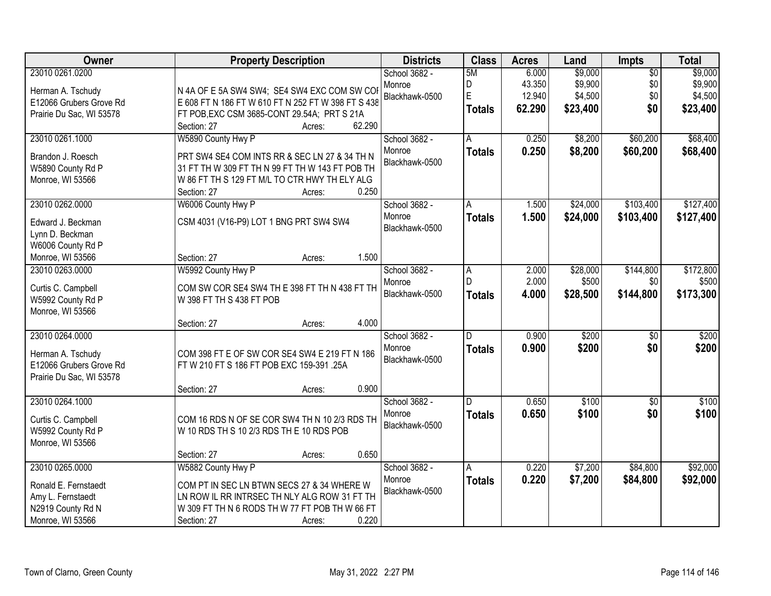| <b>Owner</b>                                                                                          | <b>Property Description</b>                                                                                                                                                                                                   | <b>Districts</b>                          | <b>Class</b>                  | <b>Acres</b>                        | Land                                      | Impts                                | <b>Total</b>                              |
|-------------------------------------------------------------------------------------------------------|-------------------------------------------------------------------------------------------------------------------------------------------------------------------------------------------------------------------------------|-------------------------------------------|-------------------------------|-------------------------------------|-------------------------------------------|--------------------------------------|-------------------------------------------|
| 23010 0261.0200<br>Herman A. Tschudy<br>E12066 Grubers Grove Rd<br>Prairie Du Sac, WI 53578           | N 4A OF E 5A SW4 SW4; SE4 SW4 EXC COM SW CO<br>E 608 FT N 186 FT W 610 FT N 252 FT W 398 FT S 438<br>FT POB, EXC CSM 3685-CONT 29.54A; PRT S 21A<br>62.290<br>Section: 27<br>Acres:                                           | School 3682 -<br>Monroe<br>Blackhawk-0500 | 5M<br>D<br>E<br><b>Totals</b> | 6.000<br>43.350<br>12.940<br>62.290 | \$9,000<br>\$9,900<br>\$4,500<br>\$23,400 | $\overline{50}$<br>\$0<br>\$0<br>\$0 | \$9,000<br>\$9,900<br>\$4,500<br>\$23,400 |
| 23010 0261.1000<br>Brandon J. Roesch<br>W5890 County Rd P<br>Monroe, WI 53566                         | W5890 County Hwy P<br>PRT SW4 SE4 COM INTS RR & SEC LN 27 & 34 TH N<br>31 FT TH W 309 FT TH N 99 FT TH W 143 FT POB TH<br>W 86 FT TH S 129 FT M/L TO CTR HWY TH ELY ALG<br>0.250<br>Section: 27<br>Acres:                     | School 3682 -<br>Monroe<br>Blackhawk-0500 | A<br><b>Totals</b>            | 0.250<br>0.250                      | \$8,200<br>\$8,200                        | \$60,200<br>\$60,200                 | \$68,400<br>\$68,400                      |
| 23010 0262.0000<br>Edward J. Beckman<br>Lynn D. Beckman<br>W6006 County Rd P<br>Monroe, WI 53566      | W6006 County Hwy P<br>CSM 4031 (V16-P9) LOT 1 BNG PRT SW4 SW4<br>1.500<br>Section: 27<br>Acres:                                                                                                                               | School 3682 -<br>Monroe<br>Blackhawk-0500 | Α<br><b>Totals</b>            | 1.500<br>1.500                      | \$24,000<br>\$24,000                      | \$103,400<br>\$103,400               | \$127,400<br>\$127,400                    |
| 23010 0263,0000<br>Curtis C. Campbell<br>W5992 County Rd P<br>Monroe, WI 53566                        | W5992 County Hwy P<br>COM SW COR SE4 SW4 TH E 398 FT TH N 438 FT TH<br>W 398 FT TH S 438 FT POB<br>4.000<br>Section: 27<br>Acres:                                                                                             | School 3682 -<br>Monroe<br>Blackhawk-0500 | A<br>D<br><b>Totals</b>       | 2.000<br>2.000<br>4.000             | \$28,000<br>\$500<br>\$28,500             | \$144,800<br>\$0<br>\$144,800        | \$172,800<br>\$500<br>\$173,300           |
| 23010 0264.0000<br>Herman A. Tschudy<br>E12066 Grubers Grove Rd<br>Prairie Du Sac, WI 53578           | COM 398 FT E OF SW COR SE4 SW4 E 219 FT N 186<br>FT W 210 FT S 186 FT POB EXC 159-391 .25A<br>0.900<br>Section: 27<br>Acres:                                                                                                  | School 3682 -<br>Monroe<br>Blackhawk-0500 | D.<br><b>Totals</b>           | 0.900<br>0.900                      | \$200<br>\$200                            | $\overline{50}$<br>\$0               | \$200<br>\$200                            |
| 23010 0264.1000<br>Curtis C. Campbell<br>W5992 County Rd P<br>Monroe, WI 53566                        | COM 16 RDS N OF SE COR SW4 TH N 10 2/3 RDS TH<br>W 10 RDS TH S 10 2/3 RDS TH E 10 RDS POB<br>0.650                                                                                                                            | School 3682 -<br>Monroe<br>Blackhawk-0500 | D.<br><b>Totals</b>           | 0.650<br>0.650                      | \$100<br>\$100                            | $\sqrt{6}$<br>\$0                    | \$100<br>\$100                            |
| 23010 0265.0000<br>Ronald E. Fernstaedt<br>Amy L. Fernstaedt<br>N2919 County Rd N<br>Monroe, WI 53566 | Section: 27<br>Acres:<br>W5882 County Hwy P<br>COM PT IN SEC LN BTWN SECS 27 & 34 WHERE W<br>LN ROW IL RR INTRSEC TH NLY ALG ROW 31 FT TH<br>W 309 FT TH N 6 RODS TH W 77 FT POB TH W 66 FT<br>0.220<br>Section: 27<br>Acres: | School 3682 -<br>Monroe<br>Blackhawk-0500 | A<br><b>Totals</b>            | 0.220<br>0.220                      | \$7,200<br>\$7,200                        | \$84,800<br>\$84,800                 | \$92,000<br>\$92,000                      |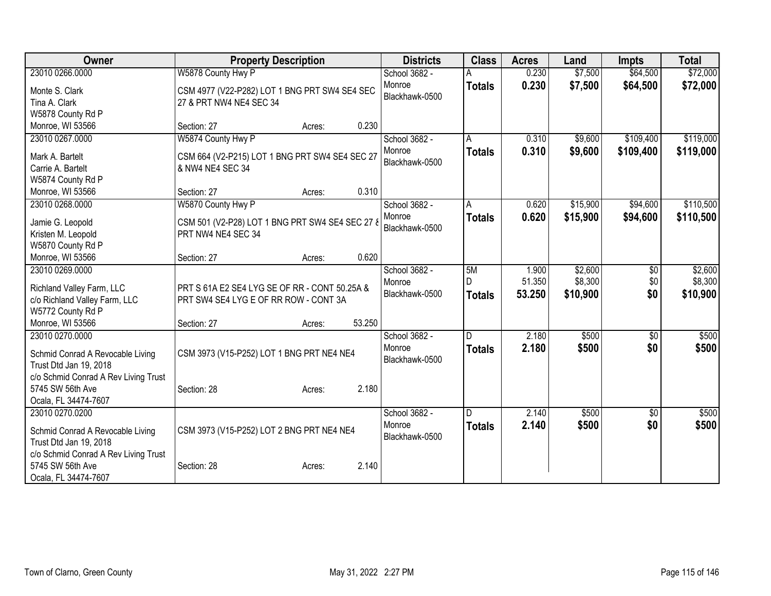| <b>Owner</b>                                                   | <b>Property Description</b>                                        |        |        | <b>Districts</b> | <b>Class</b>  | <b>Acres</b> | Land     | <b>Impts</b> | <b>Total</b> |
|----------------------------------------------------------------|--------------------------------------------------------------------|--------|--------|------------------|---------------|--------------|----------|--------------|--------------|
| 23010 0266.0000                                                | W5878 County Hwy P                                                 |        |        | School 3682 -    |               | 0.230        | \$7,500  | \$64,500     | \$72,000     |
| Monte S. Clark                                                 | CSM 4977 (V22-P282) LOT 1 BNG PRT SW4 SE4 SEC                      |        |        | Monroe           | <b>Totals</b> | 0.230        | \$7,500  | \$64,500     | \$72,000     |
| Tina A. Clark                                                  | 27 & PRT NW4 NE4 SEC 34                                            |        |        | Blackhawk-0500   |               |              |          |              |              |
| W5878 County Rd P                                              |                                                                    |        |        |                  |               |              |          |              |              |
| Monroe, WI 53566                                               | Section: 27                                                        | Acres: | 0.230  |                  |               |              |          |              |              |
| 23010 0267.0000                                                | W5874 County Hwy P                                                 |        |        | School 3682 -    | A             | 0.310        | \$9,600  | \$109,400    | \$119,000    |
|                                                                |                                                                    |        |        | Monroe           | <b>Totals</b> | 0.310        | \$9,600  | \$109,400    | \$119,000    |
| Mark A. Bartelt<br>Carrie A. Bartelt                           | CSM 664 (V2-P215) LOT 1 BNG PRT SW4 SE4 SEC 27<br>& NW4 NE4 SEC 34 |        |        | Blackhawk-0500   |               |              |          |              |              |
| W5874 County Rd P                                              |                                                                    |        |        |                  |               |              |          |              |              |
| Monroe, WI 53566                                               | Section: 27                                                        | Acres: | 0.310  |                  |               |              |          |              |              |
| 23010 0268.0000                                                | W5870 County Hwy P                                                 |        |        | School 3682 -    | A             | 0.620        | \$15,900 | \$94,600     | \$110,500    |
|                                                                |                                                                    |        |        | Monroe           | <b>Totals</b> | 0.620        | \$15,900 | \$94,600     | \$110,500    |
| Jamie G. Leopold                                               | CSM 501 (V2-P28) LOT 1 BNG PRT SW4 SE4 SEC 27 8                    |        |        | Blackhawk-0500   |               |              |          |              |              |
| Kristen M. Leopold                                             | PRT NW4 NE4 SEC 34                                                 |        |        |                  |               |              |          |              |              |
| W5870 County Rd P                                              |                                                                    |        |        |                  |               |              |          |              |              |
| Monroe, WI 53566                                               | Section: 27                                                        | Acres: | 0.620  |                  |               |              |          |              |              |
| 23010 0269.0000                                                |                                                                    |        |        | School 3682 -    | 5M            | 1.900        | \$2,600  | $\sqrt{6}$   | \$2,600      |
| Richland Valley Farm, LLC                                      | PRT S 61A E2 SE4 LYG SE OF RR - CONT 50.25A &                      |        |        | Monroe           | D             | 51.350       | \$8,300  | \$0          | \$8,300      |
| c/o Richland Valley Farm, LLC                                  | PRT SW4 SE4 LYG E OF RR ROW - CONT 3A                              |        |        | Blackhawk-0500   | <b>Totals</b> | 53.250       | \$10,900 | \$0          | \$10,900     |
| W5772 County Rd P                                              |                                                                    |        |        |                  |               |              |          |              |              |
| Monroe, WI 53566                                               | Section: 27                                                        | Acres: | 53.250 |                  |               |              |          |              |              |
| 23010 0270.0000                                                |                                                                    |        |        | School 3682 -    | D             | 2.180        | \$500    | \$0          | \$500        |
| Schmid Conrad A Revocable Living                               | CSM 3973 (V15-P252) LOT 1 BNG PRT NE4 NE4                          |        |        | Monroe           | <b>Totals</b> | 2.180        | \$500    | \$0          | \$500        |
| Trust Dtd Jan 19, 2018                                         |                                                                    |        |        | Blackhawk-0500   |               |              |          |              |              |
| c/o Schmid Conrad A Rev Living Trust                           |                                                                    |        |        |                  |               |              |          |              |              |
| 5745 SW 56th Ave                                               | Section: 28                                                        | Acres: | 2.180  |                  |               |              |          |              |              |
| Ocala, FL 34474-7607                                           |                                                                    |        |        |                  |               |              |          |              |              |
| 23010 0270.0200                                                |                                                                    |        |        | School 3682 -    | ID.           | 2.140        | \$500    | \$0          | \$500        |
|                                                                |                                                                    |        |        | Monroe           | <b>Totals</b> | 2.140        | \$500    | \$0          | \$500        |
| Schmid Conrad A Revocable Living                               | CSM 3973 (V15-P252) LOT 2 BNG PRT NE4 NE4                          |        |        | Blackhawk-0500   |               |              |          |              |              |
| Trust Dtd Jan 19, 2018<br>c/o Schmid Conrad A Rev Living Trust |                                                                    |        |        |                  |               |              |          |              |              |
| 5745 SW 56th Ave                                               | Section: 28                                                        | Acres: | 2.140  |                  |               |              |          |              |              |
| Ocala, FL 34474-7607                                           |                                                                    |        |        |                  |               |              |          |              |              |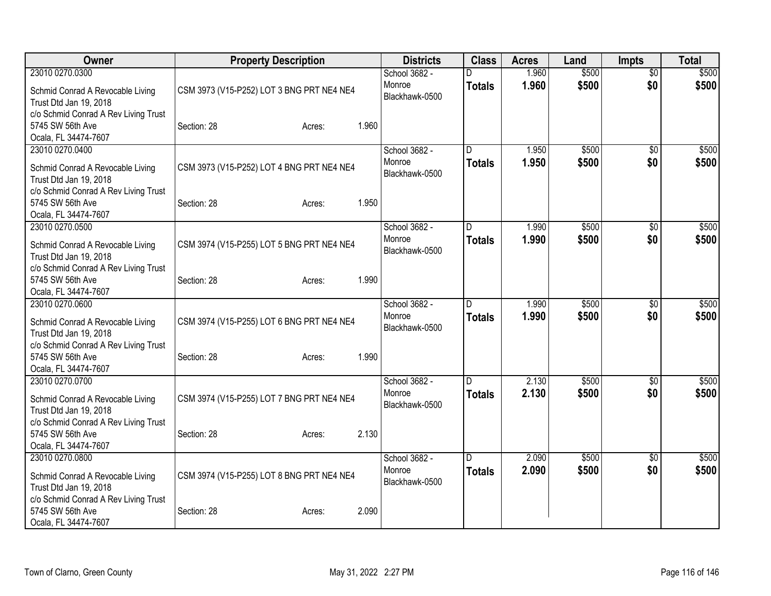| Owner                                                                            | <b>Property Description</b>               | <b>Districts</b>                          | <b>Class</b>        | <b>Acres</b>   | Land           | <b>Impts</b>           | <b>Total</b>   |
|----------------------------------------------------------------------------------|-------------------------------------------|-------------------------------------------|---------------------|----------------|----------------|------------------------|----------------|
| 23010 0270.0300<br>Schmid Conrad A Revocable Living<br>Trust Dtd Jan 19, 2018    | CSM 3973 (V15-P252) LOT 3 BNG PRT NE4 NE4 | School 3682 -<br>Monroe<br>Blackhawk-0500 | D<br><b>Totals</b>  | 1.960<br>1.960 | \$500<br>\$500 | $\overline{60}$<br>\$0 | \$500<br>\$500 |
| c/o Schmid Conrad A Rev Living Trust<br>5745 SW 56th Ave<br>Ocala, FL 34474-7607 | 1.960<br>Section: 28<br>Acres:            |                                           |                     |                |                |                        |                |
| 23010 0270.0400<br>Schmid Conrad A Revocable Living<br>Trust Dtd Jan 19, 2018    | CSM 3973 (V15-P252) LOT 4 BNG PRT NE4 NE4 | School 3682 -<br>Monroe<br>Blackhawk-0500 | D<br><b>Totals</b>  | 1.950<br>1.950 | \$500<br>\$500 | $\overline{50}$<br>\$0 | \$500<br>\$500 |
| c/o Schmid Conrad A Rev Living Trust<br>5745 SW 56th Ave<br>Ocala, FL 34474-7607 | 1.950<br>Section: 28<br>Acres:            |                                           |                     |                |                |                        |                |
| 23010 0270.0500<br>Schmid Conrad A Revocable Living<br>Trust Dtd Jan 19, 2018    | CSM 3974 (V15-P255) LOT 5 BNG PRT NE4 NE4 | School 3682 -<br>Monroe<br>Blackhawk-0500 | D.<br><b>Totals</b> | 1.990<br>1.990 | \$500<br>\$500 | $\sqrt{6}$<br>\$0      | \$500<br>\$500 |
| c/o Schmid Conrad A Rev Living Trust<br>5745 SW 56th Ave<br>Ocala, FL 34474-7607 | 1.990<br>Section: 28<br>Acres:            |                                           |                     |                |                |                        |                |
| 23010 0270.0600<br>Schmid Conrad A Revocable Living<br>Trust Dtd Jan 19, 2018    | CSM 3974 (V15-P255) LOT 6 BNG PRT NE4 NE4 | School 3682 -<br>Monroe<br>Blackhawk-0500 | D.<br><b>Totals</b> | 1.990<br>1.990 | \$500<br>\$500 | \$0<br>\$0             | \$500<br>\$500 |
| c/o Schmid Conrad A Rev Living Trust<br>5745 SW 56th Ave<br>Ocala, FL 34474-7607 | 1.990<br>Section: 28<br>Acres:            |                                           |                     |                |                |                        |                |
| 23010 0270.0700<br>Schmid Conrad A Revocable Living<br>Trust Dtd Jan 19, 2018    | CSM 3974 (V15-P255) LOT 7 BNG PRT NE4 NE4 | School 3682 -<br>Monroe<br>Blackhawk-0500 | D<br><b>Totals</b>  | 2.130<br>2.130 | \$500<br>\$500 | \$0<br>\$0             | \$500<br>\$500 |
| c/o Schmid Conrad A Rev Living Trust<br>5745 SW 56th Ave<br>Ocala, FL 34474-7607 | 2.130<br>Section: 28<br>Acres:            |                                           |                     |                |                |                        |                |
| 23010 0270.0800<br>Schmid Conrad A Revocable Living<br>Trust Dtd Jan 19, 2018    | CSM 3974 (V15-P255) LOT 8 BNG PRT NE4 NE4 | School 3682 -<br>Monroe<br>Blackhawk-0500 | D<br><b>Totals</b>  | 2.090<br>2.090 | \$500<br>\$500 | \$0<br>\$0             | \$500<br>\$500 |
| c/o Schmid Conrad A Rev Living Trust<br>5745 SW 56th Ave<br>Ocala, FL 34474-7607 | 2.090<br>Section: 28<br>Acres:            |                                           |                     |                |                |                        |                |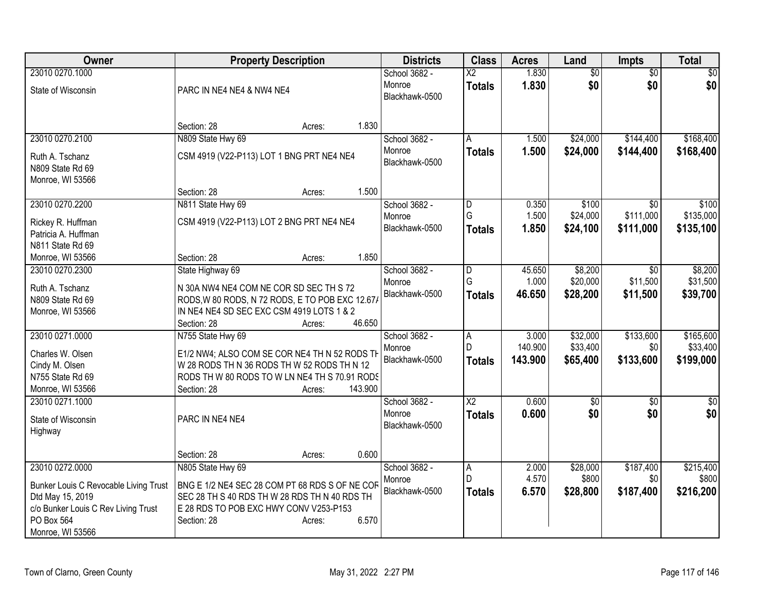| Owner                                 | <b>Property Description</b>                     | <b>Districts</b> | <b>Class</b>             | <b>Acres</b> | Land            | <b>Impts</b>    | <b>Total</b>    |
|---------------------------------------|-------------------------------------------------|------------------|--------------------------|--------------|-----------------|-----------------|-----------------|
| 23010 0270.1000                       |                                                 | School 3682 -    | $\overline{\mathsf{X2}}$ | 1.830        | $\overline{60}$ | $\overline{50}$ | \$0             |
| State of Wisconsin                    | PARC IN NE4 NE4 & NW4 NE4                       | Monroe           | <b>Totals</b>            | 1.830        | \$0             | \$0             | \$0             |
|                                       |                                                 | Blackhawk-0500   |                          |              |                 |                 |                 |
|                                       |                                                 |                  |                          |              |                 |                 |                 |
|                                       | 1.830<br>Section: 28<br>Acres:                  |                  |                          |              |                 |                 |                 |
| 23010 0270.2100                       | N809 State Hwy 69                               | School 3682 -    | A                        | 1.500        | \$24,000        | \$144,400       | \$168,400       |
| Ruth A. Tschanz                       | CSM 4919 (V22-P113) LOT 1 BNG PRT NE4 NE4       | Monroe           | <b>Totals</b>            | 1.500        | \$24,000        | \$144,400       | \$168,400       |
| N809 State Rd 69                      |                                                 | Blackhawk-0500   |                          |              |                 |                 |                 |
| Monroe, WI 53566                      |                                                 |                  |                          |              |                 |                 |                 |
|                                       | 1.500<br>Section: 28<br>Acres:                  |                  |                          |              |                 |                 |                 |
| 23010 0270.2200                       | N811 State Hwy 69                               | School 3682 -    | D                        | 0.350        | \$100           | \$0             | \$100           |
| Rickey R. Huffman                     | CSM 4919 (V22-P113) LOT 2 BNG PRT NE4 NE4       | Monroe           | G                        | 1.500        | \$24,000        | \$111,000       | \$135,000       |
| Patricia A. Huffman                   |                                                 | Blackhawk-0500   | <b>Totals</b>            | 1.850        | \$24,100        | \$111,000       | \$135,100       |
| N811 State Rd 69                      |                                                 |                  |                          |              |                 |                 |                 |
| Monroe, WI 53566                      | 1.850<br>Section: 28<br>Acres:                  |                  |                          |              |                 |                 |                 |
| 23010 0270.2300                       | State Highway 69                                | School 3682 -    | $\overline{\mathsf{D}}$  | 45.650       | \$8,200         | \$0             | \$8,200         |
| Ruth A. Tschanz                       | N 30A NW4 NE4 COM NE COR SD SEC TH S 72         | Monroe           | G                        | 1.000        | \$20,000        | \$11,500        | \$31,500        |
| N809 State Rd 69                      | RODS, W 80 RODS, N 72 RODS, E TO POB EXC 12.67/ | Blackhawk-0500   | <b>Totals</b>            | 46.650       | \$28,200        | \$11,500        | \$39,700        |
| Monroe, WI 53566                      | IN NE4 NE4 SD SEC EXC CSM 4919 LOTS 1 & 2       |                  |                          |              |                 |                 |                 |
|                                       | 46.650<br>Section: 28<br>Acres:                 |                  |                          |              |                 |                 |                 |
| 23010 0271.0000                       | N755 State Hwy 69                               | School 3682 -    | $\overline{A}$           | 3.000        | \$32,000        | \$133,600       | \$165,600       |
| Charles W. Olsen                      | E1/2 NW4; ALSO COM SE COR NE4 TH N 52 RODS TH   | Monroe           | D                        | 140.900      | \$33,400        | \$0             | \$33,400        |
| Cindy M. Olsen                        | W 28 RODS TH N 36 RODS TH W 52 RODS TH N 12     | Blackhawk-0500   | <b>Totals</b>            | 143.900      | \$65,400        | \$133,600       | \$199,000       |
| N755 State Rd 69                      | RODS TH W 80 RODS TO W LN NE4 TH S 70.91 RODS   |                  |                          |              |                 |                 |                 |
| Monroe, WI 53566                      | 143.900<br>Section: 28<br>Acres:                |                  |                          |              |                 |                 |                 |
| 23010 0271.1000                       |                                                 | School 3682 -    | $\overline{\text{X2}}$   | 0.600        | \$0             | $\overline{50}$ | $\overline{50}$ |
| State of Wisconsin                    | PARC IN NE4 NE4                                 | Monroe           | <b>Totals</b>            | 0.600        | \$0             | \$0             | \$0             |
| Highway                               |                                                 | Blackhawk-0500   |                          |              |                 |                 |                 |
|                                       |                                                 |                  |                          |              |                 |                 |                 |
|                                       | 0.600<br>Section: 28<br>Acres:                  |                  |                          |              |                 |                 |                 |
| 23010 0272.0000                       | N805 State Hwy 69                               | School 3682 -    | Α                        | 2.000        | \$28,000        | \$187,400       | \$215,400       |
| Bunker Louis C Revocable Living Trust | BNG E 1/2 NE4 SEC 28 COM PT 68 RDS S OF NE COF  | Monroe           | D                        | 4.570        | \$800           | \$0             | \$800           |
| Dtd May 15, 2019                      | SEC 28 TH S 40 RDS TH W 28 RDS TH N 40 RDS TH   | Blackhawk-0500   | <b>Totals</b>            | 6.570        | \$28,800        | \$187,400       | \$216,200       |
| c/o Bunker Louis C Rev Living Trust   | E 28 RDS TO POB EXC HWY CONV V253-P153          |                  |                          |              |                 |                 |                 |
| PO Box 564                            | 6.570<br>Section: 28<br>Acres:                  |                  |                          |              |                 |                 |                 |
| Monroe, WI 53566                      |                                                 |                  |                          |              |                 |                 |                 |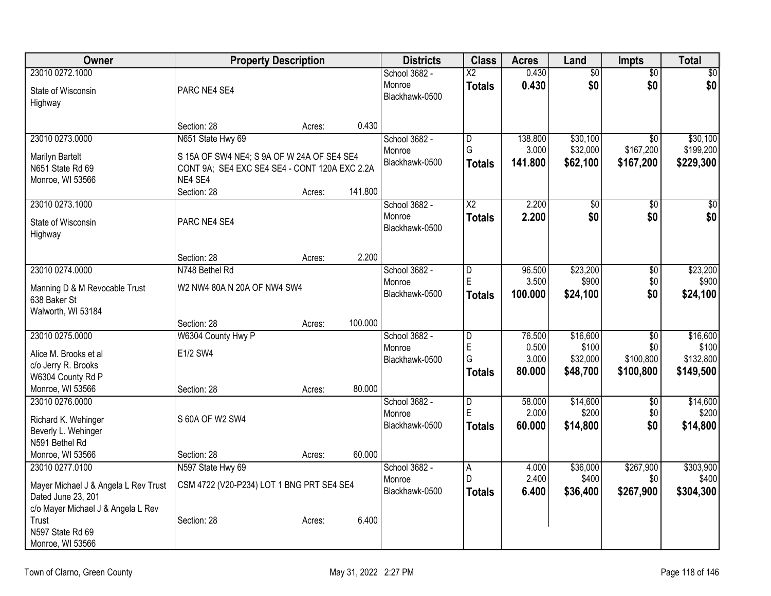| Owner                                |                                               | <b>Property Description</b> |         | <b>Districts</b> | <b>Class</b>    | <b>Acres</b> | Land            | Impts           | <b>Total</b>     |
|--------------------------------------|-----------------------------------------------|-----------------------------|---------|------------------|-----------------|--------------|-----------------|-----------------|------------------|
| 23010 0272.1000                      |                                               |                             |         | School 3682 -    | $\overline{X2}$ | 0.430        | $\overline{60}$ | $\overline{50}$ | $\overline{\$0}$ |
| State of Wisconsin                   | PARC NE4 SE4                                  |                             |         | Monroe           | <b>Totals</b>   | 0.430        | \$0             | \$0             | \$0              |
| Highway                              |                                               |                             |         | Blackhawk-0500   |                 |              |                 |                 |                  |
|                                      |                                               |                             |         |                  |                 |              |                 |                 |                  |
|                                      | Section: 28                                   | Acres:                      | 0.430   |                  |                 |              |                 |                 |                  |
| 23010 0273.0000                      | N651 State Hwy 69                             |                             |         | School 3682 -    | $\overline{D}$  | 138.800      | \$30,100        | $\overline{30}$ | \$30,100         |
| Marilyn Bartelt                      | S 15A OF SW4 NE4; S 9A OF W 24A OF SE4 SE4    |                             |         | Monroe           | G               | 3.000        | \$32,000        | \$167,200       | \$199,200        |
| N651 State Rd 69                     | CONT 9A; SE4 EXC SE4 SE4 - CONT 120A EXC 2.2A |                             |         | Blackhawk-0500   | <b>Totals</b>   | 141.800      | \$62,100        | \$167,200       | \$229,300        |
| Monroe, WI 53566                     | NE4 SE4                                       |                             |         |                  |                 |              |                 |                 |                  |
|                                      | Section: 28                                   | Acres:                      | 141.800 |                  |                 |              |                 |                 |                  |
| 23010 0273.1000                      |                                               |                             |         | School 3682 -    | $\overline{X2}$ | 2.200        | $\overline{60}$ | $\overline{50}$ | $\overline{50}$  |
| State of Wisconsin                   | PARC NE4 SE4                                  |                             |         | Monroe           | <b>Totals</b>   | 2.200        | \$0             | \$0             | \$0              |
| Highway                              |                                               |                             |         | Blackhawk-0500   |                 |              |                 |                 |                  |
|                                      |                                               |                             |         |                  |                 |              |                 |                 |                  |
|                                      | Section: 28                                   | Acres:                      | 2.200   |                  |                 |              |                 |                 |                  |
| 23010 0274.0000                      | N748 Bethel Rd                                |                             |         | School 3682 -    | D               | 96.500       | \$23,200        | $\overline{60}$ | \$23,200         |
| Manning D & M Revocable Trust        | W2 NW4 80A N 20A OF NW4 SW4                   |                             |         | Monroe           | E               | 3.500        | \$900           | \$0             | \$900            |
| 638 Baker St                         |                                               |                             |         | Blackhawk-0500   | <b>Totals</b>   | 100.000      | \$24,100        | \$0             | \$24,100         |
| Walworth, WI 53184                   |                                               |                             |         |                  |                 |              |                 |                 |                  |
|                                      | Section: 28                                   | Acres:                      | 100.000 |                  |                 |              |                 |                 |                  |
| 23010 0275.0000                      | W6304 County Hwy P                            |                             |         | School 3682 -    | $\overline{D}$  | 76.500       | \$16,600        | $\overline{50}$ | \$16,600         |
| Alice M. Brooks et al                | E1/2 SW4                                      |                             |         | Monroe           | E               | 0.500        | \$100           | \$0             | \$100            |
| c/o Jerry R. Brooks                  |                                               |                             |         | Blackhawk-0500   | G               | 3.000        | \$32,000        | \$100,800       | \$132,800        |
| W6304 County Rd P                    |                                               |                             |         |                  | <b>Totals</b>   | 80.000       | \$48,700        | \$100,800       | \$149,500        |
| Monroe, WI 53566                     | Section: 28                                   | Acres:                      | 80.000  |                  |                 |              |                 |                 |                  |
| 23010 0276,0000                      |                                               |                             |         | School 3682 -    | $\overline{D}$  | 58.000       | \$14,600        | $\overline{50}$ | \$14,600         |
| Richard K. Wehinger                  | S 60A OF W2 SW4                               |                             |         | Monroe           | E               | 2.000        | \$200           | \$0             | \$200            |
| Beverly L. Wehinger                  |                                               |                             |         | Blackhawk-0500   | <b>Totals</b>   | 60.000       | \$14,800        | \$0             | \$14,800         |
| N591 Bethel Rd                       |                                               |                             |         |                  |                 |              |                 |                 |                  |
| Monroe, WI 53566                     | Section: 28                                   | Acres:                      | 60.000  |                  |                 |              |                 |                 |                  |
| 23010 0277.0100                      | N597 State Hwy 69                             |                             |         | School 3682 -    | A.              | 4.000        | \$36,000        | \$267,900       | \$303,900        |
| Mayer Michael J & Angela L Rev Trust | CSM 4722 (V20-P234) LOT 1 BNG PRT SE4 SE4     |                             |         | Monroe           | D.              | 2.400        | \$400           | \$0             | \$400            |
| Dated June 23, 201                   |                                               |                             |         | Blackhawk-0500   | <b>Totals</b>   | 6.400        | \$36,400        | \$267,900       | \$304,300        |
| c/o Mayer Michael J & Angela L Rev   |                                               |                             |         |                  |                 |              |                 |                 |                  |
| Trust                                | Section: 28                                   | Acres:                      | 6.400   |                  |                 |              |                 |                 |                  |
| N597 State Rd 69                     |                                               |                             |         |                  |                 |              |                 |                 |                  |
| Monroe, WI 53566                     |                                               |                             |         |                  |                 |              |                 |                 |                  |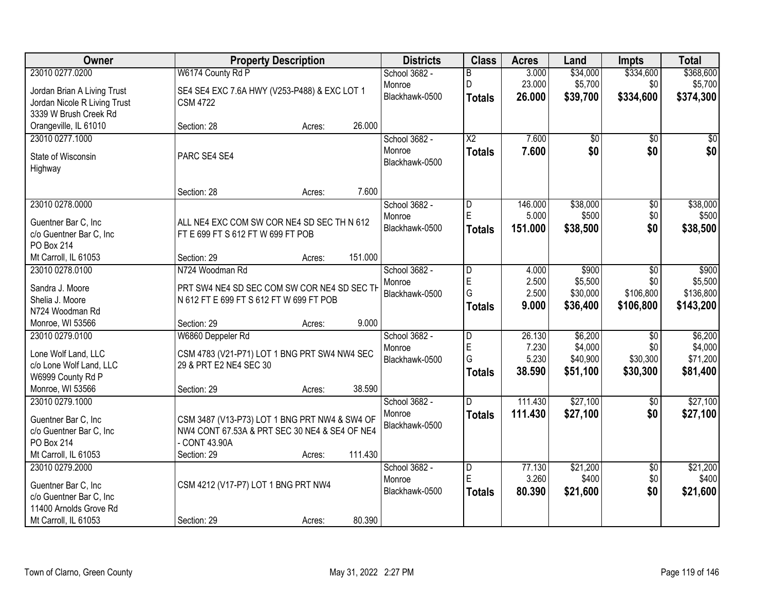| Owner                        | <b>Property Description</b>                   | <b>Districts</b> | <b>Class</b>            | <b>Acres</b> | Land     | <b>Impts</b>    | <b>Total</b> |
|------------------------------|-----------------------------------------------|------------------|-------------------------|--------------|----------|-----------------|--------------|
| 23010 0277.0200              | W6174 County Rd P                             | School 3682 -    | B                       | 3.000        | \$34,000 | \$334,600       | \$368,600    |
| Jordan Brian A Living Trust  | SE4 SE4 EXC 7.6A HWY (V253-P488) & EXC LOT 1  | Monroe           | D                       | 23.000       | \$5,700  | \$0             | \$5,700      |
| Jordan Nicole R Living Trust | <b>CSM 4722</b>                               | Blackhawk-0500   | <b>Totals</b>           | 26.000       | \$39,700 | \$334,600       | \$374,300    |
| 3339 W Brush Creek Rd        |                                               |                  |                         |              |          |                 |              |
| Orangeville, IL 61010        | 26.000<br>Section: 28<br>Acres:               |                  |                         |              |          |                 |              |
| 23010 0277.1000              |                                               | School 3682 -    | $\overline{\text{X2}}$  | 7.600        | \$0      | \$0             | \$0          |
| State of Wisconsin           | PARC SE4 SE4                                  | Monroe           | <b>Totals</b>           | 7.600        | \$0      | \$0             | \$0          |
| Highway                      |                                               | Blackhawk-0500   |                         |              |          |                 |              |
|                              |                                               |                  |                         |              |          |                 |              |
|                              | 7.600<br>Section: 28<br>Acres:                |                  |                         |              |          |                 |              |
| 23010 0278.0000              |                                               | School 3682 -    | $\overline{\mathsf{D}}$ | 146.000      | \$38,000 | $\overline{50}$ | \$38,000     |
| Guentner Bar C, Inc          | ALL NE4 EXC COM SW COR NE4 SD SEC TH N 612    | Monroe           | E                       | 5.000        | \$500    | \$0             | \$500        |
| c/o Guentner Bar C, Inc      | FT E 699 FT S 612 FT W 699 FT POB             | Blackhawk-0500   | <b>Totals</b>           | 151.000      | \$38,500 | \$0             | \$38,500     |
| <b>PO Box 214</b>            |                                               |                  |                         |              |          |                 |              |
| Mt Carroll, IL 61053         | 151.000<br>Section: 29<br>Acres:              |                  |                         |              |          |                 |              |
| 23010 0278.0100              | N724 Woodman Rd                               | School 3682 -    | D                       | 4.000        | \$900    | \$0             | \$900        |
| Sandra J. Moore              | PRT SW4 NE4 SD SEC COM SW COR NE4 SD SEC TH   | Monroe           | E                       | 2.500        | \$5,500  | \$0             | \$5,500      |
| Shelia J. Moore              | N 612 FT E 699 FT S 612 FT W 699 FT POB       | Blackhawk-0500   | G                       | 2.500        | \$30,000 | \$106,800       | \$136,800    |
| N724 Woodman Rd              |                                               |                  | <b>Totals</b>           | 9.000        | \$36,400 | \$106,800       | \$143,200    |
| Monroe, WI 53566             | 9.000<br>Section: 29<br>Acres:                |                  |                         |              |          |                 |              |
| 23010 0279.0100              | W6860 Deppeler Rd                             | School 3682 -    | $\overline{\mathsf{D}}$ | 26.130       | \$6,200  | $\overline{50}$ | \$6,200      |
| Lone Wolf Land, LLC          | CSM 4783 (V21-P71) LOT 1 BNG PRT SW4 NW4 SEC  | Monroe           | E                       | 7.230        | \$4,000  | \$0             | \$4,000      |
| c/o Lone Wolf Land, LLC      | 29 & PRT E2 NE4 SEC 30                        | Blackhawk-0500   | Ġ                       | 5.230        | \$40,900 | \$30,300        | \$71,200     |
| W6999 County Rd P            |                                               |                  | <b>Totals</b>           | 38.590       | \$51,100 | \$30,300        | \$81,400     |
| Monroe, WI 53566             | 38.590<br>Section: 29<br>Acres:               |                  |                         |              |          |                 |              |
| 23010 0279.1000              |                                               | School 3682 -    | D.                      | 111.430      | \$27,100 | $\sqrt{6}$      | \$27,100     |
| Guentner Bar C, Inc          | CSM 3487 (V13-P73) LOT 1 BNG PRT NW4 & SW4 OF | Monroe           | <b>Totals</b>           | 111.430      | \$27,100 | \$0             | \$27,100     |
| c/o Guentner Bar C, Inc      | NW4 CONT 67.53A & PRT SEC 30 NE4 & SE4 OF NE4 | Blackhawk-0500   |                         |              |          |                 |              |
| PO Box 214                   | - CONT 43.90A                                 |                  |                         |              |          |                 |              |
| Mt Carroll, IL 61053         | 111.430<br>Section: 29<br>Acres:              |                  |                         |              |          |                 |              |
| 23010 0279.2000              |                                               | School 3682 -    | $\overline{\mathsf{D}}$ | 77.130       | \$21,200 | $\overline{50}$ | \$21,200     |
| Guentner Bar C, Inc          | CSM 4212 (V17-P7) LOT 1 BNG PRT NW4           | Monroe           | E                       | 3.260        | \$400    | \$0             | \$400        |
| c/o Guentner Bar C, Inc      |                                               | Blackhawk-0500   | <b>Totals</b>           | 80.390       | \$21,600 | \$0             | \$21,600     |
| 11400 Arnolds Grove Rd       |                                               |                  |                         |              |          |                 |              |
| Mt Carroll, IL 61053         | 80.390<br>Section: 29<br>Acres:               |                  |                         |              |          |                 |              |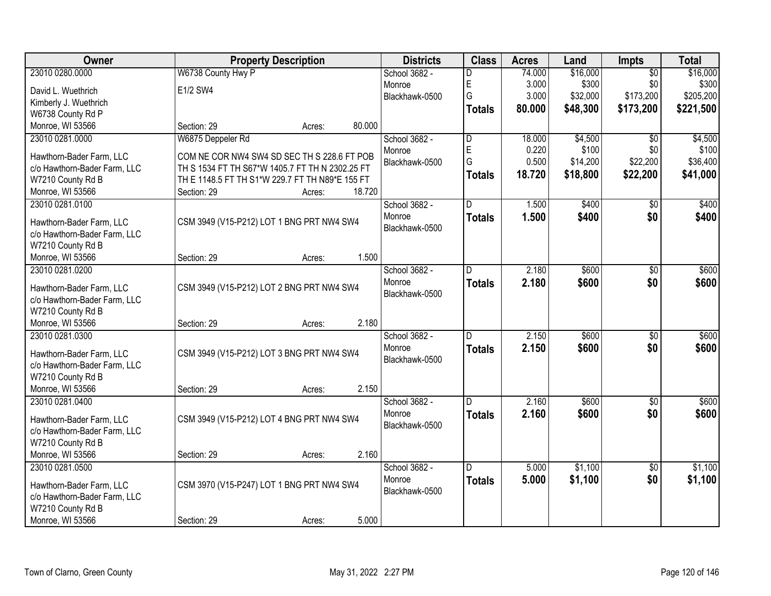| Owner                                                    | <b>Property Description</b>                     | <b>Districts</b> | <b>Class</b>             | <b>Acres</b>  | Land   | Impts    | <b>Total</b>    |           |
|----------------------------------------------------------|-------------------------------------------------|------------------|--------------------------|---------------|--------|----------|-----------------|-----------|
| 23010 0280.0000                                          | W6738 County Hwy P                              |                  | School 3682 -            | D             | 74.000 | \$16,000 | $\overline{50}$ | \$16,000  |
| David L. Wuethrich                                       | E1/2 SW4                                        |                  | Monroe                   | E             | 3.000  | \$300    | \$0             | \$300     |
| Kimberly J. Wuethrich                                    |                                                 |                  | Blackhawk-0500           | G             | 3.000  | \$32,000 | \$173,200       | \$205,200 |
| W6738 County Rd P                                        |                                                 |                  |                          | <b>Totals</b> | 80.000 | \$48,300 | \$173,200       | \$221,500 |
| Monroe, WI 53566                                         | Section: 29                                     | 80.000<br>Acres: |                          |               |        |          |                 |           |
| 23010 0281.0000                                          | W6875 Deppeler Rd                               |                  | School 3682 -            | D             | 18.000 | \$4,500  | $\overline{50}$ | \$4,500   |
| Hawthorn-Bader Farm, LLC                                 | COM NE COR NW4 SW4 SD SEC TH S 228.6 FT POB     |                  | Monroe                   | E             | 0.220  | \$100    | \$0             | \$100     |
| c/o Hawthorn-Bader Farm, LLC                             | TH S 1534 FT TH S67*W 1405.7 FT TH N 2302.25 FT |                  | Blackhawk-0500           | G             | 0.500  | \$14,200 | \$22,200        | \$36,400  |
| W7210 County Rd B                                        | TH E 1148.5 FT TH S1*W 229.7 FT TH N89*E 155 FT |                  |                          | <b>Totals</b> | 18.720 | \$18,800 | \$22,200        | \$41,000  |
| Monroe, WI 53566                                         | Section: 29                                     | 18.720<br>Acres: |                          |               |        |          |                 |           |
| 23010 0281.0100                                          |                                                 |                  | School 3682 -            | D             | 1.500  | \$400    | $\overline{50}$ | \$400     |
|                                                          |                                                 |                  | Monroe                   | <b>Totals</b> | 1.500  | \$400    | \$0             | \$400     |
| Hawthorn-Bader Farm, LLC                                 | CSM 3949 (V15-P212) LOT 1 BNG PRT NW4 SW4       |                  | Blackhawk-0500           |               |        |          |                 |           |
| c/o Hawthorn-Bader Farm, LLC                             |                                                 |                  |                          |               |        |          |                 |           |
| W7210 County Rd B                                        |                                                 |                  |                          |               |        |          |                 |           |
| Monroe, WI 53566                                         | Section: 29                                     | 1.500<br>Acres:  |                          |               |        |          |                 |           |
| 23010 0281.0200                                          |                                                 |                  | School 3682 -            | D             | 2.180  | \$600    | \$0             | \$600     |
| Hawthorn-Bader Farm, LLC                                 | CSM 3949 (V15-P212) LOT 2 BNG PRT NW4 SW4       |                  | Monroe<br>Blackhawk-0500 | <b>Totals</b> | 2.180  | \$600    | \$0             | \$600     |
| c/o Hawthorn-Bader Farm, LLC                             |                                                 |                  |                          |               |        |          |                 |           |
| W7210 County Rd B                                        |                                                 |                  |                          |               |        |          |                 |           |
| Monroe, WI 53566                                         | Section: 29                                     | 2.180<br>Acres:  |                          |               |        |          |                 |           |
| 23010 0281.0300                                          |                                                 |                  | School 3682 -            | D             | 2.150  | \$600    | \$0             | \$600     |
| Hawthorn-Bader Farm, LLC                                 | CSM 3949 (V15-P212) LOT 3 BNG PRT NW4 SW4       |                  | Monroe                   | <b>Totals</b> | 2.150  | \$600    | \$0             | \$600     |
| c/o Hawthorn-Bader Farm, LLC                             |                                                 |                  | Blackhawk-0500           |               |        |          |                 |           |
| W7210 County Rd B                                        |                                                 |                  |                          |               |        |          |                 |           |
| Monroe, WI 53566                                         | Section: 29                                     | 2.150<br>Acres:  |                          |               |        |          |                 |           |
| 23010 0281.0400                                          |                                                 |                  | School 3682 -            | D             | 2.160  | \$600    | $\overline{50}$ | \$600     |
|                                                          |                                                 |                  | Monroe                   | <b>Totals</b> | 2.160  | \$600    | \$0             | \$600     |
| Hawthorn-Bader Farm, LLC<br>c/o Hawthorn-Bader Farm, LLC | CSM 3949 (V15-P212) LOT 4 BNG PRT NW4 SW4       |                  | Blackhawk-0500           |               |        |          |                 |           |
| W7210 County Rd B                                        |                                                 |                  |                          |               |        |          |                 |           |
| Monroe, WI 53566                                         | Section: 29                                     | 2.160<br>Acres:  |                          |               |        |          |                 |           |
| 23010 0281.0500                                          |                                                 |                  | School 3682 -            | D.            | 5.000  | \$1,100  | $\overline{30}$ | \$1,100   |
|                                                          |                                                 |                  | Monroe                   | <b>Totals</b> | 5.000  | \$1,100  | \$0             | \$1,100   |
| Hawthorn-Bader Farm, LLC                                 | CSM 3970 (V15-P247) LOT 1 BNG PRT NW4 SW4       |                  | Blackhawk-0500           |               |        |          |                 |           |
| c/o Hawthorn-Bader Farm, LLC                             |                                                 |                  |                          |               |        |          |                 |           |
| W7210 County Rd B                                        |                                                 |                  |                          |               |        |          |                 |           |
| Monroe, WI 53566                                         | Section: 29                                     | 5.000<br>Acres:  |                          |               |        |          |                 |           |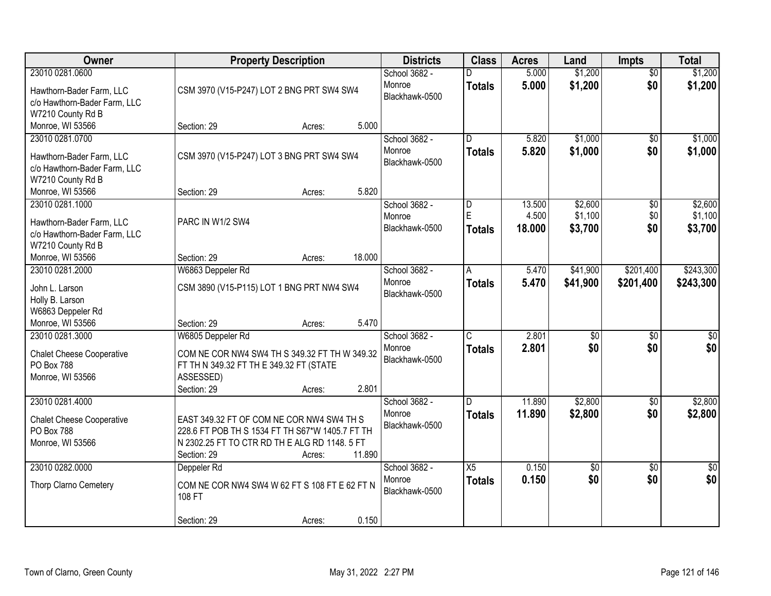| Owner                                                                                                            | <b>Property Description</b>                                                                                                                                                                    | <b>Districts</b>                          | <b>Class</b>                             | <b>Acres</b>              | Land                          | Impts                         | <b>Total</b>                  |
|------------------------------------------------------------------------------------------------------------------|------------------------------------------------------------------------------------------------------------------------------------------------------------------------------------------------|-------------------------------------------|------------------------------------------|---------------------------|-------------------------------|-------------------------------|-------------------------------|
| 23010 0281.0600<br>Hawthorn-Bader Farm, LLC<br>c/o Hawthorn-Bader Farm, LLC<br>W7210 County Rd B                 | CSM 3970 (V15-P247) LOT 2 BNG PRT SW4 SW4                                                                                                                                                      | School 3682 -<br>Monroe<br>Blackhawk-0500 | <b>Totals</b>                            | 5.000<br>5.000            | \$1,200<br>\$1,200            | $\overline{50}$<br>\$0        | \$1,200<br>\$1,200            |
| Monroe, WI 53566                                                                                                 | 5.000<br>Section: 29<br>Acres:                                                                                                                                                                 |                                           |                                          |                           |                               |                               |                               |
| 23010 0281.0700<br>Hawthorn-Bader Farm, LLC<br>c/o Hawthorn-Bader Farm, LLC<br>W7210 County Rd B                 | CSM 3970 (V15-P247) LOT 3 BNG PRT SW4 SW4                                                                                                                                                      | School 3682 -<br>Monroe<br>Blackhawk-0500 | $\overline{\mathsf{D}}$<br><b>Totals</b> | 5.820<br>5.820            | \$1,000<br>\$1,000            | $\overline{50}$<br>\$0        | \$1,000<br>\$1,000            |
| Monroe, WI 53566                                                                                                 | 5.820<br>Section: 29<br>Acres:                                                                                                                                                                 |                                           |                                          |                           |                               |                               |                               |
| 23010 0281.1000<br>Hawthorn-Bader Farm, LLC<br>c/o Hawthorn-Bader Farm, LLC<br>W7210 County Rd B                 | PARC IN W1/2 SW4                                                                                                                                                                               | School 3682 -<br>Monroe<br>Blackhawk-0500 | D<br>E<br><b>Totals</b>                  | 13.500<br>4.500<br>18.000 | \$2,600<br>\$1,100<br>\$3,700 | $\overline{50}$<br>\$0<br>\$0 | \$2,600<br>\$1,100<br>\$3,700 |
| Monroe, WI 53566                                                                                                 | 18.000<br>Section: 29<br>Acres:                                                                                                                                                                |                                           |                                          |                           |                               |                               |                               |
| 23010 0281.2000<br>John L. Larson<br>Holly B. Larson<br>W6863 Deppeler Rd                                        | W6863 Deppeler Rd<br>CSM 3890 (V15-P115) LOT 1 BNG PRT NW4 SW4                                                                                                                                 | School 3682 -<br>Monroe<br>Blackhawk-0500 | Α<br><b>Totals</b>                       | 5.470<br>5.470            | \$41,900<br>\$41,900          | \$201,400<br>\$201,400        | \$243,300<br>\$243,300        |
| Monroe, WI 53566<br>23010 0281.3000<br><b>Chalet Cheese Cooperative</b><br><b>PO Box 788</b><br>Monroe, WI 53566 | 5.470<br>Section: 29<br>Acres:<br>W6805 Deppeler Rd<br>COM NE COR NW4 SW4 TH S 349.32 FT TH W 349.32<br>FT TH N 349.32 FT TH E 349.32 FT (STATE<br>ASSESSED)<br>2.801<br>Section: 29<br>Acres: | School 3682 -<br>Monroe<br>Blackhawk-0500 | $\overline{C}$<br><b>Totals</b>          | 2.801<br>2.801            | $\overline{50}$<br>\$0        | $\overline{50}$<br>\$0        | \$0<br>\$0                    |
| 23010 0281.4000<br><b>Chalet Cheese Cooperative</b><br>PO Box 788<br>Monroe, WI 53566                            | EAST 349.32 FT OF COM NE COR NW4 SW4 TH S<br>228.6 FT POB TH S 1534 FT TH S67*W 1405.7 FT TH<br>N 2302.25 FT TO CTR RD TH E ALG RD 1148.5 FT<br>Section: 29<br>11.890<br>Acres:                | School 3682 -<br>Monroe<br>Blackhawk-0500 | D.<br><b>Totals</b>                      | 11.890<br>11.890          | \$2,800<br>\$2,800            | $\overline{60}$<br>\$0        | \$2,800<br>\$2,800            |
| 23010 0282.0000<br>Thorp Clarno Cemetery                                                                         | Deppeler Rd<br>COM NE COR NW4 SW4 W 62 FT S 108 FT E 62 FT N<br>108 FT<br>0.150<br>Section: 29<br>Acres:                                                                                       | School 3682 -<br>Monroe<br>Blackhawk-0500 | $\overline{X5}$<br><b>Totals</b>         | 0.150<br>0.150            | \$0<br>\$0                    | $\overline{30}$<br>\$0        | $\overline{50}$<br>\$0        |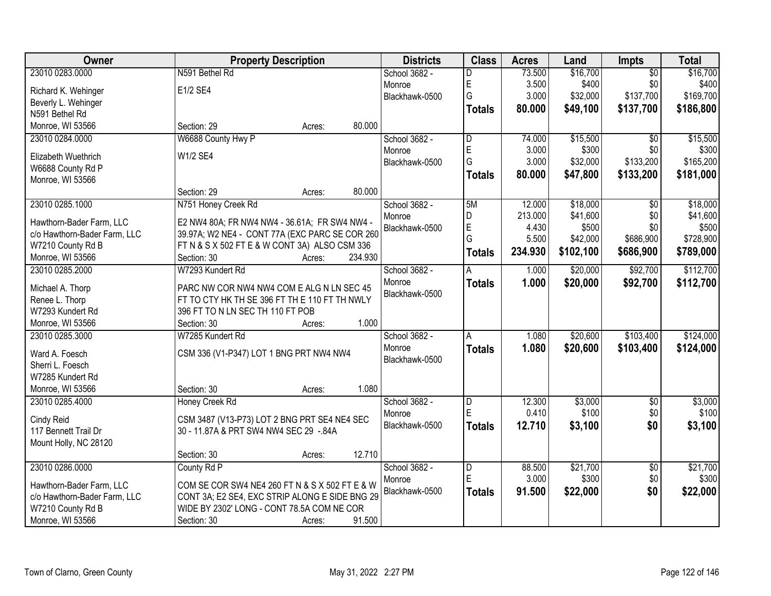| Owner                        | <b>Property Description</b>                    |         | <b>Districts</b> | <b>Class</b>   | <b>Acres</b> | Land      | <b>Impts</b>    | <b>Total</b> |
|------------------------------|------------------------------------------------|---------|------------------|----------------|--------------|-----------|-----------------|--------------|
| 23010 0283.0000              | N591 Bethel Rd                                 |         | School 3682 -    | D              | 73.500       | \$16,700  | $\overline{50}$ | \$16,700     |
| Richard K. Wehinger          | E1/2 SE4                                       |         | Monroe           | E              | 3.500        | \$400     | \$0             | \$400        |
| Beverly L. Wehinger          |                                                |         | Blackhawk-0500   | G              | 3.000        | \$32,000  | \$137,700       | \$169,700    |
| N591 Bethel Rd               |                                                |         |                  | <b>Totals</b>  | 80.000       | \$49,100  | \$137,700       | \$186,800    |
| Monroe, WI 53566             | Section: 29<br>Acres:                          | 80.000  |                  |                |              |           |                 |              |
|                              |                                                |         |                  | D              | 74.000       |           |                 |              |
| 23010 0284.0000              | W6688 County Hwy P                             |         | School 3682 -    |                |              | \$15,500  | $\overline{50}$ | \$15,500     |
| Elizabeth Wuethrich          | W1/2 SE4                                       |         | Monroe           | E<br>G         | 3.000        | \$300     | \$0             | \$300        |
| W6688 County Rd P            |                                                |         | Blackhawk-0500   |                | 3.000        | \$32,000  | \$133,200       | \$165,200    |
| Monroe, WI 53566             |                                                |         |                  | <b>Totals</b>  | 80.000       | \$47,800  | \$133,200       | \$181,000    |
|                              | Section: 29<br>Acres:                          | 80.000  |                  |                |              |           |                 |              |
| 23010 0285.1000              | N751 Honey Creek Rd                            |         | School 3682 -    | 5M             | 12.000       | \$18,000  | $\overline{50}$ | \$18,000     |
|                              |                                                |         | Monroe           | D              | 213.000      | \$41,600  | \$0             | \$41,600     |
| Hawthorn-Bader Farm, LLC     | E2 NW4 80A; FR NW4 NW4 - 36.61A; FR SW4 NW4 -  |         | Blackhawk-0500   | E              | 4.430        | \$500     | \$0             | \$500        |
| c/o Hawthorn-Bader Farm, LLC | 39.97A; W2 NE4 - CONT 77A (EXC PARC SE COR 260 |         |                  | G              | 5.500        | \$42,000  | \$686,900       | \$728,900    |
| W7210 County Rd B            | FT N & S X 502 FT E & W CONT 3A) ALSO CSM 336  |         |                  | <b>Totals</b>  | 234.930      | \$102,100 | \$686,900       | \$789,000    |
| Monroe, WI 53566             | Section: 30<br>Acres:                          | 234.930 |                  |                |              |           |                 |              |
| 23010 0285.2000              | W7293 Kundert Rd                               |         | School 3682 -    | A              | 1.000        | \$20,000  | \$92,700        | \$112,700    |
| Michael A. Thorp             | PARC NW COR NW4 NW4 COM E ALG N LN SEC 45      |         | Monroe           | <b>Totals</b>  | 1.000        | \$20,000  | \$92,700        | \$112,700    |
| Renee L. Thorp               | FT TO CTY HK TH SE 396 FT TH E 110 FT TH NWLY  |         | Blackhawk-0500   |                |              |           |                 |              |
| W7293 Kundert Rd             | 396 FT TO N LN SEC TH 110 FT POB               |         |                  |                |              |           |                 |              |
| Monroe, WI 53566             | Section: 30<br>Acres:                          | 1.000   |                  |                |              |           |                 |              |
| 23010 0285.3000              | W7285 Kundert Rd                               |         | School 3682 -    | А              | 1.080        | \$20,600  | \$103,400       | \$124,000    |
|                              |                                                |         | Monroe           |                | 1.080        | \$20,600  | \$103,400       |              |
| Ward A. Foesch               | CSM 336 (V1-P347) LOT 1 BNG PRT NW4 NW4        |         | Blackhawk-0500   | <b>Totals</b>  |              |           |                 | \$124,000    |
| Sherri L. Foesch             |                                                |         |                  |                |              |           |                 |              |
| W7285 Kundert Rd             |                                                |         |                  |                |              |           |                 |              |
| Monroe, WI 53566             | Section: 30<br>Acres:                          | 1.080   |                  |                |              |           |                 |              |
| 23010 0285.4000              | Honey Creek Rd                                 |         | School 3682 -    | D              | 12.300       | \$3,000   | $\overline{60}$ | \$3,000      |
|                              |                                                |         | Monroe           | E              | 0.410        | \$100     | \$0             | \$100        |
| Cindy Reid                   | CSM 3487 (V13-P73) LOT 2 BNG PRT SE4 NE4 SEC   |         | Blackhawk-0500   | <b>Totals</b>  | 12.710       | \$3,100   | \$0             | \$3,100      |
| 117 Bennett Trail Dr         | 30 - 11.87A & PRT SW4 NW4 SEC 29 -.84A         |         |                  |                |              |           |                 |              |
| Mount Holly, NC 28120        |                                                |         |                  |                |              |           |                 |              |
|                              | Section: 30<br>Acres:                          | 12.710  |                  |                |              |           |                 |              |
| 23010 0286.0000              | County Rd P                                    |         | School 3682 -    | $\overline{D}$ | 88.500       | \$21,700  | $\overline{50}$ | \$21,700     |
| Hawthorn-Bader Farm, LLC     | COM SE COR SW4 NE4 260 FT N & S X 502 FT E & W |         | Monroe           | E              | 3.000        | \$300     | \$0             | \$300        |
| c/o Hawthorn-Bader Farm, LLC | CONT 3A; E2 SE4, EXC STRIP ALONG E SIDE BNG 29 |         | Blackhawk-0500   | <b>Totals</b>  | 91.500       | \$22,000  | \$0             | \$22,000     |
| W7210 County Rd B            | WIDE BY 2302' LONG - CONT 78.5A COM NE COR     |         |                  |                |              |           |                 |              |
|                              |                                                | 91.500  |                  |                |              |           |                 |              |
| Monroe, WI 53566             | Section: 30<br>Acres:                          |         |                  |                |              |           |                 |              |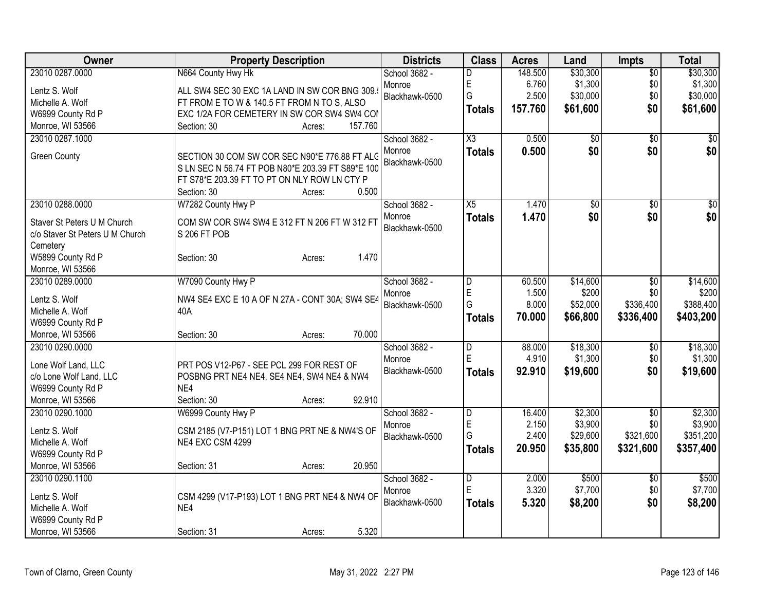| Owner                                                          | <b>Property Description</b>                                                                        | <b>Districts</b>         | <b>Class</b>           | <b>Acres</b> | Land            | Impts           | <b>Total</b> |
|----------------------------------------------------------------|----------------------------------------------------------------------------------------------------|--------------------------|------------------------|--------------|-----------------|-----------------|--------------|
| 23010 0287.0000                                                | N664 County Hwy Hk                                                                                 | School 3682 -            | D                      | 148.500      | \$30,300        | $\overline{50}$ | \$30,300     |
| Lentz S. Wolf                                                  | ALL SW4 SEC 30 EXC 1A LAND IN SW COR BNG 309.                                                      | Monroe                   | E                      | 6.760        | \$1,300         | \$0             | \$1,300      |
| Michelle A. Wolf                                               | FT FROM E TO W & 140.5 FT FROM N TO S, ALSO                                                        | Blackhawk-0500           | G                      | 2.500        | \$30,000        | \$0             | \$30,000     |
| W6999 County Rd P                                              | EXC 1/2A FOR CEMETERY IN SW COR SW4 SW4 COI                                                        |                          | Totals                 | 157.760      | \$61,600        | \$0             | \$61,600     |
| Monroe, WI 53566                                               | Section: 30<br>157.760<br>Acres:                                                                   |                          |                        |              |                 |                 |              |
| 23010 0287.1000                                                |                                                                                                    | School 3682 -            | $\overline{\text{X3}}$ | 0.500        | $\overline{50}$ | \$0             | \$0          |
| <b>Green County</b>                                            | SECTION 30 COM SW COR SEC N90*E 776.88 FT ALC<br>S LN SEC N 56.74 FT POB N80*E 203.39 FT S89*E 100 | Monroe<br>Blackhawk-0500 | <b>Totals</b>          | 0.500        | \$0             | \$0             | \$0          |
|                                                                | FT S78*E 203.39 FT TO PT ON NLY ROW LN CTY P<br>0.500<br>Section: 30<br>Acres:                     |                          |                        |              |                 |                 |              |
| 23010 0288.0000                                                | W7282 County Hwy P                                                                                 | School 3682 -            | X5                     | 1.470        | \$0             | $\sqrt{6}$      | $\sqrt{50}$  |
| Staver St Peters U M Church<br>c/o Staver St Peters U M Church | COM SW COR SW4 SW4 E 312 FT N 206 FT W 312 FT<br>S 206 FT POB                                      | Monroe<br>Blackhawk-0500 | <b>Totals</b>          | 1.470        | \$0             | \$0             | \$0          |
| Cemetery<br>W5899 County Rd P<br>Monroe, WI 53566              | 1.470<br>Section: 30<br>Acres:                                                                     |                          |                        |              |                 |                 |              |
| 23010 0289.0000                                                | W7090 County Hwy P                                                                                 | School 3682 -            | D                      | 60.500       | \$14,600        | $\overline{50}$ | \$14,600     |
| Lentz S. Wolf                                                  | NW4 SE4 EXC E 10 A OF N 27A - CONT 30A; SW4 SE4                                                    | Monroe                   | E                      | 1.500        | \$200           | \$0             | \$200        |
| Michelle A. Wolf                                               | 40A                                                                                                | Blackhawk-0500           | G                      | 8.000        | \$52,000        | \$336,400       | \$388,400    |
| W6999 County Rd P                                              |                                                                                                    |                          | Totals                 | 70.000       | \$66,800        | \$336,400       | \$403,200    |
| Monroe, WI 53566                                               | 70.000<br>Section: 30<br>Acres:                                                                    |                          |                        |              |                 |                 |              |
| 23010 0290.0000                                                |                                                                                                    | School 3682 -            | $\overline{D}$         | 88.000       | \$18,300        | \$0             | \$18,300     |
| Lone Wolf Land, LLC                                            | PRT POS V12-P67 - SEE PCL 299 FOR REST OF                                                          | Monroe                   | E                      | 4.910        | \$1,300         | \$0             | \$1,300      |
| c/o Lone Wolf Land, LLC                                        | POSBNG PRT NE4 NE4, SE4 NE4, SW4 NE4 & NW4                                                         | Blackhawk-0500           | Totals                 | 92.910       | \$19,600        | \$0             | \$19,600     |
| W6999 County Rd P                                              | NE4                                                                                                |                          |                        |              |                 |                 |              |
| Monroe, WI 53566                                               | 92.910<br>Section: 30<br>Acres:                                                                    |                          |                        |              |                 |                 |              |
| 23010 0290.1000                                                | W6999 County Hwy P                                                                                 | School 3682 -            | $\overline{D}$         | 16.400       | \$2,300         | \$0             | \$2,300      |
|                                                                |                                                                                                    | Monroe                   | E                      | 2.150        | \$3,900         | \$0             | \$3,900      |
| Lentz S. Wolf                                                  | CSM 2185 (V7-P151) LOT 1 BNG PRT NE & NW4'S OF<br>NE4 EXC CSM 4299                                 | Blackhawk-0500           | G                      | 2.400        | \$29,600        | \$321,600       | \$351,200    |
| Michelle A. Wolf<br>W6999 County Rd P                          |                                                                                                    |                          | <b>Totals</b>          | 20.950       | \$35,800        | \$321,600       | \$357,400    |
| Monroe, WI 53566                                               | 20.950<br>Section: 31<br>Acres:                                                                    |                          |                        |              |                 |                 |              |
| 23010 0290.1100                                                |                                                                                                    | School 3682 -            | D                      | 2.000        | \$500           | \$0             | \$500        |
|                                                                |                                                                                                    | Monroe                   | ΙE                     | 3.320        | \$7,700         | \$0             | \$7,700      |
| Lentz S. Wolf                                                  | CSM 4299 (V17-P193) LOT 1 BNG PRT NE4 & NW4 OF                                                     | Blackhawk-0500           | Totals                 | 5.320        | \$8,200         | \$0             | \$8,200      |
| Michelle A. Wolf                                               | NE4                                                                                                |                          |                        |              |                 |                 |              |
| W6999 County Rd P                                              |                                                                                                    |                          |                        |              |                 |                 |              |
| Monroe, WI 53566                                               | 5.320<br>Section: 31<br>Acres:                                                                     |                          |                        |              |                 |                 |              |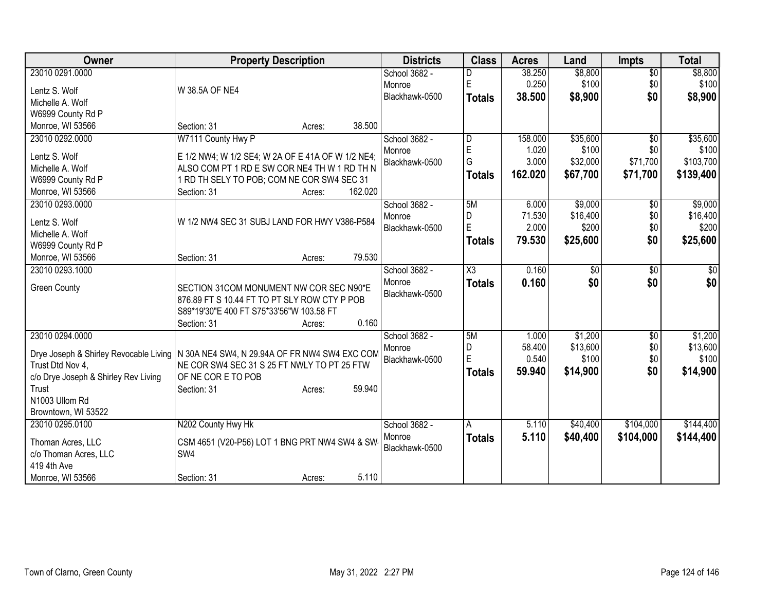| Owner                                  | <b>Property Description</b>                       | <b>Districts</b> | <b>Class</b>        | <b>Acres</b> | Land     | <b>Impts</b>    | <b>Total</b> |
|----------------------------------------|---------------------------------------------------|------------------|---------------------|--------------|----------|-----------------|--------------|
| 23010 0291.0000                        |                                                   | School 3682 -    |                     | 38.250       | \$8,800  | $\overline{50}$ | \$8,800      |
| Lentz S. Wolf                          | W 38.5A OF NE4                                    | Monroe           | E                   | 0.250        | \$100    | \$0             | \$100        |
| Michelle A. Wolf                       |                                                   | Blackhawk-0500   | <b>Totals</b>       | 38.500       | \$8,900  | \$0             | \$8,900      |
| W6999 County Rd P                      |                                                   |                  |                     |              |          |                 |              |
| Monroe, WI 53566                       | 38.500<br>Section: 31<br>Acres:                   |                  |                     |              |          |                 |              |
| 23010 0292.0000                        | W7111 County Hwy P                                | School 3682 -    | D                   | 158.000      | \$35,600 | $\overline{50}$ | \$35,600     |
|                                        |                                                   | Monroe           | $\mathsf E$         | 1.020        | \$100    | \$0             | \$100        |
| Lentz S. Wolf                          | E 1/2 NW4; W 1/2 SE4; W 2A OF E 41A OF W 1/2 NE4; | Blackhawk-0500   | G                   | 3.000        | \$32,000 | \$71,700        | \$103,700    |
| Michelle A. Wolf                       | ALSO COM PT 1 RD E SW COR NE4 TH W 1 RD TH N      |                  | <b>Totals</b>       | 162.020      | \$67,700 | \$71,700        | \$139,400    |
| W6999 County Rd P                      | 1 RD TH SELY TO POB; COM NE COR SW4 SEC 31        |                  |                     |              |          |                 |              |
| Monroe, WI 53566                       | 162.020<br>Section: 31<br>Acres:                  |                  |                     |              |          |                 |              |
| 23010 0293.0000                        |                                                   | School 3682 -    | 5M                  | 6.000        | \$9,000  | \$0             | \$9,000      |
| Lentz S. Wolf                          | W 1/2 NW4 SEC 31 SUBJ LAND FOR HWY V386-P584      | Monroe           | D                   | 71.530       | \$16,400 | \$0             | \$16,400     |
| Michelle A. Wolf                       |                                                   | Blackhawk-0500   | $\mathsf E$         | 2.000        | \$200    | \$0             | \$200        |
| W6999 County Rd P                      |                                                   |                  | Totals              | 79.530       | \$25,600 | \$0             | \$25,600     |
| Monroe, WI 53566                       | 79.530<br>Section: 31<br>Acres:                   |                  |                     |              |          |                 |              |
| 23010 0293.1000                        |                                                   | School 3682 -    | $\overline{\chi_3}$ | 0.160        | \$0      | $\overline{50}$ | \$0          |
|                                        |                                                   | Monroe           |                     | 0.160        | \$0      | \$0             | \$0          |
| <b>Green County</b>                    | SECTION 31COM MONUMENT NW COR SEC N90*E           | Blackhawk-0500   | <b>Totals</b>       |              |          |                 |              |
|                                        | 876.89 FT S 10.44 FT TO PT SLY ROW CTY P POB      |                  |                     |              |          |                 |              |
|                                        | S89*19'30"E 400 FT S75*33'56"W 103.58 FT          |                  |                     |              |          |                 |              |
|                                        | 0.160<br>Section: 31<br>Acres:                    |                  |                     |              |          |                 |              |
| 23010 0294.0000                        |                                                   | School 3682 -    | 5M                  | 1.000        | \$1,200  | \$0             | \$1,200      |
| Drye Joseph & Shirley Revocable Living | N 30A NE4 SW4, N 29.94A OF FR NW4 SW4 EXC COM     | Monroe           | D                   | 58.400       | \$13,600 | \$0             | \$13,600     |
| Trust Dtd Nov 4.                       | NE COR SW4 SEC 31 S 25 FT NWLY TO PT 25 FTW       | Blackhawk-0500   | $\mathsf E$         | 0.540        | \$100    | \$0             | \$100        |
| c/o Drye Joseph & Shirley Rev Living   | OF NE COR E TO POB                                |                  | Totals              | 59.940       | \$14,900 | \$0             | \$14,900     |
| Trust                                  | 59.940<br>Section: 31<br>Acres:                   |                  |                     |              |          |                 |              |
| N1003 Ullom Rd                         |                                                   |                  |                     |              |          |                 |              |
| Browntown, WI 53522                    |                                                   |                  |                     |              |          |                 |              |
| 23010 0295.0100                        | N202 County Hwy Hk                                | School 3682 -    | A                   | 5.110        | \$40,400 | \$104,000       | \$144,400    |
|                                        |                                                   | Monroe           | <b>Totals</b>       | 5.110        | \$40,400 | \$104,000       | \$144,400    |
| Thoman Acres, LLC                      | CSM 4651 (V20-P56) LOT 1 BNG PRT NW4 SW4 & SW     | Blackhawk-0500   |                     |              |          |                 |              |
| c/o Thoman Acres, LLC                  | SW4                                               |                  |                     |              |          |                 |              |
| 419 4th Ave                            |                                                   |                  |                     |              |          |                 |              |
| Monroe, WI 53566                       | 5.110<br>Section: 31<br>Acres:                    |                  |                     |              |          |                 |              |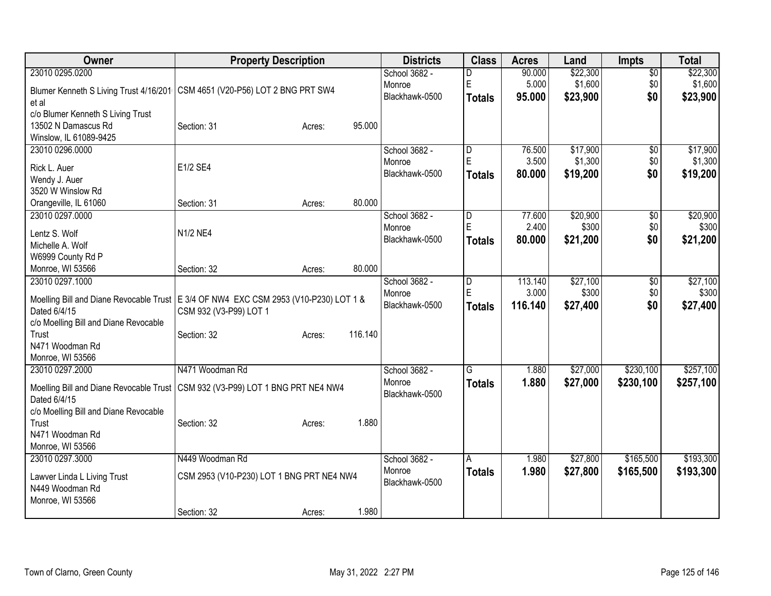| <b>Owner</b>                                                                                                                                    | <b>Property Description</b>                                  |        |         | <b>Districts</b>                          | <b>Class</b>                                  | <b>Acres</b>              | Land                            | Impts                         | <b>Total</b>                    |
|-------------------------------------------------------------------------------------------------------------------------------------------------|--------------------------------------------------------------|--------|---------|-------------------------------------------|-----------------------------------------------|---------------------------|---------------------------------|-------------------------------|---------------------------------|
| 23010 0295.0200<br>Blumer Kenneth S Living Trust 4/16/201<br>et al                                                                              | CSM 4651 (V20-P56) LOT 2 BNG PRT SW4                         |        |         | School 3682 -<br>Monroe<br>Blackhawk-0500 | D<br>E<br><b>Totals</b>                       | 90.000<br>5.000<br>95.000 | \$22,300<br>\$1,600<br>\$23,900 | $\overline{50}$<br>\$0<br>\$0 | \$22,300<br>\$1,600<br>\$23,900 |
| c/o Blumer Kenneth S Living Trust<br>13502 N Damascus Rd<br>Winslow, IL 61089-9425                                                              | Section: 31                                                  | Acres: | 95.000  |                                           |                                               |                           |                                 |                               |                                 |
| 23010 0296.0000<br>Rick L. Auer<br>Wendy J. Auer<br>3520 W Winslow Rd                                                                           | E1/2 SE4                                                     |        |         | School 3682 -<br>Monroe<br>Blackhawk-0500 | $\overline{\mathsf{D}}$<br>E<br><b>Totals</b> | 76.500<br>3.500<br>80.000 | \$17,900<br>\$1,300<br>\$19,200 | $\overline{50}$<br>\$0<br>\$0 | \$17,900<br>\$1,300<br>\$19,200 |
| Orangeville, IL 61060                                                                                                                           | Section: 31                                                  | Acres: | 80.000  |                                           |                                               |                           |                                 |                               |                                 |
| 23010 0297.0000<br>Lentz S. Wolf<br>Michelle A. Wolf                                                                                            | N1/2 NE4                                                     |        |         | School 3682 -<br>Monroe<br>Blackhawk-0500 | D<br>E<br><b>Totals</b>                       | 77.600<br>2.400<br>80.000 | \$20,900<br>\$300<br>\$21,200   | $\overline{50}$<br>\$0<br>\$0 | \$20,900<br>\$300<br>\$21,200   |
| W6999 County Rd P<br>Monroe, WI 53566<br>23010 0297.1000                                                                                        | Section: 32                                                  | Acres: | 80.000  | School 3682 -                             |                                               | 113.140                   | \$27,100                        | $\overline{60}$               | \$27,100                        |
| Moelling Bill and Diane Revocable Trust   E 3/4 OF NW4 EXC CSM 2953 (V10-P230) LOT 1 &<br>Dated 6/4/15<br>c/o Moelling Bill and Diane Revocable | CSM 932 (V3-P99) LOT 1                                       |        |         | Monroe<br>Blackhawk-0500                  | D<br>E<br><b>Totals</b>                       | 3.000<br>116.140          | \$300<br>\$27,400               | \$0<br>\$0                    | \$300<br>\$27,400               |
| Trust<br>N471 Woodman Rd<br>Monroe, WI 53566                                                                                                    | Section: 32                                                  | Acres: | 116.140 |                                           |                                               |                           |                                 |                               |                                 |
| 23010 0297.2000<br>Moelling Bill and Diane Revocable Trust   CSM 932 (V3-P99) LOT 1 BNG PRT NE4 NW4<br>Dated 6/4/15                             | N471 Woodman Rd                                              |        |         | School 3682 -<br>Monroe<br>Blackhawk-0500 | G<br><b>Totals</b>                            | 1.880<br>1.880            | \$27,000<br>\$27,000            | \$230,100<br>\$230,100        | \$257,100<br>\$257,100          |
| c/o Moelling Bill and Diane Revocable<br>Trust<br>N471 Woodman Rd<br>Monroe, WI 53566                                                           | Section: 32                                                  | Acres: | 1.880   |                                           |                                               |                           |                                 |                               |                                 |
| 23010 0297.3000<br>Lawver Linda L Living Trust<br>N449 Woodman Rd<br>Monroe, WI 53566                                                           | N449 Woodman Rd<br>CSM 2953 (V10-P230) LOT 1 BNG PRT NE4 NW4 |        |         | School 3682 -<br>Monroe<br>Blackhawk-0500 | A<br><b>Totals</b>                            | 1.980<br>1.980            | \$27,800<br>\$27,800            | \$165,500<br>\$165,500        | \$193,300<br>\$193,300          |
|                                                                                                                                                 | Section: 32                                                  | Acres: | 1.980   |                                           |                                               |                           |                                 |                               |                                 |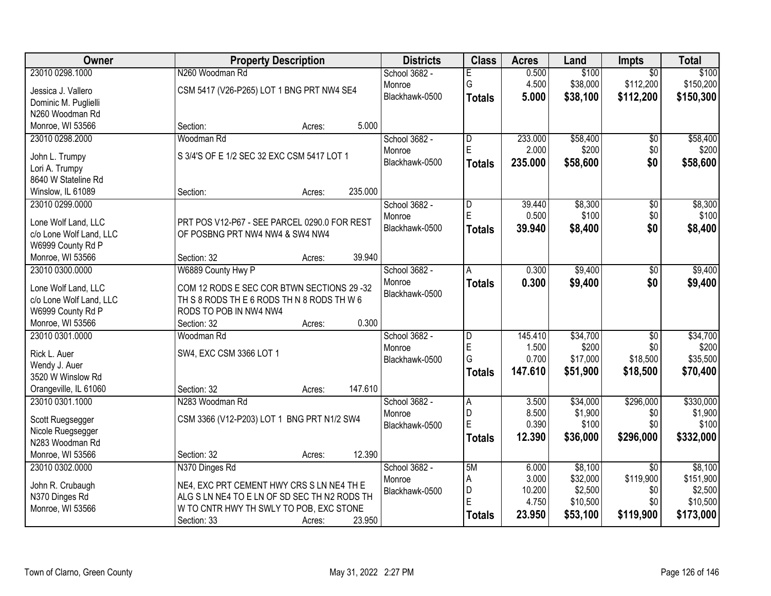| Owner                                    | <b>Property Description</b>                  | <b>Districts</b>        | <b>Class</b>            | <b>Acres</b> | Land                | <b>Impts</b>    | <b>Total</b>         |
|------------------------------------------|----------------------------------------------|-------------------------|-------------------------|--------------|---------------------|-----------------|----------------------|
| 23010 0298.1000                          | N260 Woodman Rd                              | School 3682 -           |                         | 0.500        | \$100               | $\overline{50}$ | \$100                |
| Jessica J. Vallero                       | CSM 5417 (V26-P265) LOT 1 BNG PRT NW4 SE4    | Monroe                  | G                       | 4.500        | \$38,000            | \$112,200       | \$150,200            |
| Dominic M. Puglielli                     |                                              | Blackhawk-0500          | <b>Totals</b>           | 5.000        | \$38,100            | \$112,200       | \$150,300            |
| N260 Woodman Rd                          |                                              |                         |                         |              |                     |                 |                      |
| Monroe, WI 53566                         | 5.000<br>Section:<br>Acres:                  |                         |                         |              |                     |                 |                      |
| 23010 0298.2000                          | Woodman Rd                                   | School 3682 -           | $\overline{\mathsf{D}}$ | 233.000      | \$58,400            | $\overline{50}$ | \$58,400             |
|                                          |                                              | Monroe                  | E                       | 2.000        | \$200               | \$0             | \$200                |
| John L. Trumpy                           | S 3/4'S OF E 1/2 SEC 32 EXC CSM 5417 LOT 1   | Blackhawk-0500          | <b>Totals</b>           | 235.000      | \$58,600            | \$0             | \$58,600             |
| Lori A. Trumpy                           |                                              |                         |                         |              |                     |                 |                      |
| 8640 W Stateline Rd<br>Winslow, IL 61089 | 235.000<br>Section:                          |                         |                         |              |                     |                 |                      |
| 23010 0299.0000                          | Acres:                                       | School 3682 -           |                         | 39.440       | \$8,300             | $\overline{50}$ | \$8,300              |
|                                          |                                              | Monroe                  | D<br>E                  | 0.500        | \$100               | \$0             | \$100                |
| Lone Wolf Land, LLC                      | PRT POS V12-P67 - SEE PARCEL 0290.0 FOR REST | Blackhawk-0500          |                         | 39.940       | \$8,400             | \$0             | \$8,400              |
| c/o Lone Wolf Land, LLC                  | OF POSBNG PRT NW4 NW4 & SW4 NW4              |                         | <b>Totals</b>           |              |                     |                 |                      |
| W6999 County Rd P                        |                                              |                         |                         |              |                     |                 |                      |
| Monroe, WI 53566                         | 39.940<br>Section: 32<br>Acres:              |                         |                         |              |                     |                 |                      |
| 23010 0300.0000                          | W6889 County Hwy P                           | School 3682 -           | А                       | 0.300        | \$9,400             | \$0             | \$9,400              |
| Lone Wolf Land, LLC                      | COM 12 RODS E SEC COR BTWN SECTIONS 29-32    | Monroe                  | <b>Totals</b>           | 0.300        | \$9,400             | \$0             | \$9,400              |
| c/o Lone Wolf Land, LLC                  | TH S 8 RODS TH E 6 RODS TH N 8 RODS TH W 6   | Blackhawk-0500          |                         |              |                     |                 |                      |
| W6999 County Rd P                        | RODS TO POB IN NW4 NW4                       |                         |                         |              |                     |                 |                      |
| Monroe, WI 53566                         | 0.300<br>Section: 32<br>Acres:               |                         |                         |              |                     |                 |                      |
| 23010 0301.0000                          | Woodman Rd                                   | School 3682 -           | D                       | 145.410      | \$34,700            | $\overline{50}$ | \$34,700             |
|                                          |                                              | Monroe                  | E                       | 1.500        | \$200               | \$0             | \$200                |
| Rick L. Auer                             | SW4, EXC CSM 3366 LOT 1                      | Blackhawk-0500          | G                       | 0.700        | \$17,000            | \$18,500        | \$35,500             |
| Wendy J. Auer                            |                                              |                         | <b>Totals</b>           | 147.610      | \$51,900            | \$18,500        | \$70,400             |
| 3520 W Winslow Rd                        | 147.610                                      |                         |                         |              |                     |                 |                      |
| Orangeville, IL 61060<br>23010 0301.1000 | Section: 32<br>Acres:                        |                         |                         | 3.500        |                     | \$296,000       |                      |
|                                          | N283 Woodman Rd                              | School 3682 -<br>Monroe | A<br>D                  | 8.500        | \$34,000<br>\$1,900 | \$0             | \$330,000<br>\$1,900 |
| Scott Ruegsegger                         | CSM 3366 (V12-P203) LOT 1 BNG PRT N1/2 SW4   | Blackhawk-0500          | E                       | 0.390        | \$100               | \$0             | \$100                |
| Nicole Ruegsegger                        |                                              |                         | <b>Totals</b>           | 12.390       | \$36,000            | \$296,000       | \$332,000            |
| N283 Woodman Rd                          |                                              |                         |                         |              |                     |                 |                      |
| Monroe, WI 53566                         | 12.390<br>Section: 32<br>Acres:              |                         |                         |              |                     |                 |                      |
| 23010 0302.0000                          | N370 Dinges Rd                               | School 3682 -           | 5M                      | 6.000        | \$8,100             | $\overline{50}$ | \$8,100              |
| John R. Crubaugh                         | NE4, EXC PRT CEMENT HWY CRS S LN NE4 TH E    | Monroe                  | Α                       | 3.000        | \$32,000            | \$119,900       | \$151,900            |
| N370 Dinges Rd                           | ALG S LN NE4 TO E LN OF SD SEC TH N2 RODS TH | Blackhawk-0500          | D                       | 10.200       | \$2,500             | \$0             | \$2,500              |
| Monroe, WI 53566                         | W TO CNTR HWY TH SWLY TO POB, EXC STONE      |                         | E                       | 4.750        | \$10,500            | \$0             | \$10,500             |
|                                          | 23.950<br>Section: 33<br>Acres:              |                         | <b>Totals</b>           | 23.950       | \$53,100            | \$119,900       | \$173,000            |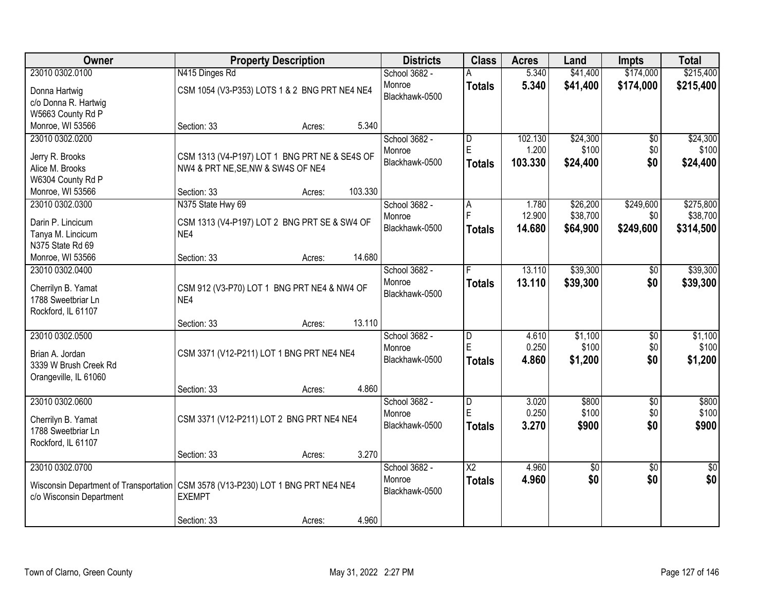| Owner                                                                                                        |                                               | <b>Property Description</b> |         | <b>Districts</b> | <b>Class</b>            | <b>Acres</b> | Land     | Impts           | <b>Total</b>    |
|--------------------------------------------------------------------------------------------------------------|-----------------------------------------------|-----------------------------|---------|------------------|-------------------------|--------------|----------|-----------------|-----------------|
| 23010 0302.0100                                                                                              | N415 Dinges Rd                                |                             |         | School 3682 -    |                         | 5.340        | \$41,400 | \$174,000       | \$215,400       |
| Donna Hartwig                                                                                                | CSM 1054 (V3-P353) LOTS 1 & 2 BNG PRT NE4 NE4 |                             |         | Monroe           | <b>Totals</b>           | 5.340        | \$41,400 | \$174,000       | \$215,400       |
| c/o Donna R. Hartwig                                                                                         |                                               |                             |         | Blackhawk-0500   |                         |              |          |                 |                 |
| W5663 County Rd P                                                                                            |                                               |                             |         |                  |                         |              |          |                 |                 |
| Monroe, WI 53566                                                                                             | Section: 33                                   | Acres:                      | 5.340   |                  |                         |              |          |                 |                 |
| 23010 0302.0200                                                                                              |                                               |                             |         | School 3682 -    | $\overline{\mathsf{D}}$ | 102.130      | \$24,300 | $\overline{50}$ | \$24,300        |
|                                                                                                              |                                               |                             |         | Monroe           | E                       | 1.200        | \$100    | \$0             | \$100           |
| Jerry R. Brooks                                                                                              | CSM 1313 (V4-P197) LOT 1 BNG PRT NE & SE4S OF |                             |         | Blackhawk-0500   | <b>Totals</b>           | 103.330      | \$24,400 | \$0             | \$24,400        |
| Alice M. Brooks                                                                                              | NW4 & PRT NE, SE, NW & SW4S OF NE4            |                             |         |                  |                         |              |          |                 |                 |
| W6304 County Rd P                                                                                            |                                               |                             |         |                  |                         |              |          |                 |                 |
| Monroe, WI 53566                                                                                             | Section: 33                                   | Acres:                      | 103.330 |                  |                         |              |          |                 |                 |
| 23010 0302.0300                                                                                              | N375 State Hwy 69                             |                             |         | School 3682 -    | A<br>F                  | 1.780        | \$26,200 | \$249,600       | \$275,800       |
| Darin P. Lincicum                                                                                            | CSM 1313 (V4-P197) LOT 2 BNG PRT SE & SW4 OF  |                             |         | Monroe           |                         | 12.900       | \$38,700 | \$0             | \$38,700        |
| Tanya M. Lincicum                                                                                            | NE4                                           |                             |         | Blackhawk-0500   | <b>Totals</b>           | 14.680       | \$64,900 | \$249,600       | \$314,500       |
| N375 State Rd 69                                                                                             |                                               |                             |         |                  |                         |              |          |                 |                 |
| Monroe, WI 53566                                                                                             | Section: 33                                   | Acres:                      | 14.680  |                  |                         |              |          |                 |                 |
| 23010 0302.0400                                                                                              |                                               |                             |         | School 3682 -    | F                       | 13.110       | \$39,300 | $\sqrt[6]{}$    | \$39,300        |
| Cherrilyn B. Yamat                                                                                           | CSM 912 (V3-P70) LOT 1 BNG PRT NE4 & NW4 OF   |                             |         | Monroe           | <b>Totals</b>           | 13.110       | \$39,300 | \$0             | \$39,300        |
| 1788 Sweetbriar Ln                                                                                           | NE4                                           |                             |         | Blackhawk-0500   |                         |              |          |                 |                 |
| Rockford, IL 61107                                                                                           |                                               |                             |         |                  |                         |              |          |                 |                 |
|                                                                                                              | Section: 33                                   | Acres:                      | 13.110  |                  |                         |              |          |                 |                 |
| 23010 0302.0500                                                                                              |                                               |                             |         | School 3682 -    | $\overline{\mathsf{D}}$ | 4.610        | \$1,100  | $\overline{50}$ | \$1,100         |
|                                                                                                              |                                               |                             |         | Monroe           | E                       | 0.250        | \$100    | \$0             | \$100           |
| Brian A. Jordan                                                                                              | CSM 3371 (V12-P211) LOT 1 BNG PRT NE4 NE4     |                             |         | Blackhawk-0500   | <b>Totals</b>           | 4.860        | \$1,200  | \$0             | \$1,200         |
| 3339 W Brush Creek Rd                                                                                        |                                               |                             |         |                  |                         |              |          |                 |                 |
| Orangeville, IL 61060                                                                                        |                                               |                             |         |                  |                         |              |          |                 |                 |
|                                                                                                              | Section: 33                                   | Acres:                      | 4.860   |                  |                         |              |          |                 |                 |
| 23010 0302.0600                                                                                              |                                               |                             |         | School 3682 -    | D                       | 3.020        | \$800    | $\overline{50}$ | \$800           |
| Cherrilyn B. Yamat                                                                                           | CSM 3371 (V12-P211) LOT 2 BNG PRT NE4 NE4     |                             |         | Monroe           | E                       | 0.250        | \$100    | \$0             | \$100           |
| 1788 Sweetbriar Ln                                                                                           |                                               |                             |         | Blackhawk-0500   | <b>Totals</b>           | 3.270        | \$900    | \$0             | \$900           |
| Rockford, IL 61107                                                                                           |                                               |                             |         |                  |                         |              |          |                 |                 |
|                                                                                                              | Section: 33                                   | Acres:                      | 3.270   |                  |                         |              |          |                 |                 |
| 23010 0302.0700                                                                                              |                                               |                             |         | School 3682 -    | $\overline{\text{X2}}$  | 4.960        | \$0      | $\overline{50}$ | $\overline{50}$ |
|                                                                                                              |                                               |                             |         | Monroe           | <b>Totals</b>           | 4.960        | \$0      | \$0             | \$0             |
| Wisconsin Department of Transportation CSM 3578 (V13-P230) LOT 1 BNG PRT NE4 NE4<br>c/o Wisconsin Department | <b>EXEMPT</b>                                 |                             |         | Blackhawk-0500   |                         |              |          |                 |                 |
|                                                                                                              |                                               |                             |         |                  |                         |              |          |                 |                 |
|                                                                                                              |                                               |                             |         |                  |                         |              |          |                 |                 |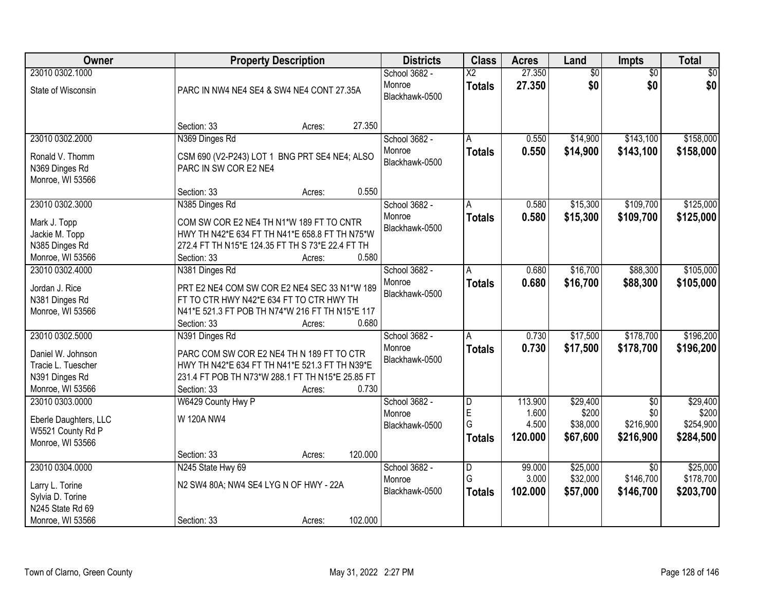| 23010 0302.1000                                                                                |                                                                                                                                                                                   | School 3682 -                             | $\overline{\mathsf{X2}}$ | 27.350                     |                                  |                                           |                                    |
|------------------------------------------------------------------------------------------------|-----------------------------------------------------------------------------------------------------------------------------------------------------------------------------------|-------------------------------------------|--------------------------|----------------------------|----------------------------------|-------------------------------------------|------------------------------------|
|                                                                                                |                                                                                                                                                                                   |                                           |                          |                            | $\overline{60}$                  | $\overline{50}$                           | \$0                                |
| State of Wisconsin                                                                             | PARC IN NW4 NE4 SE4 & SW4 NE4 CONT 27.35A                                                                                                                                         | Monroe<br>Blackhawk-0500                  | <b>Totals</b>            | 27.350                     | \$0                              | \$0                                       | \$0                                |
|                                                                                                | 27.350<br>Section: 33<br>Acres:                                                                                                                                                   |                                           |                          |                            |                                  |                                           |                                    |
| 23010 0302.2000                                                                                | N369 Dinges Rd                                                                                                                                                                    | School 3682 -                             | Α                        | 0.550                      | \$14,900                         | \$143,100                                 | \$158,000                          |
| Ronald V. Thomm<br>N369 Dinges Rd<br>Monroe, WI 53566                                          | CSM 690 (V2-P243) LOT 1 BNG PRT SE4 NE4; ALSO<br>PARC IN SW COR E2 NE4                                                                                                            | Monroe<br>Blackhawk-0500                  | <b>Totals</b>            | 0.550                      | \$14,900                         | \$143,100                                 | \$158,000                          |
|                                                                                                | 0.550<br>Section: 33<br>Acres:                                                                                                                                                    |                                           |                          |                            |                                  |                                           |                                    |
| 23010 0302.3000                                                                                | N385 Dinges Rd                                                                                                                                                                    | School 3682 -                             | А                        | 0.580                      | \$15,300                         | \$109,700                                 | \$125,000                          |
| Mark J. Topp<br>Jackie M. Topp<br>N385 Dinges Rd<br>Monroe, WI 53566                           | COM SW COR E2 NE4 TH N1*W 189 FT TO CNTR<br>HWY TH N42*E 634 FT TH N41*E 658.8 FT TH N75*W<br>272.4 FT TH N15*E 124.35 FT TH S 73*E 22.4 FT TH<br>Section: 33<br>0.580<br>Acres:  | Monroe<br>Blackhawk-0500                  | <b>Totals</b>            | 0.580                      | \$15,300                         | \$109,700                                 | \$125,000                          |
| 23010 0302.4000                                                                                | N381 Dinges Rd                                                                                                                                                                    | School 3682 -                             | Α                        | 0.680                      | \$16,700                         | \$88,300                                  | \$105,000                          |
| Jordan J. Rice<br>N381 Dinges Rd<br>Monroe, WI 53566                                           | PRT E2 NE4 COM SW COR E2 NE4 SEC 33 N1*W 189<br>FT TO CTR HWY N42*E 634 FT TO CTR HWY TH<br>N41*E 521.3 FT POB TH N74*W 216 FT TH N15*E 117<br>0.680<br>Section: 33<br>Acres:     | Monroe<br>Blackhawk-0500                  | <b>Totals</b>            | 0.680                      | \$16,700                         | \$88,300                                  | \$105,000                          |
| 23010 0302.5000                                                                                | N391 Dinges Rd                                                                                                                                                                    | School 3682 -                             | A                        | 0.730                      | \$17,500                         | \$178,700                                 | \$196,200                          |
| Daniel W. Johnson<br>Tracie L. Tuescher<br>N391 Dinges Rd<br>Monroe, WI 53566                  | PARC COM SW COR E2 NE4 TH N 189 FT TO CTR<br>HWY TH N42*E 634 FT TH N41*E 521.3 FT TH N39*E<br>231.4 FT POB TH N73*W 288.1 FT TH N15*E 25.85 FT<br>0.730<br>Section: 33<br>Acres: | Monroe<br>Blackhawk-0500                  | <b>Totals</b>            | 0.730                      | \$17,500                         | \$178,700                                 | \$196,200                          |
| 23010 0303.0000                                                                                | W6429 County Hwy P                                                                                                                                                                | School 3682 -                             | D                        | 113.900                    | \$29,400                         | $\overline{50}$                           | \$29,400                           |
| Eberle Daughters, LLC<br>W5521 County Rd P<br>Monroe, WI 53566                                 | W 120A NW4                                                                                                                                                                        | Monroe<br>Blackhawk-0500                  | E<br>G<br><b>Totals</b>  | 1.600<br>4.500<br>120.000  | \$200<br>\$38,000<br>\$67,600    | \$0<br>\$216,900<br>\$216,900             | \$200<br>\$254,900<br>\$284,500    |
|                                                                                                | 120.000<br>Section: 33<br>Acres:                                                                                                                                                  |                                           |                          |                            |                                  |                                           |                                    |
| 23010 0304.0000<br>Larry L. Torine<br>Sylvia D. Torine<br>N245 State Rd 69<br>Monroe, WI 53566 | N245 State Hwy 69<br>N2 SW4 80A; NW4 SE4 LYG N OF HWY - 22A<br>102.000<br>Section: 33<br>Acres:                                                                                   | School 3682 -<br>Monroe<br>Blackhawk-0500 | D<br>G<br><b>Totals</b>  | 99.000<br>3.000<br>102.000 | \$25,000<br>\$32,000<br>\$57,000 | $\overline{30}$<br>\$146,700<br>\$146,700 | \$25,000<br>\$178,700<br>\$203,700 |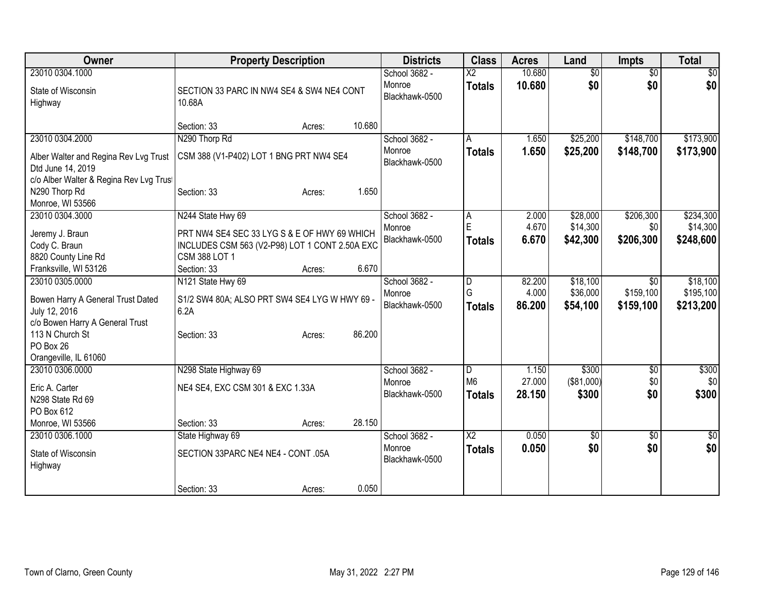| Owner                                                      | <b>Property Description</b>                         |                  | <b>Districts</b>                          | <b>Class</b>                            | <b>Acres</b>     | Land                   | <b>Impts</b>           | <b>Total</b> |
|------------------------------------------------------------|-----------------------------------------------------|------------------|-------------------------------------------|-----------------------------------------|------------------|------------------------|------------------------|--------------|
| 23010 0304.1000<br>State of Wisconsin<br>Highway           | SECTION 33 PARC IN NW4 SE4 & SW4 NE4 CONT<br>10.68A |                  | School 3682 -<br>Monroe<br>Blackhawk-0500 | $\overline{\text{X2}}$<br><b>Totals</b> | 10.680<br>10.680 | $\overline{50}$<br>\$0 | $\overline{50}$<br>\$0 | \$0<br>\$0   |
|                                                            | Section: 33                                         | 10.680<br>Acres: |                                           |                                         |                  |                        |                        |              |
| 23010 0304.2000                                            | N290 Thorp Rd                                       |                  | School 3682 -                             | A                                       | 1.650            | \$25,200               | \$148,700              | \$173,900    |
| Alber Walter and Regina Rev Lvg Trust<br>Dtd June 14, 2019 | CSM 388 (V1-P402) LOT 1 BNG PRT NW4 SE4             |                  | Monroe<br>Blackhawk-0500                  | <b>Totals</b>                           | 1.650            | \$25,200               | \$148,700              | \$173,900    |
| c/o Alber Walter & Regina Rev Lvg Trus                     |                                                     |                  |                                           |                                         |                  |                        |                        |              |
| N290 Thorp Rd<br>Monroe, WI 53566                          | Section: 33                                         | Acres:           | 1.650                                     |                                         |                  |                        |                        |              |
| 23010 0304.3000                                            | N244 State Hwy 69                                   |                  | School 3682 -                             | A                                       | 2.000            | \$28,000               | \$206,300              | \$234,300    |
| Jeremy J. Braun                                            | PRT NW4 SE4 SEC 33 LYG S & E OF HWY 69 WHICH        |                  | Monroe                                    | E                                       | 4.670            | \$14,300               | \$0                    | \$14,300     |
| Cody C. Braun                                              | INCLUDES CSM 563 (V2-P98) LOT 1 CONT 2.50A EXC      |                  | Blackhawk-0500                            | <b>Totals</b>                           | 6.670            | \$42,300               | \$206,300              | \$248,600    |
| 8820 County Line Rd                                        | CSM 388 LOT 1                                       |                  |                                           |                                         |                  |                        |                        |              |
| Franksville, WI 53126                                      | Section: 33                                         | Acres:           | 6.670                                     |                                         |                  |                        |                        |              |
| 23010 0305.0000                                            | N121 State Hwy 69                                   |                  | School 3682 -                             | D                                       | 82.200           | \$18,100               | \$0                    | \$18,100     |
| Bowen Harry A General Trust Dated                          | S1/2 SW4 80A; ALSO PRT SW4 SE4 LYG W HWY 69 -       |                  | Monroe                                    | G                                       | 4.000            | \$36,000               | \$159,100              | \$195,100    |
| July 12, 2016                                              | 6.2A                                                |                  | Blackhawk-0500                            | <b>Totals</b>                           | 86.200           | \$54,100               | \$159,100              | \$213,200    |
| c/o Bowen Harry A General Trust                            |                                                     |                  |                                           |                                         |                  |                        |                        |              |
| 113 N Church St                                            | Section: 33                                         | 86.200<br>Acres: |                                           |                                         |                  |                        |                        |              |
| PO Box 26                                                  |                                                     |                  |                                           |                                         |                  |                        |                        |              |
| Orangeville, IL 61060                                      |                                                     |                  |                                           |                                         |                  |                        |                        |              |
| 23010 0306.0000                                            | N298 State Highway 69                               |                  | School 3682 -                             | D                                       | 1.150            | \$300                  | \$0                    | \$300        |
| Eric A. Carter                                             | NE4 SE4, EXC CSM 301 & EXC 1.33A                    |                  | Monroe                                    | M <sub>6</sub>                          | 27.000           | (\$81,000)             | \$0                    | \$0          |
| N298 State Rd 69                                           |                                                     |                  | Blackhawk-0500                            | <b>Totals</b>                           | 28.150           | \$300                  | \$0                    | \$300        |
| PO Box 612                                                 |                                                     |                  |                                           |                                         |                  |                        |                        |              |
| Monroe, WI 53566                                           | Section: 33                                         | 28.150<br>Acres: |                                           |                                         |                  |                        |                        |              |
| 23010 0306.1000                                            | State Highway 69                                    |                  | School 3682 -                             | $\overline{\text{X2}}$                  | 0.050            | $\overline{50}$        | \$0                    | $\sqrt{50}$  |
| State of Wisconsin<br>Highway                              | SECTION 33PARC NE4 NE4 - CONT .05A                  |                  | Monroe<br>Blackhawk-0500                  | <b>Totals</b>                           | 0.050            | \$0                    | \$0                    | \$0          |
|                                                            | Section: 33                                         | Acres:           | 0.050                                     |                                         |                  |                        |                        |              |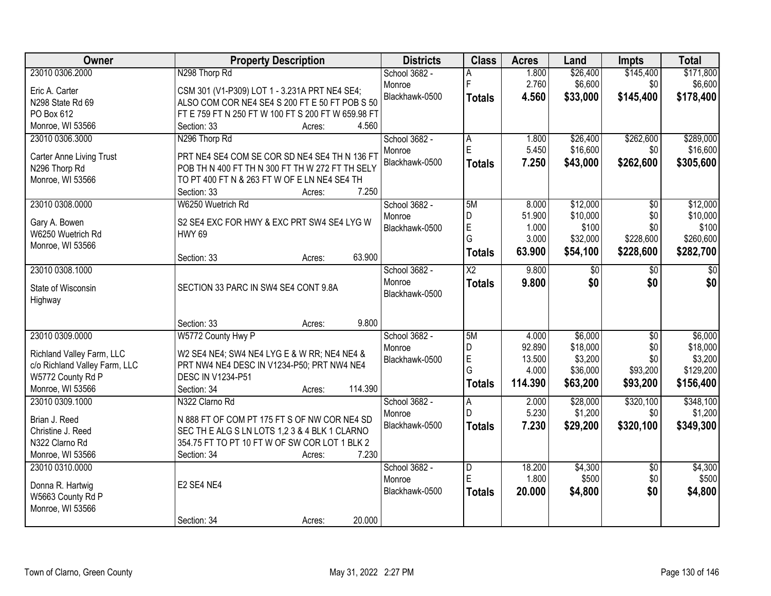| <b>Owner</b>                  | <b>Property Description</b>                        | <b>Districts</b> | <b>Class</b>            | <b>Acres</b> | Land     | <b>Impts</b>    | <b>Total</b>     |
|-------------------------------|----------------------------------------------------|------------------|-------------------------|--------------|----------|-----------------|------------------|
| 23010 0306.2000               | N298 Thorp Rd                                      | School 3682 -    |                         | 1.800        | \$26,400 | \$145,400       | \$171,800        |
| Eric A. Carter                | CSM 301 (V1-P309) LOT 1 - 3.231A PRT NE4 SE4;      | Monroe           | F                       | 2.760        | \$6,600  | \$0             | \$6,600          |
| N298 State Rd 69              | ALSO COM COR NE4 SE4 S 200 FT E 50 FT POB S 50     | Blackhawk-0500   | <b>Totals</b>           | 4.560        | \$33,000 | \$145,400       | \$178,400        |
| PO Box 612                    | FT E 759 FT N 250 FT W 100 FT S 200 FT W 659.98 FT |                  |                         |              |          |                 |                  |
| Monroe, WI 53566              | 4.560<br>Section: 33<br>Acres:                     |                  |                         |              |          |                 |                  |
| 23010 0306.3000               | N296 Thorp Rd                                      | School 3682 -    | $\overline{\mathsf{A}}$ | 1.800        | \$26,400 | \$262,600       | \$289,000        |
|                               |                                                    | Monroe           | E                       | 5.450        | \$16,600 | \$0             | \$16,600         |
| Carter Anne Living Trust      | PRT NE4 SE4 COM SE COR SD NE4 SE4 TH N 136 F1      | Blackhawk-0500   | <b>Totals</b>           | 7.250        | \$43,000 | \$262,600       | \$305,600        |
| N296 Thorp Rd                 | POB TH N 400 FT TH N 300 FT TH W 272 FT TH SELY    |                  |                         |              |          |                 |                  |
| Monroe, WI 53566              | TO PT 400 FT N & 263 FT W OF E LN NE4 SE4 TH       |                  |                         |              |          |                 |                  |
|                               | 7.250<br>Section: 33<br>Acres:                     |                  |                         |              |          |                 |                  |
| 23010 0308.0000               | W6250 Wuetrich Rd                                  | School 3682 -    | 5M                      | 8.000        | \$12,000 | \$0             | \$12,000         |
| Gary A. Bowen                 | S2 SE4 EXC FOR HWY & EXC PRT SW4 SE4 LYG W         | Monroe           | D                       | 51.900       | \$10,000 | \$0             | \$10,000         |
| W6250 Wuetrich Rd             | <b>HWY 69</b>                                      | Blackhawk-0500   | E                       | 1.000        | \$100    | \$0             | \$100            |
| Monroe, WI 53566              |                                                    |                  | G                       | 3.000        | \$32,000 | \$228,600       | \$260,600        |
|                               | 63.900<br>Section: 33<br>Acres:                    |                  | <b>Totals</b>           | 63.900       | \$54,100 | \$228,600       | \$282,700        |
| 23010 0308.1000               |                                                    | School 3682 -    | $\overline{\text{X2}}$  | 9.800        | \$0      | \$0             | $\overline{\$0}$ |
|                               |                                                    | Monroe           | <b>Totals</b>           | 9.800        | \$0      | \$0             | \$0              |
| State of Wisconsin            | SECTION 33 PARC IN SW4 SE4 CONT 9.8A               | Blackhawk-0500   |                         |              |          |                 |                  |
| Highway                       |                                                    |                  |                         |              |          |                 |                  |
|                               |                                                    |                  |                         |              |          |                 |                  |
|                               | 9.800<br>Section: 33<br>Acres:                     |                  |                         |              |          |                 |                  |
| 23010 0309.0000               | W5772 County Hwy P                                 | School 3682 -    | 5M                      | 4.000        | \$6,000  | $\overline{30}$ | \$6,000          |
| Richland Valley Farm, LLC     | W2 SE4 NE4; SW4 NE4 LYG E & W RR; NE4 NE4 &        | Monroe           | D                       | 92.890       | \$18,000 | \$0             | \$18,000         |
| c/o Richland Valley Farm, LLC | PRT NW4 NE4 DESC IN V1234-P50; PRT NW4 NE4         | Blackhawk-0500   | E                       | 13.500       | \$3,200  | \$0             | \$3,200          |
| W5772 County Rd P             | <b>DESC IN V1234-P51</b>                           |                  | G                       | 4.000        | \$36,000 | \$93,200        | \$129,200        |
| Monroe, WI 53566              | 114.390<br>Section: 34<br>Acres:                   |                  | <b>Totals</b>           | 114.390      | \$63,200 | \$93,200        | \$156,400        |
| 23010 0309.1000               | N322 Clarno Rd                                     | School 3682 -    | A                       | 2.000        | \$28,000 | \$320,100       | \$348,100        |
|                               |                                                    | Monroe           | D                       | 5.230        | \$1,200  | \$0             | \$1,200          |
| Brian J. Reed                 | N 888 FT OF COM PT 175 FT S OF NW COR NE4 SD       | Blackhawk-0500   | <b>Totals</b>           | 7.230        | \$29,200 | \$320,100       | \$349,300        |
| Christine J. Reed             | SEC THE ALG SLN LOTS 1,2 3 & 4 BLK 1 CLARNO        |                  |                         |              |          |                 |                  |
| N322 Clarno Rd                | 354.75 FT TO PT 10 FT W OF SW COR LOT 1 BLK 2      |                  |                         |              |          |                 |                  |
| Monroe, WI 53566              | 7.230<br>Section: 34<br>Acres:                     |                  |                         |              |          |                 |                  |
| 23010 0310.0000               |                                                    | School 3682 -    | $\overline{\mathsf{D}}$ | 18.200       | \$4,300  | $\overline{50}$ | \$4,300          |
| Donna R. Hartwig              | E2 SE4 NE4                                         | Monroe           | E                       | 1.800        | \$500    | \$0             | \$500            |
| W5663 County Rd P             |                                                    | Blackhawk-0500   | <b>Totals</b>           | 20.000       | \$4,800  | \$0             | \$4,800          |
| Monroe, WI 53566              |                                                    |                  |                         |              |          |                 |                  |
|                               | 20.000<br>Section: 34<br>Acres:                    |                  |                         |              |          |                 |                  |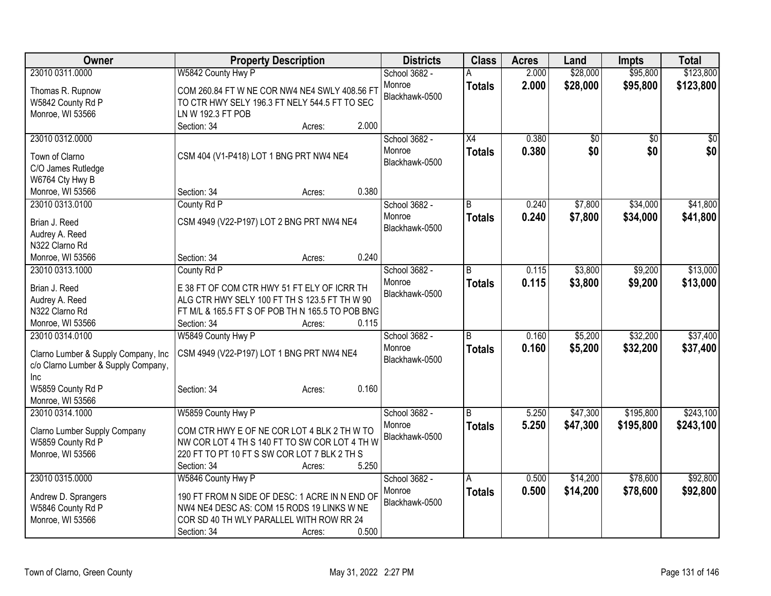| Owner                                 | <b>Property Description</b>                                                    | <b>Districts</b> | <b>Class</b>    | <b>Acres</b> | Land     | <b>Impts</b>    | <b>Total</b> |
|---------------------------------------|--------------------------------------------------------------------------------|------------------|-----------------|--------------|----------|-----------------|--------------|
| 23010 0311.0000                       | W5842 County Hwy P                                                             | School 3682 -    |                 | 2.000        | \$28,000 | \$95,800        | \$123,800    |
| Thomas R. Rupnow                      | COM 260.84 FT W NE COR NW4 NE4 SWLY 408.56 FT                                  | Monroe           | <b>Totals</b>   | 2.000        | \$28,000 | \$95,800        | \$123,800    |
| W5842 County Rd P                     | TO CTR HWY SELY 196.3 FT NELY 544.5 FT TO SEC                                  | Blackhawk-0500   |                 |              |          |                 |              |
| Monroe, WI 53566                      | LN W 192.3 FT POB                                                              |                  |                 |              |          |                 |              |
|                                       | 2.000<br>Section: 34<br>Acres:                                                 |                  |                 |              |          |                 |              |
| 23010 0312.0000                       |                                                                                | School 3682 -    | $\overline{X4}$ | 0.380        | \$0      | $\overline{50}$ | \$0          |
|                                       |                                                                                | Monroe           | <b>Totals</b>   | 0.380        | \$0      | \$0             | \$0          |
| Town of Clarno                        | CSM 404 (V1-P418) LOT 1 BNG PRT NW4 NE4                                        | Blackhawk-0500   |                 |              |          |                 |              |
| C/O James Rutledge<br>W6764 Cty Hwy B |                                                                                |                  |                 |              |          |                 |              |
| Monroe, WI 53566                      | 0.380<br>Section: 34<br>Acres:                                                 |                  |                 |              |          |                 |              |
| 23010 0313.0100                       | County Rd P                                                                    | School 3682 -    | B               | 0.240        | \$7,800  | \$34,000        | \$41,800     |
|                                       |                                                                                | Monroe           | <b>Totals</b>   | 0.240        | \$7,800  | \$34,000        | \$41,800     |
| Brian J. Reed                         | CSM 4949 (V22-P197) LOT 2 BNG PRT NW4 NE4                                      | Blackhawk-0500   |                 |              |          |                 |              |
| Audrey A. Reed                        |                                                                                |                  |                 |              |          |                 |              |
| N322 Clarno Rd                        |                                                                                |                  |                 |              |          |                 |              |
| Monroe, WI 53566                      | 0.240<br>Section: 34<br>Acres:                                                 |                  |                 |              |          |                 |              |
| 23010 0313.1000                       | County Rd P                                                                    | School 3682 -    | $\overline{B}$  | 0.115        | \$3,800  | \$9,200         | \$13,000     |
| Brian J. Reed                         | E 38 FT OF COM CTR HWY 51 FT ELY OF ICRR TH                                    | Monroe           | <b>Totals</b>   | 0.115        | \$3,800  | \$9,200         | \$13,000     |
| Audrey A. Reed                        | ALG CTR HWY SELY 100 FT TH S 123.5 FT TH W 90                                  | Blackhawk-0500   |                 |              |          |                 |              |
| N322 Clarno Rd                        | FT M/L & 165.5 FT S OF POB TH N 165.5 TO POB BNG                               |                  |                 |              |          |                 |              |
| Monroe, WI 53566                      | 0.115<br>Section: 34<br>Acres:                                                 |                  |                 |              |          |                 |              |
| 23010 0314.0100                       | W5849 County Hwy P                                                             | School 3682 -    | R.              | 0.160        | \$5,200  | \$32,200        | \$37,400     |
| Clarno Lumber & Supply Company, Inc   | CSM 4949 (V22-P197) LOT 1 BNG PRT NW4 NE4                                      | Monroe           | <b>Totals</b>   | 0.160        | \$5,200  | \$32,200        | \$37,400     |
| c/o Clarno Lumber & Supply Company,   |                                                                                | Blackhawk-0500   |                 |              |          |                 |              |
| Inc.                                  |                                                                                |                  |                 |              |          |                 |              |
| W5859 County Rd P                     | 0.160<br>Section: 34<br>Acres:                                                 |                  |                 |              |          |                 |              |
| Monroe, WI 53566                      |                                                                                |                  |                 |              |          |                 |              |
| 23010 0314.1000                       | W5859 County Hwy P                                                             | School 3682 -    | B               | 5.250        | \$47,300 | \$195,800       | \$243,100    |
|                                       |                                                                                | Monroe           | <b>Totals</b>   | 5.250        | \$47,300 | \$195,800       | \$243,100    |
| Clarno Lumber Supply Company          | COM CTR HWY E OF NE COR LOT 4 BLK 2 TH W TO                                    | Blackhawk-0500   |                 |              |          |                 |              |
| W5859 County Rd P                     | NW COR LOT 4 TH S 140 FT TO SW COR LOT 4 TH W                                  |                  |                 |              |          |                 |              |
| Monroe, WI 53566                      | 220 FT TO PT 10 FT S SW COR LOT 7 BLK 2 TH S<br>5.250<br>Section: 34<br>Acres: |                  |                 |              |          |                 |              |
| 23010 0315.0000                       | W5846 County Hwy P                                                             | School 3682 -    | А               | 0.500        | \$14,200 | \$78,600        | \$92,800     |
|                                       |                                                                                | Monroe           |                 | 0.500        | \$14,200 | \$78,600        | \$92,800     |
| Andrew D. Sprangers                   | 190 FT FROM N SIDE OF DESC: 1 ACRE IN N END OF                                 | Blackhawk-0500   | <b>Totals</b>   |              |          |                 |              |
| W5846 County Rd P                     | NW4 NE4 DESC AS: COM 15 RODS 19 LINKS W NE                                     |                  |                 |              |          |                 |              |
| Monroe, WI 53566                      | COR SD 40 TH WLY PARALLEL WITH ROW RR 24                                       |                  |                 |              |          |                 |              |
|                                       | 0.500<br>Section: 34<br>Acres:                                                 |                  |                 |              |          |                 |              |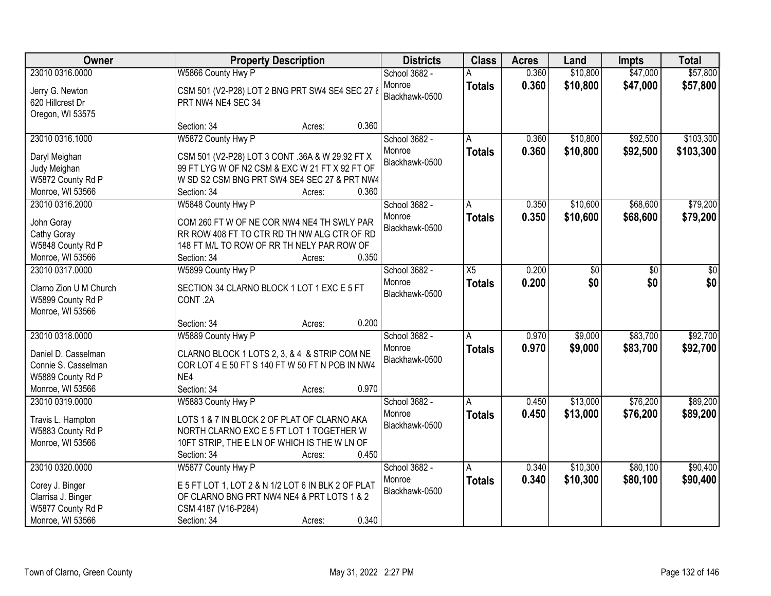| Owner                                 |                                                                                                   | <b>Property Description</b> | <b>Districts</b>         | <b>Class</b>    | <b>Acres</b> | Land     | <b>Impts</b> | <b>Total</b> |
|---------------------------------------|---------------------------------------------------------------------------------------------------|-----------------------------|--------------------------|-----------------|--------------|----------|--------------|--------------|
| 23010 0316.0000                       | W5866 County Hwy P                                                                                |                             | School 3682 -            |                 | 0.360        | \$10,800 | \$47,000     | \$57,800     |
| Jerry G. Newton<br>620 Hillcrest Dr   | CSM 501 (V2-P28) LOT 2 BNG PRT SW4 SE4 SEC 27 8<br>PRT NW4 NE4 SEC 34                             |                             | Monroe<br>Blackhawk-0500 | <b>Totals</b>   | 0.360        | \$10,800 | \$47,000     | \$57,800     |
| Oregon, WI 53575                      |                                                                                                   |                             |                          |                 |              |          |              |              |
|                                       | Section: 34                                                                                       | Acres:                      | 0.360                    |                 |              |          |              |              |
| 23010 0316.1000                       | W5872 County Hwy P                                                                                |                             | School 3682 -            | А               | 0.360        | \$10,800 | \$92,500     | \$103,300    |
|                                       |                                                                                                   |                             | Monroe                   | <b>Totals</b>   | 0.360        | \$10,800 | \$92,500     | \$103,300    |
| Daryl Meighan<br>Judy Meighan         | CSM 501 (V2-P28) LOT 3 CONT .36A & W 29.92 FT X<br>99 FT LYG W OF N2 CSM & EXC W 21 FT X 92 FT OF |                             | Blackhawk-0500           |                 |              |          |              |              |
| W5872 County Rd P                     | W SD S2 CSM BNG PRT SW4 SE4 SEC 27 & PRT NW4                                                      |                             |                          |                 |              |          |              |              |
| Monroe, WI 53566                      | Section: 34                                                                                       | Acres:                      | 0.360                    |                 |              |          |              |              |
| 23010 0316.2000                       | W5848 County Hwy P                                                                                |                             | School 3682 -            | Α               | 0.350        | \$10,600 | \$68,600     | \$79,200     |
|                                       |                                                                                                   |                             | Monroe                   | <b>Totals</b>   | 0.350        | \$10,600 | \$68,600     | \$79,200     |
| John Goray                            | COM 260 FT W OF NE COR NW4 NE4 TH SWLY PAR                                                        |                             | Blackhawk-0500           |                 |              |          |              |              |
| Cathy Goray                           | RR ROW 408 FT TO CTR RD TH NW ALG CTR OF RD                                                       |                             |                          |                 |              |          |              |              |
| W5848 County Rd P<br>Monroe, WI 53566 | 148 FT M/L TO ROW OF RR TH NELY PAR ROW OF<br>Section: 34                                         |                             | 0.350                    |                 |              |          |              |              |
| 23010 0317.0000                       | W5899 County Hwy P                                                                                | Acres:                      | School 3682 -            | $\overline{X5}$ | 0.200        | \$0      | \$0          | \$0          |
|                                       |                                                                                                   |                             | Monroe                   |                 | 0.200        | \$0      | \$0          | \$0          |
| Clarno Zion U M Church                | SECTION 34 CLARNO BLOCK 1 LOT 1 EXC E 5 FT                                                        |                             | Blackhawk-0500           | <b>Totals</b>   |              |          |              |              |
| W5899 County Rd P                     | CONT.2A                                                                                           |                             |                          |                 |              |          |              |              |
| Monroe, WI 53566                      |                                                                                                   |                             |                          |                 |              |          |              |              |
|                                       | Section: 34                                                                                       | Acres:                      | 0.200                    |                 |              |          |              |              |
| 23010 0318.0000                       | W5889 County Hwy P                                                                                |                             | School 3682 -            | A               | 0.970        | \$9,000  | \$83,700     | \$92,700     |
| Daniel D. Casselman                   | CLARNO BLOCK 1 LOTS 2, 3, & 4 & STRIP COM NE                                                      |                             | Monroe                   | <b>Totals</b>   | 0.970        | \$9,000  | \$83,700     | \$92,700     |
| Connie S. Casselman                   | COR LOT 4 E 50 FT S 140 FT W 50 FT N POB IN NW4                                                   |                             | Blackhawk-0500           |                 |              |          |              |              |
| W5889 County Rd P                     | NF4                                                                                               |                             |                          |                 |              |          |              |              |
| Monroe, WI 53566                      | Section: 34                                                                                       | Acres:                      | 0.970                    |                 |              |          |              |              |
| 23010 0319.0000                       | W5883 County Hwy P                                                                                |                             | School 3682 -            | A               | 0.450        | \$13,000 | \$76,200     | \$89,200     |
| Travis L. Hampton                     | LOTS 1 & 7 IN BLOCK 2 OF PLAT OF CLARNO AKA                                                       |                             | Monroe                   | <b>Totals</b>   | 0.450        | \$13,000 | \$76,200     | \$89,200     |
| W5883 County Rd P                     | NORTH CLARNO EXC E 5 FT LOT 1 TOGETHER W                                                          |                             | Blackhawk-0500           |                 |              |          |              |              |
| Monroe, WI 53566                      | 10FT STRIP, THE E LN OF WHICH IS THE W LN OF                                                      |                             |                          |                 |              |          |              |              |
|                                       | Section: 34                                                                                       | Acres:                      | 0.450                    |                 |              |          |              |              |
| 23010 0320.0000                       | W5877 County Hwy P                                                                                |                             | School 3682 -            | A               | 0.340        | \$10,300 | \$80,100     | \$90,400     |
| Corey J. Binger                       | E 5 FT LOT 1, LOT 2 & N 1/2 LOT 6 IN BLK 2 OF PLAT                                                |                             | Monroe                   | <b>Totals</b>   | 0.340        | \$10,300 | \$80,100     | \$90,400     |
| Clarrisa J. Binger                    | OF CLARNO BNG PRT NW4 NE4 & PRT LOTS 1 & 2                                                        |                             | Blackhawk-0500           |                 |              |          |              |              |
| W5877 County Rd P                     | CSM 4187 (V16-P284)                                                                               |                             |                          |                 |              |          |              |              |
| Monroe, WI 53566                      | Section: 34                                                                                       | Acres:                      | 0.340                    |                 |              |          |              |              |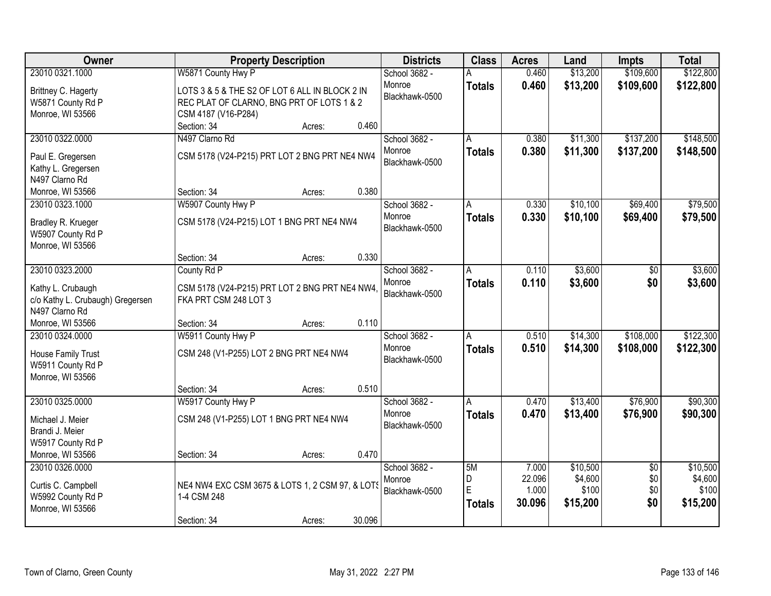| Owner                                                                          | <b>Property Description</b>                                                                                        | <b>Districts</b>                          | <b>Class</b>                  | <b>Acres</b>                       | Land                                     | <b>Impts</b>                         | <b>Total</b>                             |
|--------------------------------------------------------------------------------|--------------------------------------------------------------------------------------------------------------------|-------------------------------------------|-------------------------------|------------------------------------|------------------------------------------|--------------------------------------|------------------------------------------|
| 23010 0321.1000                                                                | W5871 County Hwy P                                                                                                 | School 3682 -                             |                               | 0.460                              | \$13,200                                 | \$109,600                            | \$122,800                                |
| Brittney C. Hagerty<br>W5871 County Rd P<br>Monroe, WI 53566                   | LOTS 3 & 5 & THE S2 OF LOT 6 ALL IN BLOCK 2 IN<br>REC PLAT OF CLARNO, BNG PRT OF LOTS 1 & 2<br>CSM 4187 (V16-P284) | Monroe<br>Blackhawk-0500                  | <b>Totals</b>                 | 0.460                              | \$13,200                                 | \$109,600                            | \$122,800                                |
|                                                                                | 0.460<br>Section: 34<br>Acres:                                                                                     |                                           |                               |                                    |                                          |                                      |                                          |
| 23010 0322.0000<br>Paul E. Gregersen<br>Kathy L. Gregersen<br>N497 Clarno Rd   | N497 Clarno Rd<br>CSM 5178 (V24-P215) PRT LOT 2 BNG PRT NE4 NW4                                                    | School 3682 -<br>Monroe<br>Blackhawk-0500 | A<br><b>Totals</b>            | 0.380<br>0.380                     | \$11,300<br>\$11,300                     | \$137,200<br>\$137,200               | \$148,500<br>\$148,500                   |
| Monroe, WI 53566                                                               | 0.380<br>Section: 34<br>Acres:                                                                                     |                                           |                               |                                    |                                          |                                      |                                          |
| 23010 0323.1000<br>Bradley R. Krueger<br>W5907 County Rd P<br>Monroe, WI 53566 | W5907 County Hwy P<br>CSM 5178 (V24-P215) LOT 1 BNG PRT NE4 NW4                                                    | School 3682 -<br>Monroe<br>Blackhawk-0500 | <b>Totals</b>                 | 0.330<br>0.330                     | \$10,100<br>\$10,100                     | \$69,400<br>\$69,400                 | \$79,500<br>\$79,500                     |
|                                                                                | 0.330<br>Section: 34<br>Acres:                                                                                     |                                           |                               |                                    |                                          |                                      |                                          |
| 23010 0323.2000<br>Kathy L. Crubaugh                                           | County Rd P<br>CSM 5178 (V24-P215) PRT LOT 2 BNG PRT NE4 NW4,                                                      | School 3682 -<br>Monroe<br>Blackhawk-0500 | A<br><b>Totals</b>            | 0.110<br>0.110                     | \$3,600<br>\$3,600                       | $\sqrt[6]{3}$<br>\$0                 | \$3,600<br>\$3,600                       |
| c/o Kathy L. Crubaugh) Gregersen<br>N497 Clarno Rd<br>Monroe, WI 53566         | FKA PRT CSM 248 LOT 3<br>0.110<br>Section: 34<br>Acres:                                                            |                                           |                               |                                    |                                          |                                      |                                          |
| 23010 0324.0000<br>House Family Trust<br>W5911 County Rd P<br>Monroe, WI 53566 | W5911 County Hwy P<br>CSM 248 (V1-P255) LOT 2 BNG PRT NE4 NW4                                                      | School 3682 -<br>Monroe<br>Blackhawk-0500 | A<br><b>Totals</b>            | 0.510<br>0.510                     | \$14,300<br>\$14,300                     | \$108,000<br>\$108,000               | \$122,300<br>\$122,300                   |
|                                                                                | 0.510<br>Section: 34<br>Acres:                                                                                     |                                           |                               |                                    |                                          |                                      |                                          |
| 23010 0325.0000<br>Michael J. Meier<br>Brandi J. Meier<br>W5917 County Rd P    | W5917 County Hwy P<br>CSM 248 (V1-P255) LOT 1 BNG PRT NE4 NW4                                                      | School 3682 -<br>Monroe<br>Blackhawk-0500 | A<br><b>Totals</b>            | 0.470<br>0.470                     | \$13,400<br>\$13,400                     | \$76,900<br>\$76,900                 | \$90,300<br>\$90,300                     |
| Monroe, WI 53566                                                               | 0.470<br>Section: 34<br>Acres:                                                                                     |                                           |                               |                                    |                                          |                                      |                                          |
| 23010 0326.0000<br>Curtis C. Campbell<br>W5992 County Rd P<br>Monroe, WI 53566 | NE4 NW4 EXC CSM 3675 & LOTS 1, 2 CSM 97, & LOTS<br>1-4 CSM 248<br>30.096<br>Section: 34<br>Acres:                  | School 3682 -<br>Monroe<br>Blackhawk-0500 | 5M<br>D<br>E<br><b>Totals</b> | 7.000<br>22.096<br>1.000<br>30.096 | \$10,500<br>\$4,600<br>\$100<br>\$15,200 | $\overline{50}$<br>\$0<br>\$0<br>\$0 | \$10,500<br>\$4,600<br>\$100<br>\$15,200 |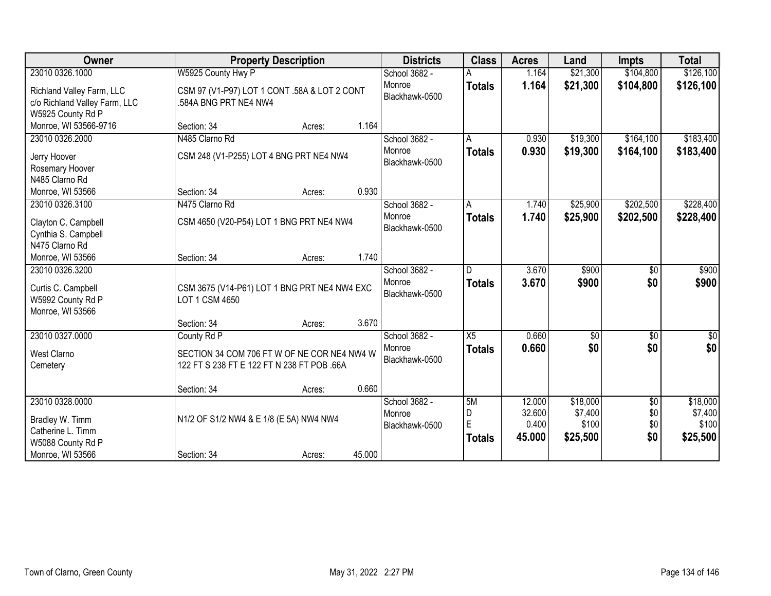| <b>Owner</b>                                                                    |                                                                                           | <b>Property Description</b> |        | <b>Districts</b>                          | <b>Class</b>                  | <b>Acres</b>                        | Land                                     | <b>Impts</b>                         | <b>Total</b>                             |
|---------------------------------------------------------------------------------|-------------------------------------------------------------------------------------------|-----------------------------|--------|-------------------------------------------|-------------------------------|-------------------------------------|------------------------------------------|--------------------------------------|------------------------------------------|
| 23010 0326.1000                                                                 | W5925 County Hwy P                                                                        |                             |        | School 3682 -                             |                               | 1.164                               | \$21,300                                 | \$104,800                            | \$126,100                                |
| Richland Valley Farm, LLC<br>c/o Richland Valley Farm, LLC<br>W5925 County Rd P | CSM 97 (V1-P97) LOT 1 CONT .58A & LOT 2 CONT<br>.584A BNG PRT NE4 NW4                     |                             |        | Monroe<br>Blackhawk-0500                  | <b>Totals</b>                 | 1.164                               | \$21,300                                 | \$104,800                            | \$126,100                                |
| Monroe, WI 53566-9716                                                           | Section: 34                                                                               | Acres:                      | 1.164  |                                           |                               |                                     |                                          |                                      |                                          |
| 23010 0326.2000                                                                 | N485 Clarno Rd                                                                            |                             |        | School 3682 -                             | Α                             | 0.930                               | \$19,300                                 | \$164,100                            | \$183,400                                |
| Jerry Hoover<br>Rosemary Hoover                                                 | CSM 248 (V1-P255) LOT 4 BNG PRT NE4 NW4                                                   |                             |        | Monroe<br>Blackhawk-0500                  | <b>Totals</b>                 | 0.930                               | \$19,300                                 | \$164,100                            | \$183,400                                |
| N485 Clarno Rd                                                                  |                                                                                           |                             |        |                                           |                               |                                     |                                          |                                      |                                          |
| Monroe, WI 53566                                                                | Section: 34                                                                               | Acres:                      | 0.930  |                                           |                               |                                     |                                          |                                      |                                          |
| 23010 0326.3100                                                                 | N475 Clarno Rd                                                                            |                             |        | School 3682 -                             | A                             | 1.740                               | \$25,900                                 | \$202,500                            | \$228,400                                |
| Clayton C. Campbell<br>Cynthia S. Campbell                                      | CSM 4650 (V20-P54) LOT 1 BNG PRT NE4 NW4                                                  |                             |        | Monroe<br>Blackhawk-0500                  | <b>Totals</b>                 | 1.740                               | \$25,900                                 | \$202,500                            | \$228,400                                |
| N475 Clarno Rd                                                                  |                                                                                           |                             |        |                                           |                               |                                     |                                          |                                      |                                          |
| Monroe, WI 53566                                                                | Section: 34                                                                               | Acres:                      | 1.740  |                                           |                               |                                     |                                          |                                      |                                          |
| 23010 0326.3200                                                                 |                                                                                           |                             |        | School 3682 -                             |                               | 3.670                               | \$900                                    | \$0                                  | \$900                                    |
| Curtis C. Campbell<br>W5992 County Rd P<br>Monroe, WI 53566                     | CSM 3675 (V14-P61) LOT 1 BNG PRT NE4 NW4 EXC<br>LOT 1 CSM 4650                            |                             |        | Monroe<br>Blackhawk-0500                  | <b>Totals</b>                 | 3.670                               | \$900                                    | \$0                                  | \$900                                    |
|                                                                                 | Section: 34                                                                               | Acres:                      | 3.670  |                                           |                               |                                     |                                          |                                      |                                          |
| 23010 0327.0000                                                                 | County Rd P                                                                               |                             |        | School 3682 -                             | X5                            | 0.660                               | \$0                                      | \$0                                  | $\overline{50}$                          |
| West Clarno<br>Cemetery                                                         | SECTION 34 COM 706 FT W OF NE COR NE4 NW4 W<br>122 FT S 238 FT E 122 FT N 238 FT POB .66A |                             |        | Monroe<br>Blackhawk-0500                  | <b>Totals</b>                 | 0.660                               | \$0                                      | \$0                                  | \$0                                      |
|                                                                                 | Section: 34                                                                               | Acres:                      | 0.660  |                                           |                               |                                     |                                          |                                      |                                          |
| 23010 0328.0000<br>Bradley W. Timm<br>Catherine L. Timm<br>W5088 County Rd P    | N1/2 OF S1/2 NW4 & E 1/8 (E 5A) NW4 NW4                                                   |                             |        | School 3682 -<br>Monroe<br>Blackhawk-0500 | 5M<br>D<br>E<br><b>Totals</b> | 12.000<br>32.600<br>0.400<br>45.000 | \$18,000<br>\$7,400<br>\$100<br>\$25,500 | $\overline{60}$<br>\$0<br>\$0<br>\$0 | \$18,000<br>\$7,400<br>\$100<br>\$25,500 |
| Monroe, WI 53566                                                                | Section: 34                                                                               | Acres:                      | 45.000 |                                           |                               |                                     |                                          |                                      |                                          |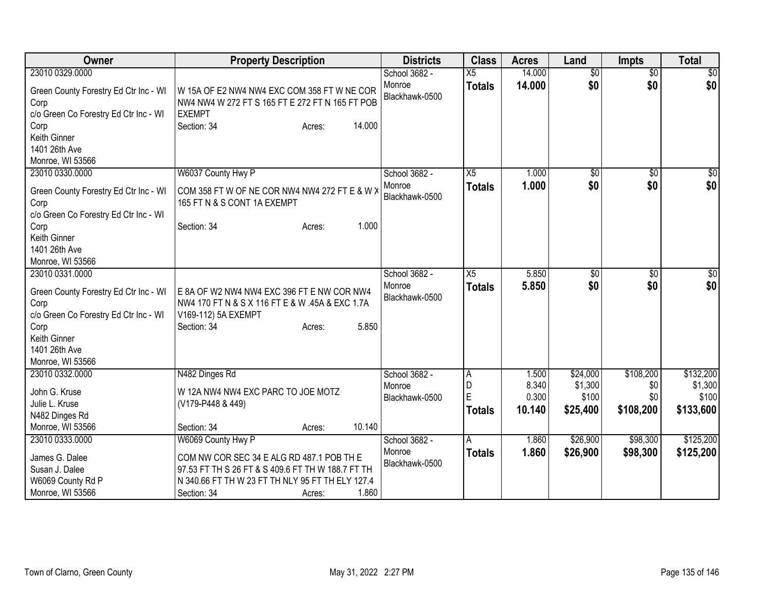| <b>Owner</b>                                                                           | <b>Property Description</b>                                                                                     | <b>Districts</b>         | <b>Class</b>   | <b>Acres</b> | Land            | <b>Impts</b>    | <b>Total</b> |
|----------------------------------------------------------------------------------------|-----------------------------------------------------------------------------------------------------------------|--------------------------|----------------|--------------|-----------------|-----------------|--------------|
| 23010 0329.0000                                                                        |                                                                                                                 | School 3682 -            | X <sub>5</sub> | 14.000       | $\overline{50}$ | $\overline{50}$ | \$0          |
| Green County Forestry Ed Ctr Inc - WI<br>Corp<br>c/o Green Co Forestry Ed Ctr Inc - WI | W 15A OF E2 NW4 NW4 EXC COM 358 FT W NE COR<br>NW4 NW4 W 272 FT S 165 FT E 272 FT N 165 FT POB<br><b>EXEMPT</b> | Monroe<br>Blackhawk-0500 | <b>Totals</b>  | 14.000       | \$0             | \$0             | \$0          |
| Corp<br>Keith Ginner<br>1401 26th Ave<br>Monroe, WI 53566                              | 14.000<br>Section: 34<br>Acres:                                                                                 |                          |                |              |                 |                 |              |
| 23010 0330.0000                                                                        | W6037 County Hwy P                                                                                              | School 3682 -            | X5             | 1.000        | \$0             | \$0             | \$0          |
| Green County Forestry Ed Ctr Inc - WI<br>Corp<br>c/o Green Co Forestry Ed Ctr Inc - WI | COM 358 FT W OF NE COR NW4 NW4 272 FT E & W X<br>165 FT N & S CONT 1A EXEMPT                                    | Monroe<br>Blackhawk-0500 | <b>Totals</b>  | 1.000        | \$0             | \$0             | \$0          |
| Corp                                                                                   | 1.000<br>Section: 34<br>Acres:                                                                                  |                          |                |              |                 |                 |              |
| Keith Ginner                                                                           |                                                                                                                 |                          |                |              |                 |                 |              |
| 1401 26th Ave                                                                          |                                                                                                                 |                          |                |              |                 |                 |              |
| Monroe, WI 53566                                                                       |                                                                                                                 |                          |                |              |                 |                 |              |
| 23010 0331.0000                                                                        |                                                                                                                 | School 3682 -            | X5             | 5.850        | $\overline{50}$ | \$0             | \$0          |
| Green County Forestry Ed Ctr Inc - WI                                                  | E 8A OF W2 NW4 NW4 EXC 396 FT E NW COR NW4                                                                      | Monroe                   | <b>Totals</b>  | 5.850        | \$0             | \$0             | \$0          |
| Corp                                                                                   | NW4 170 FT N & S X 116 FT E & W .45A & EXC 1.7A                                                                 | Blackhawk-0500           |                |              |                 |                 |              |
| c/o Green Co Forestry Ed Ctr Inc - WI                                                  | V169-112) 5A EXEMPT                                                                                             |                          |                |              |                 |                 |              |
| Corp                                                                                   | 5.850<br>Section: 34<br>Acres:                                                                                  |                          |                |              |                 |                 |              |
| Keith Ginner                                                                           |                                                                                                                 |                          |                |              |                 |                 |              |
| 1401 26th Ave                                                                          |                                                                                                                 |                          |                |              |                 |                 |              |
| Monroe, WI 53566                                                                       |                                                                                                                 |                          |                |              |                 |                 |              |
| 23010 0332.0000                                                                        | N482 Dinges Rd                                                                                                  | School 3682 -            | A              | 1.500        | \$24,000        | \$108,200       | \$132,200    |
| John G. Kruse                                                                          | W 12A NW4 NW4 EXC PARC TO JOE MOTZ                                                                              | Monroe                   | D              | 8.340        | \$1,300         | \$0             | \$1,300      |
| Julie L. Kruse                                                                         | (V179-P448 & 449)                                                                                               | Blackhawk-0500           | $\overline{E}$ | 0.300        | \$100           | \$0             | \$100        |
| N482 Dinges Rd                                                                         |                                                                                                                 |                          | <b>Totals</b>  | 10.140       | \$25,400        | \$108,200       | \$133,600    |
| Monroe, WI 53566                                                                       | 10.140<br>Section: 34<br>Acres:                                                                                 |                          |                |              |                 |                 |              |
| 23010 0333.0000                                                                        | W6069 County Hwy P                                                                                              | School 3682 -            | A              | 1.860        | \$26,900        | \$98,300        | \$125,200    |
|                                                                                        |                                                                                                                 | Monroe                   | <b>Totals</b>  | 1.860        | \$26,900        | \$98,300        | \$125,200    |
| James G. Dalee                                                                         | COM NW COR SEC 34 E ALG RD 487.1 POB TH E                                                                       | Blackhawk-0500           |                |              |                 |                 |              |
| Susan J. Dalee                                                                         | 97.53 FT TH S 26 FT & S 409.6 FT TH W 188.7 FT TH                                                               |                          |                |              |                 |                 |              |
| W6069 County Rd P                                                                      | N 340.66 FT TH W 23 FT TH NLY 95 FT TH ELY 127.4                                                                |                          |                |              |                 |                 |              |
| Monroe, WI 53566                                                                       | 1.860<br>Section: 34<br>Acres:                                                                                  |                          |                |              |                 |                 |              |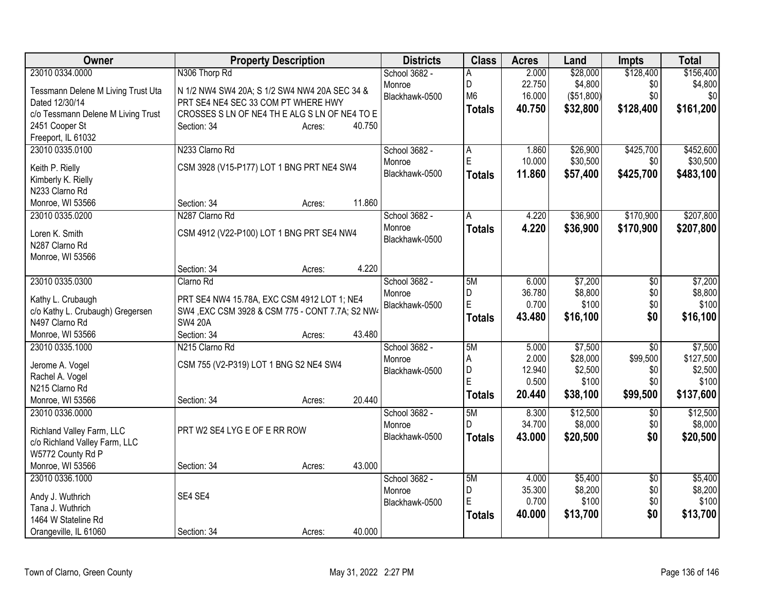| Owner                              | <b>Property Description</b>                      | <b>Districts</b> | <b>Class</b>   | <b>Acres</b> | Land                | Impts           | <b>Total</b> |
|------------------------------------|--------------------------------------------------|------------------|----------------|--------------|---------------------|-----------------|--------------|
| 23010 0334.0000                    | N306 Thorp Rd                                    | School 3682 -    | A              | 2.000        | \$28,000            | \$128,400       | \$156,400    |
| Tessmann Delene M Living Trust Uta | N 1/2 NW4 SW4 20A; S 1/2 SW4 NW4 20A SEC 34 &    | Monroe           | D              | 22.750       | \$4,800             | \$0             | \$4,800      |
| Dated 12/30/14                     | PRT SE4 NE4 SEC 33 COM PT WHERE HWY              | Blackhawk-0500   | M <sub>6</sub> | 16.000       | ( \$51,800)         | \$0             | \$0          |
| c/o Tessmann Delene M Living Trust | CROSSES S LN OF NE4 TH E ALG S LN OF NE4 TO E    |                  | <b>Totals</b>  | 40.750       | \$32,800            | \$128,400       | \$161,200    |
| 2451 Cooper St                     | Section: 34<br>40.750<br>Acres:                  |                  |                |              |                     |                 |              |
| Freeport, IL 61032                 |                                                  |                  |                |              |                     |                 |              |
| 23010 0335.0100                    | N233 Clarno Rd                                   | School 3682 -    | A              | 1.860        | \$26,900            | \$425,700       | \$452,600    |
| Keith P. Rielly                    | CSM 3928 (V15-P177) LOT 1 BNG PRT NE4 SW4        | Monroe           | E              | 10.000       | \$30,500            | \$0             | \$30,500     |
| Kimberly K. Rielly                 |                                                  | Blackhawk-0500   | <b>Totals</b>  | 11.860       | \$57,400            | \$425,700       | \$483,100    |
| N233 Clarno Rd                     |                                                  |                  |                |              |                     |                 |              |
| Monroe, WI 53566                   | 11.860<br>Section: 34<br>Acres:                  |                  |                |              |                     |                 |              |
| 23010 0335.0200                    | N287 Clarno Rd                                   | School 3682 -    | $\overline{A}$ | 4.220        | \$36,900            | \$170,900       | \$207,800    |
|                                    |                                                  | Monroe           | <b>Totals</b>  | 4.220        | \$36,900            | \$170,900       | \$207,800    |
| Loren K. Smith                     | CSM 4912 (V22-P100) LOT 1 BNG PRT SE4 NW4        | Blackhawk-0500   |                |              |                     |                 |              |
| N287 Clarno Rd                     |                                                  |                  |                |              |                     |                 |              |
| Monroe, WI 53566                   |                                                  |                  |                |              |                     |                 |              |
|                                    | 4.220<br>Section: 34<br>Acres:                   |                  |                |              |                     |                 |              |
| 23010 0335.0300                    | Clarno Rd                                        | School 3682 -    | 5M             | 6.000        | \$7,200             | \$0             | \$7,200      |
| Kathy L. Crubaugh                  | PRT SE4 NW4 15.78A, EXC CSM 4912 LOT 1; NE4      | Monroe           | D              | 36.780       | \$8,800             | \$0             | \$8,800      |
| c/o Kathy L. Crubaugh) Gregersen   | SW4 , EXC CSM 3928 & CSM 775 - CONT 7.7A; S2 NW4 | Blackhawk-0500   | E              | 0.700        | \$100               | \$0             | \$100        |
| N497 Clarno Rd                     | <b>SW4 20A</b>                                   |                  | <b>Totals</b>  | 43.480       | \$16,100            | \$0             | \$16,100     |
| Monroe, WI 53566                   | 43.480<br>Section: 34<br>Acres:                  |                  |                |              |                     |                 |              |
| 23010 0335.1000                    | N215 Clarno Rd                                   | School 3682 -    | 5M             | 5.000        | \$7,500             | $\overline{50}$ | \$7,500      |
|                                    |                                                  | Monroe           | А              | 2.000        | \$28,000            | \$99,500        | \$127,500    |
| Jerome A. Vogel                    | CSM 755 (V2-P319) LOT 1 BNG S2 NE4 SW4           | Blackhawk-0500   | D              | 12.940       | \$2,500             | \$0             | \$2,500      |
| Rachel A. Vogel                    |                                                  |                  | E              | 0.500        | \$100               | \$0             | \$100        |
| N215 Clarno Rd                     |                                                  |                  | <b>Totals</b>  | 20.440       | \$38,100            | \$99,500        | \$137,600    |
| Monroe, WI 53566                   | 20.440<br>Section: 34<br>Acres:                  |                  |                |              |                     |                 |              |
| 23010 0336.0000                    |                                                  | School 3682 -    | 5M<br>D        | 8.300        | \$12,500<br>\$8,000 | \$0             | \$12,500     |
| Richland Valley Farm, LLC          | PRT W2 SE4 LYG E OF E RR ROW                     | Monroe           |                | 34.700       |                     | \$0             | \$8,000      |
| c/o Richland Valley Farm, LLC      |                                                  | Blackhawk-0500   | <b>Totals</b>  | 43.000       | \$20,500            | \$0             | \$20,500     |
| W5772 County Rd P                  |                                                  |                  |                |              |                     |                 |              |
| Monroe, WI 53566                   | 43.000<br>Section: 34<br>Acres:                  |                  |                |              |                     |                 |              |
| 23010 0336.1000                    |                                                  | School 3682 -    | 5M             | 4.000        | \$5,400             | $\overline{50}$ | \$5,400      |
| Andy J. Wuthrich                   | SE4 SE4                                          | Monroe           | D              | 35.300       | \$8,200             | \$0             | \$8,200      |
| Tana J. Wuthrich                   |                                                  | Blackhawk-0500   | E              | 0.700        | \$100               | \$0             | \$100        |
| 1464 W Stateline Rd                |                                                  |                  | <b>Totals</b>  | 40.000       | \$13,700            | \$0             | \$13,700     |
| Orangeville, IL 61060              | 40.000<br>Section: 34<br>Acres:                  |                  |                |              |                     |                 |              |
|                                    |                                                  |                  |                |              |                     |                 |              |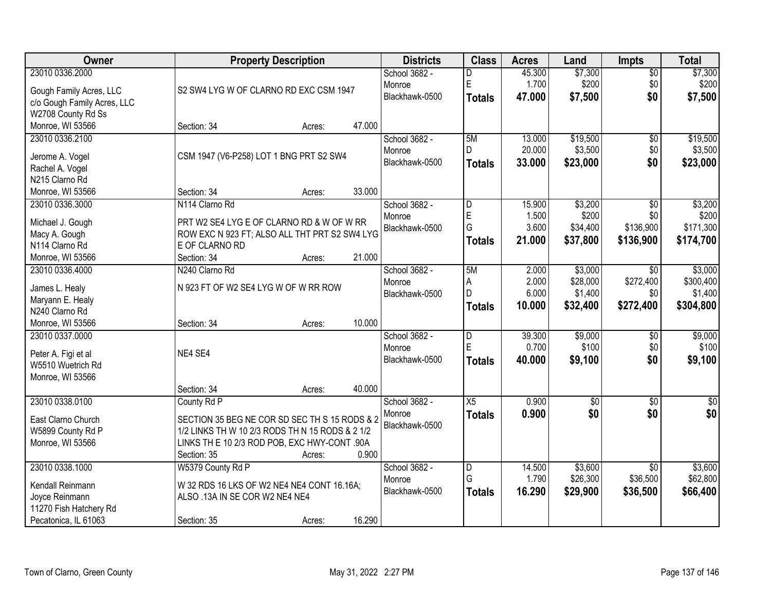| Owner                                    | <b>Property Description</b>                     |        | <b>Districts</b> | <b>Class</b>            | <b>Acres</b> | Land            | <b>Impts</b>    | <b>Total</b>     |
|------------------------------------------|-------------------------------------------------|--------|------------------|-------------------------|--------------|-----------------|-----------------|------------------|
| 23010 0336.2000                          |                                                 |        | School 3682 -    | D                       | 45.300       | \$7,300         | $\overline{50}$ | \$7,300          |
| Gough Family Acres, LLC                  | S2 SW4 LYG W OF CLARNO RD EXC CSM 1947          |        | Monroe           | $\mathsf E$             | 1.700        | \$200           | \$0             | \$200            |
| c/o Gough Family Acres, LLC              |                                                 |        | Blackhawk-0500   | Totals                  | 47.000       | \$7,500         | \$0             | \$7,500          |
| W2708 County Rd Ss                       |                                                 |        |                  |                         |              |                 |                 |                  |
| Monroe, WI 53566                         | Section: 34<br>Acres:                           | 47.000 |                  |                         |              |                 |                 |                  |
| 23010 0336.2100                          |                                                 |        | School 3682 -    | 5M                      | 13.000       | \$19,500        | $\overline{50}$ | \$19,500         |
|                                          |                                                 |        | Monroe           | D.                      | 20.000       | \$3,500         | \$0             | \$3,500          |
| Jerome A. Vogel                          | CSM 1947 (V6-P258) LOT 1 BNG PRT S2 SW4         |        | Blackhawk-0500   | Totals                  | 33.000       | \$23,000        | \$0             | \$23,000         |
| Rachel A. Vogel<br>N215 Clarno Rd        |                                                 |        |                  |                         |              |                 |                 |                  |
| Monroe, WI 53566                         | Section: 34<br>Acres:                           | 33.000 |                  |                         |              |                 |                 |                  |
| 23010 0336.3000                          | N114 Clarno Rd                                  |        | School 3682 -    | D                       | 15.900       | \$3,200         | \$0             | \$3,200          |
|                                          |                                                 |        | Monroe           | $\mathsf E$             | 1.500        | \$200           | \$0             | \$200            |
| Michael J. Gough                         | PRT W2 SE4 LYG E OF CLARNO RD & W OF W RR       |        | Blackhawk-0500   | G                       | 3.600        | \$34,400        | \$136,900       | \$171,300        |
| Macy A. Gough                            | ROW EXC N 923 FT; ALSO ALL THT PRT S2 SW4 LYG   |        |                  | <b>Totals</b>           | 21.000       | \$37,800        | \$136,900       | \$174,700        |
| N114 Clarno Rd                           | E OF CLARNO RD                                  |        |                  |                         |              |                 |                 |                  |
| Monroe, WI 53566                         | Section: 34<br>Acres:                           | 21.000 |                  |                         |              |                 |                 |                  |
| 23010 0336.4000                          | N240 Clarno Rd                                  |        | School 3682 -    | 5M                      | 2.000        | \$3,000         | $\sqrt{6}$      | \$3,000          |
| James L. Healy                           | N 923 FT OF W2 SE4 LYG W OF W RR ROW            |        | Monroe           | A                       | 2.000        | \$28,000        | \$272,400       | \$300,400        |
| Maryann E. Healy                         |                                                 |        | Blackhawk-0500   | D                       | 6.000        | \$1,400         | \$0             | \$1,400          |
| N240 Clarno Rd                           |                                                 |        |                  | <b>Totals</b>           | 10.000       | \$32,400        | \$272,400       | \$304,800        |
| Monroe, WI 53566                         | Section: 34<br>Acres:                           | 10.000 |                  |                         |              |                 |                 |                  |
| 23010 0337.0000                          |                                                 |        | School 3682 -    | $\overline{\mathsf{D}}$ | 39.300       | \$9,000         | $\overline{50}$ | \$9,000          |
|                                          | NE4 SE4                                         |        | Monroe           | E                       | 0.700        | \$100           | \$0             | \$100            |
| Peter A. Figi et al<br>W5510 Wuetrich Rd |                                                 |        | Blackhawk-0500   | Totals                  | 40.000       | \$9,100         | \$0             | \$9,100          |
| Monroe, WI 53566                         |                                                 |        |                  |                         |              |                 |                 |                  |
|                                          | Section: 34<br>Acres:                           | 40.000 |                  |                         |              |                 |                 |                  |
| 23010 0338.0100                          | County Rd P                                     |        | School 3682 -    | X5                      | 0.900        | $\overline{50}$ | $\overline{30}$ | $\overline{\$0}$ |
|                                          |                                                 |        | Monroe           | <b>Totals</b>           | 0.900        | \$0             | \$0             | \$0              |
| East Clarno Church                       | SECTION 35 BEG NE COR SD SEC TH S 15 RODS & 2   |        | Blackhawk-0500   |                         |              |                 |                 |                  |
| W5899 County Rd P                        | 1/2 LINKS TH W 10 2/3 RODS TH N 15 RODS & 2 1/2 |        |                  |                         |              |                 |                 |                  |
| Monroe, WI 53566                         | LINKS TH E 10 2/3 ROD POB, EXC HWY-CONT .90A    |        |                  |                         |              |                 |                 |                  |
|                                          | Section: 35<br>Acres:                           | 0.900  |                  |                         |              |                 |                 |                  |
| 23010 0338.1000                          | W5379 County Rd P                               |        | School 3682 -    | $\overline{D}$          | 14.500       | \$3,600         | $\overline{30}$ | \$3,600          |
| Kendall Reinmann                         | W 32 RDS 16 LKS OF W2 NE4 NE4 CONT 16.16A;      |        | Monroe           | G                       | 1.790        | \$26,300        | \$36,500        | \$62,800         |
| Joyce Reinmann                           | ALSO .13A IN SE COR W2 NE4 NE4                  |        | Blackhawk-0500   | <b>Totals</b>           | 16.290       | \$29,900        | \$36,500        | \$66,400         |
| 11270 Fish Hatchery Rd                   |                                                 |        |                  |                         |              |                 |                 |                  |
| Pecatonica, IL 61063                     | Section: 35<br>Acres:                           | 16.290 |                  |                         |              |                 |                 |                  |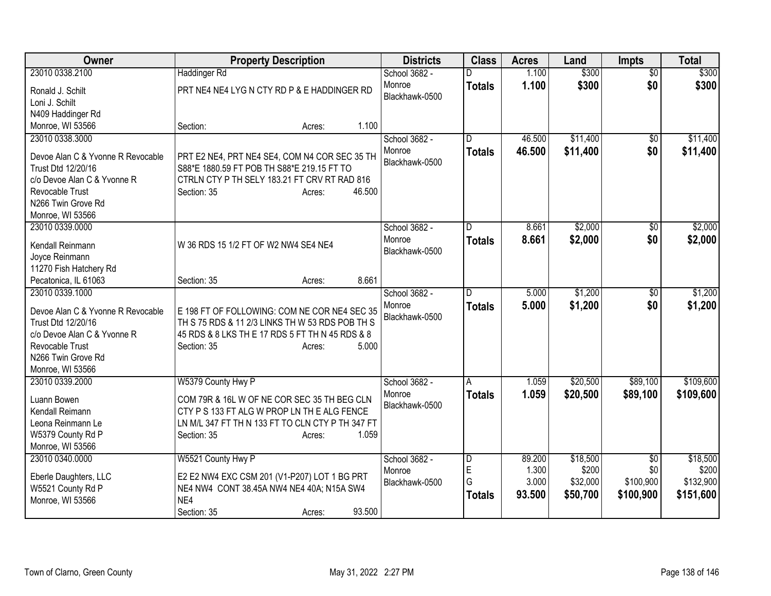| Owner                                          | <b>Property Description</b>                              | <b>Districts</b> | <b>Class</b>  | <b>Acres</b> | Land     | Impts           | <b>Total</b> |
|------------------------------------------------|----------------------------------------------------------|------------------|---------------|--------------|----------|-----------------|--------------|
| 23010 0338.2100                                | <b>Haddinger Rd</b>                                      | School 3682 -    | D             | 1.100        | \$300    | $\overline{50}$ | \$300        |
| Ronald J. Schilt                               | PRT NE4 NE4 LYG N CTY RD P & E HADDINGER RD              | Monroe           | <b>Totals</b> | 1.100        | \$300    | \$0             | \$300        |
| Loni J. Schilt                                 |                                                          | Blackhawk-0500   |               |              |          |                 |              |
| N409 Haddinger Rd                              |                                                          |                  |               |              |          |                 |              |
| Monroe, WI 53566                               | 1.100<br>Section:<br>Acres:                              |                  |               |              |          |                 |              |
| 23010 0338.3000                                |                                                          | School 3682 -    | D.            | 46.500       | \$11,400 | \$0             | \$11,400     |
|                                                |                                                          | Monroe           | <b>Totals</b> | 46.500       | \$11,400 | \$0             | \$11,400     |
| Devoe Alan C & Yvonne R Revocable              | PRT E2 NE4, PRT NE4 SE4, COM N4 COR SEC 35 TH            | Blackhawk-0500   |               |              |          |                 |              |
| Trust Dtd 12/20/16                             | S88*E 1880.59 FT POB TH S88*E 219.15 FT TO               |                  |               |              |          |                 |              |
| c/o Devoe Alan C & Yvonne R                    | CTRLN CTY P TH SELY 183.21 FT CRV RT RAD 816             |                  |               |              |          |                 |              |
| Revocable Trust                                | 46.500<br>Section: 35<br>Acres:                          |                  |               |              |          |                 |              |
| N266 Twin Grove Rd                             |                                                          |                  |               |              |          |                 |              |
| Monroe, WI 53566                               |                                                          |                  |               |              |          |                 |              |
| 23010 0339.0000                                |                                                          | School 3682 -    | D             | 8.661        | \$2,000  | \$0             | \$2,000      |
| Kendall Reinmann                               | W 36 RDS 15 1/2 FT OF W2 NW4 SE4 NE4                     | Monroe           | <b>Totals</b> | 8.661        | \$2,000  | \$0             | \$2,000      |
| Joyce Reinmann                                 |                                                          | Blackhawk-0500   |               |              |          |                 |              |
| 11270 Fish Hatchery Rd                         |                                                          |                  |               |              |          |                 |              |
| Pecatonica, IL 61063                           | 8.661<br>Section: 35<br>Acres:                           |                  |               |              |          |                 |              |
| 23010 0339.1000                                |                                                          | School 3682 -    | D.            | 5.000        | \$1,200  | \$0             | \$1,200      |
|                                                |                                                          | Monroe           | <b>Totals</b> | 5.000        | \$1,200  | \$0             | \$1,200      |
| Devoe Alan C & Yvonne R Revocable              | E 198 FT OF FOLLOWING: COM NE COR NE4 SEC 35             | Blackhawk-0500   |               |              |          |                 |              |
| Trust Dtd 12/20/16                             | TH S 75 RDS & 11 2/3 LINKS TH W 53 RDS POB TH S          |                  |               |              |          |                 |              |
| c/o Devoe Alan C & Yvonne R<br>Revocable Trust | 45 RDS & 8 LKS TH E 17 RDS 5 FT TH N 45 RDS & 8<br>5.000 |                  |               |              |          |                 |              |
| N266 Twin Grove Rd                             | Section: 35<br>Acres:                                    |                  |               |              |          |                 |              |
| Monroe, WI 53566                               |                                                          |                  |               |              |          |                 |              |
| 23010 0339.2000                                | W5379 County Hwy P                                       | School 3682 -    | A             | 1.059        | \$20,500 | \$89,100        | \$109,600    |
|                                                |                                                          | Monroe           |               | 1.059        | \$20,500 | \$89,100        | \$109,600    |
| Luann Bowen                                    | COM 79R & 16L W OF NE COR SEC 35 TH BEG CLN              | Blackhawk-0500   | <b>Totals</b> |              |          |                 |              |
| Kendall Reimann                                | CTY P S 133 FT ALG W PROP LN TH E ALG FENCE              |                  |               |              |          |                 |              |
| Leona Reinmann Le                              | LN M/L 347 FT TH N 133 FT TO CLN CTY P TH 347 FT         |                  |               |              |          |                 |              |
| W5379 County Rd P                              | Section: 35<br>1.059<br>Acres:                           |                  |               |              |          |                 |              |
| Monroe, WI 53566                               |                                                          |                  |               |              |          |                 |              |
| 23010 0340.0000                                | W5521 County Hwy P                                       | School 3682 -    | D             | 89.200       | \$18,500 | \$0             | \$18,500     |
| Eberle Daughters, LLC                          | E2 E2 NW4 EXC CSM 201 (V1-P207) LOT 1 BG PRT             | Monroe           | E             | 1.300        | \$200    | \$0             | \$200        |
| W5521 County Rd P                              | NE4 NW4 CONT 38.45A NW4 NE4 40A; N15A SW4                | Blackhawk-0500   | G             | 3.000        | \$32,000 | \$100,900       | \$132,900    |
| Monroe, WI 53566                               |                                                          |                  | <b>Totals</b> | 93.500       | \$50,700 | \$100,900       | \$151,600    |
|                                                | NE4                                                      |                  |               |              |          |                 |              |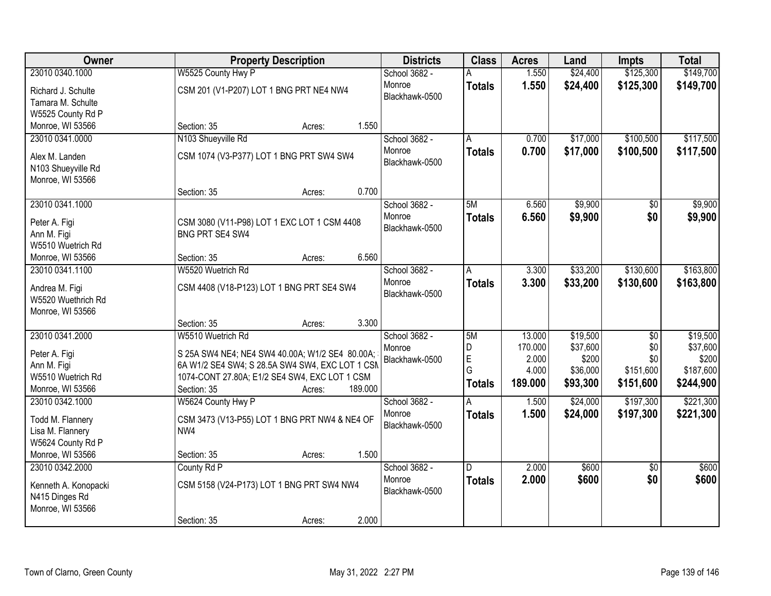| Owner                                                                                    | <b>Property Description</b>                                                                                                                                                                                  | <b>Districts</b>                          | <b>Class</b>                       | <b>Acres</b>                                   | Land                                                  | <b>Impts</b>                                | <b>Total</b>                                            |
|------------------------------------------------------------------------------------------|--------------------------------------------------------------------------------------------------------------------------------------------------------------------------------------------------------------|-------------------------------------------|------------------------------------|------------------------------------------------|-------------------------------------------------------|---------------------------------------------|---------------------------------------------------------|
| 23010 0340.1000                                                                          | W5525 County Hwy P                                                                                                                                                                                           | School 3682 -                             |                                    | 1.550                                          | \$24,400                                              | \$125,300                                   | \$149,700                                               |
| Richard J. Schulte<br>Tamara M. Schulte<br>W5525 County Rd P                             | CSM 201 (V1-P207) LOT 1 BNG PRT NE4 NW4                                                                                                                                                                      | Monroe<br>Blackhawk-0500                  | <b>Totals</b>                      | 1.550                                          | \$24,400                                              | \$125,300                                   | \$149,700                                               |
| Monroe, WI 53566                                                                         | 1.550<br>Section: 35<br>Acres:                                                                                                                                                                               |                                           |                                    |                                                |                                                       |                                             |                                                         |
| 23010 0341.0000                                                                          | N103 Shueyville Rd                                                                                                                                                                                           | School 3682 -                             | А                                  | 0.700                                          | \$17,000                                              | \$100,500                                   | \$117,500                                               |
| Alex M. Landen<br>N103 Shueyville Rd<br>Monroe, WI 53566                                 | CSM 1074 (V3-P377) LOT 1 BNG PRT SW4 SW4                                                                                                                                                                     | Monroe<br>Blackhawk-0500                  | <b>Totals</b>                      | 0.700                                          | \$17,000                                              | \$100,500                                   | \$117,500                                               |
|                                                                                          | 0.700<br>Section: 35<br>Acres:                                                                                                                                                                               |                                           |                                    |                                                |                                                       |                                             |                                                         |
| 23010 0341.1000                                                                          |                                                                                                                                                                                                              | School 3682 -                             | 5M                                 | 6.560                                          | \$9,900                                               | \$0                                         | \$9,900                                                 |
| Peter A. Figi<br>Ann M. Figi<br>W5510 Wuetrich Rd                                        | CSM 3080 (V11-P98) LOT 1 EXC LOT 1 CSM 4408<br><b>BNG PRT SE4 SW4</b>                                                                                                                                        | Monroe<br>Blackhawk-0500                  | <b>Totals</b>                      | 6.560                                          | \$9,900                                               | \$0                                         | \$9,900                                                 |
| Monroe, WI 53566                                                                         | 6.560<br>Section: 35<br>Acres:                                                                                                                                                                               |                                           |                                    |                                                |                                                       |                                             |                                                         |
| 23010 0341.1100                                                                          | W5520 Wuetrich Rd                                                                                                                                                                                            | School 3682 -                             | A                                  | 3.300                                          | \$33,200                                              | \$130,600                                   | \$163,800                                               |
| Andrea M. Figi<br>W5520 Wuethrich Rd<br>Monroe, WI 53566                                 | CSM 4408 (V18-P123) LOT 1 BNG PRT SE4 SW4                                                                                                                                                                    | Monroe<br>Blackhawk-0500                  | <b>Totals</b>                      | 3.300                                          | \$33,200                                              | \$130,600                                   | \$163,800                                               |
|                                                                                          | 3.300<br>Section: 35<br>Acres:                                                                                                                                                                               |                                           |                                    |                                                |                                                       |                                             |                                                         |
| 23010 0341.2000<br>Peter A. Figi<br>Ann M. Figi<br>W5510 Wuetrich Rd<br>Monroe, WI 53566 | W5510 Wuetrich Rd<br>S 25A SW4 NE4; NE4 SW4 40.00A; W1/2 SE4 80.00A;<br>6A W1/2 SE4 SW4; S 28.5A SW4 SW4, EXC LOT 1 CSM<br>1074-CONT 27.80A; E1/2 SE4 SW4, EXC LOT 1 CSM<br>Section: 35<br>189.000<br>Acres: | School 3682 -<br>Monroe<br>Blackhawk-0500 | 5M<br>D<br>E<br>G<br><b>Totals</b> | 13.000<br>170.000<br>2.000<br>4.000<br>189.000 | \$19,500<br>\$37,600<br>\$200<br>\$36,000<br>\$93,300 | \$0<br>\$0<br>\$0<br>\$151,600<br>\$151,600 | \$19,500<br>\$37,600<br>\$200<br>\$187,600<br>\$244,900 |
| 23010 0342.1000                                                                          | W5624 County Hwy P                                                                                                                                                                                           | School 3682 -                             | A                                  | 1.500                                          | \$24,000                                              | \$197,300                                   | \$221,300                                               |
| Todd M. Flannery<br>Lisa M. Flannery<br>W5624 County Rd P                                | CSM 3473 (V13-P55) LOT 1 BNG PRT NW4 & NE4 OF<br>NW4                                                                                                                                                         | Monroe<br>Blackhawk-0500                  | <b>Totals</b>                      | 1.500                                          | \$24,000                                              | \$197,300                                   | \$221,300                                               |
| Monroe, WI 53566                                                                         | 1.500<br>Section: 35<br>Acres:                                                                                                                                                                               |                                           |                                    |                                                |                                                       |                                             |                                                         |
| 23010 0342.2000<br>Kenneth A. Konopacki<br>N415 Dinges Rd<br>Monroe, WI 53566            | County Rd P<br>CSM 5158 (V24-P173) LOT 1 BNG PRT SW4 NW4<br>2.000<br>Section: 35<br>Acres:                                                                                                                   | School 3682 -<br>Monroe<br>Blackhawk-0500 | D<br><b>Totals</b>                 | 2.000<br>2.000                                 | \$600<br>\$600                                        | $\overline{30}$<br>\$0                      | \$600<br>\$600                                          |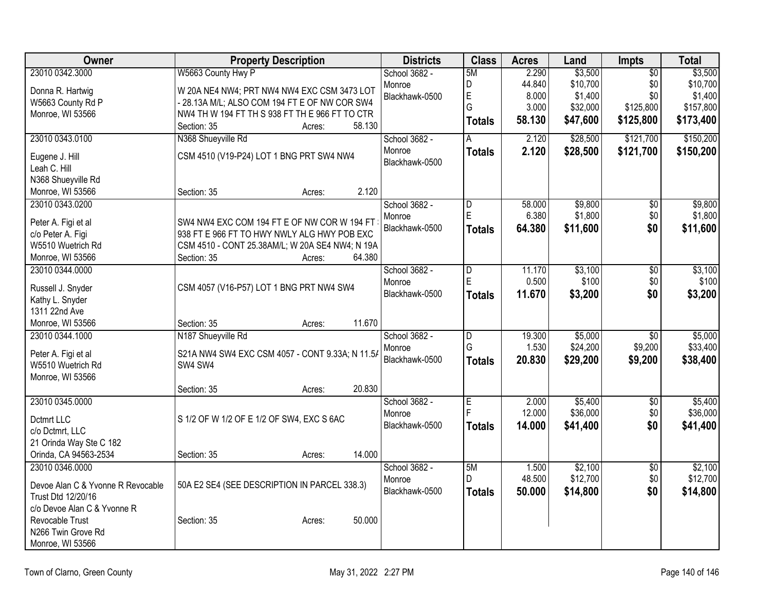| Owner                             | <b>Property Description</b>                     | <b>Districts</b> | <b>Class</b>            | <b>Acres</b> | Land     | Impts           | <b>Total</b> |
|-----------------------------------|-------------------------------------------------|------------------|-------------------------|--------------|----------|-----------------|--------------|
| 23010 0342.3000                   | W5663 County Hwy P                              | School 3682 -    | 5M                      | 2.290        | \$3,500  | $\overline{50}$ | \$3,500      |
| Donna R. Hartwig                  | W 20A NE4 NW4; PRT NW4 NW4 EXC CSM 3473 LOT     | Monroe           | D                       | 44.840       | \$10,700 | \$0             | \$10,700     |
| W5663 County Rd P                 | - 28.13A M/L; ALSO COM 194 FT E OF NW COR SW4   | Blackhawk-0500   | E                       | 8.000        | \$1,400  | \$0             | \$1,400      |
| Monroe, WI 53566                  | NW4 TH W 194 FT TH S 938 FT TH E 966 FT TO CTR  |                  | G                       | 3.000        | \$32,000 | \$125,800       | \$157,800    |
|                                   | Section: 35<br>58.130<br>Acres:                 |                  | <b>Totals</b>           | 58.130       | \$47,600 | \$125,800       | \$173,400    |
| 23010 0343.0100                   | N368 Shueyville Rd                              | School 3682 -    | A                       | 2.120        | \$28,500 | \$121,700       | \$150,200    |
| Eugene J. Hill                    | CSM 4510 (V19-P24) LOT 1 BNG PRT SW4 NW4        | Monroe           | <b>Totals</b>           | 2.120        | \$28,500 | \$121,700       | \$150,200    |
| Leah C. Hill                      |                                                 | Blackhawk-0500   |                         |              |          |                 |              |
| N368 Shueyville Rd                |                                                 |                  |                         |              |          |                 |              |
| Monroe, WI 53566                  | 2.120<br>Section: 35<br>Acres:                  |                  |                         |              |          |                 |              |
| 23010 0343.0200                   |                                                 | School 3682 -    | D                       | 58.000       | \$9,800  | \$0             | \$9,800      |
|                                   |                                                 | Monroe           | E                       | 6.380        | \$1,800  | \$0             | \$1,800      |
| Peter A. Figi et al               | SW4 NW4 EXC COM 194 FT E OF NW COR W 194 FT     | Blackhawk-0500   | <b>Totals</b>           | 64.380       | \$11,600 | \$0             | \$11,600     |
| c/o Peter A. Figi                 | 938 FT E 966 FT TO HWY NWLY ALG HWY POB EXC     |                  |                         |              |          |                 |              |
| W5510 Wuetrich Rd                 | CSM 4510 - CONT 25.38AM/L; W 20A SE4 NW4; N 19A |                  |                         |              |          |                 |              |
| Monroe, WI 53566                  | 64.380<br>Section: 35<br>Acres:                 |                  |                         |              |          |                 |              |
| 23010 0344.0000                   |                                                 | School 3682 -    | D                       | 11.170       | \$3,100  | $\overline{50}$ | \$3,100      |
| Russell J. Snyder                 | CSM 4057 (V16-P57) LOT 1 BNG PRT NW4 SW4        | Monroe           | E                       | 0.500        | \$100    | \$0             | \$100        |
| Kathy L. Snyder                   |                                                 | Blackhawk-0500   | <b>Totals</b>           | 11.670       | \$3,200  | \$0             | \$3,200      |
| 1311 22nd Ave                     |                                                 |                  |                         |              |          |                 |              |
| Monroe, WI 53566                  | 11.670<br>Section: 35<br>Acres:                 |                  |                         |              |          |                 |              |
| 23010 0344.1000                   | N187 Shueyville Rd                              | School 3682 -    | $\overline{\mathsf{D}}$ | 19.300       | \$5,000  | $\overline{30}$ | \$5,000      |
|                                   |                                                 | Monroe           | G                       | 1.530        | \$24,200 | \$9,200         | \$33,400     |
| Peter A. Figi et al               | S21A NW4 SW4 EXC CSM 4057 - CONT 9.33A; N 11.5/ | Blackhawk-0500   | <b>Totals</b>           | 20.830       | \$29,200 | \$9,200         | \$38,400     |
| W5510 Wuetrich Rd                 | SW4 SW4                                         |                  |                         |              |          |                 |              |
| Monroe, WI 53566                  |                                                 |                  |                         |              |          |                 |              |
|                                   | 20.830<br>Section: 35<br>Acres:                 |                  |                         |              |          |                 |              |
| 23010 0345.0000                   |                                                 | School 3682 -    | E                       | 2.000        | \$5,400  | $\overline{30}$ | \$5,400      |
| Dctmrt LLC                        | S 1/2 OF W 1/2 OF E 1/2 OF SW4, EXC S 6AC       | Monroe           | F                       | 12.000       | \$36,000 | \$0             | \$36,000     |
| c/o Dctmrt, LLC                   |                                                 | Blackhawk-0500   | <b>Totals</b>           | 14.000       | \$41,400 | \$0             | \$41,400     |
| 21 Orinda Way Ste C 182           |                                                 |                  |                         |              |          |                 |              |
| Orinda, CA 94563-2534             | 14.000<br>Section: 35<br>Acres:                 |                  |                         |              |          |                 |              |
| 23010 0346.0000                   |                                                 | School 3682 -    | 5M                      | 1.500        | \$2,100  | $\overline{50}$ | \$2,100      |
|                                   |                                                 | Monroe           | D                       | 48.500       | \$12,700 | \$0             | \$12,700     |
| Devoe Alan C & Yvonne R Revocable | 50A E2 SE4 (SEE DESCRIPTION IN PARCEL 338.3)    |                  |                         |              |          |                 |              |
| Trust Dtd 12/20/16                |                                                 | Blackhawk-0500   | <b>Totals</b>           | 50.000       | \$14,800 | \$0             | \$14,800     |
| c/o Devoe Alan C & Yvonne R       |                                                 |                  |                         |              |          |                 |              |
| Revocable Trust                   | 50.000<br>Section: 35<br>Acres:                 |                  |                         |              |          |                 |              |
| N266 Twin Grove Rd                |                                                 |                  |                         |              |          |                 |              |
| Monroe, WI 53566                  |                                                 |                  |                         |              |          |                 |              |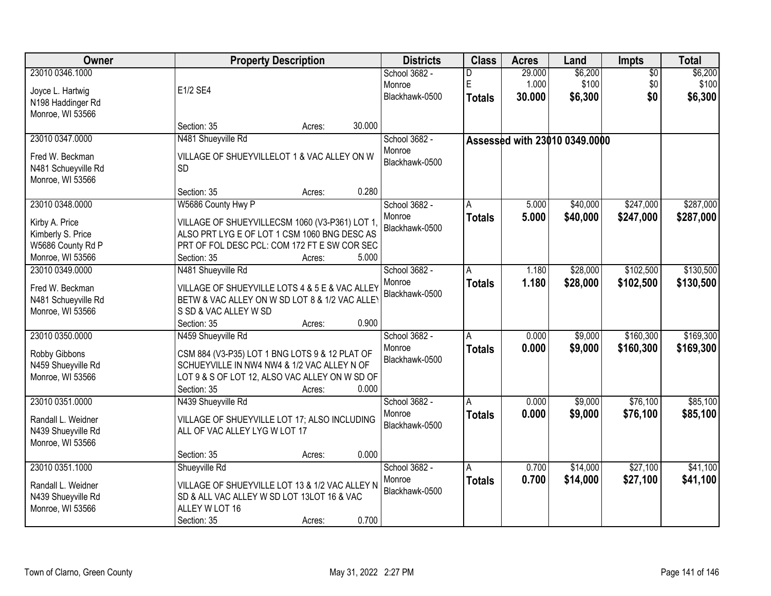| Owner               | <b>Property Description</b>                    |        |        | <b>Districts</b> | <b>Class</b>  | <b>Acres</b> | Land                          | <b>Impts</b>    | <b>Total</b> |
|---------------------|------------------------------------------------|--------|--------|------------------|---------------|--------------|-------------------------------|-----------------|--------------|
| 23010 0346.1000     |                                                |        |        | School 3682 -    | D             | 29.000       | \$6,200                       | $\overline{50}$ | \$6,200      |
| Joyce L. Hartwig    | E1/2 SE4                                       |        |        | Monroe           | E             | 1.000        | \$100                         | \$0             | \$100        |
| N198 Haddinger Rd   |                                                |        |        | Blackhawk-0500   | <b>Totals</b> | 30.000       | \$6,300                       | \$0             | \$6,300      |
| Monroe, WI 53566    |                                                |        |        |                  |               |              |                               |                 |              |
|                     | Section: 35                                    | Acres: | 30.000 |                  |               |              |                               |                 |              |
| 23010 0347.0000     | N481 Shueyville Rd                             |        |        | School 3682 -    |               |              | Assessed with 23010 0349.0000 |                 |              |
| Fred W. Beckman     | VILLAGE OF SHUEYVILLELOT 1 & VAC ALLEY ON W    |        |        | Monroe           |               |              |                               |                 |              |
| N481 Schueyville Rd | <b>SD</b>                                      |        |        | Blackhawk-0500   |               |              |                               |                 |              |
| Monroe, WI 53566    |                                                |        |        |                  |               |              |                               |                 |              |
|                     | Section: 35                                    | Acres: | 0.280  |                  |               |              |                               |                 |              |
| 23010 0348.0000     | W5686 County Hwy P                             |        |        | School 3682 -    | A             | 5.000        | \$40,000                      | \$247,000       | \$287,000    |
| Kirby A. Price      | VILLAGE OF SHUEYVILLECSM 1060 (V3-P361) LOT 1  |        |        | Monroe           | <b>Totals</b> | 5.000        | \$40,000                      | \$247,000       | \$287,000    |
| Kimberly S. Price   | ALSO PRT LYG E OF LOT 1 CSM 1060 BNG DESC AS   |        |        | Blackhawk-0500   |               |              |                               |                 |              |
| W5686 County Rd P   | PRT OF FOL DESC PCL: COM 172 FT E SW COR SEC   |        |        |                  |               |              |                               |                 |              |
| Monroe, WI 53566    | Section: 35                                    | Acres: | 5.000  |                  |               |              |                               |                 |              |
| 23010 0349.0000     | N481 Shueyville Rd                             |        |        | School 3682 -    | A             | 1.180        | \$28,000                      | \$102,500       | \$130,500    |
|                     |                                                |        |        | Monroe           | <b>Totals</b> | 1.180        | \$28,000                      | \$102,500       | \$130,500    |
| Fred W. Beckman     | VILLAGE OF SHUEYVILLE LOTS 4 & 5 E & VAC ALLEY |        |        | Blackhawk-0500   |               |              |                               |                 |              |
| N481 Schueyville Rd | BETW & VAC ALLEY ON W SD LOT 8 & 1/2 VAC ALLEY |        |        |                  |               |              |                               |                 |              |
| Monroe, WI 53566    | S SD & VAC ALLEY W SD<br>Section: 35           |        | 0.900  |                  |               |              |                               |                 |              |
| 23010 0350.0000     | N459 Shueyville Rd                             | Acres: |        | School 3682 -    | Α             | 0.000        | \$9,000                       | \$160,300       | \$169,300    |
|                     |                                                |        |        | Monroe           |               | 0.000        | \$9,000                       | \$160,300       |              |
| Robby Gibbons       | CSM 884 (V3-P35) LOT 1 BNG LOTS 9 & 12 PLAT OF |        |        | Blackhawk-0500   | <b>Totals</b> |              |                               |                 | \$169,300    |
| N459 Shueyville Rd  | SCHUEYVILLE IN NW4 NW4 & 1/2 VAC ALLEY N OF    |        |        |                  |               |              |                               |                 |              |
| Monroe, WI 53566    | LOT 9 & S OF LOT 12, ALSO VAC ALLEY ON W SD OF |        |        |                  |               |              |                               |                 |              |
|                     | Section: 35                                    | Acres: | 0.000  |                  |               |              |                               |                 |              |
| 23010 0351.0000     | N439 Shueyville Rd                             |        |        | School 3682 -    | A             | 0.000        | \$9,000                       | \$76,100        | \$85,100     |
| Randall L. Weidner  | VILLAGE OF SHUEYVILLE LOT 17; ALSO INCLUDING   |        |        | Monroe           | <b>Totals</b> | 0.000        | \$9,000                       | \$76,100        | \$85,100     |
| N439 Shueyville Rd  | ALL OF VAC ALLEY LYG W LOT 17                  |        |        | Blackhawk-0500   |               |              |                               |                 |              |
| Monroe, WI 53566    |                                                |        |        |                  |               |              |                               |                 |              |
|                     | Section: 35                                    | Acres: | 0.000  |                  |               |              |                               |                 |              |
| 23010 0351.1000     | Shueyville Rd                                  |        |        | School 3682 -    | A             | 0.700        | \$14,000                      | \$27,100        | \$41,100     |
| Randall L. Weidner  | VILLAGE OF SHUEYVILLE LOT 13 & 1/2 VAC ALLEY N |        |        | Monroe           | <b>Totals</b> | 0.700        | \$14,000                      | \$27,100        | \$41,100     |
| N439 Shueyville Rd  | SD & ALL VAC ALLEY W SD LOT 13LOT 16 & VAC     |        |        | Blackhawk-0500   |               |              |                               |                 |              |
| Monroe, WI 53566    | ALLEY W LOT 16                                 |        |        |                  |               |              |                               |                 |              |
|                     | Section: 35                                    | Acres: | 0.700  |                  |               |              |                               |                 |              |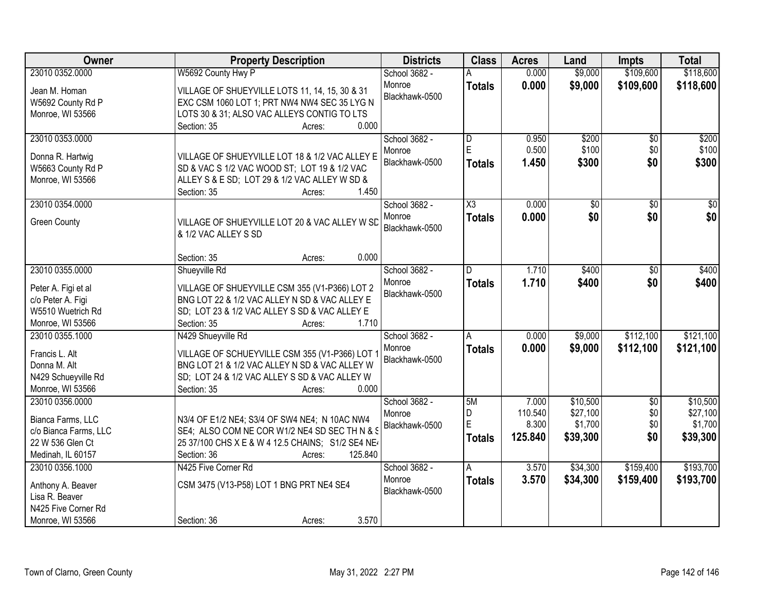| <b>Owner</b>                                                                                           | <b>Property Description</b>                                                                                                                                                            | <b>Districts</b>                          | <b>Class</b>                                  | <b>Acres</b>                         | Land                                        | <b>Impts</b>                         | <b>Total</b>                                |
|--------------------------------------------------------------------------------------------------------|----------------------------------------------------------------------------------------------------------------------------------------------------------------------------------------|-------------------------------------------|-----------------------------------------------|--------------------------------------|---------------------------------------------|--------------------------------------|---------------------------------------------|
| 23010 0352.0000                                                                                        | W5692 County Hwy P                                                                                                                                                                     | School 3682 -                             |                                               | 0.000                                | \$9,000                                     | \$109,600                            | \$118,600                                   |
| Jean M. Homan<br>W5692 County Rd P<br>Monroe, WI 53566                                                 | VILLAGE OF SHUEYVILLE LOTS 11, 14, 15, 30 & 31<br>EXC CSM 1060 LOT 1; PRT NW4 NW4 SEC 35 LYG N<br>LOTS 30 & 31; ALSO VAC ALLEYS CONTIG TO LTS                                          | Monroe<br>Blackhawk-0500                  | <b>Totals</b>                                 | 0.000                                | \$9,000                                     | \$109,600                            | \$118,600                                   |
|                                                                                                        | 0.000<br>Section: 35<br>Acres:                                                                                                                                                         |                                           |                                               |                                      |                                             |                                      |                                             |
| 23010 0353.0000<br>Donna R. Hartwig<br>W5663 County Rd P<br>Monroe, WI 53566                           | VILLAGE OF SHUEYVILLE LOT 18 & 1/2 VAC ALLEY E<br>SD & VAC S 1/2 VAC WOOD ST; LOT 19 & 1/2 VAC<br>ALLEY S & E SD; LOT 29 & 1/2 VAC ALLEY W SD &<br>1.450<br>Section: 35<br>Acres:      | School 3682 -<br>Monroe<br>Blackhawk-0500 | $\overline{\mathsf{D}}$<br>E<br><b>Totals</b> | 0.950<br>0.500<br>1.450              | \$200<br>\$100<br>\$300                     | $\overline{60}$<br>\$0<br>\$0        | \$200<br>\$100<br>\$300                     |
| 23010 0354.0000                                                                                        |                                                                                                                                                                                        | School 3682 -                             | $\overline{\chi_3}$                           | 0.000                                | \$0                                         | $\overline{50}$                      | $\overline{30}$                             |
| <b>Green County</b>                                                                                    | VILLAGE OF SHUEYVILLE LOT 20 & VAC ALLEY W SD<br>& 1/2 VAC ALLEY S SD                                                                                                                  | Monroe<br>Blackhawk-0500                  | <b>Totals</b>                                 | 0.000                                | \$0                                         | \$0                                  | \$0                                         |
|                                                                                                        | 0.000<br>Section: 35<br>Acres:                                                                                                                                                         |                                           |                                               |                                      |                                             |                                      |                                             |
| 23010 0355.0000                                                                                        | Shueyville Rd                                                                                                                                                                          | School 3682 -                             | D                                             | 1.710                                | \$400                                       | \$0                                  | \$400                                       |
| Peter A. Figi et al<br>c/o Peter A. Figi<br>W5510 Wuetrich Rd<br>Monroe, WI 53566                      | VILLAGE OF SHUEYVILLE CSM 355 (V1-P366) LOT 2<br>BNG LOT 22 & 1/2 VAC ALLEY N SD & VAC ALLEY E<br>SD; LOT 23 & 1/2 VAC ALLEY S SD & VAC ALLEY E<br>1.710<br>Section: 35<br>Acres:      | Monroe<br>Blackhawk-0500                  | <b>Totals</b>                                 | 1.710                                | \$400                                       | \$0                                  | \$400                                       |
| 23010 0355.1000                                                                                        | N429 Shueyville Rd                                                                                                                                                                     | School 3682 -                             | A                                             | 0.000                                | \$9,000                                     | \$112,100                            | \$121,100                                   |
| Francis L. Alt<br>Donna M. Alt<br>N429 Schueyville Rd<br>Monroe, WI 53566                              | VILLAGE OF SCHUEYVILLE CSM 355 (V1-P366) LOT<br>BNG LOT 21 & 1/2 VAC ALLEY N SD & VAC ALLEY W<br>SD; LOT 24 & 1/2 VAC ALLEY S SD & VAC ALLEY W<br>0.000<br>Section: 35<br>Acres:       | Monroe<br>Blackhawk-0500                  | <b>Totals</b>                                 | 0.000                                | \$9,000                                     | \$112,100                            | \$121,100                                   |
| 23010 0356.0000<br>Bianca Farms, LLC<br>c/o Bianca Farms, LLC<br>22 W 536 Glen Ct<br>Medinah, IL 60157 | N3/4 OF E1/2 NE4; S3/4 OF SW4 NE4; N 10AC NW4<br>SE4; ALSO COM NE COR W1/2 NE4 SD SEC TH N & S<br>25 37/100 CHS X E & W 4 12.5 CHAINS; S1/2 SE4 NE<br>125.840<br>Section: 36<br>Acres: | School 3682 -<br>Monroe<br>Blackhawk-0500 | 5M<br>D<br>E<br><b>Totals</b>                 | 7.000<br>110.540<br>8.300<br>125.840 | \$10,500<br>\$27,100<br>\$1,700<br>\$39,300 | $\overline{50}$<br>\$0<br>\$0<br>\$0 | \$10,500<br>\$27,100<br>\$1,700<br>\$39,300 |
| 23010 0356.1000<br>Anthony A. Beaver<br>Lisa R. Beaver<br>N425 Five Corner Rd<br>Monroe, WI 53566      | N425 Five Corner Rd<br>CSM 3475 (V13-P58) LOT 1 BNG PRT NE4 SE4<br>3.570<br>Section: 36<br>Acres:                                                                                      | School 3682 -<br>Monroe<br>Blackhawk-0500 | A<br><b>Totals</b>                            | 3.570<br>3.570                       | \$34,300<br>\$34,300                        | \$159,400<br>\$159,400               | \$193,700<br>\$193,700                      |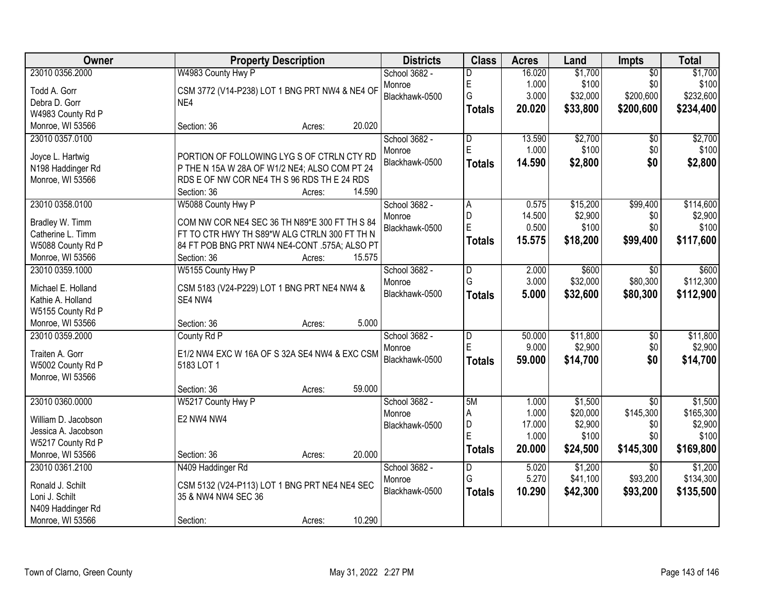| Owner                                 | <b>Property Description</b>                                                                  | <b>Districts</b>        | <b>Class</b>                 | <b>Acres</b>   | Land                | <b>Impts</b>                | <b>Total</b>         |
|---------------------------------------|----------------------------------------------------------------------------------------------|-------------------------|------------------------------|----------------|---------------------|-----------------------------|----------------------|
| 23010 0356.2000                       | W4983 County Hwy P                                                                           | School 3682 -           | D                            | 16.020         | \$1,700             | $\overline{50}$             | \$1,700              |
| Todd A. Gorr                          | CSM 3772 (V14-P238) LOT 1 BNG PRT NW4 & NE4 OF                                               | Monroe                  | E                            | 1.000          | \$100               | \$0                         | \$100                |
| Debra D. Gorr                         | NE4                                                                                          | Blackhawk-0500          | G                            | 3.000          | \$32,000            | \$200,600                   | \$232,600            |
| W4983 County Rd P                     |                                                                                              |                         | <b>Totals</b>                | 20.020         | \$33,800            | \$200,600                   | \$234,400            |
| Monroe, WI 53566                      | 20.020<br>Section: 36<br>Acres:                                                              |                         |                              |                |                     |                             |                      |
| 23010 0357.0100                       |                                                                                              | School 3682 -           | $\overline{\mathsf{D}}$      | 13.590         | \$2,700             | \$0                         | \$2,700              |
|                                       |                                                                                              | Monroe                  | E                            | 1.000          | \$100               | \$0                         | \$100                |
| Joyce L. Hartwig                      | PORTION OF FOLLOWING LYG S OF CTRLN CTY RD                                                   | Blackhawk-0500          | <b>Totals</b>                | 14.590         | \$2,800             | \$0                         | \$2,800              |
| N198 Haddinger Rd<br>Monroe, WI 53566 | P THE N 15A W 28A OF W1/2 NE4; ALSO COM PT 24<br>RDS E OF NW COR NE4 TH S 96 RDS TH E 24 RDS |                         |                              |                |                     |                             |                      |
|                                       | 14.590<br>Section: 36<br>Acres:                                                              |                         |                              |                |                     |                             |                      |
| 23010 0358.0100                       | W5088 County Hwy P                                                                           | School 3682 -           | A                            | 0.575          | \$15,200            | \$99,400                    | \$114,600            |
|                                       |                                                                                              | Monroe                  | D                            | 14.500         | \$2,900             | \$0                         | \$2,900              |
| Bradley W. Timm                       | COM NW COR NE4 SEC 36 TH N89*E 300 FT TH S 84                                                | Blackhawk-0500          | E                            | 0.500          | \$100               | \$0                         | \$100                |
| Catherine L. Timm                     | FT TO CTR HWY TH S89*W ALG CTRLN 300 FT TH N                                                 |                         | <b>Totals</b>                | 15.575         | \$18,200            | \$99,400                    | \$117,600            |
| W5088 County Rd P                     | 84 FT POB BNG PRT NW4 NE4-CONT .575A; ALSO PT                                                |                         |                              |                |                     |                             |                      |
| Monroe, WI 53566                      | Section: 36<br>15.575<br>Acres:                                                              |                         |                              |                |                     |                             |                      |
| 23010 0359.1000                       | W5155 County Hwy P                                                                           | School 3682 -           | D                            | 2.000          | \$600               | $\sqrt{6}$                  | \$600                |
| Michael E. Holland                    | CSM 5183 (V24-P229) LOT 1 BNG PRT NE4 NW4 &                                                  | Monroe                  | G                            | 3.000          | \$32,000            | \$80,300                    | \$112,300            |
| Kathie A. Holland                     | SE4 NW4                                                                                      | Blackhawk-0500          | <b>Totals</b>                | 5.000          | \$32,600            | \$80,300                    | \$112,900            |
| W5155 County Rd P                     |                                                                                              |                         |                              |                |                     |                             |                      |
| Monroe, WI 53566                      | 5.000<br>Section: 36<br>Acres:                                                               |                         |                              |                |                     |                             |                      |
| 23010 0359.2000                       | County Rd P                                                                                  | School 3682 -           | D                            | 50.000         | \$11,800            | $\overline{50}$             | \$11,800             |
| Traiten A. Gorr                       | E1/2 NW4 EXC W 16A OF S 32A SE4 NW4 & EXC CSM                                                | Monroe                  | E                            | 9.000          | \$2,900             | \$0                         | \$2,900              |
| W5002 County Rd P                     | 5183 LOT 1                                                                                   | Blackhawk-0500          | <b>Totals</b>                | 59.000         | \$14,700            | \$0                         | \$14,700             |
| Monroe, WI 53566                      |                                                                                              |                         |                              |                |                     |                             |                      |
|                                       | 59.000<br>Section: 36<br>Acres:                                                              |                         |                              |                |                     |                             |                      |
| 23010 0360.0000                       | W5217 County Hwy P                                                                           | School 3682 -           | 5M                           | 1.000          | \$1,500             | $\overline{30}$             | \$1,500              |
|                                       |                                                                                              | Monroe                  | А                            | 1.000          | \$20,000            | \$145,300                   | \$165,300            |
| William D. Jacobson                   | E2 NW4 NW4                                                                                   | Blackhawk-0500          | D                            | 17.000         | \$2,900             | \$0                         | \$2,900              |
| Jessica A. Jacobson                   |                                                                                              |                         | Ė                            | 1.000          | \$100               | \$0                         | \$100                |
| W5217 County Rd P                     | 20.000                                                                                       |                         | <b>Totals</b>                | 20.000         | \$24,500            | \$145,300                   | \$169,800            |
| Monroe, WI 53566                      | Section: 36<br>Acres:                                                                        |                         |                              |                |                     |                             |                      |
| 23010 0361.2100                       | N409 Haddinger Rd                                                                            | School 3682 -<br>Monroe | $\overline{\mathsf{D}}$<br>G | 5.020<br>5.270 | \$1,200<br>\$41,100 | $\overline{30}$<br>\$93,200 | \$1,200<br>\$134,300 |
| Ronald J. Schilt                      | CSM 5132 (V24-P113) LOT 1 BNG PRT NE4 NE4 SEC                                                | Blackhawk-0500          |                              | 10.290         | \$42,300            |                             |                      |
| Loni J. Schilt                        | 35 & NW4 NW4 SEC 36                                                                          |                         | <b>Totals</b>                |                |                     | \$93,200                    | \$135,500            |
| N409 Haddinger Rd                     |                                                                                              |                         |                              |                |                     |                             |                      |
| Monroe, WI 53566                      | 10.290<br>Section:<br>Acres:                                                                 |                         |                              |                |                     |                             |                      |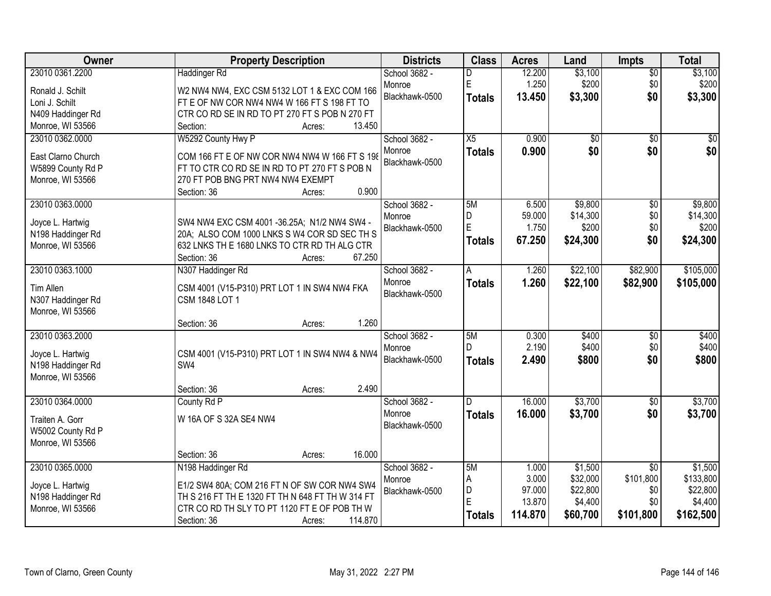| Owner                                 | <b>Property Description</b>                                                                    | <b>Districts</b> | <b>Class</b>    | <b>Acres</b> | Land            | Impts           | <b>Total</b> |
|---------------------------------------|------------------------------------------------------------------------------------------------|------------------|-----------------|--------------|-----------------|-----------------|--------------|
| 23010 0361.2200                       | <b>Haddinger Rd</b>                                                                            | School 3682 -    | D               | 12.200       | \$3,100         | $\overline{50}$ | \$3,100      |
| Ronald J. Schilt                      | W2 NW4 NW4, EXC CSM 5132 LOT 1 & EXC COM 166                                                   | Monroe           | E               | 1.250        | \$200           | \$0             | \$200        |
| Loni J. Schilt                        | FT E OF NW COR NW4 NW4 W 166 FT S 198 FT TO                                                    | Blackhawk-0500   | <b>Totals</b>   | 13.450       | \$3,300         | \$0             | \$3,300      |
| N409 Haddinger Rd                     | CTR CO RD SE IN RD TO PT 270 FT S POB N 270 FT                                                 |                  |                 |              |                 |                 |              |
| Monroe, WI 53566                      | 13.450<br>Section:<br>Acres:                                                                   |                  |                 |              |                 |                 |              |
| 23010 0362.0000                       | W5292 County Hwy P                                                                             | School 3682 -    | $\overline{X5}$ | 0.900        | $\overline{50}$ | $\overline{30}$ | $\sqrt{50}$  |
|                                       |                                                                                                | Monroe           | <b>Totals</b>   | 0.900        | \$0             | \$0             | \$0          |
| East Clarno Church                    | COM 166 FT E OF NW COR NW4 NW4 W 166 FT S 198<br>FT TO CTR CO RD SE IN RD TO PT 270 FT S POB N | Blackhawk-0500   |                 |              |                 |                 |              |
| W5899 County Rd P<br>Monroe, WI 53566 | 270 FT POB BNG PRT NW4 NW4 EXEMPT                                                              |                  |                 |              |                 |                 |              |
|                                       | 0.900<br>Section: 36<br>Acres:                                                                 |                  |                 |              |                 |                 |              |
| 23010 0363.0000                       |                                                                                                | School 3682 -    | 5M              | 6.500        | \$9,800         | \$0             | \$9,800      |
|                                       |                                                                                                | Monroe           | D               | 59.000       | \$14,300        | \$0             | \$14,300     |
| Joyce L. Hartwig                      | SW4 NW4 EXC CSM 4001 -36.25A; N1/2 NW4 SW4 -                                                   | Blackhawk-0500   | E               | 1.750        | \$200           | \$0             | \$200        |
| N198 Haddinger Rd                     | 20A; ALSO COM 1000 LNKS S W4 COR SD SEC TH S                                                   |                  | <b>Totals</b>   | 67.250       | \$24,300        | \$0             | \$24,300     |
| Monroe, WI 53566                      | 632 LNKS TH E 1680 LNKS TO CTR RD TH ALG CTR                                                   |                  |                 |              |                 |                 |              |
|                                       | 67.250<br>Section: 36<br>Acres:                                                                |                  |                 |              |                 |                 |              |
| 23010 0363.1000                       | N307 Haddinger Rd                                                                              | School 3682 -    | Α               | 1.260        | \$22,100        | \$82,900        | \$105,000    |
| Tim Allen                             | CSM 4001 (V15-P310) PRT LOT 1 IN SW4 NW4 FKA                                                   | Monroe           | <b>Totals</b>   | 1.260        | \$22,100        | \$82,900        | \$105,000    |
| N307 Haddinger Rd                     | CSM 1848 LOT 1                                                                                 | Blackhawk-0500   |                 |              |                 |                 |              |
| Monroe, WI 53566                      |                                                                                                |                  |                 |              |                 |                 |              |
|                                       | 1.260<br>Section: 36<br>Acres:                                                                 |                  |                 |              |                 |                 |              |
| 23010 0363.2000                       |                                                                                                | School 3682 -    | 5M              | 0.300        | \$400           | $\overline{50}$ | \$400        |
| Joyce L. Hartwig                      | CSM 4001 (V15-P310) PRT LOT 1 IN SW4 NW4 & NW4                                                 | Monroe           | D               | 2.190        | \$400           | \$0             | \$400        |
| N198 Haddinger Rd                     | SW4                                                                                            | Blackhawk-0500   | <b>Totals</b>   | 2.490        | \$800           | \$0             | \$800        |
| Monroe, WI 53566                      |                                                                                                |                  |                 |              |                 |                 |              |
|                                       | 2.490<br>Section: 36<br>Acres:                                                                 |                  |                 |              |                 |                 |              |
| 23010 0364.0000                       | County Rd P                                                                                    | School 3682 -    | D               | 16.000       | \$3,700         | $\overline{50}$ | \$3,700      |
|                                       | W 16A OF S 32A SE4 NW4                                                                         | Monroe           | <b>Totals</b>   | 16.000       | \$3,700         | \$0             | \$3,700      |
| Traiten A. Gorr<br>W5002 County Rd P  |                                                                                                | Blackhawk-0500   |                 |              |                 |                 |              |
| Monroe, WI 53566                      |                                                                                                |                  |                 |              |                 |                 |              |
|                                       | 16.000<br>Section: 36<br>Acres:                                                                |                  |                 |              |                 |                 |              |
| 23010 0365.0000                       | N198 Haddinger Rd                                                                              | School 3682 -    | 5M              | 1.000        | \$1,500         | $\overline{50}$ | \$1,500      |
|                                       |                                                                                                | Monroe           | А               | 3.000        | \$32,000        | \$101,800       | \$133,800    |
| Joyce L. Hartwig                      | E1/2 SW4 80A; COM 216 FT N OF SW COR NW4 SW4                                                   | Blackhawk-0500   | D               | 97.000       | \$22,800        | \$0             | \$22,800     |
| N198 Haddinger Rd                     | TH S 216 FT TH E 1320 FT TH N 648 FT TH W 314 FT                                               |                  | E               | 13.870       | \$4,400         | \$0             | \$4,400      |
| Monroe, WI 53566                      | CTR CO RD TH SLY TO PT 1120 FT E OF POB TH W                                                   |                  | <b>Totals</b>   | 114.870      | \$60,700        | \$101,800       | \$162,500    |
|                                       | 114.870<br>Section: 36<br>Acres:                                                               |                  |                 |              |                 |                 |              |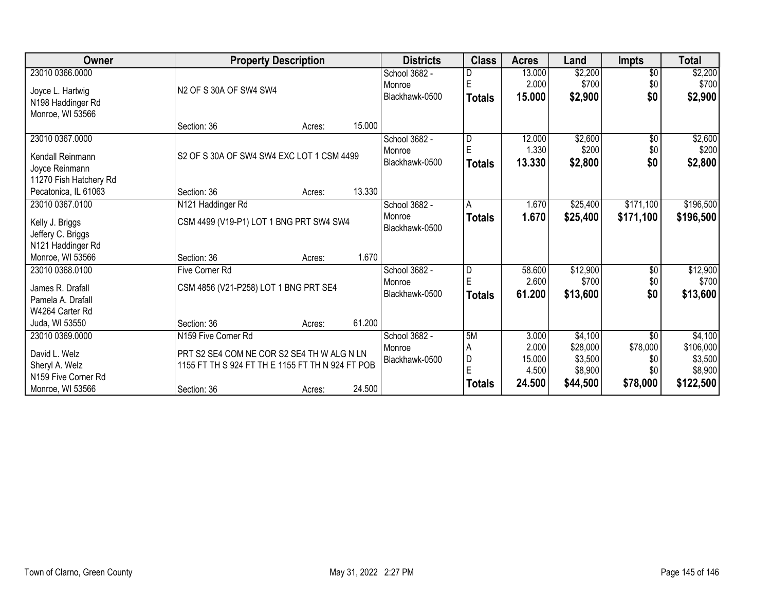| Owner                                          | <b>Property Description</b>                      |        | <b>Districts</b> | <b>Class</b>             | <b>Acres</b>  | Land   | <b>Impts</b> | <b>Total</b>    |           |
|------------------------------------------------|--------------------------------------------------|--------|------------------|--------------------------|---------------|--------|--------------|-----------------|-----------|
| 23010 0366.0000                                |                                                  |        |                  | School 3682 -            | D             | 13.000 | \$2,200      | $\overline{30}$ | \$2,200   |
| Joyce L. Hartwig                               | N2 OF S 30A OF SW4 SW4                           |        |                  | Monroe                   |               | 2.000  | \$700        | \$0             | \$700     |
| N198 Haddinger Rd                              |                                                  |        |                  | Blackhawk-0500           | <b>Totals</b> | 15.000 | \$2,900      | \$0             | \$2,900   |
| Monroe, WI 53566                               |                                                  |        |                  |                          |               |        |              |                 |           |
|                                                | Section: 36                                      | Acres: | 15.000           |                          |               |        |              |                 |           |
| 23010 0367.0000                                |                                                  |        |                  | School 3682 -            | D             | 12.000 | \$2,600      | \$0             | \$2,600   |
|                                                |                                                  |        |                  | Monroe                   |               | 1.330  | \$200        | \$0             | \$200     |
| Kendall Reinmann                               | S2 OF S 30A OF SW4 SW4 EXC LOT 1 CSM 4499        |        |                  | Blackhawk-0500           | <b>Totals</b> | 13.330 | \$2,800      | \$0             | \$2,800   |
| Joyce Reinmann                                 |                                                  |        |                  |                          |               |        |              |                 |           |
| 11270 Fish Hatchery Rd<br>Pecatonica, IL 61063 | Section: 36                                      | Acres: | 13.330           |                          |               |        |              |                 |           |
|                                                |                                                  |        |                  |                          | Α             | 1.670  | \$25,400     | \$171,100       | \$196,500 |
| 23010 0367.0100                                | N121 Haddinger Rd                                |        |                  | School 3682 -            |               |        |              |                 |           |
| Kelly J. Briggs                                | CSM 4499 (V19-P1) LOT 1 BNG PRT SW4 SW4          |        |                  | Monroe<br>Blackhawk-0500 | <b>Totals</b> | 1.670  | \$25,400     | \$171,100       | \$196,500 |
| Jeffery C. Briggs                              |                                                  |        |                  |                          |               |        |              |                 |           |
| N121 Haddinger Rd                              |                                                  |        |                  |                          |               |        |              |                 |           |
| Monroe, WI 53566                               | Section: 36                                      | Acres: | 1.670            |                          |               |        |              |                 |           |
| 23010 0368.0100                                | <b>Five Corner Rd</b>                            |        |                  | School 3682 -            | D             | 58.600 | \$12,900     | \$0             | \$12,900  |
| James R. Drafall                               | CSM 4856 (V21-P258) LOT 1 BNG PRT SE4            |        |                  | Monroe                   |               | 2.600  | \$700        | \$0             | \$700     |
| Pamela A. Drafall                              |                                                  |        |                  | Blackhawk-0500           | <b>Totals</b> | 61.200 | \$13,600     | \$0             | \$13,600  |
| W4264 Carter Rd                                |                                                  |        |                  |                          |               |        |              |                 |           |
| Juda, WI 53550                                 | Section: 36                                      | Acres: | 61.200           |                          |               |        |              |                 |           |
| 23010 0369.0000                                | N159 Five Corner Rd                              |        |                  | School 3682 -            | 5M            | 3.000  | \$4,100      | $\overline{50}$ | \$4,100   |
|                                                |                                                  |        |                  | Monroe                   | Α             | 2.000  | \$28,000     | \$78,000        | \$106,000 |
| David L. Welz                                  | PRT S2 SE4 COM NE COR S2 SE4 TH W ALG N LN       |        |                  | Blackhawk-0500           | D             | 15.000 | \$3,500      | \$0             | \$3,500   |
| Sheryl A. Welz                                 | 1155 FT TH S 924 FT TH E 1155 FT TH N 924 FT POB |        |                  |                          | E             | 4.500  | \$8,900      |                 | \$8,900   |
| N159 Five Corner Rd                            |                                                  |        |                  |                          |               | 24.500 | \$44,500     | \$78,000        | \$122,500 |
| Monroe, WI 53566                               | Section: 36                                      | Acres: | 24.500           |                          | <b>Totals</b> |        |              |                 |           |